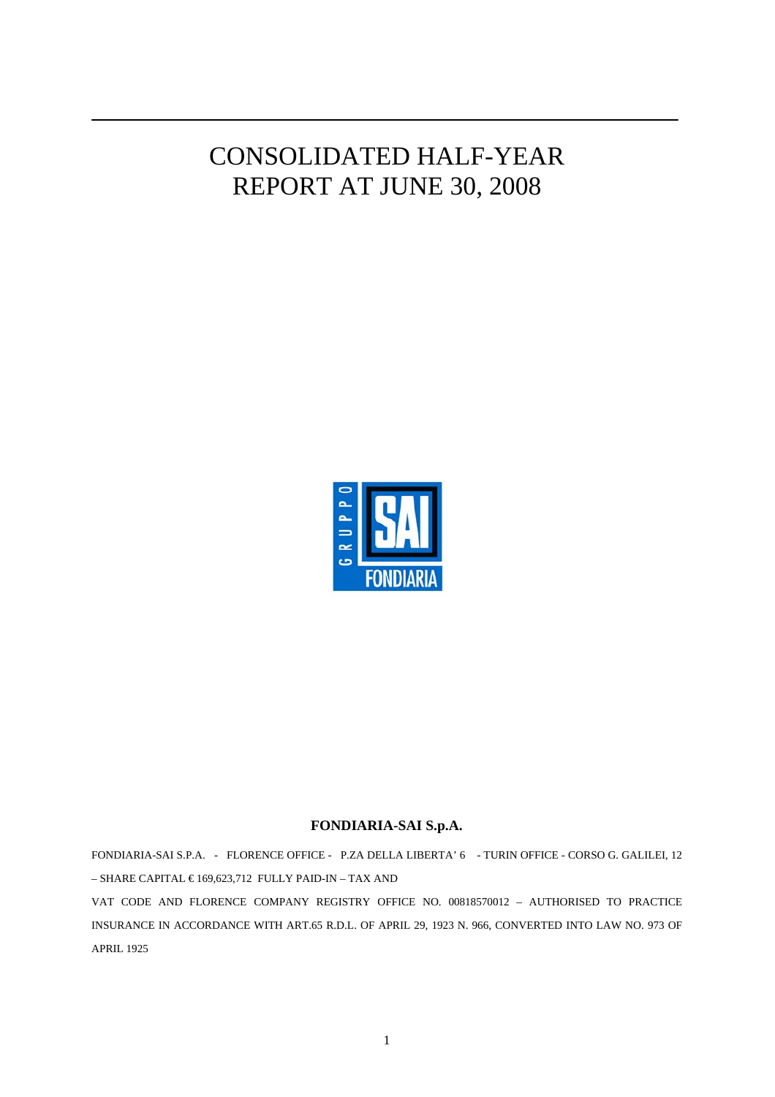# CONSOLIDATED HALF-YEAR REPORT AT JUNE 30, 2008



#### **FONDIARIA-SAI S.p.A.**

FONDIARIA-SAI S.P.A. - FLORENCE OFFICE - P.ZA DELLA LIBERTA' 6 - TURIN OFFICE - CORSO G. GALILEI, 12 – SHARE CAPITAL € 169,623,712 FULLY PAID-IN – TAX AND

VAT CODE AND FLORENCE COMPANY REGISTRY OFFICE NO. 00818570012 – AUTHORISED TO PRACTICE INSURANCE IN ACCORDANCE WITH ART.65 R.D.L. OF APRIL 29, 1923 N. 966, CONVERTED INTO LAW NO. 973 OF APRIL 1925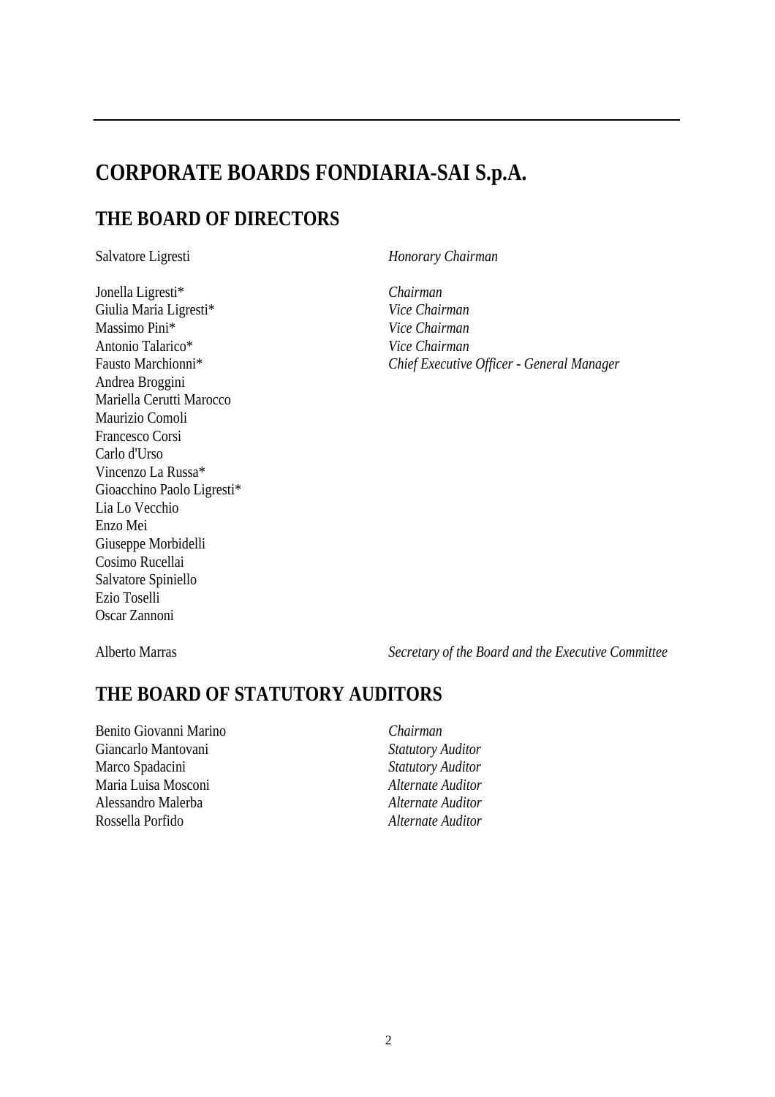## **CORPORATE BOARDS FONDIARIA-SAI S.p.A.**

## **THE BOARD OF DIRECTORS**

Jonella Ligresti\* *Chairman*  Giulia Maria Ligresti\* *Vice Chairman*  Massimo Pini\* *Vice Chairman*  Antonio Talarico\* *Vice Chairman*  Andrea Broggini Mariella Cerutti Marocco Maurizio Comoli Francesco Corsi Carlo d'Urso Vincenzo La Russa\* Gioacchino Paolo Ligresti\* Lia Lo Vecchio Enzo Mei Giuseppe Morbidelli Cosimo Rucellai Salvatore Spiniello Ezio Toselli Oscar Zannoni

Salvatore Ligresti *Honorary Chairman* 

Fausto Marchionni\* *Chief Executive Officer - General Manager* 

Alberto Marras *Secretary of the Board and the Executive Committee* 

## **THE BOARD OF STATUTORY AUDITORS**

Benito Giovanni Marino *Chairman*  Giancarlo Mantovani *Statutory Auditor*  Marco Spadacini *Statutory Auditor*  Maria Luisa Mosconi *Alternate Auditor*  Alessandro Malerba *Alternate Auditor*  Rossella Porfido *Alternate Auditor*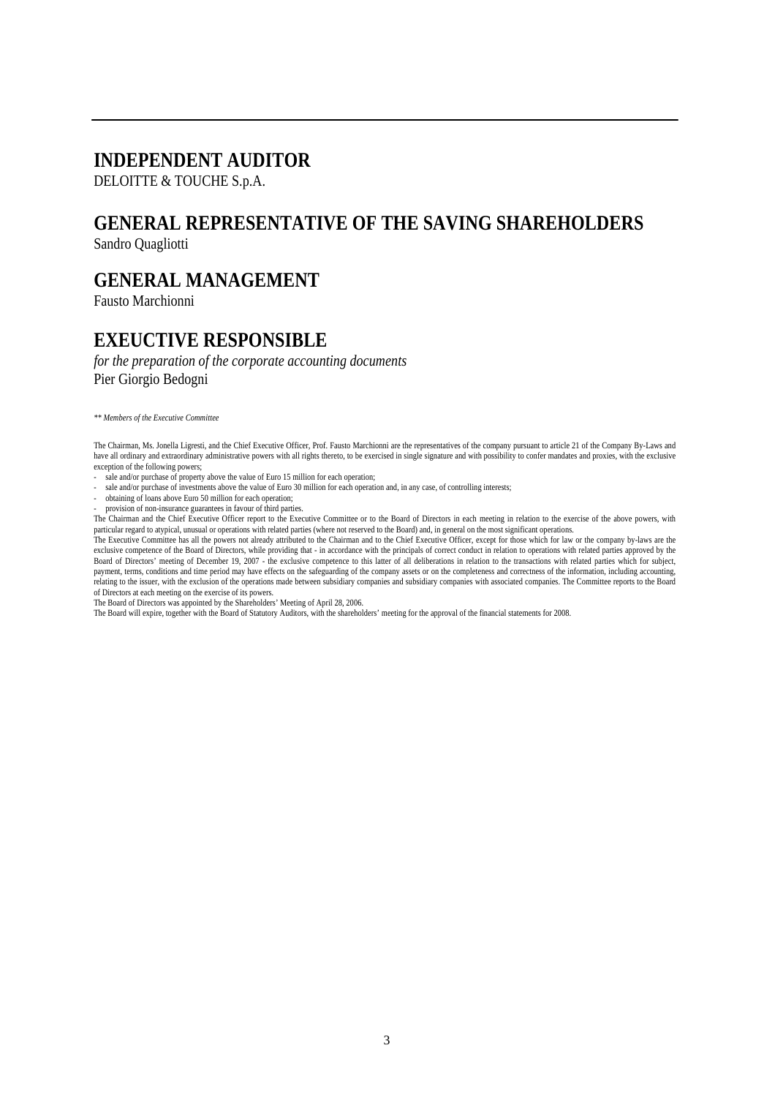## **INDEPENDENT AUDITOR**

#### DELOITTE & TOUCHE S.p.A.

## **GENERAL REPRESENTATIVE OF THE SAVING SHAREHOLDERS**

Sandro Quagliotti

## **GENERAL MANAGEMENT**

Fausto Marchionni

## **EXEUCTIVE RESPONSIBLE**

*for the preparation of the corporate accounting documents*  Pier Giorgio Bedogni

*\*\* Members of the Executive Committee* 

The Chairman, Ms. Jonella Ligresti, and the Chief Executive Officer, Prof. Fausto Marchionni are the representatives of the company pursuant to article 21 of the Company By-Laws and have all ordinary and extraordinary administrative powers with all rights thereto, to be exercised in single signature and with possibility to confer mandates and proxies, with the exclusive exception of the following powers;

- sale and/or purchase of property above the value of Euro 15 million for each operation;
- sale and/or purchase of investments above the value of Euro 30 million for each operation and, in any case, of controlling interests;
- obtaining of loans above Euro 50 million for each operation;
- provision of non-insurance guarantees in favour of third parties.

The Chairman and the Chief Executive Officer report to the Executive Committee or to the Board of Directors in each meeting in relation to the exercise of the above powers, with particular regard to atypical, unusual or operations with related parties (where not reserved to the Board) and, in general on the most significant operations.

The Executive Committee has all the powers not already attributed to the Chairman and to the Chief Executive Officer, except for those which for law or the company by-laws are the exclusive competence of the Board of Directors, while providing that - in accordance with the principals of correct conduct in relation to operations with related parties approved by the Board of Directors' meeting of December 19, 2007 - the exclusive competence to this latter of all deliberations in relation to the transactions with related parties which for subject, payment, terms, conditions and time period may have effects on the safeguarding of the company assets or on the completeness and correctness of the information, including accounting, relating to the issuer, with the exclusion of the operations made between subsidiary companies and subsidiary companies with associated companies. The Committee reports to the Board of Directors at each meeting on the exercise of its powers.

The Board of Directors was appointed by the Shareholders' Meeting of April 28, 2006.

The Board will expire, together with the Board of Statutory Auditors, with the shareholders' meeting for the approval of the financial statements for 2008.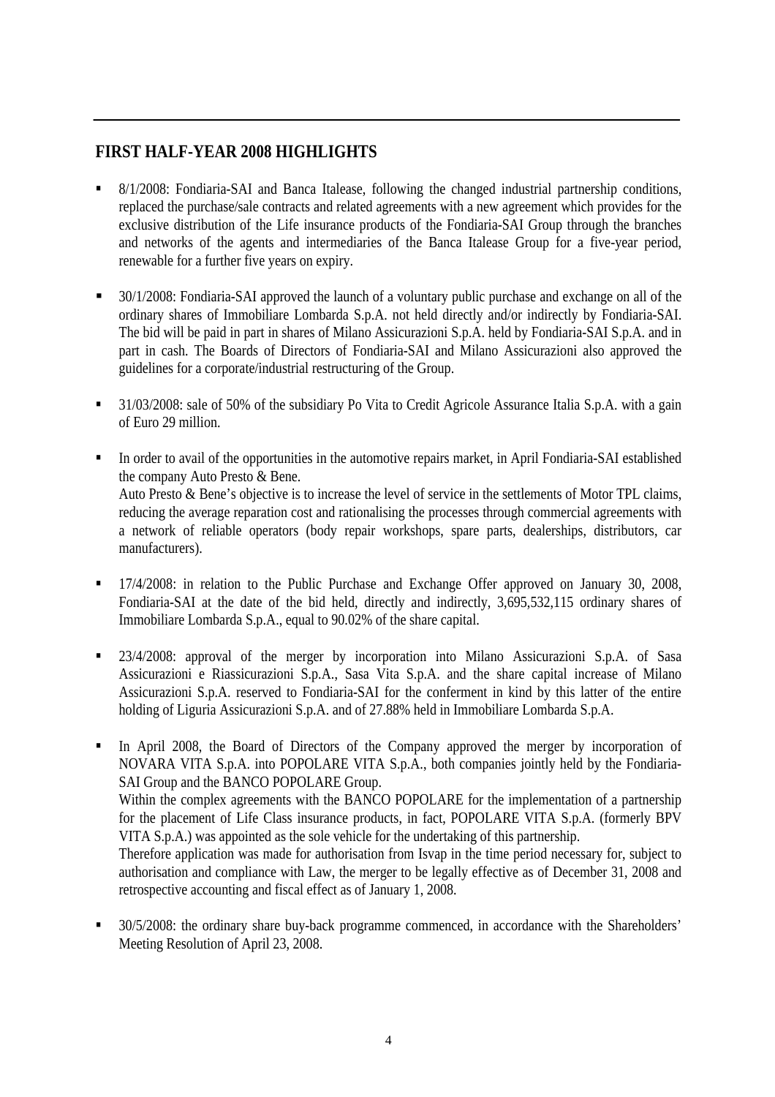## **FIRST HALF-YEAR 2008 HIGHLIGHTS**

- 8/1/2008: Fondiaria-SAI and Banca Italease, following the changed industrial partnership conditions, replaced the purchase/sale contracts and related agreements with a new agreement which provides for the exclusive distribution of the Life insurance products of the Fondiaria-SAI Group through the branches and networks of the agents and intermediaries of the Banca Italease Group for a five-year period, renewable for a further five years on expiry.
- <sup>30/1/2008:</sup> Fondiaria-SAI approved the launch of a voluntary public purchase and exchange on all of the ordinary shares of Immobiliare Lombarda S.p.A. not held directly and/or indirectly by Fondiaria-SAI. The bid will be paid in part in shares of Milano Assicurazioni S.p.A. held by Fondiaria-SAI S.p.A. and in part in cash. The Boards of Directors of Fondiaria-SAI and Milano Assicurazioni also approved the guidelines for a corporate/industrial restructuring of the Group.
- <sup>31</sup>/03/2008: sale of 50% of the subsidiary Po Vita to Credit Agricole Assurance Italia S.p.A. with a gain of Euro 29 million.
- In order to avail of the opportunities in the automotive repairs market, in April Fondiaria-SAI established the company Auto Presto & Bene. Auto Presto & Bene's objective is to increase the level of service in the settlements of Motor TPL claims, reducing the average reparation cost and rationalising the processes through commercial agreements with a network of reliable operators (body repair workshops, spare parts, dealerships, distributors, car manufacturers).
- 17/4/2008: in relation to the Public Purchase and Exchange Offer approved on January 30, 2008, Fondiaria-SAI at the date of the bid held, directly and indirectly, 3,695,532,115 ordinary shares of Immobiliare Lombarda S.p.A., equal to 90.02% of the share capital.
- <sup>23/4/2008</sup>: approval of the merger by incorporation into Milano Assicurazioni S.p.A. of Sasa Assicurazioni e Riassicurazioni S.p.A., Sasa Vita S.p.A. and the share capital increase of Milano Assicurazioni S.p.A. reserved to Fondiaria-SAI for the conferment in kind by this latter of the entire holding of Liguria Assicurazioni S.p.A. and of 27.88% held in Immobiliare Lombarda S.p.A.
- In April 2008, the Board of Directors of the Company approved the merger by incorporation of NOVARA VITA S.p.A. into POPOLARE VITA S.p.A., both companies jointly held by the Fondiaria-SAI Group and the BANCO POPOLARE Group. Within the complex agreements with the BANCO POPOLARE for the implementation of a partnership for the placement of Life Class insurance products, in fact, POPOLARE VITA S.p.A. (formerly BPV VITA S.p.A.) was appointed as the sole vehicle for the undertaking of this partnership. Therefore application was made for authorisation from Isvap in the time period necessary for, subject to authorisation and compliance with Law, the merger to be legally effective as of December 31, 2008 and retrospective accounting and fiscal effect as of January 1, 2008.
- 30/5/2008: the ordinary share buy-back programme commenced, in accordance with the Shareholders' Meeting Resolution of April 23, 2008.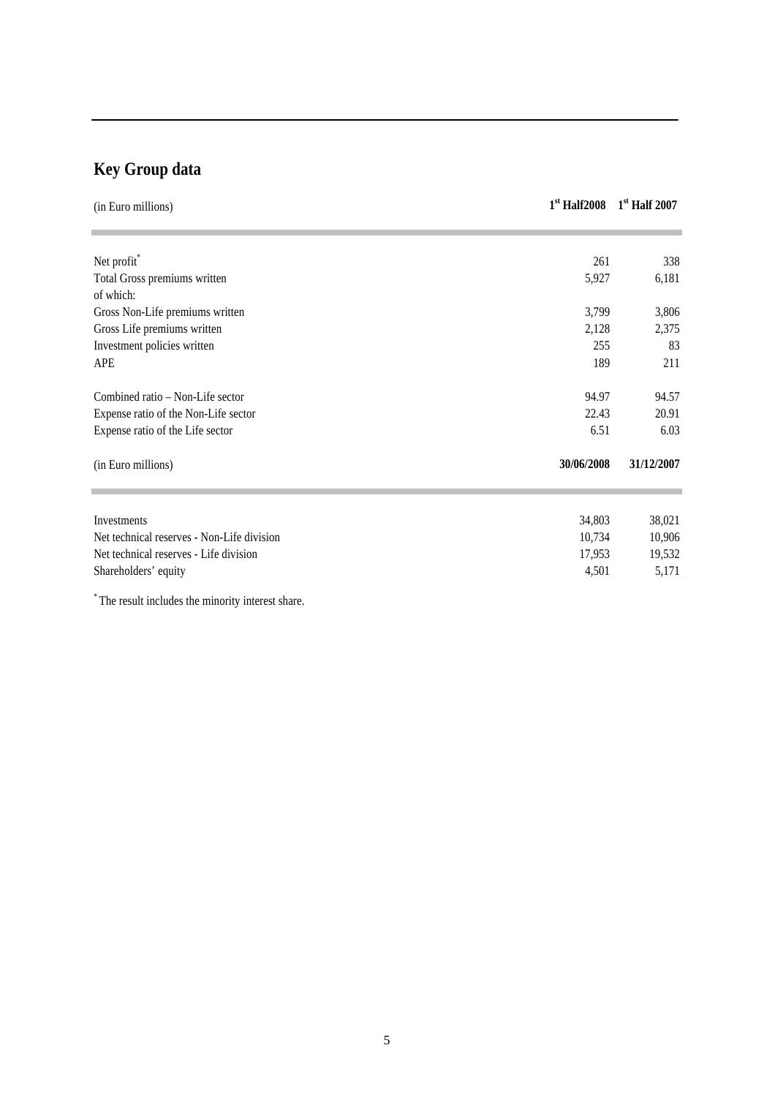# **Key Group data**

| (in Euro millions)                         | $1st$ Half2008 | $1st$ Half 2007 |
|--------------------------------------------|----------------|-----------------|
|                                            |                |                 |
| Net profit*                                | 261            | 338             |
| Total Gross premiums written               | 5,927          | 6,181           |
| of which:                                  |                |                 |
| Gross Non-Life premiums written            | 3,799          | 3,806           |
| Gross Life premiums written                | 2,128          | 2,375           |
| Investment policies written                | 255            | 83              |
| APE                                        | 189            | 211             |
| Combined ratio – Non-Life sector           | 94.97          | 94.57           |
| Expense ratio of the Non-Life sector       | 22.43          | 20.91           |
| Expense ratio of the Life sector           | 6.51           | 6.03            |
| (in Euro millions)                         | 30/06/2008     | 31/12/2007      |
|                                            |                |                 |
| Investments                                | 34,803         | 38,021          |
| Net technical reserves - Non-Life division | 10,734         | 10,906          |
| Net technical reserves - Life division     | 17,953         | 19,532          |
| Shareholders' equity                       | 4,501          | 5,171           |

\* The result includes the minority interest share.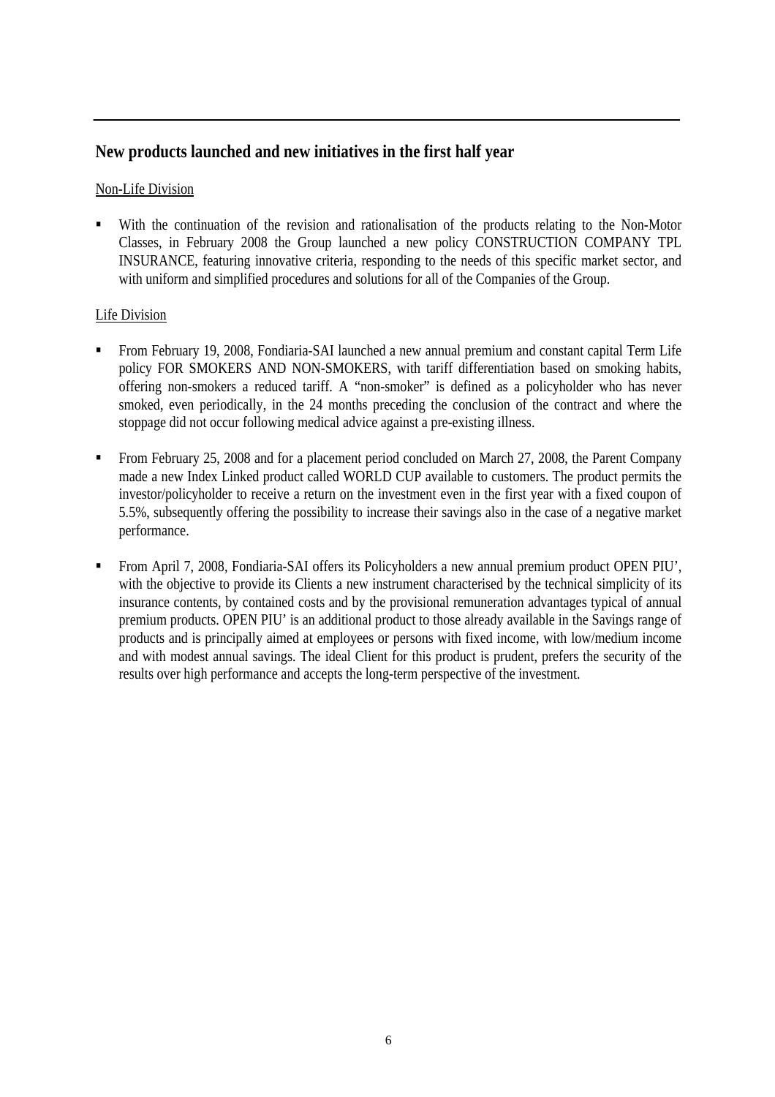## **New products launched and new initiatives in the first half year**

#### Non-Life Division

 With the continuation of the revision and rationalisation of the products relating to the Non-Motor Classes, in February 2008 the Group launched a new policy CONSTRUCTION COMPANY TPL INSURANCE, featuring innovative criteria, responding to the needs of this specific market sector, and with uniform and simplified procedures and solutions for all of the Companies of the Group.

#### Life Division

- From February 19, 2008, Fondiaria-SAI launched a new annual premium and constant capital Term Life policy FOR SMOKERS AND NON-SMOKERS, with tariff differentiation based on smoking habits, offering non-smokers a reduced tariff. A "non-smoker" is defined as a policyholder who has never smoked, even periodically, in the 24 months preceding the conclusion of the contract and where the stoppage did not occur following medical advice against a pre-existing illness.
- From February 25, 2008 and for a placement period concluded on March 27, 2008, the Parent Company made a new Index Linked product called WORLD CUP available to customers. The product permits the investor/policyholder to receive a return on the investment even in the first year with a fixed coupon of 5.5%, subsequently offering the possibility to increase their savings also in the case of a negative market performance.
- From April 7, 2008, Fondiaria-SAI offers its Policyholders a new annual premium product OPEN PIU', with the objective to provide its Clients a new instrument characterised by the technical simplicity of its insurance contents, by contained costs and by the provisional remuneration advantages typical of annual premium products. OPEN PIU' is an additional product to those already available in the Savings range of products and is principally aimed at employees or persons with fixed income, with low/medium income and with modest annual savings. The ideal Client for this product is prudent, prefers the security of the results over high performance and accepts the long-term perspective of the investment.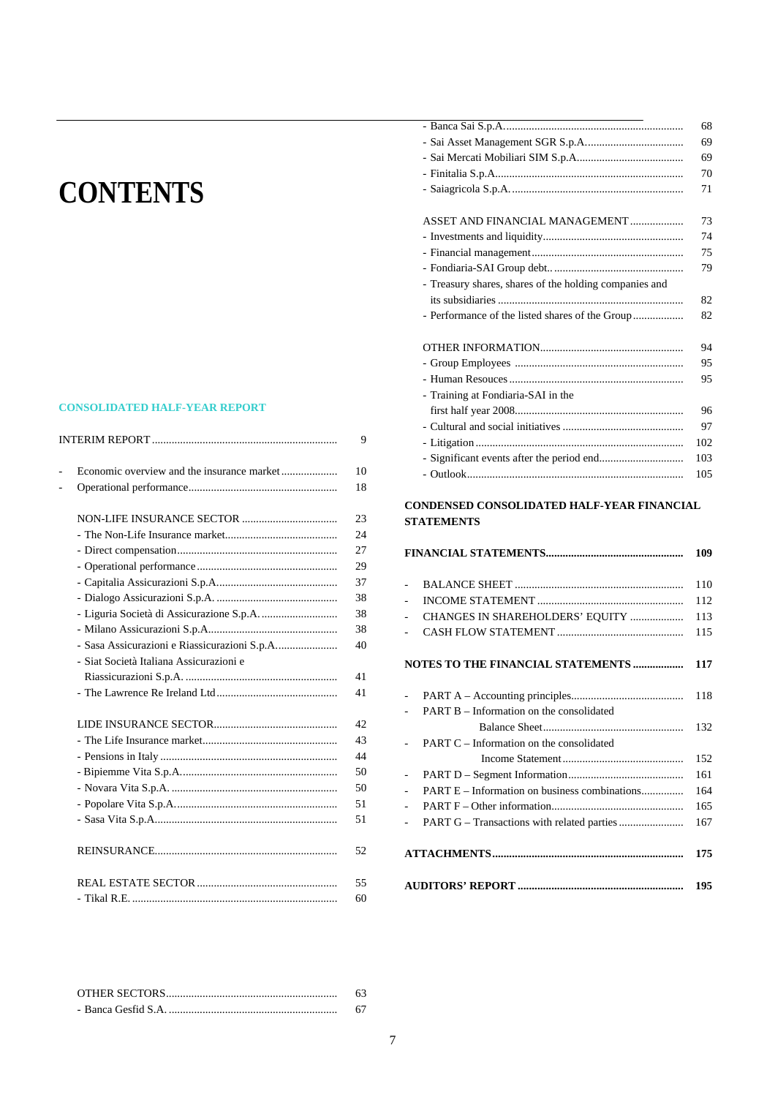# **CONTENTS**

#### **CONSOLIDATED HALF-YEAR REPORT**

|                                              | 9  |
|----------------------------------------------|----|
|                                              | 10 |
|                                              | 18 |
|                                              | 23 |
|                                              | 24 |
|                                              | 27 |
|                                              | 29 |
|                                              | 37 |
|                                              | 38 |
|                                              | 38 |
|                                              | 38 |
| - Sasa Assicurazioni e Riassicurazioni S.p.A | 40 |
| - Siat Società Italiana Assicurazioni e      |    |
|                                              | 41 |
|                                              | 41 |
|                                              | 42 |
|                                              | 43 |
|                                              | 44 |
|                                              | 50 |
|                                              | 50 |
|                                              | 51 |
|                                              | 51 |
|                                              | 52 |
|                                              | 55 |
|                                              | 60 |

|                                                        | 68  |
|--------------------------------------------------------|-----|
|                                                        | 69  |
|                                                        | 69  |
|                                                        | 70  |
|                                                        | 71  |
|                                                        |     |
| ASSET AND FINANCIAL MANAGEMENT                         | 73  |
|                                                        | 74  |
|                                                        | 75  |
|                                                        | 79  |
| - Treasury shares, shares of the holding companies and |     |
|                                                        | 82  |
|                                                        | 82  |
|                                                        | 94  |
|                                                        | 95  |
|                                                        | 95  |
| - Training at Fondiaria-SAI in the                     |     |
|                                                        | 96  |
|                                                        | 97  |
|                                                        | 102 |
|                                                        | 103 |
|                                                        | 105 |
|                                                        |     |

#### **CONDENSED CONSOLIDATED HALF-YEAR FINANCIAL STATEMENTS**

|                          |                                                 | 109 |
|--------------------------|-------------------------------------------------|-----|
| ÷                        |                                                 | 110 |
|                          |                                                 | 112 |
|                          | CHANGES IN SHAREHOLDERS' EQUITY                 | 113 |
|                          |                                                 | 115 |
|                          | NOTES TO THE FINANCIAL STATEMENTS               | 117 |
|                          |                                                 | 118 |
|                          | <b>PART B</b> – Information on the consolidated |     |
|                          |                                                 | 132 |
|                          | <b>PART C</b> – Information on the consolidated |     |
|                          |                                                 | 152 |
|                          |                                                 | 161 |
|                          | PART E – Information on business combinations   | 164 |
| $\overline{\phantom{0}}$ |                                                 | 165 |
|                          |                                                 | 167 |
|                          |                                                 | 175 |
|                          |                                                 | 195 |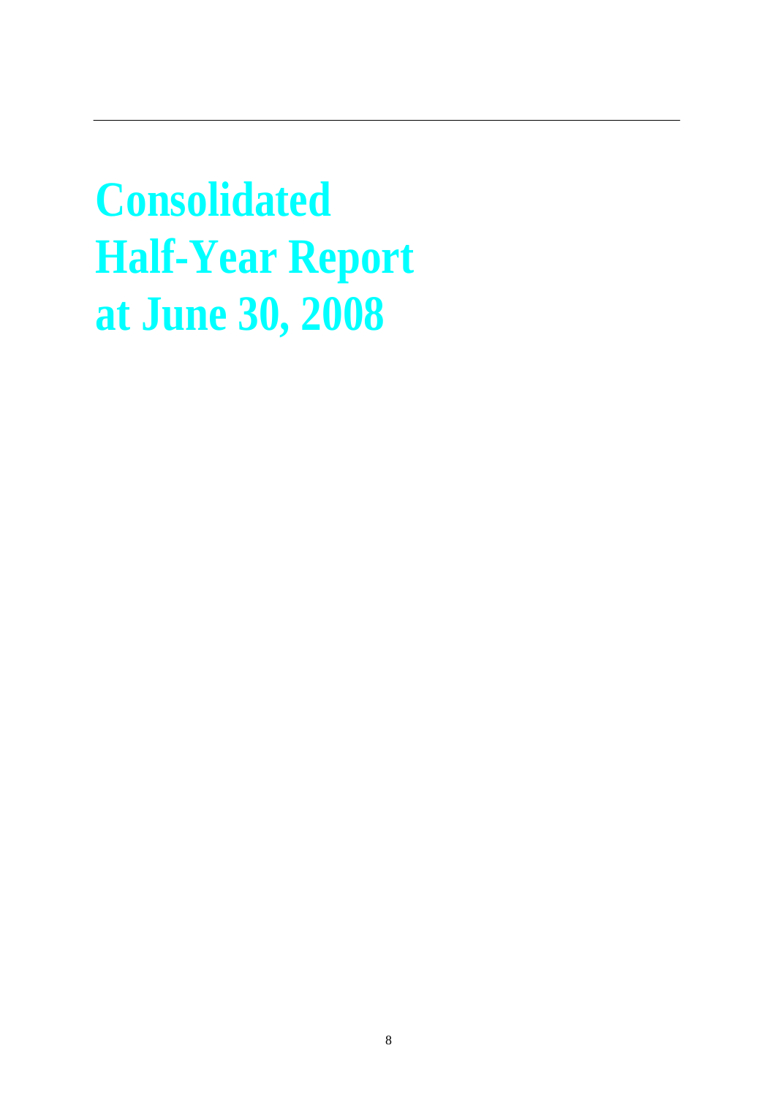**Consolidated Half-Year Report at June 30, 2008**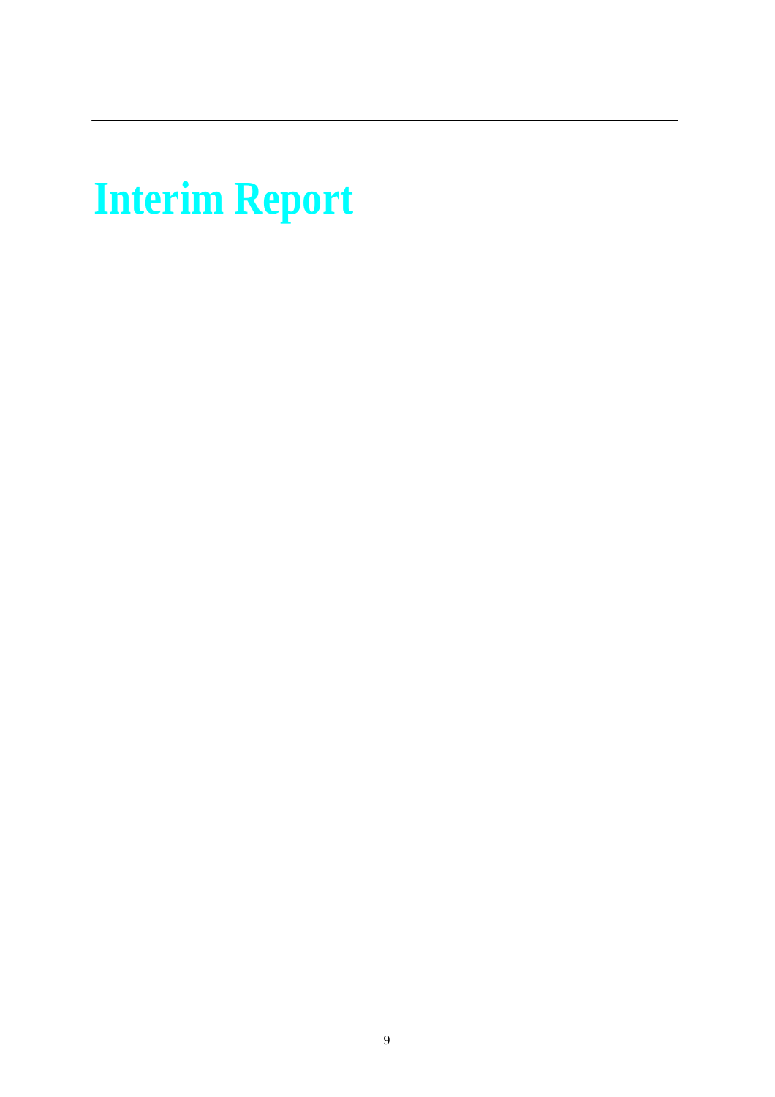# **Interim Report**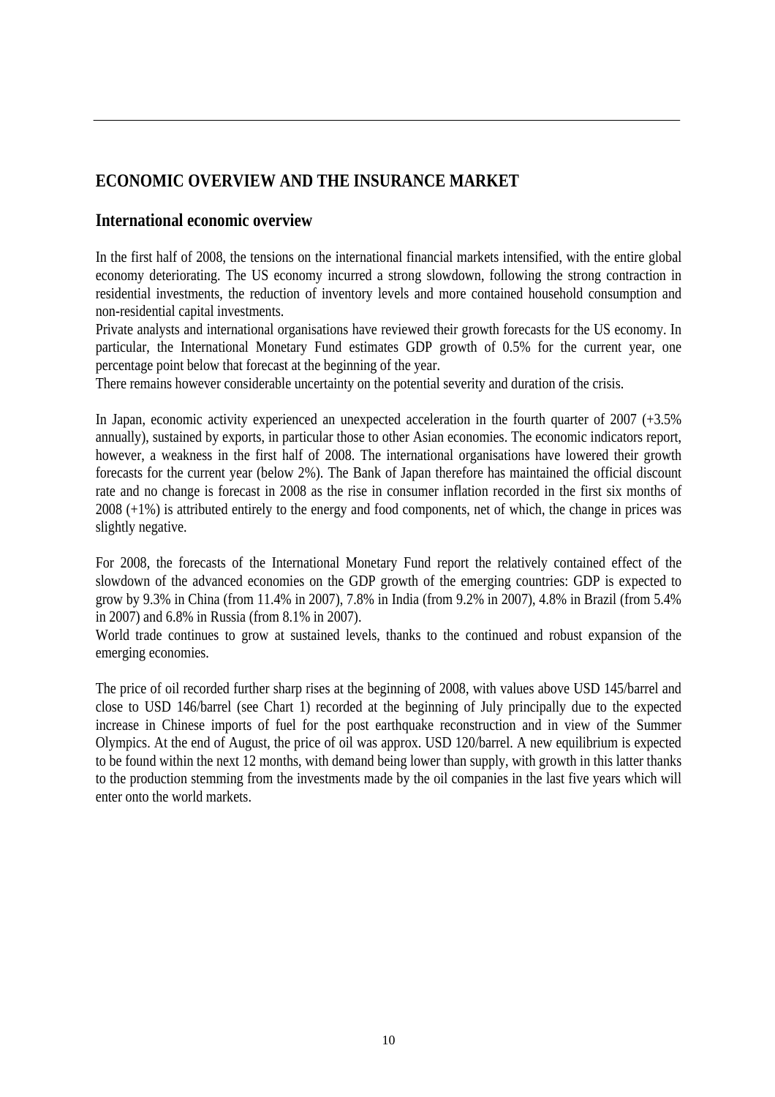## **ECONOMIC OVERVIEW AND THE INSURANCE MARKET**

#### **International economic overview**

In the first half of 2008, the tensions on the international financial markets intensified, with the entire global economy deteriorating. The US economy incurred a strong slowdown, following the strong contraction in residential investments, the reduction of inventory levels and more contained household consumption and non-residential capital investments.

Private analysts and international organisations have reviewed their growth forecasts for the US economy. In particular, the International Monetary Fund estimates GDP growth of 0.5% for the current year, one percentage point below that forecast at the beginning of the year.

There remains however considerable uncertainty on the potential severity and duration of the crisis.

In Japan, economic activity experienced an unexpected acceleration in the fourth quarter of 2007 (+3.5%) annually), sustained by exports, in particular those to other Asian economies. The economic indicators report, however, a weakness in the first half of 2008. The international organisations have lowered their growth forecasts for the current year (below 2%). The Bank of Japan therefore has maintained the official discount rate and no change is forecast in 2008 as the rise in consumer inflation recorded in the first six months of 2008 (+1%) is attributed entirely to the energy and food components, net of which, the change in prices was slightly negative.

For 2008, the forecasts of the International Monetary Fund report the relatively contained effect of the slowdown of the advanced economies on the GDP growth of the emerging countries: GDP is expected to grow by 9.3% in China (from 11.4% in 2007), 7.8% in India (from 9.2% in 2007), 4.8% in Brazil (from 5.4% in 2007) and 6.8% in Russia (from 8.1% in 2007).

World trade continues to grow at sustained levels, thanks to the continued and robust expansion of the emerging economies.

The price of oil recorded further sharp rises at the beginning of 2008, with values above USD 145/barrel and close to USD 146/barrel (see Chart 1) recorded at the beginning of July principally due to the expected increase in Chinese imports of fuel for the post earthquake reconstruction and in view of the Summer Olympics. At the end of August, the price of oil was approx. USD 120/barrel. A new equilibrium is expected to be found within the next 12 months, with demand being lower than supply, with growth in this latter thanks to the production stemming from the investments made by the oil companies in the last five years which will enter onto the world markets.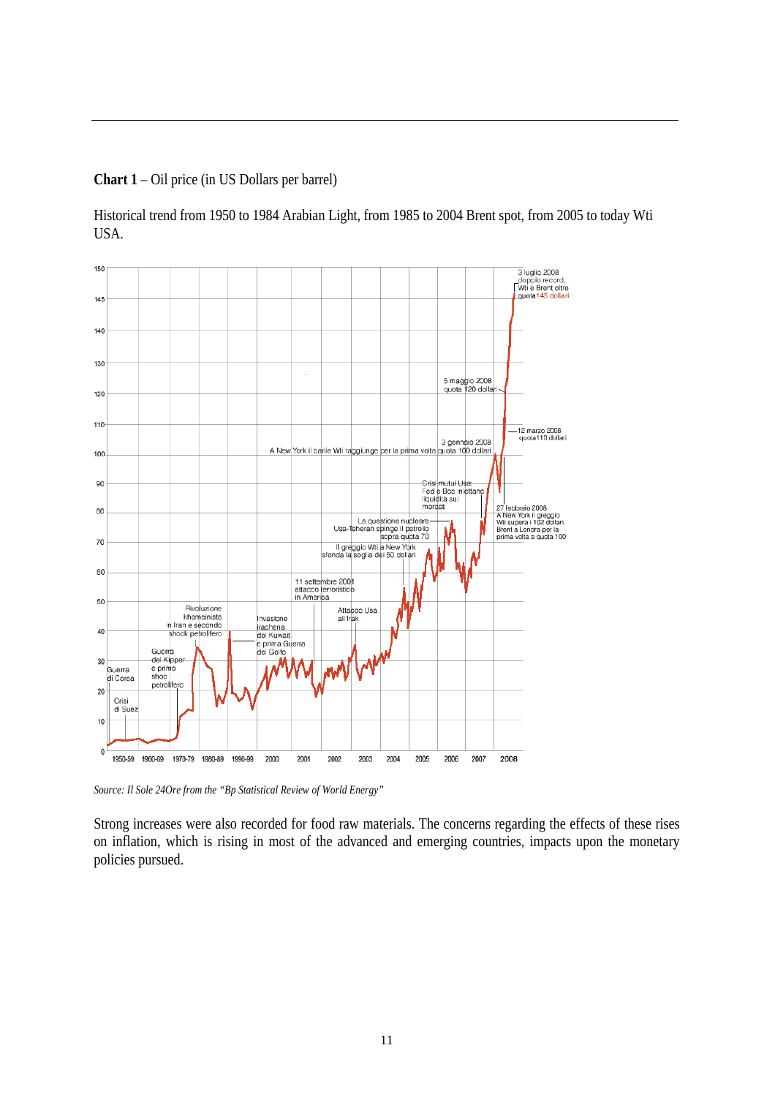**Chart 1** – Oil price (in US Dollars per barrel)

Historical trend from 1950 to 1984 Arabian Light, from 1985 to 2004 Brent spot, from 2005 to today Wti USA.



*Source: Il Sole 24Ore from the "Bp Statistical Review of World Energy"*

Strong increases were also recorded for food raw materials. The concerns regarding the effects of these rises on inflation, which is rising in most of the advanced and emerging countries, impacts upon the monetary policies pursued.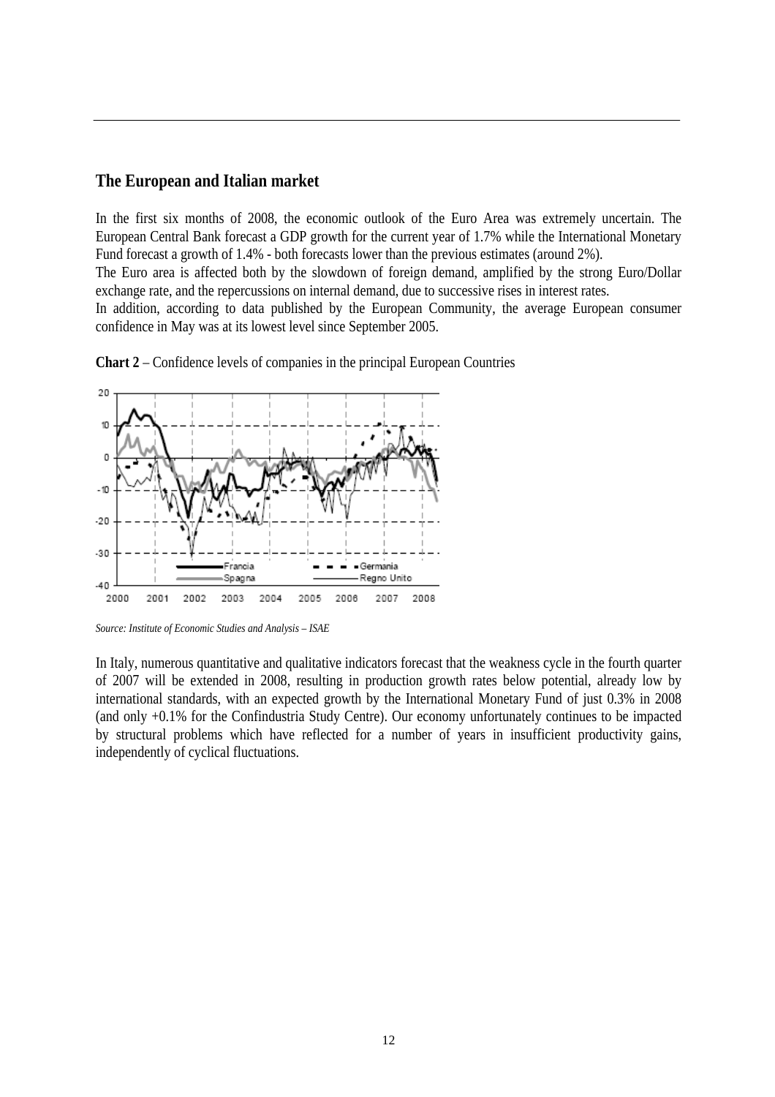#### **The European and Italian market**

In the first six months of 2008, the economic outlook of the Euro Area was extremely uncertain. The European Central Bank forecast a GDP growth for the current year of 1.7% while the International Monetary Fund forecast a growth of 1.4% - both forecasts lower than the previous estimates (around 2%).

The Euro area is affected both by the slowdown of foreign demand, amplified by the strong Euro/Dollar exchange rate, and the repercussions on internal demand, due to successive rises in interest rates.

In addition, according to data published by the European Community, the average European consumer confidence in May was at its lowest level since September 2005.





In Italy, numerous quantitative and qualitative indicators forecast that the weakness cycle in the fourth quarter of 2007 will be extended in 2008, resulting in production growth rates below potential, already low by international standards, with an expected growth by the International Monetary Fund of just 0.3% in 2008 (and only +0.1% for the Confindustria Study Centre). Our economy unfortunately continues to be impacted by structural problems which have reflected for a number of years in insufficient productivity gains, independently of cyclical fluctuations.

*Source: Institute of Economic Studies and Analysis – ISAE*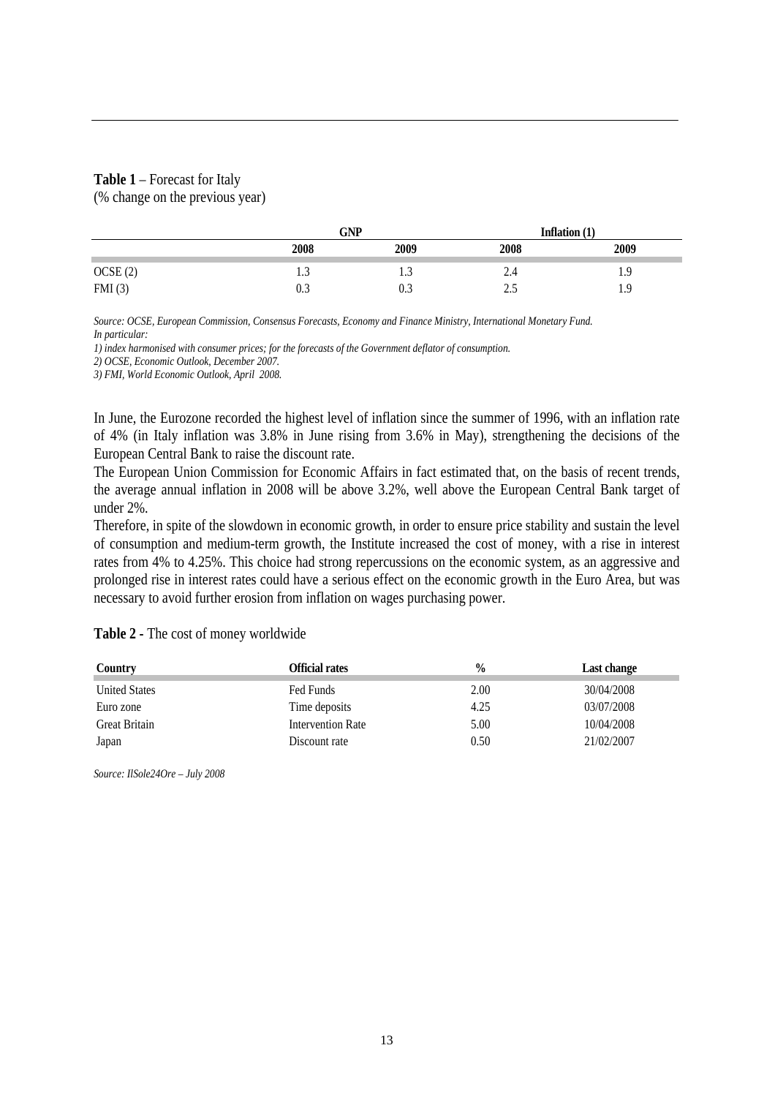#### **Table 1** – Forecast for Italy

(% change on the previous year)

|                     | GNP   |      |       | Inflation $(1)$  |
|---------------------|-------|------|-------|------------------|
|                     | 2008  | 2009 | 2008  | 2009             |
|                     | ل د 1 | ر. 1 | 4.4   | 1.9              |
| OCSE (2)<br>FMI (3) | 0.3   | 0.3  | ل و ک | <b>u</b><br>1. 2 |

*Source: OCSE, European Commission, Consensus Forecasts, Economy and Finance Ministry, International Monetary Fund. In particular:* 

*1) index harmonised with consumer prices; for the forecasts of the Government deflator of consumption.* 

*2) OCSE, Economic Outlook, December 2007.* 

*3) FMI, World Economic Outlook, April 2008.* 

In June, the Eurozone recorded the highest level of inflation since the summer of 1996, with an inflation rate of 4% (in Italy inflation was 3.8% in June rising from 3.6% in May), strengthening the decisions of the European Central Bank to raise the discount rate.

The European Union Commission for Economic Affairs in fact estimated that, on the basis of recent trends, the average annual inflation in 2008 will be above 3.2%, well above the European Central Bank target of under 2%.

Therefore, in spite of the slowdown in economic growth, in order to ensure price stability and sustain the level of consumption and medium-term growth, the Institute increased the cost of money, with a rise in interest rates from 4% to 4.25%. This choice had strong repercussions on the economic system, as an aggressive and prolonged rise in interest rates could have a serious effect on the economic growth in the Euro Area, but was necessary to avoid further erosion from inflation on wages purchasing power.

**Table 2 -** The cost of money worldwide

| Country              | Official rates    | $\frac{0}{0}$ | Last change |
|----------------------|-------------------|---------------|-------------|
| <b>United States</b> | Fed Funds         | 2.00          | 30/04/2008  |
| Euro zone            | Time deposits     | 4.25          | 03/07/2008  |
| Great Britain        | Intervention Rate | 5.00          | 10/04/2008  |
| Japan                | Discount rate     | 0.50          | 21/02/2007  |

*Source: IlSole24Ore – July 2008*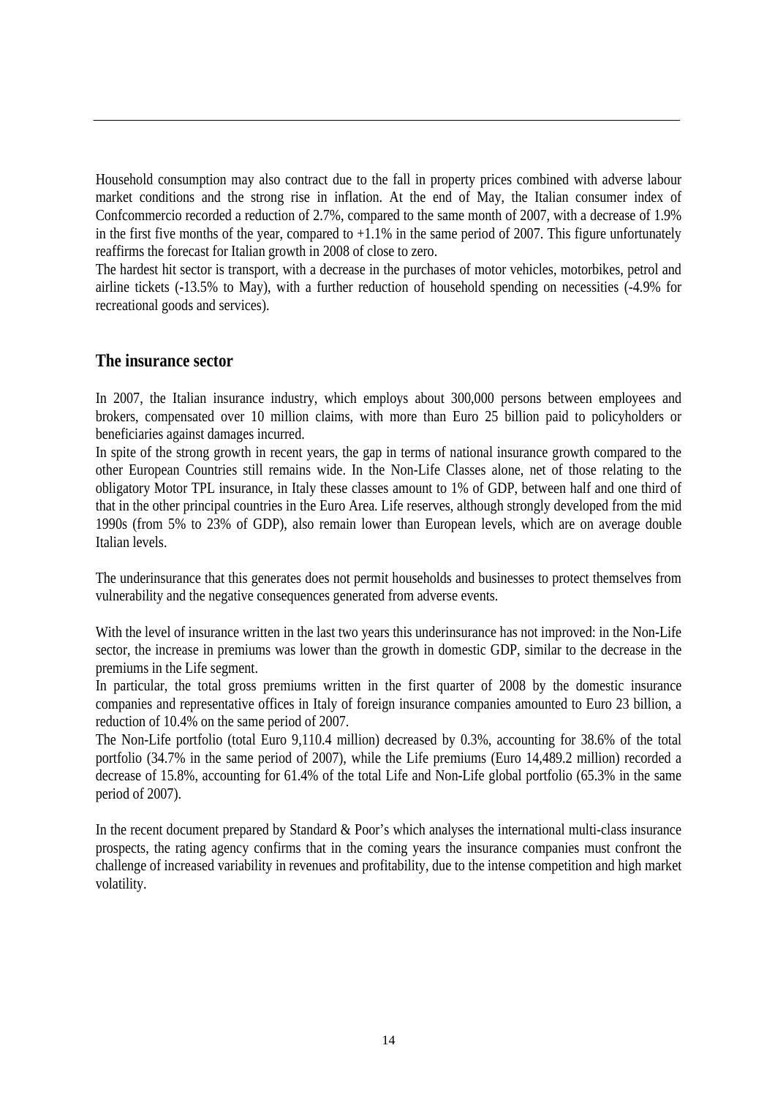Household consumption may also contract due to the fall in property prices combined with adverse labour market conditions and the strong rise in inflation. At the end of May, the Italian consumer index of Confcommercio recorded a reduction of 2.7%, compared to the same month of 2007, with a decrease of 1.9% in the first five months of the year, compared to  $+1.1\%$  in the same period of 2007. This figure unfortunately reaffirms the forecast for Italian growth in 2008 of close to zero.

The hardest hit sector is transport, with a decrease in the purchases of motor vehicles, motorbikes, petrol and airline tickets (-13.5% to May), with a further reduction of household spending on necessities (-4.9% for recreational goods and services).

#### **The insurance sector**

In 2007, the Italian insurance industry, which employs about 300,000 persons between employees and brokers, compensated over 10 million claims, with more than Euro 25 billion paid to policyholders or beneficiaries against damages incurred.

In spite of the strong growth in recent years, the gap in terms of national insurance growth compared to the other European Countries still remains wide. In the Non-Life Classes alone, net of those relating to the obligatory Motor TPL insurance, in Italy these classes amount to 1% of GDP, between half and one third of that in the other principal countries in the Euro Area. Life reserves, although strongly developed from the mid 1990s (from 5% to 23% of GDP), also remain lower than European levels, which are on average double Italian levels.

The underinsurance that this generates does not permit households and businesses to protect themselves from vulnerability and the negative consequences generated from adverse events.

With the level of insurance written in the last two years this underinsurance has not improved: in the Non-Life sector, the increase in premiums was lower than the growth in domestic GDP, similar to the decrease in the premiums in the Life segment.

In particular, the total gross premiums written in the first quarter of 2008 by the domestic insurance companies and representative offices in Italy of foreign insurance companies amounted to Euro 23 billion, a reduction of 10.4% on the same period of 2007.

The Non-Life portfolio (total Euro 9,110.4 million) decreased by 0.3%, accounting for 38.6% of the total portfolio (34.7% in the same period of 2007), while the Life premiums (Euro 14,489.2 million) recorded a decrease of 15.8%, accounting for 61.4% of the total Life and Non-Life global portfolio (65.3% in the same period of 2007).

In the recent document prepared by Standard & Poor's which analyses the international multi-class insurance prospects, the rating agency confirms that in the coming years the insurance companies must confront the challenge of increased variability in revenues and profitability, due to the intense competition and high market volatility.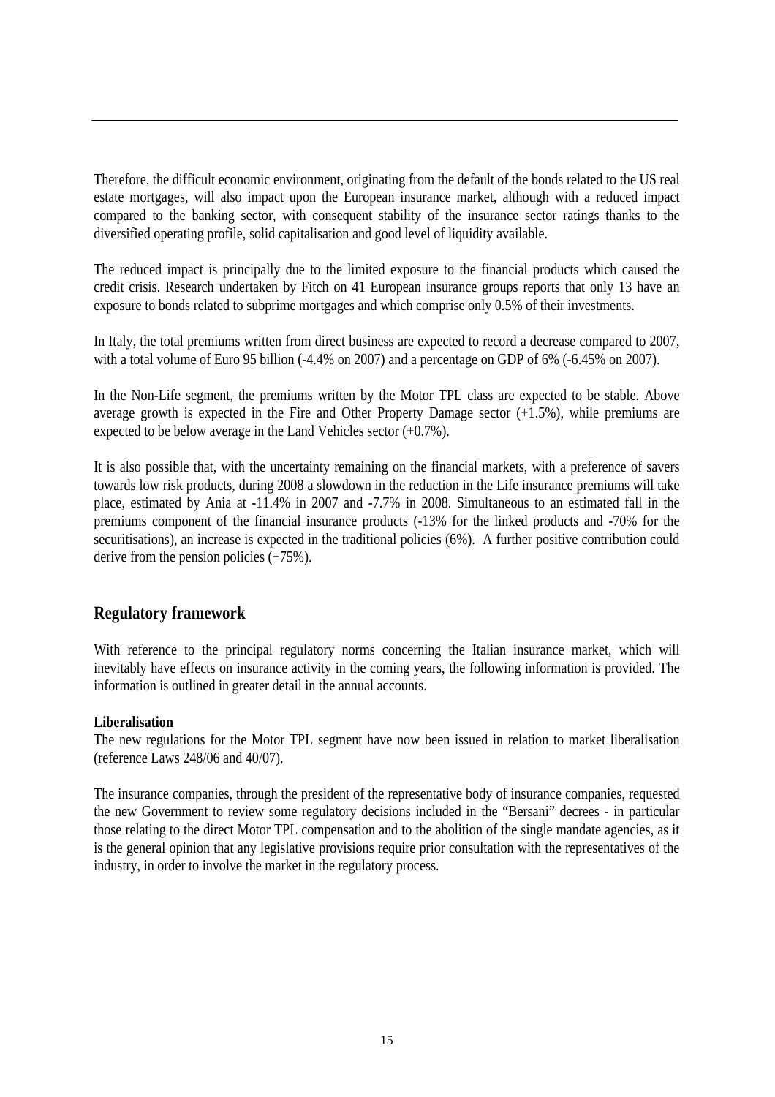Therefore, the difficult economic environment, originating from the default of the bonds related to the US real estate mortgages, will also impact upon the European insurance market, although with a reduced impact compared to the banking sector, with consequent stability of the insurance sector ratings thanks to the diversified operating profile, solid capitalisation and good level of liquidity available.

The reduced impact is principally due to the limited exposure to the financial products which caused the credit crisis. Research undertaken by Fitch on 41 European insurance groups reports that only 13 have an exposure to bonds related to subprime mortgages and which comprise only 0.5% of their investments.

In Italy, the total premiums written from direct business are expected to record a decrease compared to 2007, with a total volume of Euro 95 billion (-4.4% on 2007) and a percentage on GDP of 6% (-6.45% on 2007).

In the Non-Life segment, the premiums written by the Motor TPL class are expected to be stable. Above average growth is expected in the Fire and Other Property Damage sector (+1.5%), while premiums are expected to be below average in the Land Vehicles sector (+0.7%).

It is also possible that, with the uncertainty remaining on the financial markets, with a preference of savers towards low risk products, during 2008 a slowdown in the reduction in the Life insurance premiums will take place, estimated by Ania at -11.4% in 2007 and -7.7% in 2008. Simultaneous to an estimated fall in the premiums component of the financial insurance products (-13% for the linked products and -70% for the securitisations), an increase is expected in the traditional policies (6%). A further positive contribution could derive from the pension policies (+75%).

#### **Regulatory framework**

With reference to the principal regulatory norms concerning the Italian insurance market, which will inevitably have effects on insurance activity in the coming years, the following information is provided. The information is outlined in greater detail in the annual accounts.

#### **Liberalisation**

The new regulations for the Motor TPL segment have now been issued in relation to market liberalisation (reference Laws 248/06 and 40/07).

The insurance companies, through the president of the representative body of insurance companies, requested the new Government to review some regulatory decisions included in the "Bersani" decrees - in particular those relating to the direct Motor TPL compensation and to the abolition of the single mandate agencies, as it is the general opinion that any legislative provisions require prior consultation with the representatives of the industry, in order to involve the market in the regulatory process.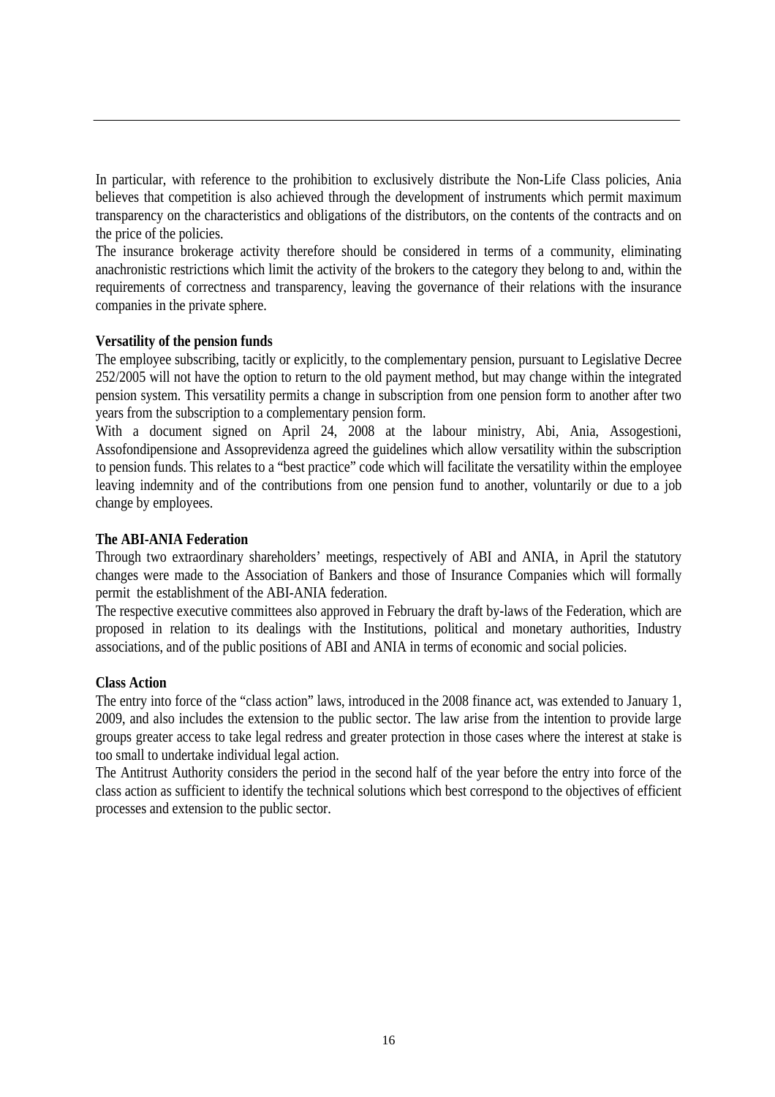In particular, with reference to the prohibition to exclusively distribute the Non-Life Class policies, Ania believes that competition is also achieved through the development of instruments which permit maximum transparency on the characteristics and obligations of the distributors, on the contents of the contracts and on the price of the policies.

The insurance brokerage activity therefore should be considered in terms of a community, eliminating anachronistic restrictions which limit the activity of the brokers to the category they belong to and, within the requirements of correctness and transparency, leaving the governance of their relations with the insurance companies in the private sphere.

#### **Versatility of the pension funds**

The employee subscribing, tacitly or explicitly, to the complementary pension, pursuant to Legislative Decree 252/2005 will not have the option to return to the old payment method, but may change within the integrated pension system. This versatility permits a change in subscription from one pension form to another after two years from the subscription to a complementary pension form.

With a document signed on April 24, 2008 at the labour ministry, Abi, Ania, Assogestioni, Assofondipensione and Assoprevidenza agreed the guidelines which allow versatility within the subscription to pension funds. This relates to a "best practice" code which will facilitate the versatility within the employee leaving indemnity and of the contributions from one pension fund to another, voluntarily or due to a job change by employees.

#### **The ABI-ANIA Federation**

Through two extraordinary shareholders' meetings, respectively of ABI and ANIA, in April the statutory changes were made to the Association of Bankers and those of Insurance Companies which will formally permit the establishment of the ABI-ANIA federation.

The respective executive committees also approved in February the draft by-laws of the Federation, which are proposed in relation to its dealings with the Institutions, political and monetary authorities, Industry associations, and of the public positions of ABI and ANIA in terms of economic and social policies.

#### **Class Action**

The entry into force of the "class action" laws, introduced in the 2008 finance act, was extended to January 1, 2009, and also includes the extension to the public sector. The law arise from the intention to provide large groups greater access to take legal redress and greater protection in those cases where the interest at stake is too small to undertake individual legal action.

The Antitrust Authority considers the period in the second half of the year before the entry into force of the class action as sufficient to identify the technical solutions which best correspond to the objectives of efficient processes and extension to the public sector.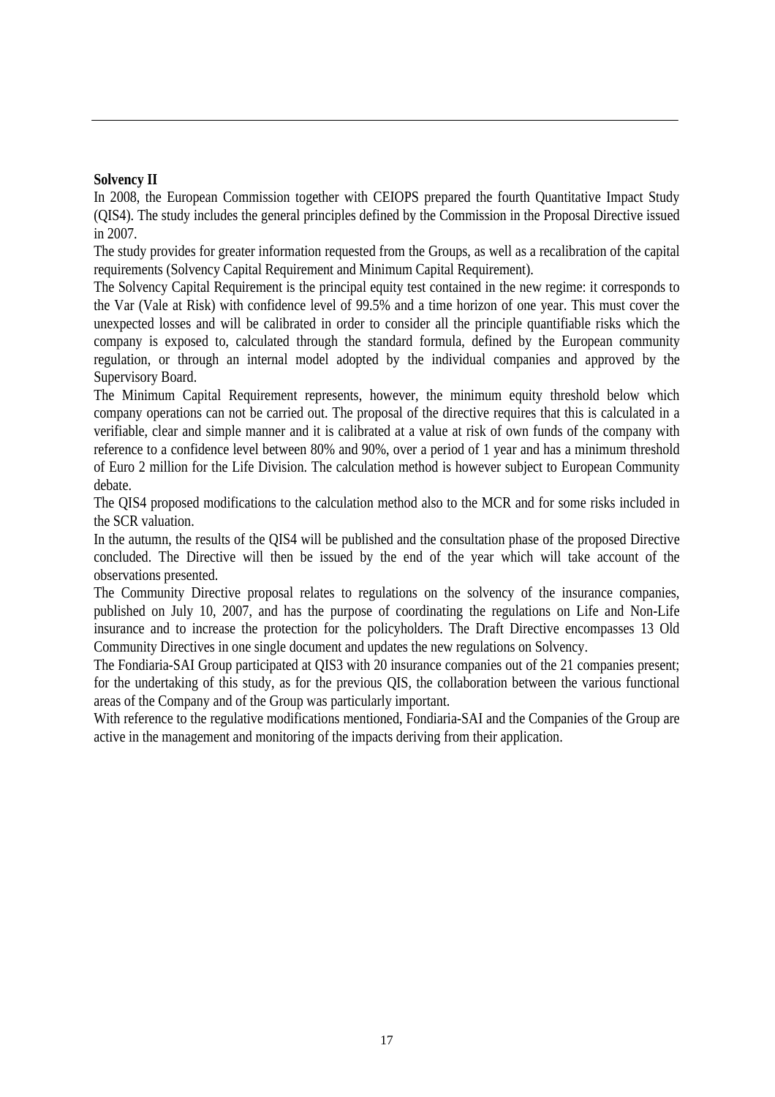#### **Solvency II**

In 2008, the European Commission together with CEIOPS prepared the fourth Quantitative Impact Study (QIS4). The study includes the general principles defined by the Commission in the Proposal Directive issued in 2007.

The study provides for greater information requested from the Groups, as well as a recalibration of the capital requirements (Solvency Capital Requirement and Minimum Capital Requirement).

The Solvency Capital Requirement is the principal equity test contained in the new regime: it corresponds to the Var (Vale at Risk) with confidence level of 99.5% and a time horizon of one year. This must cover the unexpected losses and will be calibrated in order to consider all the principle quantifiable risks which the company is exposed to, calculated through the standard formula, defined by the European community regulation, or through an internal model adopted by the individual companies and approved by the Supervisory Board.

The Minimum Capital Requirement represents, however, the minimum equity threshold below which company operations can not be carried out. The proposal of the directive requires that this is calculated in a verifiable, clear and simple manner and it is calibrated at a value at risk of own funds of the company with reference to a confidence level between 80% and 90%, over a period of 1 year and has a minimum threshold of Euro 2 million for the Life Division. The calculation method is however subject to European Community debate.

The QIS4 proposed modifications to the calculation method also to the MCR and for some risks included in the SCR valuation.

In the autumn, the results of the QIS4 will be published and the consultation phase of the proposed Directive concluded. The Directive will then be issued by the end of the year which will take account of the observations presented.

The Community Directive proposal relates to regulations on the solvency of the insurance companies, published on July 10, 2007, and has the purpose of coordinating the regulations on Life and Non-Life insurance and to increase the protection for the policyholders. The Draft Directive encompasses 13 Old Community Directives in one single document and updates the new regulations on Solvency.

The Fondiaria-SAI Group participated at QIS3 with 20 insurance companies out of the 21 companies present; for the undertaking of this study, as for the previous QIS, the collaboration between the various functional areas of the Company and of the Group was particularly important.

With reference to the regulative modifications mentioned, Fondiaria-SAI and the Companies of the Group are active in the management and monitoring of the impacts deriving from their application.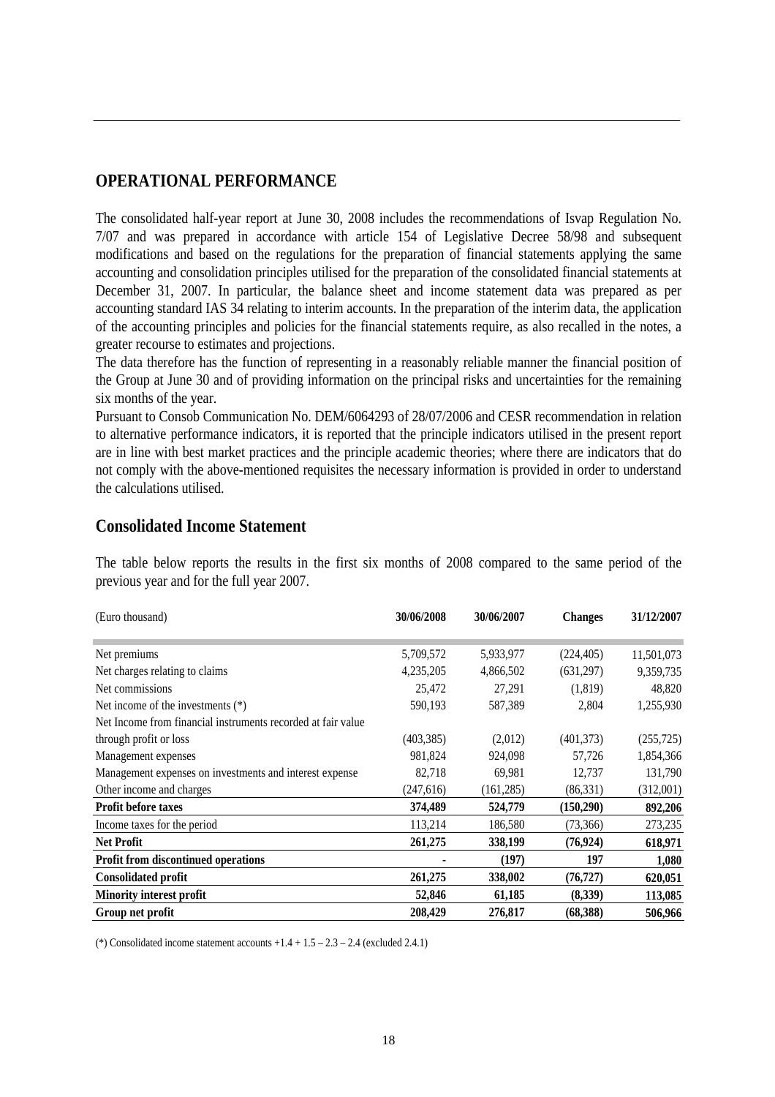## **OPERATIONAL PERFORMANCE**

The consolidated half-year report at June 30, 2008 includes the recommendations of Isvap Regulation No. 7/07 and was prepared in accordance with article 154 of Legislative Decree 58/98 and subsequent modifications and based on the regulations for the preparation of financial statements applying the same accounting and consolidation principles utilised for the preparation of the consolidated financial statements at December 31, 2007. In particular, the balance sheet and income statement data was prepared as per accounting standard IAS 34 relating to interim accounts. In the preparation of the interim data, the application of the accounting principles and policies for the financial statements require, as also recalled in the notes, a greater recourse to estimates and projections.

The data therefore has the function of representing in a reasonably reliable manner the financial position of the Group at June 30 and of providing information on the principal risks and uncertainties for the remaining six months of the year.

Pursuant to Consob Communication No. DEM/6064293 of 28/07/2006 and CESR recommendation in relation to alternative performance indicators, it is reported that the principle indicators utilised in the present report are in line with best market practices and the principle academic theories; where there are indicators that do not comply with the above-mentioned requisites the necessary information is provided in order to understand the calculations utilised.

#### **Consolidated Income Statement**

The table below reports the results in the first six months of 2008 compared to the same period of the previous year and for the full year 2007.

| (Euro thousand)                                              | 30/06/2008 | 30/06/2007 | <b>Changes</b> | 31/12/2007 |
|--------------------------------------------------------------|------------|------------|----------------|------------|
|                                                              |            |            |                |            |
| Net premiums                                                 | 5,709,572  | 5,933,977  | (224, 405)     | 11,501,073 |
| Net charges relating to claims                               | 4,235,205  | 4,866,502  | (631,297)      | 9,359,735  |
| Net commissions                                              | 25,472     | 27,291     | (1,819)        | 48,820     |
| Net income of the investments $(*)$                          | 590,193    | 587,389    | 2,804          | 1,255,930  |
| Net Income from financial instruments recorded at fair value |            |            |                |            |
| through profit or loss                                       | (403, 385) | (2,012)    | (401, 373)     | (255, 725) |
| Management expenses                                          | 981,824    | 924,098    | 57,726         | 1,854,366  |
| Management expenses on investments and interest expense      | 82,718     | 69,981     | 12,737         | 131,790    |
| Other income and charges                                     | (247, 616) | (161, 285) | (86,331)       | (312,001)  |
| <b>Profit before taxes</b>                                   | 374,489    | 524,779    | (150, 290)     | 892,206    |
| Income taxes for the period                                  | 113,214    | 186,580    | (73,366)       | 273,235    |
| <b>Net Profit</b>                                            | 261,275    | 338,199    | (76, 924)      | 618,971    |
| <b>Profit from discontinued operations</b>                   |            | (197)      | 197            | 1,080      |
| <b>Consolidated profit</b>                                   | 261,275    | 338,002    | (76, 727)      | 620,051    |
| <b>Minority interest profit</b>                              | 52,846     | 61,185     | (8,339)        | 113,085    |
| Group net profit                                             | 208,429    | 276,817    | (68, 388)      | 506,966    |

(\*) Consolidated income statement accounts  $+1.4 + 1.5 - 2.3 - 2.4$  (excluded 2.4.1)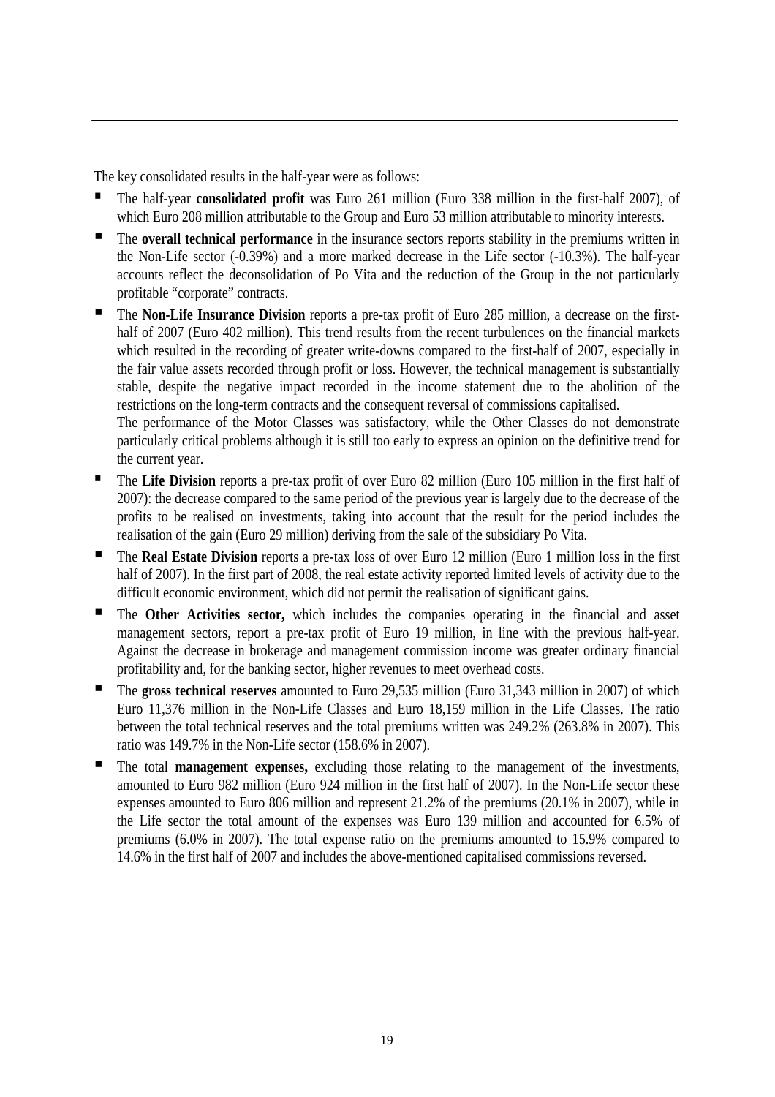The key consolidated results in the half-year were as follows:

- The half-year **consolidated profit** was Euro 261 million (Euro 338 million in the first-half 2007), of which Euro 208 million attributable to the Group and Euro 53 million attributable to minority interests.
- The **overall technical performance** in the insurance sectors reports stability in the premiums written in the Non-Life sector (-0.39%) and a more marked decrease in the Life sector (-10.3%). The half-year accounts reflect the deconsolidation of Po Vita and the reduction of the Group in the not particularly profitable "corporate" contracts.
- The **Non-Life Insurance Division** reports a pre-tax profit of Euro 285 million, a decrease on the firsthalf of 2007 (Euro 402 million). This trend results from the recent turbulences on the financial markets which resulted in the recording of greater write-downs compared to the first-half of 2007, especially in the fair value assets recorded through profit or loss. However, the technical management is substantially stable, despite the negative impact recorded in the income statement due to the abolition of the restrictions on the long-term contracts and the consequent reversal of commissions capitalised.

The performance of the Motor Classes was satisfactory, while the Other Classes do not demonstrate particularly critical problems although it is still too early to express an opinion on the definitive trend for the current year.

- The **Life Division** reports a pre-tax profit of over Euro 82 million (Euro 105 million in the first half of 2007): the decrease compared to the same period of the previous year is largely due to the decrease of the profits to be realised on investments, taking into account that the result for the period includes the realisation of the gain (Euro 29 million) deriving from the sale of the subsidiary Po Vita.
- The **Real Estate Division** reports a pre-tax loss of over Euro 12 million (Euro 1 million loss in the first half of 2007). In the first part of 2008, the real estate activity reported limited levels of activity due to the difficult economic environment, which did not permit the realisation of significant gains.
- The **Other Activities sector,** which includes the companies operating in the financial and asset management sectors, report a pre-tax profit of Euro 19 million, in line with the previous half-year. Against the decrease in brokerage and management commission income was greater ordinary financial profitability and, for the banking sector, higher revenues to meet overhead costs.
- The **gross technical reserves** amounted to Euro 29,535 million (Euro 31,343 million in 2007) of which Euro 11,376 million in the Non-Life Classes and Euro 18,159 million in the Life Classes. The ratio between the total technical reserves and the total premiums written was 249.2% (263.8% in 2007). This ratio was 149.7% in the Non-Life sector (158.6% in 2007).
- The total **management expenses,** excluding those relating to the management of the investments, amounted to Euro 982 million (Euro 924 million in the first half of 2007). In the Non-Life sector these expenses amounted to Euro 806 million and represent 21.2% of the premiums (20.1% in 2007), while in the Life sector the total amount of the expenses was Euro 139 million and accounted for 6.5% of premiums (6.0% in 2007). The total expense ratio on the premiums amounted to 15.9% compared to 14.6% in the first half of 2007 and includes the above-mentioned capitalised commissions reversed.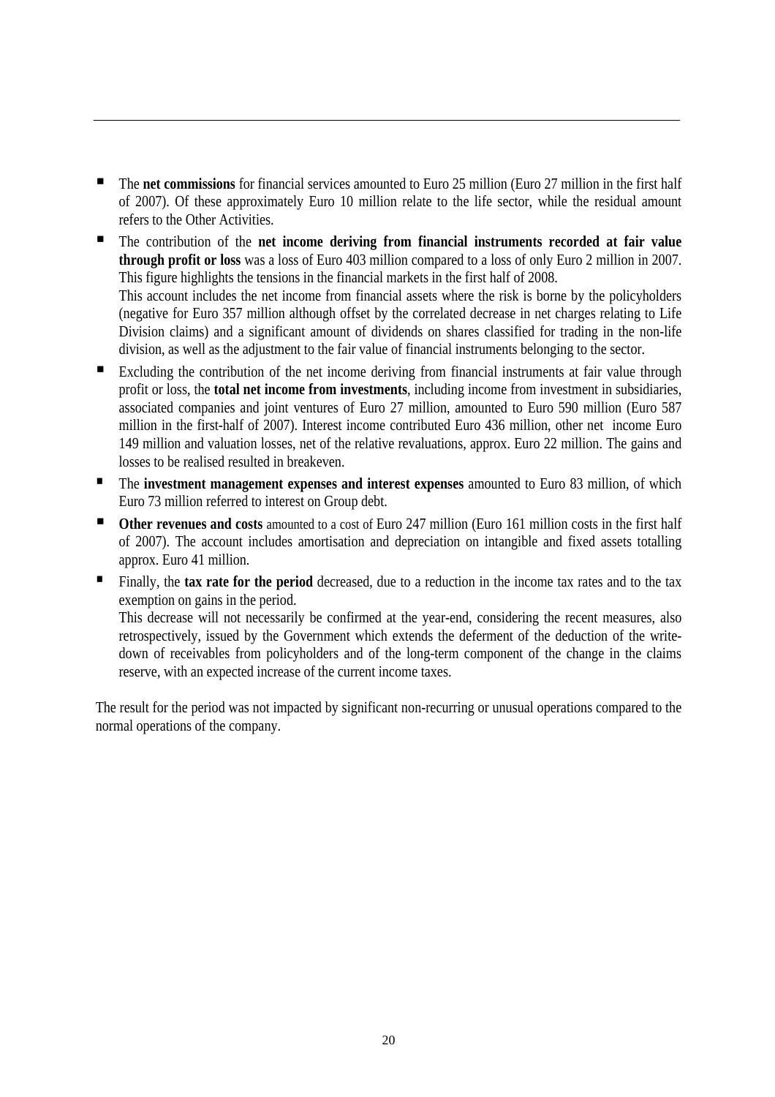- The **net commissions** for financial services amounted to Euro 25 million (Euro 27 million in the first half of 2007). Of these approximately Euro 10 million relate to the life sector, while the residual amount refers to the Other Activities.
- The contribution of the **net income deriving from financial instruments recorded at fair value through profit or loss** was a loss of Euro 403 million compared to a loss of only Euro 2 million in 2007. This figure highlights the tensions in the financial markets in the first half of 2008. This account includes the net income from financial assets where the risk is borne by the policyholders (negative for Euro 357 million although offset by the correlated decrease in net charges relating to Life Division claims) and a significant amount of dividends on shares classified for trading in the non-life division, as well as the adjustment to the fair value of financial instruments belonging to the sector.
- Excluding the contribution of the net income deriving from financial instruments at fair value through profit or loss, the **total net income from investments**, including income from investment in subsidiaries, associated companies and joint ventures of Euro 27 million, amounted to Euro 590 million (Euro 587 million in the first-half of 2007). Interest income contributed Euro 436 million, other net income Euro 149 million and valuation losses, net of the relative revaluations, approx. Euro 22 million. The gains and losses to be realised resulted in breakeven.
- **The investment management expenses and interest expenses** amounted to Euro 83 million, of which Euro 73 million referred to interest on Group debt.
- Other revenues and costs amounted to a cost of Euro 247 million (Euro 161 million costs in the first half of 2007). The account includes amortisation and depreciation on intangible and fixed assets totalling approx. Euro 41 million.
- **Finally, the tax rate for the period** decreased, due to a reduction in the income tax rates and to the tax exemption on gains in the period.

This decrease will not necessarily be confirmed at the year-end, considering the recent measures, also retrospectively, issued by the Government which extends the deferment of the deduction of the writedown of receivables from policyholders and of the long-term component of the change in the claims reserve, with an expected increase of the current income taxes.

The result for the period was not impacted by significant non-recurring or unusual operations compared to the normal operations of the company.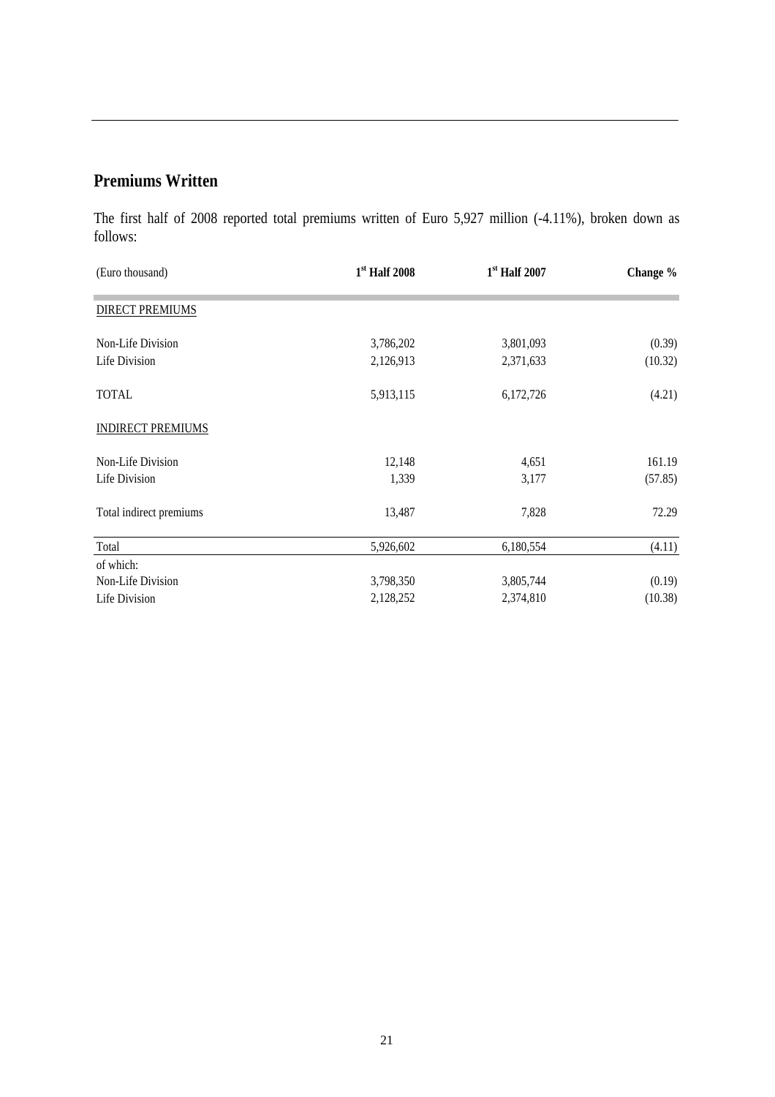## **Premiums Written**

The first half of 2008 reported total premiums written of Euro 5,927 million (-4.11%), broken down as follows:

| (Euro thousand)          | $1st$ Half 2008 | $1st$ Half 2007 | Change % |
|--------------------------|-----------------|-----------------|----------|
| <b>DIRECT PREMIUMS</b>   |                 |                 |          |
| Non-Life Division        | 3,786,202       | 3,801,093       | (0.39)   |
| Life Division            | 2,126,913       | 2,371,633       | (10.32)  |
| <b>TOTAL</b>             | 5,913,115       | 6,172,726       | (4.21)   |
| <b>INDIRECT PREMIUMS</b> |                 |                 |          |
| Non-Life Division        | 12,148          | 4,651           | 161.19   |
| Life Division            | 1,339           | 3,177           | (57.85)  |
| Total indirect premiums  | 13,487          | 7,828           | 72.29    |
| Total                    | 5,926,602       | 6,180,554       | (4.11)   |
| of which:                |                 |                 |          |
| Non-Life Division        | 3,798,350       | 3,805,744       | (0.19)   |
| Life Division            | 2,128,252       | 2,374,810       | (10.38)  |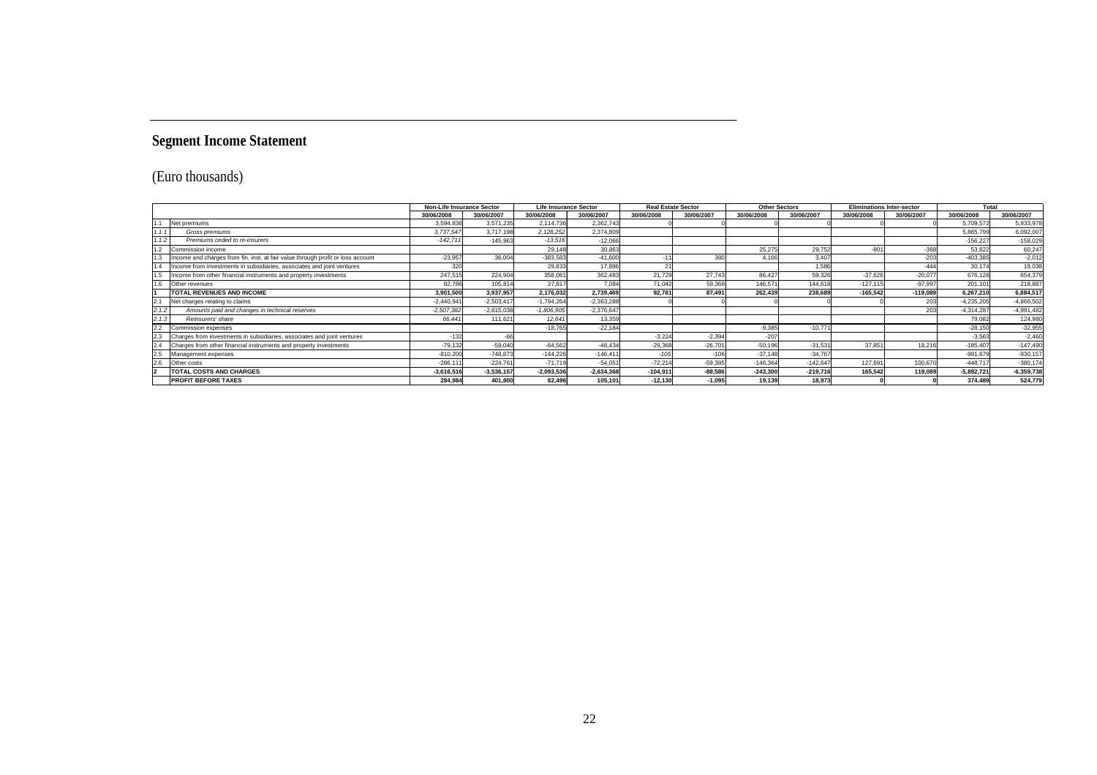## **Segment Income Statement**

## (Euro thousands)

|       |                                                                                 | <b>Non-Life Insurance Sector</b> |              | <b>Real Estate Sector</b><br><b>Life Insurance Sector</b> |              |            | <b>Other Sectors</b> | <b>Eliminations Inter-sector</b> |            |            | Total      |              |              |
|-------|---------------------------------------------------------------------------------|----------------------------------|--------------|-----------------------------------------------------------|--------------|------------|----------------------|----------------------------------|------------|------------|------------|--------------|--------------|
|       |                                                                                 | 30/06/2008                       | 30/06/2007   | 30/06/2008                                                | 30/06/2007   | 30/06/2008 | 30/06/2007           | 30/06/2008                       | 30/06/2007 | 30/06/2008 | 30/06/2007 | 30/06/2008   | 30/06/2007   |
|       | Net premiums                                                                    | 3,594,836                        | 3,571,235    | 2,114,736                                                 | 2,362,743    |            |                      |                                  |            |            |            | 5,709,572    | 5,933,978    |
|       | Gross premiums                                                                  | 3,737,547                        | 3,717,198    | 2.128.252                                                 | 2.374.80     |            |                      |                                  |            |            |            | 5,865,799    | 6,092,007    |
| 1.1.2 | Premiums ceded to re-insurers                                                   | $-142.711$                       | $-145.963$   | $-13.516$                                                 | $-12,066$    |            |                      |                                  |            |            |            | $-156.227$   | $-158,029$   |
| 1.2   | Commission income                                                               |                                  |              | 29.148                                                    | 30,86        |            |                      | 25.27                            | 29.752     | $-804$     | $-368$     | 53,622       | 60,247       |
| 1.3   | Income and charges from fin. inst. at fair value through profit or loss account | $-23,957$                        | 36.00        | $-383,58$                                                 | $-41,60$     |            | 380                  | 4.166                            | 3,407      |            | $-203$     | $-403,385$   | $-2,012$     |
|       | Income from investments in subsidiaries, associates and joint ventures          | 320                              |              | 29.833                                                    | 17,89        |            |                      |                                  | 1,586      |            | $-444$     | 30.17        | 19,038       |
| 1.5   | Income from other financial instruments and property investments                | 247,515                          | 224.904      | 358,08                                                    | 362,483      | 21.729     | 27.743               | 86.427                           | 59.326     | $-37.626$  | $-20.077$  | 676,126      | 654,379      |
| 1.6   | Other revenues                                                                  | 82.786                           | 105,814      | 27.81                                                     | 7,084        | 71.042     | 59,368               | 146.57                           | 144.618    | $-127.115$ | $-97,997$  | 201,101      | 218,887      |
|       | <b>TOTAL REVENUES AND INCOME</b>                                                | 3,901,500                        | 3,937,957    | 2,176,032                                                 | 2,739,469    | 92,781     | 87,491               | 262,439                          | 238,689    | $-165,542$ | $-119,089$ | 6,267,210    | 6,884,517    |
|       | Net charges relating to claims                                                  | $-2,440,941$                     | $-2,503,417$ | $-1.794.264$                                              | $-2.363.288$ |            |                      |                                  |            |            | 203        | $-4,235,205$ | $-4.866.502$ |
| 2.1.2 | Amounts paid and changes in technical reserves                                  | $-2,507,382$                     | $-2,615,038$ | $-1,806,905$                                              | $-2.376.64$  |            |                      |                                  |            |            | 203        | $-4,314,287$ | $-4,991,482$ |
| 2.1.3 | Reinsurers' share                                                               | 66.441                           | 111.621      | 12.64                                                     | 13,359       |            |                      |                                  |            |            |            | 79.082       | 124.980      |
| 2.2   | Commission expenses                                                             |                                  |              | $-18.765$                                                 | $-22,184$    |            |                      | $-9.385$                         | $-10.771$  |            |            | $-28.150$    | $-32,955$    |
|       | Charges from investments in subsidiaries, associates and joint ventures         | $-132$                           |              |                                                           |              | $-3.224$   | $-2,394$             | $-207$                           |            |            |            | $-3.563$     | $-2.460$     |
|       | Charges from other financial instruments and property investments               | $-79,132$                        | $-59,040$    | $-64.562$                                                 | $-48,434$    | $-29,368$  | $-26,701$            | $-50,196$                        | $-31,531$  | 37,85'     | 18.216     | $-185,407$   | $-147,490$   |
| 2.5   | Management expenses                                                             | $-810,200$                       | $-748.873$   | $-144.226$                                                | $-146.411$   | $-105$     | $-106$               | $-37.148$                        | $-34.767$  |            |            | $-991.679$   | $-930, 157$  |
| 2.6   | Other costs                                                                     | $-286.11$                        | $-224.76$    | $-71.719$                                                 | $-54.05$     | $-72.214$  | $-59,385$            | $-146,364$                       | $-142.647$ | 127,691    | 100,670    | $-448.71$    | $-380,174$   |
|       | <b>TOTAL COSTS AND CHARGES</b>                                                  | $-3,616,516$                     | $-3,536,157$ | $-2,093,536$                                              | $-2,634,368$ | $-104,911$ | $-88,586$            | $-243,300$                       | $-219,716$ | 165,542    | 119,089    | $-5,892,721$ | $-6,359,738$ |
|       | <b>PROFIT BEFORE TAXES</b>                                                      | 284.984                          | 401,800      | 82.496                                                    | 105,101      | $-12.130$  | $-1.095$             | 19.139                           | 18,973     |            |            | 374,489      | 524,779      |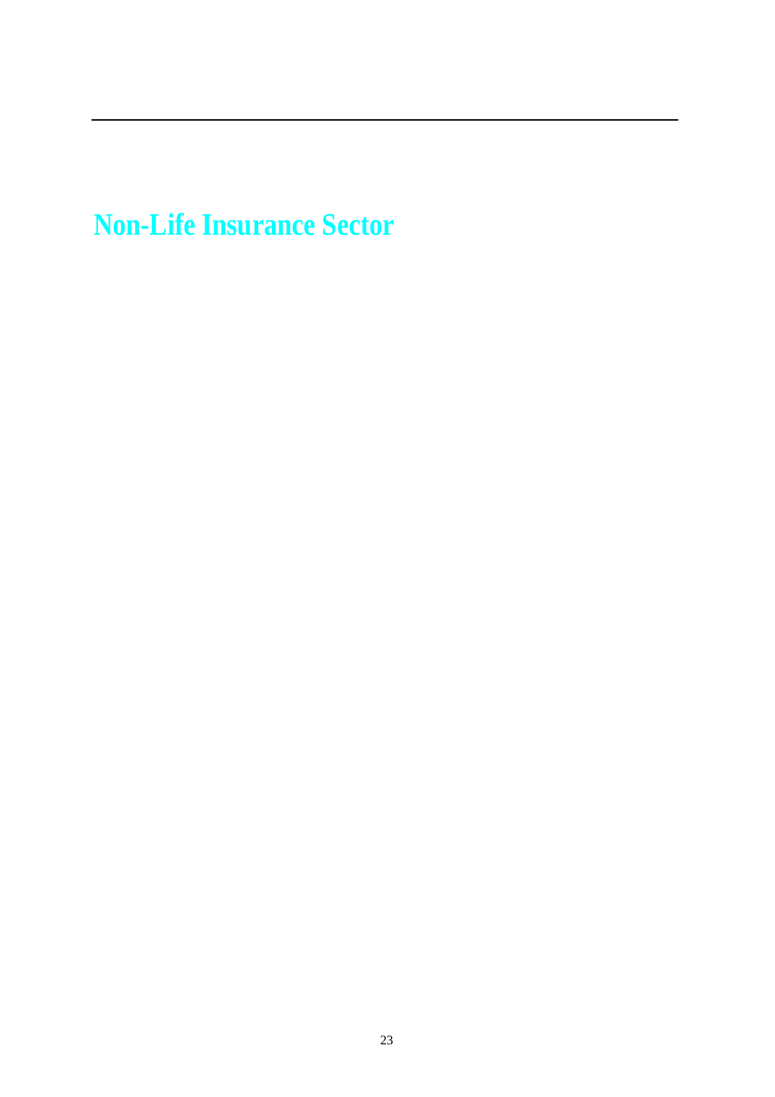**Non-Life Insurance Sector**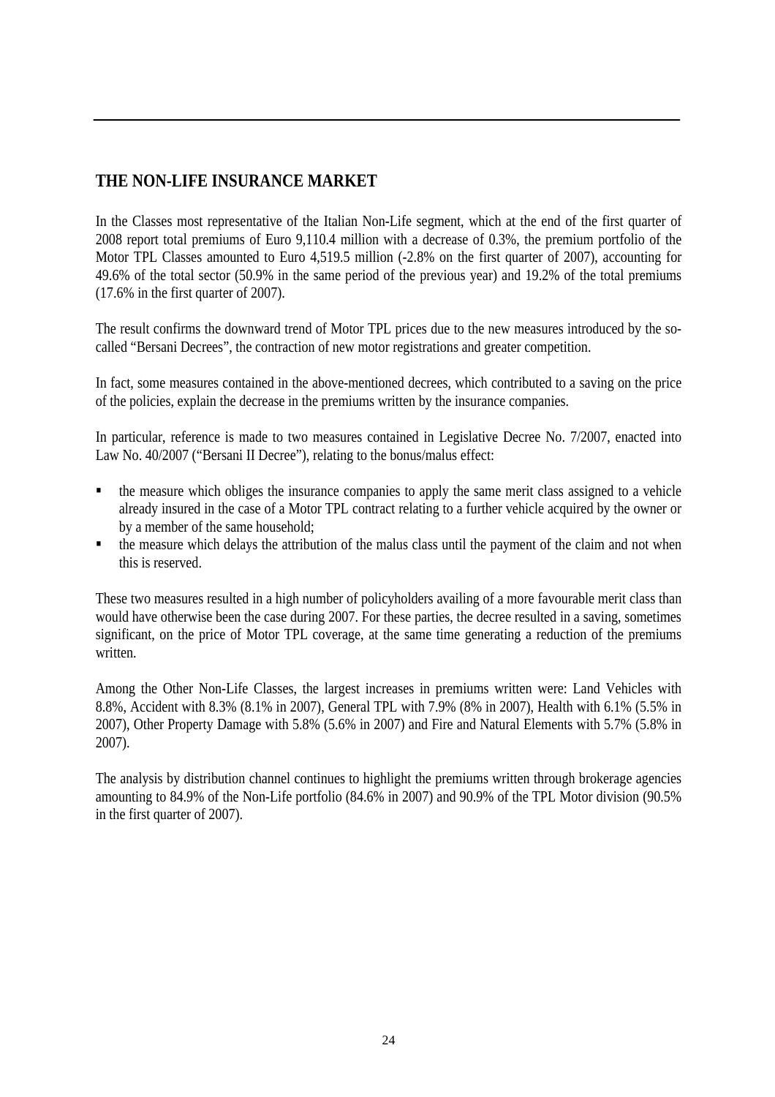## **THE NON-LIFE INSURANCE MARKET**

In the Classes most representative of the Italian Non-Life segment, which at the end of the first quarter of 2008 report total premiums of Euro 9,110.4 million with a decrease of 0.3%, the premium portfolio of the Motor TPL Classes amounted to Euro 4,519.5 million (-2.8% on the first quarter of 2007), accounting for 49.6% of the total sector (50.9% in the same period of the previous year) and 19.2% of the total premiums (17.6% in the first quarter of 2007).

The result confirms the downward trend of Motor TPL prices due to the new measures introduced by the socalled "Bersani Decrees", the contraction of new motor registrations and greater competition.

In fact, some measures contained in the above-mentioned decrees, which contributed to a saving on the price of the policies, explain the decrease in the premiums written by the insurance companies.

In particular, reference is made to two measures contained in Legislative Decree No. 7/2007, enacted into Law No. 40/2007 ("Bersani II Decree"), relating to the bonus/malus effect:

- the measure which obliges the insurance companies to apply the same merit class assigned to a vehicle already insured in the case of a Motor TPL contract relating to a further vehicle acquired by the owner or by a member of the same household;
- the measure which delays the attribution of the malus class until the payment of the claim and not when this is reserved.

These two measures resulted in a high number of policyholders availing of a more favourable merit class than would have otherwise been the case during 2007. For these parties, the decree resulted in a saving, sometimes significant, on the price of Motor TPL coverage, at the same time generating a reduction of the premiums written.

Among the Other Non-Life Classes, the largest increases in premiums written were: Land Vehicles with 8.8%, Accident with 8.3% (8.1% in 2007), General TPL with 7.9% (8% in 2007), Health with 6.1% (5.5% in 2007), Other Property Damage with 5.8% (5.6% in 2007) and Fire and Natural Elements with 5.7% (5.8% in 2007).

The analysis by distribution channel continues to highlight the premiums written through brokerage agencies amounting to 84.9% of the Non-Life portfolio (84.6% in 2007) and 90.9% of the TPL Motor division (90.5% in the first quarter of 2007).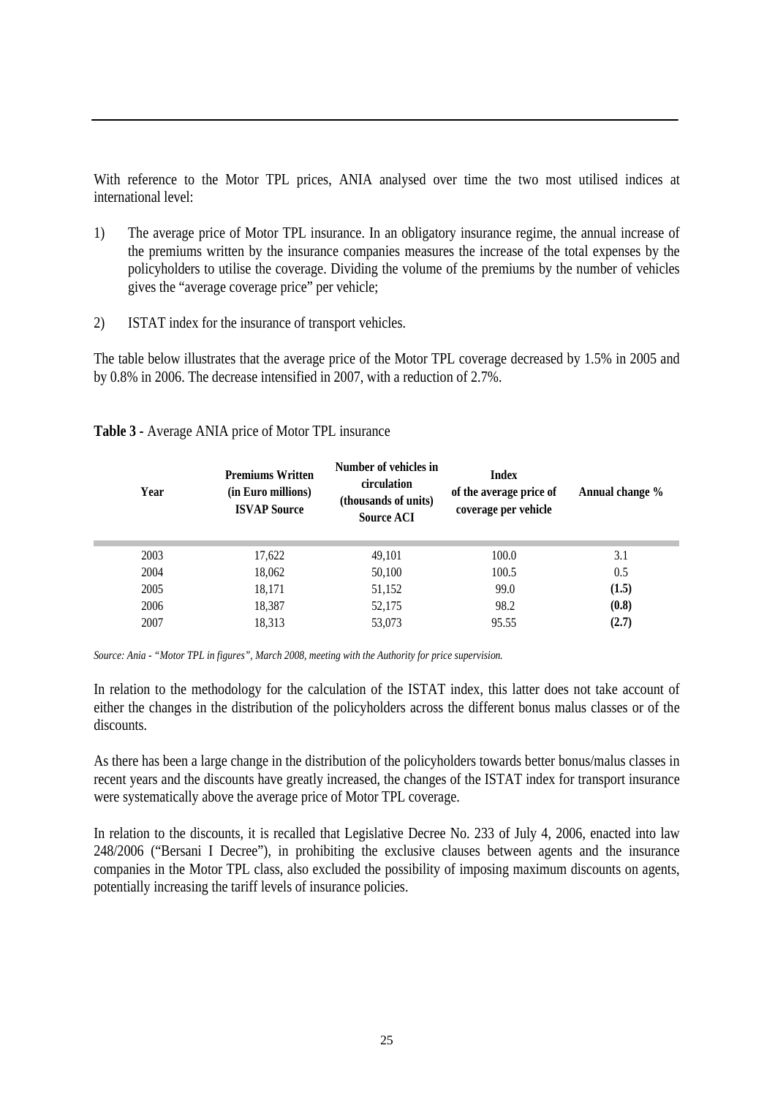With reference to the Motor TPL prices, ANIA analysed over time the two most utilised indices at international level:

- 1) The average price of Motor TPL insurance. In an obligatory insurance regime, the annual increase of the premiums written by the insurance companies measures the increase of the total expenses by the policyholders to utilise the coverage. Dividing the volume of the premiums by the number of vehicles gives the "average coverage price" per vehicle;
- 2) ISTAT index for the insurance of transport vehicles.

The table below illustrates that the average price of the Motor TPL coverage decreased by 1.5% in 2005 and by 0.8% in 2006. The decrease intensified in 2007, with a reduction of 2.7%.

| Year | <b>Premiums Written</b><br>(in Euro millions)<br><b>ISVAP Source</b> | Number of vehicles in<br>circulation<br>(thousands of units)<br><b>Source ACI</b> | <b>Index</b><br>of the average price of<br>coverage per vehicle | Annual change % |
|------|----------------------------------------------------------------------|-----------------------------------------------------------------------------------|-----------------------------------------------------------------|-----------------|
| 2003 | 17,622                                                               | 49,101                                                                            | 100.0                                                           | 3.1             |
| 2004 | 18,062                                                               | 50,100                                                                            | 100.5                                                           | 0.5             |
| 2005 | 18,171                                                               | 51,152                                                                            | 99.0                                                            | (1.5)           |
| 2006 | 18,387                                                               | 52,175                                                                            | 98.2                                                            | (0.8)           |
| 2007 | 18,313                                                               | 53,073                                                                            | 95.55                                                           | (2.7)           |

#### **Table 3 -** Average ANIA price of Motor TPL insurance

*Source: Ania - "Motor TPL in figures", March 2008, meeting with the Authority for price supervision.*

In relation to the methodology for the calculation of the ISTAT index, this latter does not take account of either the changes in the distribution of the policyholders across the different bonus malus classes or of the discounts.

As there has been a large change in the distribution of the policyholders towards better bonus/malus classes in recent years and the discounts have greatly increased, the changes of the ISTAT index for transport insurance were systematically above the average price of Motor TPL coverage.

In relation to the discounts, it is recalled that Legislative Decree No. 233 of July 4, 2006, enacted into law 248/2006 ("Bersani I Decree"), in prohibiting the exclusive clauses between agents and the insurance companies in the Motor TPL class, also excluded the possibility of imposing maximum discounts on agents, potentially increasing the tariff levels of insurance policies.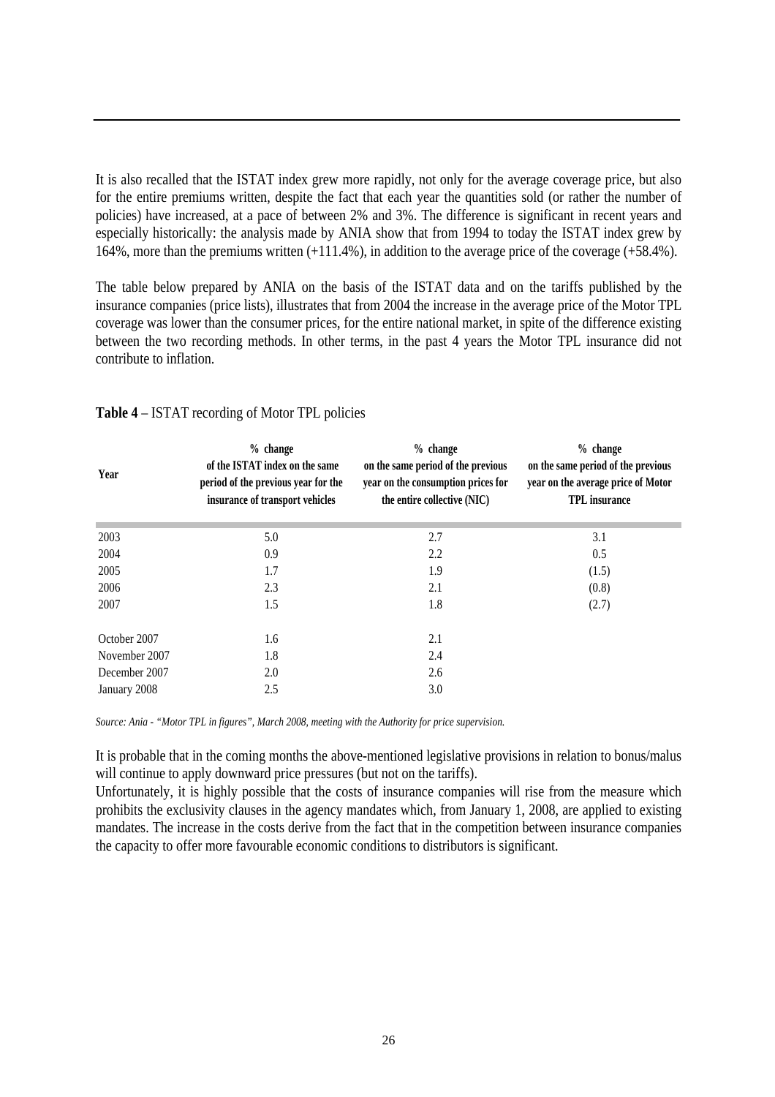It is also recalled that the ISTAT index grew more rapidly, not only for the average coverage price, but also for the entire premiums written, despite the fact that each year the quantities sold (or rather the number of policies) have increased, at a pace of between 2% and 3%. The difference is significant in recent years and especially historically: the analysis made by ANIA show that from 1994 to today the ISTAT index grew by 164%, more than the premiums written (+111.4%), in addition to the average price of the coverage (+58.4%).

The table below prepared by ANIA on the basis of the ISTAT data and on the tariffs published by the insurance companies (price lists), illustrates that from 2004 the increase in the average price of the Motor TPL coverage was lower than the consumer prices, for the entire national market, in spite of the difference existing between the two recording methods. In other terms, in the past 4 years the Motor TPL insurance did not contribute to inflation.

| Year          | $%$ change<br>of the ISTAT index on the same<br>period of the previous year for the<br>insurance of transport vehicles | $%$ change<br>on the same period of the previous<br>year on the consumption prices for<br>the entire collective (NIC) | $%$ change<br>on the same period of the previous<br>year on the average price of Motor<br><b>TPL</b> insurance |
|---------------|------------------------------------------------------------------------------------------------------------------------|-----------------------------------------------------------------------------------------------------------------------|----------------------------------------------------------------------------------------------------------------|
| 2003          | 5.0                                                                                                                    | 2.7                                                                                                                   | 3.1                                                                                                            |
| 2004          | 0.9                                                                                                                    | 2.2                                                                                                                   | 0.5                                                                                                            |
| 2005          | 1.7                                                                                                                    | 1.9                                                                                                                   | (1.5)                                                                                                          |
| 2006          | 2.3                                                                                                                    | 2.1                                                                                                                   | (0.8)                                                                                                          |
| 2007          | 1.5                                                                                                                    | 1.8                                                                                                                   | (2.7)                                                                                                          |
| October 2007  | 1.6                                                                                                                    | 2.1                                                                                                                   |                                                                                                                |
| November 2007 | 1.8                                                                                                                    | 2.4                                                                                                                   |                                                                                                                |
| December 2007 | 2.0                                                                                                                    | 2.6                                                                                                                   |                                                                                                                |
| January 2008  | 2.5                                                                                                                    | 3.0                                                                                                                   |                                                                                                                |

#### **Table 4** – ISTAT recording of Motor TPL policies

*Source: Ania - "Motor TPL in figures", March 2008, meeting with the Authority for price supervision.*

It is probable that in the coming months the above-mentioned legislative provisions in relation to bonus/malus will continue to apply downward price pressures (but not on the tariffs).

Unfortunately, it is highly possible that the costs of insurance companies will rise from the measure which prohibits the exclusivity clauses in the agency mandates which, from January 1, 2008, are applied to existing mandates. The increase in the costs derive from the fact that in the competition between insurance companies the capacity to offer more favourable economic conditions to distributors is significant.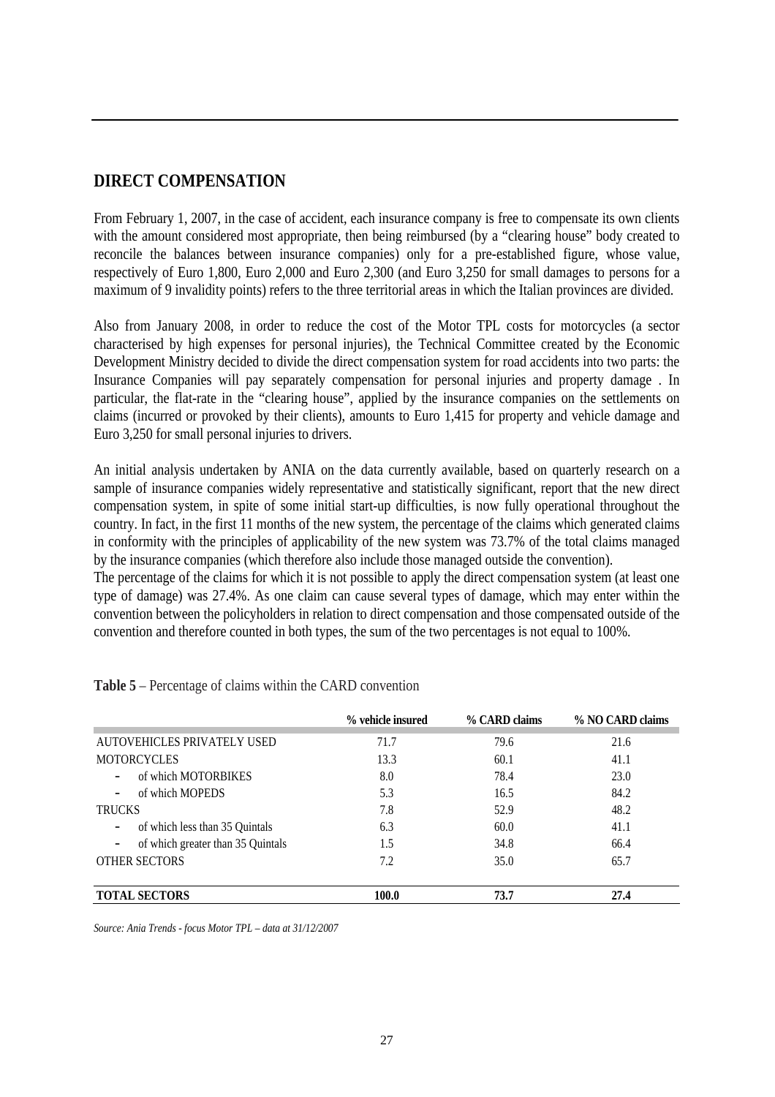## **DIRECT COMPENSATION**

From February 1, 2007, in the case of accident, each insurance company is free to compensate its own clients with the amount considered most appropriate, then being reimbursed (by a "clearing house" body created to reconcile the balances between insurance companies) only for a pre-established figure, whose value, respectively of Euro 1,800, Euro 2,000 and Euro 2,300 (and Euro 3,250 for small damages to persons for a maximum of 9 invalidity points) refers to the three territorial areas in which the Italian provinces are divided.

Also from January 2008, in order to reduce the cost of the Motor TPL costs for motorcycles (a sector characterised by high expenses for personal injuries), the Technical Committee created by the Economic Development Ministry decided to divide the direct compensation system for road accidents into two parts: the Insurance Companies will pay separately compensation for personal injuries and property damage . In particular, the flat-rate in the "clearing house", applied by the insurance companies on the settlements on claims (incurred or provoked by their clients), amounts to Euro 1,415 for property and vehicle damage and Euro 3,250 for small personal injuries to drivers.

An initial analysis undertaken by ANIA on the data currently available, based on quarterly research on a sample of insurance companies widely representative and statistically significant, report that the new direct compensation system, in spite of some initial start-up difficulties, is now fully operational throughout the country. In fact, in the first 11 months of the new system, the percentage of the claims which generated claims in conformity with the principles of applicability of the new system was 73.7% of the total claims managed by the insurance companies (which therefore also include those managed outside the convention).

The percentage of the claims for which it is not possible to apply the direct compensation system (at least one type of damage) was 27.4%. As one claim can cause several types of damage, which may enter within the convention between the policyholders in relation to direct compensation and those compensated outside of the convention and therefore counted in both types, the sum of the two percentages is not equal to 100%.

|                                   | % vehicle insured | % CARD claims | % NO CARD claims |
|-----------------------------------|-------------------|---------------|------------------|
| AUTOVEHICLES PRIVATELY USED       | 71.7              | 79.6          | 21.6             |
| <b>MOTORCYCLES</b>                | 13.3              | 60.1          | 41.1             |
| of which MOTORBIKES               | 8.0               | 78.4          | 23.0             |
| of which MOPEDS                   | 5.3               | 16.5          | 84.2             |
| <b>TRUCKS</b>                     | 7.8               | 52.9          | 48.2             |
| of which less than 35 Quintals    | 6.3               | 60.0          | 41.1             |
| of which greater than 35 Quintals | 1.5               | 34.8          | 66.4             |
| <b>OTHER SECTORS</b>              | 7.2               | 35.0          | 65.7             |
| <b>TOTAL SECTORS</b>              | 100.0             | 73.7          | 27.4             |

**Table 5** – Percentage of claims within the CARD convention

*Source: Ania Trends - focus Motor TPL – data at 31/12/2007*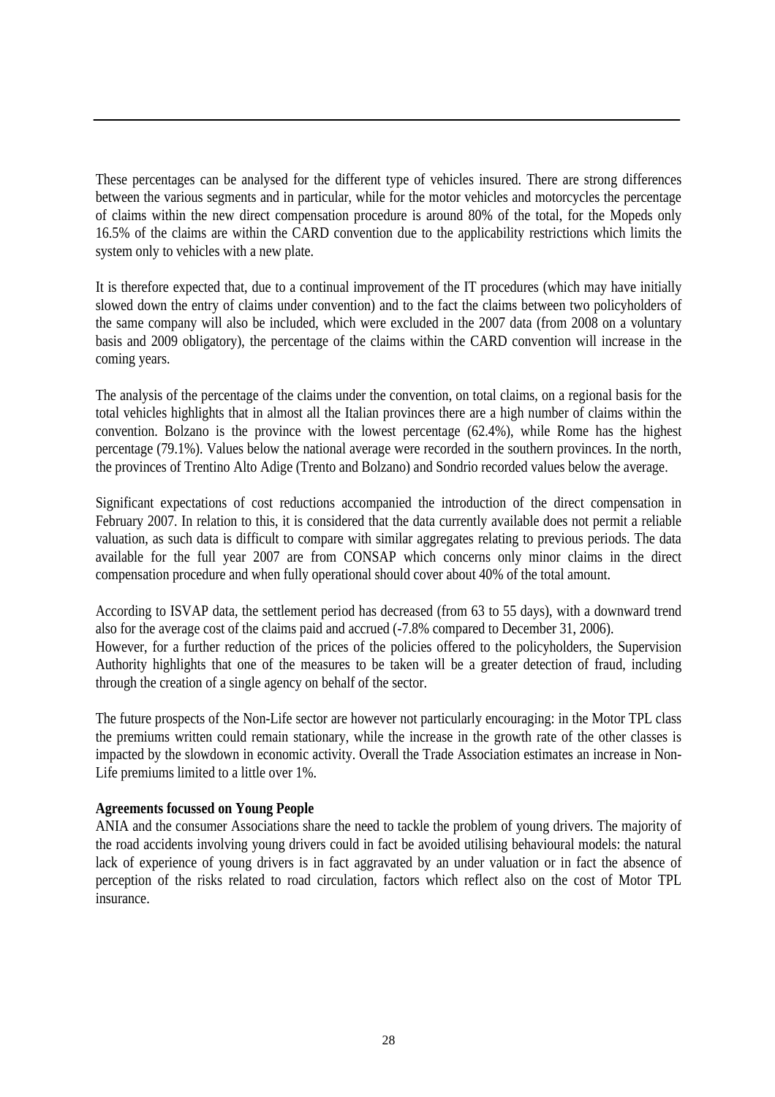These percentages can be analysed for the different type of vehicles insured. There are strong differences between the various segments and in particular, while for the motor vehicles and motorcycles the percentage of claims within the new direct compensation procedure is around 80% of the total, for the Mopeds only 16.5% of the claims are within the CARD convention due to the applicability restrictions which limits the system only to vehicles with a new plate.

It is therefore expected that, due to a continual improvement of the IT procedures (which may have initially slowed down the entry of claims under convention) and to the fact the claims between two policyholders of the same company will also be included, which were excluded in the 2007 data (from 2008 on a voluntary basis and 2009 obligatory), the percentage of the claims within the CARD convention will increase in the coming years.

The analysis of the percentage of the claims under the convention, on total claims, on a regional basis for the total vehicles highlights that in almost all the Italian provinces there are a high number of claims within the convention. Bolzano is the province with the lowest percentage (62.4%), while Rome has the highest percentage (79.1%). Values below the national average were recorded in the southern provinces. In the north, the provinces of Trentino Alto Adige (Trento and Bolzano) and Sondrio recorded values below the average.

Significant expectations of cost reductions accompanied the introduction of the direct compensation in February 2007. In relation to this, it is considered that the data currently available does not permit a reliable valuation, as such data is difficult to compare with similar aggregates relating to previous periods. The data available for the full year 2007 are from CONSAP which concerns only minor claims in the direct compensation procedure and when fully operational should cover about 40% of the total amount.

According to ISVAP data, the settlement period has decreased (from 63 to 55 days), with a downward trend also for the average cost of the claims paid and accrued (-7.8% compared to December 31, 2006). However, for a further reduction of the prices of the policies offered to the policyholders, the Supervision Authority highlights that one of the measures to be taken will be a greater detection of fraud, including through the creation of a single agency on behalf of the sector.

The future prospects of the Non-Life sector are however not particularly encouraging: in the Motor TPL class the premiums written could remain stationary, while the increase in the growth rate of the other classes is impacted by the slowdown in economic activity. Overall the Trade Association estimates an increase in Non-Life premiums limited to a little over 1%.

#### **Agreements focussed on Young People**

ANIA and the consumer Associations share the need to tackle the problem of young drivers. The majority of the road accidents involving young drivers could in fact be avoided utilising behavioural models: the natural lack of experience of young drivers is in fact aggravated by an under valuation or in fact the absence of perception of the risks related to road circulation, factors which reflect also on the cost of Motor TPL insurance.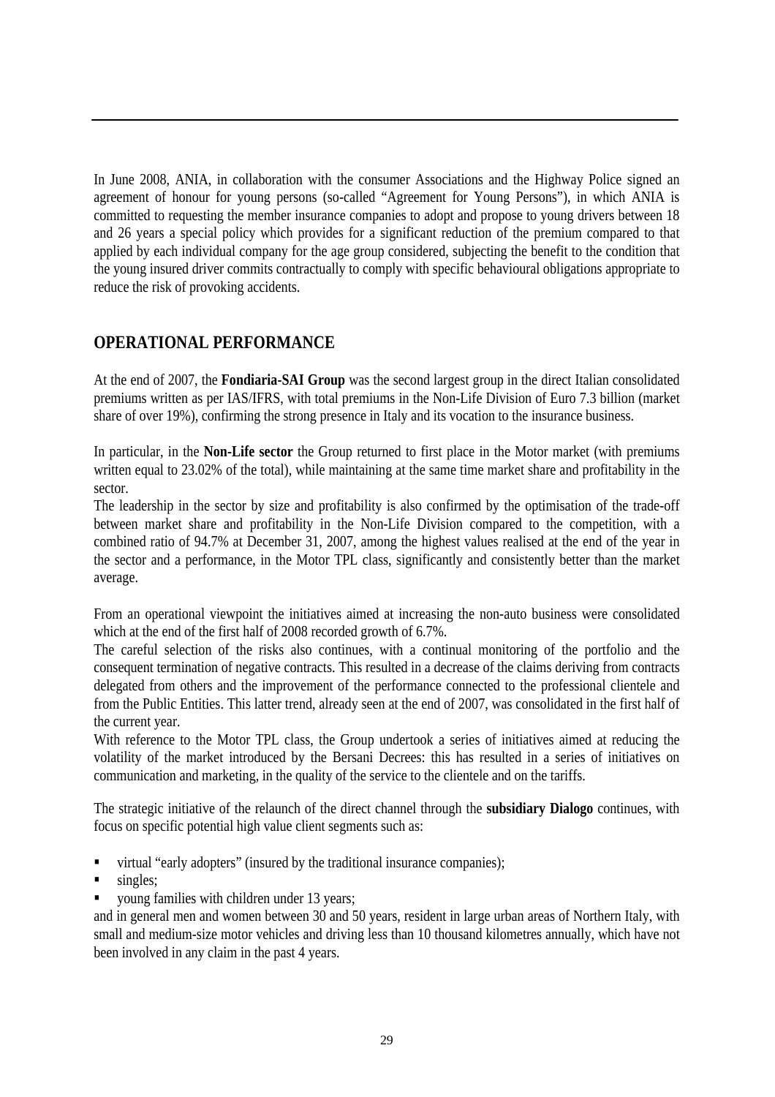In June 2008, ANIA, in collaboration with the consumer Associations and the Highway Police signed an agreement of honour for young persons (so-called "Agreement for Young Persons"), in which ANIA is committed to requesting the member insurance companies to adopt and propose to young drivers between 18 and 26 years a special policy which provides for a significant reduction of the premium compared to that applied by each individual company for the age group considered, subjecting the benefit to the condition that the young insured driver commits contractually to comply with specific behavioural obligations appropriate to reduce the risk of provoking accidents.

## **OPERATIONAL PERFORMANCE**

At the end of 2007, the **Fondiaria-SAI Group** was the second largest group in the direct Italian consolidated premiums written as per IAS/IFRS, with total premiums in the Non-Life Division of Euro 7.3 billion (market share of over 19%), confirming the strong presence in Italy and its vocation to the insurance business.

In particular, in the **Non-Life sector** the Group returned to first place in the Motor market (with premiums written equal to 23.02% of the total), while maintaining at the same time market share and profitability in the sector.

The leadership in the sector by size and profitability is also confirmed by the optimisation of the trade-off between market share and profitability in the Non-Life Division compared to the competition, with a combined ratio of 94.7% at December 31, 2007, among the highest values realised at the end of the year in the sector and a performance, in the Motor TPL class, significantly and consistently better than the market average.

From an operational viewpoint the initiatives aimed at increasing the non-auto business were consolidated which at the end of the first half of 2008 recorded growth of 6.7%.

The careful selection of the risks also continues, with a continual monitoring of the portfolio and the consequent termination of negative contracts. This resulted in a decrease of the claims deriving from contracts delegated from others and the improvement of the performance connected to the professional clientele and from the Public Entities. This latter trend, already seen at the end of 2007, was consolidated in the first half of the current year.

With reference to the Motor TPL class, the Group undertook a series of initiatives aimed at reducing the volatility of the market introduced by the Bersani Decrees: this has resulted in a series of initiatives on communication and marketing, in the quality of the service to the clientele and on the tariffs.

The strategic initiative of the relaunch of the direct channel through the **subsidiary Dialogo** continues, with focus on specific potential high value client segments such as:

- virtual "early adopters" (insured by the traditional insurance companies);
- singles;
- young families with children under 13 years;

and in general men and women between 30 and 50 years, resident in large urban areas of Northern Italy, with small and medium-size motor vehicles and driving less than 10 thousand kilometres annually, which have not been involved in any claim in the past 4 years.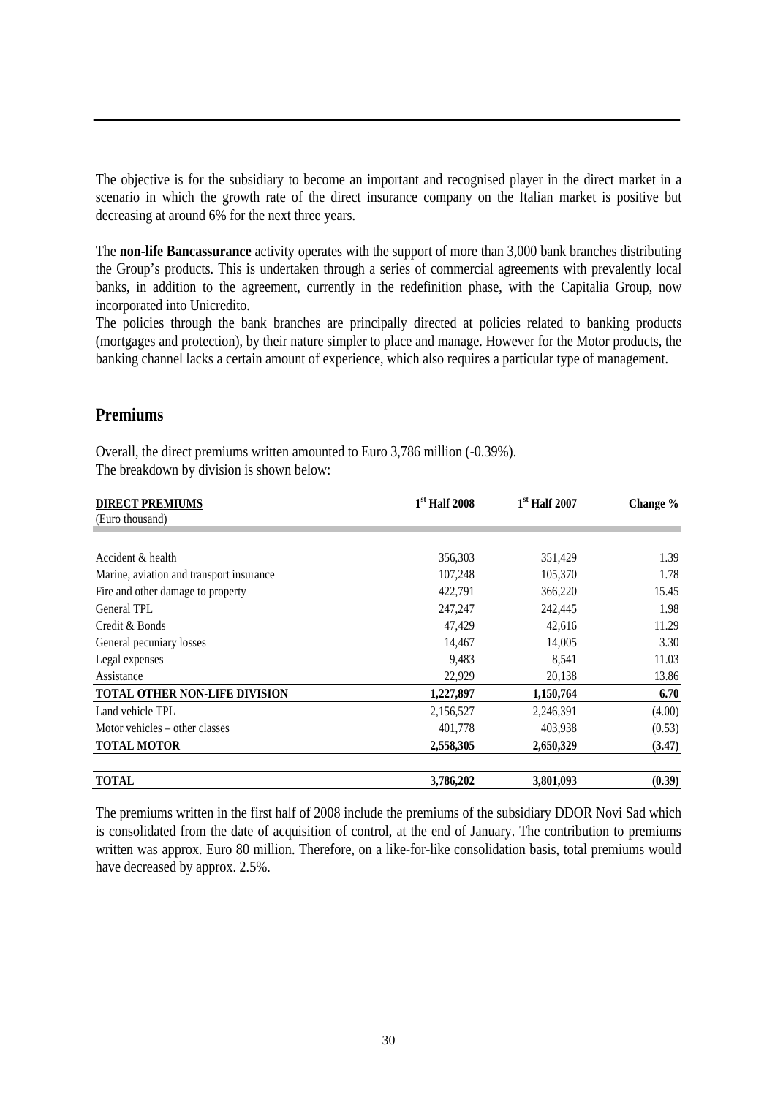The objective is for the subsidiary to become an important and recognised player in the direct market in a scenario in which the growth rate of the direct insurance company on the Italian market is positive but decreasing at around 6% for the next three years.

The **non-life Bancassurance** activity operates with the support of more than 3,000 bank branches distributing the Group's products. This is undertaken through a series of commercial agreements with prevalently local banks, in addition to the agreement, currently in the redefinition phase, with the Capitalia Group, now incorporated into Unicredito.

The policies through the bank branches are principally directed at policies related to banking products (mortgages and protection), by their nature simpler to place and manage. However for the Motor products, the banking channel lacks a certain amount of experience, which also requires a particular type of management.

#### **Premiums**

Overall, the direct premiums written amounted to Euro 3,786 million (-0.39%). The breakdown by division is shown below:

| <b>DIRECT PREMIUMS</b>                   | $1st$ Half 2008 | $1st$ Half 2007 | Change % |
|------------------------------------------|-----------------|-----------------|----------|
| (Euro thousand)                          |                 |                 |          |
|                                          |                 |                 |          |
| Accident & health                        | 356,303         | 351,429         | 1.39     |
| Marine, aviation and transport insurance | 107,248         | 105,370         | 1.78     |
| Fire and other damage to property        | 422,791         | 366,220         | 15.45    |
| General TPL                              | 247,247         | 242,445         | 1.98     |
| Credit & Bonds                           | 47,429          | 42,616          | 11.29    |
| General pecuniary losses                 | 14,467          | 14,005          | 3.30     |
| Legal expenses                           | 9,483           | 8,541           | 11.03    |
| Assistance                               | 22,929          | 20,138          | 13.86    |
| <b>TOTAL OTHER NON-LIFE DIVISION</b>     | 1,227,897       | 1,150,764       | 6.70     |
| Land vehicle TPL                         | 2,156,527       | 2,246,391       | (4.00)   |
| Motor vehicles – other classes           | 401,778         | 403,938         | (0.53)   |
| <b>TOTAL MOTOR</b>                       | 2,558,305       | 2,650,329       | (3.47)   |
| <b>TOTAL</b>                             | 3,786,202       | 3,801,093       | (0.39)   |

The premiums written in the first half of 2008 include the premiums of the subsidiary DDOR Novi Sad which is consolidated from the date of acquisition of control, at the end of January. The contribution to premiums written was approx. Euro 80 million. Therefore, on a like-for-like consolidation basis, total premiums would have decreased by approx. 2.5%.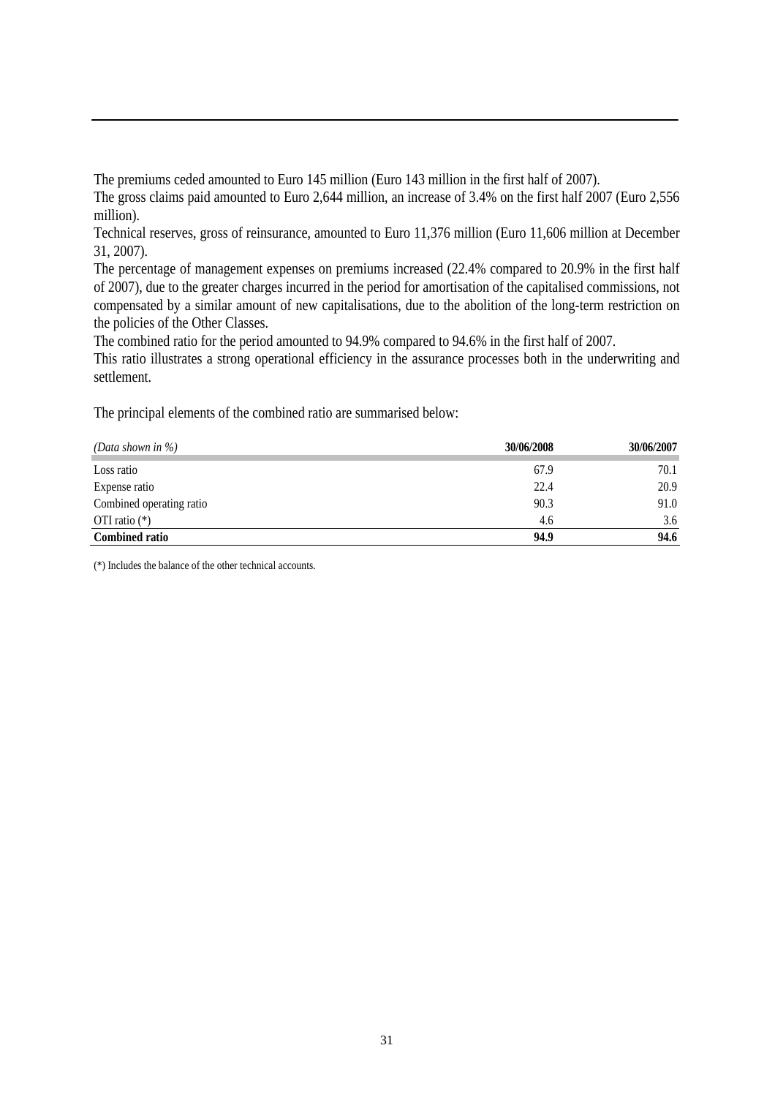The premiums ceded amounted to Euro 145 million (Euro 143 million in the first half of 2007).

The gross claims paid amounted to Euro 2,644 million, an increase of 3.4% on the first half 2007 (Euro 2,556 million).

Technical reserves, gross of reinsurance, amounted to Euro 11,376 million (Euro 11,606 million at December 31, 2007).

The percentage of management expenses on premiums increased (22.4% compared to 20.9% in the first half of 2007), due to the greater charges incurred in the period for amortisation of the capitalised commissions, not compensated by a similar amount of new capitalisations, due to the abolition of the long-term restriction on the policies of the Other Classes.

The combined ratio for the period amounted to 94.9% compared to 94.6% in the first half of 2007.

This ratio illustrates a strong operational efficiency in the assurance processes both in the underwriting and settlement.

The principal elements of the combined ratio are summarised below:

| (Data shown in $\%$ )    | 30/06/2008 | 30/06/2007 |
|--------------------------|------------|------------|
| Loss ratio               | 67.9       | 70.1       |
| Expense ratio            | 22.4       | 20.9       |
| Combined operating ratio | 90.3       | 91.0       |
| OTI ratio $(*)$          | 4.6        | 3.6        |
| <b>Combined ratio</b>    | 94.9       | 94.6       |

(\*) Includes the balance of the other technical accounts.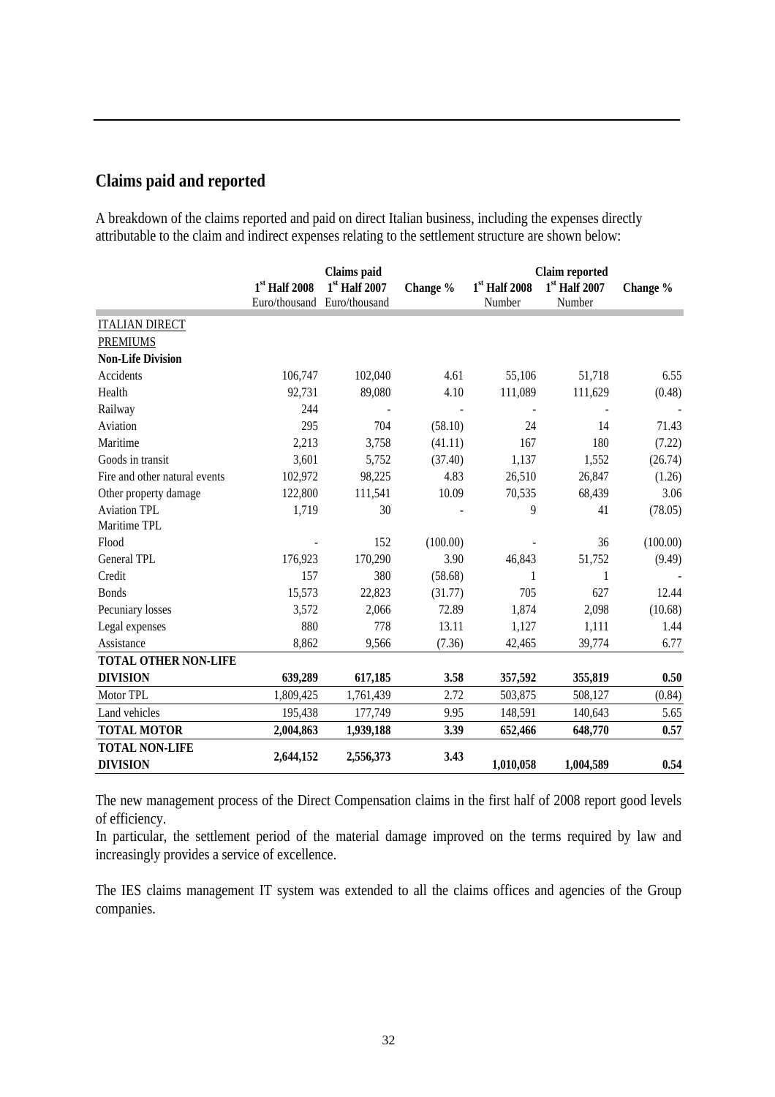## **Claims paid and reported**

A breakdown of the claims reported and paid on direct Italian business, including the expenses directly attributable to the claim and indirect expenses relating to the settlement structure are shown below:

|                               | <b>Claims</b> paid                             |               |          | <b>Claim reported</b> |                           |          |
|-------------------------------|------------------------------------------------|---------------|----------|-----------------------|---------------------------|----------|
|                               | $1st$ Half 2008<br>Euro/thousand Euro/thousand | 1st Half 2007 | Change % | $1st$ Half 2008       | $1st$ Half 2007<br>Number | Change % |
|                               |                                                |               |          | Number                |                           |          |
| <b>ITALIAN DIRECT</b>         |                                                |               |          |                       |                           |          |
| <b>PREMIUMS</b>               |                                                |               |          |                       |                           |          |
| <b>Non-Life Division</b>      |                                                |               |          |                       |                           |          |
| Accidents                     | 106,747                                        | 102,040       | 4.61     | 55,106                | 51,718                    | 6.55     |
| Health                        | 92,731                                         | 89,080        | 4.10     | 111,089               | 111,629                   | (0.48)   |
| Railway                       | 244                                            |               |          |                       |                           |          |
| Aviation                      | 295                                            | 704           | (58.10)  | 24                    | 14                        | 71.43    |
| Maritime                      | 2,213                                          | 3,758         | (41.11)  | 167                   | 180                       | (7.22)   |
| Goods in transit              | 3,601                                          | 5,752         | (37.40)  | 1,137                 | 1,552                     | (26.74)  |
| Fire and other natural events | 102,972                                        | 98,225        | 4.83     | 26,510                | 26,847                    | (1.26)   |
| Other property damage         | 122,800                                        | 111,541       | 10.09    | 70,535                | 68,439                    | 3.06     |
| <b>Aviation TPL</b>           | 1,719                                          | 30            |          | 9                     | 41                        | (78.05)  |
| Maritime TPL                  |                                                |               |          |                       |                           |          |
| Flood                         |                                                | 152           | (100.00) |                       | 36                        | (100.00) |
| General TPL                   | 176,923                                        | 170,290       | 3.90     | 46,843                | 51,752                    | (9.49)   |
| Credit                        | 157                                            | 380           | (58.68)  | 1                     | 1                         |          |
| <b>Bonds</b>                  | 15,573                                         | 22,823        | (31.77)  | 705                   | 627                       | 12.44    |
| Pecuniary losses              | 3,572                                          | 2,066         | 72.89    | 1,874                 | 2,098                     | (10.68)  |
| Legal expenses                | 880                                            | 778           | 13.11    | 1,127                 | 1,111                     | 1.44     |
| Assistance                    | 8,862                                          | 9,566         | (7.36)   | 42,465                | 39,774                    | 6.77     |
| <b>TOTAL OTHER NON-LIFE</b>   |                                                |               |          |                       |                           |          |
| <b>DIVISION</b>               | 639,289                                        | 617,185       | 3.58     | 357,592               | 355,819                   | 0.50     |
| Motor TPL                     | 1,809,425                                      | 1,761,439     | 2.72     | 503,875               | 508,127                   | (0.84)   |
| Land vehicles                 | 195,438                                        | 177,749       | 9.95     | 148,591               | 140,643                   | 5.65     |
| <b>TOTAL MOTOR</b>            | 2,004,863                                      | 1,939,188     | 3.39     | 652,466               | 648,770                   | 0.57     |
| <b>TOTAL NON-LIFE</b>         | 2,644,152                                      | 2,556,373     | 3.43     |                       |                           |          |
| <b>DIVISION</b>               |                                                |               |          | 1,010,058             | 1,004,589                 | 0.54     |

The new management process of the Direct Compensation claims in the first half of 2008 report good levels of efficiency.

In particular, the settlement period of the material damage improved on the terms required by law and increasingly provides a service of excellence.

The IES claims management IT system was extended to all the claims offices and agencies of the Group companies.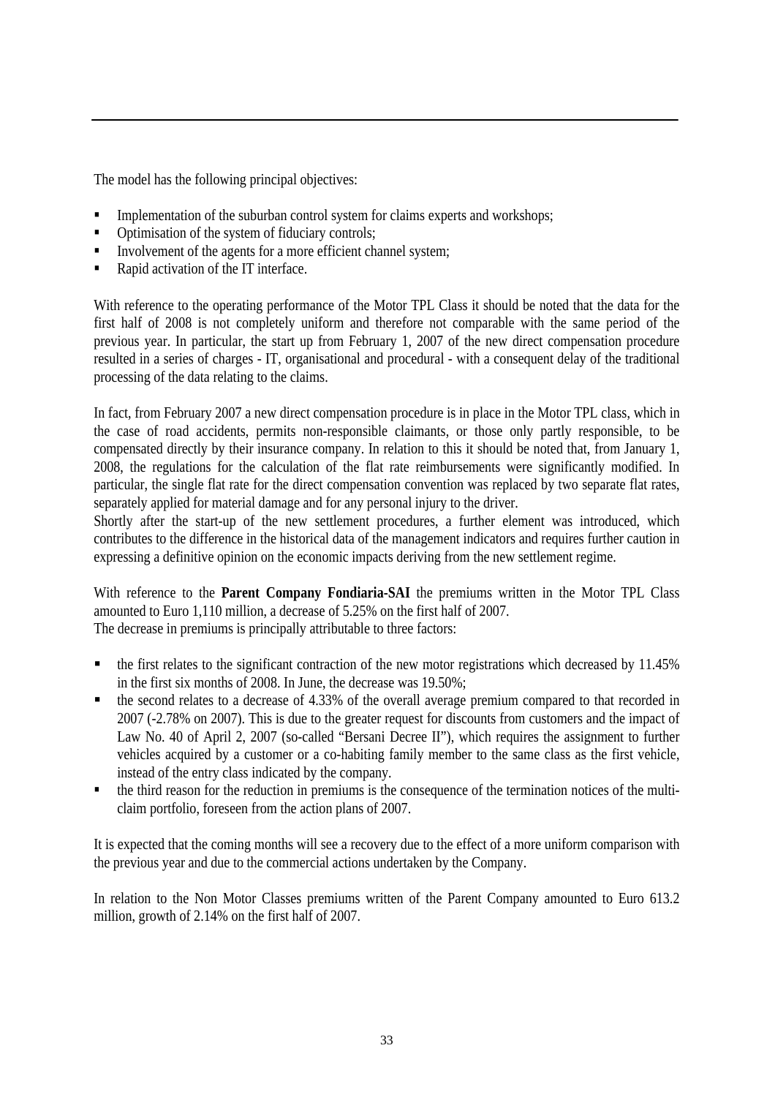The model has the following principal objectives:

- Implementation of the suburban control system for claims experts and workshops;
- Optimisation of the system of fiduciary controls;
- Involvement of the agents for a more efficient channel system;
- Rapid activation of the IT interface.

With reference to the operating performance of the Motor TPL Class it should be noted that the data for the first half of 2008 is not completely uniform and therefore not comparable with the same period of the previous year. In particular, the start up from February 1, 2007 of the new direct compensation procedure resulted in a series of charges - IT, organisational and procedural - with a consequent delay of the traditional processing of the data relating to the claims.

In fact, from February 2007 a new direct compensation procedure is in place in the Motor TPL class, which in the case of road accidents, permits non-responsible claimants, or those only partly responsible, to be compensated directly by their insurance company. In relation to this it should be noted that, from January 1, 2008, the regulations for the calculation of the flat rate reimbursements were significantly modified. In particular, the single flat rate for the direct compensation convention was replaced by two separate flat rates, separately applied for material damage and for any personal injury to the driver.

Shortly after the start-up of the new settlement procedures, a further element was introduced, which contributes to the difference in the historical data of the management indicators and requires further caution in expressing a definitive opinion on the economic impacts deriving from the new settlement regime.

With reference to the **Parent Company Fondiaria-SAI** the premiums written in the Motor TPL Class amounted to Euro 1,110 million, a decrease of 5.25% on the first half of 2007. The decrease in premiums is principally attributable to three factors:

- $\bullet$  the first relates to the significant contraction of the new motor registrations which decreased by 11.45% in the first six months of 2008. In June, the decrease was 19.50%;
- the second relates to a decrease of 4.33% of the overall average premium compared to that recorded in 2007 (-2.78% on 2007). This is due to the greater request for discounts from customers and the impact of Law No. 40 of April 2, 2007 (so-called "Bersani Decree II"), which requires the assignment to further vehicles acquired by a customer or a co-habiting family member to the same class as the first vehicle, instead of the entry class indicated by the company.
- the third reason for the reduction in premiums is the consequence of the termination notices of the multiclaim portfolio, foreseen from the action plans of 2007.

It is expected that the coming months will see a recovery due to the effect of a more uniform comparison with the previous year and due to the commercial actions undertaken by the Company.

In relation to the Non Motor Classes premiums written of the Parent Company amounted to Euro 613.2 million, growth of 2.14% on the first half of 2007.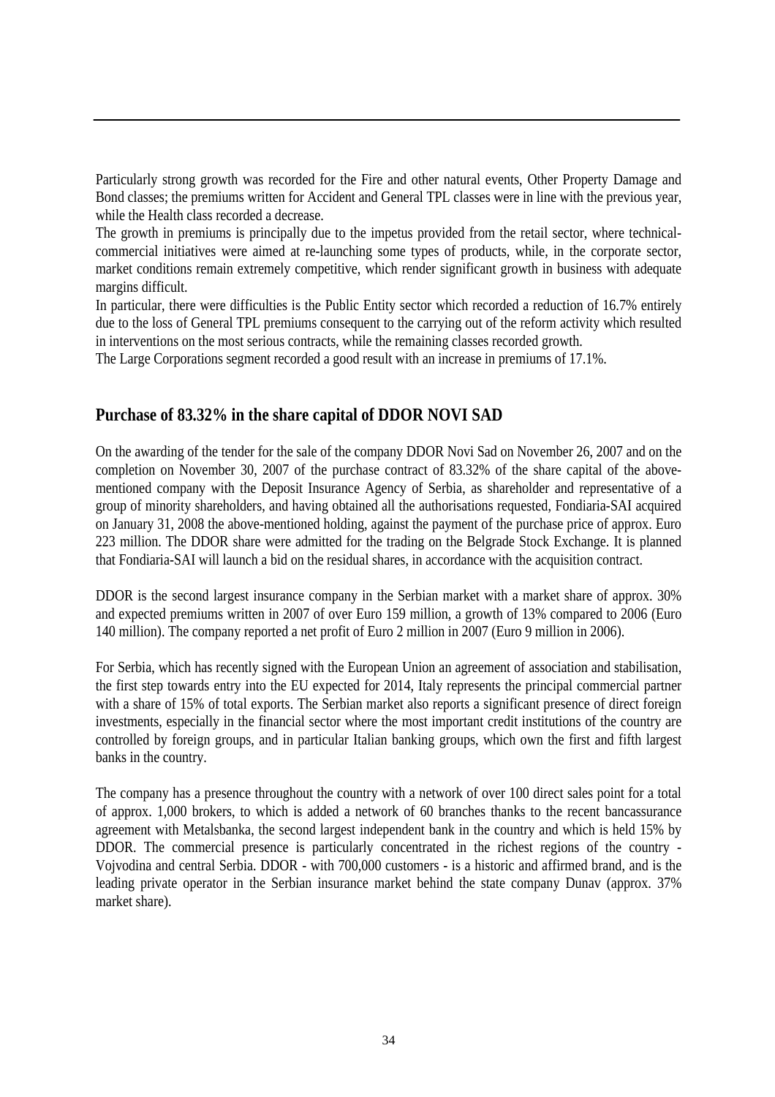Particularly strong growth was recorded for the Fire and other natural events, Other Property Damage and Bond classes; the premiums written for Accident and General TPL classes were in line with the previous year, while the Health class recorded a decrease.

The growth in premiums is principally due to the impetus provided from the retail sector, where technicalcommercial initiatives were aimed at re-launching some types of products, while, in the corporate sector, market conditions remain extremely competitive, which render significant growth in business with adequate margins difficult.

In particular, there were difficulties is the Public Entity sector which recorded a reduction of 16.7% entirely due to the loss of General TPL premiums consequent to the carrying out of the reform activity which resulted in interventions on the most serious contracts, while the remaining classes recorded growth.

The Large Corporations segment recorded a good result with an increase in premiums of 17.1%.

## **Purchase of 83.32% in the share capital of DDOR NOVI SAD**

On the awarding of the tender for the sale of the company DDOR Novi Sad on November 26, 2007 and on the completion on November 30, 2007 of the purchase contract of 83.32% of the share capital of the abovementioned company with the Deposit Insurance Agency of Serbia, as shareholder and representative of a group of minority shareholders, and having obtained all the authorisations requested, Fondiaria-SAI acquired on January 31, 2008 the above-mentioned holding, against the payment of the purchase price of approx. Euro 223 million. The DDOR share were admitted for the trading on the Belgrade Stock Exchange. It is planned that Fondiaria-SAI will launch a bid on the residual shares, in accordance with the acquisition contract.

DDOR is the second largest insurance company in the Serbian market with a market share of approx. 30% and expected premiums written in 2007 of over Euro 159 million, a growth of 13% compared to 2006 (Euro 140 million). The company reported a net profit of Euro 2 million in 2007 (Euro 9 million in 2006).

For Serbia, which has recently signed with the European Union an agreement of association and stabilisation, the first step towards entry into the EU expected for 2014, Italy represents the principal commercial partner with a share of 15% of total exports. The Serbian market also reports a significant presence of direct foreign investments, especially in the financial sector where the most important credit institutions of the country are controlled by foreign groups, and in particular Italian banking groups, which own the first and fifth largest banks in the country.

The company has a presence throughout the country with a network of over 100 direct sales point for a total of approx. 1,000 brokers, to which is added a network of 60 branches thanks to the recent bancassurance agreement with Metalsbanka, the second largest independent bank in the country and which is held 15% by DDOR. The commercial presence is particularly concentrated in the richest regions of the country - Vojvodina and central Serbia. DDOR - with 700,000 customers - is a historic and affirmed brand, and is the leading private operator in the Serbian insurance market behind the state company Dunav (approx. 37% market share).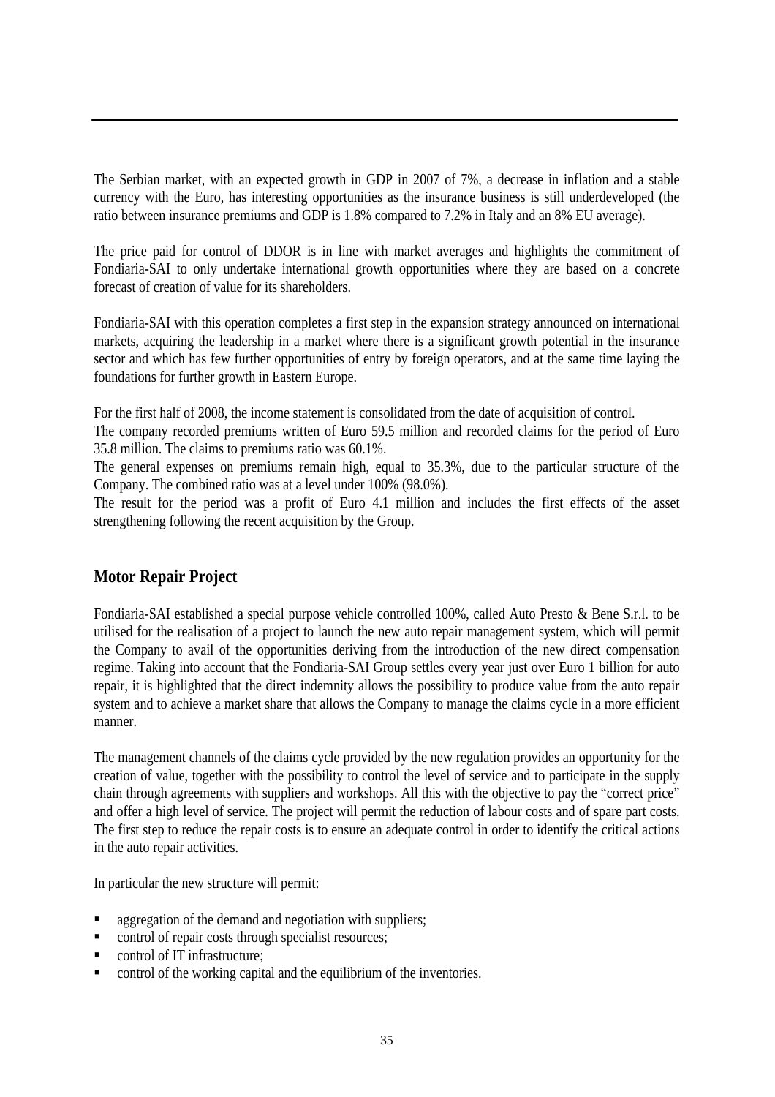The Serbian market, with an expected growth in GDP in 2007 of 7%, a decrease in inflation and a stable currency with the Euro, has interesting opportunities as the insurance business is still underdeveloped (the ratio between insurance premiums and GDP is 1.8% compared to 7.2% in Italy and an 8% EU average).

The price paid for control of DDOR is in line with market averages and highlights the commitment of Fondiaria-SAI to only undertake international growth opportunities where they are based on a concrete forecast of creation of value for its shareholders.

Fondiaria-SAI with this operation completes a first step in the expansion strategy announced on international markets, acquiring the leadership in a market where there is a significant growth potential in the insurance sector and which has few further opportunities of entry by foreign operators, and at the same time laying the foundations for further growth in Eastern Europe.

For the first half of 2008, the income statement is consolidated from the date of acquisition of control.

The company recorded premiums written of Euro 59.5 million and recorded claims for the period of Euro 35.8 million. The claims to premiums ratio was 60.1%.

The general expenses on premiums remain high, equal to 35.3%, due to the particular structure of the Company. The combined ratio was at a level under 100% (98.0%).

The result for the period was a profit of Euro 4.1 million and includes the first effects of the asset strengthening following the recent acquisition by the Group.

## **Motor Repair Project**

Fondiaria-SAI established a special purpose vehicle controlled 100%, called Auto Presto & Bene S.r.l. to be utilised for the realisation of a project to launch the new auto repair management system, which will permit the Company to avail of the opportunities deriving from the introduction of the new direct compensation regime. Taking into account that the Fondiaria-SAI Group settles every year just over Euro 1 billion for auto repair, it is highlighted that the direct indemnity allows the possibility to produce value from the auto repair system and to achieve a market share that allows the Company to manage the claims cycle in a more efficient manner.

The management channels of the claims cycle provided by the new regulation provides an opportunity for the creation of value, together with the possibility to control the level of service and to participate in the supply chain through agreements with suppliers and workshops. All this with the objective to pay the "correct price" and offer a high level of service. The project will permit the reduction of labour costs and of spare part costs. The first step to reduce the repair costs is to ensure an adequate control in order to identify the critical actions in the auto repair activities.

In particular the new structure will permit:

- aggregation of the demand and negotiation with suppliers;
- control of repair costs through specialist resources;
- control of IT infrastructure;
- control of the working capital and the equilibrium of the inventories.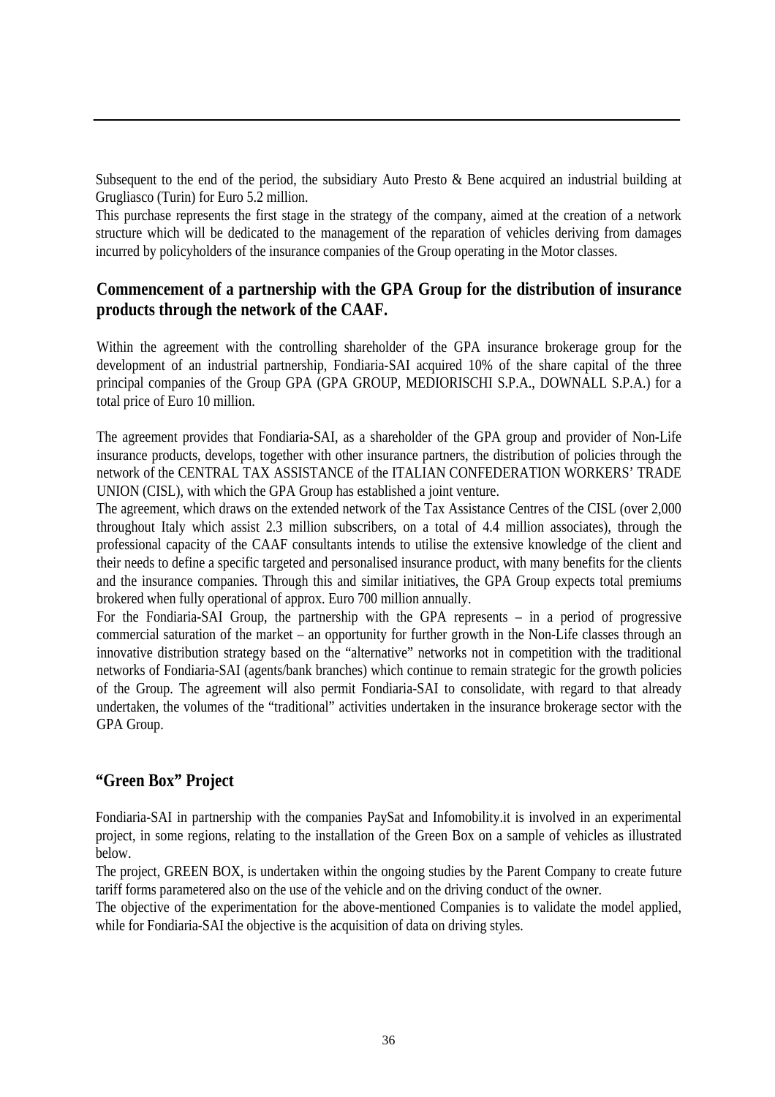Subsequent to the end of the period, the subsidiary Auto Presto & Bene acquired an industrial building at Grugliasco (Turin) for Euro 5.2 million.

This purchase represents the first stage in the strategy of the company, aimed at the creation of a network structure which will be dedicated to the management of the reparation of vehicles deriving from damages incurred by policyholders of the insurance companies of the Group operating in the Motor classes.

## **Commencement of a partnership with the GPA Group for the distribution of insurance products through the network of the CAAF.**

Within the agreement with the controlling shareholder of the GPA insurance brokerage group for the development of an industrial partnership, Fondiaria-SAI acquired 10% of the share capital of the three principal companies of the Group GPA (GPA GROUP, MEDIORISCHI S.P.A., DOWNALL S.P.A.) for a total price of Euro 10 million.

The agreement provides that Fondiaria-SAI, as a shareholder of the GPA group and provider of Non-Life insurance products, develops, together with other insurance partners, the distribution of policies through the network of the CENTRAL TAX ASSISTANCE of the ITALIAN CONFEDERATION WORKERS' TRADE UNION (CISL), with which the GPA Group has established a joint venture.

The agreement, which draws on the extended network of the Tax Assistance Centres of the CISL (over 2,000 throughout Italy which assist 2.3 million subscribers, on a total of 4.4 million associates), through the professional capacity of the CAAF consultants intends to utilise the extensive knowledge of the client and their needs to define a specific targeted and personalised insurance product, with many benefits for the clients and the insurance companies. Through this and similar initiatives, the GPA Group expects total premiums brokered when fully operational of approx. Euro 700 million annually.

For the Fondiaria-SAI Group, the partnership with the GPA represents – in a period of progressive commercial saturation of the market – an opportunity for further growth in the Non-Life classes through an innovative distribution strategy based on the "alternative" networks not in competition with the traditional networks of Fondiaria-SAI (agents/bank branches) which continue to remain strategic for the growth policies of the Group. The agreement will also permit Fondiaria-SAI to consolidate, with regard to that already undertaken, the volumes of the "traditional" activities undertaken in the insurance brokerage sector with the GPA Group.

## **"Green Box" Project**

Fondiaria-SAI in partnership with the companies PaySat and Infomobility.it is involved in an experimental project, in some regions, relating to the installation of the Green Box on a sample of vehicles as illustrated below.

The project, GREEN BOX, is undertaken within the ongoing studies by the Parent Company to create future tariff forms parametered also on the use of the vehicle and on the driving conduct of the owner.

The objective of the experimentation for the above-mentioned Companies is to validate the model applied, while for Fondiaria-SAI the objective is the acquisition of data on driving styles.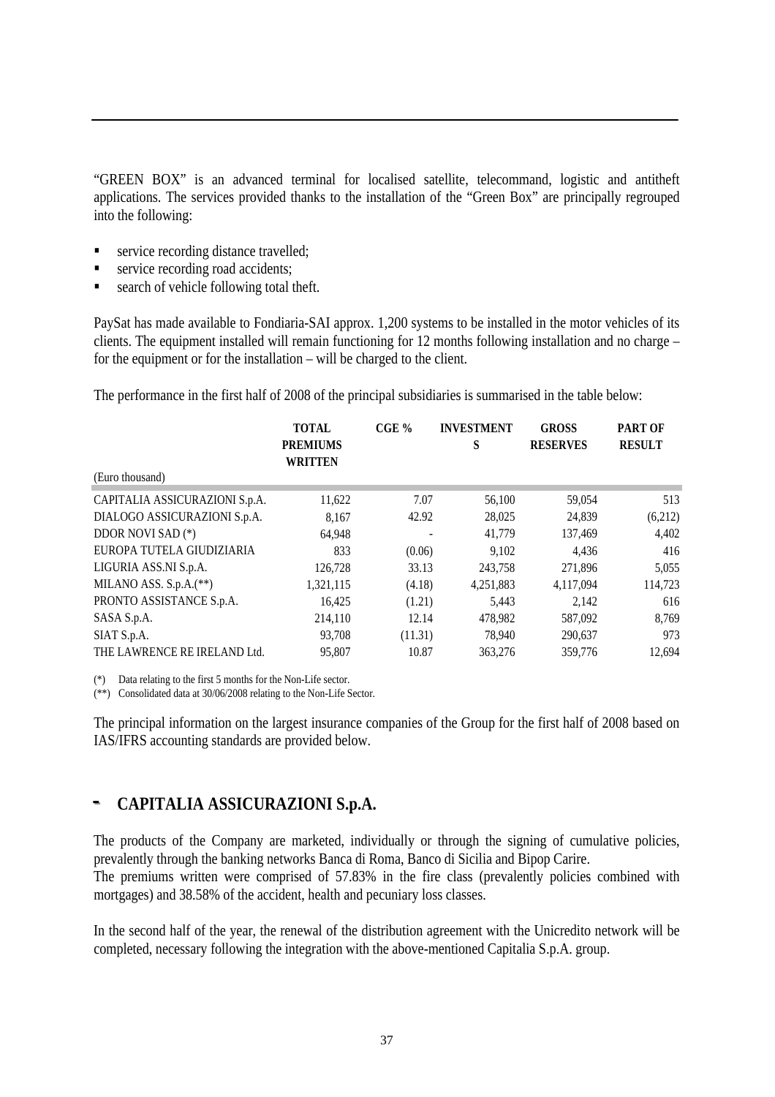"GREEN BOX" is an advanced terminal for localised satellite, telecommand, logistic and antitheft applications. The services provided thanks to the installation of the "Green Box" are principally regrouped into the following:

- service recording distance travelled;
- service recording road accidents;
- search of vehicle following total theft.

PaySat has made available to Fondiaria-SAI approx. 1,200 systems to be installed in the motor vehicles of its clients. The equipment installed will remain functioning for 12 months following installation and no charge – for the equipment or for the installation – will be charged to the client.

The performance in the first half of 2008 of the principal subsidiaries is summarised in the table below:

| (Euro thousand)                | <b>TOTAL</b><br><b>PREMIUMS</b><br><b>WRITTEN</b> | CGE%    | <b>INVESTMENT</b><br>S | <b>GROSS</b><br><b>RESERVES</b> | <b>PART OF</b><br><b>RESULT</b> |
|--------------------------------|---------------------------------------------------|---------|------------------------|---------------------------------|---------------------------------|
|                                |                                                   |         |                        |                                 |                                 |
| CAPITALIA ASSICURAZIONI S.p.A. | 11,622                                            | 7.07    | 56,100                 | 59,054                          | 513                             |
| DIALOGO ASSICURAZIONI S.p.A.   | 8.167                                             | 42.92   | 28,025                 | 24,839                          | (6,212)                         |
| DDOR NOVI SAD (*)              | 64,948                                            |         | 41,779                 | 137,469                         | 4,402                           |
| EUROPA TUTELA GIUDIZIARIA      | 833                                               | (0.06)  | 9.102                  | 4.436                           | 416                             |
| LIGURIA ASS.NI S.p.A.          | 126,728                                           | 33.13   | 243,758                | 271,896                         | 5,055                           |
| MILANO ASS. $S.p.A.(**)$       | 1,321,115                                         | (4.18)  | 4,251,883              | 4,117,094                       | 114,723                         |
| PRONTO ASSISTANCE S.p.A.       | 16,425                                            | (1.21)  | 5,443                  | 2.142                           | 616                             |
| SASA S.p.A.                    | 214,110                                           | 12.14   | 478,982                | 587,092                         | 8,769                           |
| SIAT S.p.A.                    | 93,708                                            | (11.31) | 78,940                 | 290,637                         | 973                             |
| THE LAWRENCE RE IRELAND Ltd.   | 95.807                                            | 10.87   | 363,276                | 359,776                         | 12.694                          |

(\*) Data relating to the first 5 months for the Non-Life sector.

(\*\*) Consolidated data at 30/06/2008 relating to the Non-Life Sector.

The principal information on the largest insurance companies of the Group for the first half of 2008 based on IAS/IFRS accounting standards are provided below.

# **-- CAPITALIA ASSICURAZIONI S.p.A.**

The products of the Company are marketed, individually or through the signing of cumulative policies, prevalently through the banking networks Banca di Roma, Banco di Sicilia and Bipop Carire. The premiums written were comprised of 57.83% in the fire class (prevalently policies combined with mortgages) and 38.58% of the accident, health and pecuniary loss classes.

In the second half of the year, the renewal of the distribution agreement with the Unicredito network will be completed, necessary following the integration with the above-mentioned Capitalia S.p.A. group.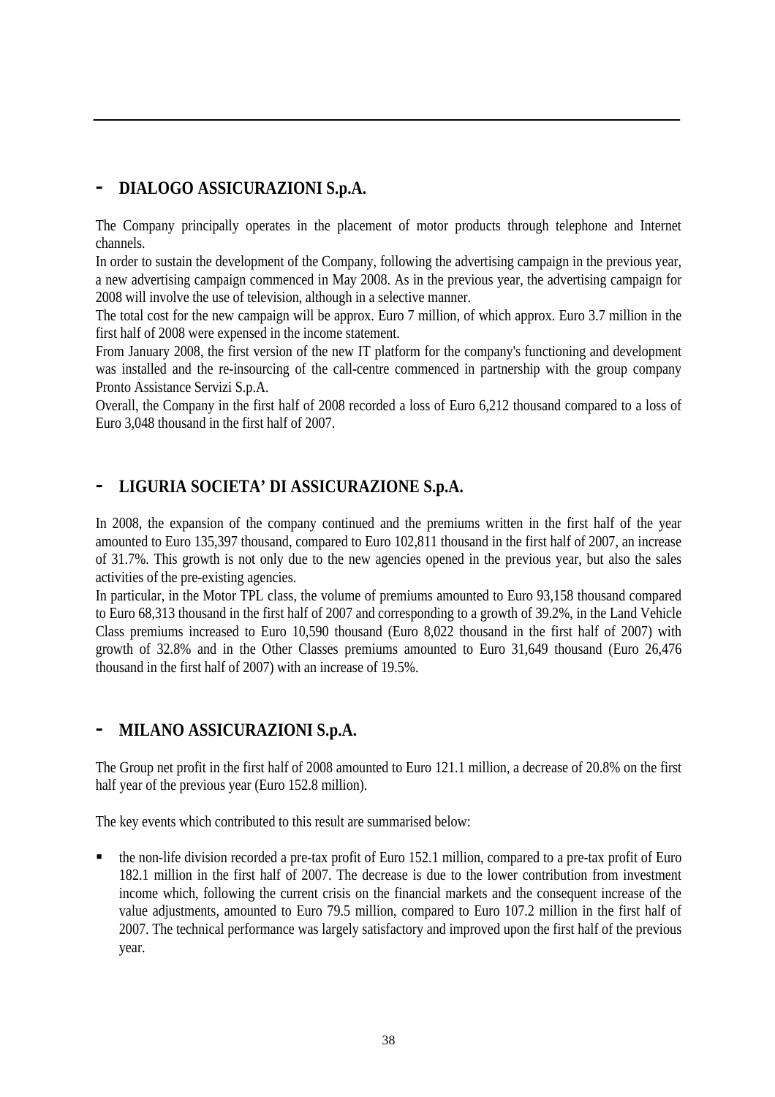# **- DIALOGO ASSICURAZIONI S.p.A.**

The Company principally operates in the placement of motor products through telephone and Internet channels.

In order to sustain the development of the Company, following the advertising campaign in the previous year, a new advertising campaign commenced in May 2008. As in the previous year, the advertising campaign for 2008 will involve the use of television, although in a selective manner.

The total cost for the new campaign will be approx. Euro 7 million, of which approx. Euro 3.7 million in the first half of 2008 were expensed in the income statement.

From January 2008, the first version of the new IT platform for the company's functioning and development was installed and the re-insourcing of the call-centre commenced in partnership with the group company Pronto Assistance Servizi S.p.A.

Overall, the Company in the first half of 2008 recorded a loss of Euro 6,212 thousand compared to a loss of Euro 3,048 thousand in the first half of 2007.

## **- LIGURIA SOCIETA' DI ASSICURAZIONE S.p.A.**

In 2008, the expansion of the company continued and the premiums written in the first half of the year amounted to Euro 135,397 thousand, compared to Euro 102,811 thousand in the first half of 2007, an increase of 31.7%. This growth is not only due to the new agencies opened in the previous year, but also the sales activities of the pre-existing agencies.

In particular, in the Motor TPL class, the volume of premiums amounted to Euro 93,158 thousand compared to Euro 68,313 thousand in the first half of 2007 and corresponding to a growth of 39.2%, in the Land Vehicle Class premiums increased to Euro 10,590 thousand (Euro 8,022 thousand in the first half of 2007) with growth of 32.8% and in the Other Classes premiums amounted to Euro 31,649 thousand (Euro 26,476 thousand in the first half of 2007) with an increase of 19.5%.

# **- MILANO ASSICURAZIONI S.p.A.**

The Group net profit in the first half of 2008 amounted to Euro 121.1 million, a decrease of 20.8% on the first half year of the previous year (Euro 152.8 million).

The key events which contributed to this result are summarised below:

 the non-life division recorded a pre-tax profit of Euro 152.1 million, compared to a pre-tax profit of Euro 182.1 million in the first half of 2007. The decrease is due to the lower contribution from investment income which, following the current crisis on the financial markets and the consequent increase of the value adjustments, amounted to Euro 79.5 million, compared to Euro 107.2 million in the first half of 2007. The technical performance was largely satisfactory and improved upon the first half of the previous year.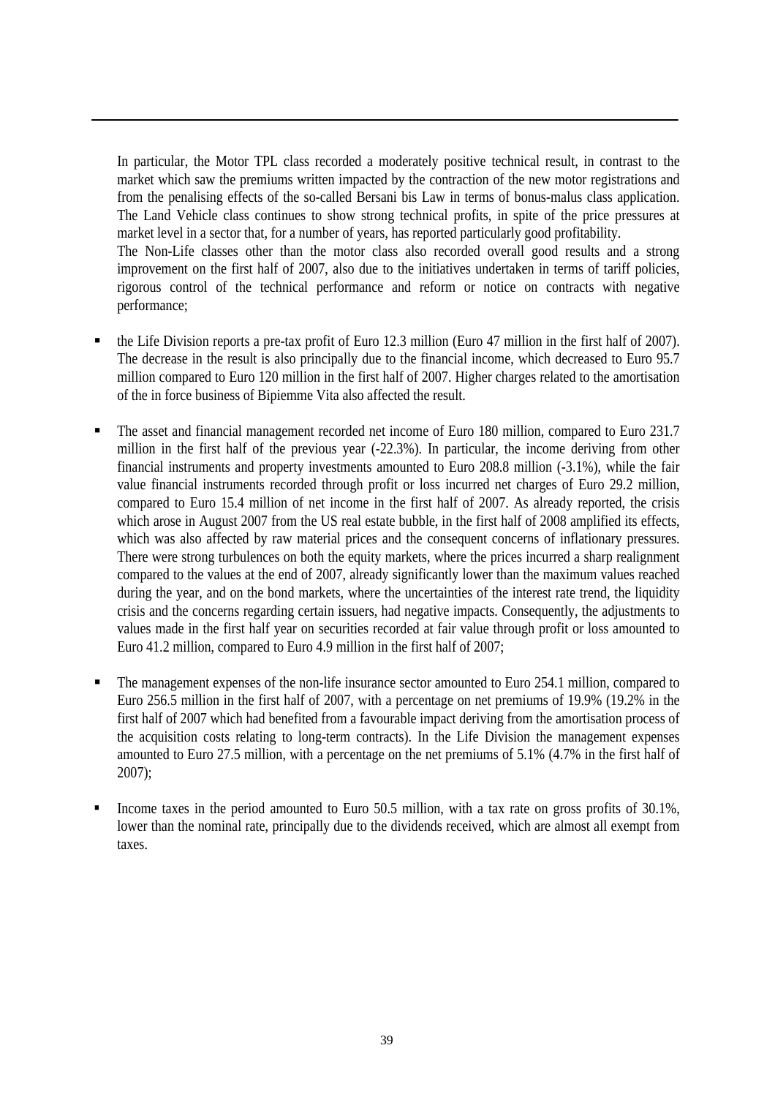In particular, the Motor TPL class recorded a moderately positive technical result, in contrast to the market which saw the premiums written impacted by the contraction of the new motor registrations and from the penalising effects of the so-called Bersani bis Law in terms of bonus-malus class application. The Land Vehicle class continues to show strong technical profits, in spite of the price pressures at market level in a sector that, for a number of years, has reported particularly good profitability.

The Non-Life classes other than the motor class also recorded overall good results and a strong improvement on the first half of 2007, also due to the initiatives undertaken in terms of tariff policies, rigorous control of the technical performance and reform or notice on contracts with negative performance;

- the Life Division reports a pre-tax profit of Euro 12.3 million (Euro 47 million in the first half of 2007). The decrease in the result is also principally due to the financial income, which decreased to Euro 95.7 million compared to Euro 120 million in the first half of 2007. Higher charges related to the amortisation of the in force business of Bipiemme Vita also affected the result.
- The asset and financial management recorded net income of Euro 180 million, compared to Euro 231.7 million in the first half of the previous year (-22.3%). In particular, the income deriving from other financial instruments and property investments amounted to Euro 208.8 million (-3.1%), while the fair value financial instruments recorded through profit or loss incurred net charges of Euro 29.2 million, compared to Euro 15.4 million of net income in the first half of 2007. As already reported, the crisis which arose in August 2007 from the US real estate bubble, in the first half of 2008 amplified its effects, which was also affected by raw material prices and the consequent concerns of inflationary pressures. There were strong turbulences on both the equity markets, where the prices incurred a sharp realignment compared to the values at the end of 2007, already significantly lower than the maximum values reached during the year, and on the bond markets, where the uncertainties of the interest rate trend, the liquidity crisis and the concerns regarding certain issuers, had negative impacts. Consequently, the adjustments to values made in the first half year on securities recorded at fair value through profit or loss amounted to Euro 41.2 million, compared to Euro 4.9 million in the first half of 2007;
- The management expenses of the non-life insurance sector amounted to Euro 254.1 million, compared to Euro 256.5 million in the first half of 2007, with a percentage on net premiums of 19.9% (19.2% in the first half of 2007 which had benefited from a favourable impact deriving from the amortisation process of the acquisition costs relating to long-term contracts). In the Life Division the management expenses amounted to Euro 27.5 million, with a percentage on the net premiums of 5.1% (4.7% in the first half of 2007);
- Income taxes in the period amounted to Euro 50.5 million, with a tax rate on gross profits of 30.1%, lower than the nominal rate, principally due to the dividends received, which are almost all exempt from taxes.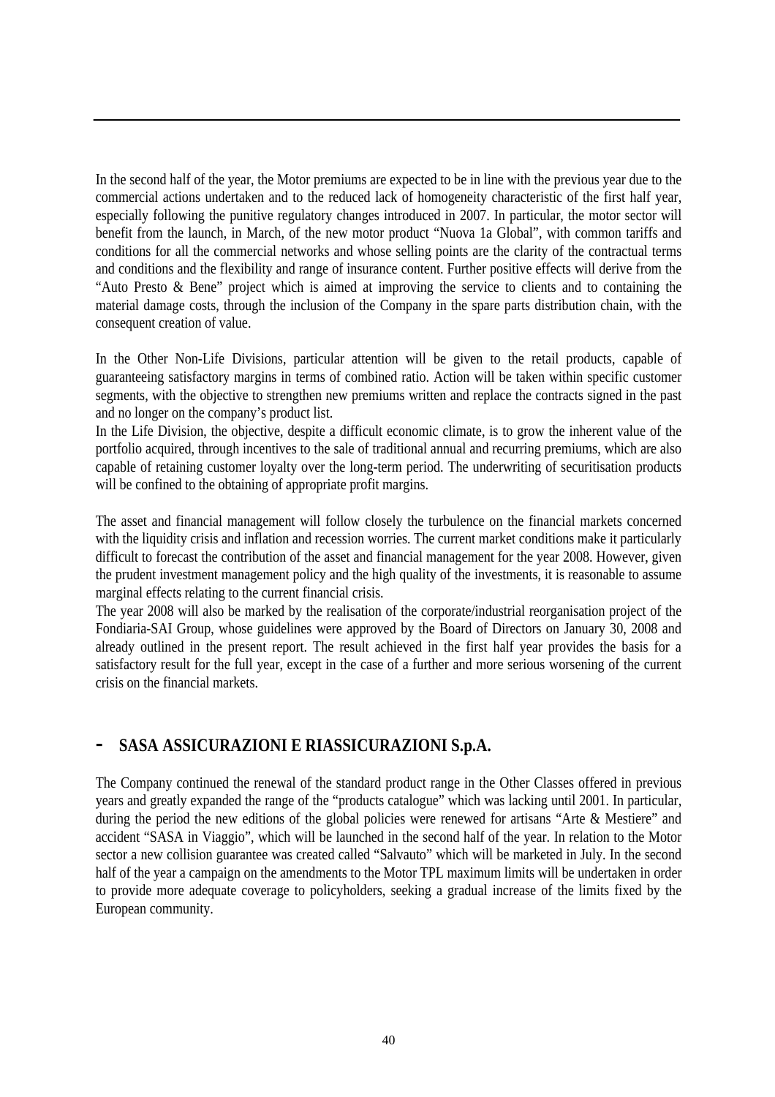In the second half of the year, the Motor premiums are expected to be in line with the previous year due to the commercial actions undertaken and to the reduced lack of homogeneity characteristic of the first half year, especially following the punitive regulatory changes introduced in 2007. In particular, the motor sector will benefit from the launch, in March, of the new motor product "Nuova 1a Global", with common tariffs and conditions for all the commercial networks and whose selling points are the clarity of the contractual terms and conditions and the flexibility and range of insurance content. Further positive effects will derive from the "Auto Presto & Bene" project which is aimed at improving the service to clients and to containing the material damage costs, through the inclusion of the Company in the spare parts distribution chain, with the consequent creation of value.

In the Other Non-Life Divisions, particular attention will be given to the retail products, capable of guaranteeing satisfactory margins in terms of combined ratio. Action will be taken within specific customer segments, with the objective to strengthen new premiums written and replace the contracts signed in the past and no longer on the company's product list.

In the Life Division, the objective, despite a difficult economic climate, is to grow the inherent value of the portfolio acquired, through incentives to the sale of traditional annual and recurring premiums, which are also capable of retaining customer loyalty over the long-term period. The underwriting of securitisation products will be confined to the obtaining of appropriate profit margins.

The asset and financial management will follow closely the turbulence on the financial markets concerned with the liquidity crisis and inflation and recession worries. The current market conditions make it particularly difficult to forecast the contribution of the asset and financial management for the year 2008. However, given the prudent investment management policy and the high quality of the investments, it is reasonable to assume marginal effects relating to the current financial crisis.

The year 2008 will also be marked by the realisation of the corporate/industrial reorganisation project of the Fondiaria-SAI Group, whose guidelines were approved by the Board of Directors on January 30, 2008 and already outlined in the present report. The result achieved in the first half year provides the basis for a satisfactory result for the full year, except in the case of a further and more serious worsening of the current crisis on the financial markets.

## **- SASA ASSICURAZIONI E RIASSICURAZIONI S.p.A.**

The Company continued the renewal of the standard product range in the Other Classes offered in previous years and greatly expanded the range of the "products catalogue" which was lacking until 2001. In particular, during the period the new editions of the global policies were renewed for artisans "Arte & Mestiere" and accident "SASA in Viaggio", which will be launched in the second half of the year. In relation to the Motor sector a new collision guarantee was created called "Salvauto" which will be marketed in July. In the second half of the year a campaign on the amendments to the Motor TPL maximum limits will be undertaken in order to provide more adequate coverage to policyholders, seeking a gradual increase of the limits fixed by the European community.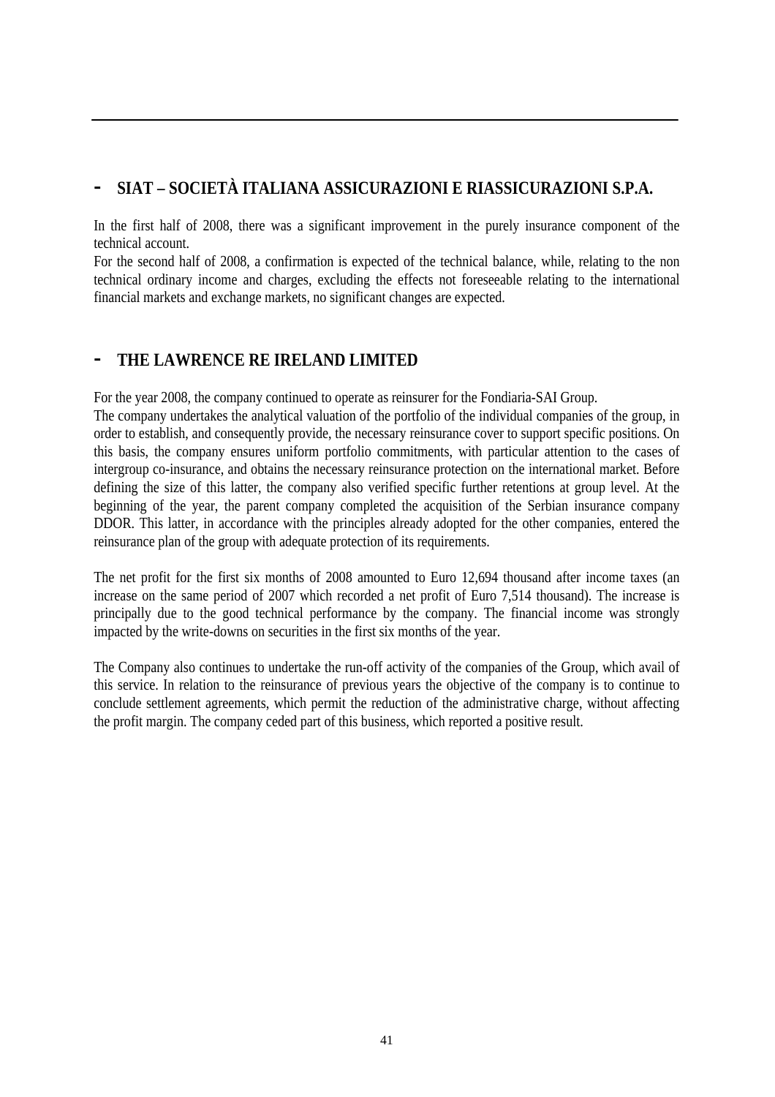# **- SIAT – SOCIETÀ ITALIANA ASSICURAZIONI E RIASSICURAZIONI S.P.A.**

In the first half of 2008, there was a significant improvement in the purely insurance component of the technical account.

For the second half of 2008, a confirmation is expected of the technical balance, while, relating to the non technical ordinary income and charges, excluding the effects not foreseeable relating to the international financial markets and exchange markets, no significant changes are expected.

# **- THE LAWRENCE RE IRELAND LIMITED**

For the year 2008, the company continued to operate as reinsurer for the Fondiaria-SAI Group.

The company undertakes the analytical valuation of the portfolio of the individual companies of the group, in order to establish, and consequently provide, the necessary reinsurance cover to support specific positions. On this basis, the company ensures uniform portfolio commitments, with particular attention to the cases of intergroup co-insurance, and obtains the necessary reinsurance protection on the international market. Before defining the size of this latter, the company also verified specific further retentions at group level. At the beginning of the year, the parent company completed the acquisition of the Serbian insurance company DDOR. This latter, in accordance with the principles already adopted for the other companies, entered the reinsurance plan of the group with adequate protection of its requirements.

The net profit for the first six months of 2008 amounted to Euro 12,694 thousand after income taxes (an increase on the same period of 2007 which recorded a net profit of Euro 7,514 thousand). The increase is principally due to the good technical performance by the company. The financial income was strongly impacted by the write-downs on securities in the first six months of the year.

The Company also continues to undertake the run-off activity of the companies of the Group, which avail of this service. In relation to the reinsurance of previous years the objective of the company is to continue to conclude settlement agreements, which permit the reduction of the administrative charge, without affecting the profit margin. The company ceded part of this business, which reported a positive result.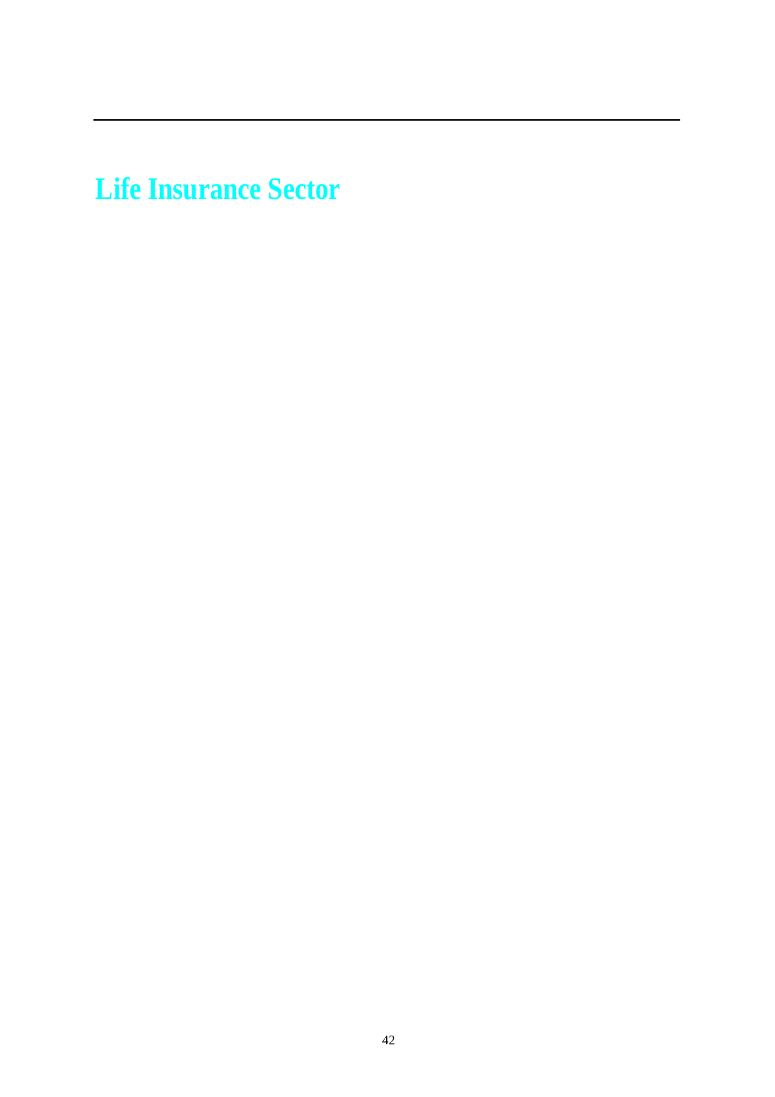**Life Insurance Sector**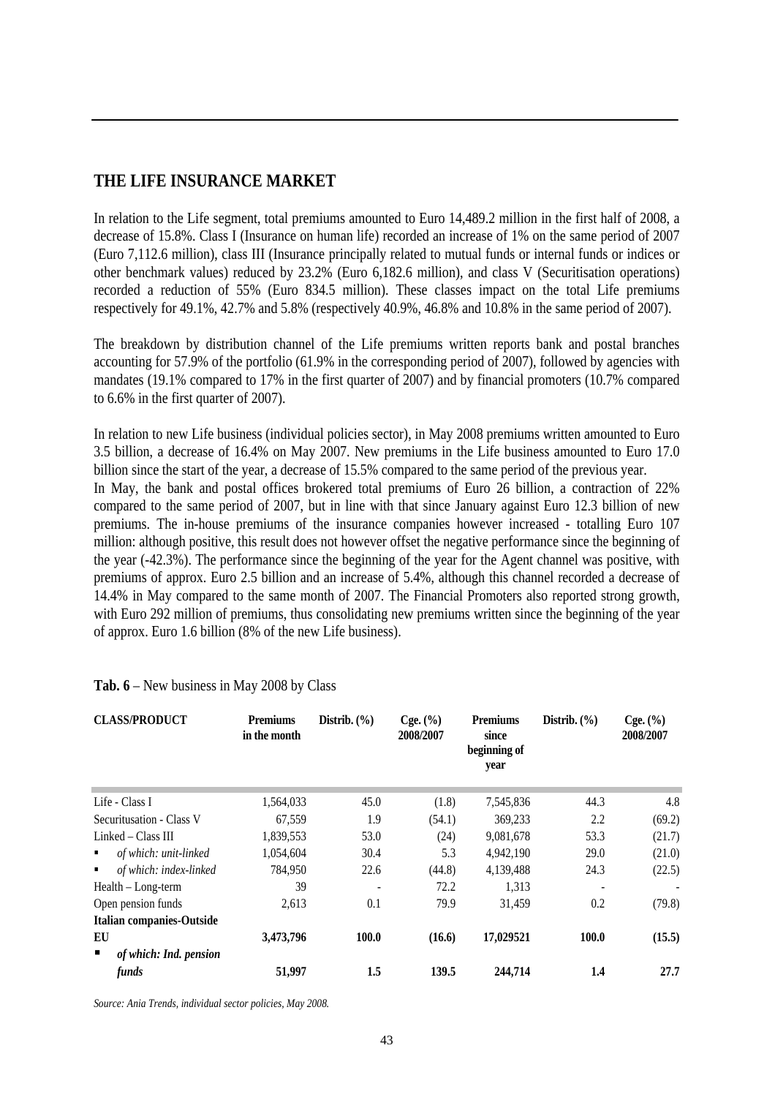# **THE LIFE INSURANCE MARKET**

In relation to the Life segment, total premiums amounted to Euro 14,489.2 million in the first half of 2008, a decrease of 15.8%. Class I (Insurance on human life) recorded an increase of 1% on the same period of 2007 (Euro 7,112.6 million), class III (Insurance principally related to mutual funds or internal funds or indices or other benchmark values) reduced by 23.2% (Euro 6,182.6 million), and class V (Securitisation operations) recorded a reduction of 55% (Euro 834.5 million). These classes impact on the total Life premiums respectively for 49.1%, 42.7% and 5.8% (respectively 40.9%, 46.8% and 10.8% in the same period of 2007).

The breakdown by distribution channel of the Life premiums written reports bank and postal branches accounting for 57.9% of the portfolio (61.9% in the corresponding period of 2007), followed by agencies with mandates (19.1% compared to 17% in the first quarter of 2007) and by financial promoters (10.7% compared to 6.6% in the first quarter of 2007).

In relation to new Life business (individual policies sector), in May 2008 premiums written amounted to Euro 3.5 billion, a decrease of 16.4% on May 2007. New premiums in the Life business amounted to Euro 17.0 billion since the start of the year, a decrease of 15.5% compared to the same period of the previous year. In May, the bank and postal offices brokered total premiums of Euro 26 billion, a contraction of 22% compared to the same period of 2007, but in line with that since January against Euro 12.3 billion of new premiums. The in-house premiums of the insurance companies however increased - totalling Euro 107 million: although positive, this result does not however offset the negative performance since the beginning of the year (-42.3%). The performance since the beginning of the year for the Agent channel was positive, with premiums of approx. Euro 2.5 billion and an increase of 5.4%, although this channel recorded a decrease of 14.4% in May compared to the same month of 2007. The Financial Promoters also reported strong growth, with Euro 292 million of premiums, thus consolidating new premiums written since the beginning of the year of approx. Euro 1.6 billion (8% of the new Life business).

| <b>CLASS/PRODUCT</b>                 | <b>Premiums</b><br>in the month | Distrib. $(\% )$ | Cge. (%)<br>2008/2007 | <b>Premiums</b><br>since<br>beginning of<br>year | Distrib. $(\% )$ | Cge. (%)<br>2008/2007 |
|--------------------------------------|---------------------------------|------------------|-----------------------|--------------------------------------------------|------------------|-----------------------|
| Life - Class I                       | 1,564,033                       | 45.0             | (1.8)                 | 7,545,836                                        | 44.3             | 4.8                   |
| Securitusation - Class V             | 67,559                          | 1.9              | (54.1)                | 369,233                                          | 2.2              | (69.2)                |
| Linked – Class III                   | 1,839,553                       | 53.0             | (24)                  | 9,081,678                                        | 53.3             | (21.7)                |
| of which: unit-linked<br>٠           | 1,054,604                       | 30.4             | 5.3                   | 4,942,190                                        | 29.0             | (21.0)                |
| of which: index-linked<br>٠          | 784,950                         | 22.6             | (44.8)                | 4,139,488                                        | 24.3             | (22.5)                |
| Health - Long-term                   | 39                              | ٠                | 72.2                  | 1,313                                            |                  |                       |
| Open pension funds                   | 2,613                           | 0.1              | 79.9                  | 31,459                                           | 0.2              | (79.8)                |
| <b>Italian companies-Outside</b>     |                                 |                  |                       |                                                  |                  |                       |
| EU                                   | 3,473,796                       | 100.0            | (16.6)                | 17,029521                                        | 100.0            | (15.5)                |
| of which: Ind. pension<br>п<br>funds | 51,997                          | 1.5              | 139.5                 | 244,714                                          | 1.4              | 27.7                  |

**Tab. 6** – New business in May 2008 by Class

*Source: Ania Trends, individual sector policies, May 2008.*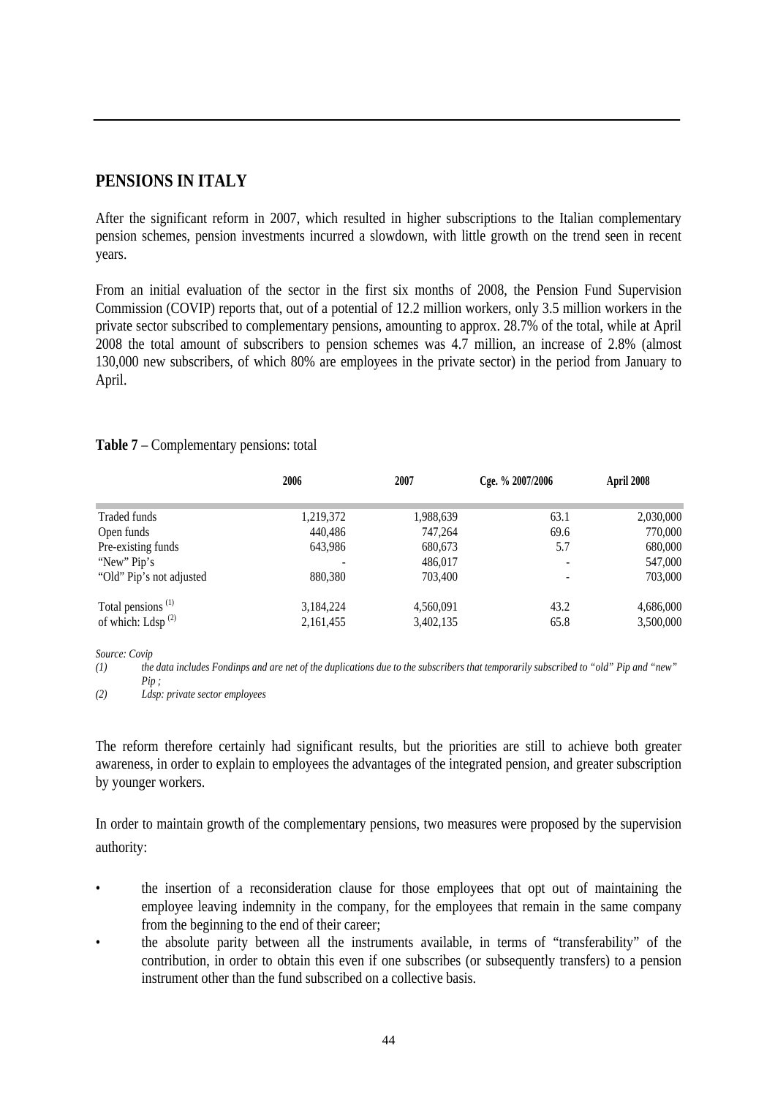## **PENSIONS IN ITALY**

After the significant reform in 2007, which resulted in higher subscriptions to the Italian complementary pension schemes, pension investments incurred a slowdown, with little growth on the trend seen in recent years.

From an initial evaluation of the sector in the first six months of 2008, the Pension Fund Supervision Commission (COVIP) reports that, out of a potential of 12.2 million workers, only 3.5 million workers in the private sector subscribed to complementary pensions, amounting to approx. 28.7% of the total, while at April 2008 the total amount of subscribers to pension schemes was 4.7 million, an increase of 2.8% (almost 130,000 new subscribers, of which 80% are employees in the private sector) in the period from January to April.

|                               | 2006      | 2007      | Cge. % 2007/2006 | April 2008 |
|-------------------------------|-----------|-----------|------------------|------------|
|                               |           |           |                  |            |
| Traded funds                  | 1,219,372 | 1,988,639 | 63.1             | 2,030,000  |
| Open funds                    | 440,486   | 747,264   | 69.6             | 770,000    |
| Pre-existing funds            | 643,986   | 680,673   | 5.7              | 680,000    |
| "New" Pip's                   |           | 486,017   |                  | 547,000    |
| "Old" Pip's not adjusted      | 880,380   | 703,400   |                  | 703,000    |
| Total pensions <sup>(1)</sup> | 3,184,224 | 4,560,091 | 43.2             | 4,686,000  |
| of which: Ldsp $^{(2)}$       | 2,161,455 | 3,402,135 | 65.8             | 3,500,000  |

#### **Table 7** – Complementary pensions: total

*Source: Covip*

*(1) the data includes Fondinps and are net of the duplications due to the subscribers that temporarily subscribed to "old" Pip and "new"*   $Pin:$ 

*(2) Ldsp: private sector employees* 

The reform therefore certainly had significant results, but the priorities are still to achieve both greater awareness, in order to explain to employees the advantages of the integrated pension, and greater subscription by younger workers.

In order to maintain growth of the complementary pensions, two measures were proposed by the supervision authority:

- the insertion of a reconsideration clause for those employees that opt out of maintaining the employee leaving indemnity in the company, for the employees that remain in the same company from the beginning to the end of their career;
- the absolute parity between all the instruments available, in terms of "transferability" of the contribution, in order to obtain this even if one subscribes (or subsequently transfers) to a pension instrument other than the fund subscribed on a collective basis.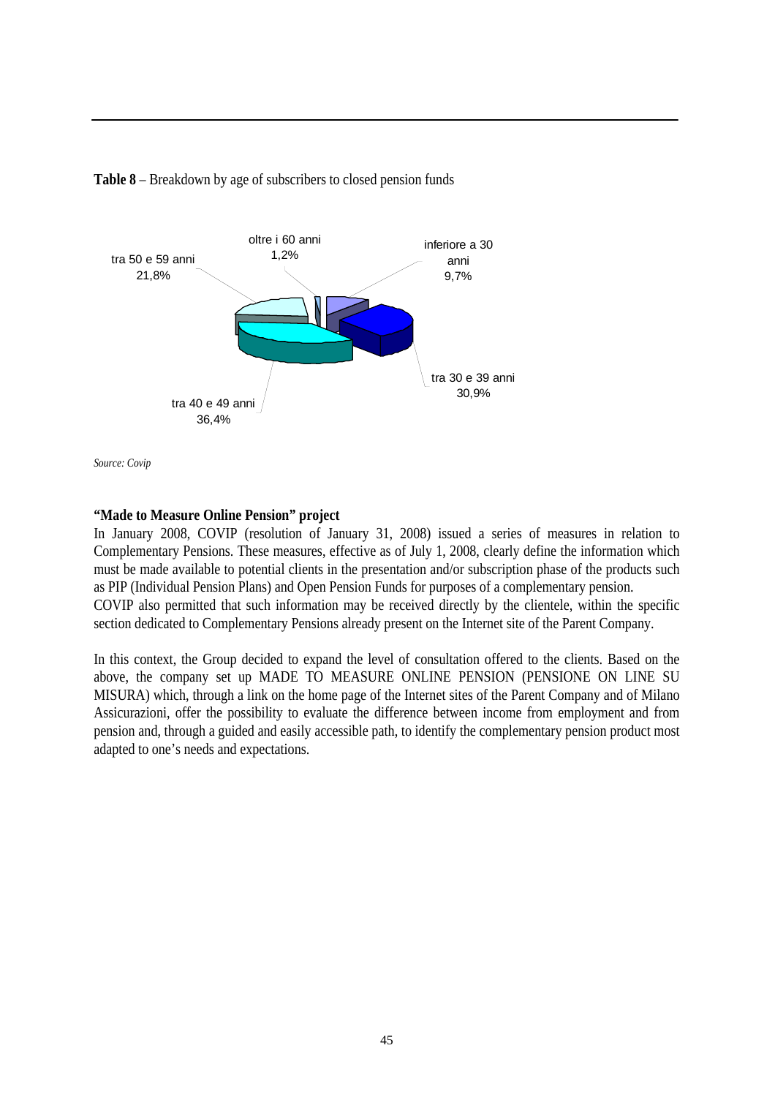

**Table 8** – Breakdown by age of subscribers to closed pension funds

*Source: Covip*

#### **"Made to Measure Online Pension" project**

In January 2008, COVIP (resolution of January 31, 2008) issued a series of measures in relation to Complementary Pensions. These measures, effective as of July 1, 2008, clearly define the information which must be made available to potential clients in the presentation and/or subscription phase of the products such as PIP (Individual Pension Plans) and Open Pension Funds for purposes of a complementary pension. COVIP also permitted that such information may be received directly by the clientele, within the specific section dedicated to Complementary Pensions already present on the Internet site of the Parent Company.

In this context, the Group decided to expand the level of consultation offered to the clients. Based on the above, the company set up MADE TO MEASURE ONLINE PENSION (PENSIONE ON LINE SU MISURA) which, through a link on the home page of the Internet sites of the Parent Company and of Milano Assicurazioni, offer the possibility to evaluate the difference between income from employment and from pension and, through a guided and easily accessible path, to identify the complementary pension product most adapted to one's needs and expectations.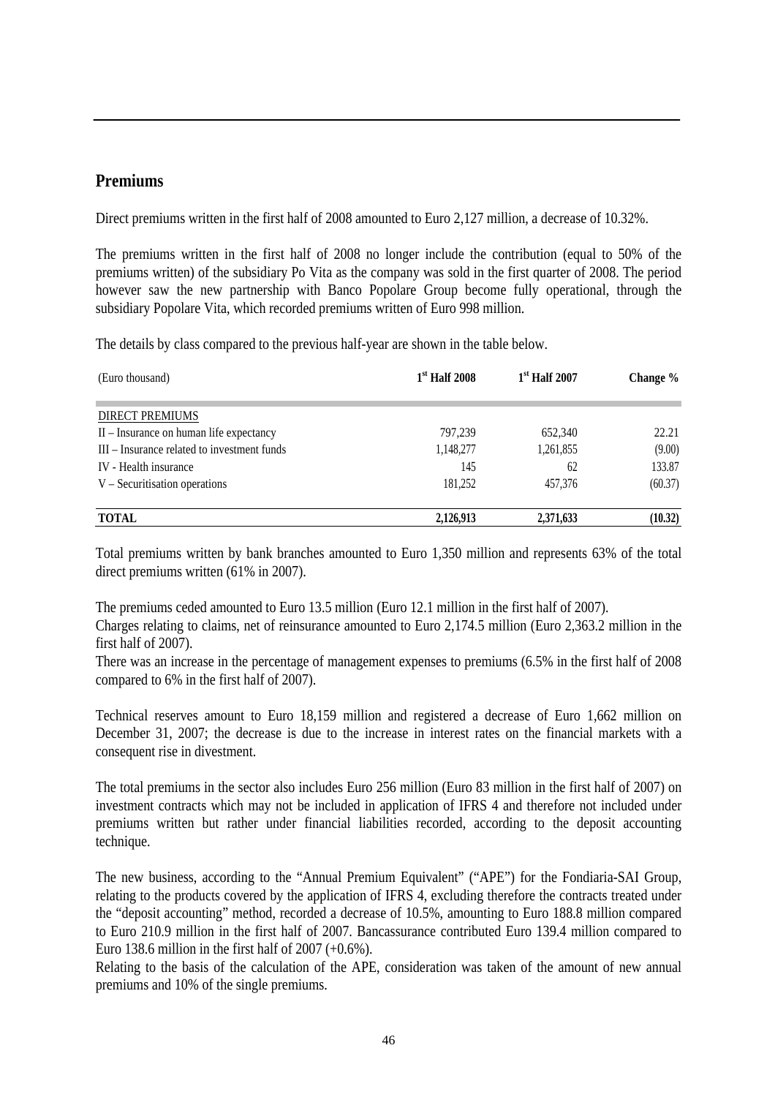#### **Premiums**

Direct premiums written in the first half of 2008 amounted to Euro 2,127 million, a decrease of 10.32%.

The premiums written in the first half of 2008 no longer include the contribution (equal to 50% of the premiums written) of the subsidiary Po Vita as the company was sold in the first quarter of 2008. The period however saw the new partnership with Banco Popolare Group become fully operational, through the subsidiary Popolare Vita, which recorded premiums written of Euro 998 million.

The details by class compared to the previous half-year are shown in the table below.

| (Euro thousand)                             | $1st$ Half 2008 | $1st$ Half 2007 | Change % |
|---------------------------------------------|-----------------|-----------------|----------|
| <b>DIRECT PREMIUMS</b>                      |                 |                 |          |
| II – Insurance on human life expectancy     | 797,239         | 652,340         | 22.21    |
| III – Insurance related to investment funds | 1,148,277       | 1,261,855       | (9.00)   |
| IV - Health insurance                       | 145             | 62              | 133.87   |
| $V -$ Securitisation operations             | 181,252         | 457,376         | (60.37)  |
| <b>TOTAL</b>                                | 2,126,913       | 2,371,633       | (10.32)  |

Total premiums written by bank branches amounted to Euro 1,350 million and represents 63% of the total direct premiums written (61% in 2007).

The premiums ceded amounted to Euro 13.5 million (Euro 12.1 million in the first half of 2007).

Charges relating to claims, net of reinsurance amounted to Euro 2,174.5 million (Euro 2,363.2 million in the first half of 2007).

There was an increase in the percentage of management expenses to premiums (6.5% in the first half of 2008 compared to 6% in the first half of 2007).

Technical reserves amount to Euro 18,159 million and registered a decrease of Euro 1,662 million on December 31, 2007; the decrease is due to the increase in interest rates on the financial markets with a consequent rise in divestment.

The total premiums in the sector also includes Euro 256 million (Euro 83 million in the first half of 2007) on investment contracts which may not be included in application of IFRS 4 and therefore not included under premiums written but rather under financial liabilities recorded, according to the deposit accounting technique.

The new business, according to the "Annual Premium Equivalent" ("APE") for the Fondiaria-SAI Group, relating to the products covered by the application of IFRS 4, excluding therefore the contracts treated under the "deposit accounting" method, recorded a decrease of 10.5%, amounting to Euro 188.8 million compared to Euro 210.9 million in the first half of 2007. Bancassurance contributed Euro 139.4 million compared to Euro 138.6 million in the first half of  $2007 (+0.6\%)$ .

Relating to the basis of the calculation of the APE, consideration was taken of the amount of new annual premiums and 10% of the single premiums.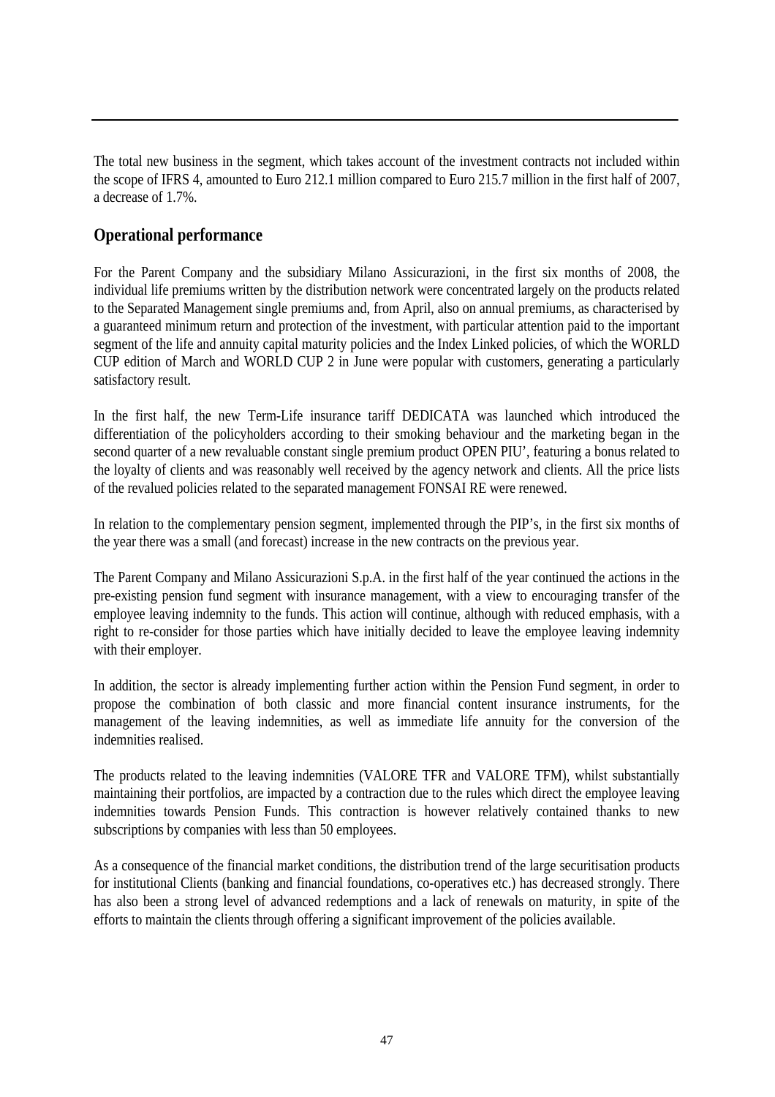The total new business in the segment, which takes account of the investment contracts not included within the scope of IFRS 4, amounted to Euro 212.1 million compared to Euro 215.7 million in the first half of 2007, a decrease of 1.7%.

## **Operational performance**

For the Parent Company and the subsidiary Milano Assicurazioni, in the first six months of 2008, the individual life premiums written by the distribution network were concentrated largely on the products related to the Separated Management single premiums and, from April, also on annual premiums, as characterised by a guaranteed minimum return and protection of the investment, with particular attention paid to the important segment of the life and annuity capital maturity policies and the Index Linked policies, of which the WORLD CUP edition of March and WORLD CUP 2 in June were popular with customers, generating a particularly satisfactory result.

In the first half, the new Term-Life insurance tariff DEDICATA was launched which introduced the differentiation of the policyholders according to their smoking behaviour and the marketing began in the second quarter of a new revaluable constant single premium product OPEN PIU', featuring a bonus related to the loyalty of clients and was reasonably well received by the agency network and clients. All the price lists of the revalued policies related to the separated management FONSAI RE were renewed.

In relation to the complementary pension segment, implemented through the PIP's, in the first six months of the year there was a small (and forecast) increase in the new contracts on the previous year.

The Parent Company and Milano Assicurazioni S.p.A. in the first half of the year continued the actions in the pre-existing pension fund segment with insurance management, with a view to encouraging transfer of the employee leaving indemnity to the funds. This action will continue, although with reduced emphasis, with a right to re-consider for those parties which have initially decided to leave the employee leaving indemnity with their employer.

In addition, the sector is already implementing further action within the Pension Fund segment, in order to propose the combination of both classic and more financial content insurance instruments, for the management of the leaving indemnities, as well as immediate life annuity for the conversion of the indemnities realised.

The products related to the leaving indemnities (VALORE TFR and VALORE TFM), whilst substantially maintaining their portfolios, are impacted by a contraction due to the rules which direct the employee leaving indemnities towards Pension Funds. This contraction is however relatively contained thanks to new subscriptions by companies with less than 50 employees.

As a consequence of the financial market conditions, the distribution trend of the large securitisation products for institutional Clients (banking and financial foundations, co-operatives etc.) has decreased strongly. There has also been a strong level of advanced redemptions and a lack of renewals on maturity, in spite of the efforts to maintain the clients through offering a significant improvement of the policies available.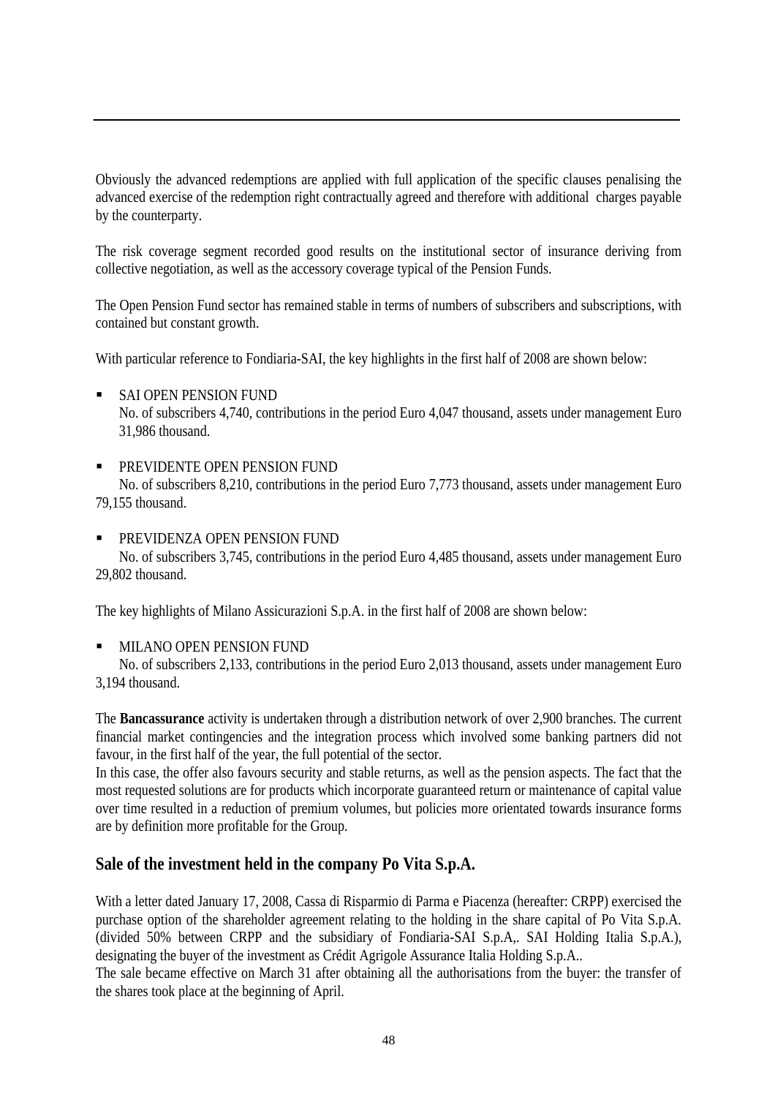Obviously the advanced redemptions are applied with full application of the specific clauses penalising the advanced exercise of the redemption right contractually agreed and therefore with additional charges payable by the counterparty.

The risk coverage segment recorded good results on the institutional sector of insurance deriving from collective negotiation, as well as the accessory coverage typical of the Pension Funds.

The Open Pension Fund sector has remained stable in terms of numbers of subscribers and subscriptions, with contained but constant growth.

With particular reference to Fondiaria-SAI, the key highlights in the first half of 2008 are shown below:

**SAI OPEN PENSION FUND** 

No. of subscribers 4,740, contributions in the period Euro 4,047 thousand, assets under management Euro 31,986 thousand.

#### **PREVIDENTE OPEN PENSION FUND**

No. of subscribers 8,210, contributions in the period Euro 7,773 thousand, assets under management Euro 79,155 thousand.

#### PREVIDENZA OPEN PENSION FUND

No. of subscribers 3,745, contributions in the period Euro 4,485 thousand, assets under management Euro 29,802 thousand.

The key highlights of Milano Assicurazioni S.p.A. in the first half of 2008 are shown below:

#### **MILANO OPEN PENSION FUND**

No. of subscribers 2,133, contributions in the period Euro 2,013 thousand, assets under management Euro 3,194 thousand.

The **Bancassurance** activity is undertaken through a distribution network of over 2,900 branches. The current financial market contingencies and the integration process which involved some banking partners did not favour, in the first half of the year, the full potential of the sector.

In this case, the offer also favours security and stable returns, as well as the pension aspects. The fact that the most requested solutions are for products which incorporate guaranteed return or maintenance of capital value over time resulted in a reduction of premium volumes, but policies more orientated towards insurance forms are by definition more profitable for the Group.

## **Sale of the investment held in the company Po Vita S.p.A.**

With a letter dated January 17, 2008, Cassa di Risparmio di Parma e Piacenza (hereafter: CRPP) exercised the purchase option of the shareholder agreement relating to the holding in the share capital of Po Vita S.p.A. (divided 50% between CRPP and the subsidiary of Fondiaria-SAI S.p.A,. SAI Holding Italia S.p.A.), designating the buyer of the investment as Crédit Agrigole Assurance Italia Holding S.p.A..

The sale became effective on March 31 after obtaining all the authorisations from the buyer: the transfer of the shares took place at the beginning of April.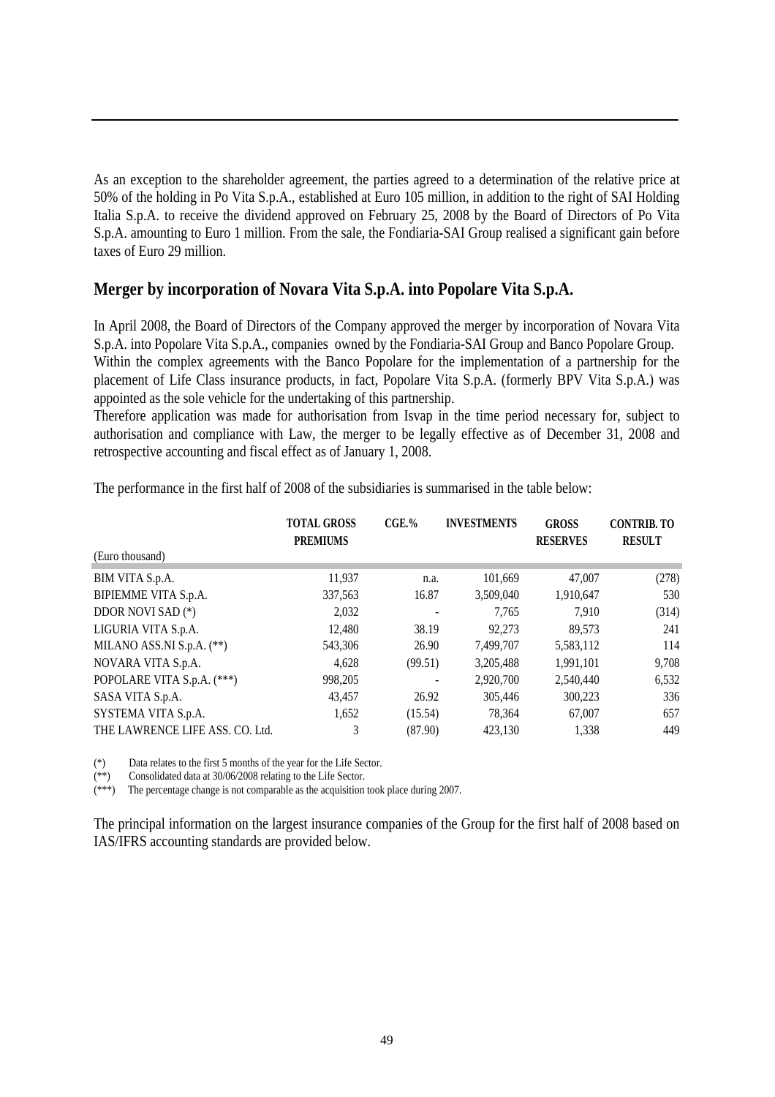As an exception to the shareholder agreement, the parties agreed to a determination of the relative price at 50% of the holding in Po Vita S.p.A., established at Euro 105 million, in addition to the right of SAI Holding Italia S.p.A. to receive the dividend approved on February 25, 2008 by the Board of Directors of Po Vita S.p.A. amounting to Euro 1 million. From the sale, the Fondiaria-SAI Group realised a significant gain before taxes of Euro 29 million.

## **Merger by incorporation of Novara Vita S.p.A. into Popolare Vita S.p.A.**

In April 2008, the Board of Directors of the Company approved the merger by incorporation of Novara Vita S.p.A. into Popolare Vita S.p.A., companies owned by the Fondiaria-SAI Group and Banco Popolare Group. Within the complex agreements with the Banco Popolare for the implementation of a partnership for the placement of Life Class insurance products, in fact, Popolare Vita S.p.A. (formerly BPV Vita S.p.A.) was appointed as the sole vehicle for the undertaking of this partnership.

Therefore application was made for authorisation from Isvap in the time period necessary for, subject to authorisation and compliance with Law, the merger to be legally effective as of December 31, 2008 and retrospective accounting and fiscal effect as of January 1, 2008.

|                                 | <b>TOTAL GROSS</b><br><b>PREMIUMS</b> | $CGE.$ % | <b>INVESTMENTS</b> | <b>GROSS</b><br><b>RESERVES</b> | <b>CONTRIB. TO</b><br><b>RESULT</b> |
|---------------------------------|---------------------------------------|----------|--------------------|---------------------------------|-------------------------------------|
| (Euro thousand)                 |                                       |          |                    |                                 |                                     |
| BIM VITA S.p.A.                 | 11,937                                | n.a.     | 101,669            | 47,007                          | (278)                               |
| BIPIEMME VITA S.p.A.            | 337,563                               | 16.87    | 3,509,040          | 1,910,647                       | 530                                 |
| DDOR NOVI SAD (*)               | 2,032                                 |          | 7.765              | 7.910                           | (314)                               |
| LIGURIA VITA S.p.A.             | 12,480                                | 38.19    | 92.273             | 89.573                          | 241                                 |
| MILANO ASS.NI S.p.A. $(**)$     | 543,306                               | 26.90    | 7.499.707          | 5,583,112                       | 114                                 |
| NOVARA VITA S.p.A.              | 4,628                                 | (99.51)  | 3,205,488          | 1,991,101                       | 9.708                               |
| POPOLARE VITA S.p.A. (***)      | 998,205                               |          | 2,920,700          | 2,540,440                       | 6,532                               |
| SASA VITA S.p.A.                | 43,457                                | 26.92    | 305,446            | 300,223                         | 336                                 |
| SYSTEMA VITA S.p.A.             | 1,652                                 | (15.54)  | 78.364             | 67,007                          | 657                                 |
| THE LAWRENCE LIFE ASS. CO. Ltd. | 3                                     | (87.90)  | 423,130            | 1,338                           | 449                                 |

The performance in the first half of 2008 of the subsidiaries is summarised in the table below:

(\*) Data relates to the first 5 months of the year for the Life Sector.

(\*\*) Consolidated data at 30/06/2008 relating to the Life Sector.

(\*\*\*) The percentage change is not comparable as the acquisition took place during 2007.

The principal information on the largest insurance companies of the Group for the first half of 2008 based on IAS/IFRS accounting standards are provided below.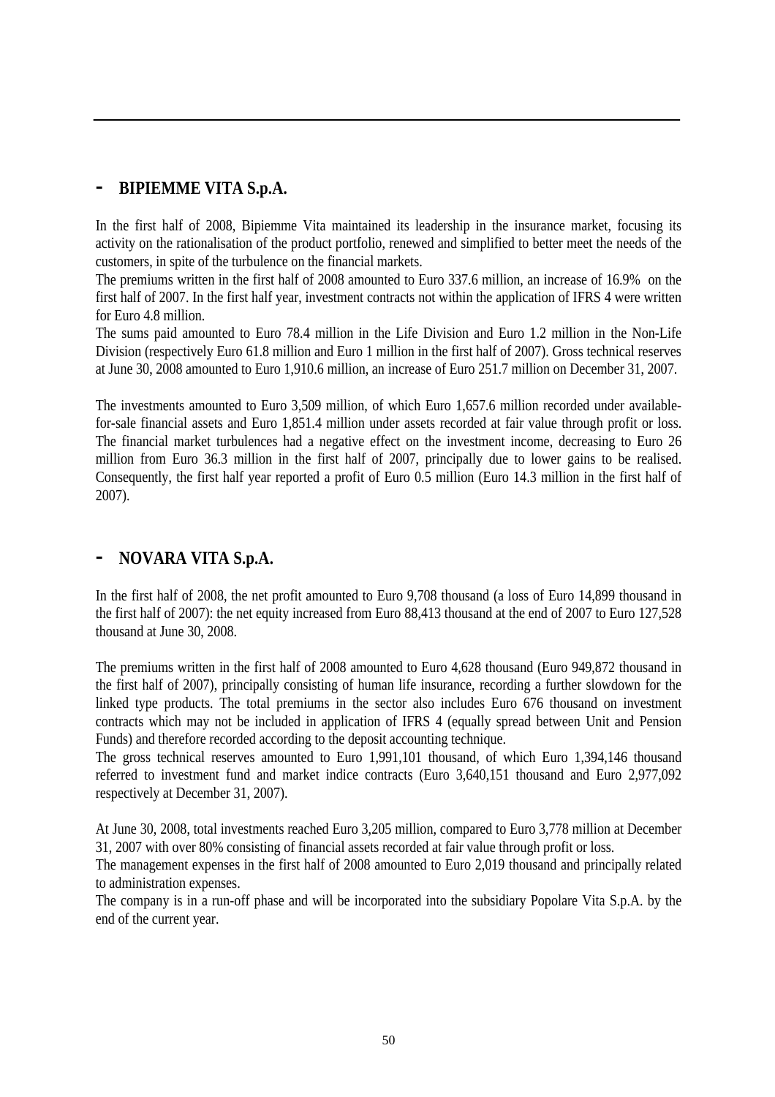## **- BIPIEMME VITA S.p.A.**

In the first half of 2008, Bipiemme Vita maintained its leadership in the insurance market, focusing its activity on the rationalisation of the product portfolio, renewed and simplified to better meet the needs of the customers, in spite of the turbulence on the financial markets.

The premiums written in the first half of 2008 amounted to Euro 337.6 million, an increase of 16.9% on the first half of 2007. In the first half year, investment contracts not within the application of IFRS 4 were written for Euro 4.8 million.

The sums paid amounted to Euro 78.4 million in the Life Division and Euro 1.2 million in the Non-Life Division (respectively Euro 61.8 million and Euro 1 million in the first half of 2007). Gross technical reserves at June 30, 2008 amounted to Euro 1,910.6 million, an increase of Euro 251.7 million on December 31, 2007.

The investments amounted to Euro 3,509 million, of which Euro 1,657.6 million recorded under availablefor-sale financial assets and Euro 1,851.4 million under assets recorded at fair value through profit or loss. The financial market turbulences had a negative effect on the investment income, decreasing to Euro 26 million from Euro 36.3 million in the first half of 2007, principally due to lower gains to be realised. Consequently, the first half year reported a profit of Euro 0.5 million (Euro 14.3 million in the first half of 2007).

## **- NOVARA VITA S.p.A.**

In the first half of 2008, the net profit amounted to Euro 9,708 thousand (a loss of Euro 14,899 thousand in the first half of 2007): the net equity increased from Euro 88,413 thousand at the end of 2007 to Euro 127,528 thousand at June 30, 2008.

The premiums written in the first half of 2008 amounted to Euro 4,628 thousand (Euro 949,872 thousand in the first half of 2007), principally consisting of human life insurance, recording a further slowdown for the linked type products. The total premiums in the sector also includes Euro 676 thousand on investment contracts which may not be included in application of IFRS 4 (equally spread between Unit and Pension Funds) and therefore recorded according to the deposit accounting technique.

The gross technical reserves amounted to Euro 1,991,101 thousand, of which Euro 1,394,146 thousand referred to investment fund and market indice contracts (Euro 3,640,151 thousand and Euro 2,977,092 respectively at December 31, 2007).

At June 30, 2008, total investments reached Euro 3,205 million, compared to Euro 3,778 million at December 31, 2007 with over 80% consisting of financial assets recorded at fair value through profit or loss.

The management expenses in the first half of 2008 amounted to Euro 2,019 thousand and principally related to administration expenses.

The company is in a run-off phase and will be incorporated into the subsidiary Popolare Vita S.p.A. by the end of the current year.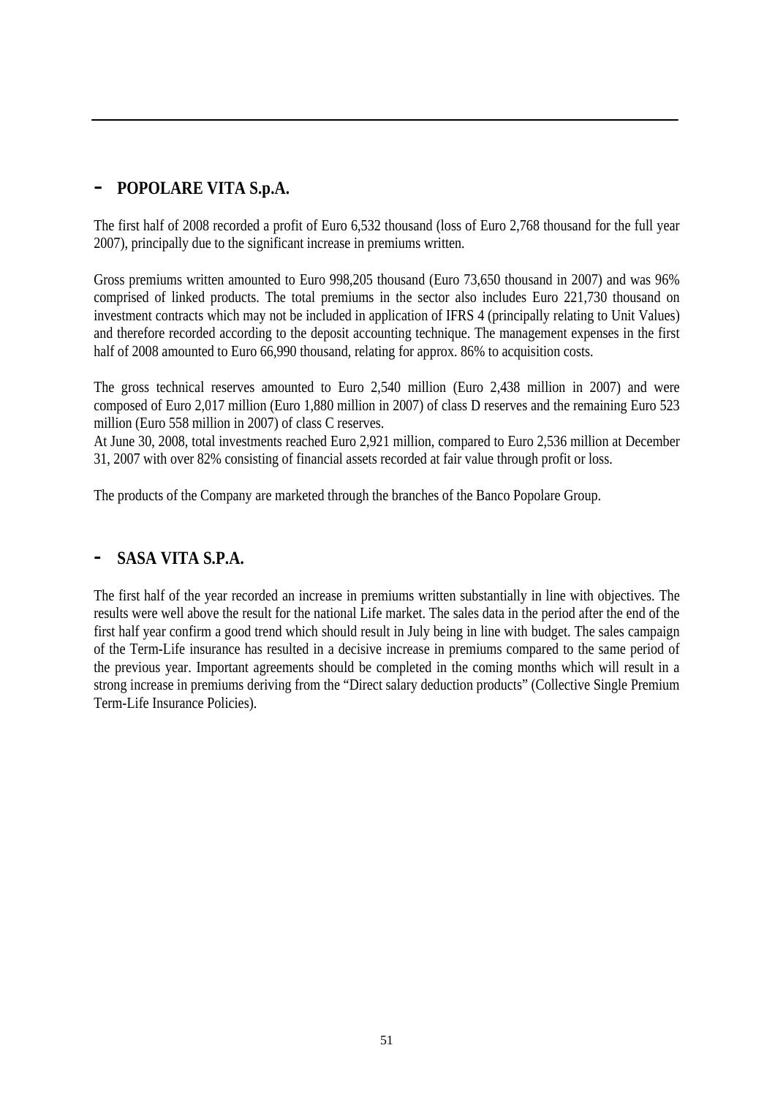# **- POPOLARE VITA S.p.A.**

The first half of 2008 recorded a profit of Euro 6,532 thousand (loss of Euro 2,768 thousand for the full year 2007), principally due to the significant increase in premiums written.

Gross premiums written amounted to Euro 998,205 thousand (Euro 73,650 thousand in 2007) and was 96% comprised of linked products. The total premiums in the sector also includes Euro 221,730 thousand on investment contracts which may not be included in application of IFRS 4 (principally relating to Unit Values) and therefore recorded according to the deposit accounting technique. The management expenses in the first half of 2008 amounted to Euro 66,990 thousand, relating for approx. 86% to acquisition costs.

The gross technical reserves amounted to Euro 2,540 million (Euro 2,438 million in 2007) and were composed of Euro 2,017 million (Euro 1,880 million in 2007) of class D reserves and the remaining Euro 523 million (Euro 558 million in 2007) of class C reserves.

At June 30, 2008, total investments reached Euro 2,921 million, compared to Euro 2,536 million at December 31, 2007 with over 82% consisting of financial assets recorded at fair value through profit or loss.

The products of the Company are marketed through the branches of the Banco Popolare Group.

## **- SASA VITA S.P.A.**

The first half of the year recorded an increase in premiums written substantially in line with objectives. The results were well above the result for the national Life market. The sales data in the period after the end of the first half year confirm a good trend which should result in July being in line with budget. The sales campaign of the Term-Life insurance has resulted in a decisive increase in premiums compared to the same period of the previous year. Important agreements should be completed in the coming months which will result in a strong increase in premiums deriving from the "Direct salary deduction products" (Collective Single Premium Term-Life Insurance Policies).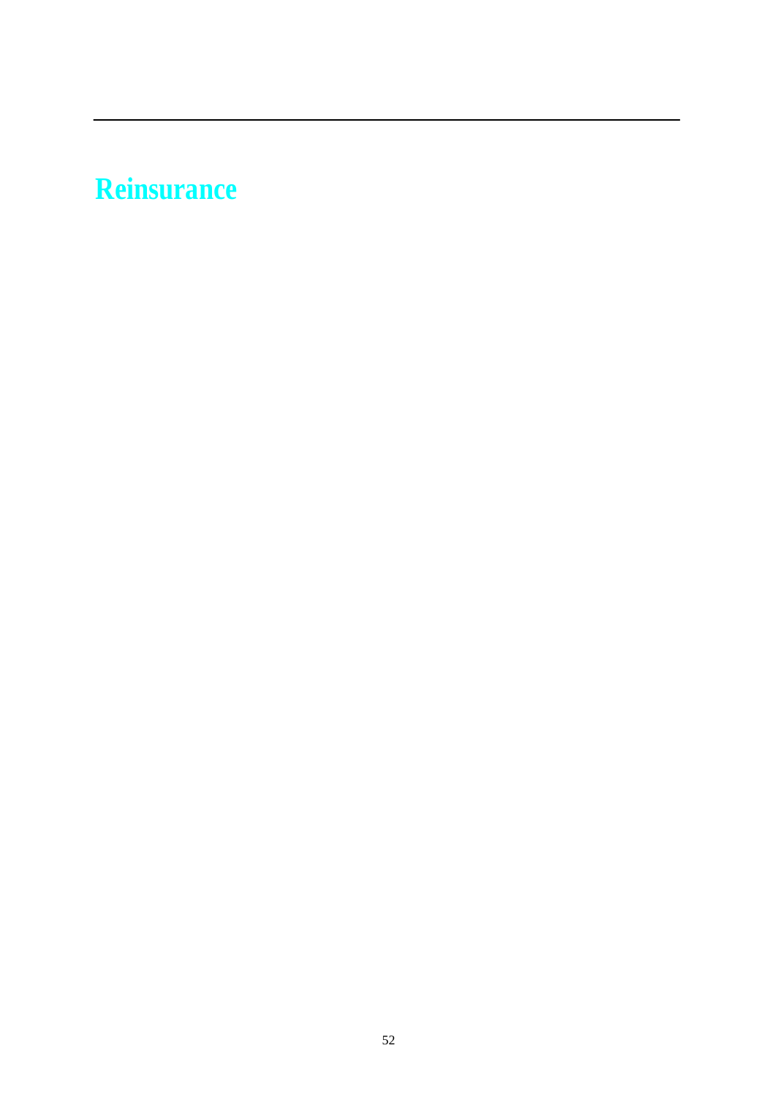# **Reinsurance**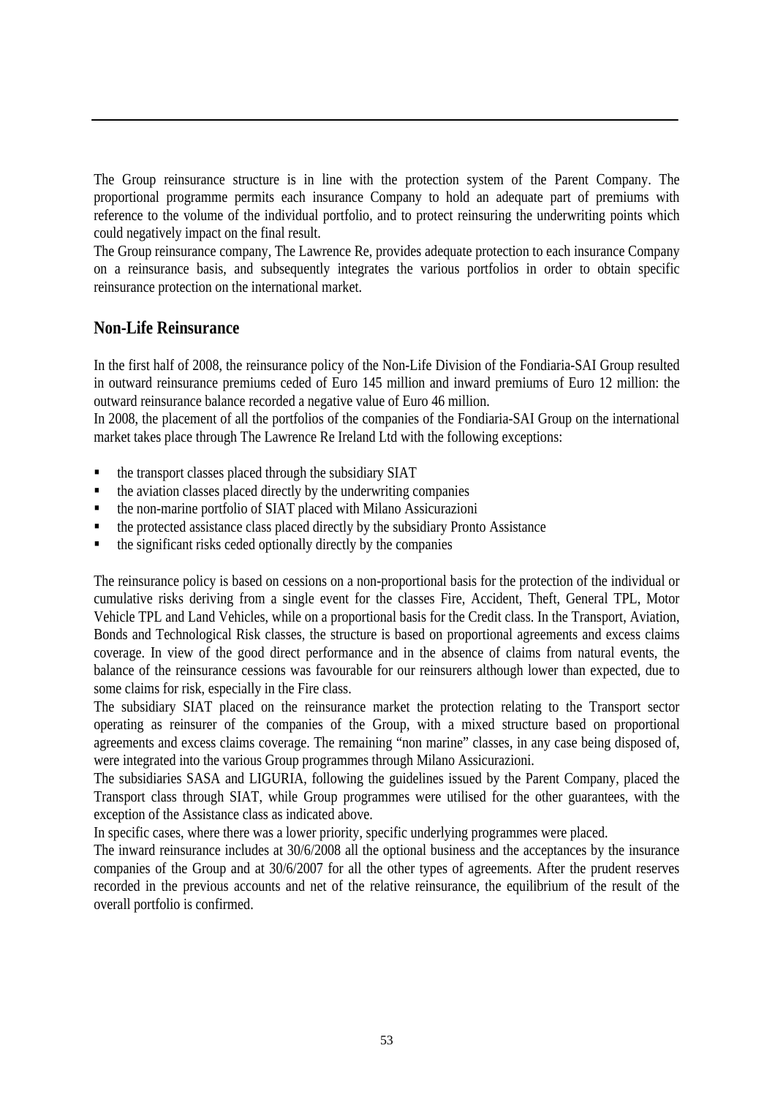The Group reinsurance structure is in line with the protection system of the Parent Company. The proportional programme permits each insurance Company to hold an adequate part of premiums with reference to the volume of the individual portfolio, and to protect reinsuring the underwriting points which could negatively impact on the final result.

The Group reinsurance company, The Lawrence Re, provides adequate protection to each insurance Company on a reinsurance basis, and subsequently integrates the various portfolios in order to obtain specific reinsurance protection on the international market.

#### **Non-Life Reinsurance**

In the first half of 2008, the reinsurance policy of the Non-Life Division of the Fondiaria-SAI Group resulted in outward reinsurance premiums ceded of Euro 145 million and inward premiums of Euro 12 million: the outward reinsurance balance recorded a negative value of Euro 46 million.

In 2008, the placement of all the portfolios of the companies of the Fondiaria-SAI Group on the international market takes place through The Lawrence Re Ireland Ltd with the following exceptions:

- the transport classes placed through the subsidiary SIAT
- the aviation classes placed directly by the underwriting companies
- the non-marine portfolio of SIAT placed with Milano Assicurazioni
- $\blacksquare$  the protected assistance class placed directly by the subsidiary Pronto Assistance
- $\blacksquare$  the significant risks ceded optionally directly by the companies

The reinsurance policy is based on cessions on a non-proportional basis for the protection of the individual or cumulative risks deriving from a single event for the classes Fire, Accident, Theft, General TPL, Motor Vehicle TPL and Land Vehicles, while on a proportional basis for the Credit class. In the Transport, Aviation, Bonds and Technological Risk classes, the structure is based on proportional agreements and excess claims coverage. In view of the good direct performance and in the absence of claims from natural events, the balance of the reinsurance cessions was favourable for our reinsurers although lower than expected, due to some claims for risk, especially in the Fire class.

The subsidiary SIAT placed on the reinsurance market the protection relating to the Transport sector operating as reinsurer of the companies of the Group, with a mixed structure based on proportional agreements and excess claims coverage. The remaining "non marine" classes, in any case being disposed of, were integrated into the various Group programmes through Milano Assicurazioni.

The subsidiaries SASA and LIGURIA, following the guidelines issued by the Parent Company, placed the Transport class through SIAT, while Group programmes were utilised for the other guarantees, with the exception of the Assistance class as indicated above.

In specific cases, where there was a lower priority, specific underlying programmes were placed.

The inward reinsurance includes at 30/6/2008 all the optional business and the acceptances by the insurance companies of the Group and at 30/6/2007 for all the other types of agreements. After the prudent reserves recorded in the previous accounts and net of the relative reinsurance, the equilibrium of the result of the overall portfolio is confirmed.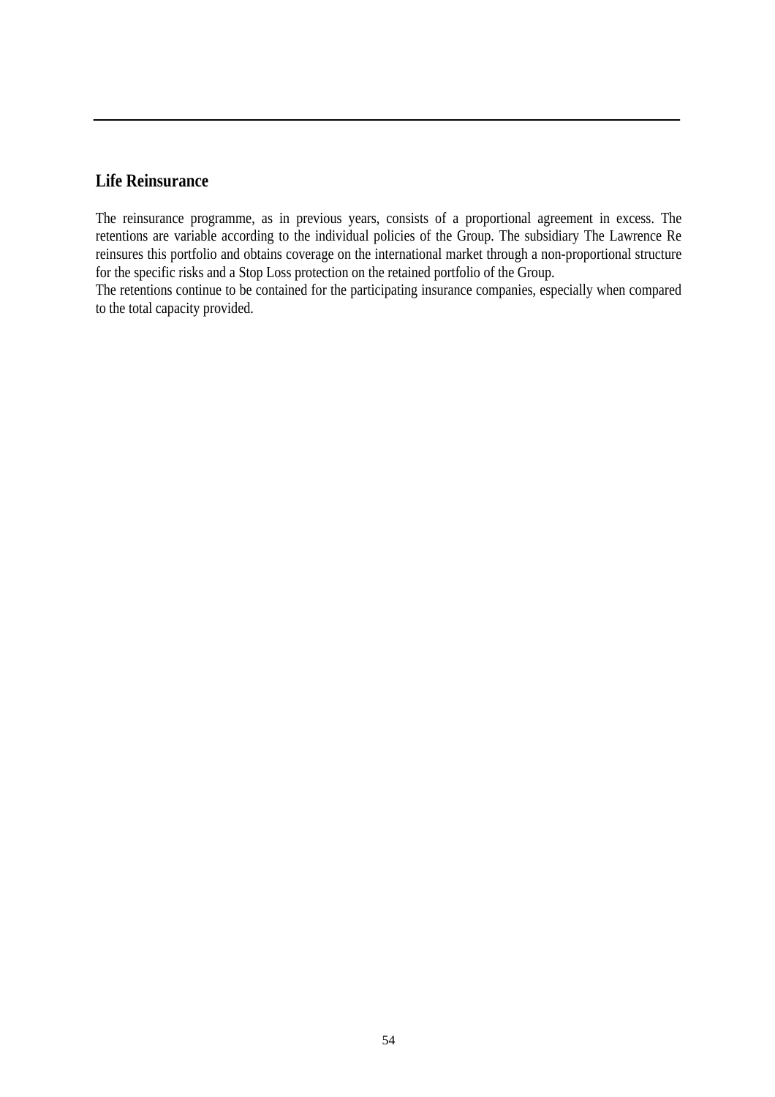#### **Life Reinsurance**

The reinsurance programme, as in previous years, consists of a proportional agreement in excess. The retentions are variable according to the individual policies of the Group. The subsidiary The Lawrence Re reinsures this portfolio and obtains coverage on the international market through a non-proportional structure for the specific risks and a Stop Loss protection on the retained portfolio of the Group.

The retentions continue to be contained for the participating insurance companies, especially when compared to the total capacity provided.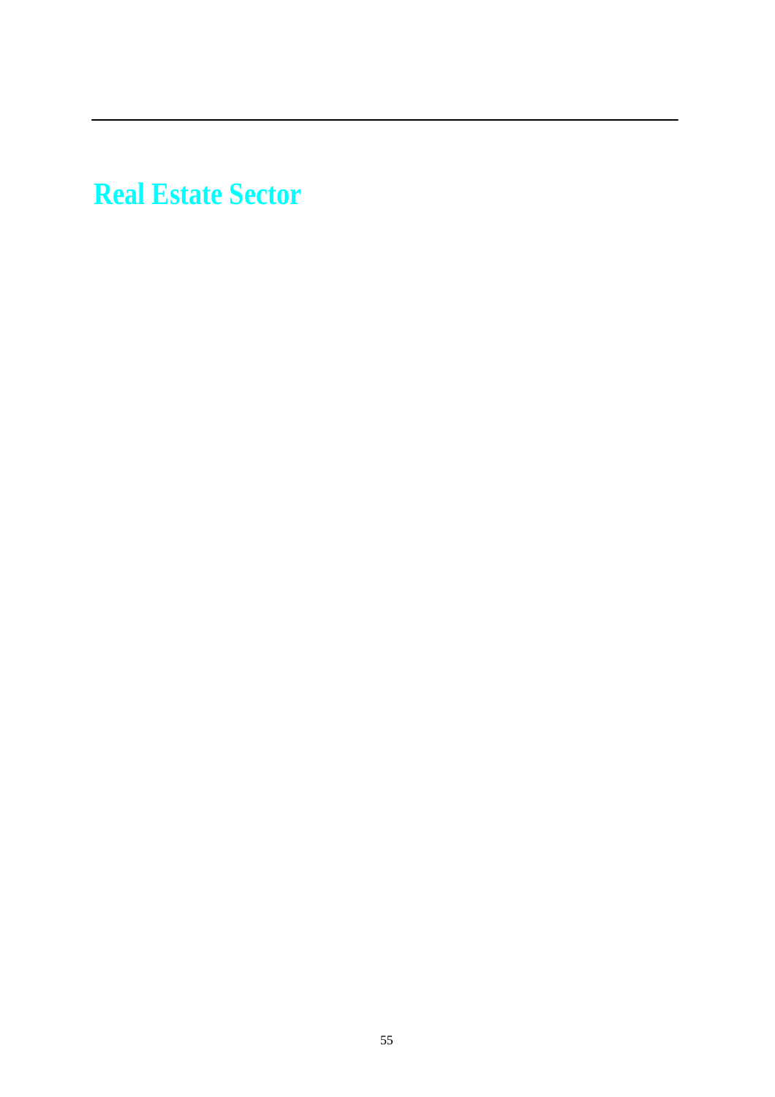**Real Estate Sector**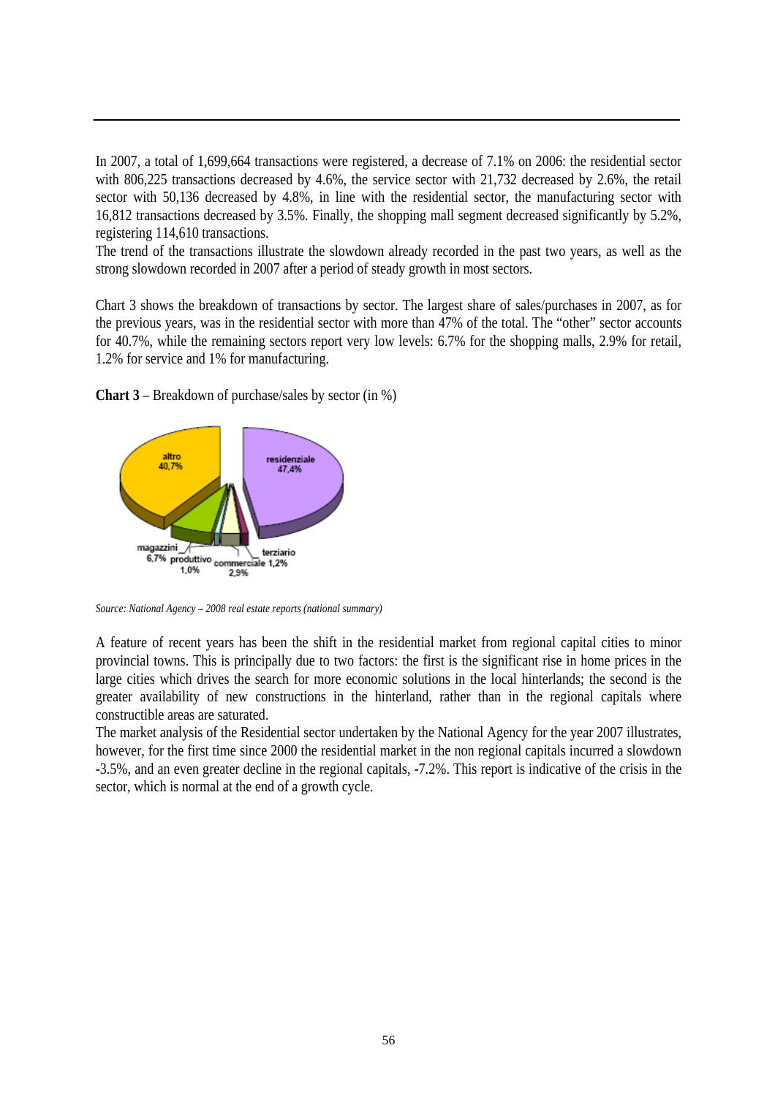In 2007, a total of 1,699,664 transactions were registered, a decrease of 7.1% on 2006: the residential sector with 806,225 transactions decreased by 4.6%, the service sector with 21,732 decreased by 2.6%, the retail sector with 50,136 decreased by 4.8%, in line with the residential sector, the manufacturing sector with 16,812 transactions decreased by 3.5%. Finally, the shopping mall segment decreased significantly by 5.2%, registering 114,610 transactions.

The trend of the transactions illustrate the slowdown already recorded in the past two years, as well as the strong slowdown recorded in 2007 after a period of steady growth in most sectors.

Chart 3 shows the breakdown of transactions by sector. The largest share of sales/purchases in 2007, as for the previous years, was in the residential sector with more than 47% of the total. The "other" sector accounts for 40.7%, while the remaining sectors report very low levels: 6.7% for the shopping malls, 2.9% for retail, 1.2% for service and 1% for manufacturing.



**Chart 3** – Breakdown of purchase/sales by sector (in %)

*Source: National Agency – 2008 real estate reports (national summary)*

A feature of recent years has been the shift in the residential market from regional capital cities to minor provincial towns. This is principally due to two factors: the first is the significant rise in home prices in the large cities which drives the search for more economic solutions in the local hinterlands; the second is the greater availability of new constructions in the hinterland, rather than in the regional capitals where constructible areas are saturated.

The market analysis of the Residential sector undertaken by the National Agency for the year 2007 illustrates, however, for the first time since 2000 the residential market in the non regional capitals incurred a slowdown -3.5%, and an even greater decline in the regional capitals, -7.2%. This report is indicative of the crisis in the sector, which is normal at the end of a growth cycle.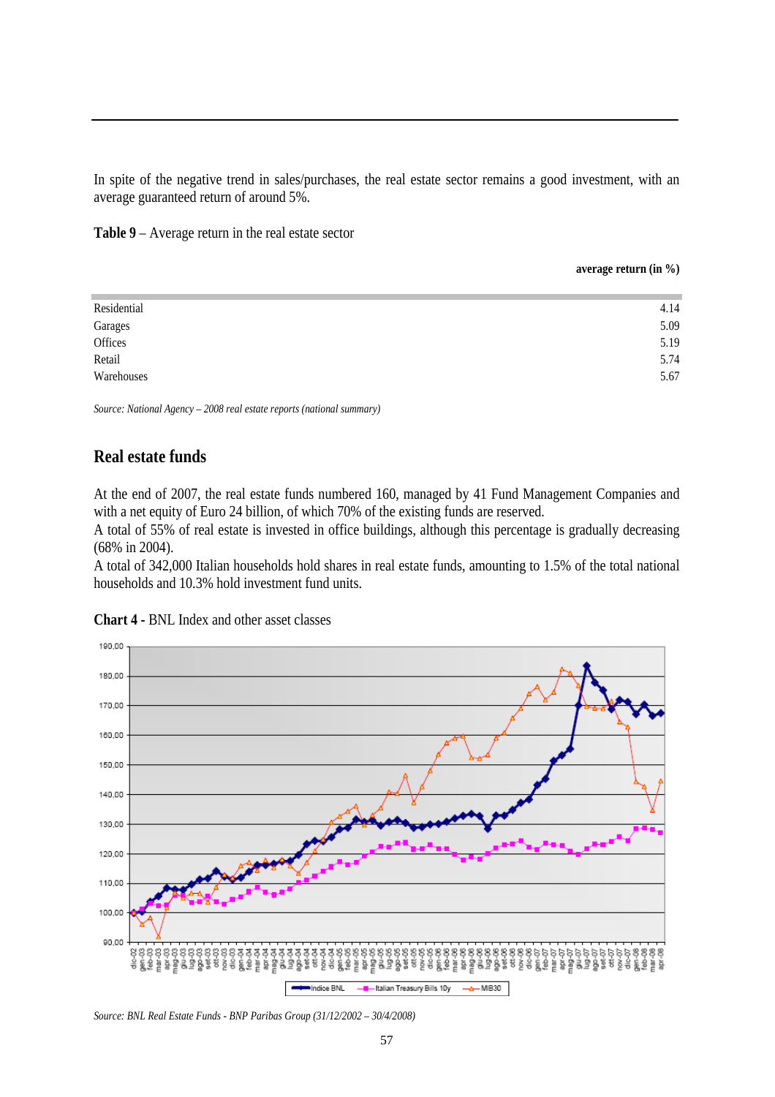In spite of the negative trend in sales/purchases, the real estate sector remains a good investment, with an average guaranteed return of around 5%.

**Table 9** – Average return in the real estate sector

**average return (in %)**

| Residential        | 4.14 |
|--------------------|------|
|                    | 5.09 |
| Garages<br>Offices | 5.19 |
| Retail             | 5.74 |
| Warehouses         | 5.67 |
|                    |      |

*Source: National Agency – 2008 real estate reports (national summary)*

#### **Real estate funds**

At the end of 2007, the real estate funds numbered 160, managed by 41 Fund Management Companies and with a net equity of Euro 24 billion, of which 70% of the existing funds are reserved.

A total of 55% of real estate is invested in office buildings, although this percentage is gradually decreasing (68% in 2004).

A total of 342,000 Italian households hold shares in real estate funds, amounting to 1.5% of the total national households and 10.3% hold investment fund units.



**Chart 4 -** BNL Index and other asset classes

*Source: BNL Real Estate Funds - BNP Paribas Group (31/12/2002 – 30/4/2008)*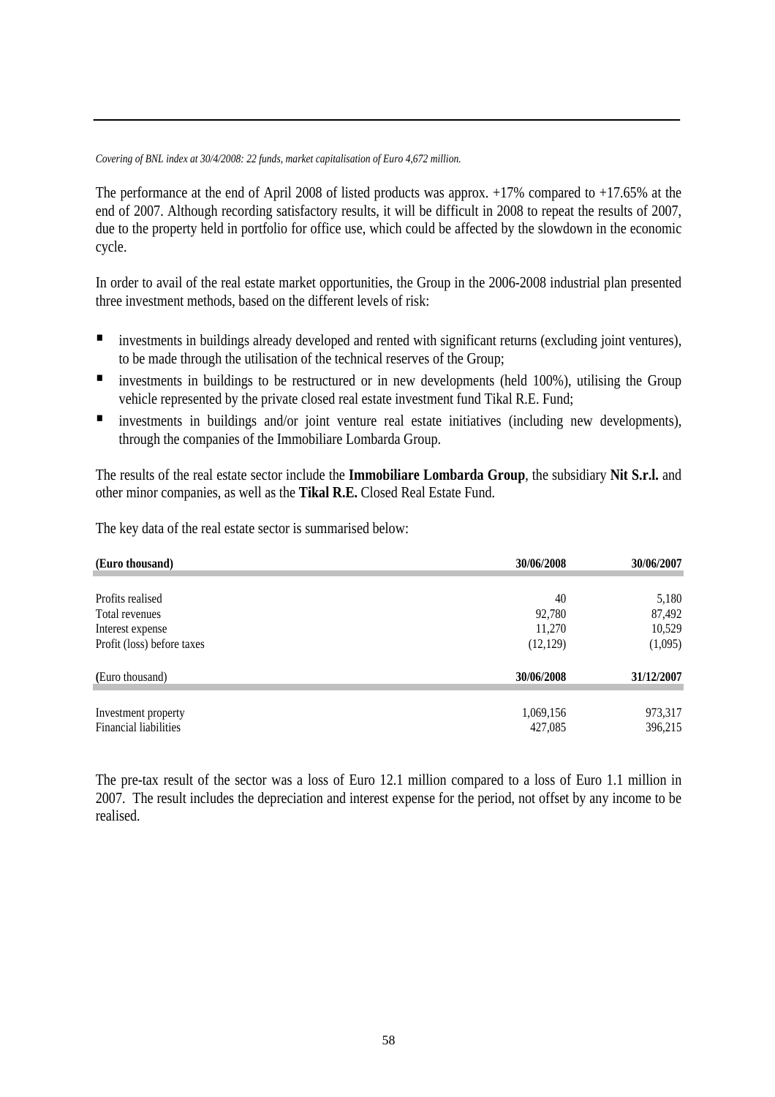*Covering of BNL index at 30/4/2008: 22 funds, market capitalisation of Euro 4,672 million.*

The performance at the end of April 2008 of listed products was approx. +17% compared to +17.65% at the end of 2007. Although recording satisfactory results, it will be difficult in 2008 to repeat the results of 2007, due to the property held in portfolio for office use, which could be affected by the slowdown in the economic cycle.

In order to avail of the real estate market opportunities, the Group in the 2006-2008 industrial plan presented three investment methods, based on the different levels of risk:

- **Investments in buildings already developed and rented with significant returns (excluding joint ventures),** to be made through the utilisation of the technical reserves of the Group;
- **I** investments in buildings to be restructured or in new developments (held 100%), utilising the Group vehicle represented by the private closed real estate investment fund Tikal R.E. Fund;
- investments in buildings and/or joint venture real estate initiatives (including new developments), through the companies of the Immobiliare Lombarda Group.

The results of the real estate sector include the **Immobiliare Lombarda Group**, the subsidiary **Nit S.r.l.** and other minor companies, as well as the **Tikal R.E.** Closed Real Estate Fund.

The key data of the real estate sector is summarised below:

| (Euro thousand)              | 30/06/2008 | 30/06/2007 |
|------------------------------|------------|------------|
|                              |            |            |
| Profits realised             | 40         | 5,180      |
| Total revenues               | 92,780     | 87,492     |
| Interest expense             | 11,270     | 10,529     |
| Profit (loss) before taxes   | (12, 129)  | (1,095)    |
| (Euro thousand)              | 30/06/2008 | 31/12/2007 |
| Investment property          | 1,069,156  | 973,317    |
| <b>Financial liabilities</b> | 427,085    | 396,215    |

The pre-tax result of the sector was a loss of Euro 12.1 million compared to a loss of Euro 1.1 million in 2007. The result includes the depreciation and interest expense for the period, not offset by any income to be realised.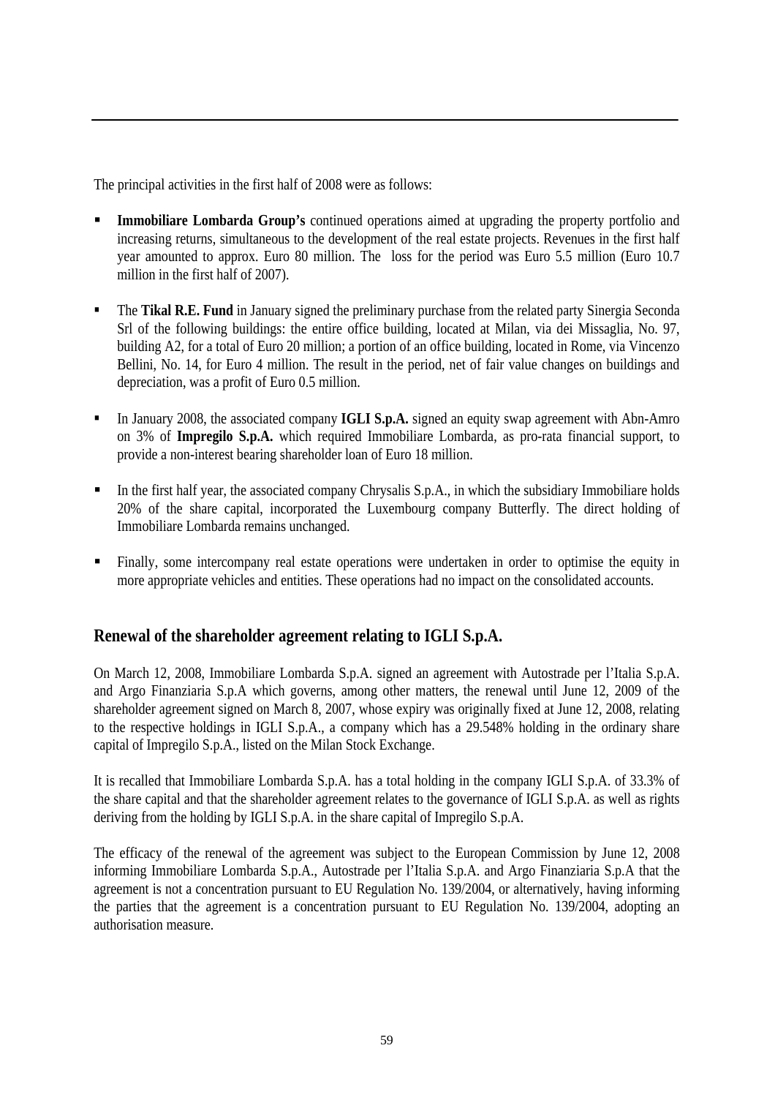The principal activities in the first half of 2008 were as follows:

- **Immobiliare Lombarda Group's** continued operations aimed at upgrading the property portfolio and increasing returns, simultaneous to the development of the real estate projects. Revenues in the first half year amounted to approx. Euro 80 million. The loss for the period was Euro 5.5 million (Euro 10.7 million in the first half of 2007).
- **The Tikal R.E. Fund** in January signed the preliminary purchase from the related party Sinergia Seconda Srl of the following buildings: the entire office building, located at Milan, via dei Missaglia, No. 97, building A2, for a total of Euro 20 million; a portion of an office building, located in Rome, via Vincenzo Bellini, No. 14, for Euro 4 million. The result in the period, net of fair value changes on buildings and depreciation, was a profit of Euro 0.5 million.
- In January 2008, the associated company **IGLI S.p.A.** signed an equity swap agreement with Abn-Amro on 3% of **Impregilo S.p.A.** which required Immobiliare Lombarda, as pro-rata financial support, to provide a non-interest bearing shareholder loan of Euro 18 million.
- In the first half year, the associated company Chrysalis S.p.A., in which the subsidiary Immobiliare holds 20% of the share capital, incorporated the Luxembourg company Butterfly. The direct holding of Immobiliare Lombarda remains unchanged.
- Finally, some intercompany real estate operations were undertaken in order to optimise the equity in more appropriate vehicles and entities. These operations had no impact on the consolidated accounts.

## **Renewal of the shareholder agreement relating to IGLI S.p.A.**

On March 12, 2008, Immobiliare Lombarda S.p.A. signed an agreement with Autostrade per l'Italia S.p.A. and Argo Finanziaria S.p.A which governs, among other matters, the renewal until June 12, 2009 of the shareholder agreement signed on March 8, 2007, whose expiry was originally fixed at June 12, 2008, relating to the respective holdings in IGLI S.p.A., a company which has a 29.548% holding in the ordinary share capital of Impregilo S.p.A., listed on the Milan Stock Exchange.

It is recalled that Immobiliare Lombarda S.p.A. has a total holding in the company IGLI S.p.A. of 33.3% of the share capital and that the shareholder agreement relates to the governance of IGLI S.p.A. as well as rights deriving from the holding by IGLI S.p.A. in the share capital of Impregilo S.p.A.

The efficacy of the renewal of the agreement was subject to the European Commission by June 12, 2008 informing Immobiliare Lombarda S.p.A., Autostrade per l'Italia S.p.A. and Argo Finanziaria S.p.A that the agreement is not a concentration pursuant to EU Regulation No. 139/2004, or alternatively, having informing the parties that the agreement is a concentration pursuant to EU Regulation No. 139/2004, adopting an authorisation measure.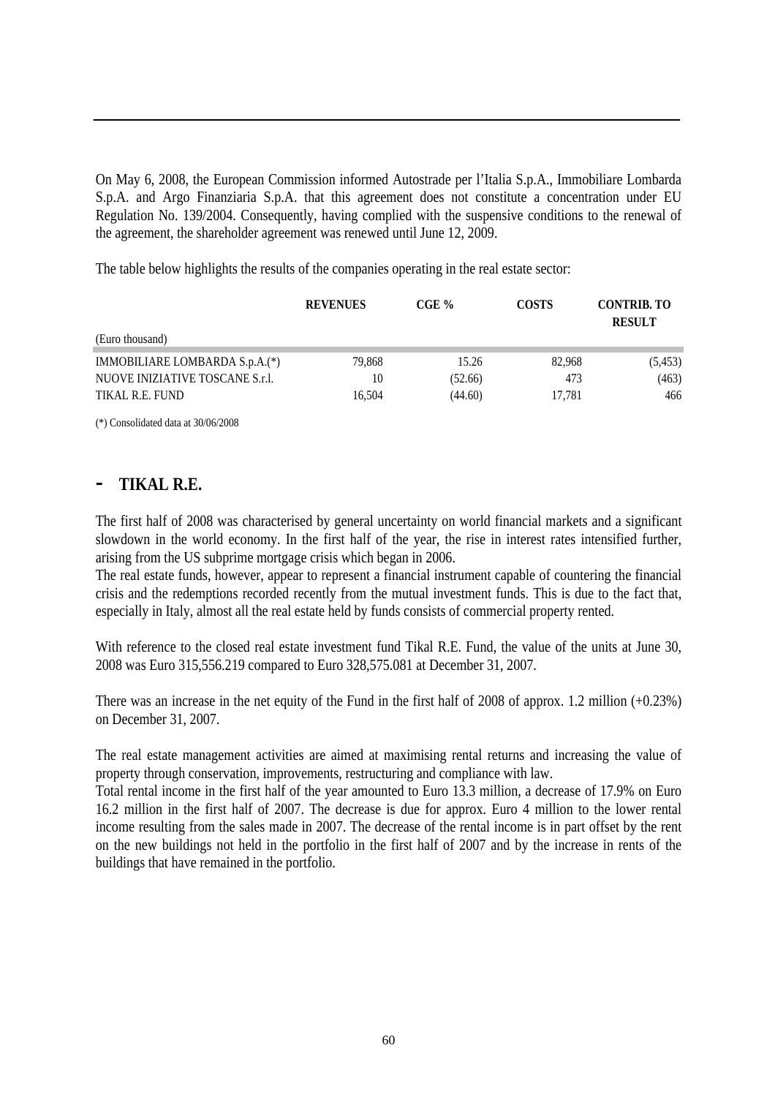On May 6, 2008, the European Commission informed Autostrade per l'Italia S.p.A., Immobiliare Lombarda S.p.A. and Argo Finanziaria S.p.A. that this agreement does not constitute a concentration under EU Regulation No. 139/2004. Consequently, having complied with the suspensive conditions to the renewal of the agreement, the shareholder agreement was renewed until June 12, 2009.

The table below highlights the results of the companies operating in the real estate sector:

|                                 | <b>REVENUES</b> | CGE%    | <b>COSTS</b> | <b>CONTRIB. TO</b><br><b>RESULT</b> |
|---------------------------------|-----------------|---------|--------------|-------------------------------------|
| (Euro thousand)                 |                 |         |              |                                     |
| IMMOBILIARE LOMBARDA S.p.A.(*)  | 79.868          | 15.26   | 82.968       | (5, 453)                            |
| NUOVE INIZIATIVE TOSCANE S.r.l. | 10              | (52.66) | 473          | (463)                               |
| TIKAL R.E. FUND                 | 16.504          | (44.60) | 17,781       | 466                                 |

(\*) Consolidated data at 30/06/2008

## **- TIKAL R.E.**

The first half of 2008 was characterised by general uncertainty on world financial markets and a significant slowdown in the world economy. In the first half of the year, the rise in interest rates intensified further, arising from the US subprime mortgage crisis which began in 2006.

The real estate funds, however, appear to represent a financial instrument capable of countering the financial crisis and the redemptions recorded recently from the mutual investment funds. This is due to the fact that, especially in Italy, almost all the real estate held by funds consists of commercial property rented.

With reference to the closed real estate investment fund Tikal R.E. Fund, the value of the units at June 30, 2008 was Euro 315,556.219 compared to Euro 328,575.081 at December 31, 2007.

There was an increase in the net equity of the Fund in the first half of 2008 of approx. 1.2 million (+0.23%) on December 31, 2007.

The real estate management activities are aimed at maximising rental returns and increasing the value of property through conservation, improvements, restructuring and compliance with law.

Total rental income in the first half of the year amounted to Euro 13.3 million, a decrease of 17.9% on Euro 16.2 million in the first half of 2007. The decrease is due for approx. Euro 4 million to the lower rental income resulting from the sales made in 2007. The decrease of the rental income is in part offset by the rent on the new buildings not held in the portfolio in the first half of 2007 and by the increase in rents of the buildings that have remained in the portfolio.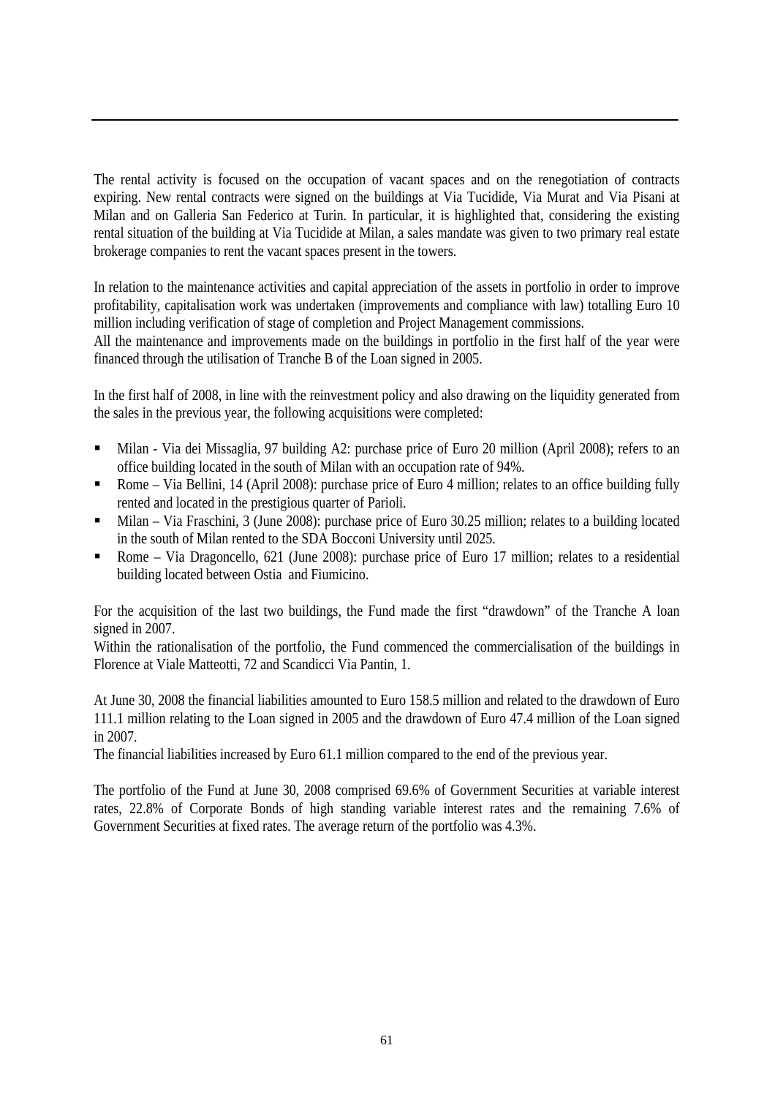The rental activity is focused on the occupation of vacant spaces and on the renegotiation of contracts expiring. New rental contracts were signed on the buildings at Via Tucidide, Via Murat and Via Pisani at Milan and on Galleria San Federico at Turin. In particular, it is highlighted that, considering the existing rental situation of the building at Via Tucidide at Milan, a sales mandate was given to two primary real estate brokerage companies to rent the vacant spaces present in the towers.

In relation to the maintenance activities and capital appreciation of the assets in portfolio in order to improve profitability, capitalisation work was undertaken (improvements and compliance with law) totalling Euro 10 million including verification of stage of completion and Project Management commissions.

All the maintenance and improvements made on the buildings in portfolio in the first half of the year were financed through the utilisation of Tranche B of the Loan signed in 2005.

In the first half of 2008, in line with the reinvestment policy and also drawing on the liquidity generated from the sales in the previous year, the following acquisitions were completed:

- Milan Via dei Missaglia, 97 building A2: purchase price of Euro 20 million (April 2008); refers to an office building located in the south of Milan with an occupation rate of 94%.
- Rome Via Bellini, 14 (April 2008): purchase price of Euro 4 million; relates to an office building fully rented and located in the prestigious quarter of Parioli.
- Milan Via Fraschini, 3 (June 2008): purchase price of Euro 30.25 million; relates to a building located in the south of Milan rented to the SDA Bocconi University until 2025.
- Rome Via Dragoncello, 621 (June 2008): purchase price of Euro 17 million; relates to a residential building located between Ostia and Fiumicino.

For the acquisition of the last two buildings, the Fund made the first "drawdown" of the Tranche A loan signed in 2007.

Within the rationalisation of the portfolio, the Fund commenced the commercialisation of the buildings in Florence at Viale Matteotti, 72 and Scandicci Via Pantin, 1.

At June 30, 2008 the financial liabilities amounted to Euro 158.5 million and related to the drawdown of Euro 111.1 million relating to the Loan signed in 2005 and the drawdown of Euro 47.4 million of the Loan signed in 2007.

The financial liabilities increased by Euro 61.1 million compared to the end of the previous year.

The portfolio of the Fund at June 30, 2008 comprised 69.6% of Government Securities at variable interest rates, 22.8% of Corporate Bonds of high standing variable interest rates and the remaining 7.6% of Government Securities at fixed rates. The average return of the portfolio was 4.3%.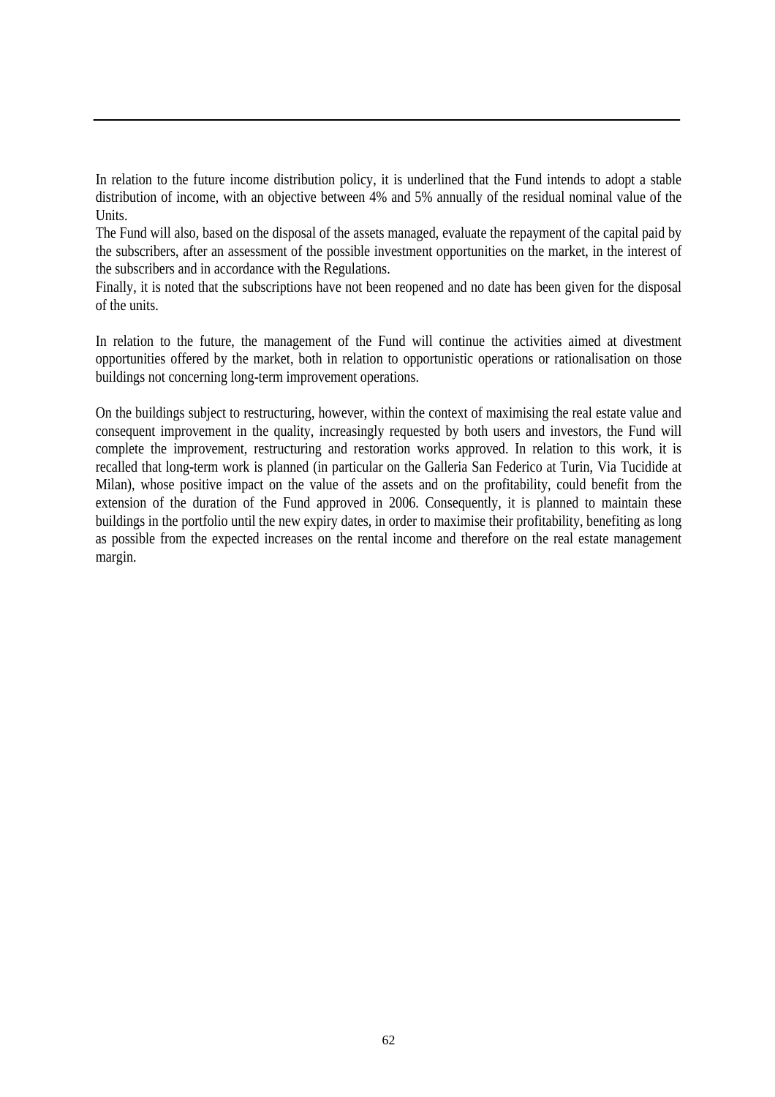In relation to the future income distribution policy, it is underlined that the Fund intends to adopt a stable distribution of income, with an objective between 4% and 5% annually of the residual nominal value of the Units.

The Fund will also, based on the disposal of the assets managed, evaluate the repayment of the capital paid by the subscribers, after an assessment of the possible investment opportunities on the market, in the interest of the subscribers and in accordance with the Regulations.

Finally, it is noted that the subscriptions have not been reopened and no date has been given for the disposal of the units.

In relation to the future, the management of the Fund will continue the activities aimed at divestment opportunities offered by the market, both in relation to opportunistic operations or rationalisation on those buildings not concerning long-term improvement operations.

On the buildings subject to restructuring, however, within the context of maximising the real estate value and consequent improvement in the quality, increasingly requested by both users and investors, the Fund will complete the improvement, restructuring and restoration works approved. In relation to this work, it is recalled that long-term work is planned (in particular on the Galleria San Federico at Turin, Via Tucidide at Milan), whose positive impact on the value of the assets and on the profitability, could benefit from the extension of the duration of the Fund approved in 2006. Consequently, it is planned to maintain these buildings in the portfolio until the new expiry dates, in order to maximise their profitability, benefiting as long as possible from the expected increases on the rental income and therefore on the real estate management margin.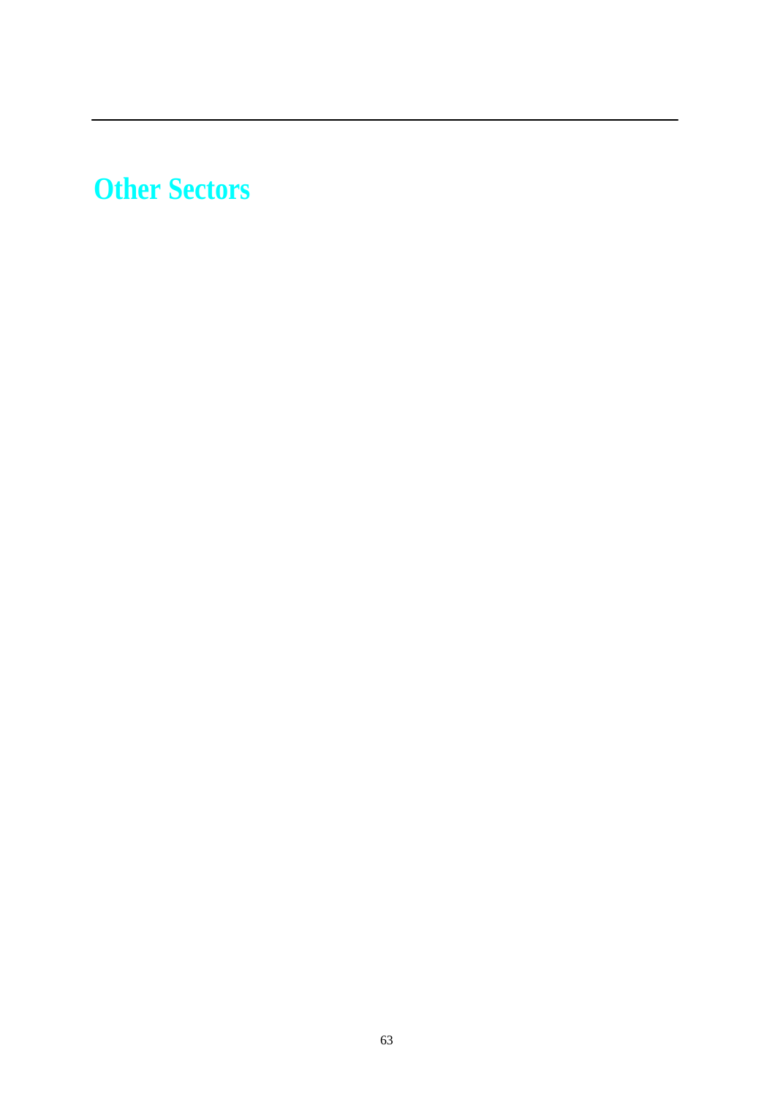# **Other Sectors**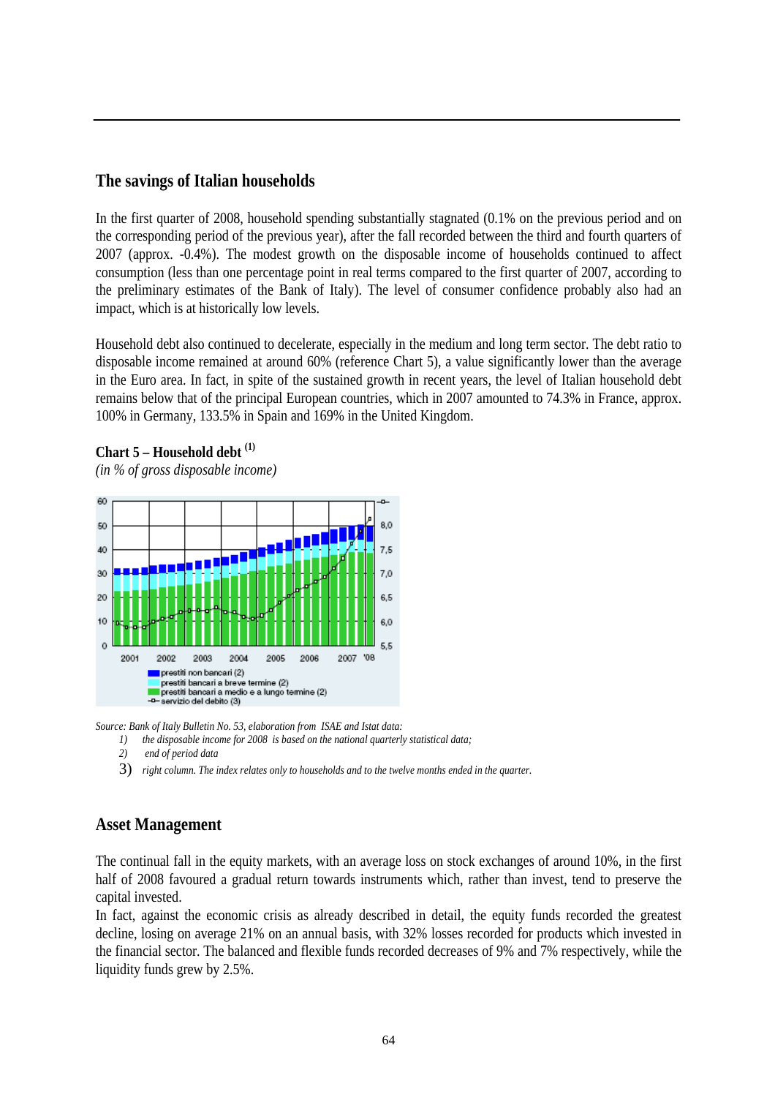#### **The savings of Italian households**

In the first quarter of 2008, household spending substantially stagnated (0.1% on the previous period and on the corresponding period of the previous year), after the fall recorded between the third and fourth quarters of 2007 (approx. -0.4%). The modest growth on the disposable income of households continued to affect consumption (less than one percentage point in real terms compared to the first quarter of 2007, according to the preliminary estimates of the Bank of Italy). The level of consumer confidence probably also had an impact, which is at historically low levels.

Household debt also continued to decelerate, especially in the medium and long term sector. The debt ratio to disposable income remained at around 60% (reference Chart 5), a value significantly lower than the average in the Euro area. In fact, in spite of the sustained growth in recent years, the level of Italian household debt remains below that of the principal European countries, which in 2007 amounted to 74.3% in France, approx. 100% in Germany, 133.5% in Spain and 169% in the United Kingdom.

#### **Chart 5 – Household debt (1)**

*(in % of gross disposable income)* 



*Source: Bank of Italy Bulletin No. 53, elaboration from ISAE and Istat data:*

- *1) the disposable income for 2008 is based on the national quarterly statistical data;*
- *2) end of period data*
- 3) *right column. The index relates only to households and to the twelve months ended in the quarter.*

#### **Asset Management**

The continual fall in the equity markets, with an average loss on stock exchanges of around 10%, in the first half of 2008 favoured a gradual return towards instruments which, rather than invest, tend to preserve the capital invested.

In fact, against the economic crisis as already described in detail, the equity funds recorded the greatest decline, losing on average 21% on an annual basis, with 32% losses recorded for products which invested in the financial sector. The balanced and flexible funds recorded decreases of 9% and 7% respectively, while the liquidity funds grew by 2.5%.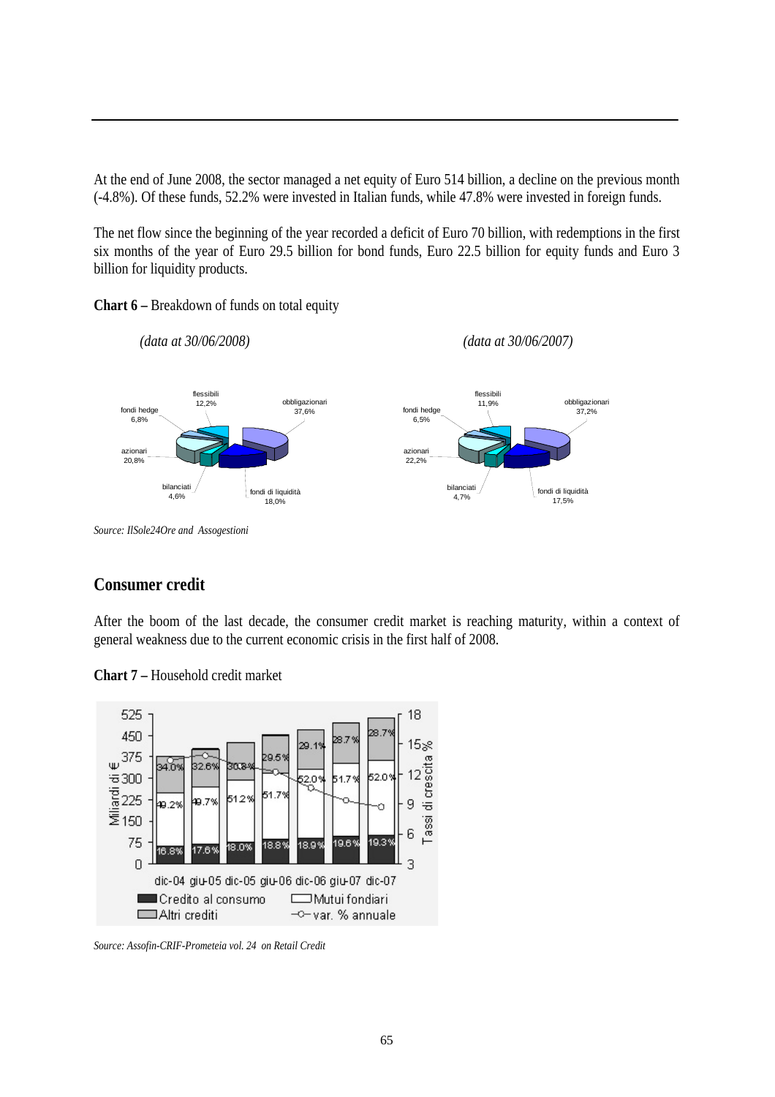At the end of June 2008, the sector managed a net equity of Euro 514 billion, a decline on the previous month (-4.8%). Of these funds, 52.2% were invested in Italian funds, while 47.8% were invested in foreign funds.

The net flow since the beginning of the year recorded a deficit of Euro 70 billion, with redemptions in the first six months of the year of Euro 29.5 billion for bond funds, Euro 22.5 billion for equity funds and Euro 3 billion for liquidity products.





*Source: IlSole24Ore and Assogestioni*

#### **Consumer credit**

After the boom of the last decade, the consumer credit market is reaching maturity, within a context of general weakness due to the current economic crisis in the first half of 2008.

**Chart 7 –** Household credit market



*Source: Assofin-CRIF-Prometeia vol. 24 on Retail Credit*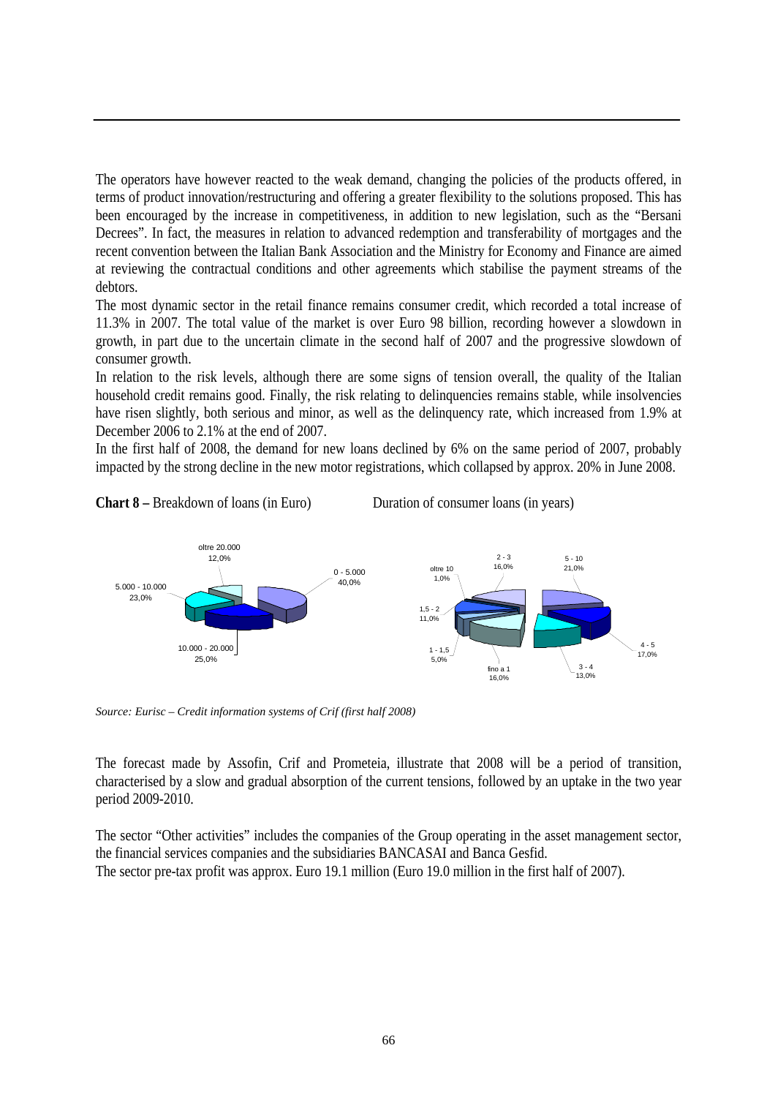The operators have however reacted to the weak demand, changing the policies of the products offered, in terms of product innovation/restructuring and offering a greater flexibility to the solutions proposed. This has been encouraged by the increase in competitiveness, in addition to new legislation, such as the "Bersani Decrees". In fact, the measures in relation to advanced redemption and transferability of mortgages and the recent convention between the Italian Bank Association and the Ministry for Economy and Finance are aimed at reviewing the contractual conditions and other agreements which stabilise the payment streams of the debtors.

The most dynamic sector in the retail finance remains consumer credit, which recorded a total increase of 11.3% in 2007. The total value of the market is over Euro 98 billion, recording however a slowdown in growth, in part due to the uncertain climate in the second half of 2007 and the progressive slowdown of consumer growth.

In relation to the risk levels, although there are some signs of tension overall, the quality of the Italian household credit remains good. Finally, the risk relating to delinquencies remains stable, while insolvencies have risen slightly, both serious and minor, as well as the delinquency rate, which increased from 1.9% at December 2006 to 2.1% at the end of 2007.

In the first half of 2008, the demand for new loans declined by 6% on the same period of 2007, probably impacted by the strong decline in the new motor registrations, which collapsed by approx. 20% in June 2008.





*Source: Eurisc – Credit information systems of Crif (first half 2008)*

The forecast made by Assofin, Crif and Prometeia, illustrate that 2008 will be a period of transition, characterised by a slow and gradual absorption of the current tensions, followed by an uptake in the two year period 2009-2010.

The sector "Other activities" includes the companies of the Group operating in the asset management sector, the financial services companies and the subsidiaries BANCASAI and Banca Gesfid. The sector pre-tax profit was approx. Euro 19.1 million (Euro 19.0 million in the first half of 2007).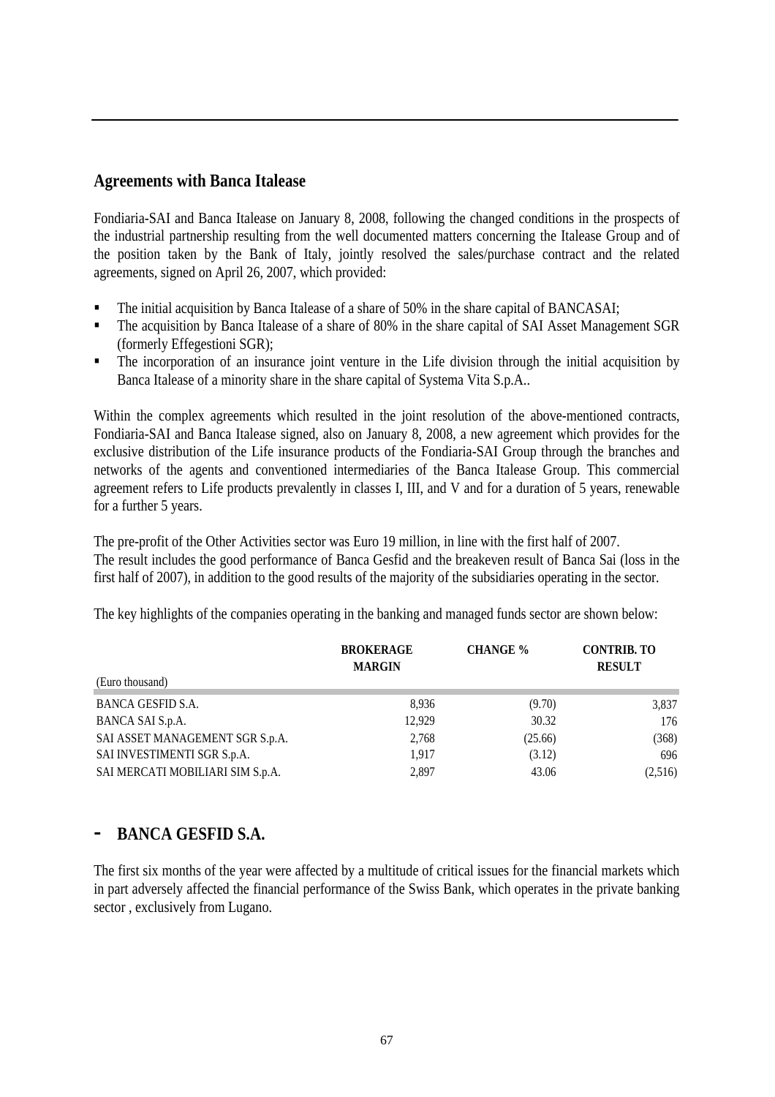#### **Agreements with Banca Italease**

Fondiaria-SAI and Banca Italease on January 8, 2008, following the changed conditions in the prospects of the industrial partnership resulting from the well documented matters concerning the Italease Group and of the position taken by the Bank of Italy, jointly resolved the sales/purchase contract and the related agreements, signed on April 26, 2007, which provided:

- The initial acquisition by Banca Italease of a share of 50% in the share capital of BANCASAI;
- The acquisition by Banca Italease of a share of 80% in the share capital of SAI Asset Management SGR (formerly Effegestioni SGR);
- The incorporation of an insurance joint venture in the Life division through the initial acquisition by Banca Italease of a minority share in the share capital of Systema Vita S.p.A..

Within the complex agreements which resulted in the joint resolution of the above-mentioned contracts, Fondiaria-SAI and Banca Italease signed, also on January 8, 2008, a new agreement which provides for the exclusive distribution of the Life insurance products of the Fondiaria-SAI Group through the branches and networks of the agents and conventioned intermediaries of the Banca Italease Group. This commercial agreement refers to Life products prevalently in classes I, III, and V and for a duration of 5 years, renewable for a further 5 years.

The pre-profit of the Other Activities sector was Euro 19 million, in line with the first half of 2007. The result includes the good performance of Banca Gesfid and the breakeven result of Banca Sai (loss in the first half of 2007), in addition to the good results of the majority of the subsidiaries operating in the sector.

|                                  | <b>BROKERAGE</b><br><b>MARGIN</b> | <b>CHANGE</b> % | <b>CONTRIB. TO</b><br><b>RESULT</b> |
|----------------------------------|-----------------------------------|-----------------|-------------------------------------|
| (Euro thousand)                  |                                   |                 |                                     |
| BANCA GESFID S.A.                | 8,936                             | (9.70)          | 3,837                               |
| BANCA SAI S.p.A.                 | 12,929                            | 30.32           | 176                                 |
| SAI ASSET MANAGEMENT SGR S.p.A.  | 2,768                             | (25.66)         | (368)                               |
| SAI INVESTIMENTI SGR S.p.A.      | 1,917                             | (3.12)          | 696                                 |
| SAI MERCATI MOBILIARI SIM S.p.A. | 2,897                             | 43.06           | (2,516)                             |

The key highlights of the companies operating in the banking and managed funds sector are shown below:

## **- BANCA GESFID S.A.**

The first six months of the year were affected by a multitude of critical issues for the financial markets which in part adversely affected the financial performance of the Swiss Bank, which operates in the private banking sector , exclusively from Lugano.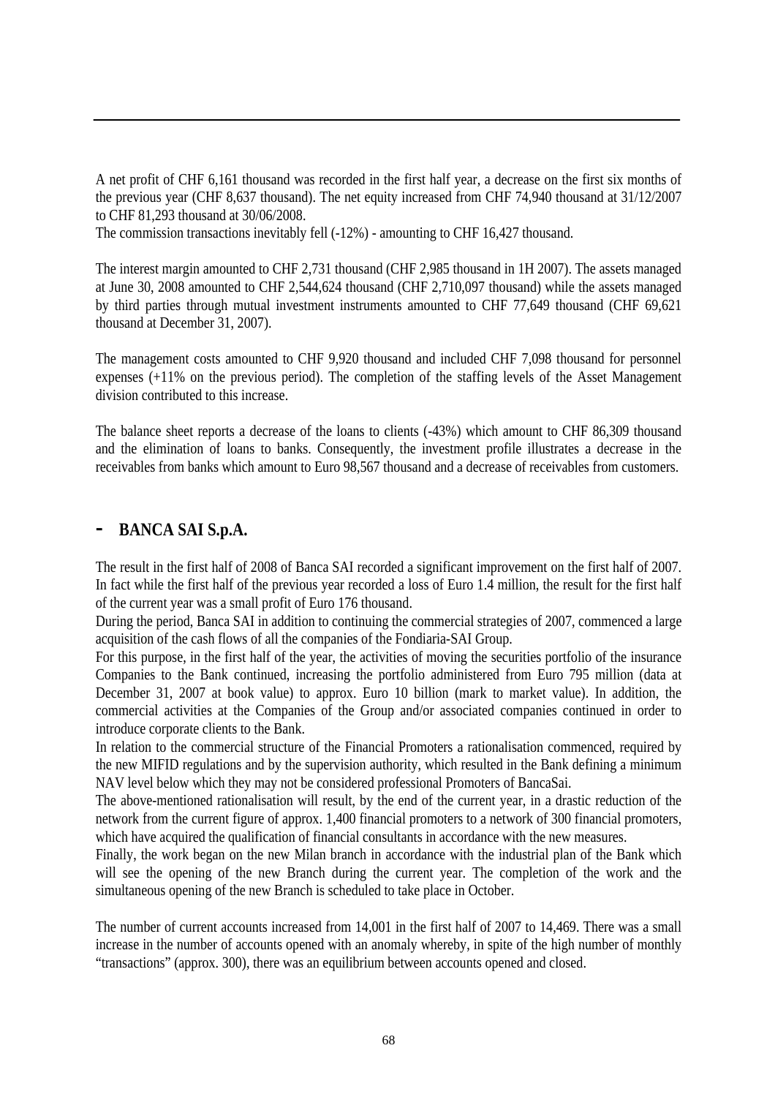A net profit of CHF 6,161 thousand was recorded in the first half year, a decrease on the first six months of the previous year (CHF 8,637 thousand). The net equity increased from CHF 74,940 thousand at 31/12/2007 to CHF 81,293 thousand at 30/06/2008.

The commission transactions inevitably fell (-12%) - amounting to CHF 16,427 thousand.

The interest margin amounted to CHF 2,731 thousand (CHF 2,985 thousand in 1H 2007). The assets managed at June 30, 2008 amounted to CHF 2,544,624 thousand (CHF 2,710,097 thousand) while the assets managed by third parties through mutual investment instruments amounted to CHF 77,649 thousand (CHF 69,621 thousand at December 31, 2007).

The management costs amounted to CHF 9,920 thousand and included CHF 7,098 thousand for personnel expenses (+11% on the previous period). The completion of the staffing levels of the Asset Management division contributed to this increase.

The balance sheet reports a decrease of the loans to clients (-43%) which amount to CHF 86,309 thousand and the elimination of loans to banks. Consequently, the investment profile illustrates a decrease in the receivables from banks which amount to Euro 98,567 thousand and a decrease of receivables from customers.

# **- BANCA SAI S.p.A.**

The result in the first half of 2008 of Banca SAI recorded a significant improvement on the first half of 2007. In fact while the first half of the previous year recorded a loss of Euro 1.4 million, the result for the first half of the current year was a small profit of Euro 176 thousand.

During the period, Banca SAI in addition to continuing the commercial strategies of 2007, commenced a large acquisition of the cash flows of all the companies of the Fondiaria-SAI Group.

For this purpose, in the first half of the year, the activities of moving the securities portfolio of the insurance Companies to the Bank continued, increasing the portfolio administered from Euro 795 million (data at December 31, 2007 at book value) to approx. Euro 10 billion (mark to market value). In addition, the commercial activities at the Companies of the Group and/or associated companies continued in order to introduce corporate clients to the Bank.

In relation to the commercial structure of the Financial Promoters a rationalisation commenced, required by the new MIFID regulations and by the supervision authority, which resulted in the Bank defining a minimum NAV level below which they may not be considered professional Promoters of BancaSai.

The above-mentioned rationalisation will result, by the end of the current year, in a drastic reduction of the network from the current figure of approx. 1,400 financial promoters to a network of 300 financial promoters, which have acquired the qualification of financial consultants in accordance with the new measures.

Finally, the work began on the new Milan branch in accordance with the industrial plan of the Bank which will see the opening of the new Branch during the current year. The completion of the work and the simultaneous opening of the new Branch is scheduled to take place in October.

The number of current accounts increased from 14,001 in the first half of 2007 to 14,469. There was a small increase in the number of accounts opened with an anomaly whereby, in spite of the high number of monthly "transactions" (approx. 300), there was an equilibrium between accounts opened and closed.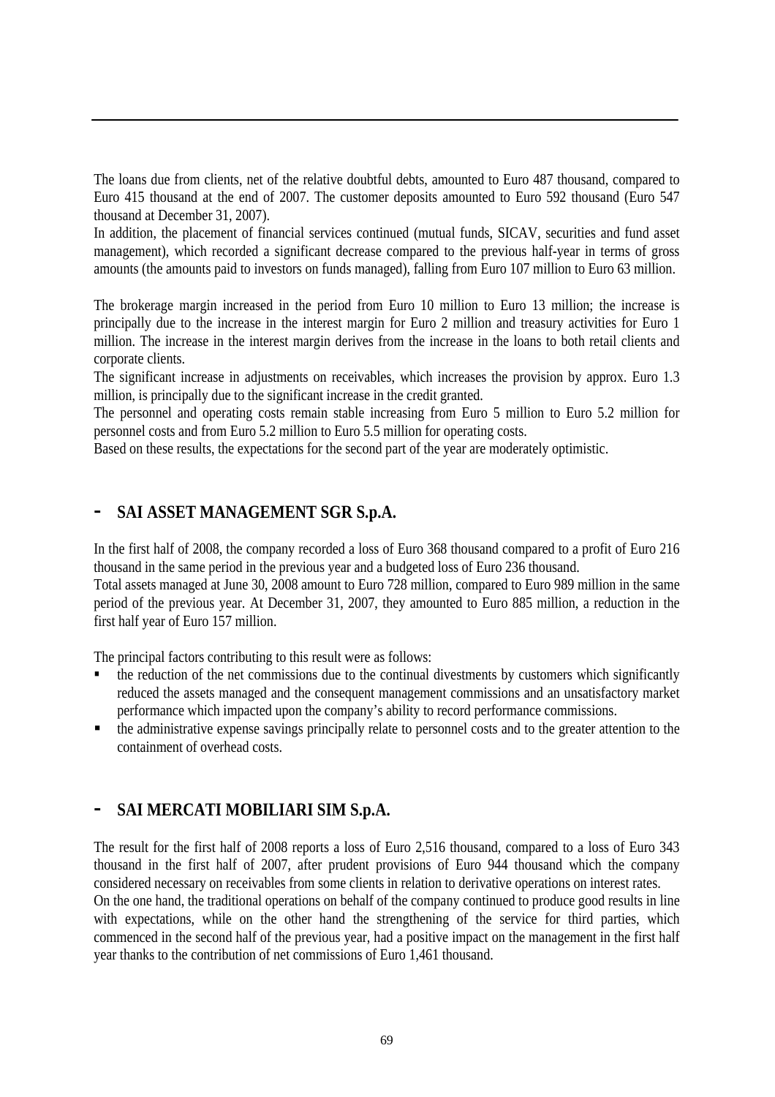The loans due from clients, net of the relative doubtful debts, amounted to Euro 487 thousand, compared to Euro 415 thousand at the end of 2007. The customer deposits amounted to Euro 592 thousand (Euro 547 thousand at December 31, 2007).

In addition, the placement of financial services continued (mutual funds, SICAV, securities and fund asset management), which recorded a significant decrease compared to the previous half-year in terms of gross amounts (the amounts paid to investors on funds managed), falling from Euro 107 million to Euro 63 million.

The brokerage margin increased in the period from Euro 10 million to Euro 13 million; the increase is principally due to the increase in the interest margin for Euro 2 million and treasury activities for Euro 1 million. The increase in the interest margin derives from the increase in the loans to both retail clients and corporate clients.

The significant increase in adjustments on receivables, which increases the provision by approx. Euro 1.3 million, is principally due to the significant increase in the credit granted.

The personnel and operating costs remain stable increasing from Euro 5 million to Euro 5.2 million for personnel costs and from Euro 5.2 million to Euro 5.5 million for operating costs.

Based on these results, the expectations for the second part of the year are moderately optimistic.

#### **- SAI ASSET MANAGEMENT SGR S.p.A.**

In the first half of 2008, the company recorded a loss of Euro 368 thousand compared to a profit of Euro 216 thousand in the same period in the previous year and a budgeted loss of Euro 236 thousand. Total assets managed at June 30, 2008 amount to Euro 728 million, compared to Euro 989 million in the same

period of the previous year. At December 31, 2007, they amounted to Euro 885 million, a reduction in the first half year of Euro 157 million.

The principal factors contributing to this result were as follows:

- the reduction of the net commissions due to the continual divestments by customers which significantly reduced the assets managed and the consequent management commissions and an unsatisfactory market performance which impacted upon the company's ability to record performance commissions.
- the administrative expense savings principally relate to personnel costs and to the greater attention to the containment of overhead costs.

## **- SAI MERCATI MOBILIARI SIM S.p.A.**

The result for the first half of 2008 reports a loss of Euro 2,516 thousand, compared to a loss of Euro 343 thousand in the first half of 2007, after prudent provisions of Euro 944 thousand which the company considered necessary on receivables from some clients in relation to derivative operations on interest rates. On the one hand, the traditional operations on behalf of the company continued to produce good results in line with expectations, while on the other hand the strengthening of the service for third parties, which commenced in the second half of the previous year, had a positive impact on the management in the first half year thanks to the contribution of net commissions of Euro 1,461 thousand.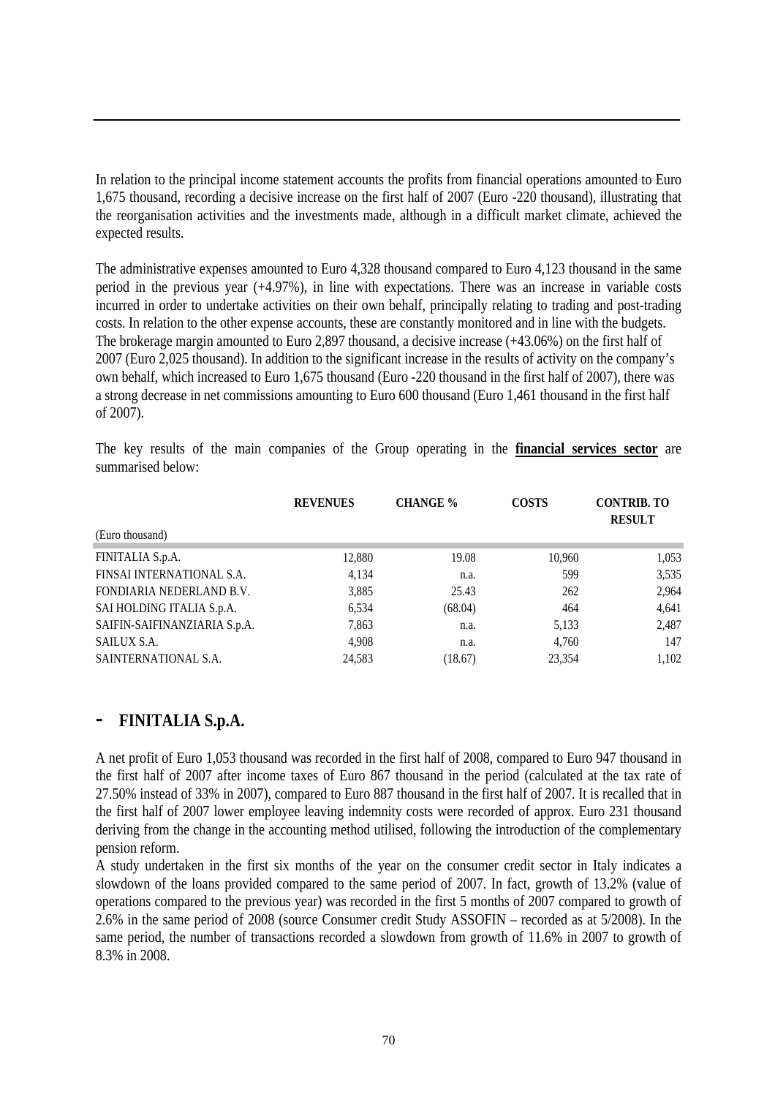In relation to the principal income statement accounts the profits from financial operations amounted to Euro 1,675 thousand, recording a decisive increase on the first half of 2007 (Euro -220 thousand), illustrating that the reorganisation activities and the investments made, although in a difficult market climate, achieved the expected results.

The administrative expenses amounted to Euro 4,328 thousand compared to Euro 4,123 thousand in the same period in the previous year (+4.97%), in line with expectations. There was an increase in variable costs incurred in order to undertake activities on their own behalf, principally relating to trading and post-trading costs. In relation to the other expense accounts, these are constantly monitored and in line with the budgets. The brokerage margin amounted to Euro 2,897 thousand, a decisive increase (+43.06%) on the first half of 2007 (Euro 2,025 thousand). In addition to the significant increase in the results of activity on the company's own behalf, which increased to Euro 1,675 thousand (Euro -220 thousand in the first half of 2007), there was a strong decrease in net commissions amounting to Euro 600 thousand (Euro 1,461 thousand in the first half of 2007).

The key results of the main companies of the Group operating in the **financial services sector** are summarised below:

|                              | <b>REVENUES</b> | <b>CHANGE</b> % | <b>COSTS</b> | <b>CONTRIB. TO</b><br><b>RESULT</b> |
|------------------------------|-----------------|-----------------|--------------|-------------------------------------|
| (Euro thousand)              |                 |                 |              |                                     |
| FINITALIA S.p.A.             | 12,880          | 19.08           | 10,960       | 1,053                               |
| FINSAI INTERNATIONAL S.A.    | 4,134           | n.a.            | 599          | 3,535                               |
| FONDIARIA NEDERLAND B.V.     | 3,885           | 25.43           | 262          | 2,964                               |
| SAI HOLDING ITALIA S.p.A.    | 6,534           | (68.04)         | 464          | 4,641                               |
| SAIFIN-SAIFINANZIARIA S.p.A. | 7,863           | n.a.            | 5,133        | 2,487                               |
| SAILUX S.A.                  | 4,908           | n.a.            | 4,760        | 147                                 |
| SAINTERNATIONAL S.A.         | 24.583          | (18.67)         | 23.354       | 1.102                               |

#### **- FINITALIA S.p.A.**

A net profit of Euro 1,053 thousand was recorded in the first half of 2008, compared to Euro 947 thousand in the first half of 2007 after income taxes of Euro 867 thousand in the period (calculated at the tax rate of 27.50% instead of 33% in 2007), compared to Euro 887 thousand in the first half of 2007. It is recalled that in the first half of 2007 lower employee leaving indemnity costs were recorded of approx. Euro 231 thousand deriving from the change in the accounting method utilised, following the introduction of the complementary pension reform.

A study undertaken in the first six months of the year on the consumer credit sector in Italy indicates a slowdown of the loans provided compared to the same period of 2007. In fact, growth of 13.2% (value of operations compared to the previous year) was recorded in the first 5 months of 2007 compared to growth of 2.6% in the same period of 2008 (source Consumer credit Study ASSOFIN – recorded as at 5/2008). In the same period, the number of transactions recorded a slowdown from growth of 11.6% in 2007 to growth of 8.3% in 2008.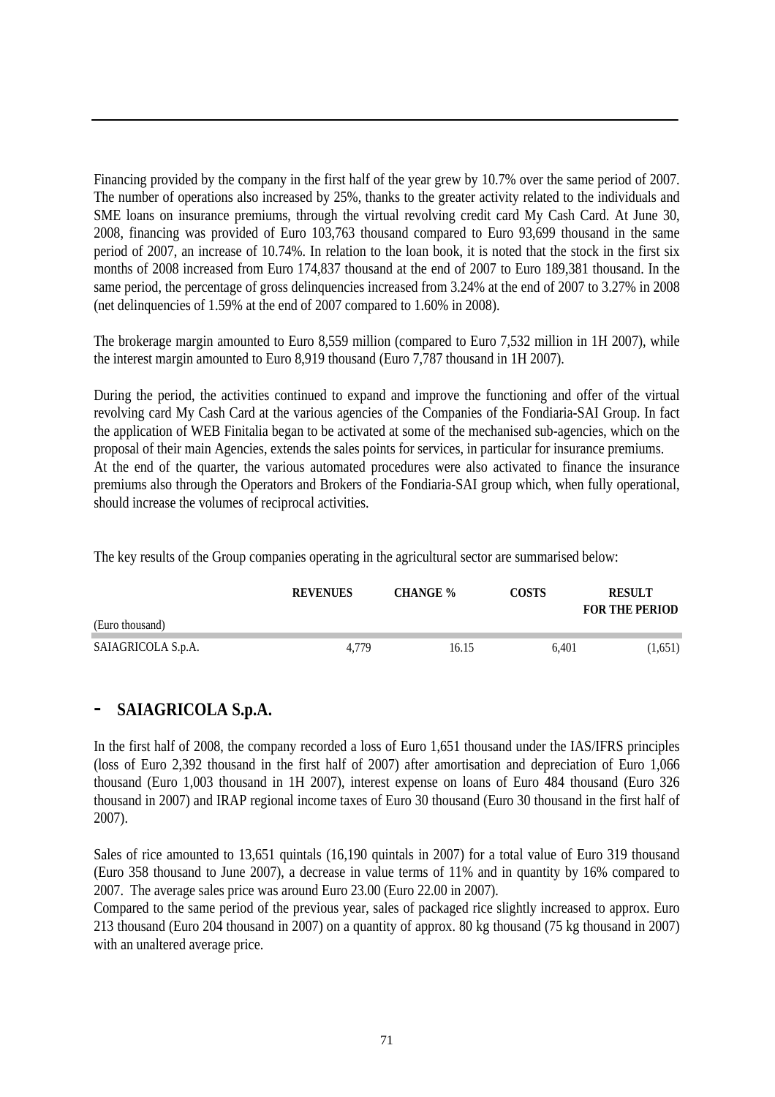Financing provided by the company in the first half of the year grew by 10.7% over the same period of 2007. The number of operations also increased by 25%, thanks to the greater activity related to the individuals and SME loans on insurance premiums, through the virtual revolving credit card My Cash Card. At June 30, 2008, financing was provided of Euro 103,763 thousand compared to Euro 93,699 thousand in the same period of 2007, an increase of 10.74%. In relation to the loan book, it is noted that the stock in the first six months of 2008 increased from Euro 174,837 thousand at the end of 2007 to Euro 189,381 thousand. In the same period, the percentage of gross delinquencies increased from 3.24% at the end of 2007 to 3.27% in 2008 (net delinquencies of 1.59% at the end of 2007 compared to 1.60% in 2008).

The brokerage margin amounted to Euro 8,559 million (compared to Euro 7,532 million in 1H 2007), while the interest margin amounted to Euro 8,919 thousand (Euro 7,787 thousand in 1H 2007).

During the period, the activities continued to expand and improve the functioning and offer of the virtual revolving card My Cash Card at the various agencies of the Companies of the Fondiaria-SAI Group. In fact the application of WEB Finitalia began to be activated at some of the mechanised sub-agencies, which on the proposal of their main Agencies, extends the sales points for services, in particular for insurance premiums. At the end of the quarter, the various automated procedures were also activated to finance the insurance premiums also through the Operators and Brokers of the Fondiaria-SAI group which, when fully operational, should increase the volumes of reciprocal activities.

The key results of the Group companies operating in the agricultural sector are summarised below:

|                    | <b>REVENUES</b> | <b>CHANGE</b> % | COSTS | <b>RESULT</b><br><b>FOR THE PERIOD</b> |
|--------------------|-----------------|-----------------|-------|----------------------------------------|
| (Euro thousand)    |                 |                 |       |                                        |
| SAIAGRICOLA S.p.A. | 4.779           | 16.15           | 6.401 | (1,651)                                |

#### **- SAIAGRICOLA S.p.A.**

In the first half of 2008, the company recorded a loss of Euro 1,651 thousand under the IAS/IFRS principles (loss of Euro 2,392 thousand in the first half of 2007) after amortisation and depreciation of Euro 1,066 thousand (Euro 1,003 thousand in 1H 2007), interest expense on loans of Euro 484 thousand (Euro 326 thousand in 2007) and IRAP regional income taxes of Euro 30 thousand (Euro 30 thousand in the first half of 2007).

Sales of rice amounted to 13,651 quintals (16,190 quintals in 2007) for a total value of Euro 319 thousand (Euro 358 thousand to June 2007), a decrease in value terms of 11% and in quantity by 16% compared to 2007. The average sales price was around Euro 23.00 (Euro 22.00 in 2007).

Compared to the same period of the previous year, sales of packaged rice slightly increased to approx. Euro 213 thousand (Euro 204 thousand in 2007) on a quantity of approx. 80 kg thousand (75 kg thousand in 2007) with an unaltered average price.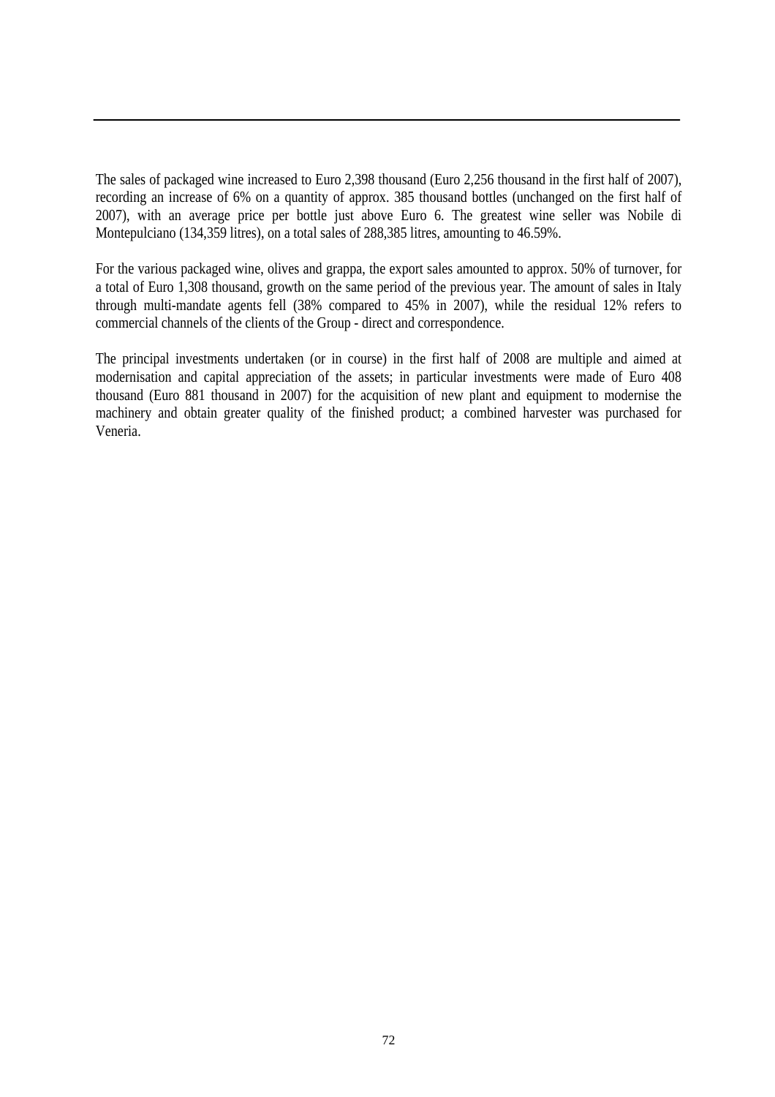The sales of packaged wine increased to Euro 2,398 thousand (Euro 2,256 thousand in the first half of 2007), recording an increase of 6% on a quantity of approx. 385 thousand bottles (unchanged on the first half of 2007), with an average price per bottle just above Euro 6. The greatest wine seller was Nobile di Montepulciano (134,359 litres), on a total sales of 288,385 litres, amounting to 46.59%.

For the various packaged wine, olives and grappa, the export sales amounted to approx. 50% of turnover, for a total of Euro 1,308 thousand, growth on the same period of the previous year. The amount of sales in Italy through multi-mandate agents fell (38% compared to 45% in 2007), while the residual 12% refers to commercial channels of the clients of the Group - direct and correspondence.

The principal investments undertaken (or in course) in the first half of 2008 are multiple and aimed at modernisation and capital appreciation of the assets; in particular investments were made of Euro 408 thousand (Euro 881 thousand in 2007) for the acquisition of new plant and equipment to modernise the machinery and obtain greater quality of the finished product; a combined harvester was purchased for Veneria.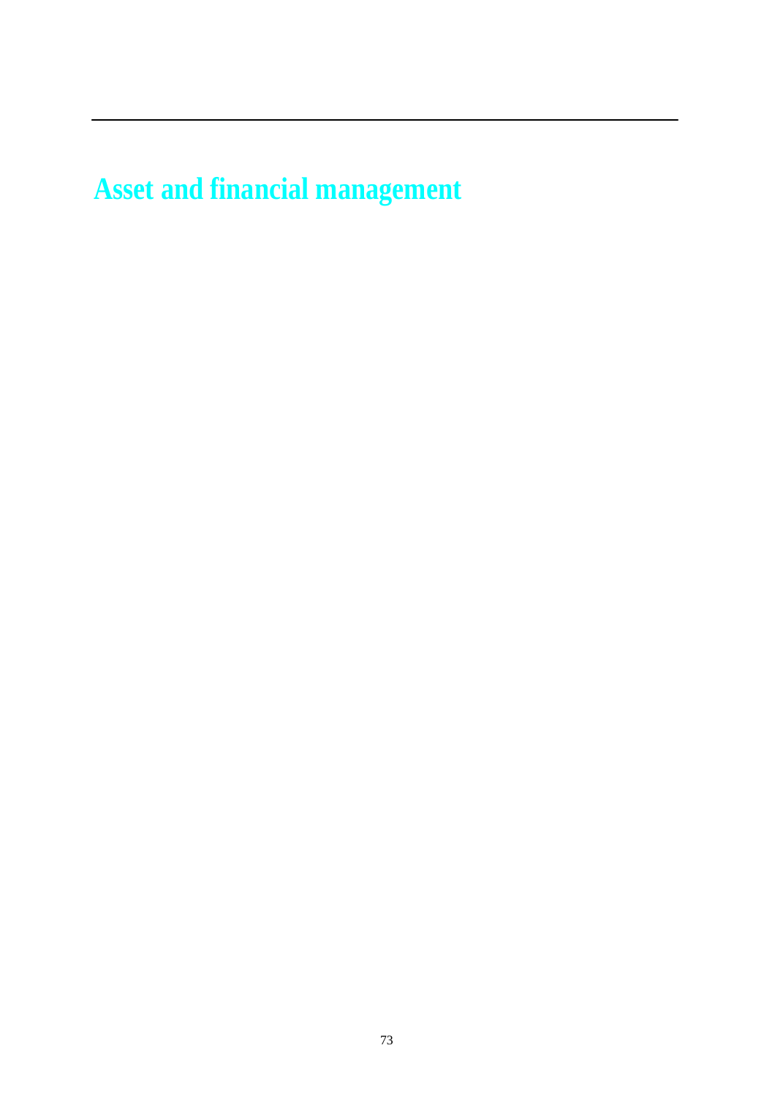**Asset and financial management**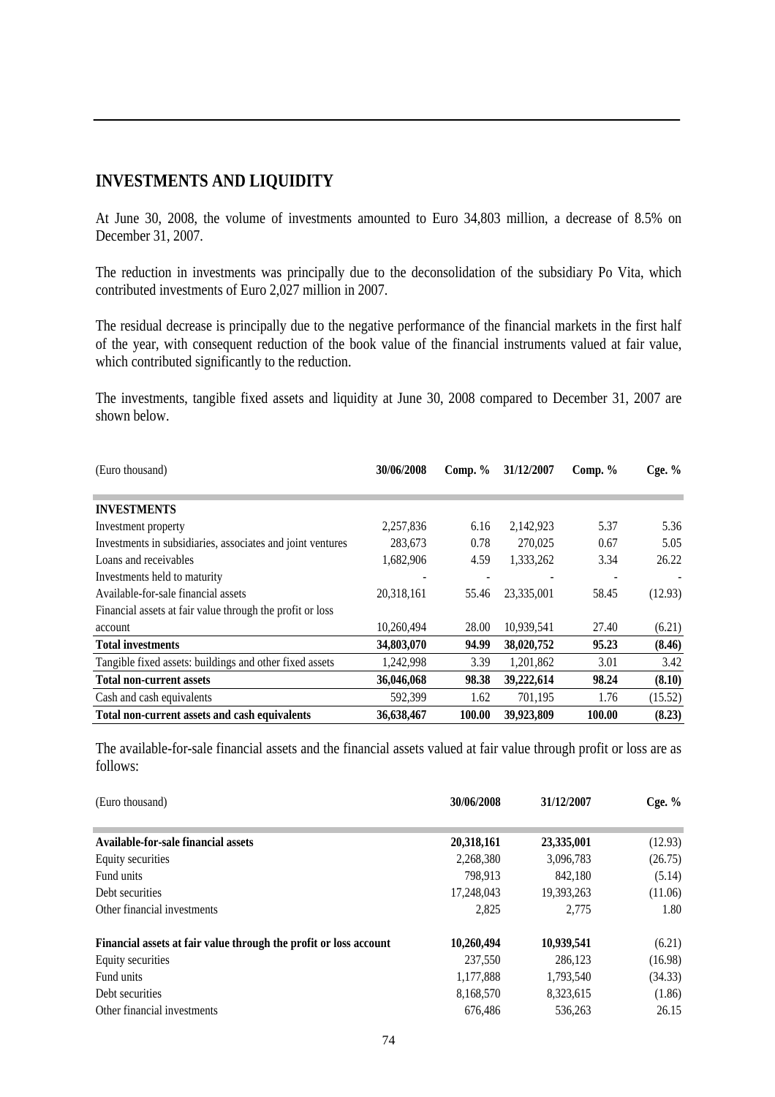## **INVESTMENTS AND LIQUIDITY**

At June 30, 2008, the volume of investments amounted to Euro 34,803 million, a decrease of 8.5% on December 31, 2007.

The reduction in investments was principally due to the deconsolidation of the subsidiary Po Vita, which contributed investments of Euro 2,027 million in 2007.

The residual decrease is principally due to the negative performance of the financial markets in the first half of the year, with consequent reduction of the book value of the financial instruments valued at fair value, which contributed significantly to the reduction.

The investments, tangible fixed assets and liquidity at June 30, 2008 compared to December 31, 2007 are shown below.

| (Euro thousand)                                            | 30/06/2008 | Comp. $%$ | 31/12/2007 | Comp. $%$ | Cge. $%$ |
|------------------------------------------------------------|------------|-----------|------------|-----------|----------|
|                                                            |            |           |            |           |          |
| <b>INVESTMENTS</b>                                         |            |           |            |           |          |
| Investment property                                        | 2,257,836  | 6.16      | 2,142,923  | 5.37      | 5.36     |
| Investments in subsidiaries, associates and joint ventures | 283,673    | 0.78      | 270,025    | 0.67      | 5.05     |
| Loans and receivables                                      | 1,682,906  | 4.59      | 1,333,262  | 3.34      | 26.22    |
| Investments held to maturity                               |            |           |            |           |          |
| Available-for-sale financial assets                        | 20,318,161 | 55.46     | 23,335,001 | 58.45     | (12.93)  |
| Financial assets at fair value through the profit or loss  |            |           |            |           |          |
| account                                                    | 10.260.494 | 28.00     | 10,939,541 | 27.40     | (6.21)   |
| <b>Total investments</b>                                   | 34,803,070 | 94.99     | 38,020,752 | 95.23     | (8.46)   |
| Tangible fixed assets: buildings and other fixed assets    | 1,242,998  | 3.39      | 1,201,862  | 3.01      | 3.42     |
| <b>Total non-current assets</b>                            | 36,046,068 | 98.38     | 39,222,614 | 98.24     | (8.10)   |
| Cash and cash equivalents                                  | 592,399    | 1.62      | 701,195    | 1.76      | (15.52)  |
| Total non-current assets and cash equivalents              | 36,638,467 | 100.00    | 39,923,809 | 100.00    | (8.23)   |

The available-for-sale financial assets and the financial assets valued at fair value through profit or loss are as follows:

| (Euro thousand)                                                   | 30/06/2008 | 31/12/2007 | Cge. $%$ |
|-------------------------------------------------------------------|------------|------------|----------|
| Available-for-sale financial assets                               | 20,318,161 | 23,335,001 | (12.93)  |
| Equity securities                                                 | 2,268,380  | 3,096,783  | (26.75)  |
| Fund units                                                        | 798.913    | 842.180    | (5.14)   |
| Debt securities                                                   | 17,248,043 | 19,393,263 | (11.06)  |
| Other financial investments                                       | 2,825      | 2.775      | 1.80     |
| Financial assets at fair value through the profit or loss account | 10,260,494 | 10,939,541 | (6.21)   |
| Equity securities                                                 | 237,550    | 286,123    | (16.98)  |
| Fund units                                                        | 1,177,888  | 1,793,540  | (34.33)  |
| Debt securities                                                   | 8,168,570  | 8,323,615  | (1.86)   |
| Other financial investments                                       | 676,486    | 536,263    | 26.15    |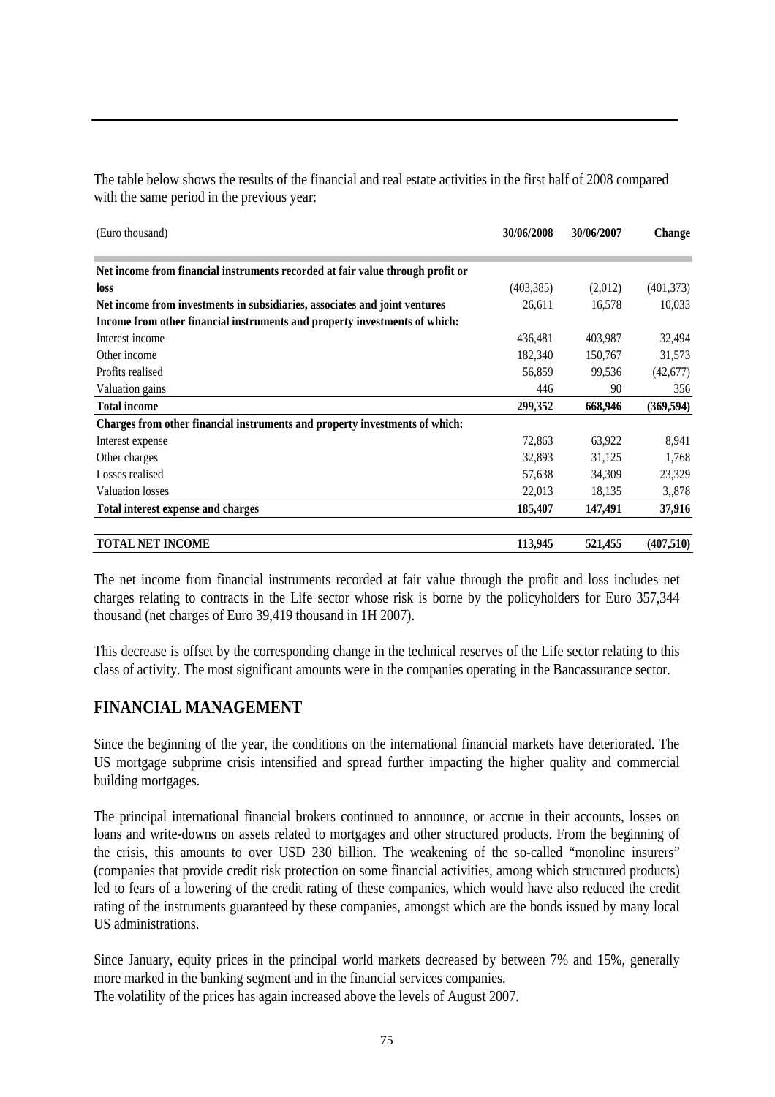| The table below shows the results of the financial and real estate activities in the first half of 2008 compared<br>with the same period in the previous year: |            |            |               |
|----------------------------------------------------------------------------------------------------------------------------------------------------------------|------------|------------|---------------|
| (Euro thousand)                                                                                                                                                | 30/06/2008 | 30/06/2007 | <b>Change</b> |

| $\mu$                                                                          |            |         | $\mathbf{v}$ |
|--------------------------------------------------------------------------------|------------|---------|--------------|
| Net income from financial instruments recorded at fair value through profit or |            |         |              |
| loss                                                                           | (403, 385) | (2,012) | (401, 373)   |
| Net income from investments in subsidiaries, associates and joint ventures     | 26,611     | 16,578  | 10,033       |
| Income from other financial instruments and property investments of which:     |            |         |              |
| Interest income                                                                | 436,481    | 403,987 | 32,494       |
| Other income                                                                   | 182,340    | 150,767 | 31,573       |
| Profits realised                                                               | 56,859     | 99,536  | (42, 677)    |
| Valuation gains                                                                | 446        | 90      | 356          |
| <b>Total income</b>                                                            | 299,352    | 668,946 | (369, 594)   |
| Charges from other financial instruments and property investments of which:    |            |         |              |
| Interest expense                                                               | 72,863     | 63,922  | 8,941        |
| Other charges                                                                  | 32,893     | 31,125  | 1,768        |
| Losses realised                                                                | 57,638     | 34,309  | 23,329       |
| <b>Valuation losses</b>                                                        | 22,013     | 18,135  | 3,,878       |
| Total interest expense and charges                                             | 185,407    | 147,491 | 37,916       |
| <b>TOTAL NET INCOME</b>                                                        | 113,945    | 521,455 | (407,510)    |

The net income from financial instruments recorded at fair value through the profit and loss includes net charges relating to contracts in the Life sector whose risk is borne by the policyholders for Euro 357,344 thousand (net charges of Euro 39,419 thousand in 1H 2007).

This decrease is offset by the corresponding change in the technical reserves of the Life sector relating to this class of activity. The most significant amounts were in the companies operating in the Bancassurance sector.

## **FINANCIAL MANAGEMENT**

Since the beginning of the year, the conditions on the international financial markets have deteriorated. The US mortgage subprime crisis intensified and spread further impacting the higher quality and commercial building mortgages.

The principal international financial brokers continued to announce, or accrue in their accounts, losses on loans and write-downs on assets related to mortgages and other structured products. From the beginning of the crisis, this amounts to over USD 230 billion. The weakening of the so-called "monoline insurers" (companies that provide credit risk protection on some financial activities, among which structured products) led to fears of a lowering of the credit rating of these companies, which would have also reduced the credit rating of the instruments guaranteed by these companies, amongst which are the bonds issued by many local US administrations.

Since January, equity prices in the principal world markets decreased by between 7% and 15%, generally more marked in the banking segment and in the financial services companies. The volatility of the prices has again increased above the levels of August 2007.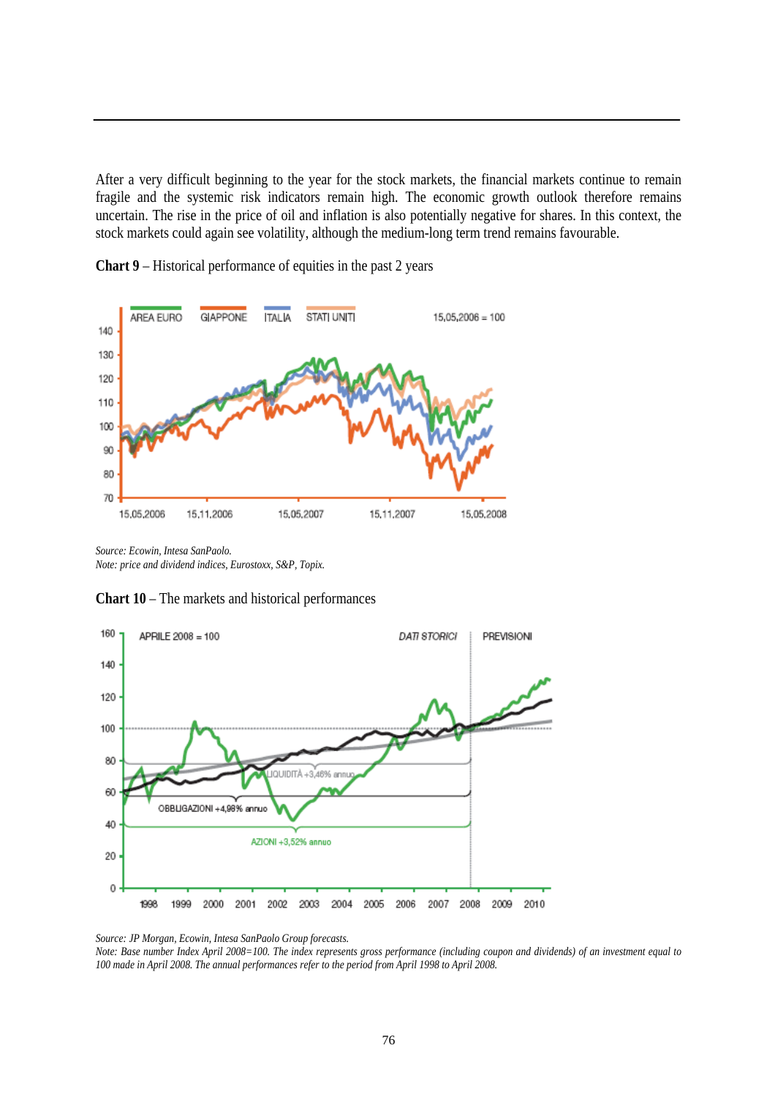After a very difficult beginning to the year for the stock markets, the financial markets continue to remain fragile and the systemic risk indicators remain high. The economic growth outlook therefore remains uncertain. The rise in the price of oil and inflation is also potentially negative for shares. In this context, the stock markets could again see volatility, although the medium-long term trend remains favourable.



**Chart 9** – Historical performance of equities in the past 2 years

*Source: Ecowin, Intesa SanPaolo. Note: price and dividend indices, Eurostoxx, S&P, Topix.* 

**Chart 10** – The markets and historical performances



*Source: JP Morgan, Ecowin, Intesa SanPaolo Group forecasts.*

*Note: Base number Index April 2008=100. The index represents gross performance (including coupon and dividends) of an investment equal to 100 made in April 2008. The annual performances refer to the period from April 1998 to April 2008.*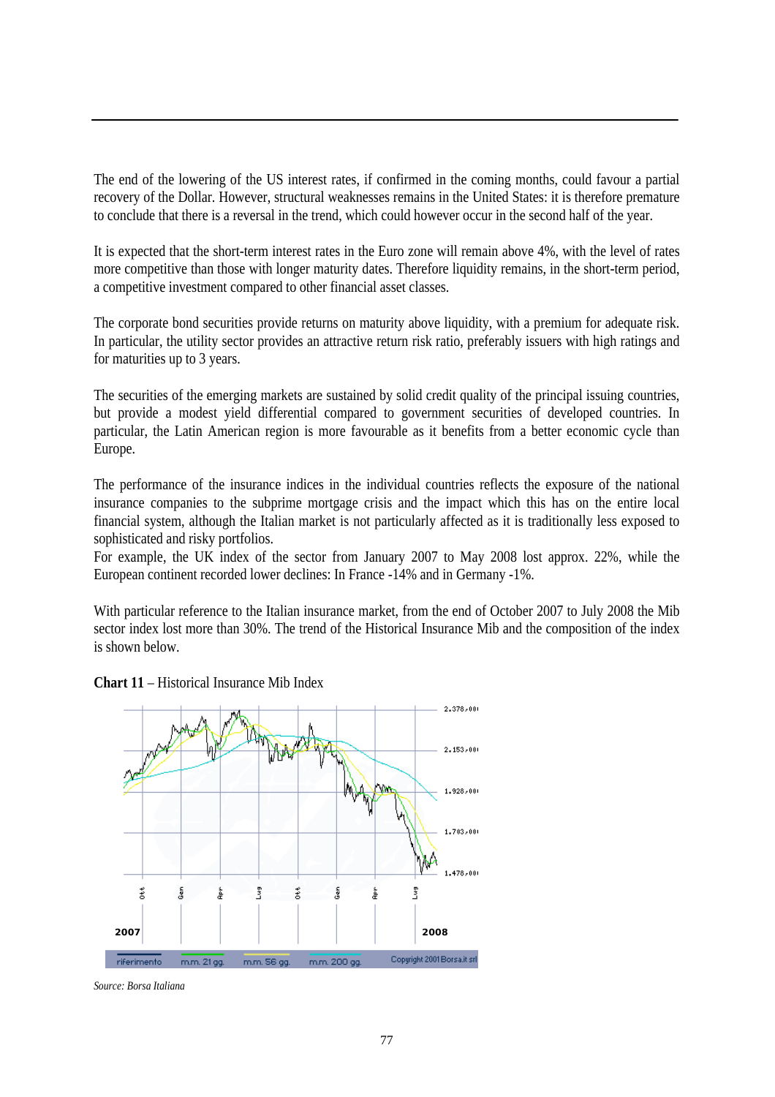The end of the lowering of the US interest rates, if confirmed in the coming months, could favour a partial recovery of the Dollar. However, structural weaknesses remains in the United States: it is therefore premature to conclude that there is a reversal in the trend, which could however occur in the second half of the year.

It is expected that the short-term interest rates in the Euro zone will remain above 4%, with the level of rates more competitive than those with longer maturity dates. Therefore liquidity remains, in the short-term period, a competitive investment compared to other financial asset classes.

The corporate bond securities provide returns on maturity above liquidity, with a premium for adequate risk. In particular, the utility sector provides an attractive return risk ratio, preferably issuers with high ratings and for maturities up to 3 years.

The securities of the emerging markets are sustained by solid credit quality of the principal issuing countries, but provide a modest yield differential compared to government securities of developed countries. In particular, the Latin American region is more favourable as it benefits from a better economic cycle than Europe.

The performance of the insurance indices in the individual countries reflects the exposure of the national insurance companies to the subprime mortgage crisis and the impact which this has on the entire local financial system, although the Italian market is not particularly affected as it is traditionally less exposed to sophisticated and risky portfolios.

For example, the UK index of the sector from January 2007 to May 2008 lost approx. 22%, while the European continent recorded lower declines: In France -14% and in Germany -1%.

With particular reference to the Italian insurance market, from the end of October 2007 to July 2008 the Mib sector index lost more than 30%. The trend of the Historical Insurance Mib and the composition of the index is shown below.

**Chart 11** – Historical Insurance Mib Index



*Source: Borsa Italiana*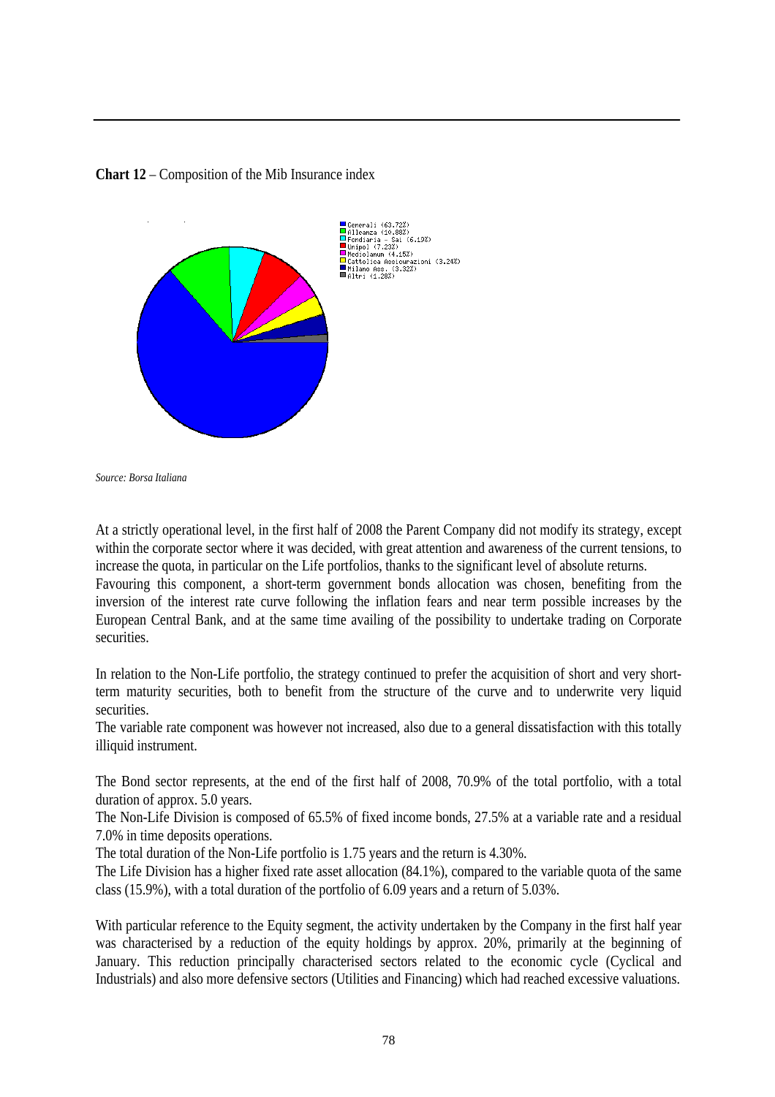



*Source: Borsa Italiana* 

At a strictly operational level, in the first half of 2008 the Parent Company did not modify its strategy, except within the corporate sector where it was decided, with great attention and awareness of the current tensions, to increase the quota, in particular on the Life portfolios, thanks to the significant level of absolute returns.

Favouring this component, a short-term government bonds allocation was chosen, benefiting from the inversion of the interest rate curve following the inflation fears and near term possible increases by the European Central Bank, and at the same time availing of the possibility to undertake trading on Corporate securities.

In relation to the Non-Life portfolio, the strategy continued to prefer the acquisition of short and very shortterm maturity securities, both to benefit from the structure of the curve and to underwrite very liquid securities.

The variable rate component was however not increased, also due to a general dissatisfaction with this totally illiquid instrument.

The Bond sector represents, at the end of the first half of 2008, 70.9% of the total portfolio, with a total duration of approx. 5.0 years.

The Non-Life Division is composed of 65.5% of fixed income bonds, 27.5% at a variable rate and a residual 7.0% in time deposits operations.

The total duration of the Non-Life portfolio is 1.75 years and the return is 4.30%.

The Life Division has a higher fixed rate asset allocation (84.1%), compared to the variable quota of the same class (15.9%), with a total duration of the portfolio of 6.09 years and a return of 5.03%.

With particular reference to the Equity segment, the activity undertaken by the Company in the first half year was characterised by a reduction of the equity holdings by approx. 20%, primarily at the beginning of January. This reduction principally characterised sectors related to the economic cycle (Cyclical and Industrials) and also more defensive sectors (Utilities and Financing) which had reached excessive valuations.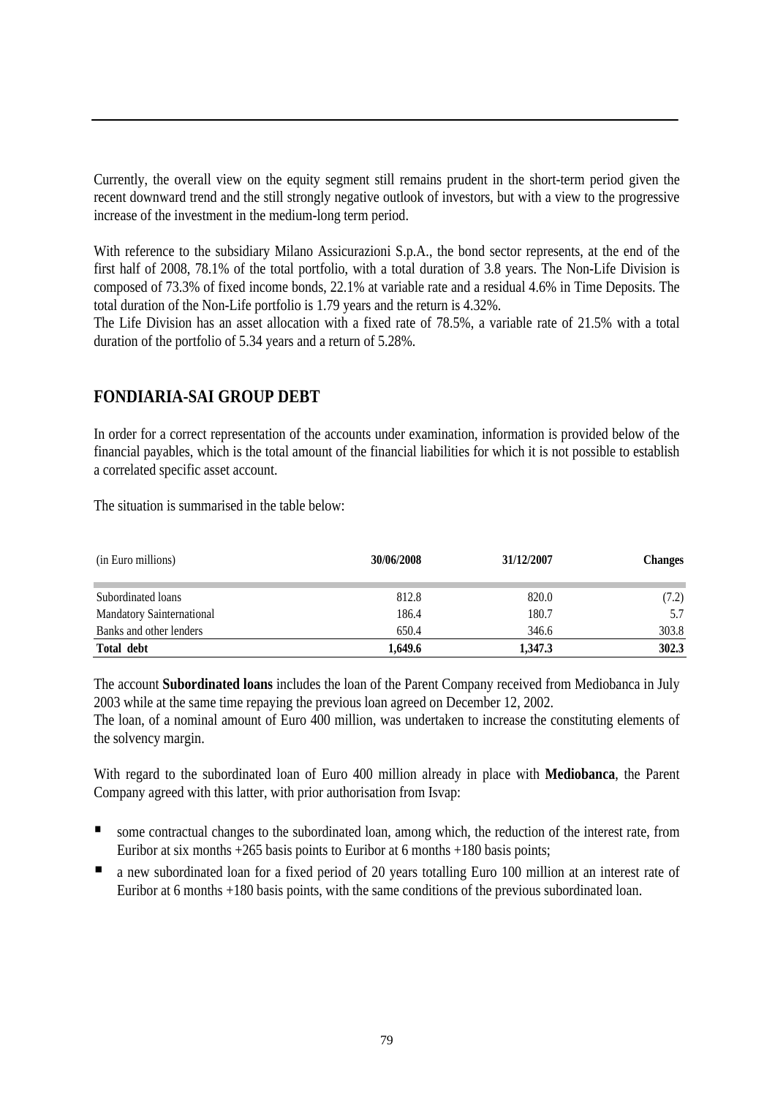Currently, the overall view on the equity segment still remains prudent in the short-term period given the recent downward trend and the still strongly negative outlook of investors, but with a view to the progressive increase of the investment in the medium-long term period.

With reference to the subsidiary Milano Assicurazioni S.p.A., the bond sector represents, at the end of the first half of 2008, 78.1% of the total portfolio, with a total duration of 3.8 years. The Non-Life Division is composed of 73.3% of fixed income bonds, 22.1% at variable rate and a residual 4.6% in Time Deposits. The total duration of the Non-Life portfolio is 1.79 years and the return is 4.32%.

The Life Division has an asset allocation with a fixed rate of 78.5%, a variable rate of 21.5% with a total duration of the portfolio of 5.34 years and a return of 5.28%.

## **FONDIARIA-SAI GROUP DEBT**

In order for a correct representation of the accounts under examination, information is provided below of the financial payables, which is the total amount of the financial liabilities for which it is not possible to establish a correlated specific asset account.

The situation is summarised in the table below:

| (in Euro millions)               | 30/06/2008 | 31/12/2007 | <b>Changes</b> |
|----------------------------------|------------|------------|----------------|
| Subordinated loans               | 812.8      | 820.0      | (7.2)          |
| <b>Mandatory Sainternational</b> | 186.4      | 180.7      | 5.7            |
| Banks and other lenders          | 650.4      | 346.6      | 303.8          |
| Total debt                       | 1.649.6    | 1,347.3    | 302.3          |

The account **Subordinated loans** includes the loan of the Parent Company received from Mediobanca in July 2003 while at the same time repaying the previous loan agreed on December 12, 2002.

The loan, of a nominal amount of Euro 400 million, was undertaken to increase the constituting elements of the solvency margin.

With regard to the subordinated loan of Euro 400 million already in place with **Mediobanca**, the Parent Company agreed with this latter, with prior authorisation from Isvap:

- some contractual changes to the subordinated loan, among which, the reduction of the interest rate, from Euribor at six months +265 basis points to Euribor at 6 months +180 basis points;
- a new subordinated loan for a fixed period of 20 years totalling Euro 100 million at an interest rate of Euribor at 6 months +180 basis points, with the same conditions of the previous subordinated loan.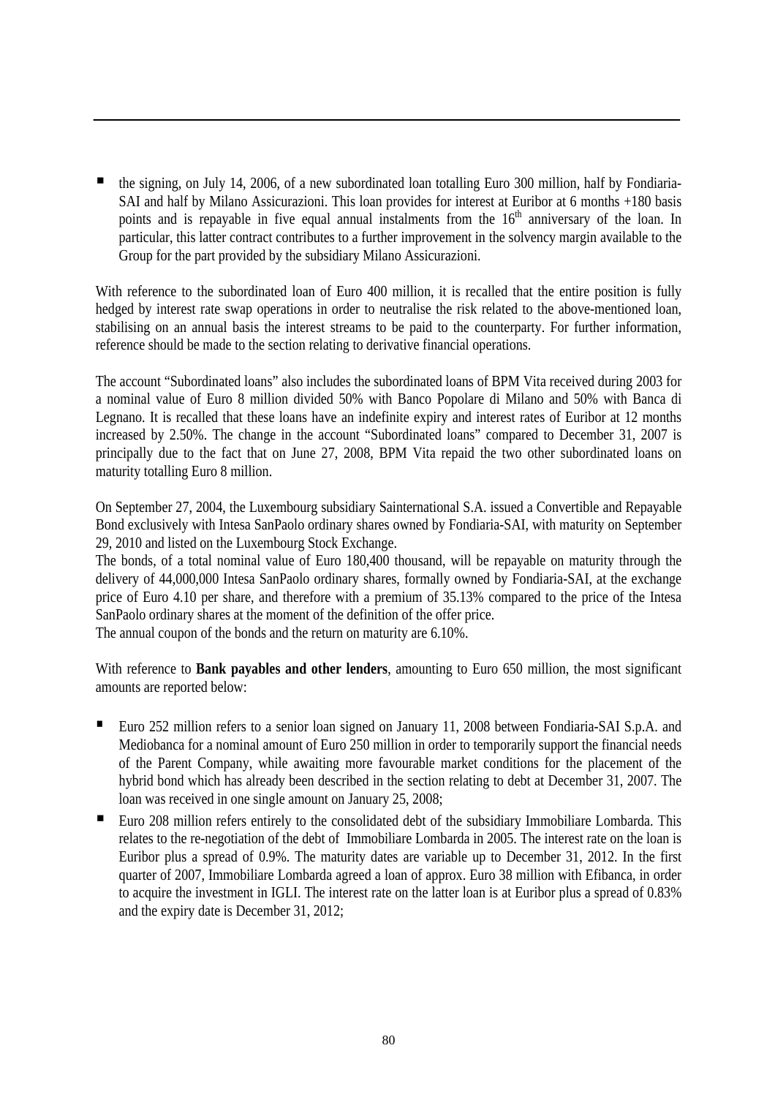the signing, on July 14, 2006, of a new subordinated loan totalling Euro 300 million, half by Fondiaria-SAI and half by Milano Assicurazioni. This loan provides for interest at Euribor at 6 months +180 basis points and is repayable in five equal annual instalments from the 16<sup>th</sup> anniversary of the loan. In particular, this latter contract contributes to a further improvement in the solvency margin available to the Group for the part provided by the subsidiary Milano Assicurazioni.

With reference to the subordinated loan of Euro 400 million, it is recalled that the entire position is fully hedged by interest rate swap operations in order to neutralise the risk related to the above-mentioned loan, stabilising on an annual basis the interest streams to be paid to the counterparty. For further information, reference should be made to the section relating to derivative financial operations.

The account "Subordinated loans" also includes the subordinated loans of BPM Vita received during 2003 for a nominal value of Euro 8 million divided 50% with Banco Popolare di Milano and 50% with Banca di Legnano. It is recalled that these loans have an indefinite expiry and interest rates of Euribor at 12 months increased by 2.50%. The change in the account "Subordinated loans" compared to December 31, 2007 is principally due to the fact that on June 27, 2008, BPM Vita repaid the two other subordinated loans on maturity totalling Euro 8 million.

On September 27, 2004, the Luxembourg subsidiary Sainternational S.A. issued a Convertible and Repayable Bond exclusively with Intesa SanPaolo ordinary shares owned by Fondiaria-SAI, with maturity on September 29, 2010 and listed on the Luxembourg Stock Exchange.

The bonds, of a total nominal value of Euro 180,400 thousand, will be repayable on maturity through the delivery of 44,000,000 Intesa SanPaolo ordinary shares, formally owned by Fondiaria-SAI, at the exchange price of Euro 4.10 per share, and therefore with a premium of 35.13% compared to the price of the Intesa SanPaolo ordinary shares at the moment of the definition of the offer price.

The annual coupon of the bonds and the return on maturity are 6.10%.

With reference to **Bank payables and other lenders**, amounting to Euro 650 million, the most significant amounts are reported below:

- Euro 252 million refers to a senior loan signed on January 11, 2008 between Fondiaria-SAI S.p.A. and Mediobanca for a nominal amount of Euro 250 million in order to temporarily support the financial needs of the Parent Company, while awaiting more favourable market conditions for the placement of the hybrid bond which has already been described in the section relating to debt at December 31, 2007. The loan was received in one single amount on January 25, 2008;
- Euro 208 million refers entirely to the consolidated debt of the subsidiary Immobiliare Lombarda. This relates to the re-negotiation of the debt of Immobiliare Lombarda in 2005. The interest rate on the loan is Euribor plus a spread of 0.9%. The maturity dates are variable up to December 31, 2012. In the first quarter of 2007, Immobiliare Lombarda agreed a loan of approx. Euro 38 million with Efibanca, in order to acquire the investment in IGLI. The interest rate on the latter loan is at Euribor plus a spread of 0.83% and the expiry date is December 31, 2012;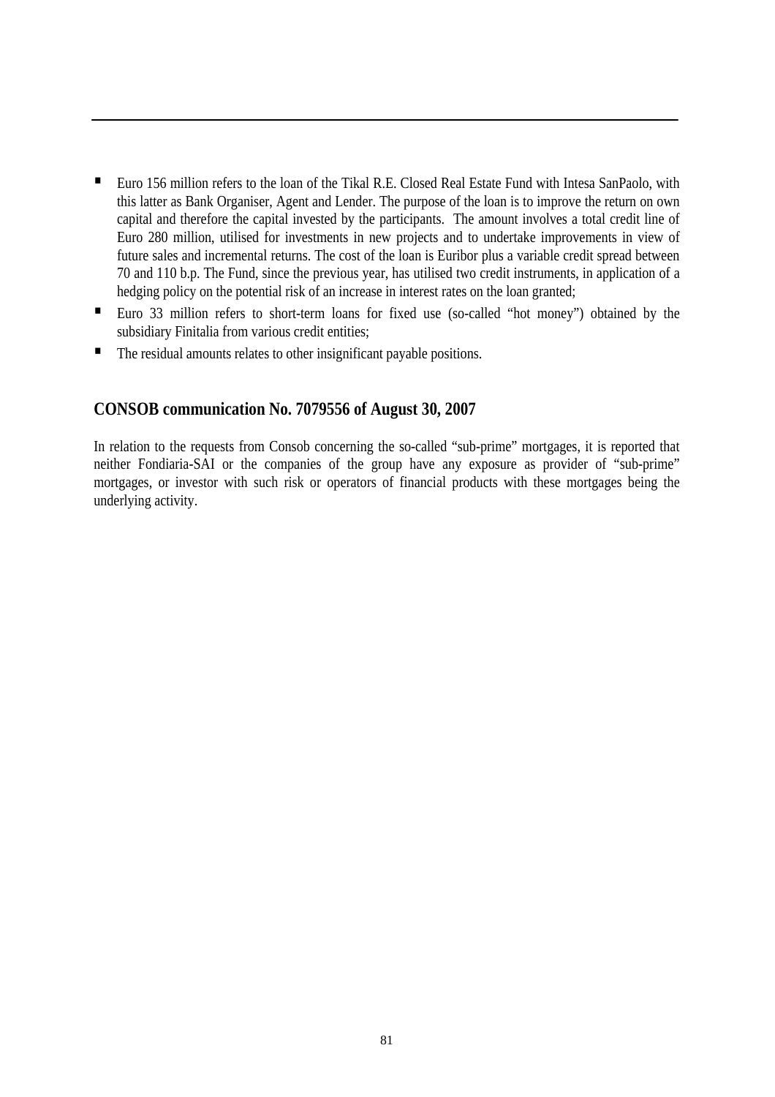- Euro 156 million refers to the loan of the Tikal R.E. Closed Real Estate Fund with Intesa SanPaolo, with this latter as Bank Organiser, Agent and Lender. The purpose of the loan is to improve the return on own capital and therefore the capital invested by the participants. The amount involves a total credit line of Euro 280 million, utilised for investments in new projects and to undertake improvements in view of future sales and incremental returns. The cost of the loan is Euribor plus a variable credit spread between 70 and 110 b.p. The Fund, since the previous year, has utilised two credit instruments, in application of a hedging policy on the potential risk of an increase in interest rates on the loan granted;
- Euro 33 million refers to short-term loans for fixed use (so-called "hot money") obtained by the subsidiary Finitalia from various credit entities;
- The residual amounts relates to other insignificant payable positions.

#### **CONSOB communication No. 7079556 of August 30, 2007**

In relation to the requests from Consob concerning the so-called "sub-prime" mortgages, it is reported that neither Fondiaria-SAI or the companies of the group have any exposure as provider of "sub-prime" mortgages, or investor with such risk or operators of financial products with these mortgages being the underlying activity.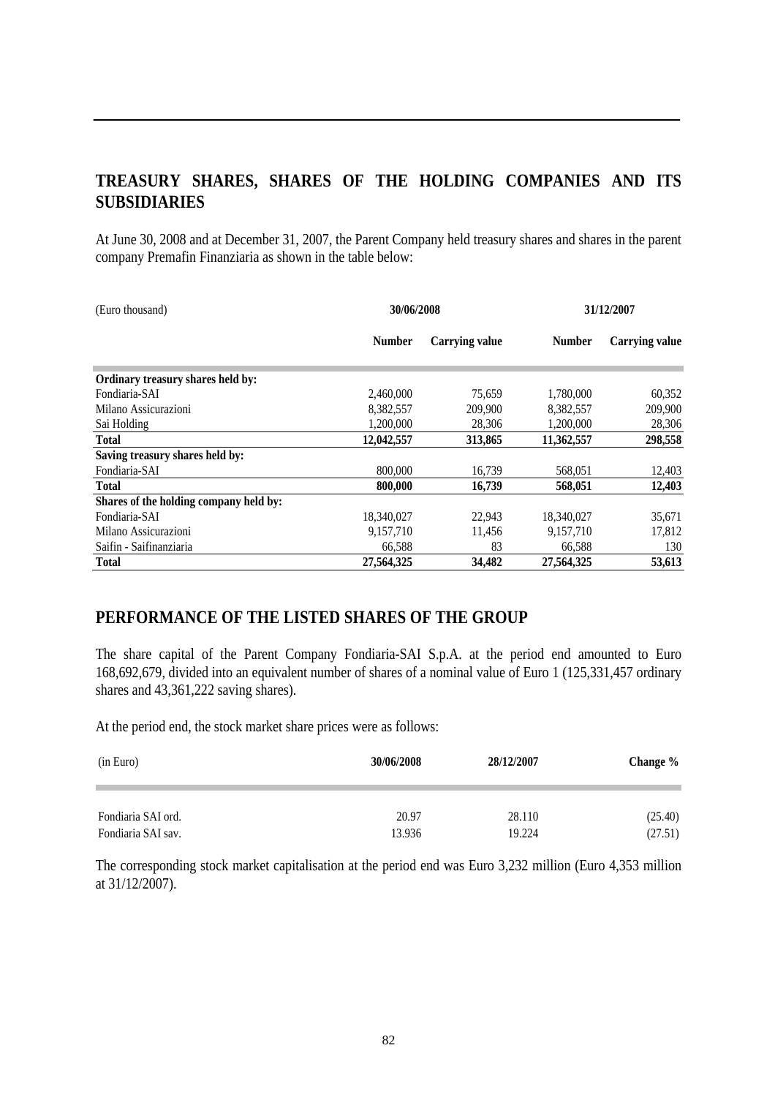# **TREASURY SHARES, SHARES OF THE HOLDING COMPANIES AND ITS SUBSIDIARIES**

At June 30, 2008 and at December 31, 2007, the Parent Company held treasury shares and shares in the parent company Premafin Finanziaria as shown in the table below:

| (Euro thousand)                        | 30/06/2008    |                       | 31/12/2007    |                |
|----------------------------------------|---------------|-----------------------|---------------|----------------|
|                                        | <b>Number</b> | <b>Carrying value</b> | <b>Number</b> | Carrying value |
| Ordinary treasury shares held by:      |               |                       |               |                |
| Fondiaria-SAI                          | 2,460,000     | 75.659                | 1,780,000     | 60,352         |
| Milano Assicurazioni                   | 8,382,557     | 209,900               | 8,382,557     | 209,900        |
| Sai Holding                            | 1,200,000     | 28,306                | 1,200,000     | 28,306         |
| <b>Total</b>                           | 12,042,557    | 313,865               | 11,362,557    | 298,558        |
| Saving treasury shares held by:        |               |                       |               |                |
| Fondiaria-SAI                          | 800,000       | 16,739                | 568,051       | 12,403         |
| <b>Total</b>                           | 800,000       | 16,739                | 568,051       | 12,403         |
| Shares of the holding company held by: |               |                       |               |                |
| Fondiaria-SAI                          | 18,340,027    | 22,943                | 18,340,027    | 35,671         |
| Milano Assicurazioni                   | 9,157,710     | 11,456                | 9,157,710     | 17,812         |
| Saifin - Saifinanziaria                | 66,588        | 83                    | 66,588        | 130            |
| Total                                  | 27,564,325    | 34,482                | 27,564,325    | 53,613         |

## **PERFORMANCE OF THE LISTED SHARES OF THE GROUP**

The share capital of the Parent Company Fondiaria-SAI S.p.A. at the period end amounted to Euro 168,692,679, divided into an equivalent number of shares of a nominal value of Euro 1 (125,331,457 ordinary shares and 43,361,222 saving shares).

At the period end, the stock market share prices were as follows:

| (in Euro)          | 30/06/2008 | 28/12/2007 | Change % |
|--------------------|------------|------------|----------|
| Fondiaria SAI ord. | 20.97      | 28.110     | (25.40)  |
| Fondiaria SAI sav. | 13.936     | 19.224     | (27.51)  |

The corresponding stock market capitalisation at the period end was Euro 3,232 million (Euro 4,353 million at 31/12/2007).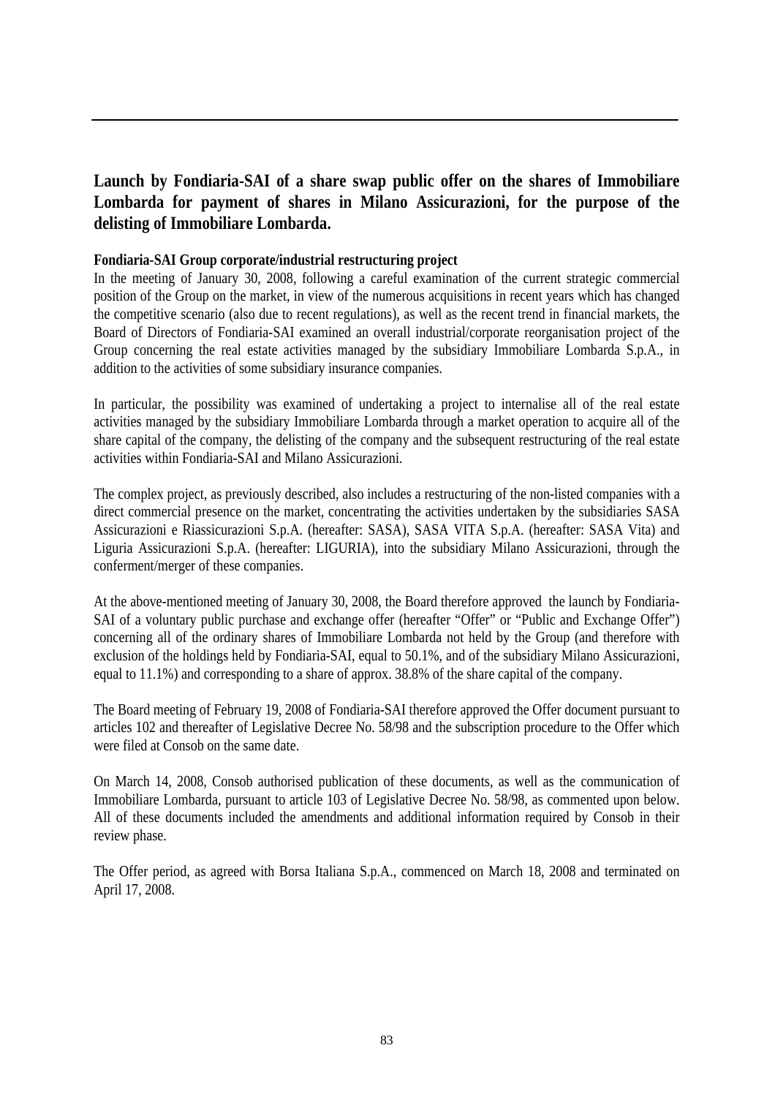## **Launch by Fondiaria-SAI of a share swap public offer on the shares of Immobiliare Lombarda for payment of shares in Milano Assicurazioni, for the purpose of the delisting of Immobiliare Lombarda.**

#### **Fondiaria-SAI Group corporate/industrial restructuring project**

In the meeting of January 30, 2008, following a careful examination of the current strategic commercial position of the Group on the market, in view of the numerous acquisitions in recent years which has changed the competitive scenario (also due to recent regulations), as well as the recent trend in financial markets, the Board of Directors of Fondiaria-SAI examined an overall industrial/corporate reorganisation project of the Group concerning the real estate activities managed by the subsidiary Immobiliare Lombarda S.p.A., in addition to the activities of some subsidiary insurance companies.

In particular, the possibility was examined of undertaking a project to internalise all of the real estate activities managed by the subsidiary Immobiliare Lombarda through a market operation to acquire all of the share capital of the company, the delisting of the company and the subsequent restructuring of the real estate activities within Fondiaria-SAI and Milano Assicurazioni.

The complex project, as previously described, also includes a restructuring of the non-listed companies with a direct commercial presence on the market, concentrating the activities undertaken by the subsidiaries SASA Assicurazioni e Riassicurazioni S.p.A. (hereafter: SASA), SASA VITA S.p.A. (hereafter: SASA Vita) and Liguria Assicurazioni S.p.A. (hereafter: LIGURIA), into the subsidiary Milano Assicurazioni, through the conferment/merger of these companies.

At the above-mentioned meeting of January 30, 2008, the Board therefore approved the launch by Fondiaria-SAI of a voluntary public purchase and exchange offer (hereafter "Offer" or "Public and Exchange Offer") concerning all of the ordinary shares of Immobiliare Lombarda not held by the Group (and therefore with exclusion of the holdings held by Fondiaria-SAI, equal to 50.1%, and of the subsidiary Milano Assicurazioni, equal to 11.1%) and corresponding to a share of approx. 38.8% of the share capital of the company.

The Board meeting of February 19, 2008 of Fondiaria-SAI therefore approved the Offer document pursuant to articles 102 and thereafter of Legislative Decree No. 58/98 and the subscription procedure to the Offer which were filed at Consob on the same date.

On March 14, 2008, Consob authorised publication of these documents, as well as the communication of Immobiliare Lombarda, pursuant to article 103 of Legislative Decree No. 58/98, as commented upon below. All of these documents included the amendments and additional information required by Consob in their review phase.

The Offer period, as agreed with Borsa Italiana S.p.A., commenced on March 18, 2008 and terminated on April 17, 2008.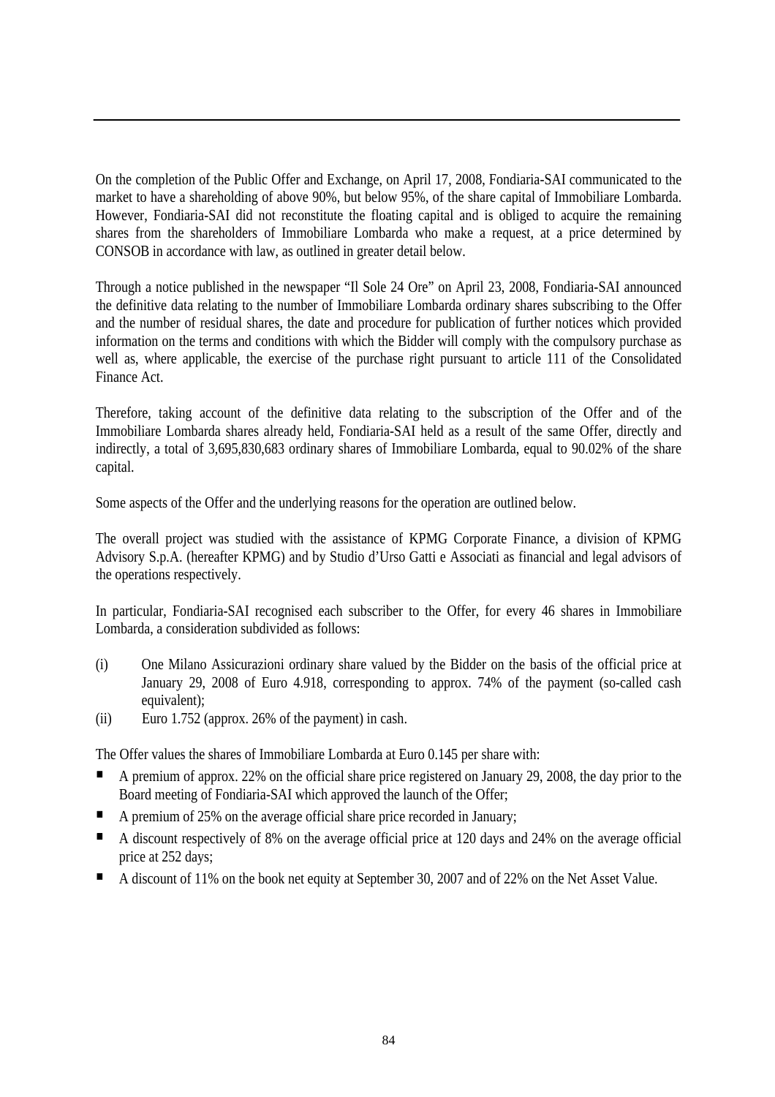On the completion of the Public Offer and Exchange, on April 17, 2008, Fondiaria-SAI communicated to the market to have a shareholding of above 90%, but below 95%, of the share capital of Immobiliare Lombarda. However, Fondiaria-SAI did not reconstitute the floating capital and is obliged to acquire the remaining shares from the shareholders of Immobiliare Lombarda who make a request, at a price determined by CONSOB in accordance with law, as outlined in greater detail below.

Through a notice published in the newspaper "Il Sole 24 Ore" on April 23, 2008, Fondiaria-SAI announced the definitive data relating to the number of Immobiliare Lombarda ordinary shares subscribing to the Offer and the number of residual shares, the date and procedure for publication of further notices which provided information on the terms and conditions with which the Bidder will comply with the compulsory purchase as well as, where applicable, the exercise of the purchase right pursuant to article 111 of the Consolidated Finance Act.

Therefore, taking account of the definitive data relating to the subscription of the Offer and of the Immobiliare Lombarda shares already held, Fondiaria-SAI held as a result of the same Offer, directly and indirectly, a total of 3,695,830,683 ordinary shares of Immobiliare Lombarda, equal to 90.02% of the share capital.

Some aspects of the Offer and the underlying reasons for the operation are outlined below.

The overall project was studied with the assistance of KPMG Corporate Finance, a division of KPMG Advisory S.p.A. (hereafter KPMG) and by Studio d'Urso Gatti e Associati as financial and legal advisors of the operations respectively.

In particular, Fondiaria-SAI recognised each subscriber to the Offer, for every 46 shares in Immobiliare Lombarda, a consideration subdivided as follows:

- (i) One Milano Assicurazioni ordinary share valued by the Bidder on the basis of the official price at January 29, 2008 of Euro 4.918, corresponding to approx. 74% of the payment (so-called cash equivalent):
- (ii) Euro 1.752 (approx. 26% of the payment) in cash.

The Offer values the shares of Immobiliare Lombarda at Euro 0.145 per share with:

- A premium of approx. 22% on the official share price registered on January 29, 2008, the day prior to the Board meeting of Fondiaria-SAI which approved the launch of the Offer;
- A premium of 25% on the average official share price recorded in January;
- A discount respectively of 8% on the average official price at 120 days and 24% on the average official price at 252 days;
- A discount of 11% on the book net equity at September 30, 2007 and of 22% on the Net Asset Value.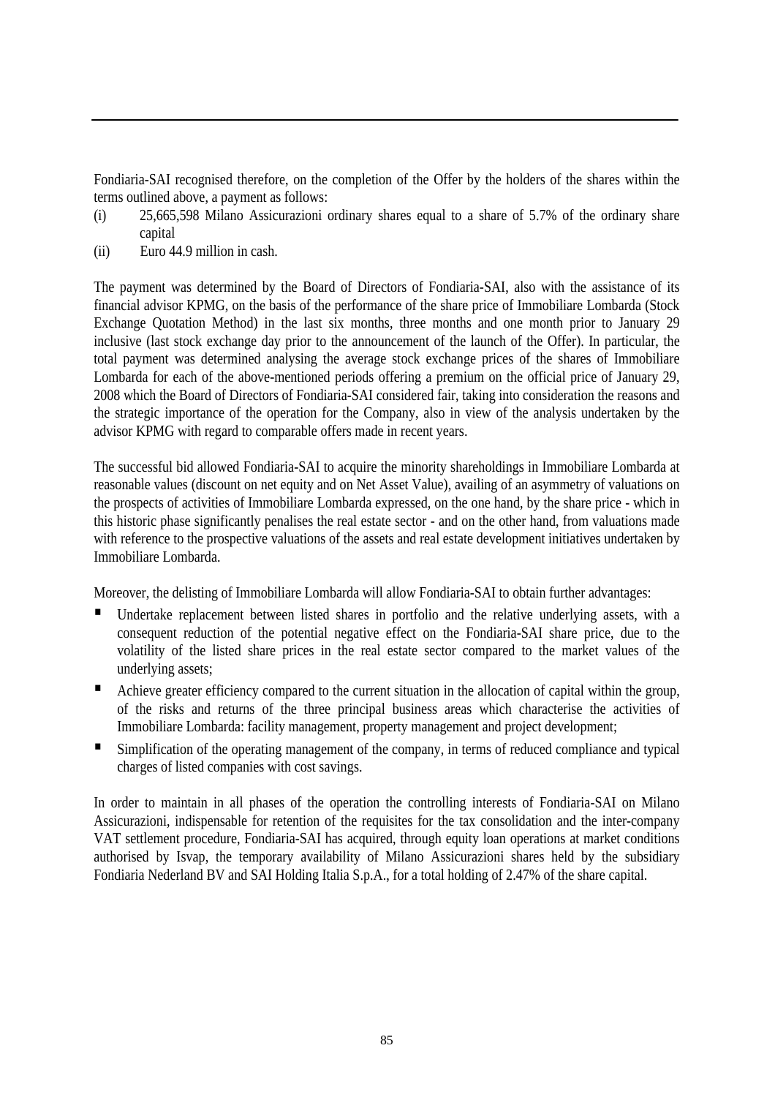Fondiaria-SAI recognised therefore, on the completion of the Offer by the holders of the shares within the terms outlined above, a payment as follows:

- (i) 25,665,598 Milano Assicurazioni ordinary shares equal to a share of 5.7% of the ordinary share capital
- (ii) Euro 44.9 million in cash.

The payment was determined by the Board of Directors of Fondiaria-SAI, also with the assistance of its financial advisor KPMG, on the basis of the performance of the share price of Immobiliare Lombarda (Stock Exchange Quotation Method) in the last six months, three months and one month prior to January 29 inclusive (last stock exchange day prior to the announcement of the launch of the Offer). In particular, the total payment was determined analysing the average stock exchange prices of the shares of Immobiliare Lombarda for each of the above-mentioned periods offering a premium on the official price of January 29, 2008 which the Board of Directors of Fondiaria-SAI considered fair, taking into consideration the reasons and the strategic importance of the operation for the Company, also in view of the analysis undertaken by the advisor KPMG with regard to comparable offers made in recent years.

The successful bid allowed Fondiaria-SAI to acquire the minority shareholdings in Immobiliare Lombarda at reasonable values (discount on net equity and on Net Asset Value), availing of an asymmetry of valuations on the prospects of activities of Immobiliare Lombarda expressed, on the one hand, by the share price - which in this historic phase significantly penalises the real estate sector - and on the other hand, from valuations made with reference to the prospective valuations of the assets and real estate development initiatives undertaken by Immobiliare Lombarda.

Moreover, the delisting of Immobiliare Lombarda will allow Fondiaria-SAI to obtain further advantages:

- Undertake replacement between listed shares in portfolio and the relative underlying assets, with a consequent reduction of the potential negative effect on the Fondiaria-SAI share price, due to the volatility of the listed share prices in the real estate sector compared to the market values of the underlying assets;
- Achieve greater efficiency compared to the current situation in the allocation of capital within the group, of the risks and returns of the three principal business areas which characterise the activities of Immobiliare Lombarda: facility management, property management and project development;
- Simplification of the operating management of the company, in terms of reduced compliance and typical charges of listed companies with cost savings.

In order to maintain in all phases of the operation the controlling interests of Fondiaria-SAI on Milano Assicurazioni, indispensable for retention of the requisites for the tax consolidation and the inter-company VAT settlement procedure, Fondiaria-SAI has acquired, through equity loan operations at market conditions authorised by Isvap, the temporary availability of Milano Assicurazioni shares held by the subsidiary Fondiaria Nederland BV and SAI Holding Italia S.p.A., for a total holding of 2.47% of the share capital.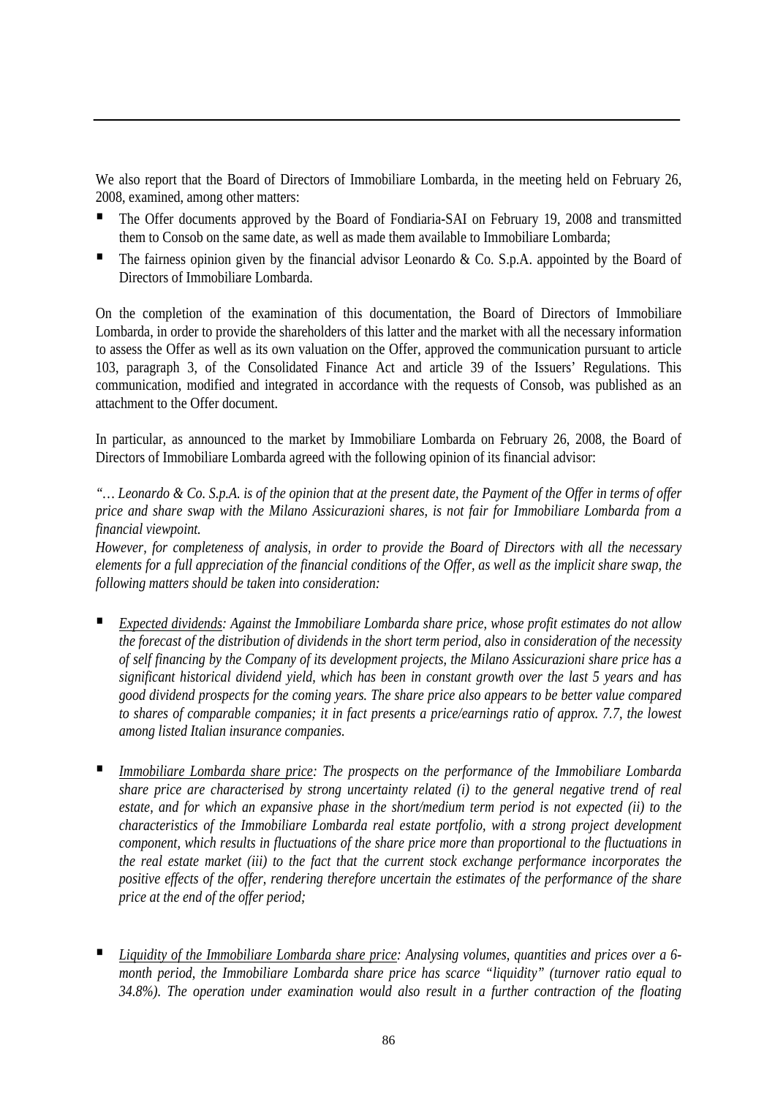We also report that the Board of Directors of Immobiliare Lombarda, in the meeting held on February 26, 2008, examined, among other matters:

- The Offer documents approved by the Board of Fondiaria-SAI on February 19, 2008 and transmitted them to Consob on the same date, as well as made them available to Immobiliare Lombarda;
- The fairness opinion given by the financial advisor Leonardo & Co. S.p.A. appointed by the Board of Directors of Immobiliare Lombarda.

On the completion of the examination of this documentation, the Board of Directors of Immobiliare Lombarda, in order to provide the shareholders of this latter and the market with all the necessary information to assess the Offer as well as its own valuation on the Offer, approved the communication pursuant to article 103, paragraph 3, of the Consolidated Finance Act and article 39 of the Issuers' Regulations. This communication, modified and integrated in accordance with the requests of Consob, was published as an attachment to the Offer document.

In particular, as announced to the market by Immobiliare Lombarda on February 26, 2008, the Board of Directors of Immobiliare Lombarda agreed with the following opinion of its financial advisor:

*"… Leonardo & Co. S.p.A. is of the opinion that at the present date, the Payment of the Offer in terms of offer price and share swap with the Milano Assicurazioni shares, is not fair for Immobiliare Lombarda from a financial viewpoint.* 

*However, for completeness of analysis, in order to provide the Board of Directors with all the necessary elements for a full appreciation of the financial conditions of the Offer, as well as the implicit share swap, the following matters should be taken into consideration:* 

- *Expected dividends: Against the Immobiliare Lombarda share price, whose profit estimates do not allow the forecast of the distribution of dividends in the short term period, also in consideration of the necessity of self financing by the Company of its development projects, the Milano Assicurazioni share price has a significant historical dividend yield, which has been in constant growth over the last 5 years and has good dividend prospects for the coming years. The share price also appears to be better value compared to shares of comparable companies; it in fact presents a price/earnings ratio of approx. 7.7, the lowest among listed Italian insurance companies.*
- *Immobiliare Lombarda share price: The prospects on the performance of the Immobiliare Lombarda share price are characterised by strong uncertainty related (i) to the general negative trend of real estate, and for which an expansive phase in the short/medium term period is not expected (ii) to the characteristics of the Immobiliare Lombarda real estate portfolio, with a strong project development component, which results in fluctuations of the share price more than proportional to the fluctuations in the real estate market (iii) to the fact that the current stock exchange performance incorporates the positive effects of the offer, rendering therefore uncertain the estimates of the performance of the share price at the end of the offer period;*
- *Liquidity of the Immobiliare Lombarda share price: Analysing volumes, quantities and prices over a 6 month period, the Immobiliare Lombarda share price has scarce "liquidity" (turnover ratio equal to 34.8%). The operation under examination would also result in a further contraction of the floating*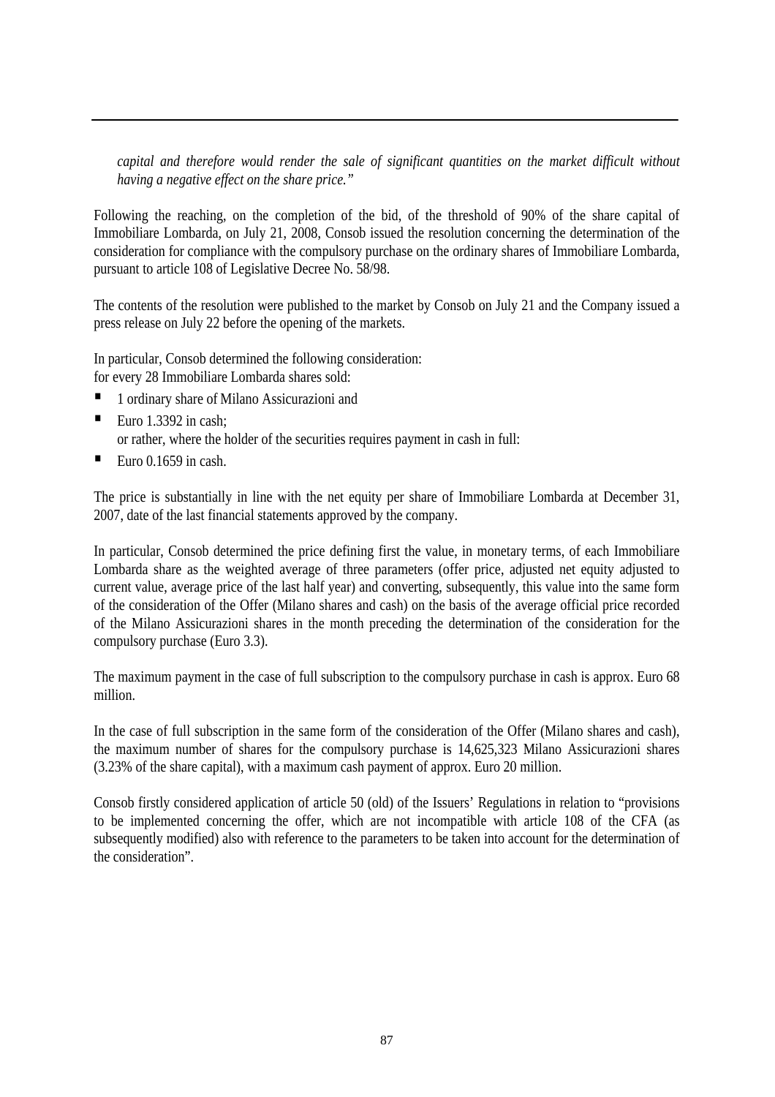*capital and therefore would render the sale of significant quantities on the market difficult without having a negative effect on the share price."* 

Following the reaching, on the completion of the bid, of the threshold of 90% of the share capital of Immobiliare Lombarda, on July 21, 2008, Consob issued the resolution concerning the determination of the consideration for compliance with the compulsory purchase on the ordinary shares of Immobiliare Lombarda, pursuant to article 108 of Legislative Decree No. 58/98.

The contents of the resolution were published to the market by Consob on July 21 and the Company issued a press release on July 22 before the opening of the markets.

In particular, Consob determined the following consideration: for every 28 Immobiliare Lombarda shares sold:

- 1 ordinary share of Milano Assicurazioni and
- Euro 1.3392 in cash: or rather, where the holder of the securities requires payment in cash in full:
- Euro  $0.1659$  in cash.

The price is substantially in line with the net equity per share of Immobiliare Lombarda at December 31, 2007, date of the last financial statements approved by the company.

In particular, Consob determined the price defining first the value, in monetary terms, of each Immobiliare Lombarda share as the weighted average of three parameters (offer price, adjusted net equity adjusted to current value, average price of the last half year) and converting, subsequently, this value into the same form of the consideration of the Offer (Milano shares and cash) on the basis of the average official price recorded of the Milano Assicurazioni shares in the month preceding the determination of the consideration for the compulsory purchase (Euro 3.3).

The maximum payment in the case of full subscription to the compulsory purchase in cash is approx. Euro 68 million.

In the case of full subscription in the same form of the consideration of the Offer (Milano shares and cash), the maximum number of shares for the compulsory purchase is 14,625,323 Milano Assicurazioni shares (3.23% of the share capital), with a maximum cash payment of approx. Euro 20 million.

Consob firstly considered application of article 50 (old) of the Issuers' Regulations in relation to "provisions to be implemented concerning the offer, which are not incompatible with article 108 of the CFA (as subsequently modified) also with reference to the parameters to be taken into account for the determination of the consideration".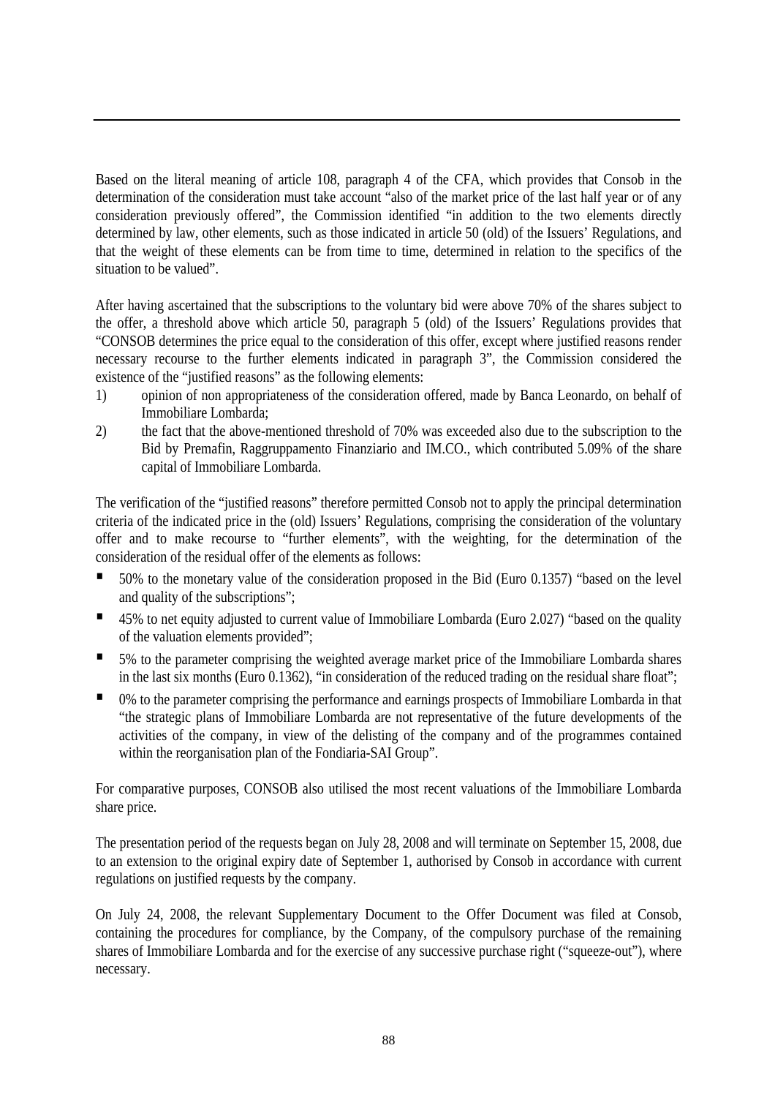Based on the literal meaning of article 108, paragraph 4 of the CFA, which provides that Consob in the determination of the consideration must take account "also of the market price of the last half year or of any consideration previously offered", the Commission identified "in addition to the two elements directly determined by law, other elements, such as those indicated in article 50 (old) of the Issuers' Regulations, and that the weight of these elements can be from time to time, determined in relation to the specifics of the situation to be valued".

After having ascertained that the subscriptions to the voluntary bid were above 70% of the shares subject to the offer, a threshold above which article 50, paragraph 5 (old) of the Issuers' Regulations provides that "CONSOB determines the price equal to the consideration of this offer, except where justified reasons render necessary recourse to the further elements indicated in paragraph 3", the Commission considered the existence of the "justified reasons" as the following elements:

- 1) opinion of non appropriateness of the consideration offered, made by Banca Leonardo, on behalf of Immobiliare Lombarda;
- 2) the fact that the above-mentioned threshold of 70% was exceeded also due to the subscription to the Bid by Premafin, Raggruppamento Finanziario and IM.CO., which contributed 5.09% of the share capital of Immobiliare Lombarda.

The verification of the "justified reasons" therefore permitted Consob not to apply the principal determination criteria of the indicated price in the (old) Issuers' Regulations, comprising the consideration of the voluntary offer and to make recourse to "further elements", with the weighting, for the determination of the consideration of the residual offer of the elements as follows:

- 50% to the monetary value of the consideration proposed in the Bid (Euro 0.1357) "based on the level and quality of the subscriptions";
- 45% to net equity adjusted to current value of Immobiliare Lombarda (Euro 2.027) "based on the quality of the valuation elements provided";
- 5% to the parameter comprising the weighted average market price of the Immobiliare Lombarda shares in the last six months (Euro 0.1362), "in consideration of the reduced trading on the residual share float";
- <sup>0</sup> 0% to the parameter comprising the performance and earnings prospects of Immobiliare Lombarda in that "the strategic plans of Immobiliare Lombarda are not representative of the future developments of the activities of the company, in view of the delisting of the company and of the programmes contained within the reorganisation plan of the Fondiaria-SAI Group".

For comparative purposes, CONSOB also utilised the most recent valuations of the Immobiliare Lombarda share price.

The presentation period of the requests began on July 28, 2008 and will terminate on September 15, 2008, due to an extension to the original expiry date of September 1, authorised by Consob in accordance with current regulations on justified requests by the company.

On July 24, 2008, the relevant Supplementary Document to the Offer Document was filed at Consob, containing the procedures for compliance, by the Company, of the compulsory purchase of the remaining shares of Immobiliare Lombarda and for the exercise of any successive purchase right ("squeeze-out"), where necessary.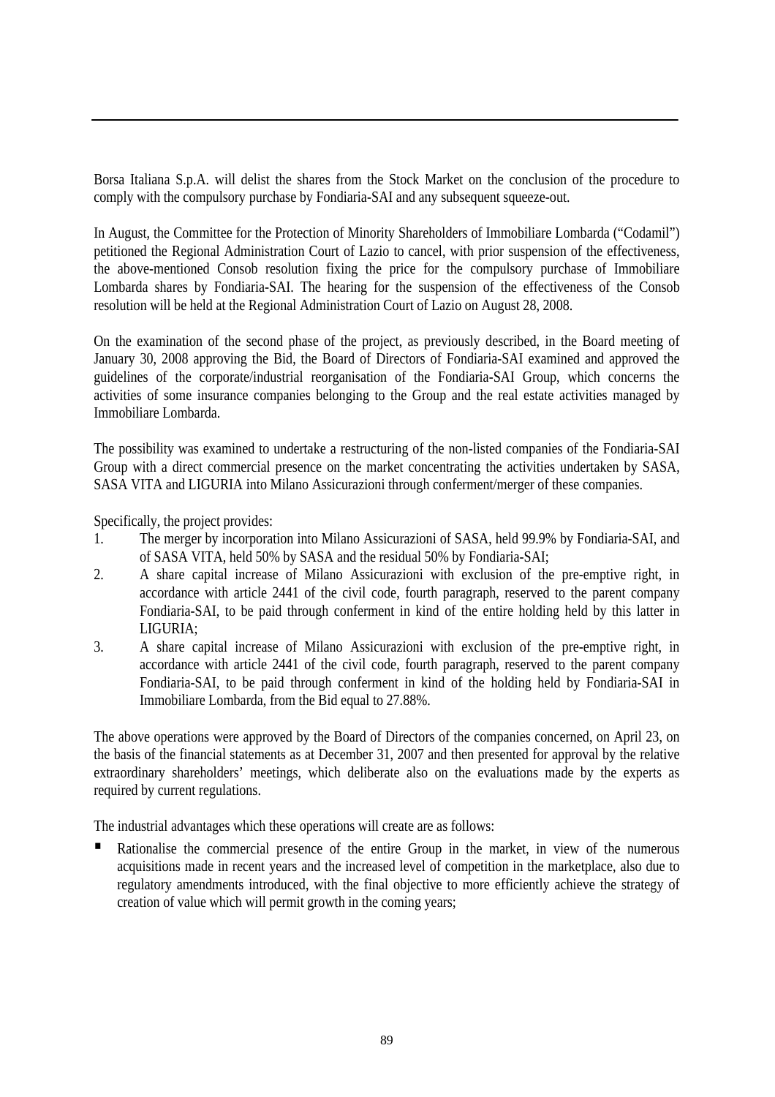Borsa Italiana S.p.A. will delist the shares from the Stock Market on the conclusion of the procedure to comply with the compulsory purchase by Fondiaria-SAI and any subsequent squeeze-out.

In August, the Committee for the Protection of Minority Shareholders of Immobiliare Lombarda ("Codamil") petitioned the Regional Administration Court of Lazio to cancel, with prior suspension of the effectiveness, the above-mentioned Consob resolution fixing the price for the compulsory purchase of Immobiliare Lombarda shares by Fondiaria-SAI. The hearing for the suspension of the effectiveness of the Consob resolution will be held at the Regional Administration Court of Lazio on August 28, 2008.

On the examination of the second phase of the project, as previously described, in the Board meeting of January 30, 2008 approving the Bid, the Board of Directors of Fondiaria-SAI examined and approved the guidelines of the corporate/industrial reorganisation of the Fondiaria-SAI Group, which concerns the activities of some insurance companies belonging to the Group and the real estate activities managed by Immobiliare Lombarda.

The possibility was examined to undertake a restructuring of the non-listed companies of the Fondiaria-SAI Group with a direct commercial presence on the market concentrating the activities undertaken by SASA, SASA VITA and LIGURIA into Milano Assicurazioni through conferment/merger of these companies.

Specifically, the project provides:

- 1. The merger by incorporation into Milano Assicurazioni of SASA, held 99.9% by Fondiaria-SAI, and of SASA VITA, held 50% by SASA and the residual 50% by Fondiaria-SAI;
- 2. A share capital increase of Milano Assicurazioni with exclusion of the pre-emptive right, in accordance with article 2441 of the civil code, fourth paragraph, reserved to the parent company Fondiaria-SAI, to be paid through conferment in kind of the entire holding held by this latter in LIGURIA;
- 3. A share capital increase of Milano Assicurazioni with exclusion of the pre-emptive right, in accordance with article 2441 of the civil code, fourth paragraph, reserved to the parent company Fondiaria-SAI, to be paid through conferment in kind of the holding held by Fondiaria-SAI in Immobiliare Lombarda, from the Bid equal to 27.88%.

The above operations were approved by the Board of Directors of the companies concerned, on April 23, on the basis of the financial statements as at December 31, 2007 and then presented for approval by the relative extraordinary shareholders' meetings, which deliberate also on the evaluations made by the experts as required by current regulations.

The industrial advantages which these operations will create are as follows:

 Rationalise the commercial presence of the entire Group in the market, in view of the numerous acquisitions made in recent years and the increased level of competition in the marketplace, also due to regulatory amendments introduced, with the final objective to more efficiently achieve the strategy of creation of value which will permit growth in the coming years;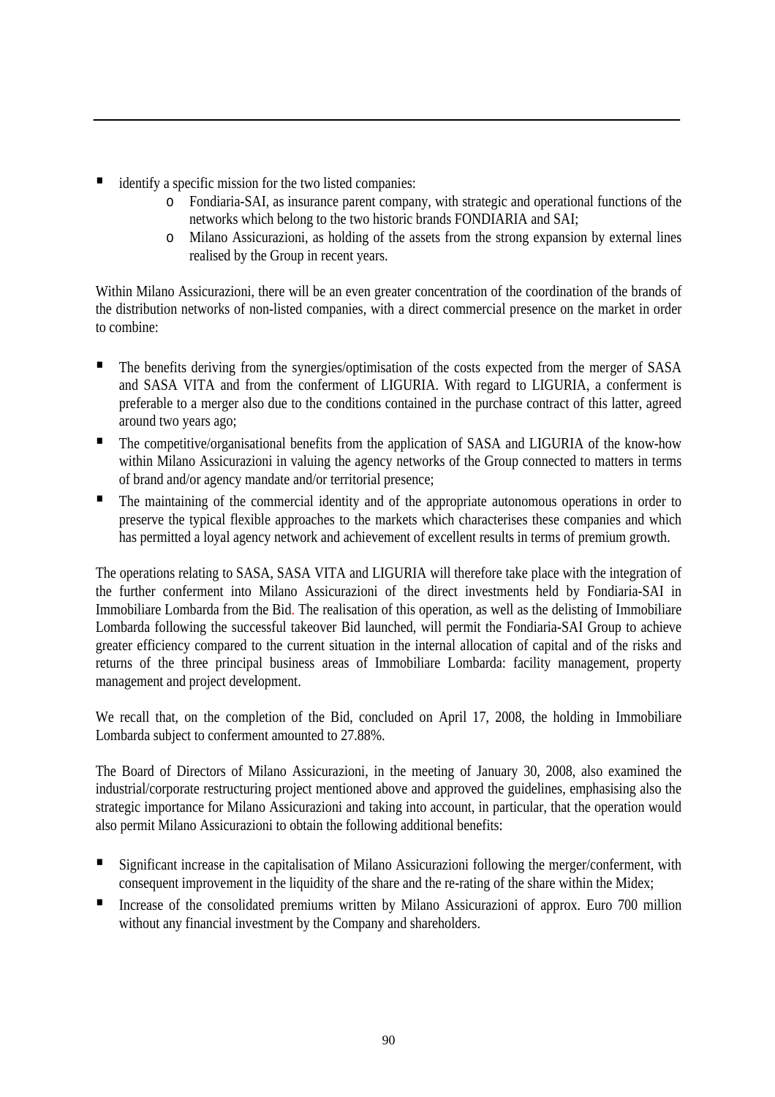- identify a specific mission for the two listed companies:
	- o Fondiaria-SAI, as insurance parent company, with strategic and operational functions of the networks which belong to the two historic brands FONDIARIA and SAI;
	- o Milano Assicurazioni, as holding of the assets from the strong expansion by external lines realised by the Group in recent years.

Within Milano Assicurazioni, there will be an even greater concentration of the coordination of the brands of the distribution networks of non-listed companies, with a direct commercial presence on the market in order to combine:

- The benefits deriving from the synergies/optimisation of the costs expected from the merger of SASA and SASA VITA and from the conferment of LIGURIA. With regard to LIGURIA, a conferment is preferable to a merger also due to the conditions contained in the purchase contract of this latter, agreed around two years ago;
- **The competitive/organisational benefits from the application of SASA and LIGURIA of the know-how** within Milano Assicurazioni in valuing the agency networks of the Group connected to matters in terms of brand and/or agency mandate and/or territorial presence;
- The maintaining of the commercial identity and of the appropriate autonomous operations in order to preserve the typical flexible approaches to the markets which characterises these companies and which has permitted a loyal agency network and achievement of excellent results in terms of premium growth.

The operations relating to SASA, SASA VITA and LIGURIA will therefore take place with the integration of the further conferment into Milano Assicurazioni of the direct investments held by Fondiaria-SAI in Immobiliare Lombarda from the Bid. The realisation of this operation, as well as the delisting of Immobiliare Lombarda following the successful takeover Bid launched, will permit the Fondiaria-SAI Group to achieve greater efficiency compared to the current situation in the internal allocation of capital and of the risks and returns of the three principal business areas of Immobiliare Lombarda: facility management, property management and project development.

We recall that, on the completion of the Bid, concluded on April 17, 2008, the holding in Immobiliare Lombarda subject to conferment amounted to 27.88%.

The Board of Directors of Milano Assicurazioni, in the meeting of January 30, 2008, also examined the industrial/corporate restructuring project mentioned above and approved the guidelines, emphasising also the strategic importance for Milano Assicurazioni and taking into account, in particular, that the operation would also permit Milano Assicurazioni to obtain the following additional benefits:

- Significant increase in the capitalisation of Milano Assicurazioni following the merger/conferment, with consequent improvement in the liquidity of the share and the re-rating of the share within the Midex;
- Increase of the consolidated premiums written by Milano Assicurazioni of approx. Euro 700 million without any financial investment by the Company and shareholders.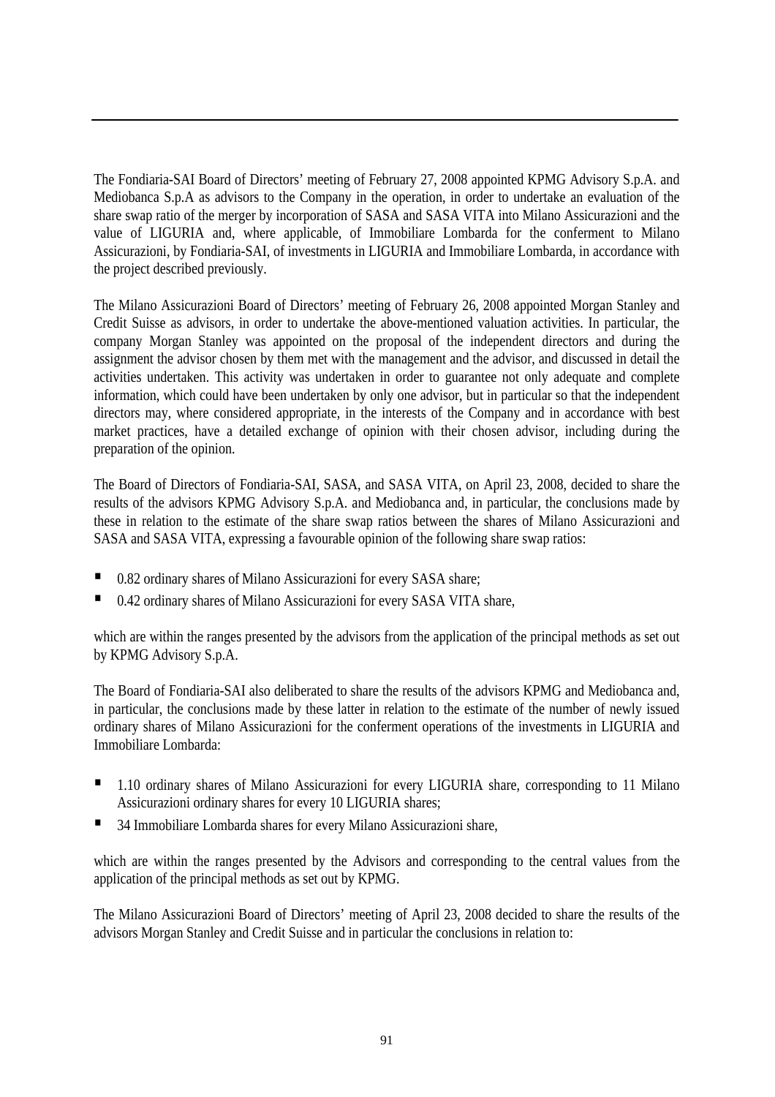The Fondiaria-SAI Board of Directors' meeting of February 27, 2008 appointed KPMG Advisory S.p.A. and Mediobanca S.p.A as advisors to the Company in the operation, in order to undertake an evaluation of the share swap ratio of the merger by incorporation of SASA and SASA VITA into Milano Assicurazioni and the value of LIGURIA and, where applicable, of Immobiliare Lombarda for the conferment to Milano Assicurazioni, by Fondiaria-SAI, of investments in LIGURIA and Immobiliare Lombarda, in accordance with the project described previously.

The Milano Assicurazioni Board of Directors' meeting of February 26, 2008 appointed Morgan Stanley and Credit Suisse as advisors, in order to undertake the above-mentioned valuation activities. In particular, the company Morgan Stanley was appointed on the proposal of the independent directors and during the assignment the advisor chosen by them met with the management and the advisor, and discussed in detail the activities undertaken. This activity was undertaken in order to guarantee not only adequate and complete information, which could have been undertaken by only one advisor, but in particular so that the independent directors may, where considered appropriate, in the interests of the Company and in accordance with best market practices, have a detailed exchange of opinion with their chosen advisor, including during the preparation of the opinion.

The Board of Directors of Fondiaria-SAI, SASA, and SASA VITA, on April 23, 2008, decided to share the results of the advisors KPMG Advisory S.p.A. and Mediobanca and, in particular, the conclusions made by these in relation to the estimate of the share swap ratios between the shares of Milano Assicurazioni and SASA and SASA VITA, expressing a favourable opinion of the following share swap ratios:

- 0.82 ordinary shares of Milano Assicurazioni for every SASA share;
- 0.42 ordinary shares of Milano Assicurazioni for every SASA VITA share,

which are within the ranges presented by the advisors from the application of the principal methods as set out by KPMG Advisory S.p.A.

The Board of Fondiaria-SAI also deliberated to share the results of the advisors KPMG and Mediobanca and, in particular, the conclusions made by these latter in relation to the estimate of the number of newly issued ordinary shares of Milano Assicurazioni for the conferment operations of the investments in LIGURIA and Immobiliare Lombarda:

- 1.10 ordinary shares of Milano Assicurazioni for every LIGURIA share, corresponding to 11 Milano Assicurazioni ordinary shares for every 10 LIGURIA shares;
- 34 Immobiliare Lombarda shares for every Milano Assicurazioni share,

which are within the ranges presented by the Advisors and corresponding to the central values from the application of the principal methods as set out by KPMG.

The Milano Assicurazioni Board of Directors' meeting of April 23, 2008 decided to share the results of the advisors Morgan Stanley and Credit Suisse and in particular the conclusions in relation to: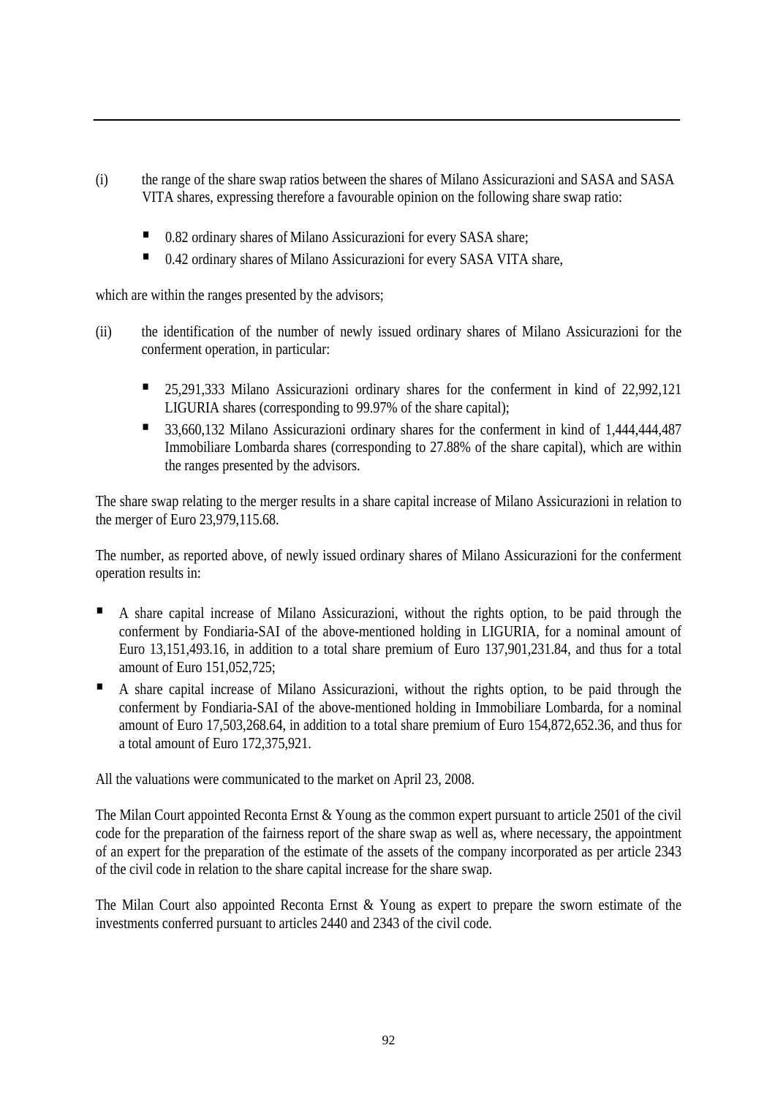- (i) the range of the share swap ratios between the shares of Milano Assicurazioni and SASA and SASA VITA shares, expressing therefore a favourable opinion on the following share swap ratio:
	- 0.82 ordinary shares of Milano Assicurazioni for every SASA share;
	- 0.42 ordinary shares of Milano Assicurazioni for every SASA VITA share,

which are within the ranges presented by the advisors;

- (ii) the identification of the number of newly issued ordinary shares of Milano Assicurazioni for the conferment operation, in particular:
	- <sup>25,291,333</sup> Milano Assicurazioni ordinary shares for the conferment in kind of 22,992,121 LIGURIA shares (corresponding to 99.97% of the share capital);
	- 33,660,132 Milano Assicurazioni ordinary shares for the conferment in kind of 1,444,444,487 Immobiliare Lombarda shares (corresponding to 27.88% of the share capital), which are within the ranges presented by the advisors.

The share swap relating to the merger results in a share capital increase of Milano Assicurazioni in relation to the merger of Euro 23,979,115.68.

The number, as reported above, of newly issued ordinary shares of Milano Assicurazioni for the conferment operation results in:

- A share capital increase of Milano Assicurazioni, without the rights option, to be paid through the conferment by Fondiaria-SAI of the above-mentioned holding in LIGURIA, for a nominal amount of Euro 13,151,493.16, in addition to a total share premium of Euro 137,901,231.84, and thus for a total amount of Euro 151,052,725;
- A share capital increase of Milano Assicurazioni, without the rights option, to be paid through the conferment by Fondiaria-SAI of the above-mentioned holding in Immobiliare Lombarda, for a nominal amount of Euro 17,503,268.64, in addition to a total share premium of Euro 154,872,652.36, and thus for a total amount of Euro 172,375,921.

All the valuations were communicated to the market on April 23, 2008.

The Milan Court appointed Reconta Ernst & Young as the common expert pursuant to article 2501 of the civil code for the preparation of the fairness report of the share swap as well as, where necessary, the appointment of an expert for the preparation of the estimate of the assets of the company incorporated as per article 2343 of the civil code in relation to the share capital increase for the share swap.

The Milan Court also appointed Reconta Ernst & Young as expert to prepare the sworn estimate of the investments conferred pursuant to articles 2440 and 2343 of the civil code.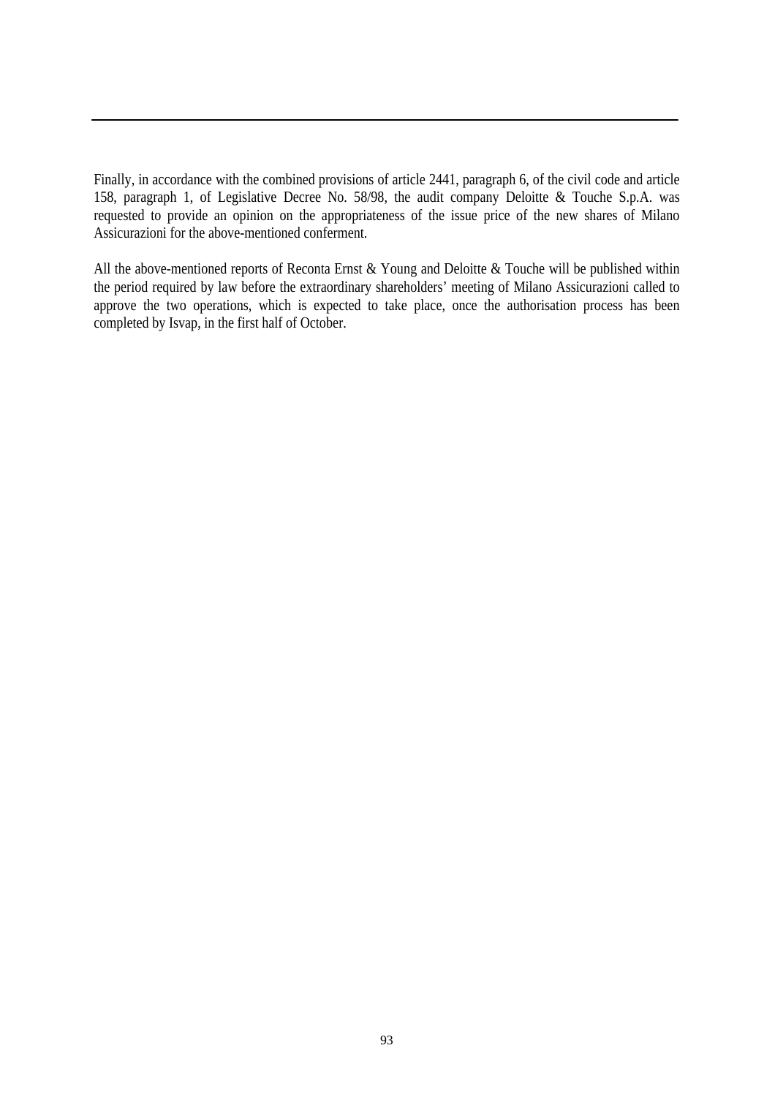Finally, in accordance with the combined provisions of article 2441, paragraph 6, of the civil code and article 158, paragraph 1, of Legislative Decree No. 58/98, the audit company Deloitte & Touche S.p.A. was requested to provide an opinion on the appropriateness of the issue price of the new shares of Milano Assicurazioni for the above-mentioned conferment.

All the above-mentioned reports of Reconta Ernst & Young and Deloitte & Touche will be published within the period required by law before the extraordinary shareholders' meeting of Milano Assicurazioni called to approve the two operations, which is expected to take place, once the authorisation process has been completed by Isvap, in the first half of October.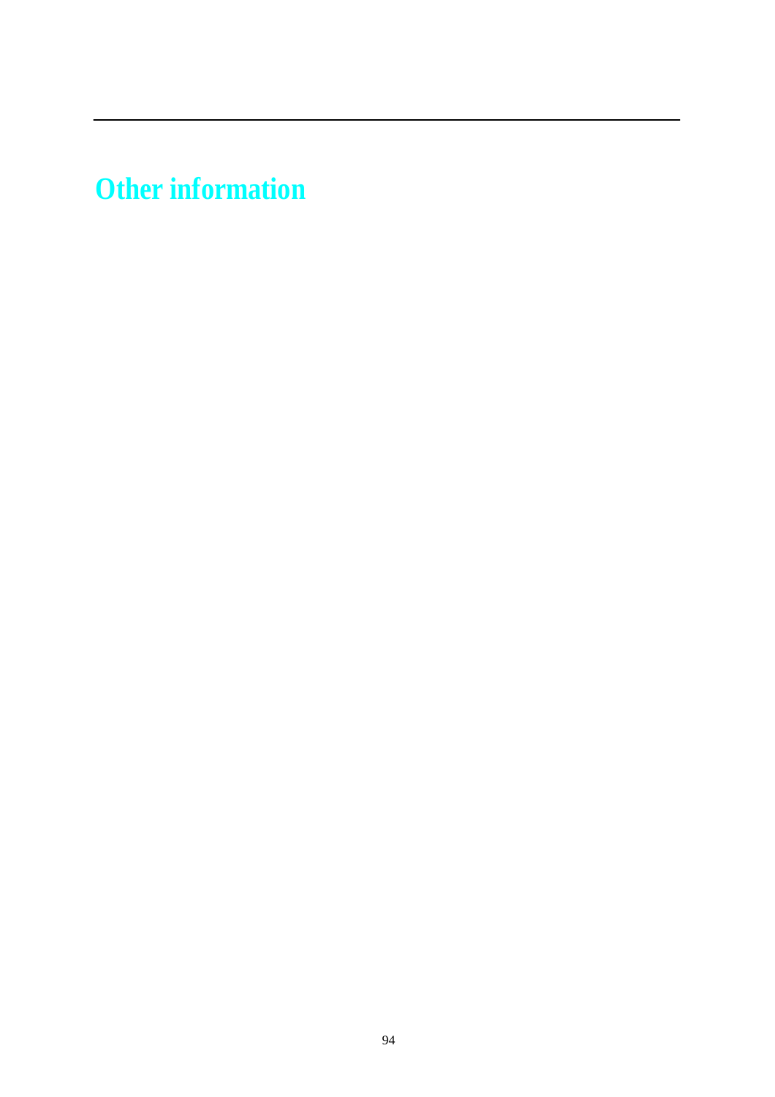**Other information**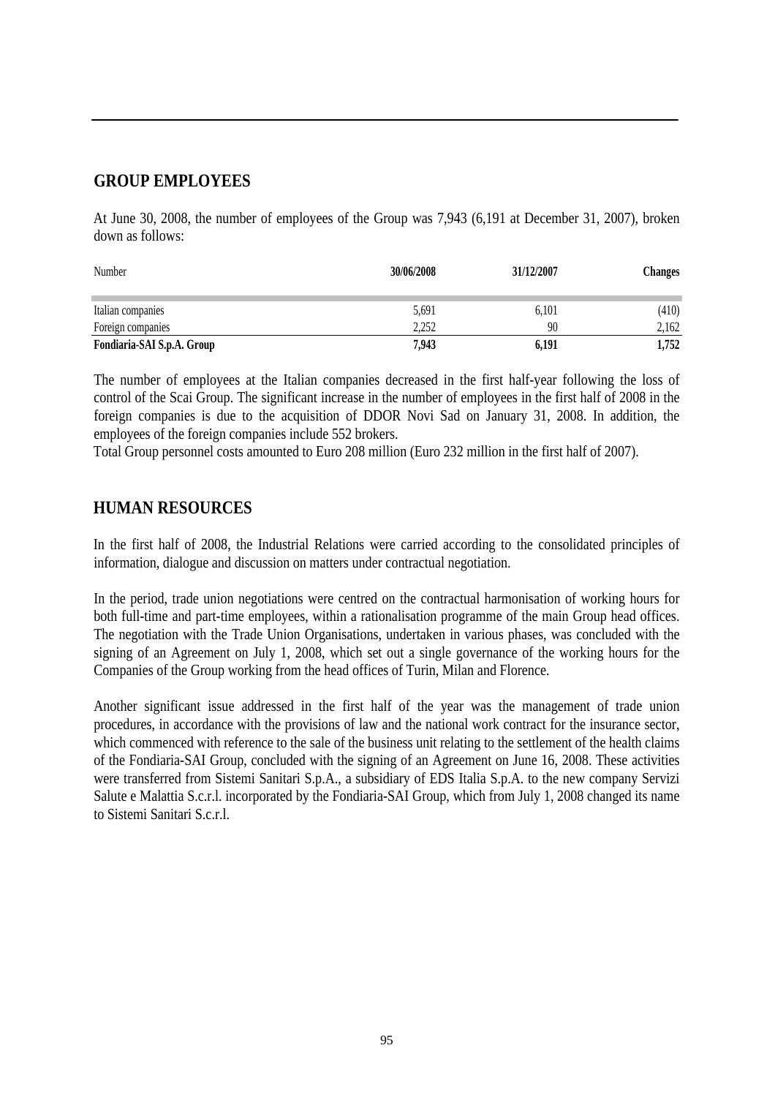## **GROUP EMPLOYEES**

At June 30, 2008, the number of employees of the Group was 7,943 (6,191 at December 31, 2007), broken down as follows:

| Number                     | 30/06/2008 | 31/12/2007 | Changes |
|----------------------------|------------|------------|---------|
| Italian companies          | 5,691      | 6.101      | (410)   |
| Foreign companies          | 2,252      | 90         | 2,162   |
| Fondiaria-SAI S.p.A. Group | 7,943      | 6.191      | 1,752   |

The number of employees at the Italian companies decreased in the first half-year following the loss of control of the Scai Group. The significant increase in the number of employees in the first half of 2008 in the foreign companies is due to the acquisition of DDOR Novi Sad on January 31, 2008. In addition, the employees of the foreign companies include 552 brokers.

Total Group personnel costs amounted to Euro 208 million (Euro 232 million in the first half of 2007).

## **HUMAN RESOURCES**

In the first half of 2008, the Industrial Relations were carried according to the consolidated principles of information, dialogue and discussion on matters under contractual negotiation.

 In the period, trade union negotiations were centred on the contractual harmonisation of working hours for both full-time and part-time employees, within a rationalisation programme of the main Group head offices. The negotiation with the Trade Union Organisations, undertaken in various phases, was concluded with the signing of an Agreement on July 1, 2008, which set out a single governance of the working hours for the Companies of the Group working from the head offices of Turin, Milan and Florence.

 Another significant issue addressed in the first half of the year was the management of trade union procedures, in accordance with the provisions of law and the national work contract for the insurance sector, which commenced with reference to the sale of the business unit relating to the settlement of the health claims of the Fondiaria-SAI Group, concluded with the signing of an Agreement on June 16, 2008. These activities were transferred from Sistemi Sanitari S.p.A., a subsidiary of EDS Italia S.p.A. to the new company Servizi Salute e Malattia S.c.r.l. incorporated by the Fondiaria-SAI Group, which from July 1, 2008 changed its name to Sistemi Sanitari S.c.r.l.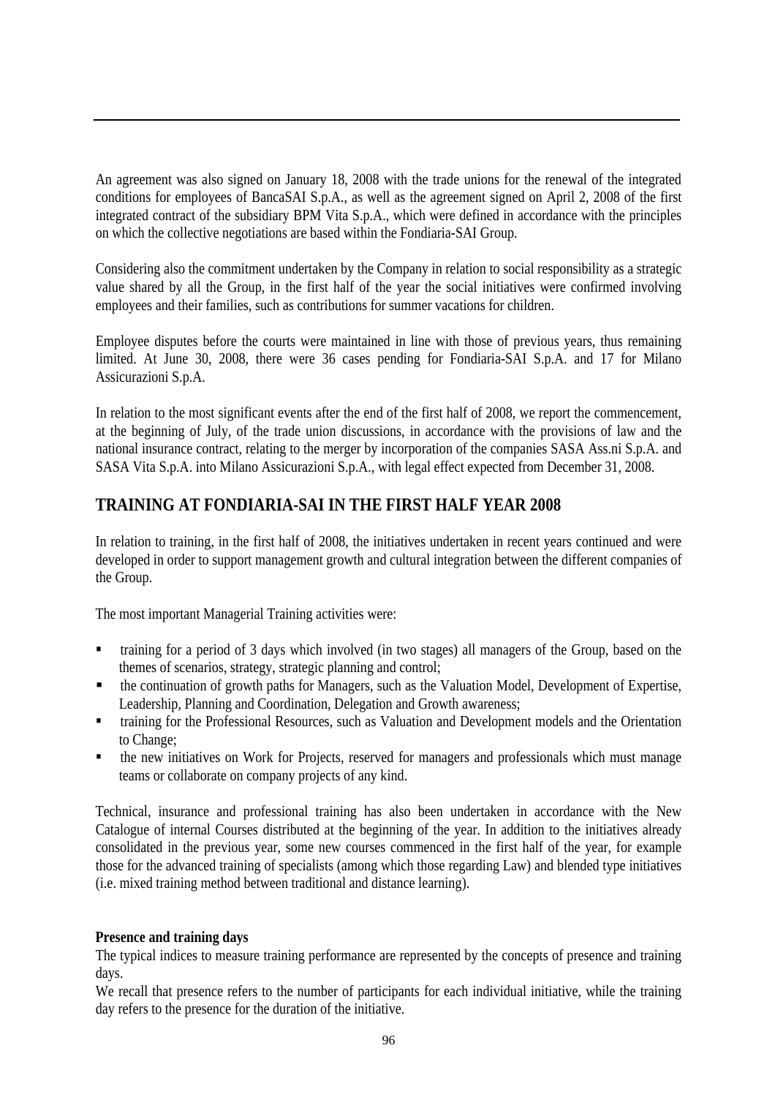An agreement was also signed on January 18, 2008 with the trade unions for the renewal of the integrated conditions for employees of BancaSAI S.p.A., as well as the agreement signed on April 2, 2008 of the first integrated contract of the subsidiary BPM Vita S.p.A., which were defined in accordance with the principles on which the collective negotiations are based within the Fondiaria-SAI Group.

 Considering also the commitment undertaken by the Company in relation to social responsibility as a strategic value shared by all the Group, in the first half of the year the social initiatives were confirmed involving employees and their families, such as contributions for summer vacations for children.

 Employee disputes before the courts were maintained in line with those of previous years, thus remaining limited. At June 30, 2008, there were 36 cases pending for Fondiaria-SAI S.p.A. and 17 for Milano Assicurazioni S.p.A.

 In relation to the most significant events after the end of the first half of 2008, we report the commencement, at the beginning of July, of the trade union discussions, in accordance with the provisions of law and the national insurance contract, relating to the merger by incorporation of the companies SASA Ass.ni S.p.A. and SASA Vita S.p.A. into Milano Assicurazioni S.p.A., with legal effect expected from December 31, 2008.

# **TRAINING AT FONDIARIA-SAI IN THE FIRST HALF YEAR 2008**

In relation to training, in the first half of 2008, the initiatives undertaken in recent years continued and were developed in order to support management growth and cultural integration between the different companies of the Group.

The most important Managerial Training activities were:

- training for a period of 3 days which involved (in two stages) all managers of the Group, based on the themes of scenarios, strategy, strategic planning and control;
- the continuation of growth paths for Managers, such as the Valuation Model, Development of Expertise, Leadership, Planning and Coordination, Delegation and Growth awareness;
- **the Industry of the Professional Resources, such as Valuation and Development models and the Orientation** to Change;
- the new initiatives on Work for Projects, reserved for managers and professionals which must manage teams or collaborate on company projects of any kind.

Technical, insurance and professional training has also been undertaken in accordance with the New Catalogue of internal Courses distributed at the beginning of the year. In addition to the initiatives already consolidated in the previous year, some new courses commenced in the first half of the year, for example those for the advanced training of specialists (among which those regarding Law) and blended type initiatives (i.e. mixed training method between traditional and distance learning).

#### **Presence and training days**

The typical indices to measure training performance are represented by the concepts of presence and training days.

We recall that presence refers to the number of participants for each individual initiative, while the training day refers to the presence for the duration of the initiative.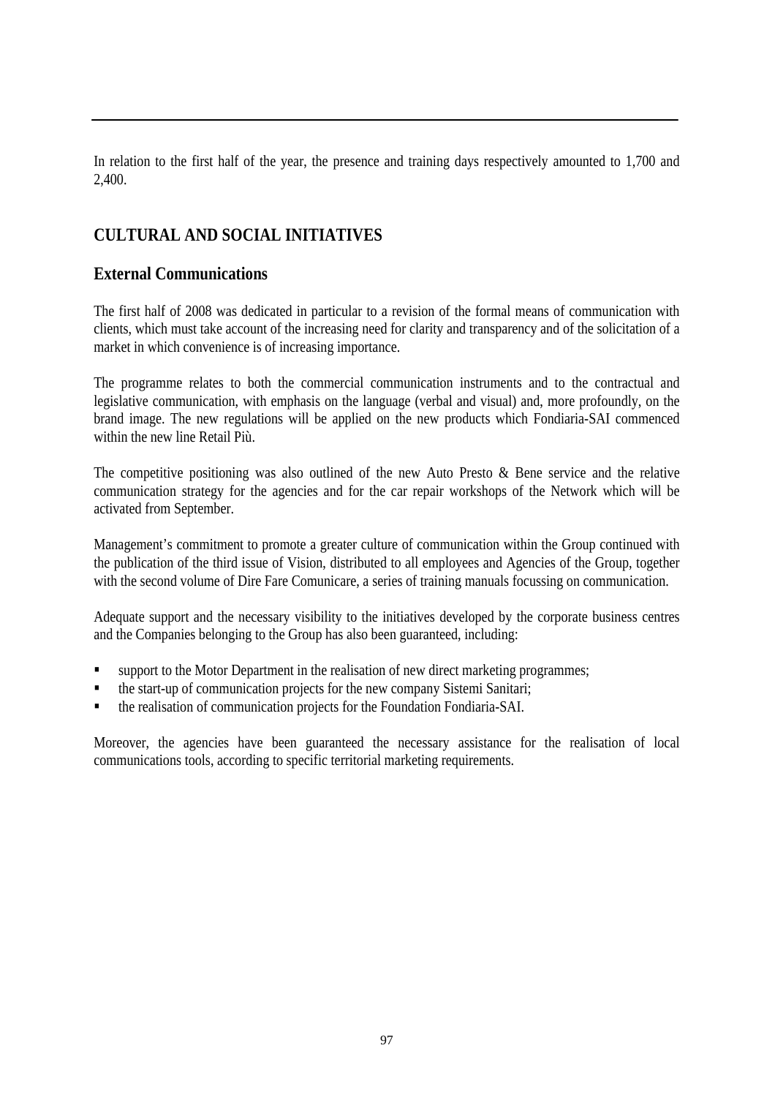In relation to the first half of the year, the presence and training days respectively amounted to 1,700 and 2,400.

## **CULTURAL AND SOCIAL INITIATIVES**

## **External Communications**

The first half of 2008 was dedicated in particular to a revision of the formal means of communication with clients, which must take account of the increasing need for clarity and transparency and of the solicitation of a market in which convenience is of increasing importance.

The programme relates to both the commercial communication instruments and to the contractual and legislative communication, with emphasis on the language (verbal and visual) and, more profoundly, on the brand image. The new regulations will be applied on the new products which Fondiaria-SAI commenced within the new line Retail Più.

The competitive positioning was also outlined of the new Auto Presto & Bene service and the relative communication strategy for the agencies and for the car repair workshops of the Network which will be activated from September.

Management's commitment to promote a greater culture of communication within the Group continued with the publication of the third issue of Vision, distributed to all employees and Agencies of the Group, together with the second volume of Dire Fare Comunicare, a series of training manuals focussing on communication.

Adequate support and the necessary visibility to the initiatives developed by the corporate business centres and the Companies belonging to the Group has also been guaranteed, including:

- **Example 1** support to the Motor Department in the realisation of new direct marketing programmes;
- the start-up of communication projects for the new company Sistemi Sanitari;
- the realisation of communication projects for the Foundation Fondiaria-SAI.

Moreover, the agencies have been guaranteed the necessary assistance for the realisation of local communications tools, according to specific territorial marketing requirements.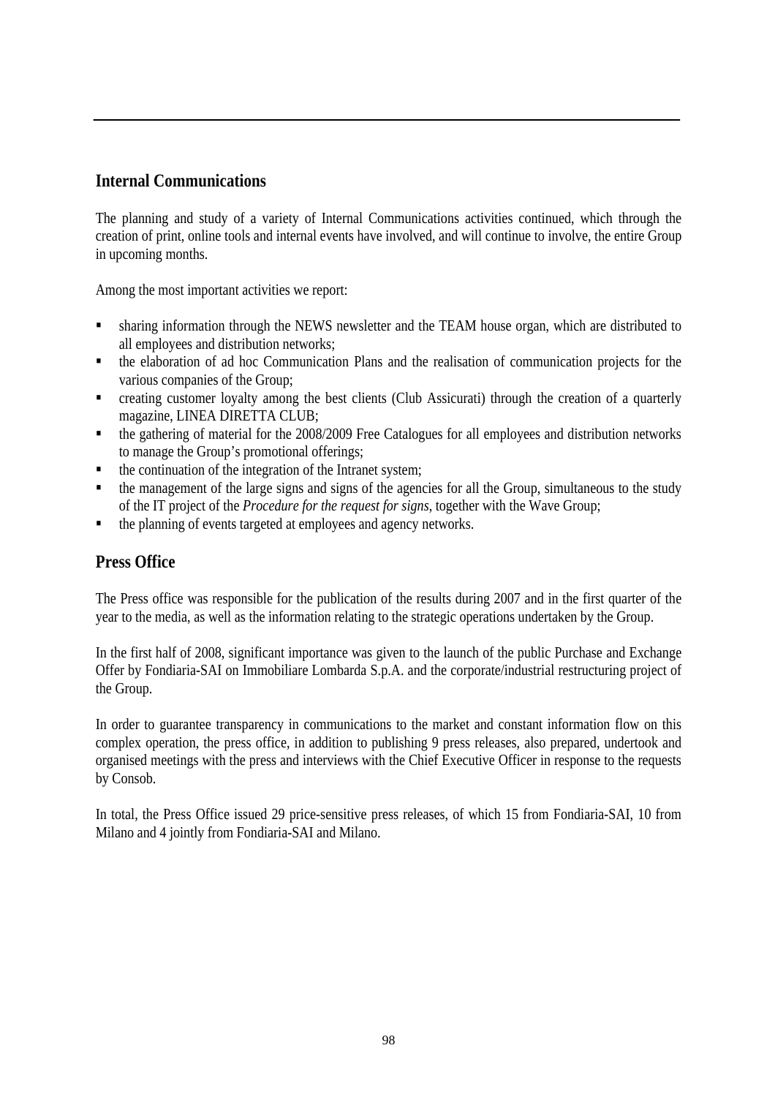## **Internal Communications**

The planning and study of a variety of Internal Communications activities continued, which through the creation of print, online tools and internal events have involved, and will continue to involve, the entire Group in upcoming months.

Among the most important activities we report:

- sharing information through the NEWS newsletter and the TEAM house organ, which are distributed to all employees and distribution networks;
- the elaboration of ad hoc Communication Plans and the realisation of communication projects for the various companies of the Group;
- creating customer loyalty among the best clients (Club Assicurati) through the creation of a quarterly magazine, LINEA DIRETTA CLUB;
- the gathering of material for the 2008/2009 Free Catalogues for all employees and distribution networks to manage the Group's promotional offerings;
- $\blacksquare$  the continuation of the integration of the Intranet system;
- the management of the large signs and signs of the agencies for all the Group, simultaneous to the study of the IT project of the *Procedure for the request for signs*, together with the Wave Group;
- $\blacksquare$  the planning of events targeted at employees and agency networks.

## **Press Office**

The Press office was responsible for the publication of the results during 2007 and in the first quarter of the year to the media, as well as the information relating to the strategic operations undertaken by the Group.

In the first half of 2008, significant importance was given to the launch of the public Purchase and Exchange Offer by Fondiaria-SAI on Immobiliare Lombarda S.p.A. and the corporate/industrial restructuring project of the Group.

In order to guarantee transparency in communications to the market and constant information flow on this complex operation, the press office, in addition to publishing 9 press releases, also prepared, undertook and organised meetings with the press and interviews with the Chief Executive Officer in response to the requests by Consob.

In total, the Press Office issued 29 price-sensitive press releases, of which 15 from Fondiaria-SAI, 10 from Milano and 4 jointly from Fondiaria-SAI and Milano.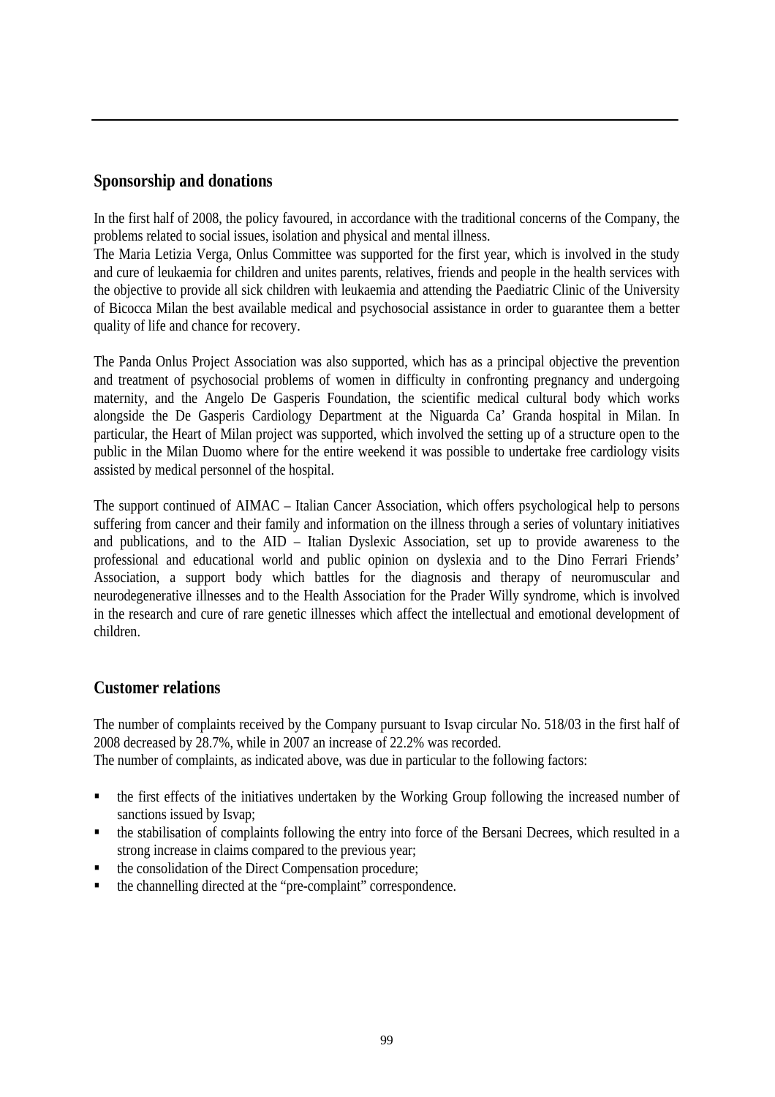#### **Sponsorship and donations**

In the first half of 2008, the policy favoured, in accordance with the traditional concerns of the Company, the problems related to social issues, isolation and physical and mental illness.

The Maria Letizia Verga, Onlus Committee was supported for the first year, which is involved in the study and cure of leukaemia for children and unites parents, relatives, friends and people in the health services with the objective to provide all sick children with leukaemia and attending the Paediatric Clinic of the University of Bicocca Milan the best available medical and psychosocial assistance in order to guarantee them a better quality of life and chance for recovery.

The Panda Onlus Project Association was also supported, which has as a principal objective the prevention and treatment of psychosocial problems of women in difficulty in confronting pregnancy and undergoing maternity, and the Angelo De Gasperis Foundation, the scientific medical cultural body which works alongside the De Gasperis Cardiology Department at the Niguarda Ca' Granda hospital in Milan. In particular, the Heart of Milan project was supported, which involved the setting up of a structure open to the public in the Milan Duomo where for the entire weekend it was possible to undertake free cardiology visits assisted by medical personnel of the hospital.

The support continued of AIMAC – Italian Cancer Association, which offers psychological help to persons suffering from cancer and their family and information on the illness through a series of voluntary initiatives and publications, and to the AID – Italian Dyslexic Association, set up to provide awareness to the professional and educational world and public opinion on dyslexia and to the Dino Ferrari Friends' Association, a support body which battles for the diagnosis and therapy of neuromuscular and neurodegenerative illnesses and to the Health Association for the Prader Willy syndrome, which is involved in the research and cure of rare genetic illnesses which affect the intellectual and emotional development of children.

#### **Customer relations**

The number of complaints received by the Company pursuant to Isvap circular No. 518/03 in the first half of 2008 decreased by 28.7%, while in 2007 an increase of 22.2% was recorded.

The number of complaints, as indicated above, was due in particular to the following factors:

- the first effects of the initiatives undertaken by the Working Group following the increased number of sanctions issued by Isvap;
- the stabilisation of complaints following the entry into force of the Bersani Decrees, which resulted in a strong increase in claims compared to the previous year;
- the consolidation of the Direct Compensation procedure;
- the channelling directed at the "pre-complaint" correspondence.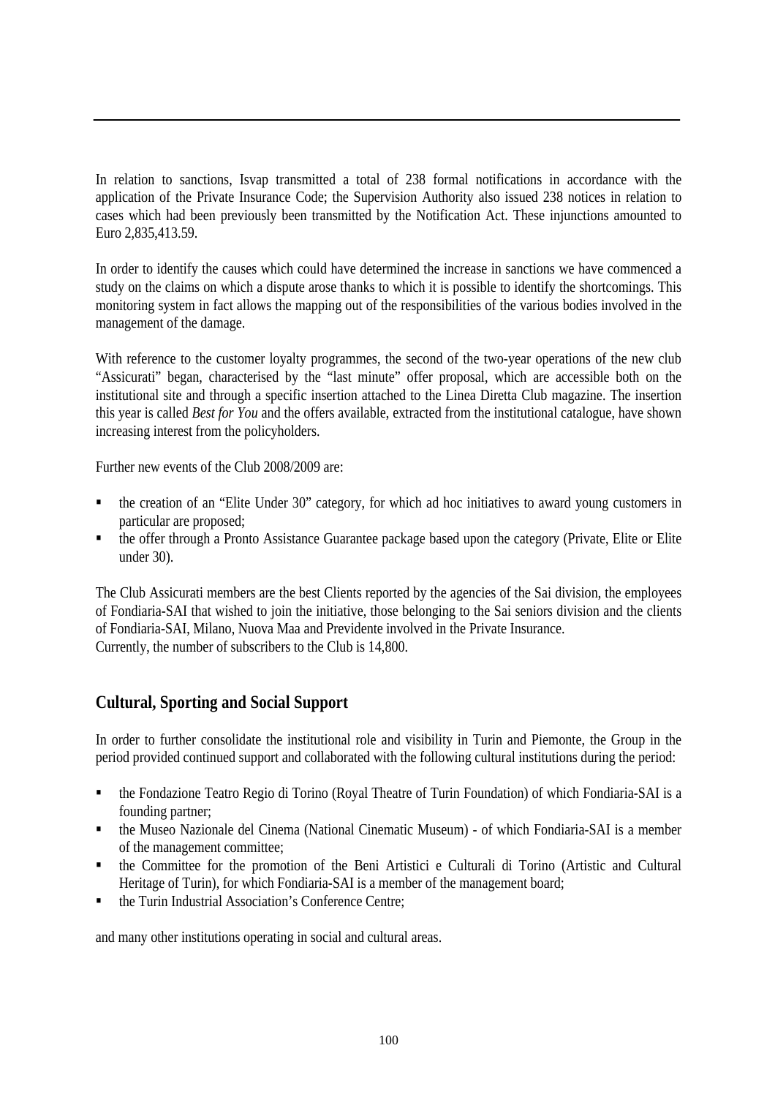In relation to sanctions, Isvap transmitted a total of 238 formal notifications in accordance with the application of the Private Insurance Code; the Supervision Authority also issued 238 notices in relation to cases which had been previously been transmitted by the Notification Act. These injunctions amounted to Euro 2,835,413.59.

In order to identify the causes which could have determined the increase in sanctions we have commenced a study on the claims on which a dispute arose thanks to which it is possible to identify the shortcomings. This monitoring system in fact allows the mapping out of the responsibilities of the various bodies involved in the management of the damage.

With reference to the customer loyalty programmes, the second of the two-year operations of the new club "Assicurati" began, characterised by the "last minute" offer proposal, which are accessible both on the institutional site and through a specific insertion attached to the Linea Diretta Club magazine. The insertion this year is called *Best for You* and the offers available, extracted from the institutional catalogue, have shown increasing interest from the policyholders.

Further new events of the Club 2008/2009 are:

- the creation of an "Elite Under 30" category, for which ad hoc initiatives to award young customers in particular are proposed;
- the offer through a Pronto Assistance Guarantee package based upon the category (Private, Elite or Elite under 30).

The Club Assicurati members are the best Clients reported by the agencies of the Sai division, the employees of Fondiaria-SAI that wished to join the initiative, those belonging to the Sai seniors division and the clients of Fondiaria-SAI, Milano, Nuova Maa and Previdente involved in the Private Insurance. Currently, the number of subscribers to the Club is 14,800.

## **Cultural, Sporting and Social Support**

In order to further consolidate the institutional role and visibility in Turin and Piemonte, the Group in the period provided continued support and collaborated with the following cultural institutions during the period:

- the Fondazione Teatro Regio di Torino (Royal Theatre of Turin Foundation) of which Fondiaria-SAI is a founding partner;
- the Museo Nazionale del Cinema (National Cinematic Museum) of which Fondiaria-SAI is a member of the management committee;
- the Committee for the promotion of the Beni Artistici e Culturali di Torino (Artistic and Cultural Heritage of Turin), for which Fondiaria-SAI is a member of the management board;
- the Turin Industrial Association's Conference Centre;

and many other institutions operating in social and cultural areas.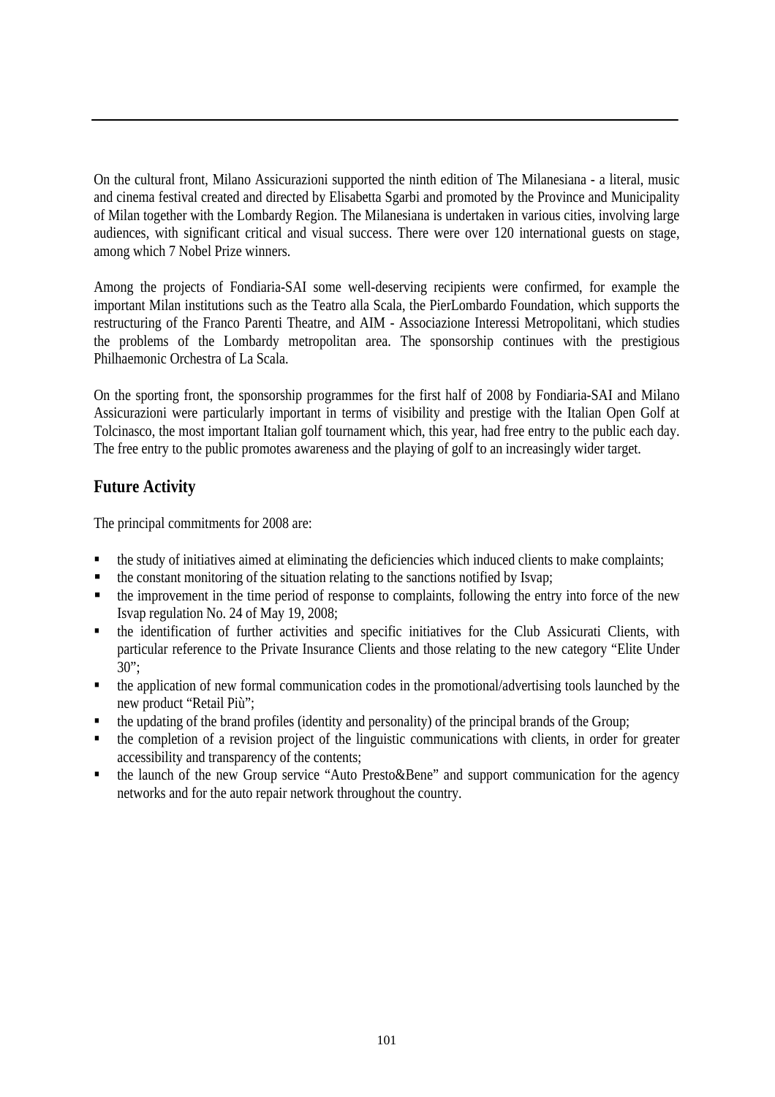On the cultural front, Milano Assicurazioni supported the ninth edition of The Milanesiana - a literal, music and cinema festival created and directed by Elisabetta Sgarbi and promoted by the Province and Municipality of Milan together with the Lombardy Region. The Milanesiana is undertaken in various cities, involving large audiences, with significant critical and visual success. There were over 120 international guests on stage, among which 7 Nobel Prize winners.

Among the projects of Fondiaria-SAI some well-deserving recipients were confirmed, for example the important Milan institutions such as the Teatro alla Scala, the PierLombardo Foundation, which supports the restructuring of the Franco Parenti Theatre, and AIM - Associazione Interessi Metropolitani, which studies the problems of the Lombardy metropolitan area. The sponsorship continues with the prestigious Philhaemonic Orchestra of La Scala.

On the sporting front, the sponsorship programmes for the first half of 2008 by Fondiaria-SAI and Milano Assicurazioni were particularly important in terms of visibility and prestige with the Italian Open Golf at Tolcinasco, the most important Italian golf tournament which, this year, had free entry to the public each day. The free entry to the public promotes awareness and the playing of golf to an increasingly wider target.

## **Future Activity**

The principal commitments for 2008 are:

- the study of initiatives aimed at eliminating the deficiencies which induced clients to make complaints;
- the constant monitoring of the situation relating to the sanctions notified by Isvap;
- $\blacksquare$  the improvement in the time period of response to complaints, following the entry into force of the new Isvap regulation No. 24 of May 19, 2008;
- the identification of further activities and specific initiatives for the Club Assicurati Clients, with particular reference to the Private Insurance Clients and those relating to the new category "Elite Under  $30$ ":
- the application of new formal communication codes in the promotional/advertising tools launched by the new product "Retail Più";
- the updating of the brand profiles (identity and personality) of the principal brands of the Group;
- the completion of a revision project of the linguistic communications with clients, in order for greater accessibility and transparency of the contents;
- the launch of the new Group service "Auto Presto&Bene" and support communication for the agency networks and for the auto repair network throughout the country.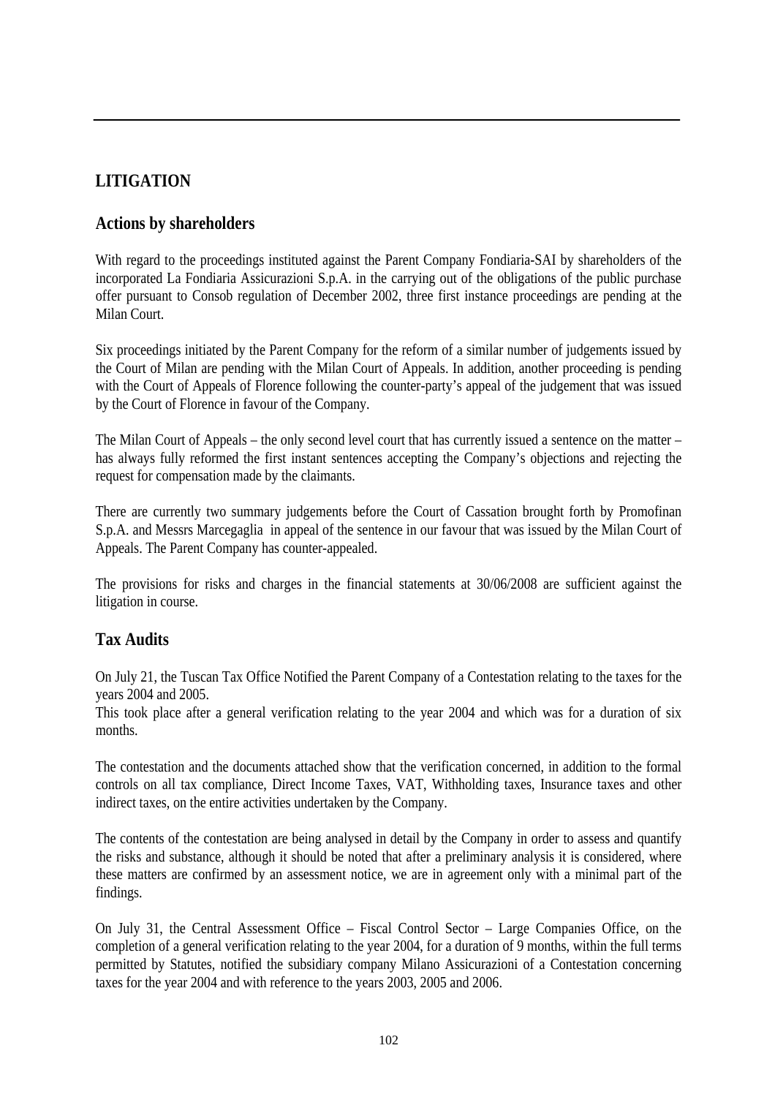# **LITIGATION**

## **Actions by shareholders**

With regard to the proceedings instituted against the Parent Company Fondiaria-SAI by shareholders of the incorporated La Fondiaria Assicurazioni S.p.A. in the carrying out of the obligations of the public purchase offer pursuant to Consob regulation of December 2002, three first instance proceedings are pending at the Milan Court.

Six proceedings initiated by the Parent Company for the reform of a similar number of judgements issued by the Court of Milan are pending with the Milan Court of Appeals. In addition, another proceeding is pending with the Court of Appeals of Florence following the counter-party's appeal of the judgement that was issued by the Court of Florence in favour of the Company.

The Milan Court of Appeals – the only second level court that has currently issued a sentence on the matter – has always fully reformed the first instant sentences accepting the Company's objections and rejecting the request for compensation made by the claimants.

There are currently two summary judgements before the Court of Cassation brought forth by Promofinan S.p.A. and Messrs Marcegaglia in appeal of the sentence in our favour that was issued by the Milan Court of Appeals. The Parent Company has counter-appealed.

The provisions for risks and charges in the financial statements at 30/06/2008 are sufficient against the litigation in course.

## **Tax Audits**

On July 21, the Tuscan Tax Office Notified the Parent Company of a Contestation relating to the taxes for the years 2004 and 2005.

This took place after a general verification relating to the year 2004 and which was for a duration of six months.

The contestation and the documents attached show that the verification concerned, in addition to the formal controls on all tax compliance, Direct Income Taxes, VAT, Withholding taxes, Insurance taxes and other indirect taxes, on the entire activities undertaken by the Company.

The contents of the contestation are being analysed in detail by the Company in order to assess and quantify the risks and substance, although it should be noted that after a preliminary analysis it is considered, where these matters are confirmed by an assessment notice, we are in agreement only with a minimal part of the findings.

On July 31, the Central Assessment Office – Fiscal Control Sector – Large Companies Office, on the completion of a general verification relating to the year 2004, for a duration of 9 months, within the full terms permitted by Statutes, notified the subsidiary company Milano Assicurazioni of a Contestation concerning taxes for the year 2004 and with reference to the years 2003, 2005 and 2006.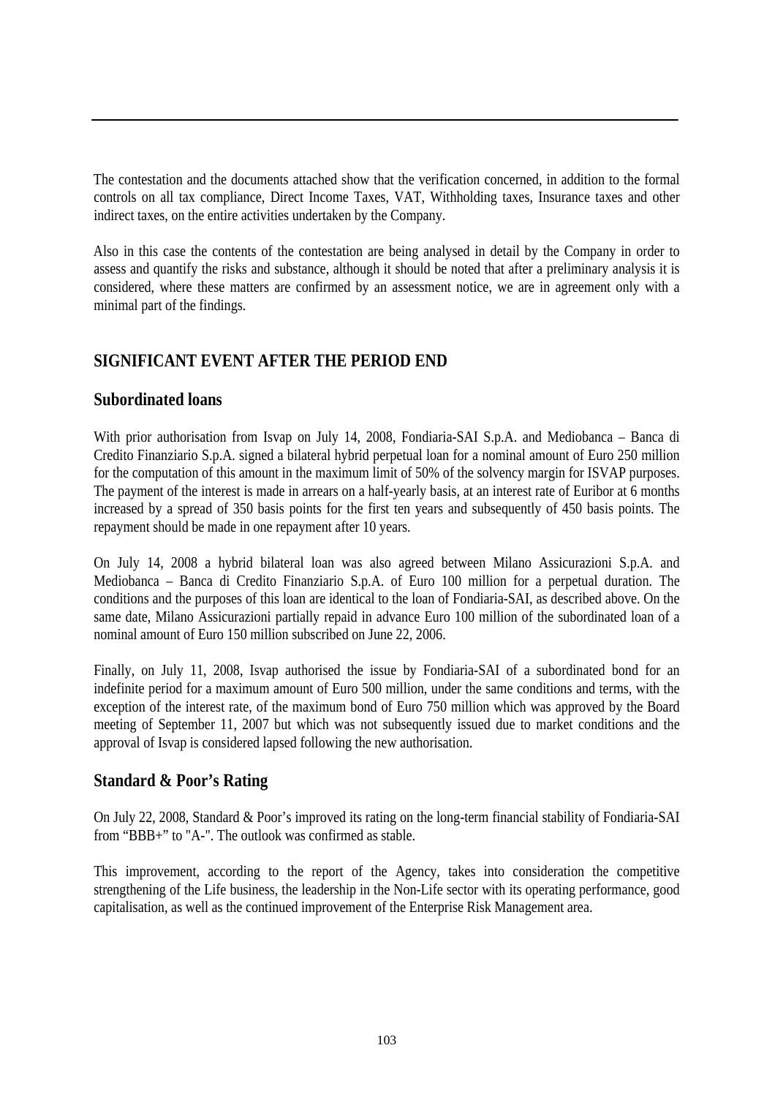The contestation and the documents attached show that the verification concerned, in addition to the formal controls on all tax compliance, Direct Income Taxes, VAT, Withholding taxes, Insurance taxes and other indirect taxes, on the entire activities undertaken by the Company.

Also in this case the contents of the contestation are being analysed in detail by the Company in order to assess and quantify the risks and substance, although it should be noted that after a preliminary analysis it is considered, where these matters are confirmed by an assessment notice, we are in agreement only with a minimal part of the findings.

# **SIGNIFICANT EVENT AFTER THE PERIOD END**

#### **Subordinated loans**

With prior authorisation from Isvap on July 14, 2008, Fondiaria-SAI S.p.A. and Mediobanca – Banca di Credito Finanziario S.p.A. signed a bilateral hybrid perpetual loan for a nominal amount of Euro 250 million for the computation of this amount in the maximum limit of 50% of the solvency margin for ISVAP purposes. The payment of the interest is made in arrears on a half-yearly basis, at an interest rate of Euribor at 6 months increased by a spread of 350 basis points for the first ten years and subsequently of 450 basis points. The repayment should be made in one repayment after 10 years.

On July 14, 2008 a hybrid bilateral loan was also agreed between Milano Assicurazioni S.p.A. and Mediobanca – Banca di Credito Finanziario S.p.A. of Euro 100 million for a perpetual duration. The conditions and the purposes of this loan are identical to the loan of Fondiaria-SAI, as described above. On the same date, Milano Assicurazioni partially repaid in advance Euro 100 million of the subordinated loan of a nominal amount of Euro 150 million subscribed on June 22, 2006.

Finally, on July 11, 2008, Isvap authorised the issue by Fondiaria-SAI of a subordinated bond for an indefinite period for a maximum amount of Euro 500 million, under the same conditions and terms, with the exception of the interest rate, of the maximum bond of Euro 750 million which was approved by the Board meeting of September 11, 2007 but which was not subsequently issued due to market conditions and the approval of Isvap is considered lapsed following the new authorisation.

## **Standard & Poor's Rating**

On July 22, 2008, Standard & Poor's improved its rating on the long-term financial stability of Fondiaria-SAI from "BBB+" to "A-". The outlook was confirmed as stable.

This improvement, according to the report of the Agency, takes into consideration the competitive strengthening of the Life business, the leadership in the Non-Life sector with its operating performance, good capitalisation, as well as the continued improvement of the Enterprise Risk Management area.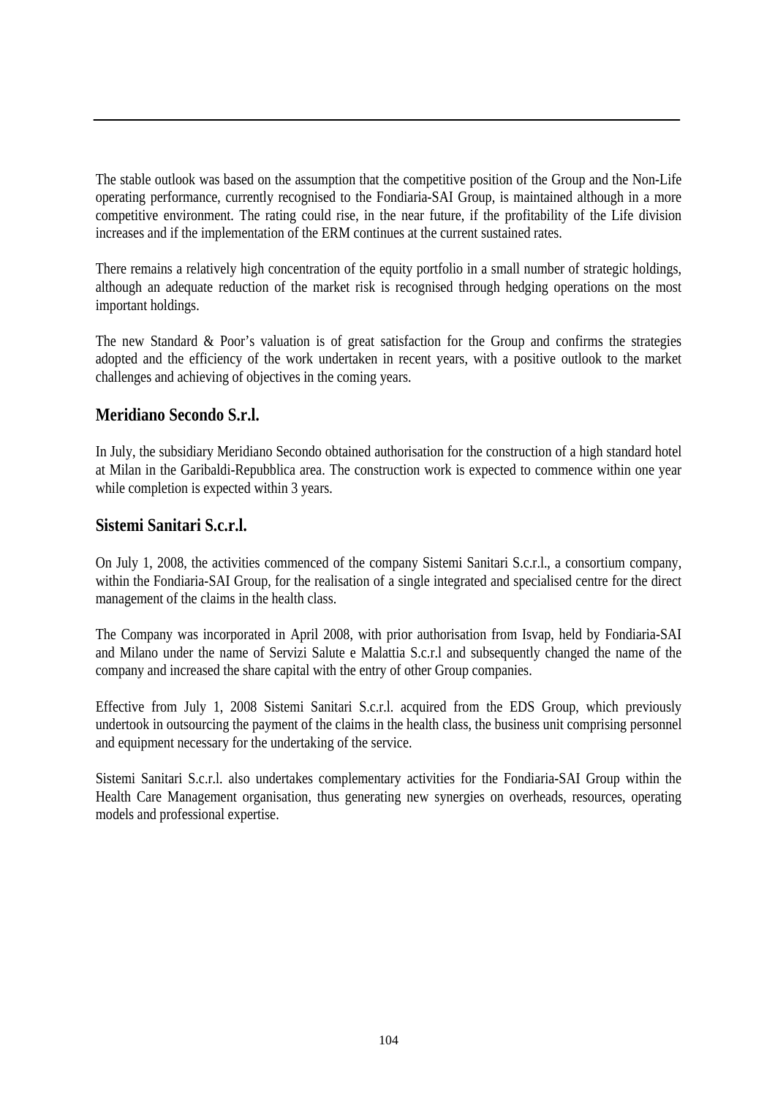The stable outlook was based on the assumption that the competitive position of the Group and the Non-Life operating performance, currently recognised to the Fondiaria-SAI Group, is maintained although in a more competitive environment. The rating could rise, in the near future, if the profitability of the Life division increases and if the implementation of the ERM continues at the current sustained rates.

There remains a relatively high concentration of the equity portfolio in a small number of strategic holdings, although an adequate reduction of the market risk is recognised through hedging operations on the most important holdings.

The new Standard & Poor's valuation is of great satisfaction for the Group and confirms the strategies adopted and the efficiency of the work undertaken in recent years, with a positive outlook to the market challenges and achieving of objectives in the coming years.

## **Meridiano Secondo S.r.l.**

In July, the subsidiary Meridiano Secondo obtained authorisation for the construction of a high standard hotel at Milan in the Garibaldi-Repubblica area. The construction work is expected to commence within one year while completion is expected within 3 years.

## **Sistemi Sanitari S.c.r.l.**

On July 1, 2008, the activities commenced of the company Sistemi Sanitari S.c.r.l., a consortium company, within the Fondiaria-SAI Group, for the realisation of a single integrated and specialised centre for the direct management of the claims in the health class.

The Company was incorporated in April 2008, with prior authorisation from Isvap, held by Fondiaria-SAI and Milano under the name of Servizi Salute e Malattia S.c.r.l and subsequently changed the name of the company and increased the share capital with the entry of other Group companies.

Effective from July 1, 2008 Sistemi Sanitari S.c.r.l. acquired from the EDS Group, which previously undertook in outsourcing the payment of the claims in the health class, the business unit comprising personnel and equipment necessary for the undertaking of the service.

Sistemi Sanitari S.c.r.l. also undertakes complementary activities for the Fondiaria-SAI Group within the Health Care Management organisation, thus generating new synergies on overheads, resources, operating models and professional expertise.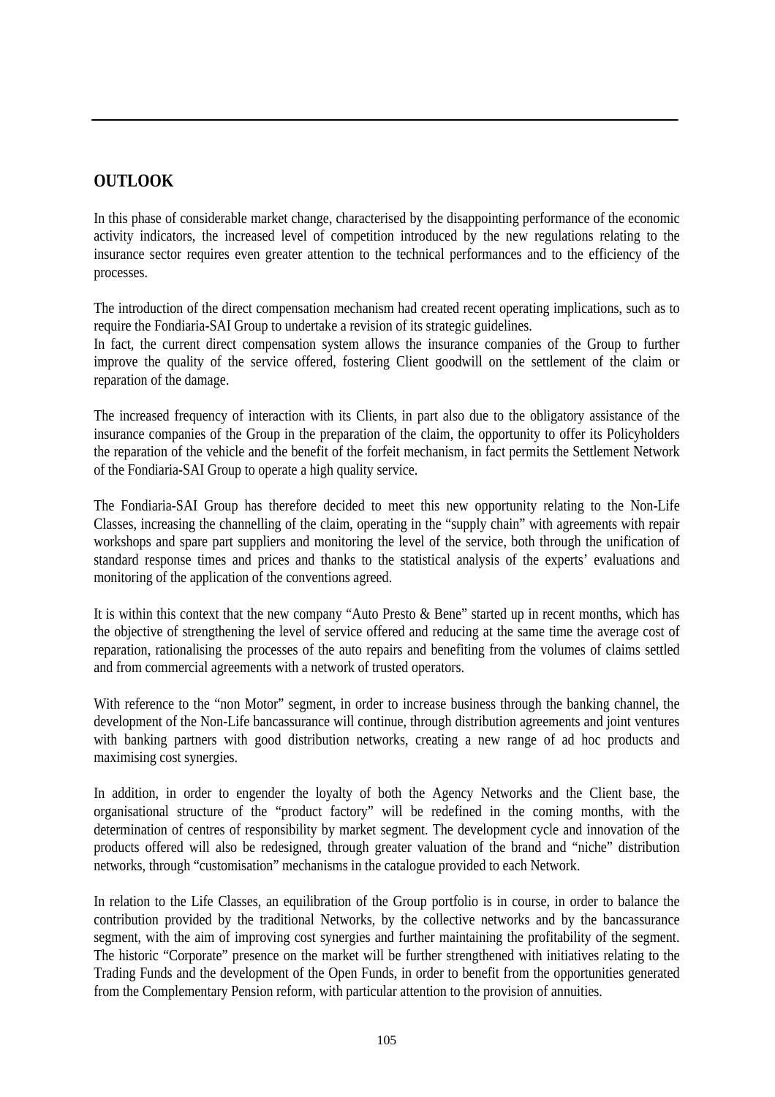## **OUTLOOK**

In this phase of considerable market change, characterised by the disappointing performance of the economic activity indicators, the increased level of competition introduced by the new regulations relating to the insurance sector requires even greater attention to the technical performances and to the efficiency of the processes.

The introduction of the direct compensation mechanism had created recent operating implications, such as to require the Fondiaria-SAI Group to undertake a revision of its strategic guidelines.

In fact, the current direct compensation system allows the insurance companies of the Group to further improve the quality of the service offered, fostering Client goodwill on the settlement of the claim or reparation of the damage.

The increased frequency of interaction with its Clients, in part also due to the obligatory assistance of the insurance companies of the Group in the preparation of the claim, the opportunity to offer its Policyholders the reparation of the vehicle and the benefit of the forfeit mechanism, in fact permits the Settlement Network of the Fondiaria-SAI Group to operate a high quality service.

The Fondiaria-SAI Group has therefore decided to meet this new opportunity relating to the Non-Life Classes, increasing the channelling of the claim, operating in the "supply chain" with agreements with repair workshops and spare part suppliers and monitoring the level of the service, both through the unification of standard response times and prices and thanks to the statistical analysis of the experts' evaluations and monitoring of the application of the conventions agreed.

It is within this context that the new company "Auto Presto & Bene" started up in recent months, which has the objective of strengthening the level of service offered and reducing at the same time the average cost of reparation, rationalising the processes of the auto repairs and benefiting from the volumes of claims settled and from commercial agreements with a network of trusted operators.

With reference to the "non Motor" segment, in order to increase business through the banking channel, the development of the Non-Life bancassurance will continue, through distribution agreements and joint ventures with banking partners with good distribution networks, creating a new range of ad hoc products and maximising cost synergies.

In addition, in order to engender the loyalty of both the Agency Networks and the Client base, the organisational structure of the "product factory" will be redefined in the coming months, with the determination of centres of responsibility by market segment. The development cycle and innovation of the products offered will also be redesigned, through greater valuation of the brand and "niche" distribution networks, through "customisation" mechanisms in the catalogue provided to each Network.

In relation to the Life Classes, an equilibration of the Group portfolio is in course, in order to balance the contribution provided by the traditional Networks, by the collective networks and by the bancassurance segment, with the aim of improving cost synergies and further maintaining the profitability of the segment. The historic "Corporate" presence on the market will be further strengthened with initiatives relating to the Trading Funds and the development of the Open Funds, in order to benefit from the opportunities generated from the Complementary Pension reform, with particular attention to the provision of annuities.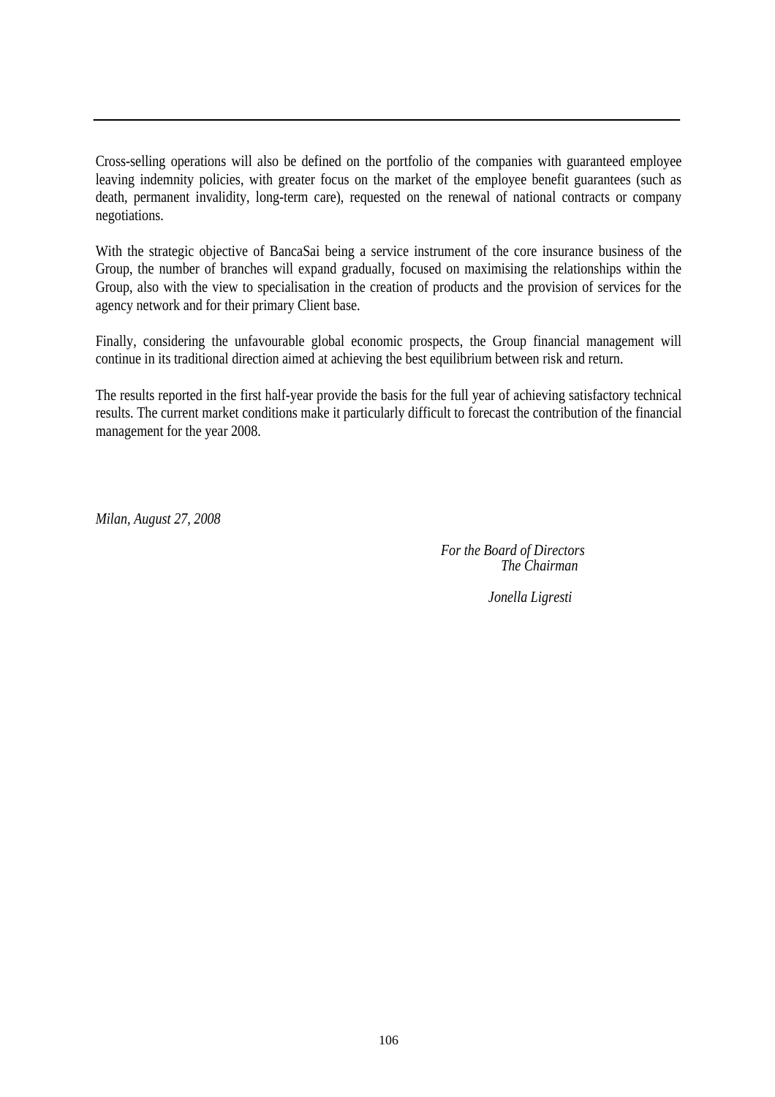Cross-selling operations will also be defined on the portfolio of the companies with guaranteed employee leaving indemnity policies, with greater focus on the market of the employee benefit guarantees (such as death, permanent invalidity, long-term care), requested on the renewal of national contracts or company negotiations.

With the strategic objective of BancaSai being a service instrument of the core insurance business of the Group, the number of branches will expand gradually, focused on maximising the relationships within the Group, also with the view to specialisation in the creation of products and the provision of services for the agency network and for their primary Client base.

Finally, considering the unfavourable global economic prospects, the Group financial management will continue in its traditional direction aimed at achieving the best equilibrium between risk and return.

The results reported in the first half-year provide the basis for the full year of achieving satisfactory technical results. The current market conditions make it particularly difficult to forecast the contribution of the financial management for the year 2008.

*Milan, August 27, 2008*

*For the Board of Directors The Chairman* 

 *Jonella Ligresti*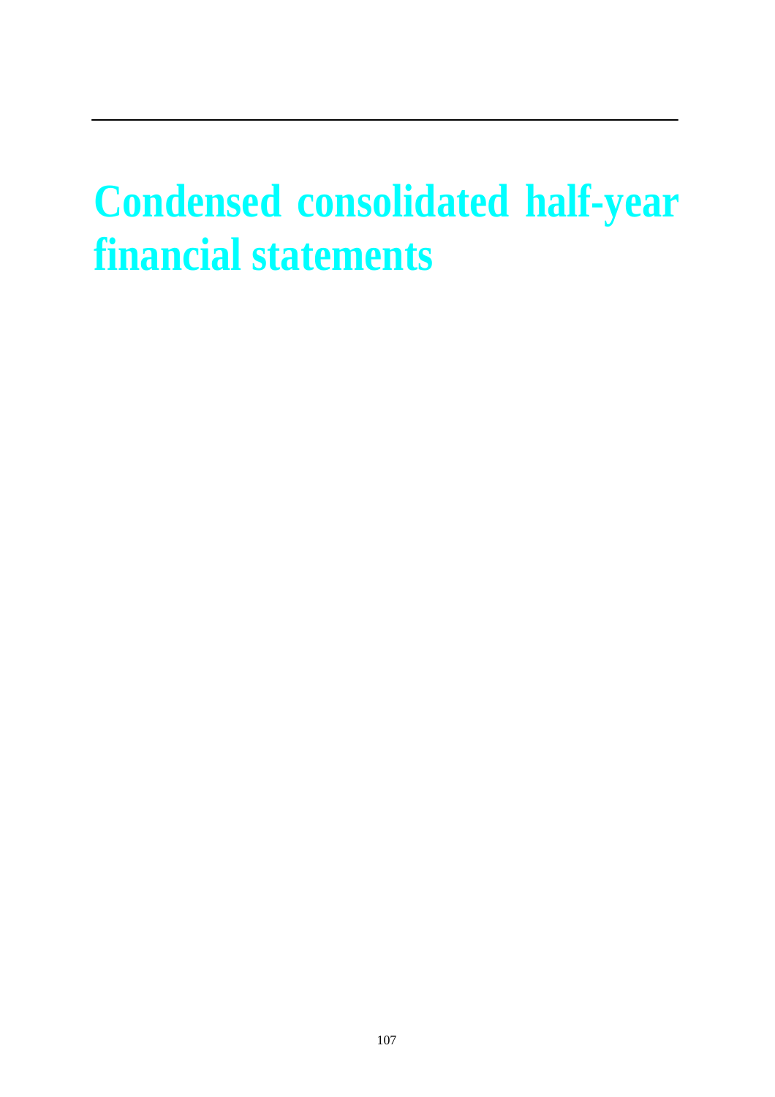# **Condensed consolidated half-year financial statements**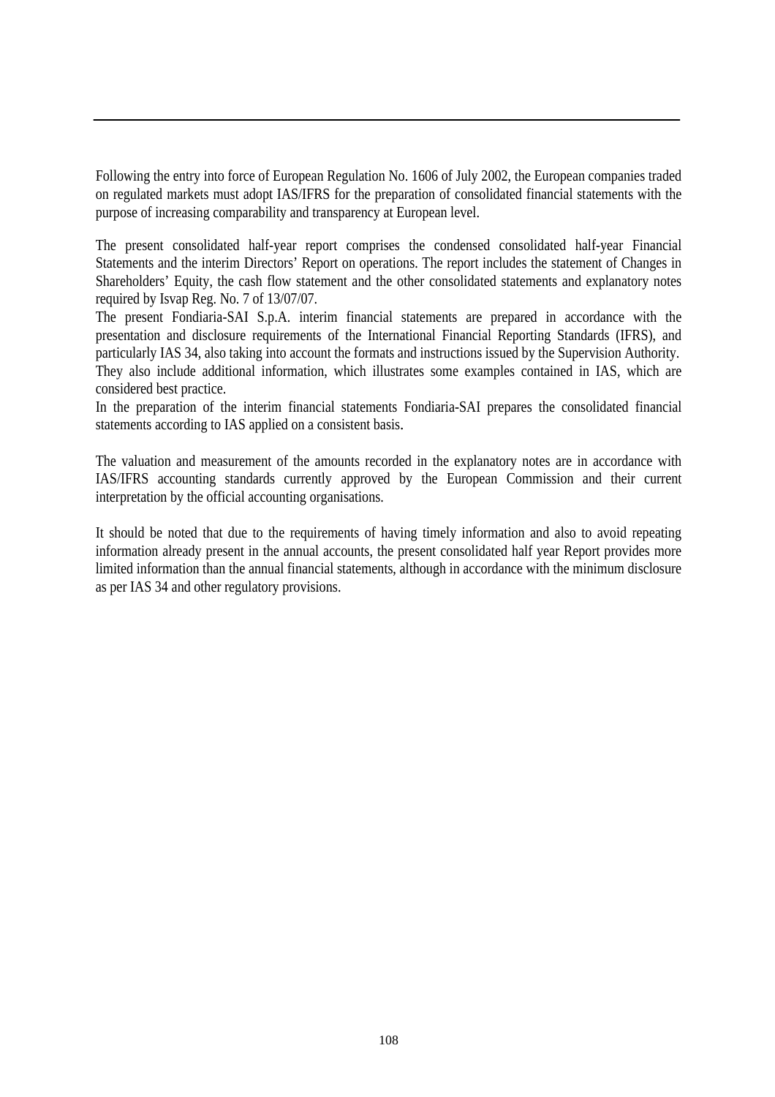Following the entry into force of European Regulation No. 1606 of July 2002, the European companies traded on regulated markets must adopt IAS/IFRS for the preparation of consolidated financial statements with the purpose of increasing comparability and transparency at European level.

The present consolidated half-year report comprises the condensed consolidated half-year Financial Statements and the interim Directors' Report on operations. The report includes the statement of Changes in Shareholders' Equity, the cash flow statement and the other consolidated statements and explanatory notes required by Isvap Reg. No. 7 of 13/07/07.

The present Fondiaria-SAI S.p.A. interim financial statements are prepared in accordance with the presentation and disclosure requirements of the International Financial Reporting Standards (IFRS), and particularly IAS 34, also taking into account the formats and instructions issued by the Supervision Authority. They also include additional information, which illustrates some examples contained in IAS, which are considered best practice.

In the preparation of the interim financial statements Fondiaria-SAI prepares the consolidated financial statements according to IAS applied on a consistent basis.

The valuation and measurement of the amounts recorded in the explanatory notes are in accordance with IAS/IFRS accounting standards currently approved by the European Commission and their current interpretation by the official accounting organisations.

It should be noted that due to the requirements of having timely information and also to avoid repeating information already present in the annual accounts, the present consolidated half year Report provides more limited information than the annual financial statements, although in accordance with the minimum disclosure as per IAS 34 and other regulatory provisions.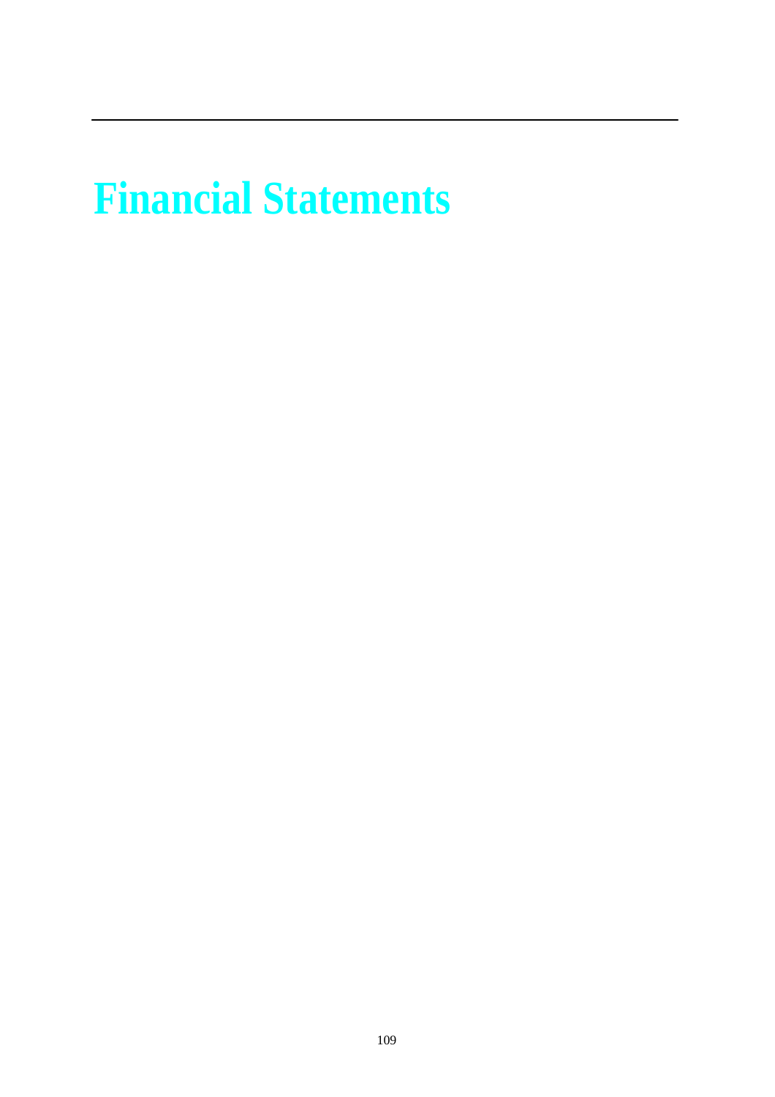# **Financial Statements**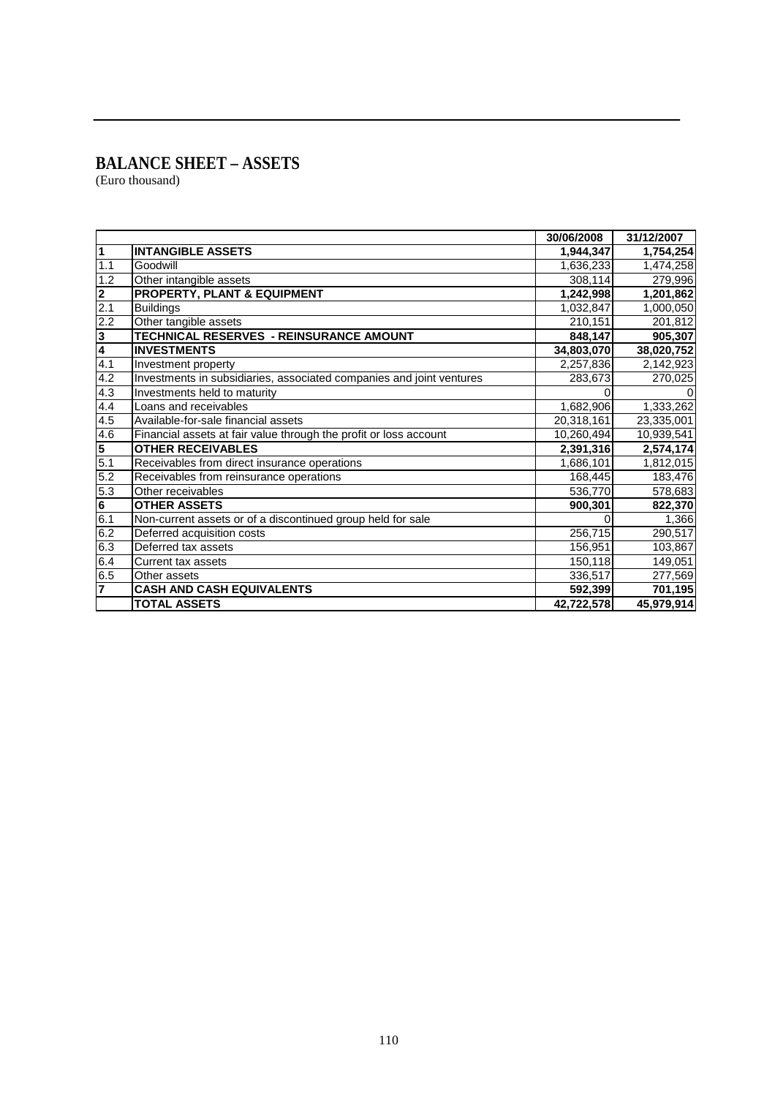### **BALANCE SHEET – ASSETS**

(Euro thousand)

|                         |                                                                      | 30/06/2008 | 31/12/2007 |
|-------------------------|----------------------------------------------------------------------|------------|------------|
| $\mathbf{1}$            | <b>INTANGIBLE ASSETS</b>                                             | 1,944,347  | 1,754,254  |
| 1.1                     | Goodwill                                                             | 1,636,233  | 1,474,258  |
| 1.2                     | Other intangible assets                                              | 308,114    | 279,996    |
| $\overline{\mathbf{2}}$ | <b>PROPERTY, PLANT &amp; EQUIPMENT</b>                               | 1,242,998  | 1,201,862  |
| 2.1                     | <b>Buildings</b>                                                     | 1,032,847  | 1,000,050  |
| 2.2                     | Other tangible assets                                                | 210,151    | 201,812    |
| ا ده                    | TECHNICAL RESERVES - REINSURANCE AMOUNT                              | 848,147    | 905,307    |
|                         | <b>INVESTMENTS</b>                                                   | 34,803,070 | 38,020,752 |
| 4.1                     | Investment property                                                  | 2,257,836  | 2,142,923  |
| 4.2                     | Investments in subsidiaries, associated companies and joint ventures | 283,673    | 270,025    |
| 4.3                     | Investments held to maturity                                         |            |            |
| 4.4                     | Loans and receivables                                                | 1,682,906  | 1,333,262  |
| 4.5                     | Available-for-sale financial assets                                  | 20,318,161 | 23,335,001 |
| 4.6                     | Financial assets at fair value through the profit or loss account    | 10,260,494 | 10,939,541 |
| 5                       | <b>OTHER RECEIVABLES</b>                                             | 2,391,316  | 2,574,174  |
| 5.1                     | Receivables from direct insurance operations                         | 1,686,101  | 1,812,015  |
| $\overline{5.2}$        | Receivables from reinsurance operations                              | 168,445    | 183,476    |
| 5.3                     | Other receivables                                                    | 536,770    | 578,683    |
| $\overline{\mathbf{6}}$ | <b>OTHER ASSETS</b>                                                  | 900,301    | 822,370    |
| 6.1                     | Non-current assets or of a discontinued group held for sale          |            | 1,366      |
| 6.2                     | Deferred acquisition costs                                           | 256,715    | 290,517    |
| 6.3                     | Deferred tax assets                                                  | 156,951    | 103,867    |
| 6.4                     | Current tax assets                                                   | 150,118    | 149,051    |
| 6.5                     | Other assets                                                         | 336,517    | 277,569    |
| 7                       | <b>CASH AND CASH EQUIVALENTS</b>                                     | 592,399    | 701,195    |
|                         | <b>TOTAL ASSETS</b>                                                  | 42,722,578 | 45,979,914 |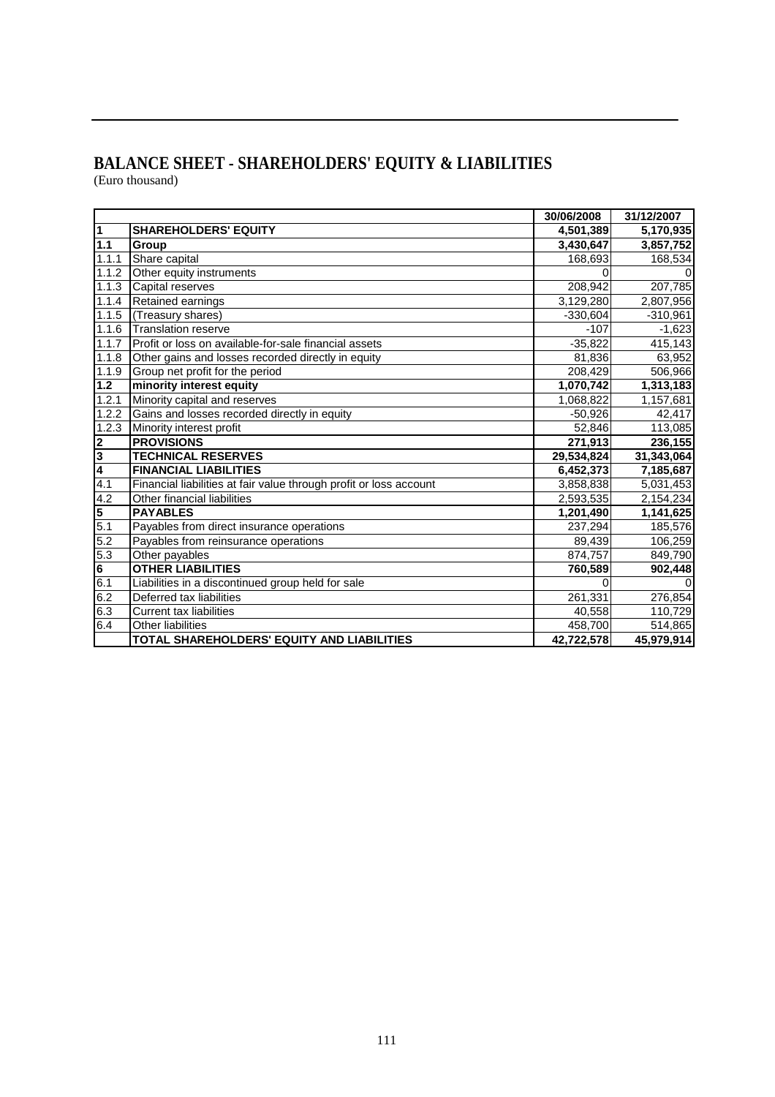#### **BALANCE SHEET - SHAREHOLDERS' EQUITY & LIABILITIES**  (Euro thousand)

|                         |                                                                    | 30/06/2008 | 31/12/2007 |
|-------------------------|--------------------------------------------------------------------|------------|------------|
| $\overline{1}$          | <b>SHAREHOLDERS' EQUITY</b>                                        | 4,501,389  | 5,170,935  |
| 1.1                     | Group                                                              | 3,430,647  | 3,857,752  |
| 1.1.1                   | Share capital                                                      | 168,693    | 168,534    |
| 1.1.2                   | Other equity instruments                                           |            |            |
| 1.1.3                   | Capital reserves                                                   | 208,942    | 207,785    |
| 1.1.4                   | Retained earnings                                                  | 3,129,280  | 2,807,956  |
| 1.1.5                   | (Treasury shares)                                                  | $-330,604$ | $-310,961$ |
| 1.1.6                   | <b>Translation reserve</b>                                         | $-107$     | $-1,623$   |
| 1.1.7                   | Profit or loss on available-for-sale financial assets              | $-35,822$  | 415,143    |
| 1.1.8                   | Other gains and losses recorded directly in equity                 | 81,836     | 63,952     |
| 1.1.9                   | Group net profit for the period                                    | 208,429    | 506,966    |
| $1.2$                   | minority interest equity                                           | 1,070,742  | 1,313,183  |
| 1.2.1                   | Minority capital and reserves                                      | 1,068,822  | 1,157,681  |
| 1.2.2                   | Gains and losses recorded directly in equity                       | $-50,926$  | 42,417     |
| 1.2.3                   | Minority interest profit                                           | 52,846     | 113,085    |
| $\overline{\mathbf{2}}$ | <b>PROVISIONS</b>                                                  | 271,913    | 236,155    |
| $\overline{\mathbf{3}}$ | <b>TECHNICAL RESERVES</b>                                          | 29,534,824 | 31,343,064 |
| $\overline{\mathbf{4}}$ | <b>FINANCIAL LIABILITIES</b>                                       | 6,452,373  | 7,185,687  |
| $\overline{4.1}$        | Financial liabilities at fair value through profit or loss account | 3,858,838  | 5,031,453  |
| 4.2                     | Other financial liabilities                                        | 2,593,535  | 2,154,234  |
| 5                       | <b>PAYABLES</b>                                                    | 1,201,490  | 1,141,625  |
| 5.1                     | Payables from direct insurance operations                          | 237,294    | 185,576    |
| 5.2                     | Payables from reinsurance operations                               | 89,439     | 106,259    |
| 5.3                     | Other payables                                                     | 874,757    | 849,790    |
| $6\phantom{a}$          | <b>OTHER LIABILITIES</b>                                           | 760,589    | 902,448    |
| 6.1                     | Liabilities in a discontinued group held for sale                  | 0          | $\Omega$   |
| 6.2                     | Deferred tax liabilities                                           | 261,331    | 276,854    |
| 6.3                     | <b>Current tax liabilities</b>                                     | 40,558     | 110,729    |
| 6.4                     | Other liabilities                                                  | 458,700    | 514,865    |
|                         | <b>TOTAL SHAREHOLDERS' EQUITY AND LIABILITIES</b>                  | 42,722,578 | 45,979,914 |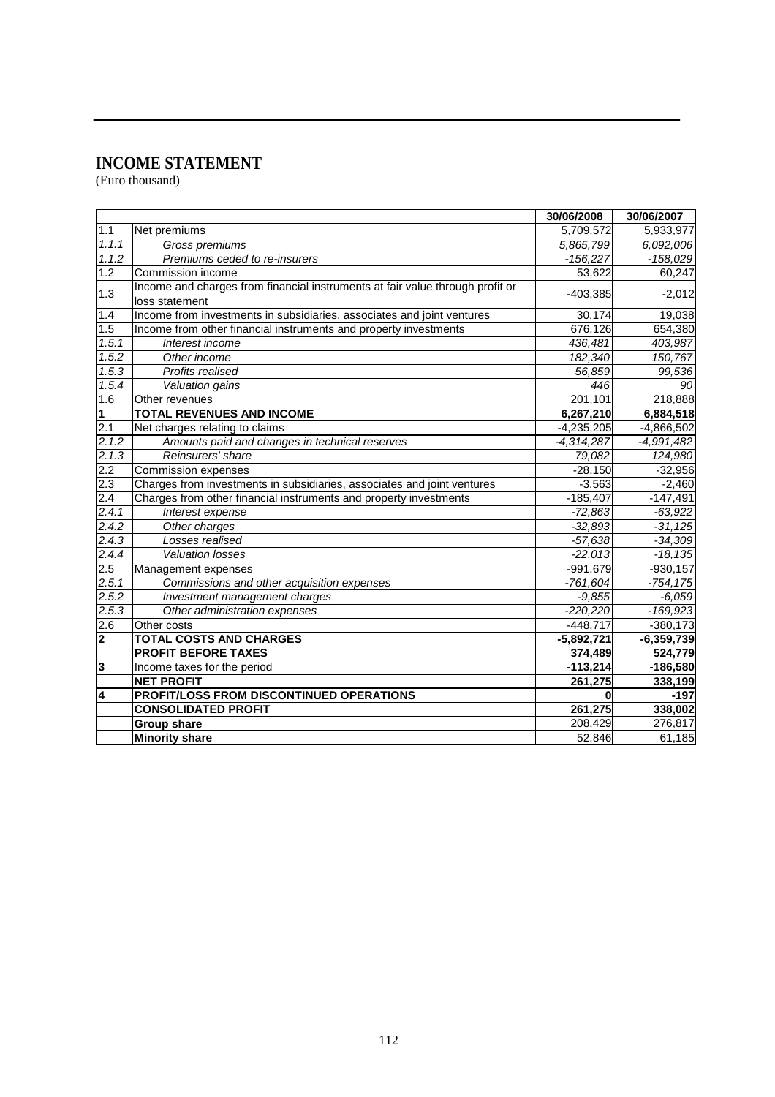#### **INCOME STATEMENT**

(Euro thousand)

|                  |                                                                                                 | 30/06/2008   | 30/06/2007   |
|------------------|-------------------------------------------------------------------------------------------------|--------------|--------------|
| 1.1              | Net premiums                                                                                    | 5,709,572    | 5,933,977    |
| 1.1.1            | Gross premiums                                                                                  | 5,865,799    | 6,092,006    |
| 1.1.2            | Premiums ceded to re-insurers                                                                   | $-156.227$   | $-158,029$   |
| 1.2              | Commission income                                                                               | 53,622       | 60,247       |
| 1.3              | Income and charges from financial instruments at fair value through profit or<br>loss statement | $-403,385$   | $-2,012$     |
| 1.4              | Income from investments in subsidiaries, associates and joint ventures                          | 30,174       | 19,038       |
| 1.5              | Income from other financial instruments and property investments                                | 676,126      | 654,380      |
| 1.5.1            | Interest income                                                                                 | 436,481      | 403,987      |
| 1.5.2            | Other income                                                                                    | 182,340      | 150,767      |
| 1.5.3            | Profits realised                                                                                | 56,859       | 99,536       |
| 1.5.4            | Valuation gains                                                                                 | 446          | 90           |
| 1.6              | Other revenues                                                                                  | 201,101      | 218,888      |
| 1                | <b>TOTAL REVENUES AND INCOME</b>                                                                | 6,267,210    | 6,884,518    |
| 2.1              | Net charges relating to claims                                                                  | $-4,235,205$ | $-4,866,502$ |
| 2.1.2            | Amounts paid and changes in technical reserves                                                  | $-4,314,287$ | $-4,991,482$ |
| 2.1.3            | Reinsurers' share                                                                               | 79,082       | 124,980      |
| 2.2              | <b>Commission expenses</b>                                                                      | $-28,150$    | $-32,956$    |
| $\overline{2.3}$ | Charges from investments in subsidiaries, associates and joint ventures                         | $-3,563$     | $-2,460$     |
| 2.4              | Charges from other financial instruments and property investments                               | $-185,407$   | $-147,491$   |
| 2.4.1            | Interest expense                                                                                | $-72,863$    | $-63,922$    |
| 2.4.2            | Other charges                                                                                   | $-32,893$    | $-31,125$    |
| 2.4.3            | Losses realised                                                                                 | $-57,638$    | $-34,309$    |
| 2.4.4            | <b>Valuation losses</b>                                                                         | $-22,013$    | $-18,135$    |
| 2.5              | Management expenses                                                                             | $-991,679$   | $-930,157$   |
| 2.5.1            | Commissions and other acquisition expenses                                                      | $-761,604$   | $-754.175$   |
| 2.5.2            | Investment management charges                                                                   | $-9,855$     | $-6,059$     |
| 2.5.3            | Other administration expenses                                                                   | $-220,220$   | $-169,923$   |
| 2.6              | Other costs                                                                                     | $-448,717$   | $-380,173$   |
| 2                | <b>TOTAL COSTS AND CHARGES</b>                                                                  | $-5,892,721$ | $-6,359,739$ |
|                  | <b>PROFIT BEFORE TAXES</b>                                                                      | 374,489      | 524,779      |
| 3                | Income taxes for the period                                                                     | $-113,214$   | $-186,580$   |
|                  | <b>NET PROFIT</b>                                                                               | 261,275      | 338,199      |
| 4                | PROFIT/LOSS FROM DISCONTINUED OPERATIONS                                                        | $\bf{0}$     | $-197$       |
|                  | <b>CONSOLIDATED PROFIT</b>                                                                      | 261,275      | 338,002      |
|                  | <b>Group share</b>                                                                              | 208,429      | 276,817      |
|                  | <b>Minority share</b>                                                                           | 52,846       | 61,185       |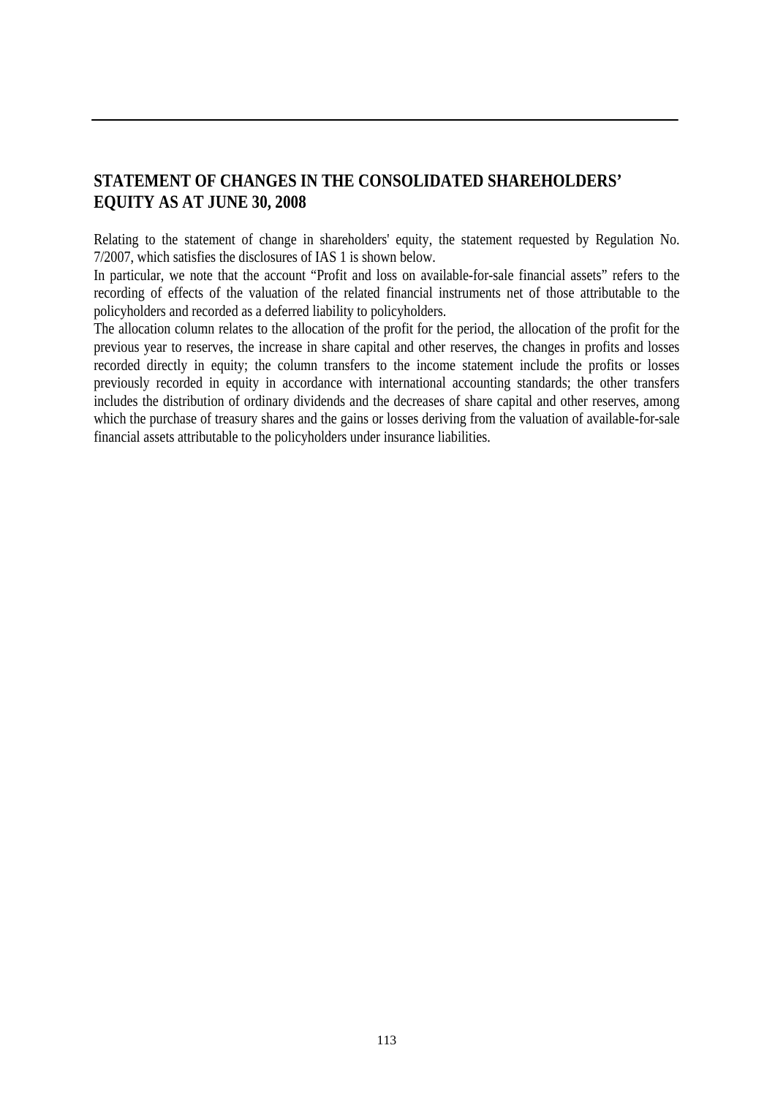#### **STATEMENT OF CHANGES IN THE CONSOLIDATED SHAREHOLDERS' EQUITY AS AT JUNE 30, 2008**

Relating to the statement of change in shareholders' equity, the statement requested by Regulation No. 7/2007, which satisfies the disclosures of IAS 1 is shown below.

In particular, we note that the account "Profit and loss on available-for-sale financial assets" refers to the recording of effects of the valuation of the related financial instruments net of those attributable to the policyholders and recorded as a deferred liability to policyholders.

The allocation column relates to the allocation of the profit for the period, the allocation of the profit for the previous year to reserves, the increase in share capital and other reserves, the changes in profits and losses recorded directly in equity; the column transfers to the income statement include the profits or losses previously recorded in equity in accordance with international accounting standards; the other transfers includes the distribution of ordinary dividends and the decreases of share capital and other reserves, among which the purchase of treasury shares and the gains or losses deriving from the valuation of available-for-sale financial assets attributable to the policyholders under insurance liabilities.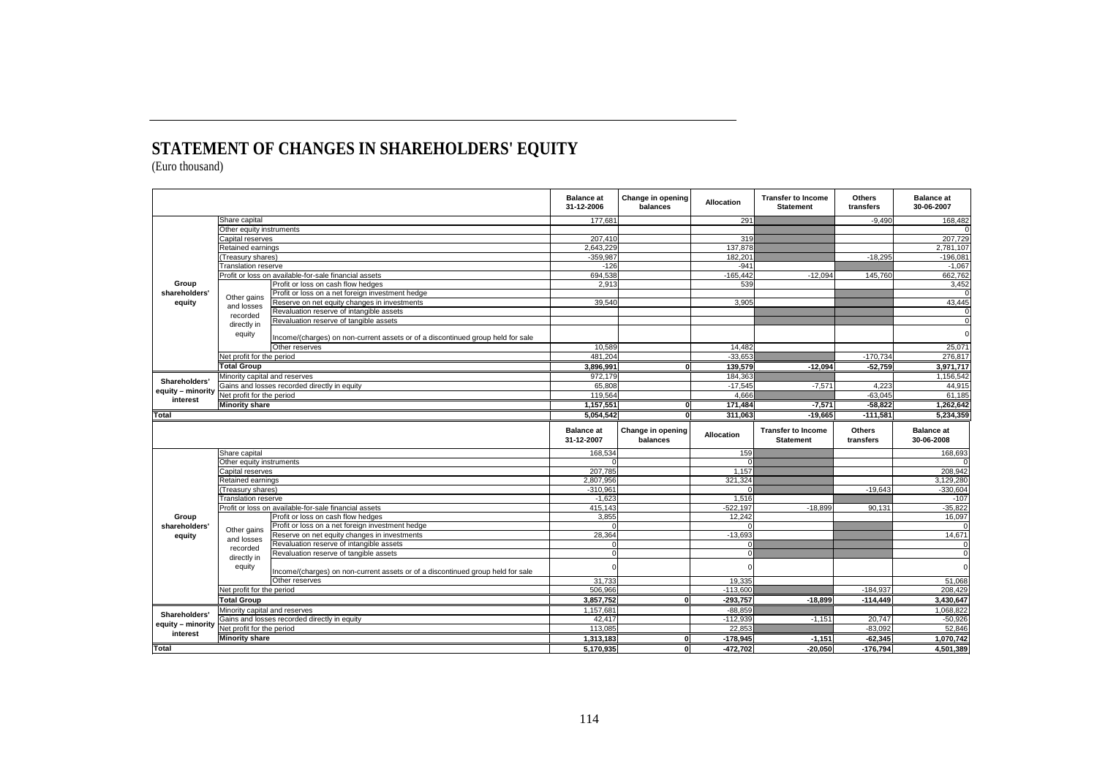### **STATEMENT OF CHANGES IN SHAREHOLDERS' EQUITY**

(Euro thousand)

|                       |                               |                                                                                                   | <b>Balance</b> at<br>31-12-2006 | Change in opening<br>balances | <b>Allocation</b>        | <b>Transfer to Income</b><br><b>Statement</b> | <b>Others</b><br>transfers | <b>Balance</b> at<br>30-06-2007 |
|-----------------------|-------------------------------|---------------------------------------------------------------------------------------------------|---------------------------------|-------------------------------|--------------------------|-----------------------------------------------|----------------------------|---------------------------------|
|                       | Share capital                 |                                                                                                   | 177,681                         |                               | 291                      |                                               | $-9,490$                   | 168,482                         |
|                       | Other equity instruments      |                                                                                                   |                                 |                               |                          |                                               |                            |                                 |
|                       | Capital reserves              |                                                                                                   | 207.410                         |                               | 319                      |                                               |                            | 207,729                         |
|                       | Retained earnings             |                                                                                                   | 2.643.229                       |                               | 137.878                  |                                               |                            | 2.781.107                       |
|                       | Treasury shares)              |                                                                                                   | $-359,987$                      |                               | 182.201                  |                                               | $-18.295$                  | $-196,081$                      |
|                       | <b>Translation reserve</b>    |                                                                                                   | $-126$                          |                               | $-941$                   |                                               |                            | $-1.067$                        |
| Group                 |                               | Profit or loss on available-for-sale financial assets<br>Profit or loss on cash flow hedges       | 694,538<br>2,913                |                               | $-165,442$<br>539        | $-12,094$                                     | 145,760                    | 662,762<br>3,452                |
| shareholders'         |                               | Profit or loss on a net foreign investment hedge                                                  |                                 |                               |                          |                                               |                            |                                 |
| equity                | Other gains                   | Reserve on net equity changes in investments                                                      | 39,540                          |                               | 3,905                    |                                               |                            | 43,445                          |
|                       | and losses                    | Revaluation reserve of intangible assets                                                          |                                 |                               |                          |                                               |                            | $\Omega$                        |
|                       | recorded                      | Revaluation reserve of tangible assets                                                            |                                 |                               |                          |                                               |                            | $\mathbf 0$                     |
|                       | directly in                   |                                                                                                   |                                 |                               |                          |                                               |                            |                                 |
|                       | equity                        | Income/(charges) on non-current assets or of a discontinued group held for sale<br>Other reserves | 10,589                          |                               | 14.482                   |                                               |                            | $\Omega$<br>25,071              |
|                       | Net profit for the period     |                                                                                                   | 481,204                         |                               | $-33,653$                |                                               | $-170,734$                 | 276,817                         |
|                       | <b>Total Group</b>            |                                                                                                   | 3,896,991                       | ΩL                            | 139,579                  | $-12,094$                                     | $-52,759$                  | 3,971,717                       |
|                       |                               |                                                                                                   |                                 |                               |                          |                                               |                            |                                 |
| Shareholders'         | Minority capital and reserves |                                                                                                   | 972.179<br>65,808               |                               | 184.363<br>$-17.545$     | $-7.571$                                      | 4.223                      | 1,156,542                       |
| equity - minority     | Net profit for the period     | Gains and losses recorded directly in equity                                                      | 119,564                         |                               | 4.666                    |                                               | $-63.045$                  | 44.915<br>61.185                |
| interest              |                               |                                                                                                   |                                 |                               |                          |                                               |                            |                                 |
| <b>Minority share</b> |                               | 1,157,551                                                                                         | οl                              | 171.484                       | $-7,571$                 | $-58,822$                                     | 1,262,642                  |                                 |
| <b>Total</b>          |                               | 5,054,542                                                                                         | 0                               | 311,063                       | $-19,665$                | $-111,581$                                    | 5,234,359                  |                                 |
|                       |                               |                                                                                                   |                                 |                               |                          |                                               |                            |                                 |
|                       |                               |                                                                                                   | <b>Balance</b> at<br>31-12-2007 | Change in opening<br>balances | Allocation               | <b>Transfer to Income</b><br><b>Statement</b> | Others<br>transfers        | <b>Balance at</b><br>30-06-2008 |
|                       | Share capital                 |                                                                                                   | 168,534                         |                               | 159                      |                                               |                            | 168,693                         |
|                       | Other equity instruments      |                                                                                                   | $\Omega$                        |                               | $\Omega$                 |                                               |                            |                                 |
|                       | Capital reserves              |                                                                                                   | 207,785                         |                               | 1.157                    |                                               |                            | 208.942                         |
|                       | Retained earnings             |                                                                                                   | 2,807,956                       |                               | 321.324                  |                                               |                            | 3,129,280                       |
|                       | Treasury shares)              |                                                                                                   | $-310,961$                      |                               |                          |                                               | $-19,643$                  | $-330,604$                      |
|                       | Translation reserve           |                                                                                                   | $-1,623$                        |                               | 1,516                    |                                               |                            | $-107$                          |
|                       |                               | Profit or loss on available-for-sale financial assets                                             | 415,143                         |                               | $-522,197$               | $-18,899$                                     | 90,131                     | $-35,822$                       |
| Group                 |                               | Profit or loss on cash flow hedges                                                                | 3,855                           |                               | 12,242                   |                                               |                            | 16,097                          |
| shareholders          |                               | Profit or loss on a net foreign investment hedge                                                  | $\Omega$                        |                               | $\Omega$                 |                                               |                            |                                 |
| equity                | Other gains                   | Reserve on net equity changes in investments                                                      | 28.364                          |                               | $-13,693$                |                                               |                            | 14,671                          |
|                       | and losses<br>recorded        | Revaluation reserve of intangible assets                                                          | $\overline{0}$                  |                               | $\Omega$                 |                                               |                            |                                 |
|                       | directly in                   | Revaluation reserve of tangible assets                                                            | $\overline{0}$                  |                               | $\overline{0}$           |                                               |                            | $\Omega$                        |
|                       | equity                        | Income/(charges) on non-current assets or of a discontinued group held for sale                   |                                 |                               | $\Omega$                 |                                               |                            | $\Omega$                        |
|                       |                               | Other reserves                                                                                    | 31.733                          |                               | 19.335                   |                                               |                            | 51,068                          |
|                       | Net profit for the period     |                                                                                                   | 506.966                         |                               | $-113.600$               |                                               | $-184.937$                 | 208.429                         |
|                       | <b>Total Group</b>            |                                                                                                   | 3,857,752                       | ΟI                            | $-293,757$               | $-18.899$                                     | $-114,449$                 | 3,430,647                       |
|                       | Minority capital and reserves |                                                                                                   | 1,157,681                       |                               | $-88,859$                |                                               |                            | 1,068,822                       |
| <b>Shareholders</b>   |                               | Gains and losses recorded directly in equity                                                      | 42,417                          |                               | $-112,939$               | $-1,151$                                      | 20,747                     | $-50,926$                       |
| equity - minority     | Net profit for the period     |                                                                                                   | 113,085                         |                               | 22,853                   |                                               | $-83,092$                  | 52,846                          |
| interest              | <b>Minority share</b>         |                                                                                                   | 1,313,183<br>5,170,935          | ΩI                            | $-178,945$<br>$-472,702$ | $-1,151$                                      | $-62,345$<br>$-176,794$    | 1,070,742<br>4,501,389          |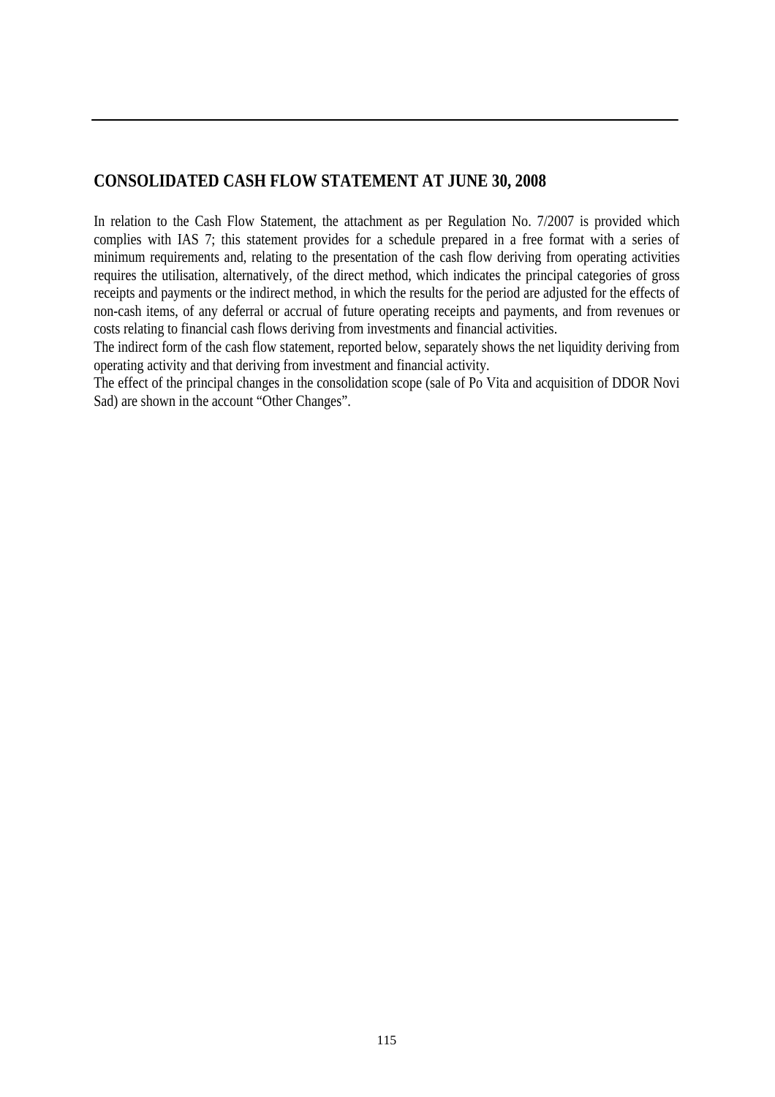#### **CONSOLIDATED CASH FLOW STATEMENT AT JUNE 30, 2008**

In relation to the Cash Flow Statement, the attachment as per Regulation No. 7/2007 is provided which complies with IAS 7; this statement provides for a schedule prepared in a free format with a series of minimum requirements and, relating to the presentation of the cash flow deriving from operating activities requires the utilisation, alternatively, of the direct method, which indicates the principal categories of gross receipts and payments or the indirect method, in which the results for the period are adjusted for the effects of non-cash items, of any deferral or accrual of future operating receipts and payments, and from revenues or costs relating to financial cash flows deriving from investments and financial activities.

The indirect form of the cash flow statement, reported below, separately shows the net liquidity deriving from operating activity and that deriving from investment and financial activity.

The effect of the principal changes in the consolidation scope (sale of Po Vita and acquisition of DDOR Novi Sad) are shown in the account "Other Changes".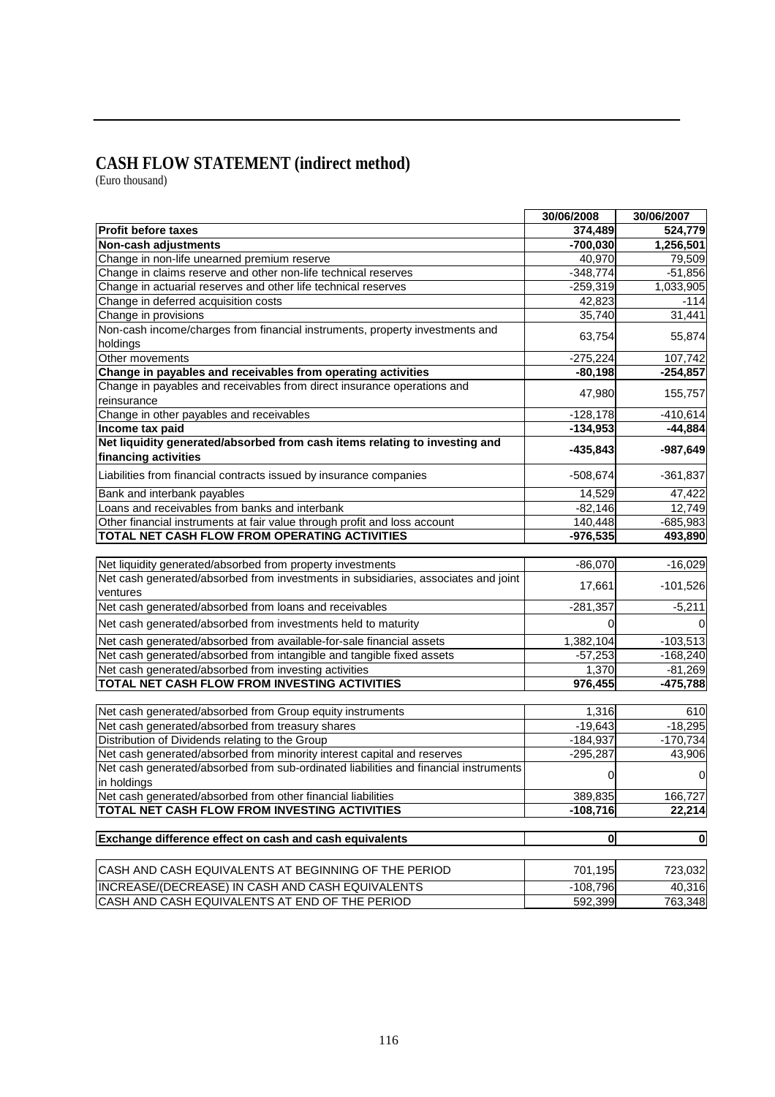#### **CASH FLOW STATEMENT (indirect method)**

(Euro thousand)

|                                                                                      | 30/06/2008   | 30/06/2007   |
|--------------------------------------------------------------------------------------|--------------|--------------|
| <b>Profit before taxes</b>                                                           | 374,489      | 524,779      |
| Non-cash adjustments                                                                 | $-700,030$   | 1,256,501    |
| Change in non-life unearned premium reserve                                          | 40,970       | 79,509       |
| Change in claims reserve and other non-life technical reserves                       | $-348,774$   | $-51,856$    |
| Change in actuarial reserves and other life technical reserves                       | $-259,319$   | 1,033,905    |
| Change in deferred acquisition costs                                                 | 42,823       | $-114$       |
| Change in provisions                                                                 | 35,740       | 31,441       |
| Non-cash income/charges from financial instruments, property investments and         |              |              |
| holdings                                                                             | 63,754       | 55,874       |
| Other movements                                                                      | $-275,224$   | 107,742      |
| Change in payables and receivables from operating activities                         | $-80,198$    | $-254,857$   |
| Change in payables and receivables from direct insurance operations and              |              |              |
| reinsurance                                                                          | 47,980       | 155,757      |
| Change in other payables and receivables                                             | $-128,178$   | $-410,614$   |
| Income tax paid                                                                      | $-134,953$   | $-44,884$    |
| Net liquidity generated/absorbed from cash items relating to investing and           |              |              |
| financing activities                                                                 | $-435,843$   | $-987,649$   |
| Liabilities from financial contracts issued by insurance companies                   | $-508,674$   | $-361,837$   |
| Bank and interbank payables                                                          | 14,529       | 47,422       |
| Loans and receivables from banks and interbank                                       | $-82,146$    | 12,749       |
| Other financial instruments at fair value through profit and loss account            | 140,448      | $-685,983$   |
| TOTAL NET CASH FLOW FROM OPERATING ACTIVITIES                                        | $-976,535$   | 493,890      |
|                                                                                      |              |              |
| Net liquidity generated/absorbed from property investments                           | $-86,070$    | $-16,029$    |
| Net cash generated/absorbed from investments in subsidiaries, associates and joint   |              |              |
| ventures                                                                             | 17,661       | $-101,526$   |
| Net cash generated/absorbed from loans and receivables                               | $-281,357$   | $-5,211$     |
| Net cash generated/absorbed from investments held to maturity                        |              |              |
| Net cash generated/absorbed from available-for-sale financial assets                 | 1,382,104    | $-103,513$   |
| Net cash generated/absorbed from intangible and tangible fixed assets                | $-57,253$    | $-168,240$   |
| Net cash generated/absorbed from investing activities                                | 1,370        | $-81,269$    |
| TOTAL NET CASH FLOW FROM INVESTING ACTIVITIES                                        | 976,455      |              |
|                                                                                      |              | $-475,788$   |
| Net cash generated/absorbed from Group equity instruments                            | 1,316        | 610          |
| Net cash generated/absorbed from treasury shares                                     | $-19,643$    | $-18,295$    |
| Distribution of Dividends relating to the Group                                      | $-184,937$   | $-170,734$   |
| Net cash generated/absorbed from minority interest capital and reserves              | $-295,287$   | 43,906       |
| Net cash generated/absorbed from sub-ordinated liabilities and financial instruments |              |              |
| in holdings                                                                          | 0            | $\mathbf 0$  |
| Net cash generated/absorbed from other financial liabilities                         | 389,835      | 166,727      |
| TOTAL NET CASH FLOW FROM INVESTING ACTIVITIES                                        | $-108,716$   | 22,214       |
|                                                                                      |              |              |
| Exchange difference effect on cash and cash equivalents                              | $\mathbf{0}$ | $\mathbf{0}$ |
| CASH AND CASH EQUIVALENTS AT BEGINNING OF THE PERIOD                                 | 701,195      |              |
|                                                                                      |              | 723,032      |
| INCREASE/(DECREASE) IN CASH AND CASH EQUIVALENTS                                     | $-108,796$   | 40,316       |
| CASH AND CASH EQUIVALENTS AT END OF THE PERIOD                                       | 592,399      | 763,348      |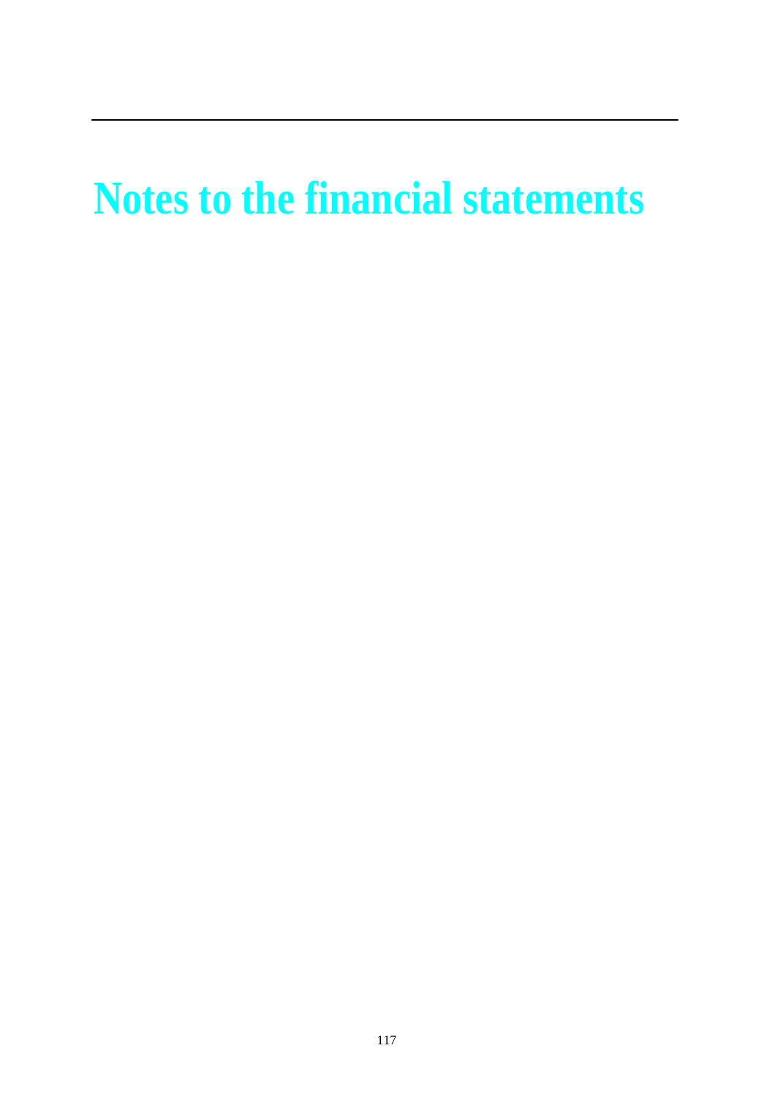# **Notes to the financial statements**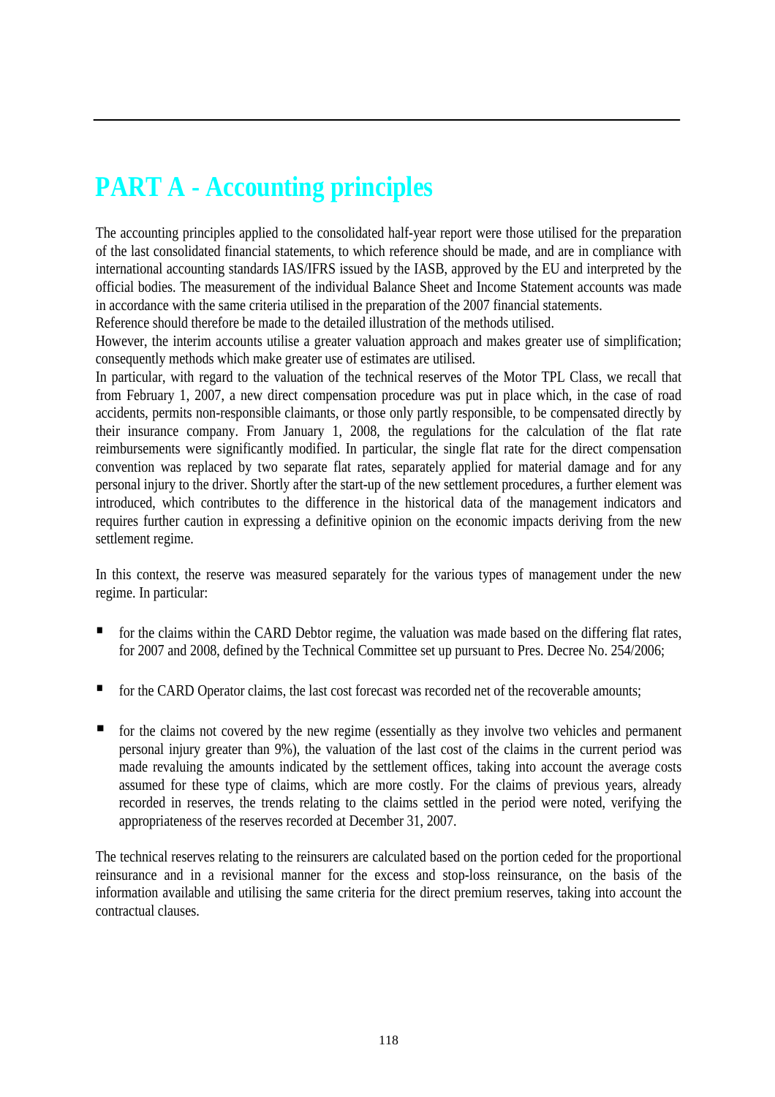## **PART A - Accounting principles**

The accounting principles applied to the consolidated half-year report were those utilised for the preparation of the last consolidated financial statements, to which reference should be made, and are in compliance with international accounting standards IAS/IFRS issued by the IASB, approved by the EU and interpreted by the official bodies. The measurement of the individual Balance Sheet and Income Statement accounts was made in accordance with the same criteria utilised in the preparation of the 2007 financial statements.

Reference should therefore be made to the detailed illustration of the methods utilised.

However, the interim accounts utilise a greater valuation approach and makes greater use of simplification; consequently methods which make greater use of estimates are utilised.

In particular, with regard to the valuation of the technical reserves of the Motor TPL Class, we recall that from February 1, 2007, a new direct compensation procedure was put in place which, in the case of road accidents, permits non-responsible claimants, or those only partly responsible, to be compensated directly by their insurance company. From January 1, 2008, the regulations for the calculation of the flat rate reimbursements were significantly modified. In particular, the single flat rate for the direct compensation convention was replaced by two separate flat rates, separately applied for material damage and for any personal injury to the driver. Shortly after the start-up of the new settlement procedures, a further element was introduced, which contributes to the difference in the historical data of the management indicators and requires further caution in expressing a definitive opinion on the economic impacts deriving from the new settlement regime.

In this context, the reserve was measured separately for the various types of management under the new regime. In particular:

- **for the claims within the CARD Debtor regime, the valuation was made based on the differing flat rates,** for 2007 and 2008, defined by the Technical Committee set up pursuant to Pres. Decree No. 254/2006;
- **for the CARD Operator claims, the last cost forecast was recorded net of the recoverable amounts;**
- $\blacksquare$  for the claims not covered by the new regime (essentially as they involve two vehicles and permanent personal injury greater than 9%), the valuation of the last cost of the claims in the current period was made revaluing the amounts indicated by the settlement offices, taking into account the average costs assumed for these type of claims, which are more costly. For the claims of previous years, already recorded in reserves, the trends relating to the claims settled in the period were noted, verifying the appropriateness of the reserves recorded at December 31, 2007.

The technical reserves relating to the reinsurers are calculated based on the portion ceded for the proportional reinsurance and in a revisional manner for the excess and stop-loss reinsurance, on the basis of the information available and utilising the same criteria for the direct premium reserves, taking into account the contractual clauses.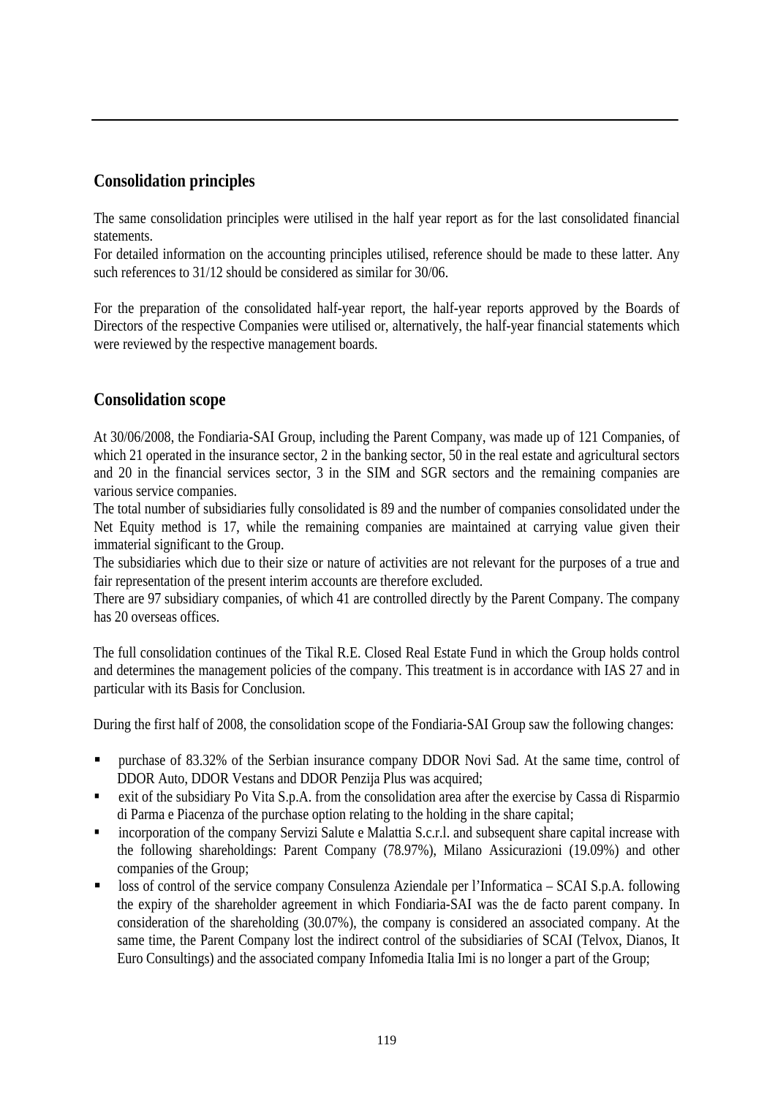#### **Consolidation principles**

The same consolidation principles were utilised in the half year report as for the last consolidated financial statements.

For detailed information on the accounting principles utilised, reference should be made to these latter. Any such references to 31/12 should be considered as similar for 30/06.

For the preparation of the consolidated half-year report, the half-year reports approved by the Boards of Directors of the respective Companies were utilised or, alternatively, the half-year financial statements which were reviewed by the respective management boards.

#### **Consolidation scope**

At 30/06/2008, the Fondiaria-SAI Group, including the Parent Company, was made up of 121 Companies, of which 21 operated in the insurance sector, 2 in the banking sector, 50 in the real estate and agricultural sectors and 20 in the financial services sector, 3 in the SIM and SGR sectors and the remaining companies are various service companies.

The total number of subsidiaries fully consolidated is 89 and the number of companies consolidated under the Net Equity method is 17, while the remaining companies are maintained at carrying value given their immaterial significant to the Group.

The subsidiaries which due to their size or nature of activities are not relevant for the purposes of a true and fair representation of the present interim accounts are therefore excluded.

There are 97 subsidiary companies, of which 41 are controlled directly by the Parent Company. The company has 20 overseas offices.

The full consolidation continues of the Tikal R.E. Closed Real Estate Fund in which the Group holds control and determines the management policies of the company. This treatment is in accordance with IAS 27 and in particular with its Basis for Conclusion.

During the first half of 2008, the consolidation scope of the Fondiaria-SAI Group saw the following changes:

- purchase of 83.32% of the Serbian insurance company DDOR Novi Sad. At the same time, control of DDOR Auto, DDOR Vestans and DDOR Penzija Plus was acquired;
- exit of the subsidiary Po Vita S.p.A. from the consolidation area after the exercise by Cassa di Risparmio di Parma e Piacenza of the purchase option relating to the holding in the share capital;
- incorporation of the company Servizi Salute e Malattia S.c.r.l. and subsequent share capital increase with the following shareholdings: Parent Company (78.97%), Milano Assicurazioni (19.09%) and other companies of the Group;
- loss of control of the service company Consulenza Aziendale per l'Informatica SCAI S.p.A. following the expiry of the shareholder agreement in which Fondiaria-SAI was the de facto parent company. In consideration of the shareholding (30.07%), the company is considered an associated company. At the same time, the Parent Company lost the indirect control of the subsidiaries of SCAI (Telvox, Dianos, It Euro Consultings) and the associated company Infomedia Italia Imi is no longer a part of the Group;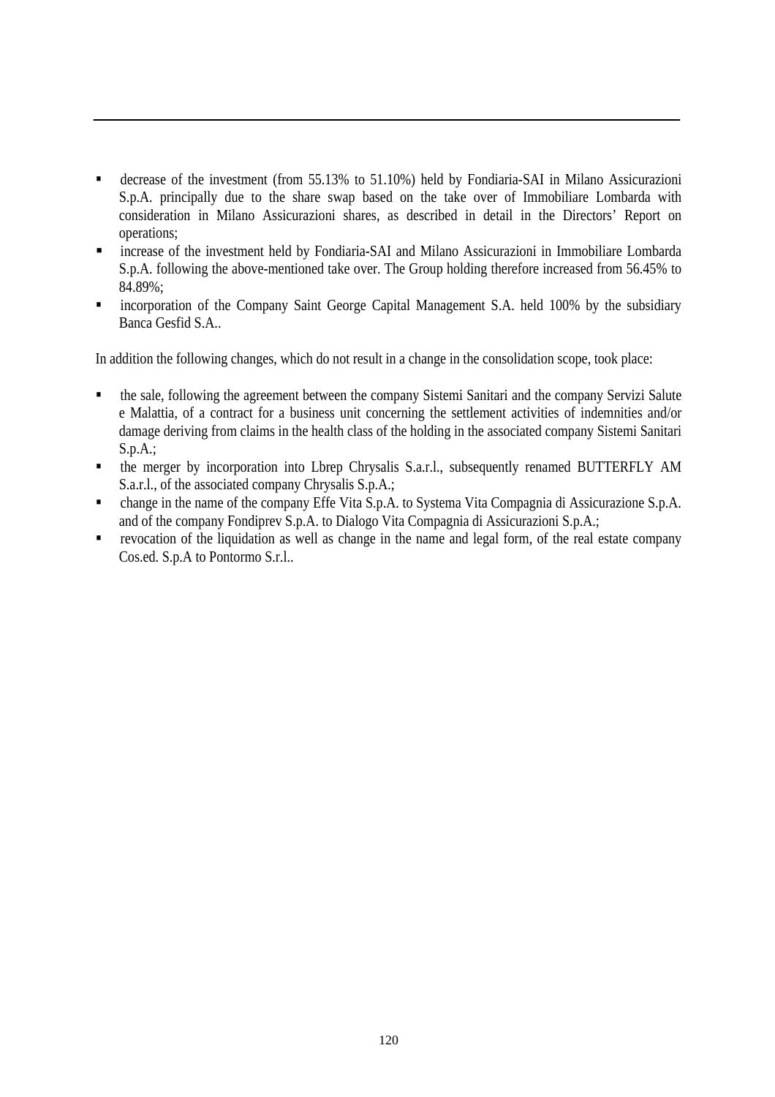- decrease of the investment (from 55.13% to 51.10%) held by Fondiaria-SAI in Milano Assicurazioni S.p.A. principally due to the share swap based on the take over of Immobiliare Lombarda with consideration in Milano Assicurazioni shares, as described in detail in the Directors' Report on operations;
- increase of the investment held by Fondiaria-SAI and Milano Assicurazioni in Immobiliare Lombarda S.p.A. following the above-mentioned take over. The Group holding therefore increased from 56.45% to 84.89%;
- **Example 100** incorporation of the Company Saint George Capital Management S.A. held 100% by the subsidiary Banca Gesfid S.A..

In addition the following changes, which do not result in a change in the consolidation scope, took place:

- the sale, following the agreement between the company Sistemi Sanitari and the company Servizi Salute e Malattia, of a contract for a business unit concerning the settlement activities of indemnities and/or damage deriving from claims in the health class of the holding in the associated company Sistemi Sanitari S.p.A.;
- the merger by incorporation into Lbrep Chrysalis S.a.r.l., subsequently renamed BUTTERFLY AM S.a.r.l., of the associated company Chrysalis S.p.A.;
- change in the name of the company Effe Vita S.p.A. to Systema Vita Compagnia di Assicurazione S.p.A. and of the company Fondiprev S.p.A. to Dialogo Vita Compagnia di Assicurazioni S.p.A.;
- revocation of the liquidation as well as change in the name and legal form, of the real estate company Cos.ed. S.p.A to Pontormo S.r.l..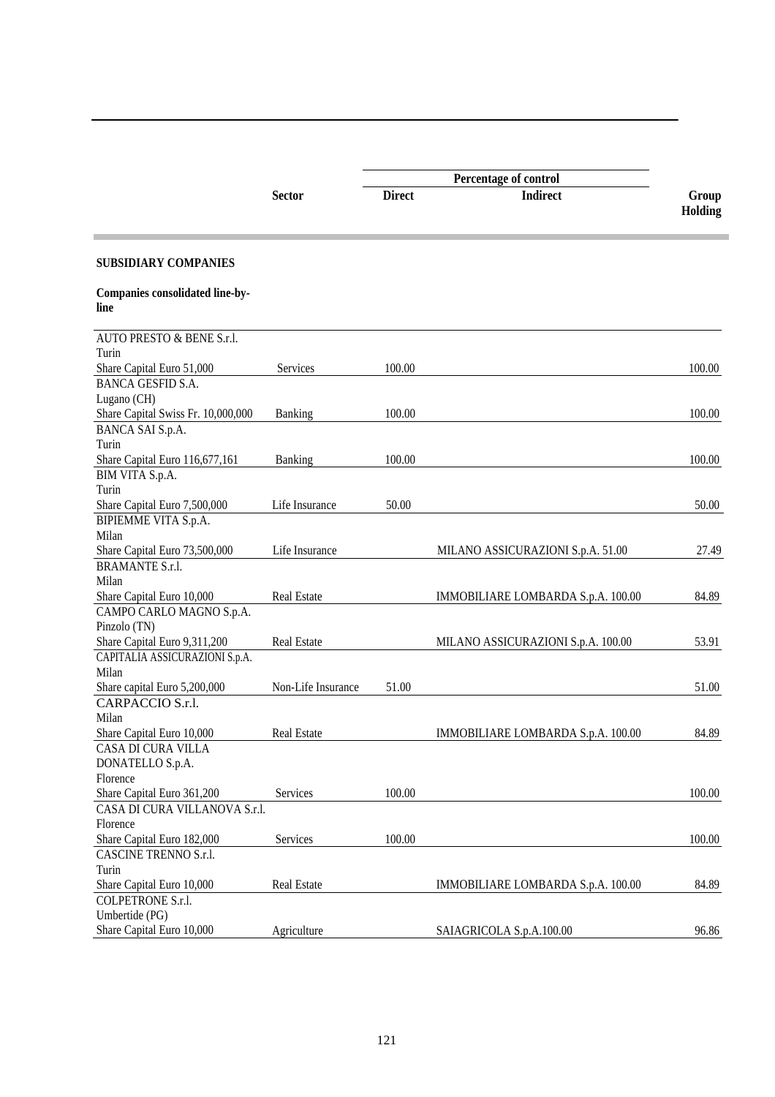|                                         | <b>Sector</b>      | <b>Direct</b> | <b>Indirect</b>                    | Group<br>Holding |
|-----------------------------------------|--------------------|---------------|------------------------------------|------------------|
| <b>SUBSIDIARY COMPANIES</b>             |                    |               |                                    |                  |
| Companies consolidated line-by-<br>line |                    |               |                                    |                  |
| AUTO PRESTO & BENE S.r.l.               |                    |               |                                    |                  |
| Turin                                   |                    |               |                                    |                  |
| Share Capital Euro 51,000               | Services           | 100.00        |                                    | 100.00           |
| <b>BANCA GESFID S.A.</b>                |                    |               |                                    |                  |
| Lugano (CH)                             |                    |               |                                    |                  |
| Share Capital Swiss Fr. 10,000,000      | Banking            | 100.00        |                                    | 100.00           |
| BANCA SAI S.p.A.                        |                    |               |                                    |                  |
| Turin                                   |                    |               |                                    |                  |
| Share Capital Euro 116,677,161          | Banking            | 100.00        |                                    | 100.00           |
| BIM VITA S.p.A.                         |                    |               |                                    |                  |
| Turin                                   |                    |               |                                    |                  |
| Share Capital Euro 7,500,000            | Life Insurance     | 50.00         |                                    | 50.00            |
| BIPIEMME VITA S.p.A.                    |                    |               |                                    |                  |
| Milan                                   |                    |               |                                    |                  |
| Share Capital Euro 73,500,000           | Life Insurance     |               | MILANO ASSICURAZIONI S.p.A. 51.00  | 27.49            |
| <b>BRAMANTE S.r.l.</b>                  |                    |               |                                    |                  |
| Milan                                   |                    |               |                                    |                  |
| Share Capital Euro 10,000               | <b>Real Estate</b> |               | IMMOBILIARE LOMBARDA S.p.A. 100.00 | 84.89            |
| CAMPO CARLO MAGNO S.p.A.                |                    |               |                                    |                  |
| Pinzolo (TN)                            |                    |               |                                    |                  |
| Share Capital Euro 9,311,200            | <b>Real Estate</b> |               | MILANO ASSICURAZIONI S.p.A. 100.00 | 53.91            |
| CAPITALIA ASSICURAZIONI S.p.A.          |                    |               |                                    |                  |
| Milan                                   |                    |               |                                    |                  |
| Share capital Euro 5,200,000            | Non-Life Insurance | 51.00         |                                    | 51.00            |
| CARPACCIO S.r.l.                        |                    |               |                                    |                  |
| Milan                                   |                    |               |                                    |                  |
| Share Capital Euro 10,000               | <b>Real Estate</b> |               | IMMOBILIARE LOMBARDA S.p.A. 100.00 | 84.89            |
| <b>CASA DI CURA VILLA</b>               |                    |               |                                    |                  |
| DONATELLO S.p.A.                        |                    |               |                                    |                  |
| Florence                                |                    |               |                                    |                  |
| Share Capital Euro 361,200              | Services           | 100.00        |                                    | 100.00           |
| CASA DI CURA VILLANOVA S.r.l.           |                    |               |                                    |                  |
| Florence                                |                    |               |                                    |                  |
| Share Capital Euro 182,000              | Services           | 100.00        |                                    | 100.00           |
| CASCINE TRENNO S.r.l.                   |                    |               |                                    |                  |
| Turin                                   |                    |               |                                    |                  |
| Share Capital Euro 10,000               | Real Estate        |               | IMMOBILIARE LOMBARDA S.p.A. 100.00 | 84.89            |
| COLPETRONE S.r.l.                       |                    |               |                                    |                  |
| Umbertide (PG)                          |                    |               |                                    |                  |
| Share Capital Euro 10,000               | Agriculture        |               | SAIAGRICOLA S.p.A.100.00           | 96.86            |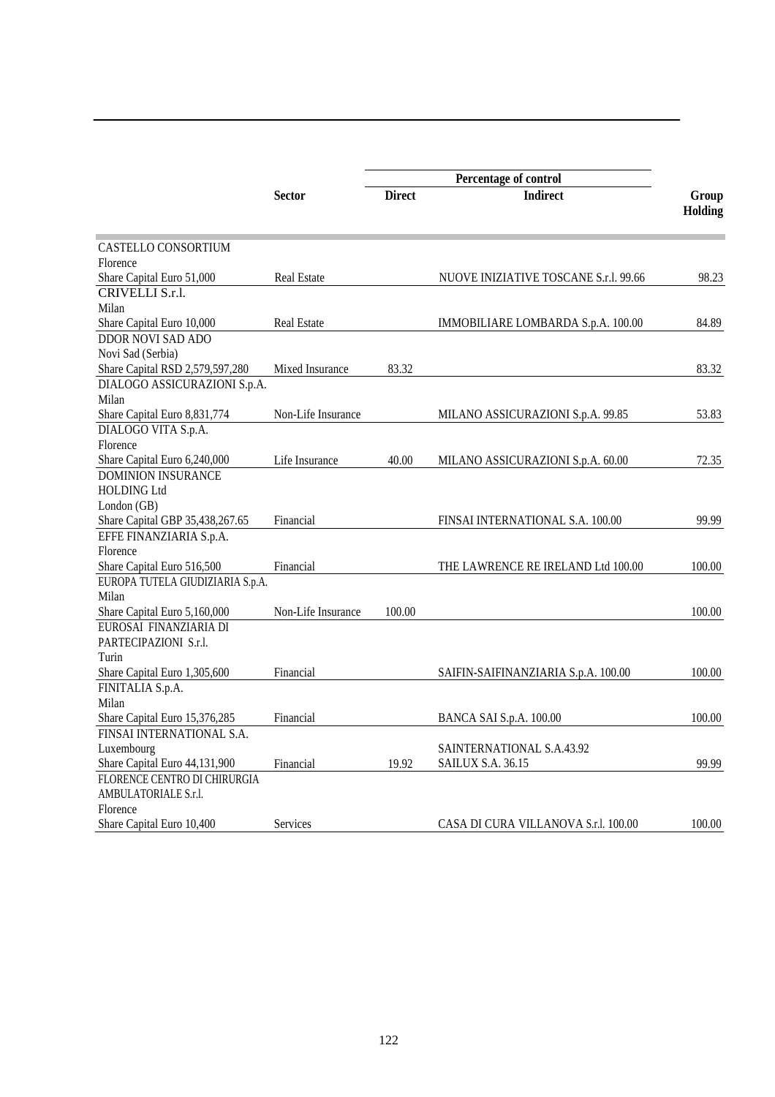|                                  |                    | Percentage of control |                                       |                  |
|----------------------------------|--------------------|-----------------------|---------------------------------------|------------------|
|                                  | <b>Sector</b>      | <b>Direct</b>         | <b>Indirect</b>                       | Group<br>Holding |
| CASTELLO CONSORTIUM              |                    |                       |                                       |                  |
| Florence                         |                    |                       |                                       |                  |
| Share Capital Euro 51,000        | <b>Real Estate</b> |                       | NUOVE INIZIATIVE TOSCANE S.r.l. 99.66 | 98.23            |
| CRIVELLI S.r.l.                  |                    |                       |                                       |                  |
| Milan                            |                    |                       |                                       |                  |
| Share Capital Euro 10,000        | <b>Real Estate</b> |                       | IMMOBILIARE LOMBARDA S.p.A. 100.00    | 84.89            |
| <b>DDOR NOVI SAD ADO</b>         |                    |                       |                                       |                  |
| Novi Sad (Serbia)                |                    |                       |                                       |                  |
| Share Capital RSD 2,579,597,280  | Mixed Insurance    | 83.32                 |                                       | 83.32            |
| DIALOGO ASSICURAZIONI S.p.A.     |                    |                       |                                       |                  |
| Milan                            |                    |                       |                                       |                  |
| Share Capital Euro 8,831,774     | Non-Life Insurance |                       | MILANO ASSICURAZIONI S.p.A. 99.85     | 53.83            |
| DIALOGO VITA S.p.A.              |                    |                       |                                       |                  |
| Florence                         |                    |                       |                                       |                  |
| Share Capital Euro 6,240,000     | Life Insurance     | 40.00                 | MILANO ASSICURAZIONI S.p.A. 60.00     | 72.35            |
| <b>DOMINION INSURANCE</b>        |                    |                       |                                       |                  |
| <b>HOLDING Ltd</b>               |                    |                       |                                       |                  |
| London (GB)                      |                    |                       |                                       |                  |
| Share Capital GBP 35,438,267.65  | Financial          |                       | FINSAI INTERNATIONAL S.A. 100.00      | 99.99            |
| EFFE FINANZIARIA S.p.A.          |                    |                       |                                       |                  |
| Florence                         |                    |                       |                                       |                  |
| Share Capital Euro 516,500       | Financial          |                       | THE LAWRENCE RE IRELAND Ltd 100.00    | 100.00           |
| EUROPA TUTELA GIUDIZIARIA S.p.A. |                    |                       |                                       |                  |
| Milan                            |                    |                       |                                       |                  |
| Share Capital Euro 5,160,000     | Non-Life Insurance | 100.00                |                                       | 100.00           |
| EUROSAI FINANZIARIA DI           |                    |                       |                                       |                  |
| PARTECIPAZIONI S.r.l.            |                    |                       |                                       |                  |
| Turin                            |                    |                       |                                       |                  |
| Share Capital Euro 1,305,600     | Financial          |                       | SAIFIN-SAIFINANZIARIA S.p.A. 100.00   | 100.00           |
| FINITALIA S.p.A.                 |                    |                       |                                       |                  |
| Milan                            |                    |                       |                                       |                  |
| Share Capital Euro 15,376,285    | Financial          |                       | BANCA SAI S.p.A. 100.00               | 100.00           |
| FINSAI INTERNATIONAL S.A.        |                    |                       |                                       |                  |
| Luxembourg                       |                    |                       | SAINTERNATIONAL S.A.43.92             |                  |
| Share Capital Euro 44,131,900    | Financial          | 19.92                 | <b>SAILUX S.A. 36.15</b>              | 99.99            |
| FLORENCE CENTRO DI CHIRURGIA     |                    |                       |                                       |                  |
| AMBULATORIALE S.r.l.             |                    |                       |                                       |                  |
| Florence                         |                    |                       |                                       |                  |
| Share Capital Euro 10,400        | Services           |                       | CASA DI CURA VILLANOVA S.r.l. 100.00  | 100.00           |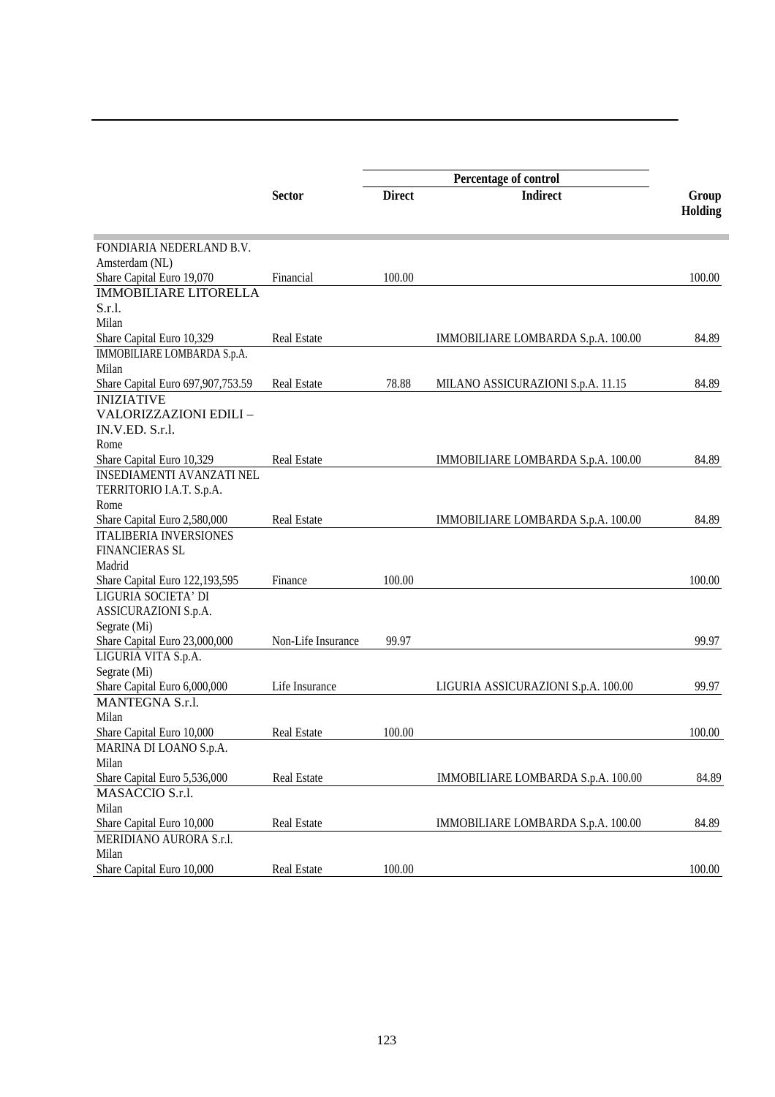|                                   |                    | Percentage of control |                                     |         |
|-----------------------------------|--------------------|-----------------------|-------------------------------------|---------|
|                                   | <b>Sector</b>      | <b>Direct</b>         | <b>Indirect</b>                     | Group   |
|                                   |                    |                       |                                     | Holding |
|                                   |                    |                       |                                     |         |
| FONDIARIA NEDERLAND B.V.          |                    |                       |                                     |         |
| Amsterdam (NL)                    |                    |                       |                                     |         |
| Share Capital Euro 19,070         | Financial          | 100.00                |                                     | 100.00  |
| <b>IMMOBILIARE LITORELLA</b>      |                    |                       |                                     |         |
| $S.r.1$ .                         |                    |                       |                                     |         |
| Milan                             |                    |                       |                                     |         |
| Share Capital Euro 10,329         | <b>Real Estate</b> |                       | IMMOBILIARE LOMBARDA S.p.A. 100.00  | 84.89   |
| IMMOBILIARE LOMBARDA S.p.A.       |                    |                       |                                     |         |
| Milan                             |                    |                       |                                     |         |
| Share Capital Euro 697,907,753.59 | <b>Real Estate</b> | 78.88                 | MILANO ASSICURAZIONI S.p.A. 11.15   | 84.89   |
| <b>INIZIATIVE</b>                 |                    |                       |                                     |         |
| VALORIZZAZIONI EDILI -            |                    |                       |                                     |         |
| IN.V.ED. S.r.l.                   |                    |                       |                                     |         |
| Rome                              |                    |                       |                                     |         |
| Share Capital Euro 10,329         | <b>Real Estate</b> |                       | IMMOBILIARE LOMBARDA S.p.A. 100.00  | 84.89   |
| <b>INSEDIAMENTI AVANZATI NEL</b>  |                    |                       |                                     |         |
| TERRITORIO I.A.T. S.p.A.          |                    |                       |                                     |         |
| Rome                              |                    |                       |                                     |         |
| Share Capital Euro 2,580,000      | <b>Real Estate</b> |                       | IMMOBILIARE LOMBARDA S.p.A. 100.00  | 84.89   |
| <b>ITALIBERIA INVERSIONES</b>     |                    |                       |                                     |         |
| <b>FINANCIERAS SL</b>             |                    |                       |                                     |         |
| Madrid                            |                    |                       |                                     |         |
| Share Capital Euro 122,193,595    | Finance            | 100.00                |                                     | 100.00  |
| LIGURIA SOCIETA' DI               |                    |                       |                                     |         |
| ASSICURAZIONI S.p.A.              |                    |                       |                                     |         |
| Segrate (Mi)                      |                    |                       |                                     |         |
| Share Capital Euro 23,000,000     | Non-Life Insurance | 99.97                 |                                     | 99.97   |
| LIGURIA VITA S.p.A.               |                    |                       |                                     |         |
| Segrate (Mi)                      |                    |                       |                                     |         |
| Share Capital Euro 6,000,000      | Life Insurance     |                       | LIGURIA ASSICURAZIONI S.p.A. 100.00 | 99.97   |
| MANTEGNA S.r.l.                   |                    |                       |                                     |         |
| Milan                             |                    |                       |                                     |         |
|                                   |                    |                       |                                     |         |
| Share Capital Euro 10,000         | <b>Real Estate</b> | 100.00                |                                     | 100.00  |
| MARINA DI LOANO S.p.A.            |                    |                       |                                     |         |
| Milan                             |                    |                       |                                     |         |
| Share Capital Euro 5,536,000      | Real Estate        |                       | IMMOBILIARE LOMBARDA S.p.A. 100.00  | 84.89   |
| MASACCIO S.r.l.                   |                    |                       |                                     |         |
| Milan                             |                    |                       |                                     |         |
| Share Capital Euro 10,000         | Real Estate        |                       | IMMOBILIARE LOMBARDA S.p.A. 100.00  | 84.89   |
| MERIDIANO AURORA S.r.l.           |                    |                       |                                     |         |
| Milan                             |                    |                       |                                     |         |
| Share Capital Euro 10,000         | Real Estate        | 100.00                |                                     | 100.00  |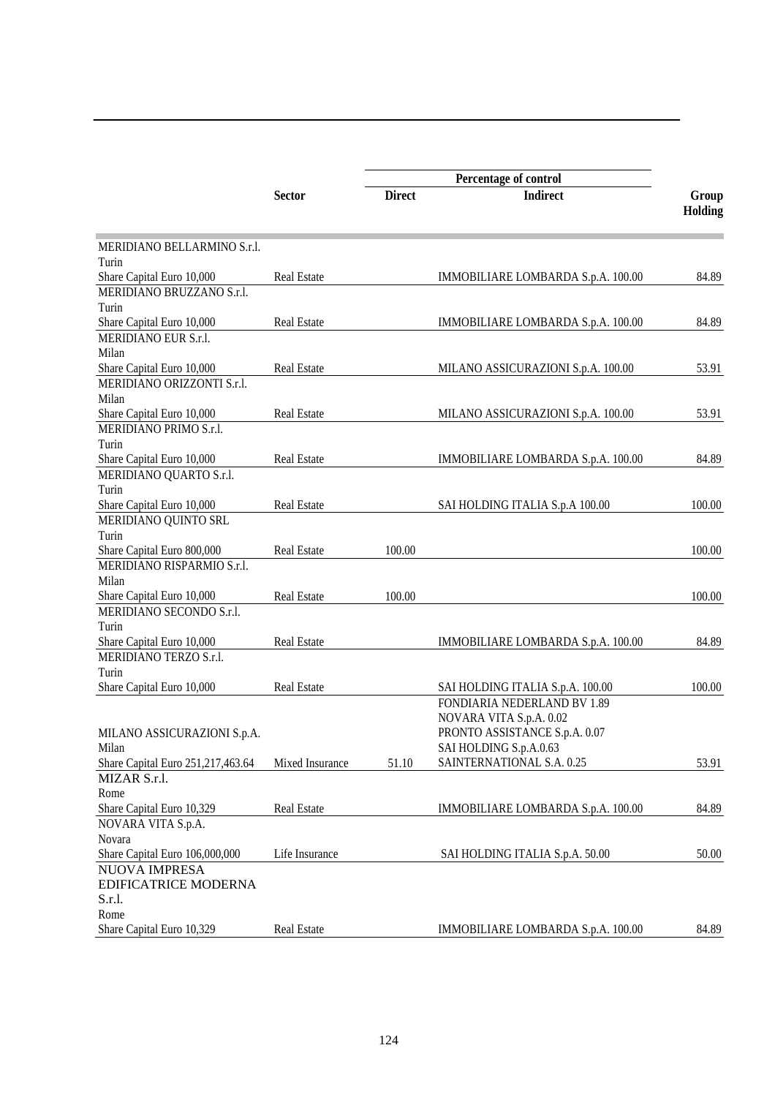|                                   |                    | Percentage of control |                                    |         |
|-----------------------------------|--------------------|-----------------------|------------------------------------|---------|
|                                   | <b>Sector</b>      | <b>Direct</b>         | <b>Indirect</b>                    | Group   |
|                                   |                    |                       |                                    | Holding |
| MERIDIANO BELLARMINO S.r.l.       |                    |                       |                                    |         |
| Turin                             |                    |                       |                                    |         |
| Share Capital Euro 10,000         | <b>Real Estate</b> |                       | IMMOBILIARE LOMBARDA S.p.A. 100.00 | 84.89   |
| MERIDIANO BRUZZANO S.r.l.         |                    |                       |                                    |         |
| Turin                             |                    |                       |                                    |         |
| Share Capital Euro 10,000         | <b>Real Estate</b> |                       | IMMOBILIARE LOMBARDA S.p.A. 100.00 | 84.89   |
| MERIDIANO EUR S.r.l.              |                    |                       |                                    |         |
| Milan                             |                    |                       |                                    |         |
| Share Capital Euro 10,000         | <b>Real Estate</b> |                       | MILANO ASSICURAZIONI S.p.A. 100.00 | 53.91   |
| MERIDIANO ORIZZONTI S.r.l.        |                    |                       |                                    |         |
| Milan                             |                    |                       |                                    |         |
| Share Capital Euro 10,000         | <b>Real Estate</b> |                       | MILANO ASSICURAZIONI S.p.A. 100.00 | 53.91   |
| MERIDIANO PRIMO S.r.l.            |                    |                       |                                    |         |
| Turin                             |                    |                       |                                    |         |
| Share Capital Euro 10,000         | <b>Real Estate</b> |                       | IMMOBILIARE LOMBARDA S.p.A. 100.00 | 84.89   |
| MERIDIANO QUARTO S.r.l.           |                    |                       |                                    |         |
| Turin                             |                    |                       |                                    |         |
| Share Capital Euro 10,000         | Real Estate        |                       | SAI HOLDING ITALIA S.p.A 100.00    | 100.00  |
| MERIDIANO QUINTO SRL              |                    |                       |                                    |         |
| Turin                             |                    |                       |                                    |         |
| Share Capital Euro 800,000        | <b>Real Estate</b> | 100.00                |                                    | 100.00  |
| MERIDIANO RISPARMIO S.r.l.        |                    |                       |                                    |         |
| Milan                             |                    |                       |                                    |         |
| Share Capital Euro 10,000         | <b>Real Estate</b> | 100.00                |                                    | 100.00  |
| MERIDIANO SECONDO S.r.l.          |                    |                       |                                    |         |
| Turin                             |                    |                       |                                    |         |
| Share Capital Euro 10,000         | Real Estate        |                       | IMMOBILIARE LOMBARDA S.p.A. 100.00 | 84.89   |
| MERIDIANO TERZO S.r.l.            |                    |                       |                                    |         |
| Turin                             |                    |                       |                                    |         |
| Share Capital Euro 10,000         | Real Estate        |                       | SAI HOLDING ITALIA S.p.A. 100.00   | 100.00  |
|                                   |                    |                       | FONDIARIA NEDERLAND BV 1.89        |         |
|                                   |                    |                       | NOVARA VITA S.p.A. 0.02            |         |
| MILANO ASSICURAZIONI S.p.A.       |                    |                       | PRONTO ASSISTANCE S.p.A. 0.07      |         |
| Milan                             |                    |                       | SAI HOLDING S.p.A.0.63             |         |
| Share Capital Euro 251,217,463.64 | Mixed Insurance    | 51.10                 | SAINTERNATIONAL S.A. 0.25          | 53.91   |
| MIZAR S.r.l.                      |                    |                       |                                    |         |
| Rome                              |                    |                       |                                    |         |
| Share Capital Euro 10,329         | Real Estate        |                       | IMMOBILIARE LOMBARDA S.p.A. 100.00 | 84.89   |
| NOVARA VITA S.p.A.                |                    |                       |                                    |         |
| Novara                            |                    |                       |                                    |         |
| Share Capital Euro 106,000,000    | Life Insurance     |                       | SAI HOLDING ITALIA S.p.A. 50.00    | 50.00   |
| NUOVA IMPRESA                     |                    |                       |                                    |         |
| <b>EDIFICATRICE MODERNA</b>       |                    |                       |                                    |         |
| S.r.l.                            |                    |                       |                                    |         |
| Rome                              |                    |                       |                                    |         |
| Share Capital Euro 10,329         | Real Estate        |                       | IMMOBILIARE LOMBARDA S.p.A. 100.00 | 84.89   |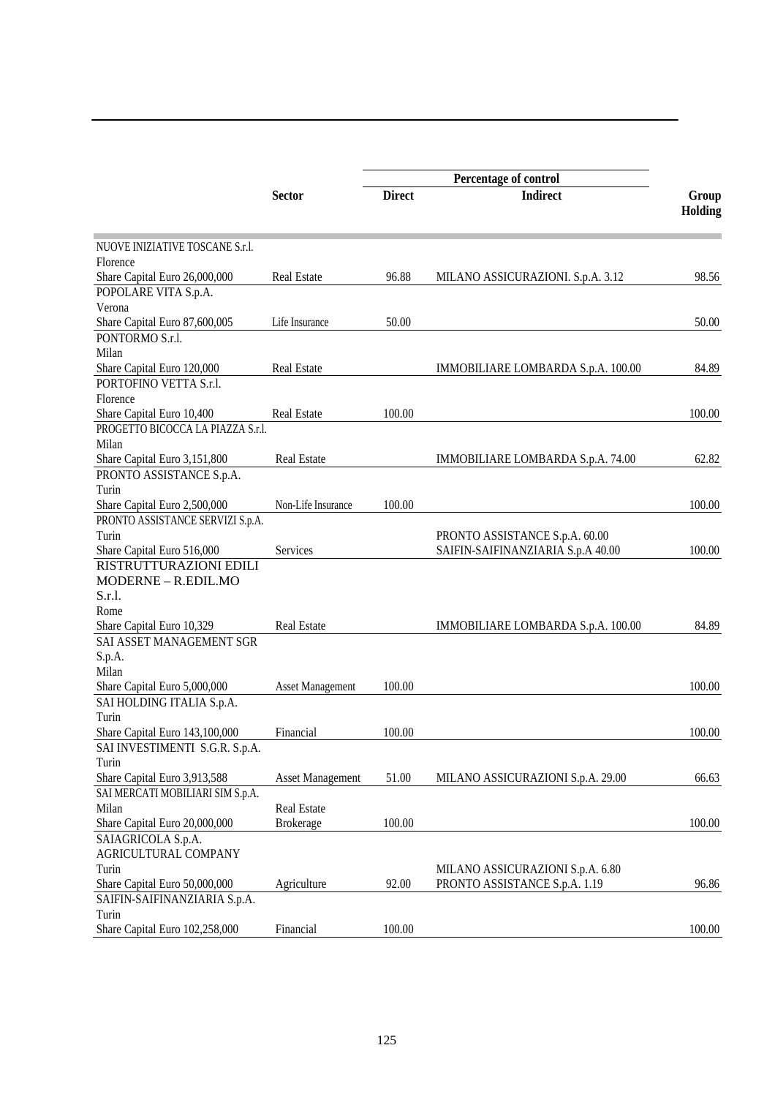|                                                      |                         | Percentage of control |                                    |                         |  |
|------------------------------------------------------|-------------------------|-----------------------|------------------------------------|-------------------------|--|
|                                                      | <b>Sector</b>           | <b>Direct</b>         | <b>Indirect</b>                    | Group<br><b>Holding</b> |  |
|                                                      |                         |                       |                                    |                         |  |
| NUOVE INIZIATIVE TOSCANE S.r.l.                      |                         |                       |                                    |                         |  |
| Florence                                             |                         |                       |                                    |                         |  |
| Share Capital Euro 26,000,000                        | <b>Real Estate</b>      | 96.88                 | MILANO ASSICURAZIONI. S.p.A. 3.12  | 98.56                   |  |
| POPOLARE VITA S.p.A.                                 |                         |                       |                                    |                         |  |
| Verona                                               |                         |                       |                                    |                         |  |
| Share Capital Euro 87,600,005<br>PONTORMO S.r.l.     | Life Insurance          | 50.00                 |                                    | 50.00                   |  |
| Milan                                                |                         |                       |                                    |                         |  |
|                                                      | <b>Real Estate</b>      |                       |                                    | 84.89                   |  |
| Share Capital Euro 120,000<br>PORTOFINO VETTA S.r.l. |                         |                       | IMMOBILIARE LOMBARDA S.p.A. 100.00 |                         |  |
|                                                      |                         |                       |                                    |                         |  |
| Florence                                             |                         |                       |                                    |                         |  |
| Share Capital Euro 10,400                            | <b>Real Estate</b>      | 100.00                |                                    | 100.00                  |  |
| PROGETTO BICOCCA LA PIAZZA S.r.l.                    |                         |                       |                                    |                         |  |
| Milan                                                |                         |                       |                                    |                         |  |
| Share Capital Euro 3,151,800                         | Real Estate             |                       | IMMOBILIARE LOMBARDA S.p.A. 74.00  | 62.82                   |  |
| PRONTO ASSISTANCE S.p.A.                             |                         |                       |                                    |                         |  |
| Turin                                                |                         |                       |                                    |                         |  |
| Share Capital Euro 2,500,000                         | Non-Life Insurance      | 100.00                |                                    | 100.00                  |  |
| PRONTO ASSISTANCE SERVIZI S.p.A.                     |                         |                       |                                    |                         |  |
| Turin                                                |                         |                       | PRONTO ASSISTANCE S.p.A. 60.00     |                         |  |
| Share Capital Euro 516,000                           | Services                |                       | SAIFIN-SAIFINANZIARIA S.p.A 40.00  | 100.00                  |  |
| RISTRUTTURAZIONI EDILI                               |                         |                       |                                    |                         |  |
| MODERNE - R.EDIL.MO                                  |                         |                       |                                    |                         |  |
| S.r.l.                                               |                         |                       |                                    |                         |  |
| Rome                                                 |                         |                       |                                    |                         |  |
| Share Capital Euro 10,329                            | <b>Real Estate</b>      |                       | IMMOBILIARE LOMBARDA S.p.A. 100.00 | 84.89                   |  |
| SAI ASSET MANAGEMENT SGR                             |                         |                       |                                    |                         |  |
| S.p.A.                                               |                         |                       |                                    |                         |  |
| Milan                                                |                         |                       |                                    |                         |  |
| Share Capital Euro 5,000,000                         | <b>Asset Management</b> | 100.00                |                                    | 100.00                  |  |
| SAI HOLDING ITALIA S.p.A.                            |                         |                       |                                    |                         |  |
| Turin                                                |                         |                       |                                    |                         |  |
| Share Capital Euro 143,100,000                       | Financial               | 100.00                |                                    | 100.00                  |  |
| SAI INVESTIMENTI S.G.R. S.p.A                        |                         |                       |                                    |                         |  |
| Turin                                                |                         |                       |                                    |                         |  |
| Share Capital Euro 3,913,588                         | Asset Management        | 51.00                 | MILANO ASSICURAZIONI S.p.A. 29.00  | 66.63                   |  |
| SAI MERCATI MOBILIARI SIM S.p.A.                     |                         |                       |                                    |                         |  |
| Milan                                                | Real Estate             |                       |                                    |                         |  |
| Share Capital Euro 20,000,000                        | <b>Brokerage</b>        | 100.00                |                                    | 100.00                  |  |
| SAIAGRICOLA S.p.A.                                   |                         |                       |                                    |                         |  |
| AGRICULTURAL COMPANY                                 |                         |                       |                                    |                         |  |
| Turin                                                |                         |                       | MILANO ASSICURAZIONI S.p.A. 6.80   |                         |  |
| Share Capital Euro 50,000,000                        | Agriculture             | 92.00                 | PRONTO ASSISTANCE S.p.A. 1.19      | 96.86                   |  |
| SAIFIN-SAIFINANZIARIA S.p.A.                         |                         |                       |                                    |                         |  |
| Turin                                                |                         |                       |                                    |                         |  |
| Share Capital Euro 102,258,000                       | Financial               | 100.00                |                                    | 100.00                  |  |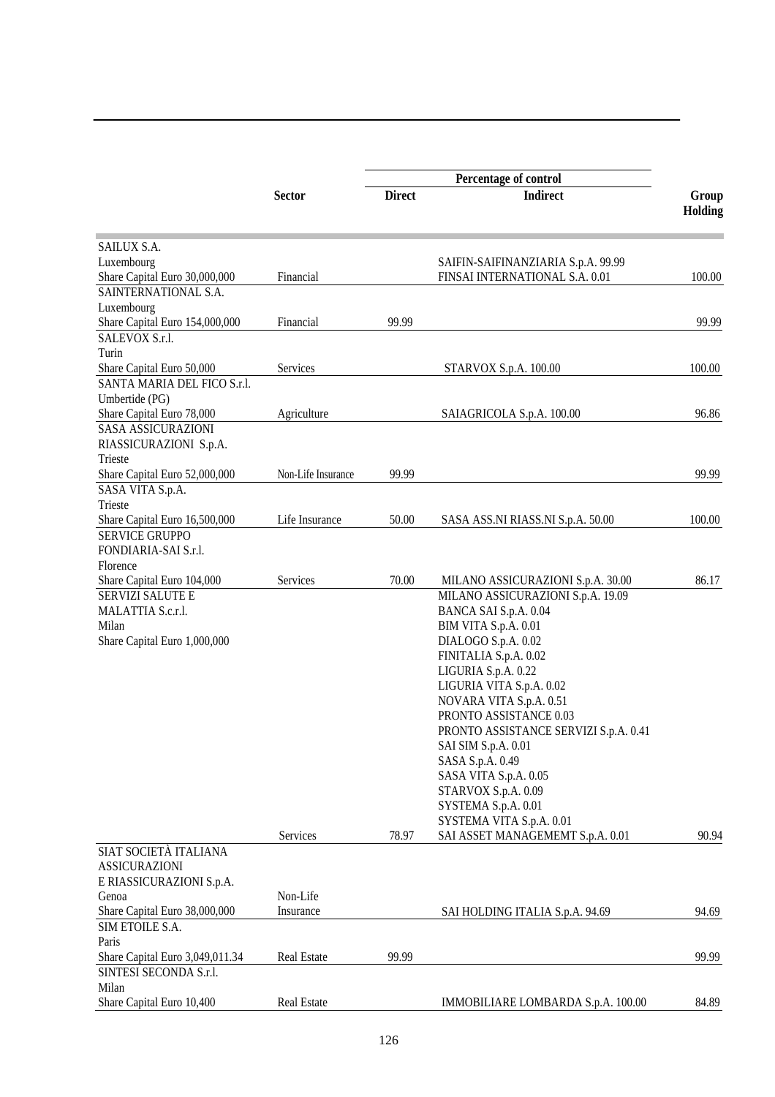|                                 |                    |               | Percentage of control                 |         |
|---------------------------------|--------------------|---------------|---------------------------------------|---------|
|                                 | <b>Sector</b>      | <b>Direct</b> | <b>Indirect</b>                       | Group   |
|                                 |                    |               |                                       | Holding |
| SAILUX S.A.                     |                    |               |                                       |         |
| Luxembourg                      |                    |               | SAIFIN-SAIFINANZIARIA S.p.A. 99.99    |         |
| Share Capital Euro 30,000,000   | Financial          |               | FINSAI INTERNATIONAL S.A. 0.01        | 100.00  |
| SAINTERNATIONAL S.A.            |                    |               |                                       |         |
| Luxembourg                      |                    |               |                                       |         |
| Share Capital Euro 154,000,000  | Financial          | 99.99         |                                       | 99.99   |
| SALEVOX S.r.l.                  |                    |               |                                       |         |
| Turin                           |                    |               |                                       |         |
| Share Capital Euro 50,000       | Services           |               | STARVOX S.p.A. 100.00                 | 100.00  |
| SANTA MARIA DEL FICO S.r.l.     |                    |               |                                       |         |
| Umbertide (PG)                  |                    |               |                                       |         |
| Share Capital Euro 78,000       | Agriculture        |               | SAIAGRICOLA S.p.A. 100.00             | 96.86   |
| <b>SASA ASSICURAZIONI</b>       |                    |               |                                       |         |
| RIASSICURAZIONI S.p.A.          |                    |               |                                       |         |
| Trieste                         |                    |               |                                       |         |
| Share Capital Euro 52,000,000   | Non-Life Insurance | 99.99         |                                       | 99.99   |
| SASA VITA S.p.A.                |                    |               |                                       |         |
| Trieste                         |                    |               |                                       |         |
| Share Capital Euro 16,500,000   | Life Insurance     | 50.00         | SASA ASS.NI RIASS.NI S.p.A. 50.00     | 100.00  |
| <b>SERVICE GRUPPO</b>           |                    |               |                                       |         |
| FONDIARIA-SAI S.r.l.            |                    |               |                                       |         |
| Florence                        |                    |               |                                       |         |
| Share Capital Euro 104,000      | Services           | 70.00         | MILANO ASSICURAZIONI S.p.A. 30.00     | 86.17   |
| SERVIZI SALUTE E                |                    |               | MILANO ASSICURAZIONI S.p.A. 19.09     |         |
| MALATTIA S.c.r.l.               |                    |               | BANCA SAI S.p.A. 0.04                 |         |
| Milan                           |                    |               | BIM VITA S.p.A. 0.01                  |         |
| Share Capital Euro 1,000,000    |                    |               | DIALOGO S.p.A. 0.02                   |         |
|                                 |                    |               | FINITALIA S.p.A. 0.02                 |         |
|                                 |                    |               | LIGURIA S.p.A. 0.22                   |         |
|                                 |                    |               | LIGURIA VITA S.p.A. 0.02              |         |
|                                 |                    |               | NOVARA VITA S.p.A. 0.51               |         |
|                                 |                    |               | PRONTO ASSISTANCE 0.03                |         |
|                                 |                    |               | PRONTO ASSISTANCE SERVIZI S.p.A. 0.41 |         |
|                                 |                    |               | SAI SIM S.p.A. 0.01                   |         |
|                                 |                    |               | SASA S.p.A. 0.49                      |         |
|                                 |                    |               | SASA VITA S.p.A. 0.05                 |         |
|                                 |                    |               | STARVOX S.p.A. 0.09                   |         |
|                                 |                    |               | SYSTEMA S.p.A. 0.01                   |         |
|                                 |                    |               | SYSTEMA VITA S.p.A. 0.01              |         |
|                                 | Services           | 78.97         | SAI ASSET MANAGEMEMT S.p.A. 0.01      | 90.94   |
| SIAT SOCIETÀ ITALIANA           |                    |               |                                       |         |
| <b>ASSICURAZIONI</b>            |                    |               |                                       |         |
| E RIASSICURAZIONI S.p.A.        |                    |               |                                       |         |
| Genoa                           | Non-Life           |               |                                       |         |
| Share Capital Euro 38,000,000   | Insurance          |               | SAI HOLDING ITALIA S.p.A. 94.69       | 94.69   |
| SIM ETOILE S.A.                 |                    |               |                                       |         |
| Paris                           |                    |               |                                       |         |
| Share Capital Euro 3,049,011.34 | Real Estate        | 99.99         |                                       | 99.99   |
| SINTESI SECONDA S.r.l.          |                    |               |                                       |         |
| Milan                           |                    |               |                                       |         |
| Share Capital Euro 10,400       | Real Estate        |               | IMMOBILIARE LOMBARDA S.p.A. 100.00    | 84.89   |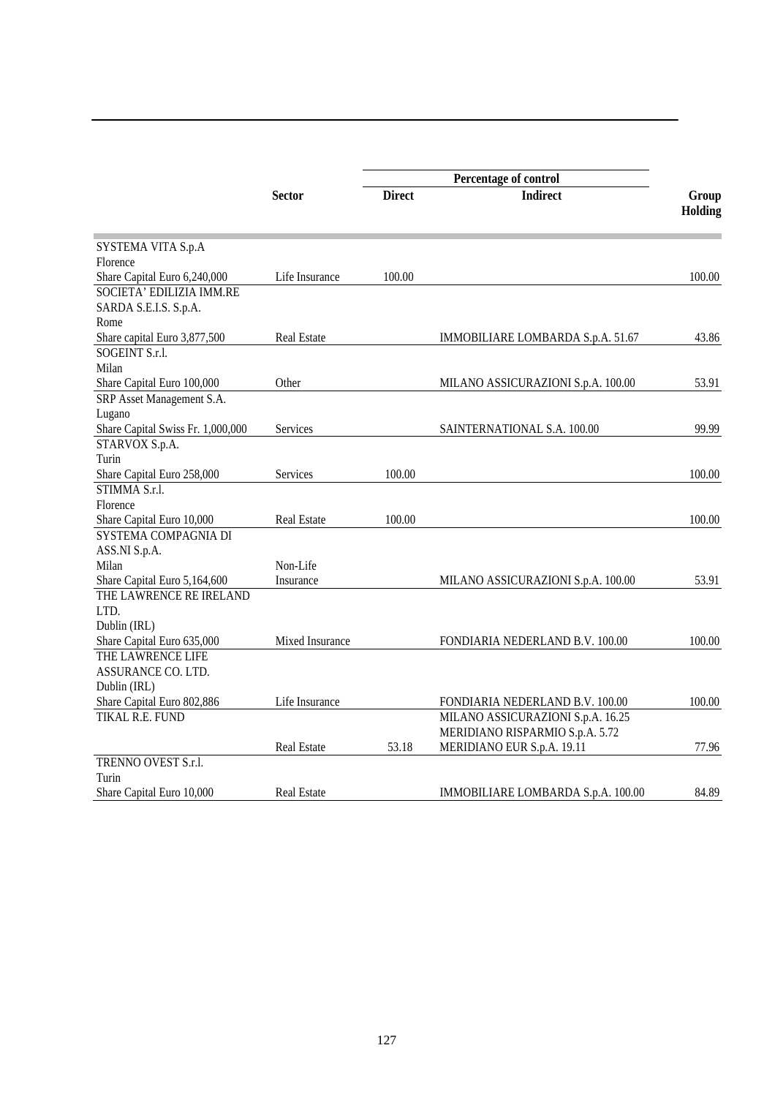|                                   |                    |               | Percentage of control              |                  |
|-----------------------------------|--------------------|---------------|------------------------------------|------------------|
|                                   | <b>Sector</b>      | <b>Direct</b> | <b>Indirect</b>                    | Group<br>Holding |
|                                   |                    |               |                                    |                  |
| SYSTEMA VITA S.p.A                |                    |               |                                    |                  |
| Florence                          |                    |               |                                    |                  |
| Share Capital Euro 6,240,000      | Life Insurance     | 100.00        |                                    | 100.00           |
| SOCIETA' EDILIZIA IMM.RE          |                    |               |                                    |                  |
| SARDA S.E.I.S. S.p.A.             |                    |               |                                    |                  |
| Rome                              |                    |               |                                    |                  |
| Share capital Euro 3,877,500      | <b>Real Estate</b> |               | IMMOBILIARE LOMBARDA S.p.A. 51.67  | 43.86            |
| SOGEINT S.r.l.                    |                    |               |                                    |                  |
| Milan                             |                    |               |                                    |                  |
| Share Capital Euro 100,000        | Other              |               | MILANO ASSICURAZIONI S.p.A. 100.00 | 53.91            |
| SRP Asset Management S.A.         |                    |               |                                    |                  |
| Lugano                            |                    |               |                                    |                  |
| Share Capital Swiss Fr. 1,000,000 | Services           |               | SAINTERNATIONAL S.A. 100.00        | 99.99            |
| STARVOX S.p.A.                    |                    |               |                                    |                  |
| Turin                             |                    |               |                                    |                  |
| Share Capital Euro 258,000        | Services           | 100.00        |                                    | 100.00           |
| STIMMA S.r.l.                     |                    |               |                                    |                  |
| Florence                          |                    |               |                                    |                  |
| Share Capital Euro 10,000         | <b>Real Estate</b> | 100.00        |                                    | 100.00           |
| SYSTEMA COMPAGNIA DI              |                    |               |                                    |                  |
| ASS.NI S.p.A.                     |                    |               |                                    |                  |
| Milan                             | Non-Life           |               |                                    |                  |
| Share Capital Euro 5,164,600      | Insurance          |               | MILANO ASSICURAZIONI S.p.A. 100.00 | 53.91            |
| THE LAWRENCE RE IRELAND           |                    |               |                                    |                  |
| LTD.                              |                    |               |                                    |                  |
| Dublin (IRL)                      |                    |               |                                    |                  |
| Share Capital Euro 635,000        | Mixed Insurance    |               | FONDIARIA NEDERLAND B.V. 100.00    | 100.00           |
| THE LAWRENCE LIFE                 |                    |               |                                    |                  |
| ASSURANCE CO. LTD.                |                    |               |                                    |                  |
| Dublin (IRL)                      |                    |               |                                    |                  |
| Share Capital Euro 802,886        | Life Insurance     |               | FONDIARIA NEDERLAND B.V. 100.00    | 100.00           |
| TIKAL R.E. FUND                   |                    |               | MILANO ASSICURAZIONI S.p.A. 16.25  |                  |
|                                   |                    |               | MERIDIANO RISPARMIO S.p.A. 5.72    |                  |
|                                   | Real Estate        | 53.18         | MERIDIANO EUR S.p.A. 19.11         | 77.96            |
| TRENNO OVEST S.r.l.               |                    |               |                                    |                  |
| Turin                             |                    |               |                                    |                  |
| Share Capital Euro 10,000         | <b>Real Estate</b> |               | IMMOBILIARE LOMBARDA S.p.A. 100.00 | 84.89            |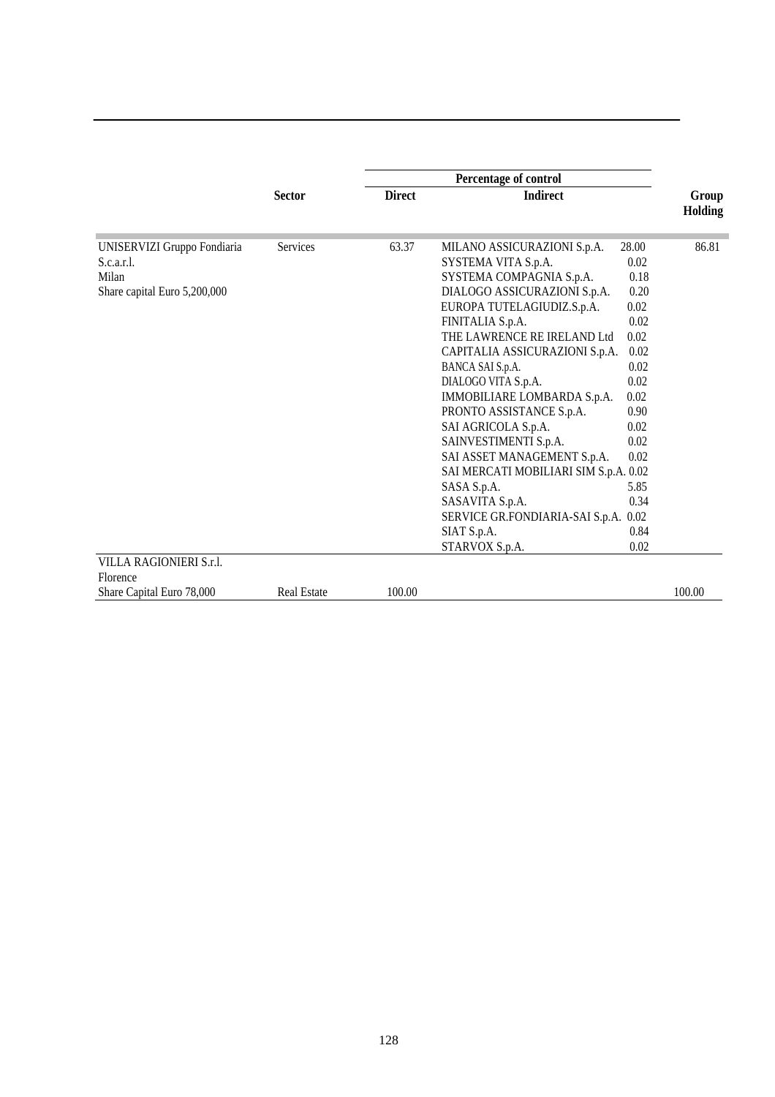|                                                                                                               | <b>Sector</b>      | <b>Direct</b> | <b>Indirect</b>                                                                                                                                                                                                                                                                                                                                                                                                                                                                                                                                                                                                                                                                                                                        | Group<br><b>Holding</b> |
|---------------------------------------------------------------------------------------------------------------|--------------------|---------------|----------------------------------------------------------------------------------------------------------------------------------------------------------------------------------------------------------------------------------------------------------------------------------------------------------------------------------------------------------------------------------------------------------------------------------------------------------------------------------------------------------------------------------------------------------------------------------------------------------------------------------------------------------------------------------------------------------------------------------------|-------------------------|
| UNISERVIZI Gruppo Fondiaria<br>S.c.a.r.l.<br>Milan<br>Share capital Euro 5,200,000<br>VILLA RAGIONIERI S.r.l. | <b>Services</b>    | 63.37         | 28.00<br>MILANO ASSICURAZIONI S.p.A.<br>SYSTEMA VITA S.p.A.<br>0.02<br>SYSTEMA COMPAGNIA S.p.A.<br>0.18<br>0.20<br>DIALOGO ASSICURAZIONI S.p.A.<br>EUROPA TUTELAGIUDIZ.S.p.A.<br>0.02<br>0.02<br>FINITALIA S.p.A.<br>THE LAWRENCE RE IRELAND Ltd<br>0.02<br>CAPITALIA ASSICURAZIONI S.p.A.<br>0.02<br>0.02<br>BANCA SAI S.p.A.<br>DIALOGO VITA S.p.A.<br>0.02<br>IMMOBILIARE LOMBARDA S.p.A.<br>0.02<br>PRONTO ASSISTANCE S.p.A.<br>0.90<br>SAI AGRICOLA S.p.A.<br>0.02<br>SAINVESTIMENTI S.p.A.<br>0.02<br>SAI ASSET MANAGEMENT S.p.A.<br>0.02<br>SAI MERCATI MOBILIARI SIM S.p.A. 0.02<br>SASA S.p.A.<br>5.85<br>SASAVITA S.p.A.<br>0.34<br>SERVICE GR.FONDIARIA-SAI S.p.A.<br>0.02<br>SIAT S.p.A.<br>0.84<br>STARVOX S.p.A.<br>0.02 | 86.81                   |
| Florence                                                                                                      |                    |               |                                                                                                                                                                                                                                                                                                                                                                                                                                                                                                                                                                                                                                                                                                                                        |                         |
| Share Capital Euro 78,000                                                                                     | <b>Real Estate</b> | 100.00        |                                                                                                                                                                                                                                                                                                                                                                                                                                                                                                                                                                                                                                                                                                                                        | 100.00                  |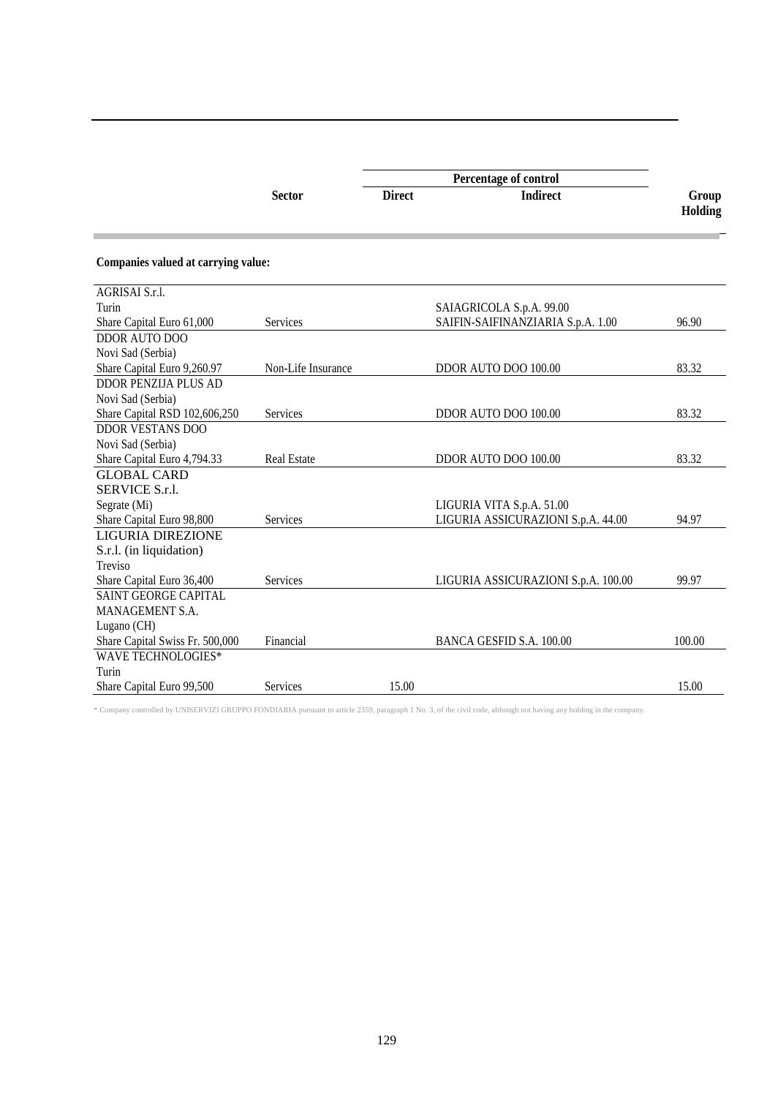|                                     |                    | Percentage of control |                                     |                  |  |
|-------------------------------------|--------------------|-----------------------|-------------------------------------|------------------|--|
| <b>Sector</b>                       |                    | <b>Direct</b>         | <b>Indirect</b>                     | Group<br>Holding |  |
| Companies valued at carrying value: |                    |                       |                                     |                  |  |
| AGRISAI S.r.l.                      |                    |                       |                                     |                  |  |
| Turin                               |                    |                       | SAIAGRICOLA S.p.A. 99.00            |                  |  |
| Share Capital Euro 61,000           | Services           |                       | SAIFIN-SAIFINANZIARIA S.p.A. 1.00   | 96.90            |  |
| DDOR AUTO DOO                       |                    |                       |                                     |                  |  |
| Novi Sad (Serbia)                   |                    |                       |                                     |                  |  |
| Share Capital Euro 9,260.97         | Non-Life Insurance |                       | DDOR AUTO DOO 100.00                | 83.32            |  |
| <b>DDOR PENZIJA PLUS AD</b>         |                    |                       |                                     |                  |  |
| Novi Sad (Serbia)                   |                    |                       |                                     |                  |  |
| Share Capital RSD 102,606,250       | Services           |                       | <b>DDOR AUTO DOO 100.00</b>         | 83.32            |  |
| <b>DDOR VESTANS DOO</b>             |                    |                       |                                     |                  |  |
| Novi Sad (Serbia)                   |                    |                       |                                     |                  |  |
| Share Capital Euro 4,794.33         | <b>Real Estate</b> |                       | DDOR AUTO DOO 100.00                | 83.32            |  |
| <b>GLOBAL CARD</b>                  |                    |                       |                                     |                  |  |
| SERVICE S.r.l.                      |                    |                       |                                     |                  |  |
| Segrate (Mi)                        |                    |                       | LIGURIA VITA S.p.A. 51.00           |                  |  |
| Share Capital Euro 98,800           | Services           |                       | LIGURIA ASSICURAZIONI S.p.A. 44.00  | 94.97            |  |
| <b>LIGURIA DIREZIONE</b>            |                    |                       |                                     |                  |  |
| S.r.l. (in liquidation)             |                    |                       |                                     |                  |  |
| Treviso                             |                    |                       |                                     |                  |  |
| Share Capital Euro 36,400           | Services           |                       | LIGURIA ASSICURAZIONI S.p.A. 100.00 | 99.97            |  |
| <b>SAINT GEORGE CAPITAL</b>         |                    |                       |                                     |                  |  |
| <b>MANAGEMENT S.A.</b>              |                    |                       |                                     |                  |  |
| Lugano (CH)                         |                    |                       |                                     |                  |  |
| Share Capital Swiss Fr. 500,000     | Financial          |                       | BANCA GESFID S.A. 100.00            | 100.00           |  |
| <b>WAVE TECHNOLOGIES*</b>           |                    |                       |                                     |                  |  |
| Turin                               |                    |                       |                                     |                  |  |
| Share Capital Euro 99,500           | Services           | 15.00                 |                                     | 15.00            |  |

\* Company controlled by UNISERVIZI GRUPPO FONDIARIA pursuant to article 2359, paragraph 1 No. 3, of the civil code, although not having any holding in the company.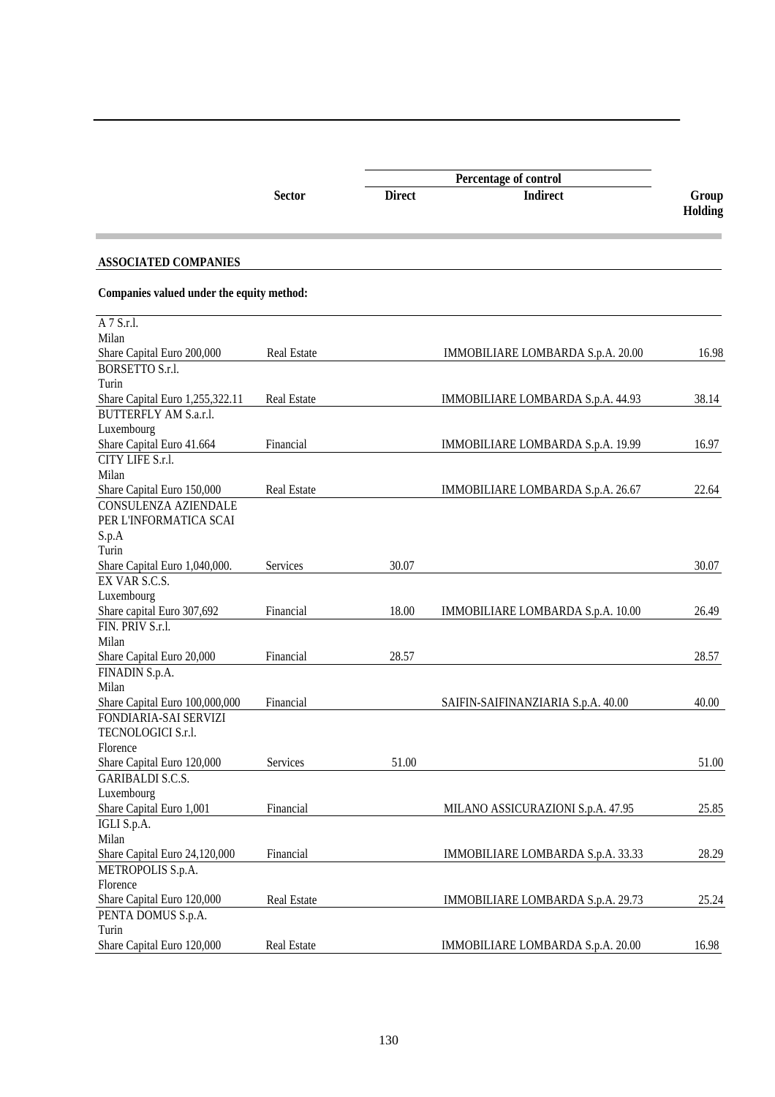|                                           |                    |               | Percentage of control              |                  |
|-------------------------------------------|--------------------|---------------|------------------------------------|------------------|
|                                           | <b>Sector</b>      | <b>Direct</b> | <b>Indirect</b>                    | Group<br>Holding |
| <b>ASSOCIATED COMPANIES</b>               |                    |               |                                    |                  |
| Companies valued under the equity method: |                    |               |                                    |                  |
| A 7 S.r.l.                                |                    |               |                                    |                  |
| Milan                                     |                    |               |                                    |                  |
| Share Capital Euro 200,000                | <b>Real Estate</b> |               | IMMOBILIARE LOMBARDA S.p.A. 20.00  | 16.98            |
| <b>BORSETTO S.r.l.</b>                    |                    |               |                                    |                  |
| Turin                                     |                    |               |                                    |                  |
| Share Capital Euro 1,255,322.11           | <b>Real Estate</b> |               | IMMOBILIARE LOMBARDA S.p.A. 44.93  | 38.14            |
| BUTTERFLY AM S.a.r.l.                     |                    |               |                                    |                  |
| Luxembourg                                |                    |               |                                    |                  |
| Share Capital Euro 41.664                 | Financial          |               | IMMOBILIARE LOMBARDA S.p.A. 19.99  | 16.97            |
| CITY LIFE S.r.l.                          |                    |               |                                    |                  |
| Milan                                     |                    |               |                                    |                  |
| Share Capital Euro 150,000                | <b>Real Estate</b> |               | IMMOBILIARE LOMBARDA S.p.A. 26.67  | 22.64            |
| CONSULENZA AZIENDALE                      |                    |               |                                    |                  |
| PER L'INFORMATICA SCAI                    |                    |               |                                    |                  |
| S.p.A                                     |                    |               |                                    |                  |
| Turin                                     |                    |               |                                    |                  |
| Share Capital Euro 1,040,000.             | Services           | 30.07         |                                    | 30.07            |
| EX VAR S.C.S.                             |                    |               |                                    |                  |
| Luxembourg                                |                    |               |                                    |                  |
| Share capital Euro 307,692                | Financial          | 18.00         | IMMOBILIARE LOMBARDA S.p.A. 10.00  | 26.49            |
| FIN. PRIV S.r.l.                          |                    |               |                                    |                  |
| Milan                                     |                    |               |                                    |                  |
| Share Capital Euro 20,000                 | Financial          | 28.57         |                                    | 28.57            |
| FINADIN S.p.A.                            |                    |               |                                    |                  |
| Milan                                     |                    |               |                                    |                  |
| Share Capital Euro 100,000,000            | Financial          |               | SAIFIN-SAIFINANZIARIA S.p.A. 40.00 | 40.00            |
| FONDIARIA-SAI SERVIZI                     |                    |               |                                    |                  |
| TECNOLOGICI S.r.1.                        |                    |               |                                    |                  |
| Florence                                  |                    |               |                                    |                  |
| Share Capital Euro 120,000                | Services           | 51.00         |                                    | 51.00            |
| <b>GARIBALDI S.C.S.</b>                   |                    |               |                                    |                  |
| Luxembourg                                |                    |               |                                    |                  |
| Share Capital Euro 1,001                  | Financial          |               | MILANO ASSICURAZIONI S.p.A. 47.95  | 25.85            |
| IGLI S.p.A.                               |                    |               |                                    |                  |
| Milan                                     |                    |               |                                    |                  |
| Share Capital Euro 24,120,000             | Financial          |               | IMMOBILIARE LOMBARDA S.p.A. 33.33  | 28.29            |
| METROPOLIS S.p.A.                         |                    |               |                                    |                  |
| Florence                                  |                    |               |                                    |                  |
| Share Capital Euro 120,000                | Real Estate        |               | IMMOBILIARE LOMBARDA S.p.A. 29.73  | 25.24            |
| PENTA DOMUS S.p.A.                        |                    |               |                                    |                  |
| Turin                                     |                    |               |                                    |                  |
| Share Capital Euro 120,000                | Real Estate        |               | IMMOBILIARE LOMBARDA S.p.A. 20.00  | 16.98            |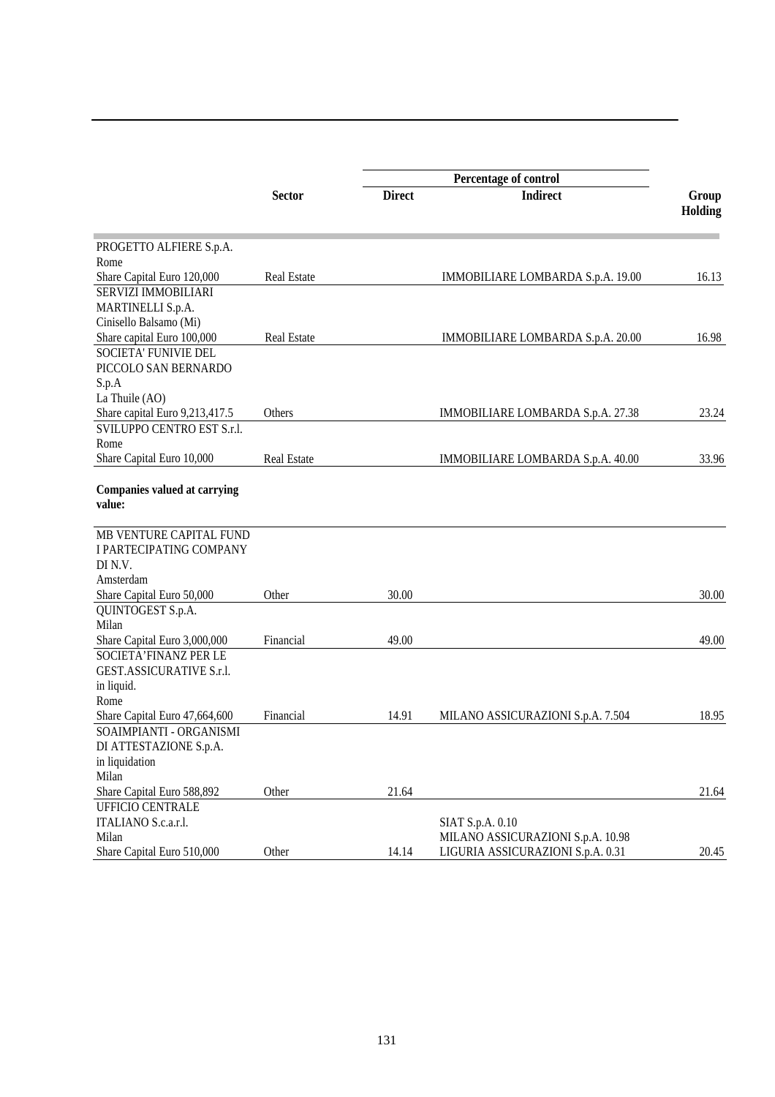|                                               |                    |               | Percentage of control             |                |
|-----------------------------------------------|--------------------|---------------|-----------------------------------|----------------|
|                                               | <b>Sector</b>      | <b>Direct</b> | <b>Indirect</b>                   | Group          |
|                                               |                    |               |                                   | <b>Holding</b> |
| PROGETTO ALFIERE S.p.A.                       |                    |               |                                   |                |
| Rome                                          |                    |               |                                   |                |
| Share Capital Euro 120,000                    | Real Estate        |               | IMMOBILIARE LOMBARDA S.p.A. 19.00 | 16.13          |
| SERVIZI IMMOBILIARI                           |                    |               |                                   |                |
| MARTINELLI S.p.A.                             |                    |               |                                   |                |
| Cinisello Balsamo (Mi)                        |                    |               |                                   |                |
| Share capital Euro 100,000                    | <b>Real Estate</b> |               | IMMOBILIARE LOMBARDA S.p.A. 20.00 | 16.98          |
| <b>SOCIETA' FUNIVIE DEL</b>                   |                    |               |                                   |                |
| PICCOLO SAN BERNARDO                          |                    |               |                                   |                |
| S.p.A                                         |                    |               |                                   |                |
| La Thuile (AO)                                |                    |               |                                   |                |
| Share capital Euro 9,213,417.5                | Others             |               | IMMOBILIARE LOMBARDA S.p.A. 27.38 | 23.24          |
| SVILUPPO CENTRO EST S.r.l.                    |                    |               |                                   |                |
| Rome                                          |                    |               |                                   |                |
| Share Capital Euro 10,000                     | <b>Real Estate</b> |               | IMMOBILIARE LOMBARDA S.p.A. 40.00 | 33.96          |
| <b>Companies valued at carrying</b><br>value: |                    |               |                                   |                |
| MB VENTURE CAPITAL FUND                       |                    |               |                                   |                |
| I PARTECIPATING COMPANY<br>DI N.V.            |                    |               |                                   |                |
| Amsterdam                                     |                    |               |                                   |                |
| Share Capital Euro 50,000                     | Other              | 30.00         |                                   | 30.00          |
| QUINTOGEST S.p.A.                             |                    |               |                                   |                |
| Milan                                         |                    |               |                                   |                |
| Share Capital Euro 3,000,000                  | Financial          | 49.00         |                                   | 49.00          |
| SOCIETA' FINANZ PER LE                        |                    |               |                                   |                |
| GEST.ASSICURATIVE S.r.l.                      |                    |               |                                   |                |
| in liquid.                                    |                    |               |                                   |                |
| Rome                                          |                    |               |                                   |                |
| Share Capital Euro 47,664,600                 | Financial          | 14.91         | MILANO ASSICURAZIONI S.p.A. 7.504 | 18.95          |
| SOAIMPIANTI - ORGANISMI                       |                    |               |                                   |                |
| DI ATTESTAZIONE S.p.A.                        |                    |               |                                   |                |
| in liquidation                                |                    |               |                                   |                |
| Milan                                         |                    |               |                                   |                |
| Share Capital Euro 588,892                    | Other              | 21.64         |                                   | 21.64          |
| <b>UFFICIO CENTRALE</b>                       |                    |               |                                   |                |
| ITALIANO S.c.a.r.l.                           |                    |               | SIAT S.p.A. 0.10                  |                |
| Milan                                         |                    |               | MILANO ASSICURAZIONI S.p.A. 10.98 |                |
| Share Capital Euro 510,000                    | Other              | 14.14         | LIGURIA ASSICURAZIONI S.p.A. 0.31 | 20.45          |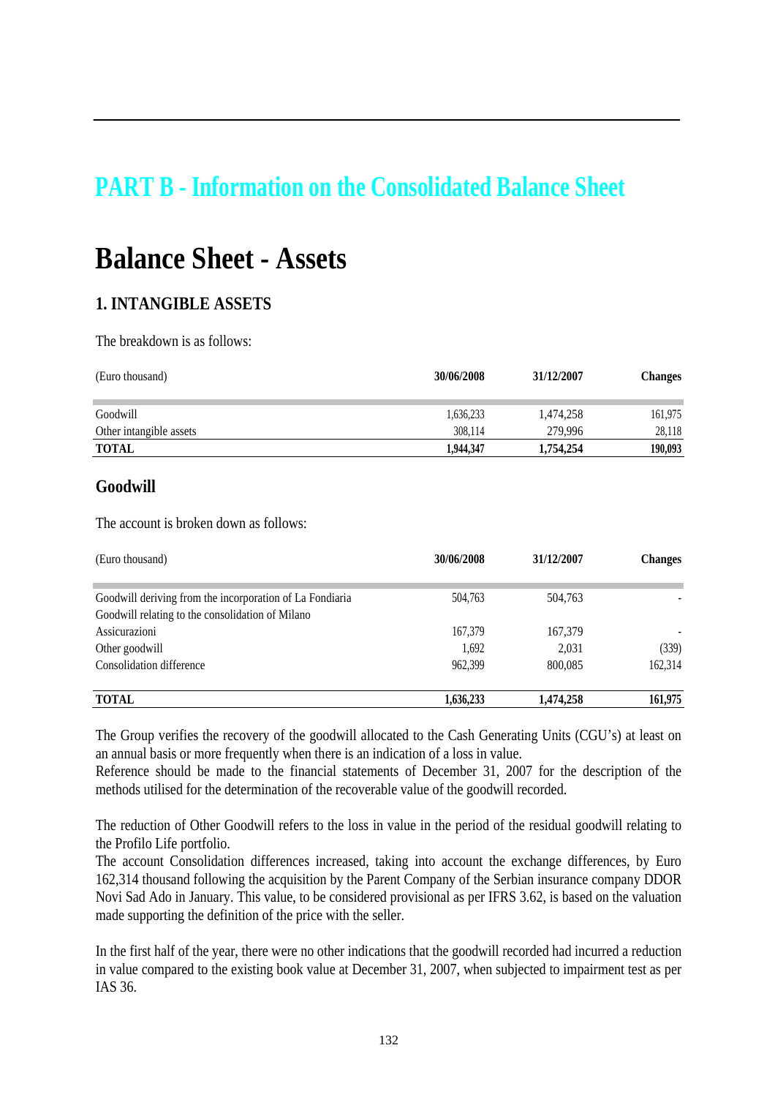## **PART B - Information on the Consolidated Balance Sheet**

## **Balance Sheet - Assets**

#### **1. INTANGIBLE ASSETS**

The breakdown is as follows:

| (Euro thousand)         | 30/06/2008 | 31/12/2007 | <b>Changes</b> |
|-------------------------|------------|------------|----------------|
| Goodwill                | 1,636,233  | 1,474,258  | 161,975        |
| Other intangible assets | 308,114    | 279,996    | 28,118         |
| <b>TOTAL</b>            | 1.944.347  | 1,754,254  | 190,093        |

#### **Goodwill**

The account is broken down as follows:

| (Euro thousand)                                          | 30/06/2008 | 31/12/2007 | <b>Changes</b> |
|----------------------------------------------------------|------------|------------|----------------|
| Goodwill deriving from the incorporation of La Fondiaria | 504,763    | 504,763    |                |
| Goodwill relating to the consolidation of Milano         |            |            |                |
| Assicurazioni                                            | 167,379    | 167,379    |                |
| Other goodwill                                           | 1,692      | 2,031      | (339)          |
| Consolidation difference                                 | 962,399    | 800.085    | 162,314        |
| <b>TOTAL</b>                                             | 1,636,233  | 1.474.258  | 161,975        |

The Group verifies the recovery of the goodwill allocated to the Cash Generating Units (CGU's) at least on an annual basis or more frequently when there is an indication of a loss in value.

Reference should be made to the financial statements of December 31, 2007 for the description of the methods utilised for the determination of the recoverable value of the goodwill recorded.

The reduction of Other Goodwill refers to the loss in value in the period of the residual goodwill relating to the Profilo Life portfolio.

The account Consolidation differences increased, taking into account the exchange differences, by Euro 162,314 thousand following the acquisition by the Parent Company of the Serbian insurance company DDOR Novi Sad Ado in January. This value, to be considered provisional as per IFRS 3.62, is based on the valuation made supporting the definition of the price with the seller.

In the first half of the year, there were no other indications that the goodwill recorded had incurred a reduction in value compared to the existing book value at December 31, 2007, when subjected to impairment test as per IAS 36.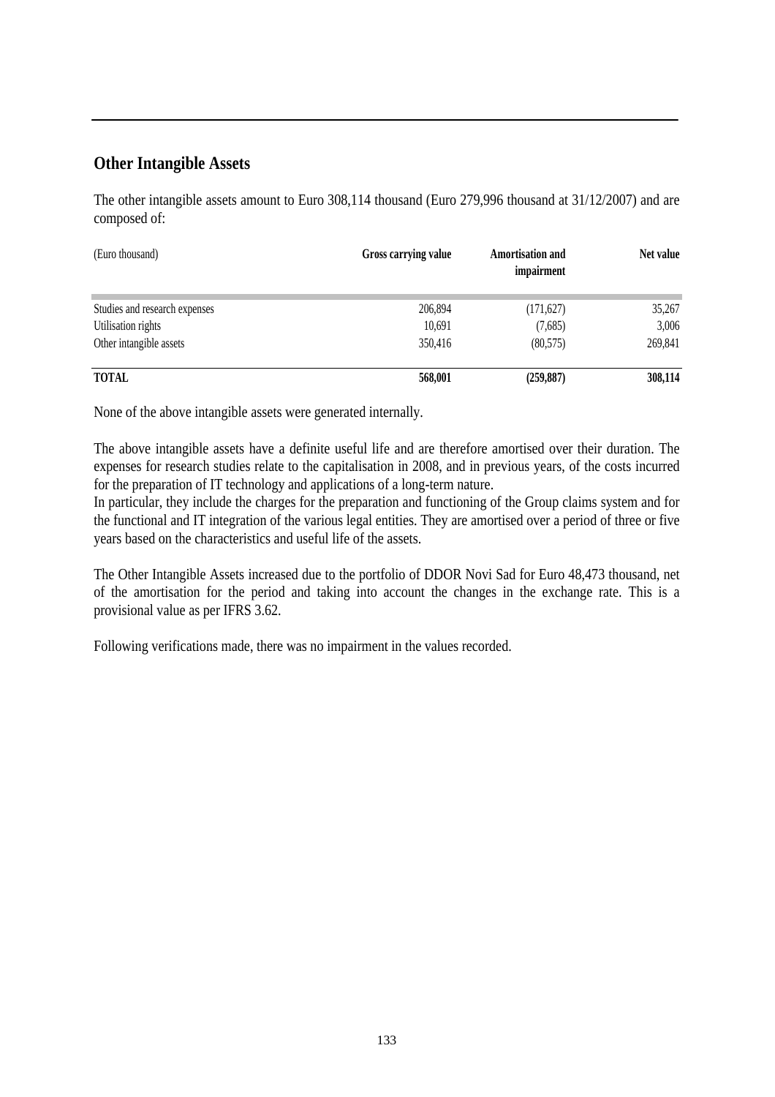#### **Other Intangible Assets**

The other intangible assets amount to Euro 308,114 thousand (Euro 279,996 thousand at 31/12/2007) and are composed of:

| (Euro thousand)               | Gross carrying value | <b>Amortisation and</b><br>impairment | Net value |
|-------------------------------|----------------------|---------------------------------------|-----------|
| Studies and research expenses | 206,894              | (171, 627)                            | 35,267    |
| Utilisation rights            | 10,691               | (7,685)                               | 3,006     |
| Other intangible assets       | 350,416              | (80, 575)                             | 269,841   |
| <b>TOTAL</b>                  | 568,001              | (259, 887)                            | 308,114   |

None of the above intangible assets were generated internally.

The above intangible assets have a definite useful life and are therefore amortised over their duration. The expenses for research studies relate to the capitalisation in 2008, and in previous years, of the costs incurred for the preparation of IT technology and applications of a long-term nature.

In particular, they include the charges for the preparation and functioning of the Group claims system and for the functional and IT integration of the various legal entities. They are amortised over a period of three or five years based on the characteristics and useful life of the assets.

The Other Intangible Assets increased due to the portfolio of DDOR Novi Sad for Euro 48,473 thousand, net of the amortisation for the period and taking into account the changes in the exchange rate. This is a provisional value as per IFRS 3.62.

Following verifications made, there was no impairment in the values recorded.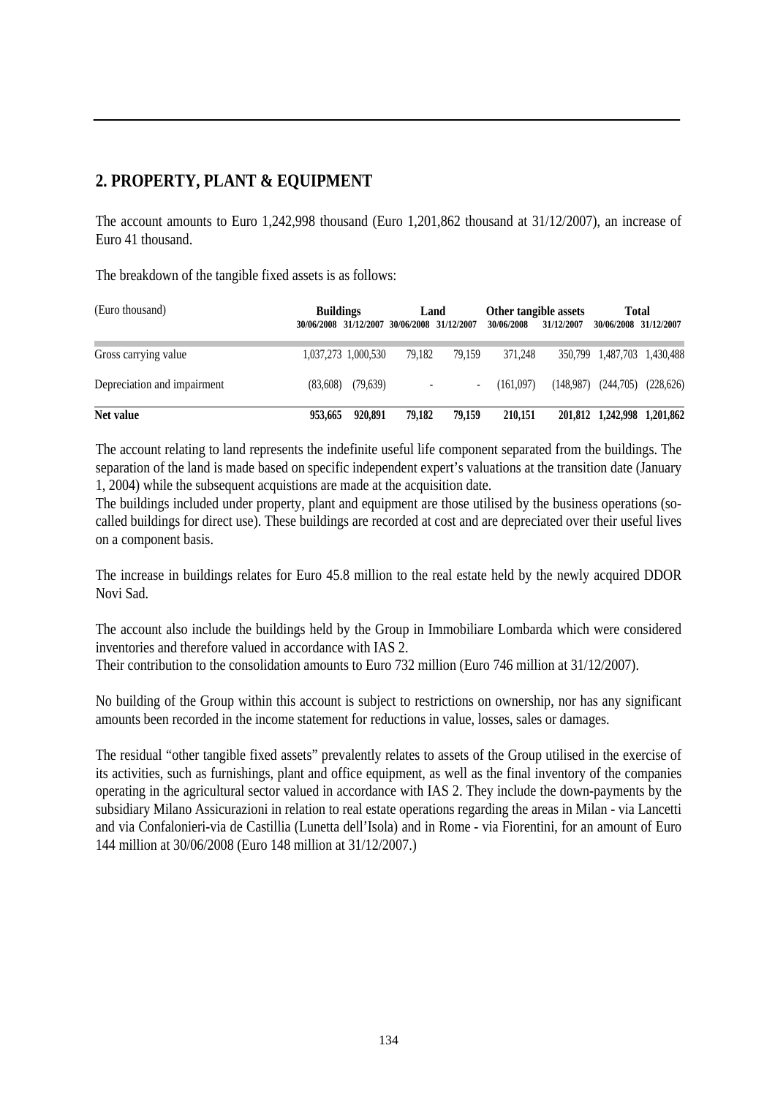#### **2. PROPERTY, PLANT & EQUIPMENT**

The account amounts to Euro 1,242,998 thousand (Euro 1,201,862 thousand at 31/12/2007), an increase of Euro 41 thousand.

The breakdown of the tangible fixed assets is as follows:

| (Euro thousand)             | <b>Buildings</b><br>30/06/2008 31/12/2007 30/06/2008 31/12/2007 |                     |        | Land   | Other tangible assets<br>30/06/2008 | 31/12/2007 | <b>Total</b><br>30/06/2008 31/12/2007 |           |
|-----------------------------|-----------------------------------------------------------------|---------------------|--------|--------|-------------------------------------|------------|---------------------------------------|-----------|
| Gross carrying value        |                                                                 | 1,037,273 1,000,530 | 79.182 | 79.159 | 371.248                             |            | 350,799 1,487,703 1,430,488           |           |
| Depreciation and impairment | (83,608)                                                        | (79,639)            |        | $\sim$ | (161.097)                           | (148.987)  | (244,705)                             | (228,626) |
| Net value                   | 953,665                                                         | 920.891             | 79.182 | 79.159 | 210.151                             |            | 201,812 1,242,998 1,201,862           |           |

The account relating to land represents the indefinite useful life component separated from the buildings. The separation of the land is made based on specific independent expert's valuations at the transition date (January 1, 2004) while the subsequent acquistions are made at the acquisition date.

The buildings included under property, plant and equipment are those utilised by the business operations (socalled buildings for direct use). These buildings are recorded at cost and are depreciated over their useful lives on a component basis.

The increase in buildings relates for Euro 45.8 million to the real estate held by the newly acquired DDOR Novi Sad.

The account also include the buildings held by the Group in Immobiliare Lombarda which were considered inventories and therefore valued in accordance with IAS 2.

Their contribution to the consolidation amounts to Euro 732 million (Euro 746 million at 31/12/2007).

No building of the Group within this account is subject to restrictions on ownership, nor has any significant amounts been recorded in the income statement for reductions in value, losses, sales or damages.

The residual "other tangible fixed assets" prevalently relates to assets of the Group utilised in the exercise of its activities, such as furnishings, plant and office equipment, as well as the final inventory of the companies operating in the agricultural sector valued in accordance with IAS 2. They include the down-payments by the subsidiary Milano Assicurazioni in relation to real estate operations regarding the areas in Milan - via Lancetti and via Confalonieri-via de Castillia (Lunetta dell'Isola) and in Rome - via Fiorentini, for an amount of Euro 144 million at 30/06/2008 (Euro 148 million at 31/12/2007.)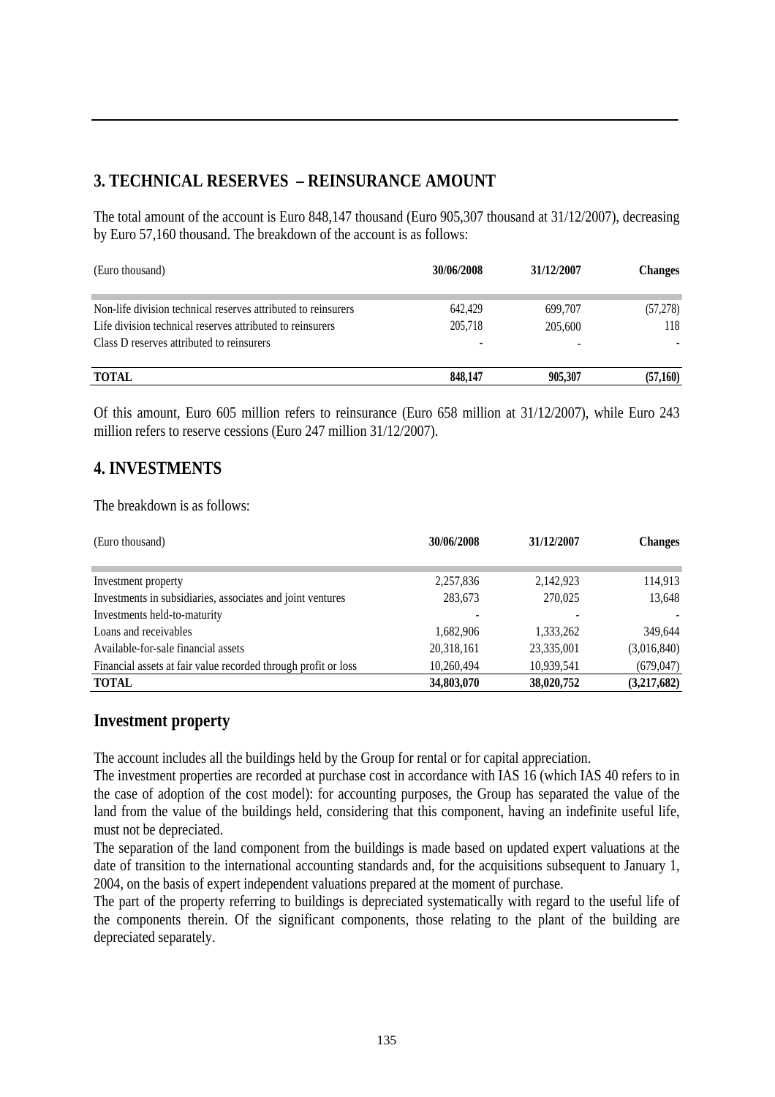#### **3. TECHNICAL RESERVES – REINSURANCE AMOUNT**

The total amount of the account is Euro 848,147 thousand (Euro 905,307 thousand at 31/12/2007), decreasing by Euro 57,160 thousand. The breakdown of the account is as follows:

| (Euro thousand)                                                                                                                                                         | 30/06/2008         | 31/12/2007         | <b>Changes</b>  |
|-------------------------------------------------------------------------------------------------------------------------------------------------------------------------|--------------------|--------------------|-----------------|
| Non-life division technical reserves attributed to reinsurers<br>Life division technical reserves attributed to reinsurers<br>Class D reserves attributed to reinsurers | 642,429<br>205.718 | 699,707<br>205,600 | (57,278)<br>118 |
| <b>TOTAL</b>                                                                                                                                                            | 848,147            | 905.307            | (57,160)        |

Of this amount, Euro 605 million refers to reinsurance (Euro 658 million at 31/12/2007), while Euro 243 million refers to reserve cessions (Euro 247 million 31/12/2007).

#### **4. INVESTMENTS**

The breakdown is as follows:

| (Euro thousand)                                                | 30/06/2008 | 31/12/2007 | <b>Changes</b> |
|----------------------------------------------------------------|------------|------------|----------------|
|                                                                |            |            |                |
| Investment property                                            | 2,257,836  | 2,142,923  | 114,913        |
| Investments in subsidiaries, associates and joint ventures     | 283,673    | 270,025    | 13,648         |
| Investments held-to-maturity                                   |            |            |                |
| Loans and receivables                                          | 1,682,906  | 1,333,262  | 349,644        |
| Available-for-sale financial assets                            | 20,318,161 | 23,335,001 | (3,016,840)    |
| Financial assets at fair value recorded through profit or loss | 10,260,494 | 10,939,541 | (679, 047)     |
| <b>TOTAL</b>                                                   | 34,803,070 | 38,020,752 | (3,217,682)    |

#### **Investment property**

The account includes all the buildings held by the Group for rental or for capital appreciation.

The investment properties are recorded at purchase cost in accordance with IAS 16 (which IAS 40 refers to in the case of adoption of the cost model): for accounting purposes, the Group has separated the value of the land from the value of the buildings held, considering that this component, having an indefinite useful life, must not be depreciated.

The separation of the land component from the buildings is made based on updated expert valuations at the date of transition to the international accounting standards and, for the acquisitions subsequent to January 1, 2004, on the basis of expert independent valuations prepared at the moment of purchase.

The part of the property referring to buildings is depreciated systematically with regard to the useful life of the components therein. Of the significant components, those relating to the plant of the building are depreciated separately.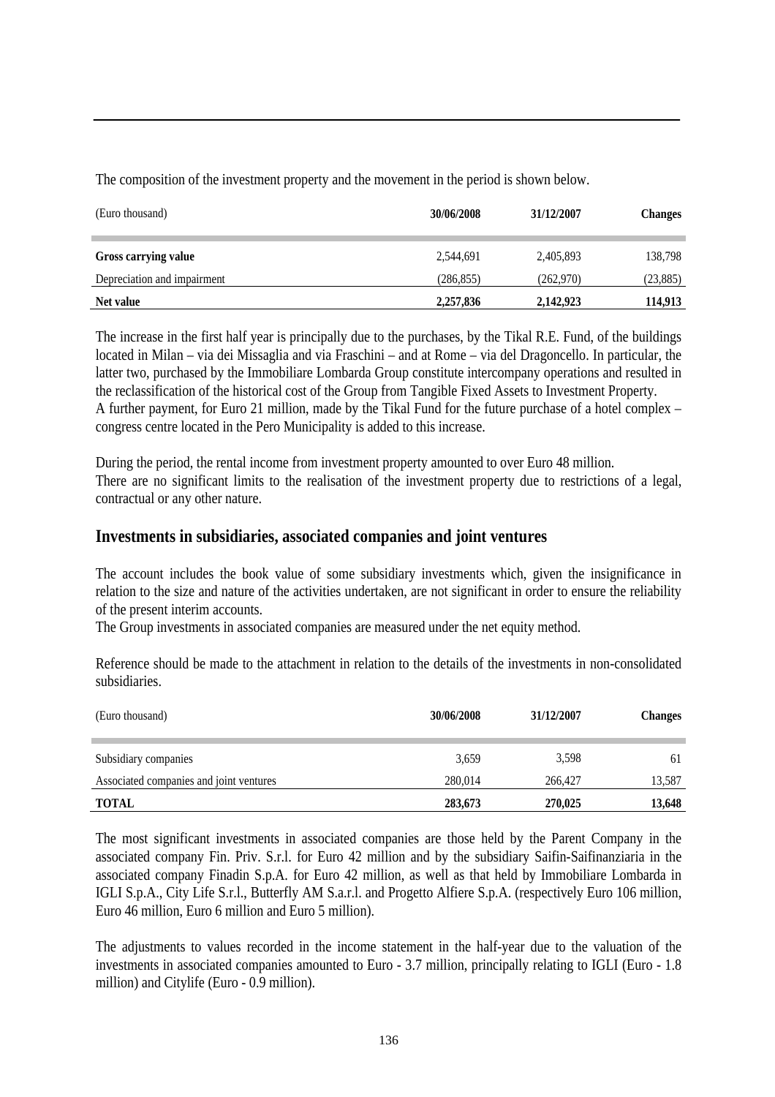The composition of the investment property and the movement in the period is shown below.

| (Euro thousand)             | 30/06/2008 | 31/12/2007 | <b>Changes</b> |
|-----------------------------|------------|------------|----------------|
| Gross carrying value        | 2,544,691  | 2,405,893  | 138,798        |
| Depreciation and impairment | (286, 855) | (262,970)  | (23, 885)      |
| Net value                   | 2,257,836  | 2,142,923  | 114,913        |

The increase in the first half year is principally due to the purchases, by the Tikal R.E. Fund, of the buildings located in Milan – via dei Missaglia and via Fraschini – and at Rome – via del Dragoncello. In particular, the latter two, purchased by the Immobiliare Lombarda Group constitute intercompany operations and resulted in the reclassification of the historical cost of the Group from Tangible Fixed Assets to Investment Property. A further payment, for Euro 21 million, made by the Tikal Fund for the future purchase of a hotel complex – congress centre located in the Pero Municipality is added to this increase.

During the period, the rental income from investment property amounted to over Euro 48 million. There are no significant limits to the realisation of the investment property due to restrictions of a legal, contractual or any other nature.

#### **Investments in subsidiaries, associated companies and joint ventures**

The account includes the book value of some subsidiary investments which, given the insignificance in relation to the size and nature of the activities undertaken, are not significant in order to ensure the reliability of the present interim accounts.

The Group investments in associated companies are measured under the net equity method.

Reference should be made to the attachment in relation to the details of the investments in non-consolidated subsidiaries.

| (Euro thousand)                         | 30/06/2008 | 31/12/2007 | <b>Changes</b> |
|-----------------------------------------|------------|------------|----------------|
|                                         |            |            |                |
| Subsidiary companies                    | 3,659      | 3,598      | 61             |
| Associated companies and joint ventures | 280,014    | 266,427    | 13,587         |
| <b>TOTAL</b>                            | 283,673    | 270,025    | 13,648         |

The most significant investments in associated companies are those held by the Parent Company in the associated company Fin. Priv. S.r.l. for Euro 42 million and by the subsidiary Saifin-Saifinanziaria in the associated company Finadin S.p.A. for Euro 42 million, as well as that held by Immobiliare Lombarda in IGLI S.p.A., City Life S.r.l., Butterfly AM S.a.r.l. and Progetto Alfiere S.p.A. (respectively Euro 106 million, Euro 46 million, Euro 6 million and Euro 5 million).

The adjustments to values recorded in the income statement in the half-year due to the valuation of the investments in associated companies amounted to Euro - 3.7 million, principally relating to IGLI (Euro - 1.8 million) and Citylife (Euro - 0.9 million).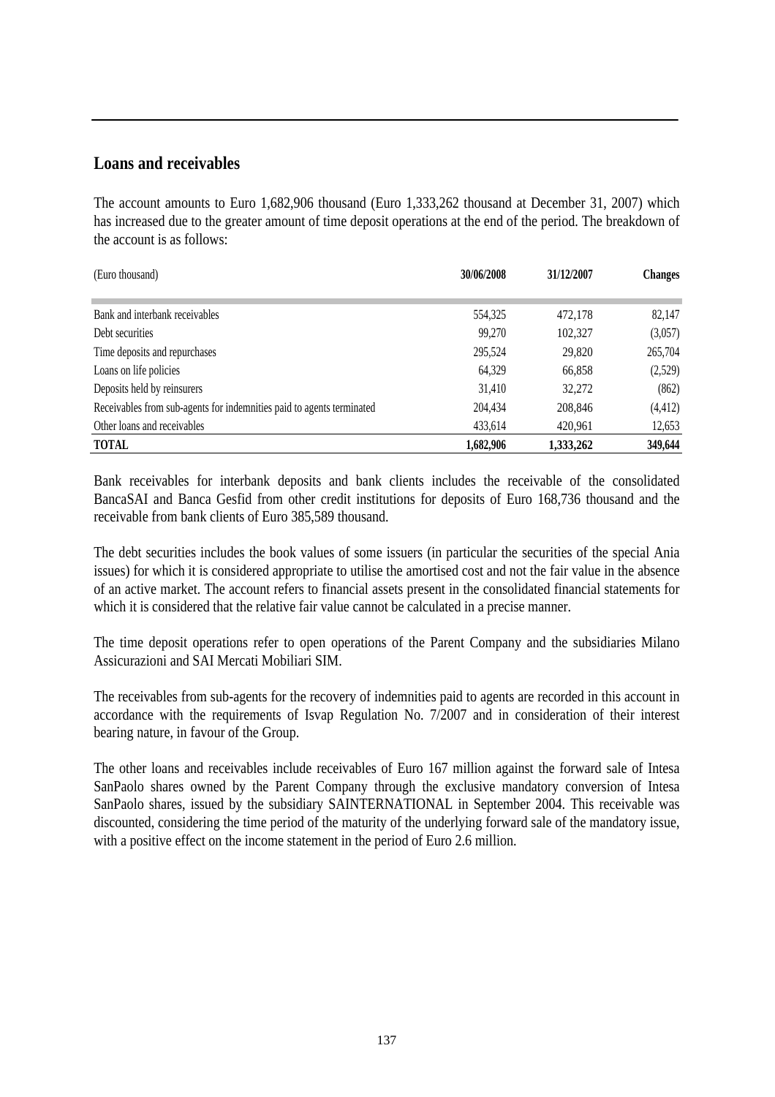#### **Loans and receivables**

The account amounts to Euro 1,682,906 thousand (Euro 1,333,262 thousand at December 31, 2007) which has increased due to the greater amount of time deposit operations at the end of the period. The breakdown of the account is as follows:

| (Euro thousand)                                                       | 30/06/2008 | 31/12/2007 | <b>Changes</b> |
|-----------------------------------------------------------------------|------------|------------|----------------|
|                                                                       |            |            |                |
| Bank and interbank receivables                                        | 554,325    | 472,178    | 82,147         |
| Debt securities                                                       | 99,270     | 102,327    | (3,057)        |
| Time deposits and repurchases                                         | 295,524    | 29,820     | 265,704        |
| Loans on life policies                                                | 64.329     | 66,858     | (2,529)        |
| Deposits held by reinsurers                                           | 31,410     | 32,272     | (862)          |
| Receivables from sub-agents for indemnities paid to agents terminated | 204,434    | 208,846    | (4, 412)       |
| Other loans and receivables                                           | 433,614    | 420,961    | 12,653         |
| <b>TOTAL</b>                                                          | 1,682,906  | 1,333,262  | 349,644        |

Bank receivables for interbank deposits and bank clients includes the receivable of the consolidated BancaSAI and Banca Gesfid from other credit institutions for deposits of Euro 168,736 thousand and the receivable from bank clients of Euro 385,589 thousand.

The debt securities includes the book values of some issuers (in particular the securities of the special Ania issues) for which it is considered appropriate to utilise the amortised cost and not the fair value in the absence of an active market. The account refers to financial assets present in the consolidated financial statements for which it is considered that the relative fair value cannot be calculated in a precise manner.

The time deposit operations refer to open operations of the Parent Company and the subsidiaries Milano Assicurazioni and SAI Mercati Mobiliari SIM.

The receivables from sub-agents for the recovery of indemnities paid to agents are recorded in this account in accordance with the requirements of Isvap Regulation No. 7/2007 and in consideration of their interest bearing nature, in favour of the Group.

The other loans and receivables include receivables of Euro 167 million against the forward sale of Intesa SanPaolo shares owned by the Parent Company through the exclusive mandatory conversion of Intesa SanPaolo shares, issued by the subsidiary SAINTERNATIONAL in September 2004. This receivable was discounted, considering the time period of the maturity of the underlying forward sale of the mandatory issue, with a positive effect on the income statement in the period of Euro 2.6 million.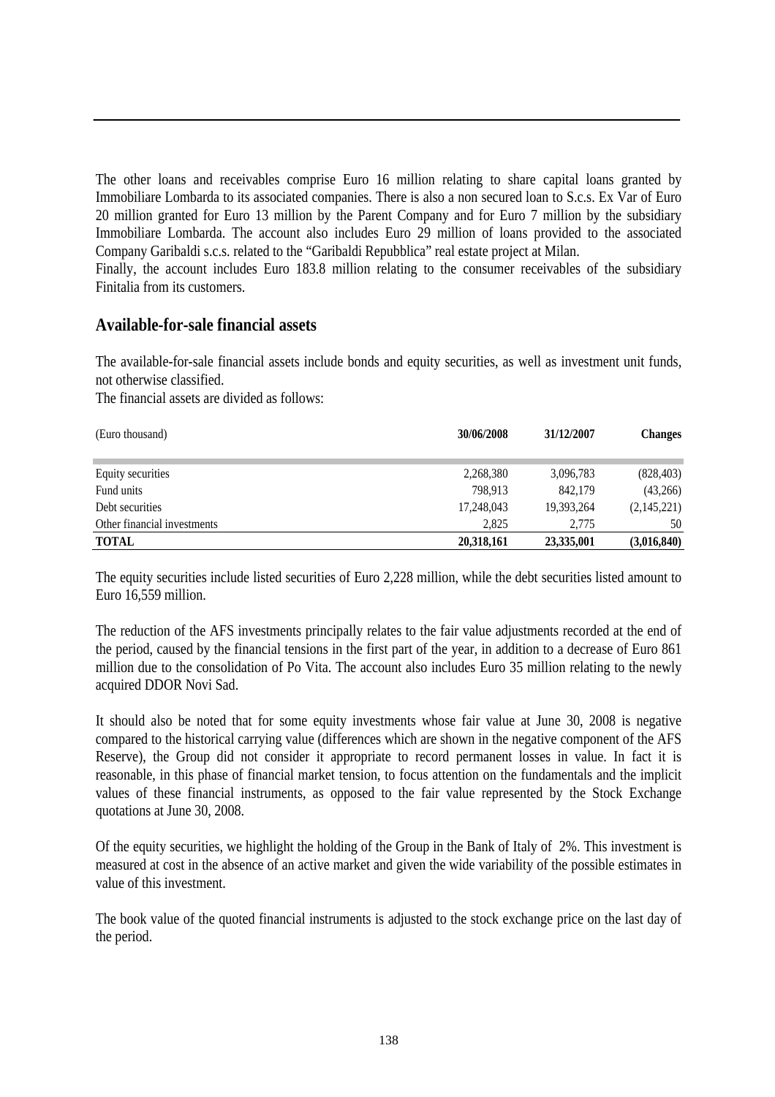The other loans and receivables comprise Euro 16 million relating to share capital loans granted by Immobiliare Lombarda to its associated companies. There is also a non secured loan to S.c.s. Ex Var of Euro 20 million granted for Euro 13 million by the Parent Company and for Euro 7 million by the subsidiary Immobiliare Lombarda. The account also includes Euro 29 million of loans provided to the associated Company Garibaldi s.c.s. related to the "Garibaldi Repubblica" real estate project at Milan. Finally, the account includes Euro 183.8 million relating to the consumer receivables of the subsidiary Finitalia from its customers.

#### **Available-for-sale financial assets**

The available-for-sale financial assets include bonds and equity securities, as well as investment unit funds, not otherwise classified.

The financial assets are divided as follows:

| (Euro thousand)             | 30/06/2008 | 31/12/2007 | <b>Changes</b> |
|-----------------------------|------------|------------|----------------|
| Equity securities           | 2,268,380  | 3,096,783  | (828, 403)     |
| Fund units                  | 798.913    | 842,179    | (43,266)       |
| Debt securities             | 17,248,043 | 19,393,264 | (2,145,221)    |
| Other financial investments | 2.825      | 2,775      | 50             |
| <b>TOTAL</b>                | 20,318,161 | 23,335,001 | (3,016,840)    |

The equity securities include listed securities of Euro 2,228 million, while the debt securities listed amount to Euro 16,559 million.

The reduction of the AFS investments principally relates to the fair value adjustments recorded at the end of the period, caused by the financial tensions in the first part of the year, in addition to a decrease of Euro 861 million due to the consolidation of Po Vita. The account also includes Euro 35 million relating to the newly acquired DDOR Novi Sad.

It should also be noted that for some equity investments whose fair value at June 30, 2008 is negative compared to the historical carrying value (differences which are shown in the negative component of the AFS Reserve), the Group did not consider it appropriate to record permanent losses in value. In fact it is reasonable, in this phase of financial market tension, to focus attention on the fundamentals and the implicit values of these financial instruments, as opposed to the fair value represented by the Stock Exchange quotations at June 30, 2008.

Of the equity securities, we highlight the holding of the Group in the Bank of Italy of 2%. This investment is measured at cost in the absence of an active market and given the wide variability of the possible estimates in value of this investment.

The book value of the quoted financial instruments is adjusted to the stock exchange price on the last day of the period.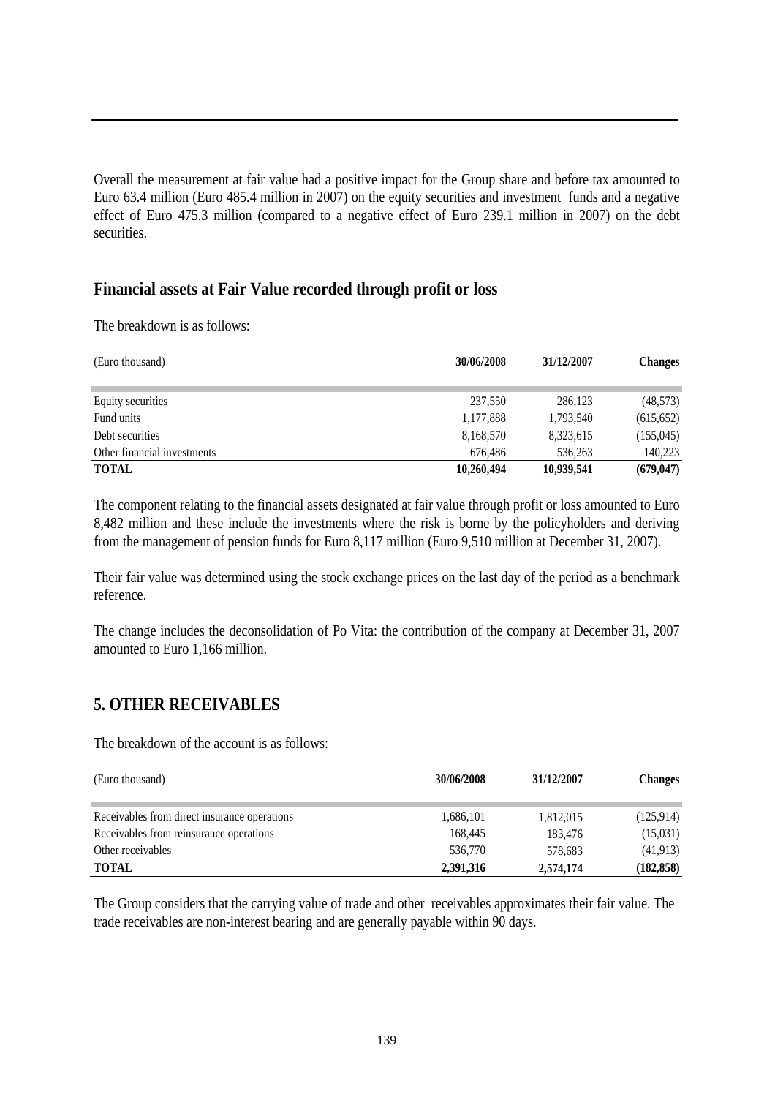Overall the measurement at fair value had a positive impact for the Group share and before tax amounted to Euro 63.4 million (Euro 485.4 million in 2007) on the equity securities and investment funds and a negative effect of Euro 475.3 million (compared to a negative effect of Euro 239.1 million in 2007) on the debt securities.

#### **Financial assets at Fair Value recorded through profit or loss**

The breakdown is as follows:

| (Euro thousand)             | 30/06/2008 | 31/12/2007 | <b>Changes</b> |
|-----------------------------|------------|------------|----------------|
| Equity securities           | 237,550    | 286,123    | (48,573)       |
| Fund units                  | 1,177,888  | 1,793,540  | (615, 652)     |
| Debt securities             | 8,168,570  | 8,323,615  | (155, 045)     |
| Other financial investments | 676.486    | 536,263    | 140,223        |
| <b>TOTAL</b>                | 10.260.494 | 10,939,541 | (679, 047)     |

The component relating to the financial assets designated at fair value through profit or loss amounted to Euro 8,482 million and these include the investments where the risk is borne by the policyholders and deriving from the management of pension funds for Euro 8,117 million (Euro 9,510 million at December 31, 2007).

Their fair value was determined using the stock exchange prices on the last day of the period as a benchmark reference.

The change includes the deconsolidation of Po Vita: the contribution of the company at December 31, 2007 amounted to Euro 1,166 million.

#### **5. OTHER RECEIVABLES**

The breakdown of the account is as follows:

| (Euro thousand)                              | 30/06/2008 | 31/12/2007 | <b>Changes</b> |
|----------------------------------------------|------------|------------|----------------|
|                                              |            |            |                |
| Receivables from direct insurance operations | 1,686,101  | 1,812,015  | (125, 914)     |
| Receivables from reinsurance operations      | 168,445    | 183,476    | (15,031)       |
| Other receivables                            | 536,770    | 578.683    | (41, 913)      |
| <b>TOTAL</b>                                 | 2,391,316  | 2,574,174  | (182, 858)     |

The Group considers that the carrying value of trade and other receivables approximates their fair value. The trade receivables are non-interest bearing and are generally payable within 90 days.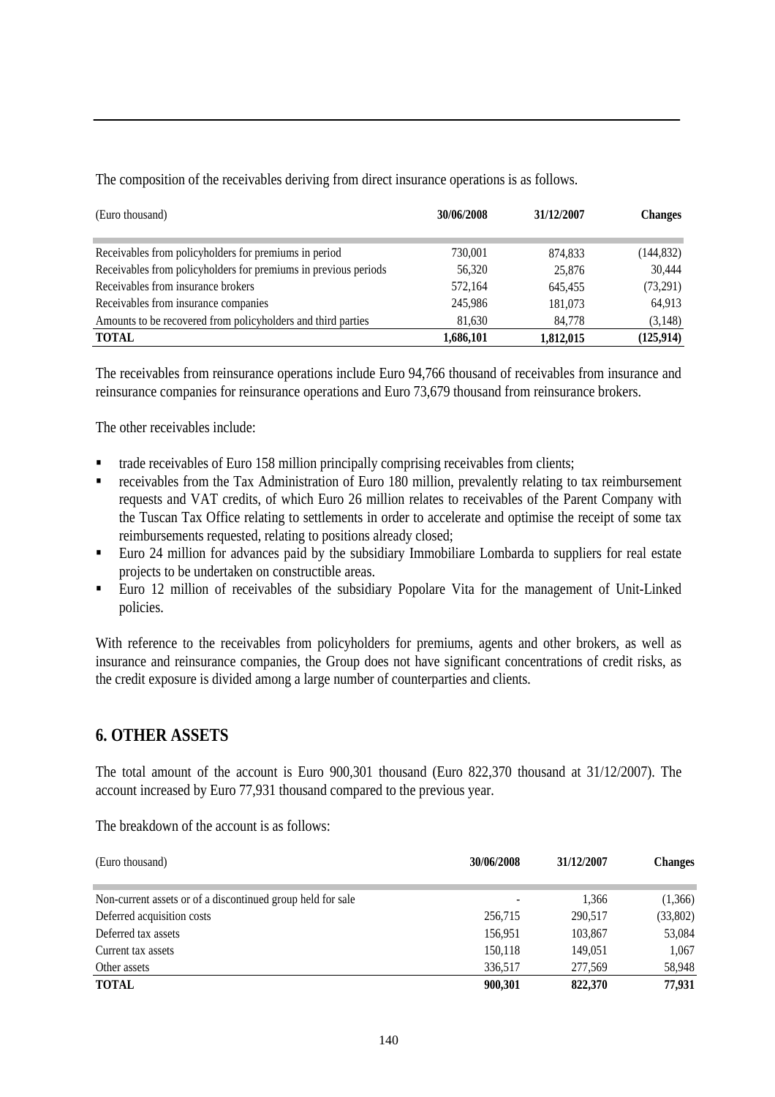| (Euro thousand)                                                 | 30/06/2008 | 31/12/2007 | <b>Changes</b> |
|-----------------------------------------------------------------|------------|------------|----------------|
| Receivables from policyholders for premiums in period           | 730,001    | 874,833    | (144, 832)     |
| Receivables from policyholders for premiums in previous periods | 56,320     | 25,876     | 30,444         |
| Receivables from insurance brokers                              | 572.164    | 645,455    | (73,291)       |
| Receivables from insurance companies                            | 245,986    | 181,073    | 64,913         |
| Amounts to be recovered from policyholders and third parties    | 81,630     | 84,778     | (3, 148)       |
| <b>TOTAL</b>                                                    | 1,686,101  | 1,812,015  | (125, 914)     |

The composition of the receivables deriving from direct insurance operations is as follows.

The receivables from reinsurance operations include Euro 94,766 thousand of receivables from insurance and reinsurance companies for reinsurance operations and Euro 73,679 thousand from reinsurance brokers.

The other receivables include:

- trade receivables of Euro 158 million principally comprising receivables from clients;
- receivables from the Tax Administration of Euro 180 million, prevalently relating to tax reimbursement requests and VAT credits, of which Euro 26 million relates to receivables of the Parent Company with the Tuscan Tax Office relating to settlements in order to accelerate and optimise the receipt of some tax reimbursements requested, relating to positions already closed;
- Euro 24 million for advances paid by the subsidiary Immobiliare Lombarda to suppliers for real estate projects to be undertaken on constructible areas.
- Euro 12 million of receivables of the subsidiary Popolare Vita for the management of Unit-Linked policies.

With reference to the receivables from policyholders for premiums, agents and other brokers, as well as insurance and reinsurance companies, the Group does not have significant concentrations of credit risks, as the credit exposure is divided among a large number of counterparties and clients.

#### **6. OTHER ASSETS**

The total amount of the account is Euro 900,301 thousand (Euro 822,370 thousand at 31/12/2007). The account increased by Euro 77,931 thousand compared to the previous year.

The breakdown of the account is as follows:

| (Euro thousand)                                             | 30/06/2008 | 31/12/2007 | <b>Changes</b> |
|-------------------------------------------------------------|------------|------------|----------------|
|                                                             |            |            |                |
| Non-current assets or of a discontinued group held for sale | ٠          | 1,366      | (1,366)        |
| Deferred acquisition costs                                  | 256,715    | 290.517    | (33,802)       |
| Deferred tax assets                                         | 156.951    | 103,867    | 53,084         |
| Current tax assets                                          | 150,118    | 149,051    | 1,067          |
| Other assets                                                | 336,517    | 277,569    | 58,948         |
| <b>TOTAL</b>                                                | 900,301    | 822,370    | 77,931         |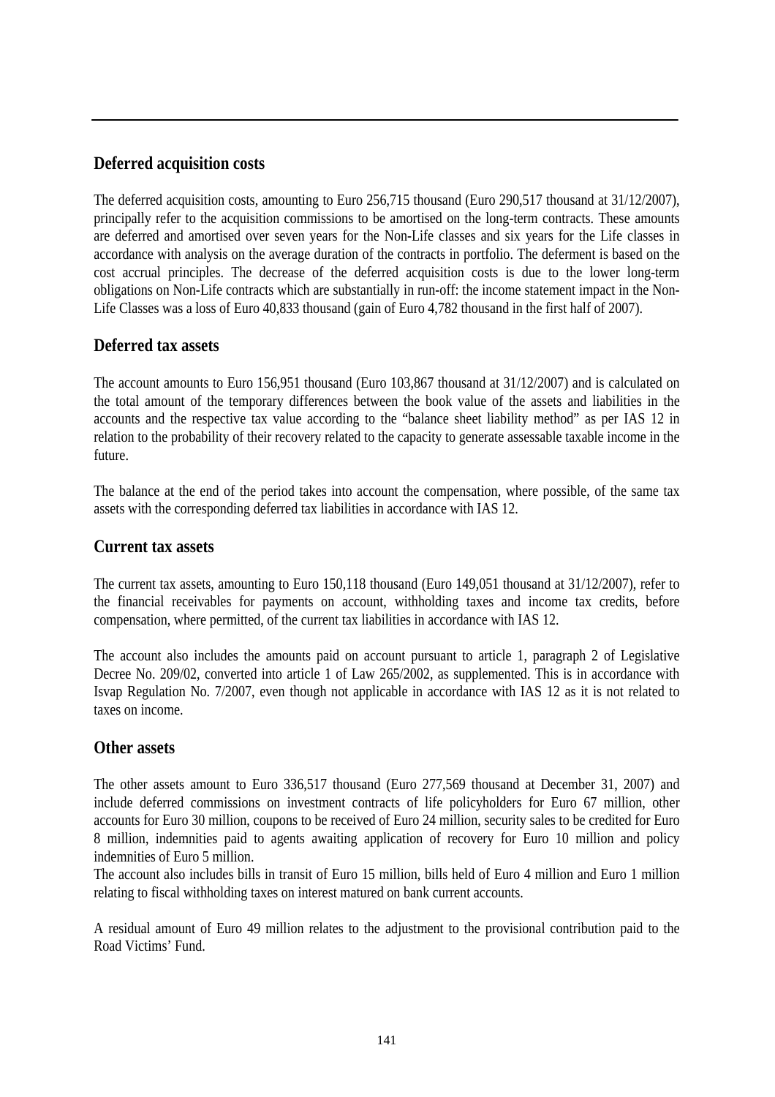#### **Deferred acquisition costs**

The deferred acquisition costs, amounting to Euro 256,715 thousand (Euro 290,517 thousand at 31/12/2007), principally refer to the acquisition commissions to be amortised on the long-term contracts. These amounts are deferred and amortised over seven years for the Non-Life classes and six years for the Life classes in accordance with analysis on the average duration of the contracts in portfolio. The deferment is based on the cost accrual principles. The decrease of the deferred acquisition costs is due to the lower long-term obligations on Non-Life contracts which are substantially in run-off: the income statement impact in the Non-Life Classes was a loss of Euro 40,833 thousand (gain of Euro 4,782 thousand in the first half of 2007).

#### **Deferred tax assets**

The account amounts to Euro 156,951 thousand (Euro 103,867 thousand at 31/12/2007) and is calculated on the total amount of the temporary differences between the book value of the assets and liabilities in the accounts and the respective tax value according to the "balance sheet liability method" as per IAS 12 in relation to the probability of their recovery related to the capacity to generate assessable taxable income in the future.

The balance at the end of the period takes into account the compensation, where possible, of the same tax assets with the corresponding deferred tax liabilities in accordance with IAS 12.

#### **Current tax assets**

The current tax assets, amounting to Euro 150,118 thousand (Euro 149,051 thousand at 31/12/2007), refer to the financial receivables for payments on account, withholding taxes and income tax credits, before compensation, where permitted, of the current tax liabilities in accordance with IAS 12.

The account also includes the amounts paid on account pursuant to article 1, paragraph 2 of Legislative Decree No. 209/02, converted into article 1 of Law 265/2002, as supplemented. This is in accordance with Isvap Regulation No. 7/2007, even though not applicable in accordance with IAS 12 as it is not related to taxes on income.

#### **Other assets**

The other assets amount to Euro 336,517 thousand (Euro 277,569 thousand at December 31, 2007) and include deferred commissions on investment contracts of life policyholders for Euro 67 million, other accounts for Euro 30 million, coupons to be received of Euro 24 million, security sales to be credited for Euro 8 million, indemnities paid to agents awaiting application of recovery for Euro 10 million and policy indemnities of Euro 5 million.

The account also includes bills in transit of Euro 15 million, bills held of Euro 4 million and Euro 1 million relating to fiscal withholding taxes on interest matured on bank current accounts.

A residual amount of Euro 49 million relates to the adjustment to the provisional contribution paid to the Road Victims' Fund.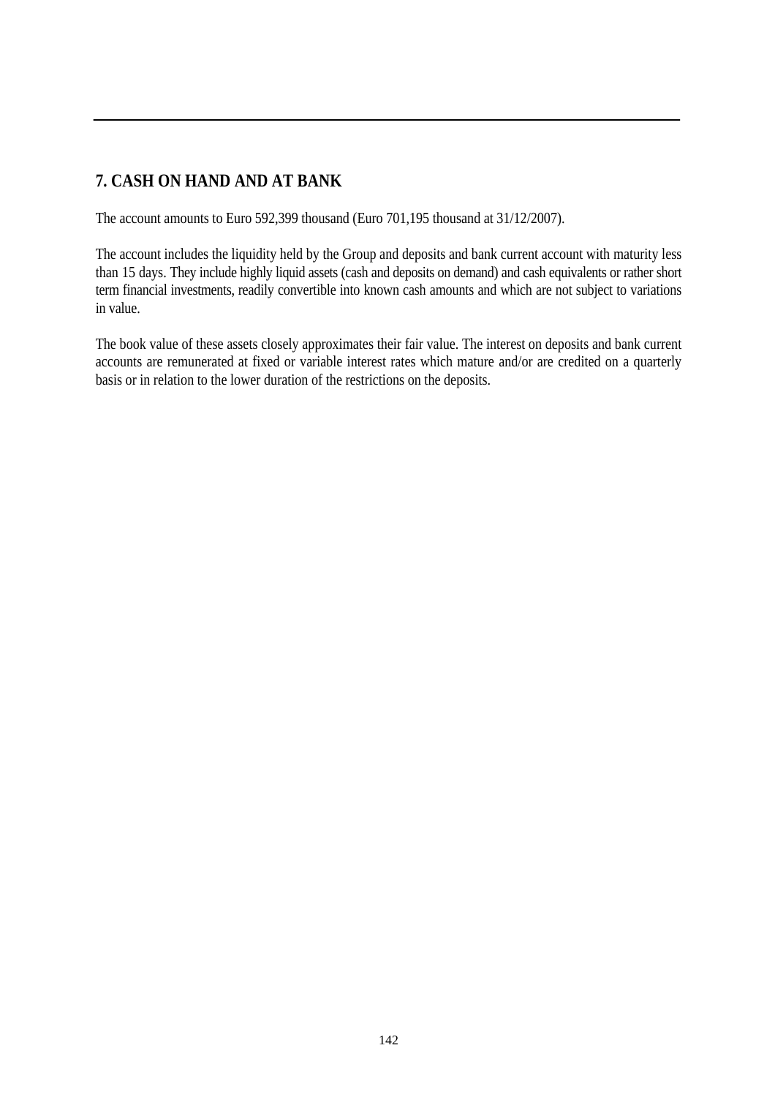#### **7. CASH ON HAND AND AT BANK**

The account amounts to Euro 592,399 thousand (Euro 701,195 thousand at 31/12/2007).

The account includes the liquidity held by the Group and deposits and bank current account with maturity less than 15 days. They include highly liquid assets (cash and deposits on demand) and cash equivalents or rather short term financial investments, readily convertible into known cash amounts and which are not subject to variations in value.

The book value of these assets closely approximates their fair value. The interest on deposits and bank current accounts are remunerated at fixed or variable interest rates which mature and/or are credited on a quarterly basis or in relation to the lower duration of the restrictions on the deposits.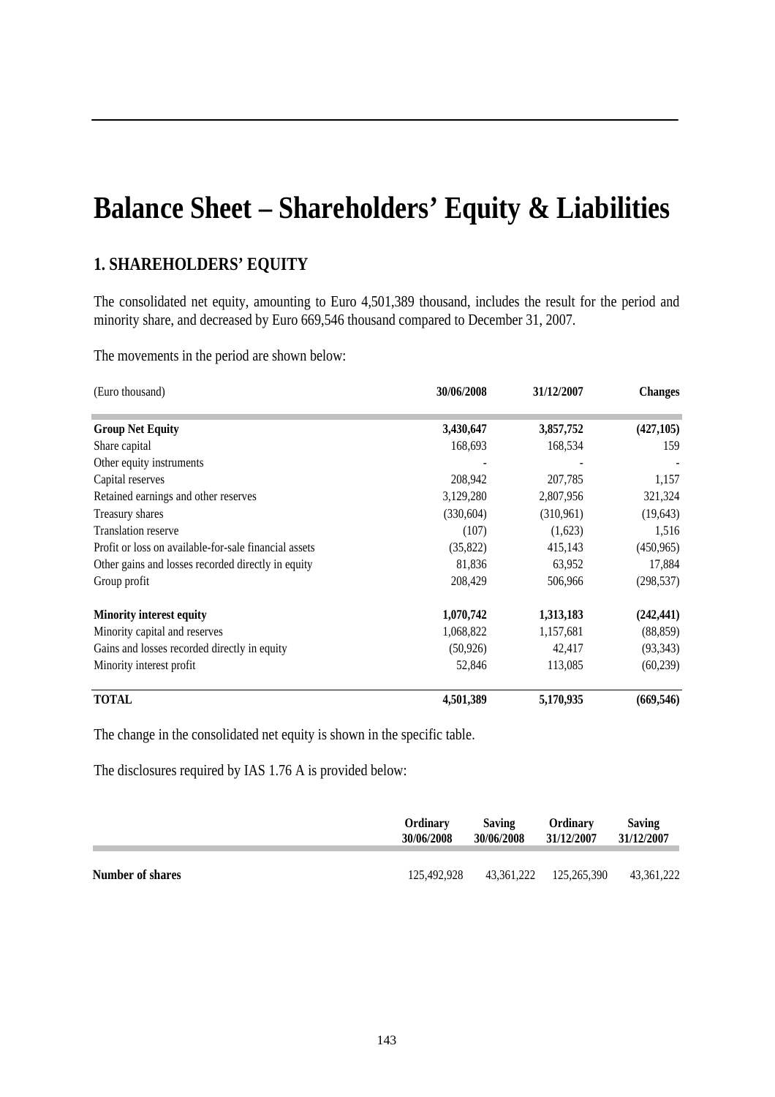## **Balance Sheet – Shareholders' Equity & Liabilities**

#### **1. SHAREHOLDERS' EQUITY**

The consolidated net equity, amounting to Euro 4,501,389 thousand, includes the result for the period and minority share, and decreased by Euro 669,546 thousand compared to December 31, 2007.

The movements in the period are shown below:

| (Euro thousand)                                       | 30/06/2008 | 31/12/2007 | <b>Changes</b> |
|-------------------------------------------------------|------------|------------|----------------|
| <b>Group Net Equity</b>                               | 3,430,647  | 3,857,752  | (427, 105)     |
| Share capital                                         | 168,693    | 168,534    | 159            |
| Other equity instruments                              |            |            |                |
| Capital reserves                                      | 208,942    | 207,785    | 1,157          |
| Retained earnings and other reserves                  | 3,129,280  | 2,807,956  | 321,324        |
| Treasury shares                                       | (330,604)  | (310,961)  | (19, 643)      |
| <b>Translation reserve</b>                            | (107)      | (1,623)    | 1,516          |
| Profit or loss on available-for-sale financial assets | (35,822)   | 415,143    | (450, 965)     |
| Other gains and losses recorded directly in equity    | 81,836     | 63,952     | 17,884         |
| Group profit                                          | 208,429    | 506,966    | (298, 537)     |
| <b>Minority interest equity</b>                       | 1,070,742  | 1,313,183  | (242, 441)     |
| Minority capital and reserves                         | 1,068,822  | 1,157,681  | (88, 859)      |
| Gains and losses recorded directly in equity          | (50, 926)  | 42,417     | (93, 343)      |
| Minority interest profit                              | 52,846     | 113,085    | (60, 239)      |
| TOTAL                                                 | 4,501,389  | 5,170,935  | (669, 546)     |

The change in the consolidated net equity is shown in the specific table.

The disclosures required by IAS 1.76 A is provided below:

|                         | Ordinary    | <b>Saving</b> | Ordinary               | <b>Saving</b> |
|-------------------------|-------------|---------------|------------------------|---------------|
|                         | 30/06/2008  | 30/06/2008    | 31/12/2007             | 31/12/2007    |
| <b>Number of shares</b> | 125.492.928 |               | 43.361.222 125.265.390 | 43.361.222    |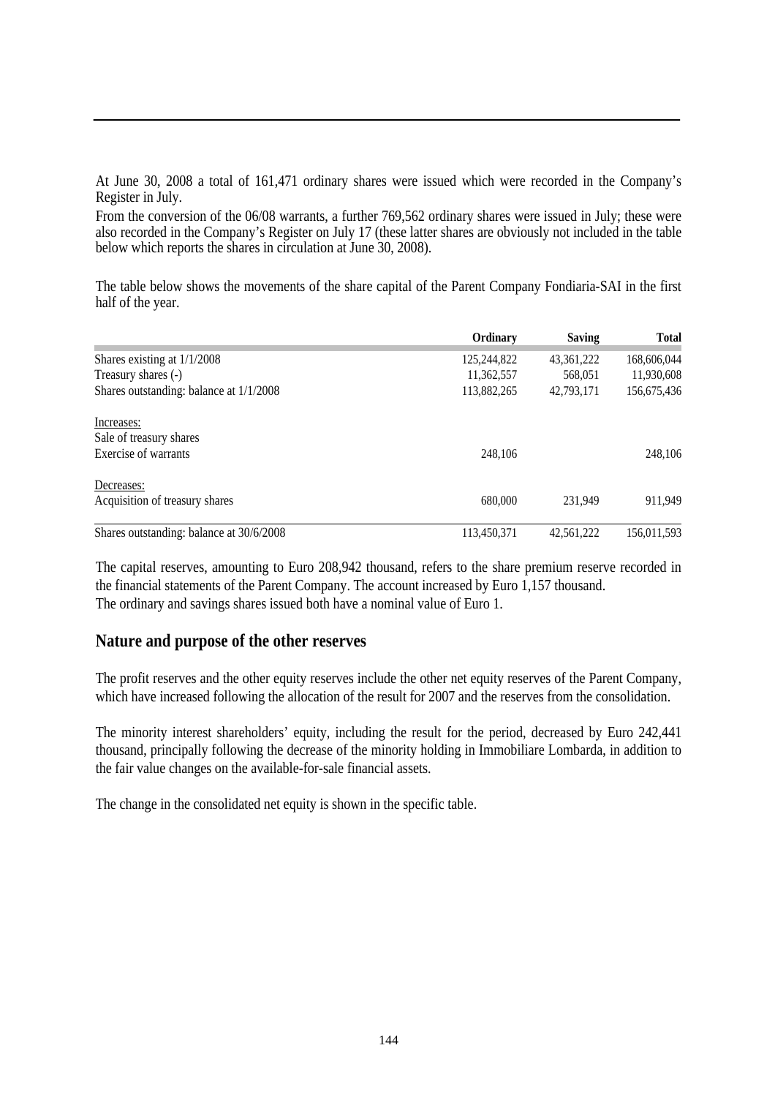At June 30, 2008 a total of 161,471 ordinary shares were issued which were recorded in the Company's Register in July.

From the conversion of the 06/08 warrants, a further 769,562 ordinary shares were issued in July; these were also recorded in the Company's Register on July 17 (these latter shares are obviously not included in the table below which reports the shares in circulation at June 30, 2008).

The table below shows the movements of the share capital of the Parent Company Fondiaria-SAI in the first half of the year.

|                                           | Ordinary    | <b>Saving</b> | <b>Total</b> |
|-------------------------------------------|-------------|---------------|--------------|
| Shares existing at $1/1/2008$             | 125,244,822 | 43, 361, 222  | 168,606,044  |
| Treasury shares (-)                       | 11,362,557  | 568,051       | 11,930,608   |
| Shares outstanding: balance at $1/1/2008$ | 113,882,265 | 42,793,171    | 156,675,436  |
| Increases:                                |             |               |              |
| Sale of treasury shares                   |             |               |              |
| Exercise of warrants                      | 248,106     |               | 248,106      |
| Decreases:                                |             |               |              |
| Acquisition of treasury shares            | 680,000     | 231.949       | 911.949      |
| Shares outstanding: balance at 30/6/2008  | 113,450,371 | 42.561.222    | 156,011,593  |

The capital reserves, amounting to Euro 208,942 thousand, refers to the share premium reserve recorded in the financial statements of the Parent Company. The account increased by Euro 1,157 thousand. The ordinary and savings shares issued both have a nominal value of Euro 1.

#### **Nature and purpose of the other reserves**

The profit reserves and the other equity reserves include the other net equity reserves of the Parent Company, which have increased following the allocation of the result for 2007 and the reserves from the consolidation.

The minority interest shareholders' equity, including the result for the period, decreased by Euro 242,441 thousand, principally following the decrease of the minority holding in Immobiliare Lombarda, in addition to the fair value changes on the available-for-sale financial assets.

The change in the consolidated net equity is shown in the specific table.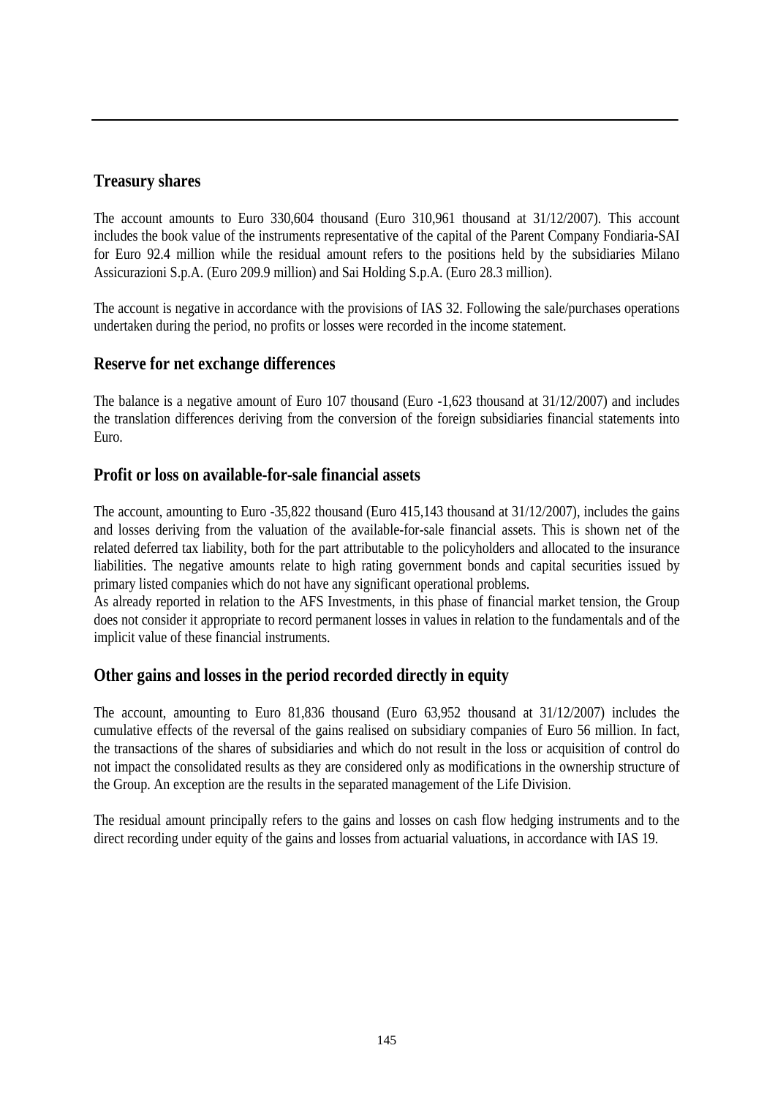### **Treasury shares**

The account amounts to Euro 330,604 thousand (Euro 310,961 thousand at 31/12/2007). This account includes the book value of the instruments representative of the capital of the Parent Company Fondiaria-SAI for Euro 92.4 million while the residual amount refers to the positions held by the subsidiaries Milano Assicurazioni S.p.A. (Euro 209.9 million) and Sai Holding S.p.A. (Euro 28.3 million).

The account is negative in accordance with the provisions of IAS 32. Following the sale/purchases operations undertaken during the period, no profits or losses were recorded in the income statement.

### **Reserve for net exchange differences**

The balance is a negative amount of Euro 107 thousand (Euro -1,623 thousand at 31/12/2007) and includes the translation differences deriving from the conversion of the foreign subsidiaries financial statements into Euro.

### **Profit or loss on available-for-sale financial assets**

The account, amounting to Euro -35,822 thousand (Euro 415,143 thousand at 31/12/2007), includes the gains and losses deriving from the valuation of the available-for-sale financial assets. This is shown net of the related deferred tax liability, both for the part attributable to the policyholders and allocated to the insurance liabilities. The negative amounts relate to high rating government bonds and capital securities issued by primary listed companies which do not have any significant operational problems.

As already reported in relation to the AFS Investments, in this phase of financial market tension, the Group does not consider it appropriate to record permanent losses in values in relation to the fundamentals and of the implicit value of these financial instruments.

### **Other gains and losses in the period recorded directly in equity**

The account, amounting to Euro 81,836 thousand (Euro 63,952 thousand at 31/12/2007) includes the cumulative effects of the reversal of the gains realised on subsidiary companies of Euro 56 million. In fact, the transactions of the shares of subsidiaries and which do not result in the loss or acquisition of control do not impact the consolidated results as they are considered only as modifications in the ownership structure of the Group. An exception are the results in the separated management of the Life Division.

The residual amount principally refers to the gains and losses on cash flow hedging instruments and to the direct recording under equity of the gains and losses from actuarial valuations, in accordance with IAS 19.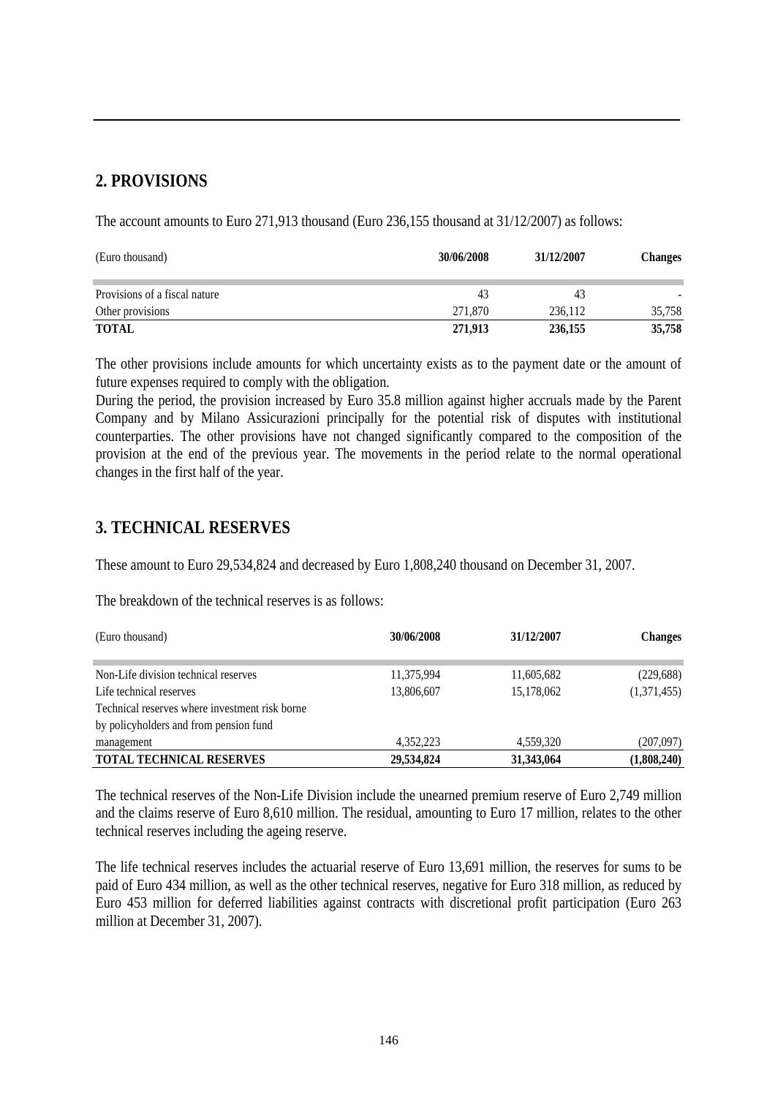### **2. PROVISIONS**

The account amounts to Euro 271,913 thousand (Euro 236,155 thousand at 31/12/2007) as follows:

| (Euro thousand)               | 30/06/2008 | 31/12/2007 | <b>Changes</b> |
|-------------------------------|------------|------------|----------------|
| Provisions of a fiscal nature | 43         | 43         |                |
| Other provisions              | 271,870    | 236.112    | 35,758         |
| <b>TOTAL</b>                  | 271,913    | 236,155    | 35,758         |

The other provisions include amounts for which uncertainty exists as to the payment date or the amount of future expenses required to comply with the obligation.

During the period, the provision increased by Euro 35.8 million against higher accruals made by the Parent Company and by Milano Assicurazioni principally for the potential risk of disputes with institutional counterparties. The other provisions have not changed significantly compared to the composition of the provision at the end of the previous year. The movements in the period relate to the normal operational changes in the first half of the year.

### **3. TECHNICAL RESERVES**

These amount to Euro 29,534,824 and decreased by Euro 1,808,240 thousand on December 31, 2007.

The breakdown of the technical reserves is as follows:

| (Euro thousand)                                | 30/06/2008 | 31/12/2007 | <b>Changes</b> |  |
|------------------------------------------------|------------|------------|----------------|--|
|                                                |            |            |                |  |
| Non-Life division technical reserves           | 11,375,994 | 11,605,682 | (229, 688)     |  |
| Life technical reserves                        | 13,806,607 | 15,178,062 | (1,371,455)    |  |
| Technical reserves where investment risk borne |            |            |                |  |
| by policyholders and from pension fund         |            |            |                |  |
| management                                     | 4,352,223  | 4,559,320  | (207,097)      |  |
| <b>TOTAL TECHNICAL RESERVES</b>                | 29,534,824 | 31,343,064 | (1,808,240)    |  |

The technical reserves of the Non-Life Division include the unearned premium reserve of Euro 2,749 million and the claims reserve of Euro 8,610 million. The residual, amounting to Euro 17 million, relates to the other technical reserves including the ageing reserve.

The life technical reserves includes the actuarial reserve of Euro 13,691 million, the reserves for sums to be paid of Euro 434 million, as well as the other technical reserves, negative for Euro 318 million, as reduced by Euro 453 million for deferred liabilities against contracts with discretional profit participation (Euro 263 million at December 31, 2007).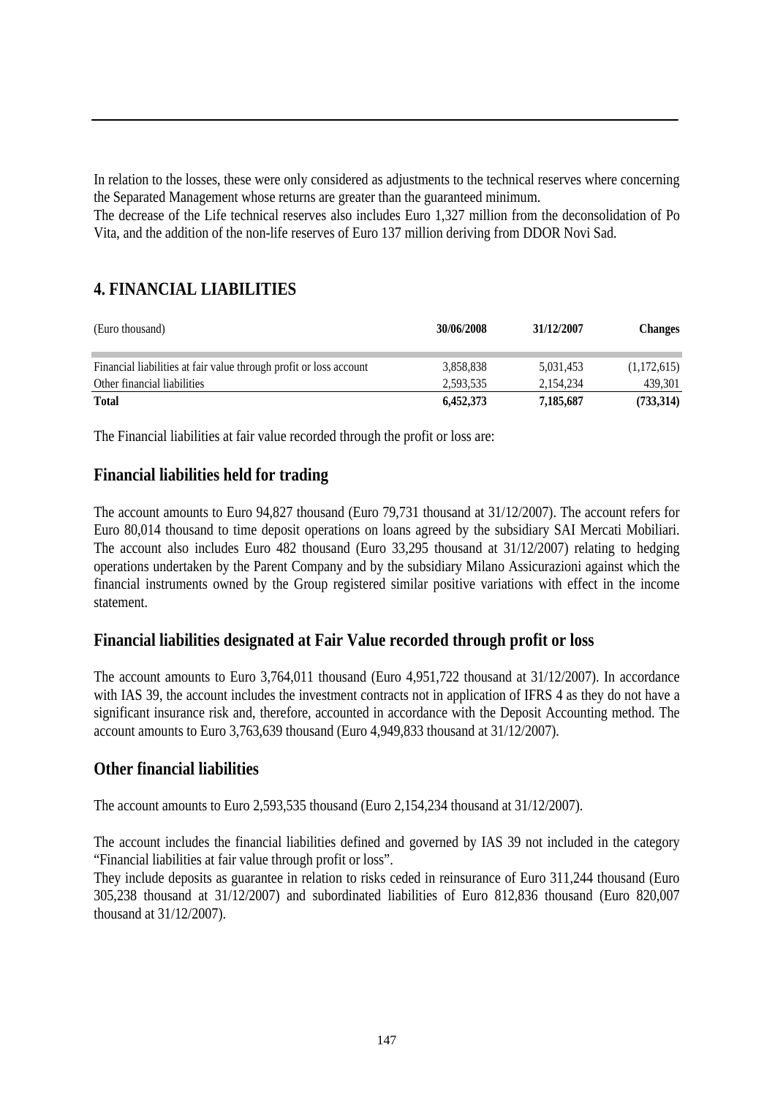In relation to the losses, these were only considered as adjustments to the technical reserves where concerning the Separated Management whose returns are greater than the guaranteed minimum.

The decrease of the Life technical reserves also includes Euro 1,327 million from the deconsolidation of Po Vita, and the addition of the non-life reserves of Euro 137 million deriving from DDOR Novi Sad.

### **4. FINANCIAL LIABILITIES**

| (Euro thousand)                                                    | 30/06/2008 | 31/12/2007 | <b>Changes</b> |
|--------------------------------------------------------------------|------------|------------|----------------|
| Financial liabilities at fair value through profit or loss account | 3,858,838  | 5,031,453  | (1,172,615)    |
| Other financial liabilities                                        | 2,593,535  | 2,154,234  | 439,301        |
| <b>Total</b>                                                       | 6,452,373  | 7,185,687  | (733,314)      |

The Financial liabilities at fair value recorded through the profit or loss are:

### **Financial liabilities held for trading**

The account amounts to Euro 94,827 thousand (Euro 79,731 thousand at 31/12/2007). The account refers for Euro 80,014 thousand to time deposit operations on loans agreed by the subsidiary SAI Mercati Mobiliari. The account also includes Euro 482 thousand (Euro 33,295 thousand at 31/12/2007) relating to hedging operations undertaken by the Parent Company and by the subsidiary Milano Assicurazioni against which the financial instruments owned by the Group registered similar positive variations with effect in the income statement.

### **Financial liabilities designated at Fair Value recorded through profit or loss**

The account amounts to Euro 3,764,011 thousand (Euro 4,951,722 thousand at 31/12/2007). In accordance with IAS 39, the account includes the investment contracts not in application of IFRS 4 as they do not have a significant insurance risk and, therefore, accounted in accordance with the Deposit Accounting method. The account amounts to Euro 3,763,639 thousand (Euro 4,949,833 thousand at 31/12/2007).

### **Other financial liabilities**

The account amounts to Euro 2,593,535 thousand (Euro 2,154,234 thousand at 31/12/2007).

The account includes the financial liabilities defined and governed by IAS 39 not included in the category "Financial liabilities at fair value through profit or loss".

They include deposits as guarantee in relation to risks ceded in reinsurance of Euro 311,244 thousand (Euro 305,238 thousand at 31/12/2007) and subordinated liabilities of Euro 812,836 thousand (Euro 820,007 thousand at 31/12/2007).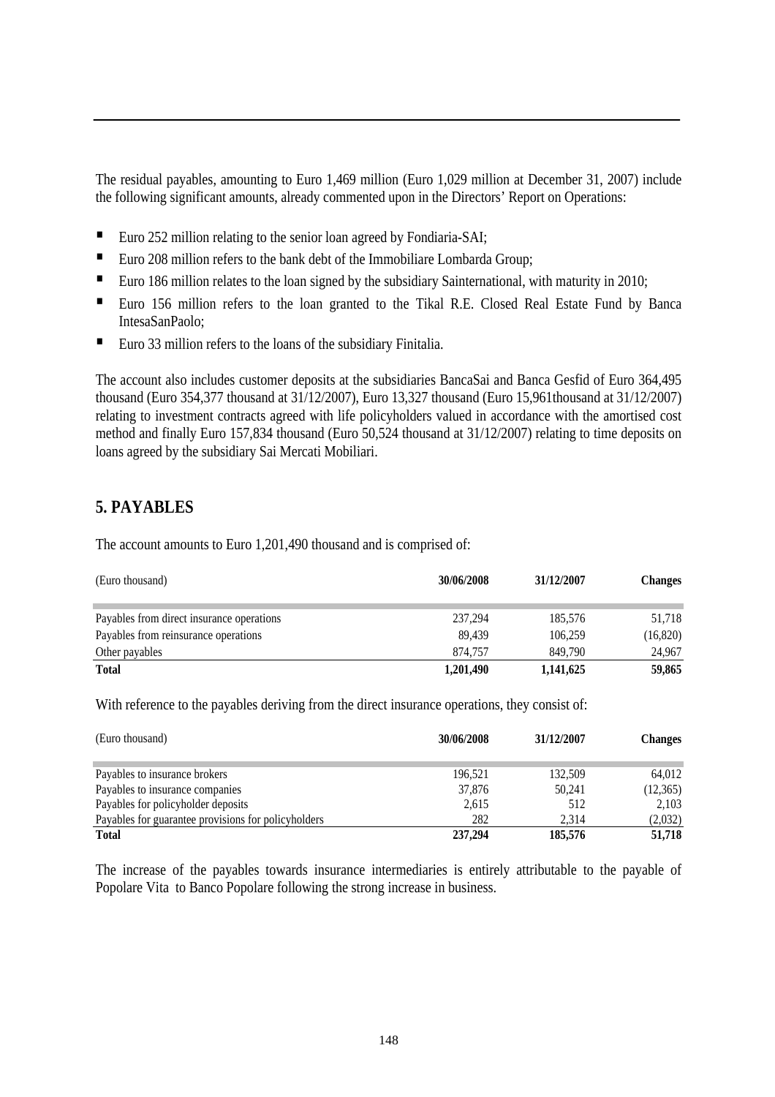The residual payables, amounting to Euro 1,469 million (Euro 1,029 million at December 31, 2007) include the following significant amounts, already commented upon in the Directors' Report on Operations:

- Euro 252 million relating to the senior loan agreed by Fondiaria-SAI;
- Euro 208 million refers to the bank debt of the Immobiliare Lombarda Group;
- Euro 186 million relates to the loan signed by the subsidiary Sainternational, with maturity in 2010;
- Euro 156 million refers to the loan granted to the Tikal R.E. Closed Real Estate Fund by Banca IntesaSanPaolo;
- Euro 33 million refers to the loans of the subsidiary Finitalia.

The account also includes customer deposits at the subsidiaries BancaSai and Banca Gesfid of Euro 364,495 thousand (Euro 354,377 thousand at 31/12/2007), Euro 13,327 thousand (Euro 15,961thousand at 31/12/2007) relating to investment contracts agreed with life policyholders valued in accordance with the amortised cost method and finally Euro 157,834 thousand (Euro 50,524 thousand at 31/12/2007) relating to time deposits on loans agreed by the subsidiary Sai Mercati Mobiliari.

### **5. PAYABLES**

The account amounts to Euro 1,201,490 thousand and is comprised of:

| (Euro thousand)                           | 30/06/2008 | 31/12/2007 | <b>Changes</b> |
|-------------------------------------------|------------|------------|----------------|
| Payables from direct insurance operations | 237,294    | 185,576    | 51,718         |
| Payables from reinsurance operations      | 89.439     | 106.259    | (16, 820)      |
| Other payables                            | 874.757    | 849,790    | 24,967         |
| <b>Total</b>                              | 1,201,490  | 1,141,625  | 59,865         |

With reference to the payables deriving from the direct insurance operations, they consist of:

| (Euro thousand)                                     | 30/06/2008 | 31/12/2007 | <b>Changes</b> |
|-----------------------------------------------------|------------|------------|----------------|
| Payables to insurance brokers                       | 196.521    | 132.509    | 64.012         |
| Payables to insurance companies                     | 37,876     | 50,241     | (12,365)       |
| Payables for policyholder deposits                  | 2,615      | 512        | 2.103          |
| Payables for guarantee provisions for policyholders | 282        | 2.314      | (2,032)        |
| <b>Total</b>                                        | 237,294    | 185,576    | 51,718         |

The increase of the payables towards insurance intermediaries is entirely attributable to the payable of Popolare Vita to Banco Popolare following the strong increase in business.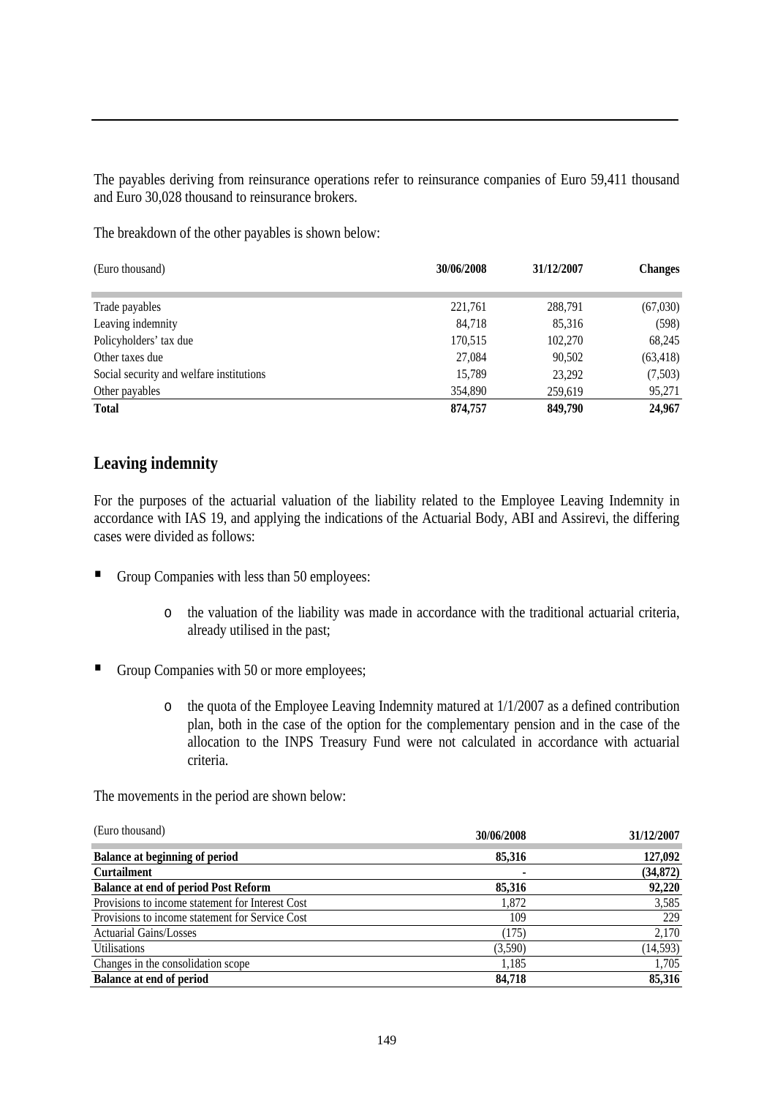The payables deriving from reinsurance operations refer to reinsurance companies of Euro 59,411 thousand and Euro 30,028 thousand to reinsurance brokers.

The breakdown of the other payables is shown below:

| (Euro thousand)                          | 30/06/2008 | 31/12/2007 | <b>Changes</b> |
|------------------------------------------|------------|------------|----------------|
|                                          |            |            |                |
| Trade payables                           | 221,761    | 288,791    | (67,030)       |
| Leaving indemnity                        | 84,718     | 85,316     | (598)          |
| Policyholders' tax due                   | 170,515    | 102,270    | 68,245         |
| Other taxes due                          | 27,084     | 90,502     | (63, 418)      |
| Social security and welfare institutions | 15,789     | 23,292     | (7,503)        |
| Other payables                           | 354,890    | 259,619    | 95,271         |
| <b>Total</b>                             | 874,757    | 849,790    | 24,967         |

### **Leaving indemnity**

For the purposes of the actuarial valuation of the liability related to the Employee Leaving Indemnity in accordance with IAS 19, and applying the indications of the Actuarial Body, ABI and Assirevi, the differing cases were divided as follows:

- Group Companies with less than 50 employees:
	- o the valuation of the liability was made in accordance with the traditional actuarial criteria, already utilised in the past;
- Group Companies with 50 or more employees;
	- o the quota of the Employee Leaving Indemnity matured at 1/1/2007 as a defined contribution plan, both in the case of the option for the complementary pension and in the case of the allocation to the INPS Treasury Fund were not calculated in accordance with actuarial criteria.

The movements in the period are shown below:

| (Euro thousand)                                  | 30/06/2008 | 31/12/2007 |
|--------------------------------------------------|------------|------------|
| <b>Balance at beginning of period</b>            | 85,316     | 127,092    |
| <b>Curtailment</b>                               |            | (34, 872)  |
| <b>Balance at end of period Post Reform</b>      | 85,316     | 92,220     |
| Provisions to income statement for Interest Cost | 1,872      | 3,585      |
| Provisions to income statement for Service Cost  | 109        | 229        |
| <b>Actuarial Gains/Losses</b>                    | (175)      | 2,170      |
| Utilisations                                     | (3,590)    | (14, 593)  |
| Changes in the consolidation scope               | 1,185      | 1,705      |
| <b>Balance at end of period</b>                  | 84.718     | 85,316     |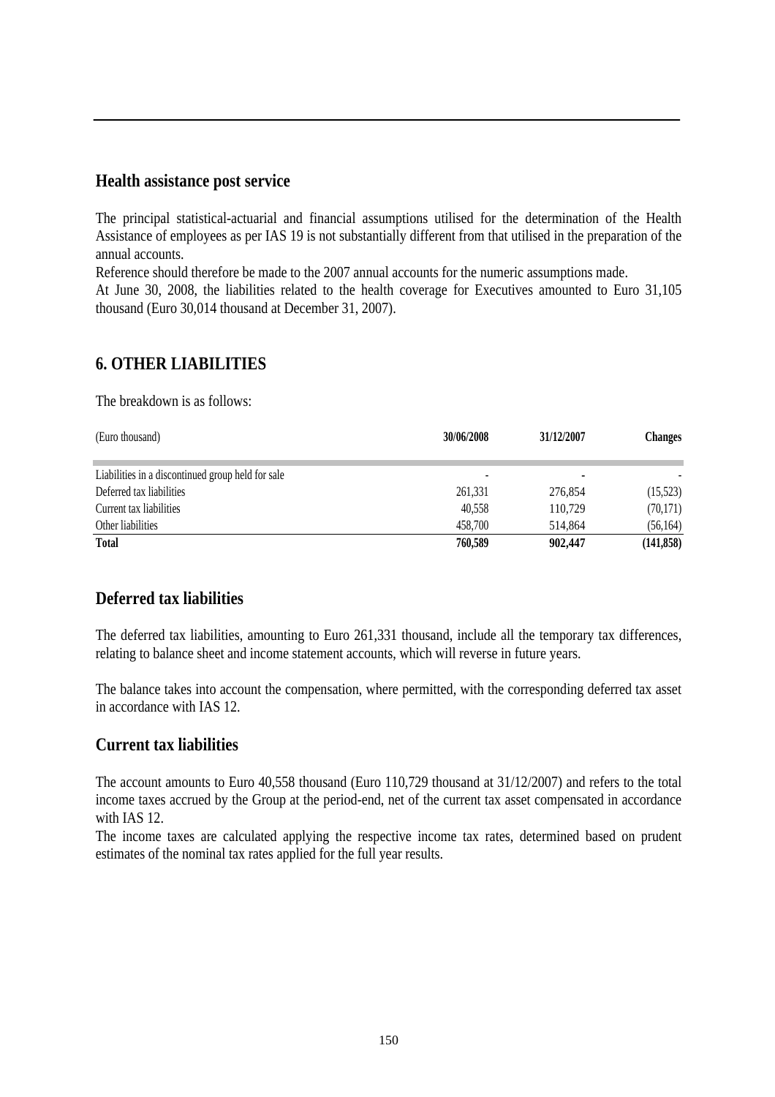### **Health assistance post service**

The principal statistical-actuarial and financial assumptions utilised for the determination of the Health Assistance of employees as per IAS 19 is not substantially different from that utilised in the preparation of the annual accounts.

Reference should therefore be made to the 2007 annual accounts for the numeric assumptions made.

At June 30, 2008, the liabilities related to the health coverage for Executives amounted to Euro 31,105 thousand (Euro 30,014 thousand at December 31, 2007).

### **6. OTHER LIABILITIES**

The breakdown is as follows:

| (Euro thousand)                                   | 30/06/2008 | 31/12/2007 | <b>Changes</b> |
|---------------------------------------------------|------------|------------|----------------|
| Liabilities in a discontinued group held for sale |            |            |                |
| Deferred tax liabilities                          | 261,331    | 276,854    | (15, 523)      |
| Current tax liabilities                           | 40,558     | 110,729    | (70, 171)      |
| Other liabilities                                 | 458,700    | 514.864    | (56, 164)      |
| <b>Total</b>                                      | 760,589    | 902,447    | (141, 858)     |

### **Deferred tax liabilities**

The deferred tax liabilities, amounting to Euro 261,331 thousand, include all the temporary tax differences, relating to balance sheet and income statement accounts, which will reverse in future years.

The balance takes into account the compensation, where permitted, with the corresponding deferred tax asset in accordance with IAS 12.

### **Current tax liabilities**

The account amounts to Euro 40,558 thousand (Euro 110,729 thousand at 31/12/2007) and refers to the total income taxes accrued by the Group at the period-end, net of the current tax asset compensated in accordance with IAS 12.

The income taxes are calculated applying the respective income tax rates, determined based on prudent estimates of the nominal tax rates applied for the full year results.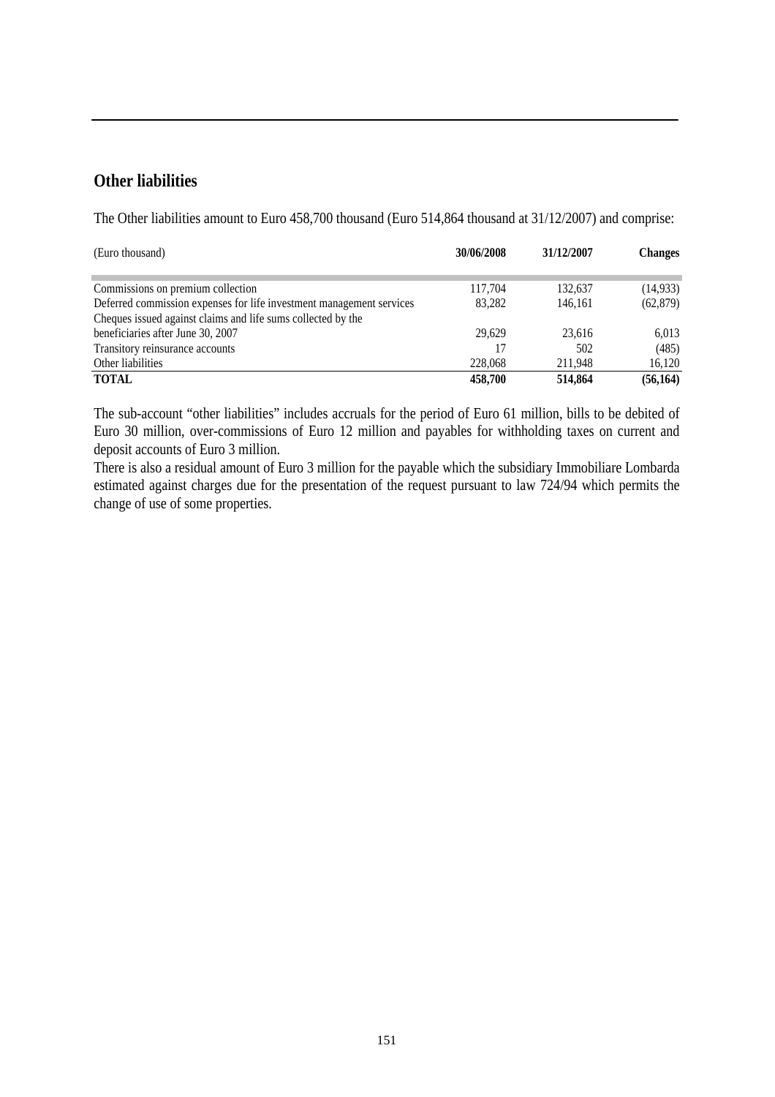### **Other liabilities**

The Other liabilities amount to Euro 458,700 thousand (Euro 514,864 thousand at 31/12/2007) and comprise:

| (Euro thousand)                                                      | 30/06/2008 | 31/12/2007 | <b>Changes</b> |
|----------------------------------------------------------------------|------------|------------|----------------|
| Commissions on premium collection                                    | 117,704    | 132,637    | (14, 933)      |
| Deferred commission expenses for life investment management services | 83.282     | 146.161    | (62, 879)      |
| Cheques issued against claims and life sums collected by the         |            |            |                |
| beneficiaries after June 30, 2007                                    | 29.629     | 23.616     | 6,013          |
| Transitory reinsurance accounts                                      |            | 502        | (485)          |
| Other liabilities                                                    | 228,068    | 211,948    | 16,120         |
| <b>TOTAL</b>                                                         | 458,700    | 514,864    | (56, 164)      |

The sub-account "other liabilities" includes accruals for the period of Euro 61 million, bills to be debited of Euro 30 million, over-commissions of Euro 12 million and payables for withholding taxes on current and deposit accounts of Euro 3 million.

There is also a residual amount of Euro 3 million for the payable which the subsidiary Immobiliare Lombarda estimated against charges due for the presentation of the request pursuant to law 724/94 which permits the change of use of some properties.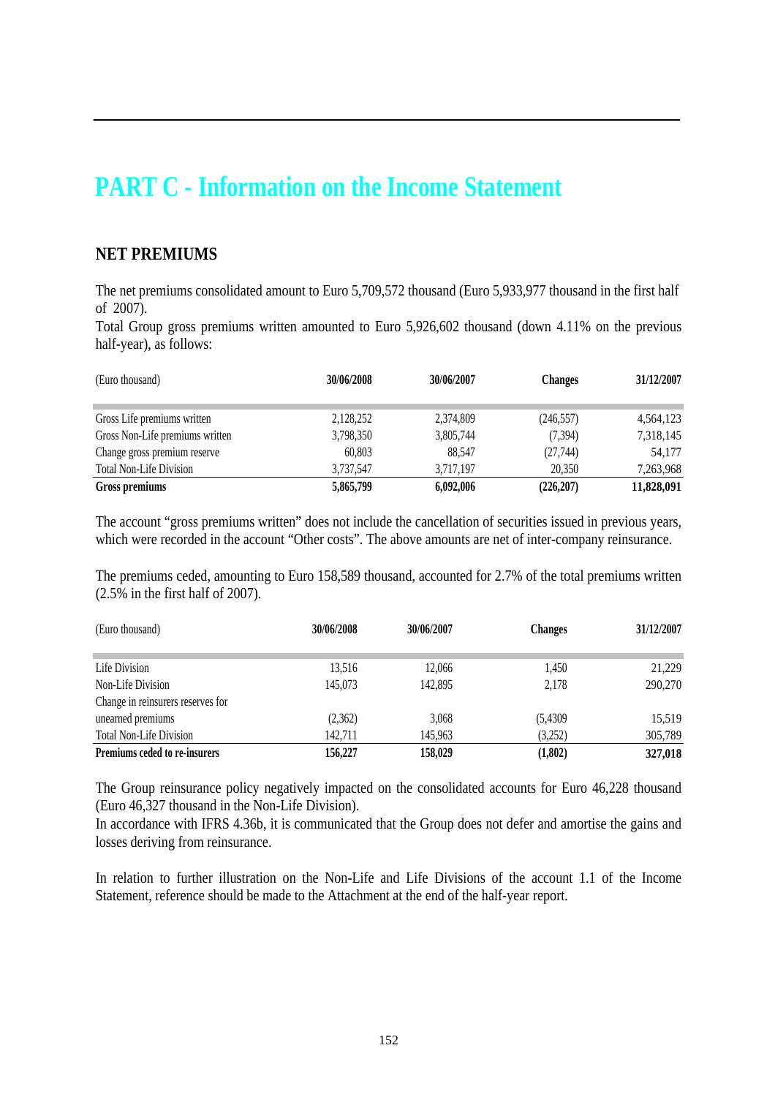### **PART C - Information on the Income Statement**

### **NET PREMIUMS**

The net premiums consolidated amount to Euro 5,709,572 thousand (Euro 5,933,977 thousand in the first half of 2007).

Total Group gross premiums written amounted to Euro 5,926,602 thousand (down 4.11% on the previous half-year), as follows:

| (Euro thousand)                 | 30/06/2008 | 30/06/2007 | <b>Changes</b> | 31/12/2007 |
|---------------------------------|------------|------------|----------------|------------|
| Gross Life premiums written     | 2,128,252  | 2,374,809  | (246, 557)     | 4,564,123  |
| Gross Non-Life premiums written | 3,798,350  | 3,805,744  | (7, 394)       | 7,318,145  |
| Change gross premium reserve    | 60.803     | 88.547     | (27,744)       | 54,177     |
| <b>Total Non-Life Division</b>  | 3,737,547  | 3,717,197  | 20.350         | 7,263,968  |
| Gross premiums                  | 5,865,799  | 6,092,006  | (226, 207)     | 11,828,091 |

The account "gross premiums written" does not include the cancellation of securities issued in previous years, which were recorded in the account "Other costs". The above amounts are net of inter-company reinsurance.

The premiums ceded, amounting to Euro 158,589 thousand, accounted for 2.7% of the total premiums written (2.5% in the first half of 2007).

| (Euro thousand)                   | 30/06/2008 | 30/06/2007 | <b>Changes</b> | 31/12/2007 |
|-----------------------------------|------------|------------|----------------|------------|
|                                   |            |            |                |            |
| Life Division                     | 13,516     | 12,066     | 1,450          | 21,229     |
| Non-Life Division                 | 145,073    | 142,895    | 2.178          | 290,270    |
| Change in reinsurers reserves for |            |            |                |            |
| unearned premiums                 | (2,362)    | 3,068      | (5,4309)       | 15,519     |
| <b>Total Non-Life Division</b>    | 142,711    | 145,963    | (3,252)        | 305,789    |
| Premiums ceded to re-insurers     | 156,227    | 158,029    | (1,802)        | 327,018    |

The Group reinsurance policy negatively impacted on the consolidated accounts for Euro 46,228 thousand (Euro 46,327 thousand in the Non-Life Division).

In accordance with IFRS 4.36b, it is communicated that the Group does not defer and amortise the gains and losses deriving from reinsurance.

In relation to further illustration on the Non-Life and Life Divisions of the account 1.1 of the Income Statement, reference should be made to the Attachment at the end of the half-year report.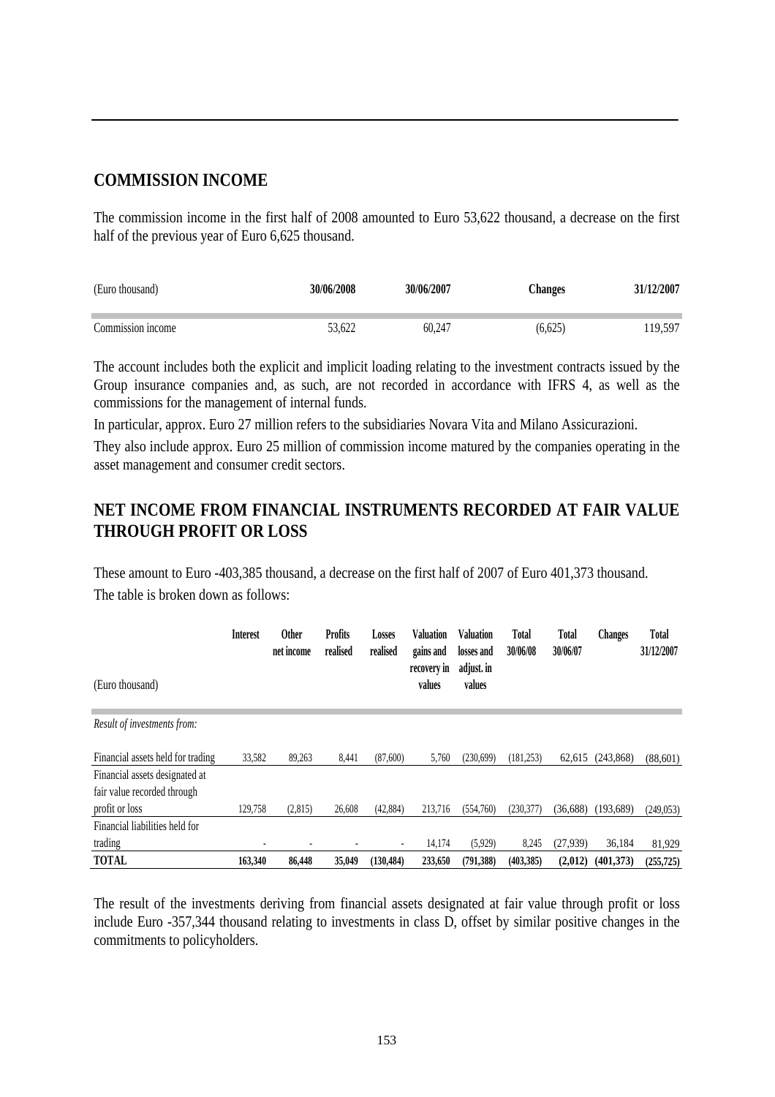### **COMMISSION INCOME**

The commission income in the first half of 2008 amounted to Euro 53,622 thousand, a decrease on the first half of the previous year of Euro 6,625 thousand.

| (Euro thousand)   | 30/06/2008 | 30/06/2007 | <b>hanges</b> | 31/12/2007 |
|-------------------|------------|------------|---------------|------------|
| Commission income | 53.622     | 60.247     | (6,625)       | 19,597     |

The account includes both the explicit and implicit loading relating to the investment contracts issued by the Group insurance companies and, as such, are not recorded in accordance with IFRS 4, as well as the commissions for the management of internal funds.

In particular, approx. Euro 27 million refers to the subsidiaries Novara Vita and Milano Assicurazioni.

They also include approx. Euro 25 million of commission income matured by the companies operating in the asset management and consumer credit sectors.

### **NET INCOME FROM FINANCIAL INSTRUMENTS RECORDED AT FAIR VALUE THROUGH PROFIT OR LOSS**

These amount to Euro -403,385 thousand, a decrease on the first half of 2007 of Euro 401,373 thousand. The table is broken down as follows:

|                                                               | <b>Interest</b> | <b>Other</b><br>net income | <b>Profits</b><br>realised | Losses<br>realised       | <b>Valuation</b><br>gains and | Valuation<br>losses and | Total<br>30/06/08 | <b>Total</b><br>30/06/07 | <b>Changes</b> | Total<br>31/12/2007 |
|---------------------------------------------------------------|-----------------|----------------------------|----------------------------|--------------------------|-------------------------------|-------------------------|-------------------|--------------------------|----------------|---------------------|
| (Euro thousand)                                               |                 |                            |                            |                          | recovery in<br>values         | adjust. in<br>values    |                   |                          |                |                     |
| <i>Result of investments from:</i>                            |                 |                            |                            |                          |                               |                         |                   |                          |                |                     |
| Financial assets held for trading                             | 33,582          | 89,263                     | 8,441                      | (87,600)                 | 5,760                         | (230,699)               | (181, 253)        | 62,615                   | (243, 868)     | (88,601)            |
| Financial assets designated at<br>fair value recorded through |                 |                            |                            |                          |                               |                         |                   |                          |                |                     |
| profit or loss                                                | 129,758         | (2,815)                    | 26,608                     | (42,884)                 | 213,716                       | (554,760)               | (230, 377)        | (36,688)                 | (193,689)      | (249, 053)          |
| Financial liabilities held for                                |                 |                            |                            |                          |                               |                         |                   |                          |                |                     |
| trading                                                       |                 |                            |                            | $\overline{\phantom{a}}$ | 14,174                        | (5,929)                 | 8,245             | (27,939)                 | 36,184         | 81,929              |
| <b>TOTAL</b>                                                  | 163,340         | 86,448                     | 35,049                     | (130, 484)               | 233,650                       | (791, 388)              | (403, 385)        | (2,012)                  | (401,373)      | (255, 725)          |

The result of the investments deriving from financial assets designated at fair value through profit or loss include Euro -357,344 thousand relating to investments in class D, offset by similar positive changes in the commitments to policyholders.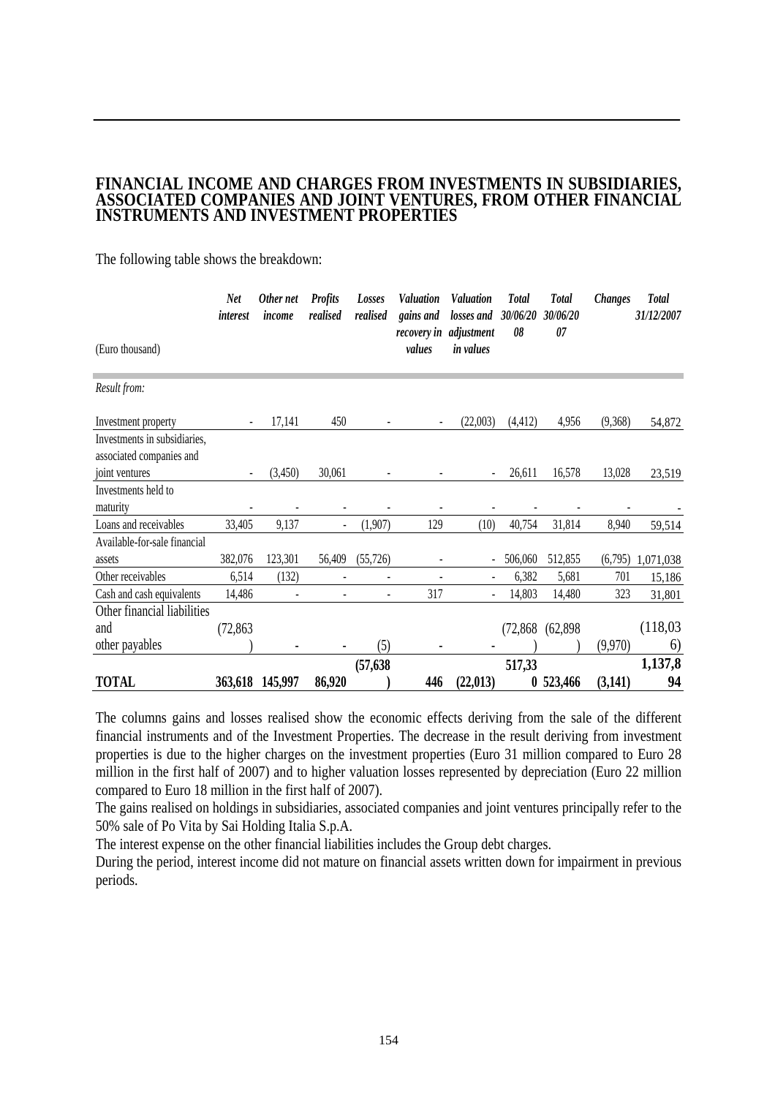# **FINANCIAL INCOME AND CHARGES FROM INVESTMENTS IN SUBSIDIARIES, ASSOCIATED COMPANIES AND JOINT VENTURES, FROM OTHER FINANCIAL INSTRUMENTS AND INVESTMENT PROPERTIES**

The following table shows the breakdown:

|                                                          | <b>Net</b><br><i>interest</i> | Other net<br>income | <b>Profits</b><br>realised | Losses<br>realised | <b>Valuation</b><br>gains and | Valuation<br>losses and  | <b>Total</b><br>30/06/20 | <b>Total</b><br>30/06/20 | <b>Changes</b> | <b>Total</b><br>31/12/2007 |
|----------------------------------------------------------|-------------------------------|---------------------|----------------------------|--------------------|-------------------------------|--------------------------|--------------------------|--------------------------|----------------|----------------------------|
| (Euro thousand)                                          |                               |                     |                            |                    | recovery in<br>values         | adjustment<br>in values  | 08                       | 07                       |                |                            |
| Result from:                                             |                               |                     |                            |                    |                               |                          |                          |                          |                |                            |
| Investment property                                      |                               | 17,141              | 450                        |                    |                               | (22,003)                 | (4, 412)                 | 4,956                    | (9,368)        | 54,872                     |
| Investments in subsidiaries,<br>associated companies and |                               |                     |                            |                    |                               |                          |                          |                          |                |                            |
| joint ventures                                           | -                             | (3,450)             | 30,061                     |                    |                               | $\overline{\phantom{a}}$ | 26,611                   | 16,578                   | 13,028         | 23,519                     |
| Investments held to                                      |                               |                     |                            |                    |                               |                          |                          |                          |                |                            |
| maturity                                                 |                               |                     |                            |                    |                               |                          |                          |                          |                |                            |
| Loans and receivables                                    | 33,405                        | 9,137               |                            | (1,907)            | 129                           | (10)                     | 40,754                   | 31,814                   | 8,940          | 59,514                     |
| Available-for-sale financial                             |                               |                     |                            |                    |                               |                          |                          |                          |                |                            |
| assets                                                   | 382,076                       | 123,301             | 56,409                     | (55, 726)          |                               | $\overline{a}$           | 506,060                  | 512,855                  | (6,795)        | 1,071,038                  |
| Other receivables                                        | 6,514                         | (132)               |                            |                    |                               | ÷,                       | 6,382                    | 5,681                    | 701            | 15,186                     |
| Cash and cash equivalents                                | 14,486                        |                     |                            |                    | 317                           |                          | 14,803                   | 14,480                   | 323            | 31,801                     |
| Other financial liabilities                              |                               |                     |                            |                    |                               |                          |                          |                          |                |                            |
| and                                                      | (72, 863)                     |                     |                            |                    |                               |                          | (72, 868)                | (62,898)                 |                | (118,03)                   |
| other payables                                           |                               |                     |                            | (5)                |                               |                          |                          |                          | (9,970)        | 6)                         |
|                                                          |                               |                     |                            | (57, 638)          |                               |                          | 517,33                   |                          |                | 1,137,8                    |
| <b>TOTAL</b>                                             | 363,618                       | 145,997             | 86,920                     |                    | 446                           | (22, 013)                | 0                        | 523,466                  | (3,141)        | 94                         |

The columns gains and losses realised show the economic effects deriving from the sale of the different financial instruments and of the Investment Properties. The decrease in the result deriving from investment properties is due to the higher charges on the investment properties (Euro 31 million compared to Euro 28 million in the first half of 2007) and to higher valuation losses represented by depreciation (Euro 22 million compared to Euro 18 million in the first half of 2007).

The gains realised on holdings in subsidiaries, associated companies and joint ventures principally refer to the 50% sale of Po Vita by Sai Holding Italia S.p.A.

The interest expense on the other financial liabilities includes the Group debt charges.

During the period, interest income did not mature on financial assets written down for impairment in previous periods.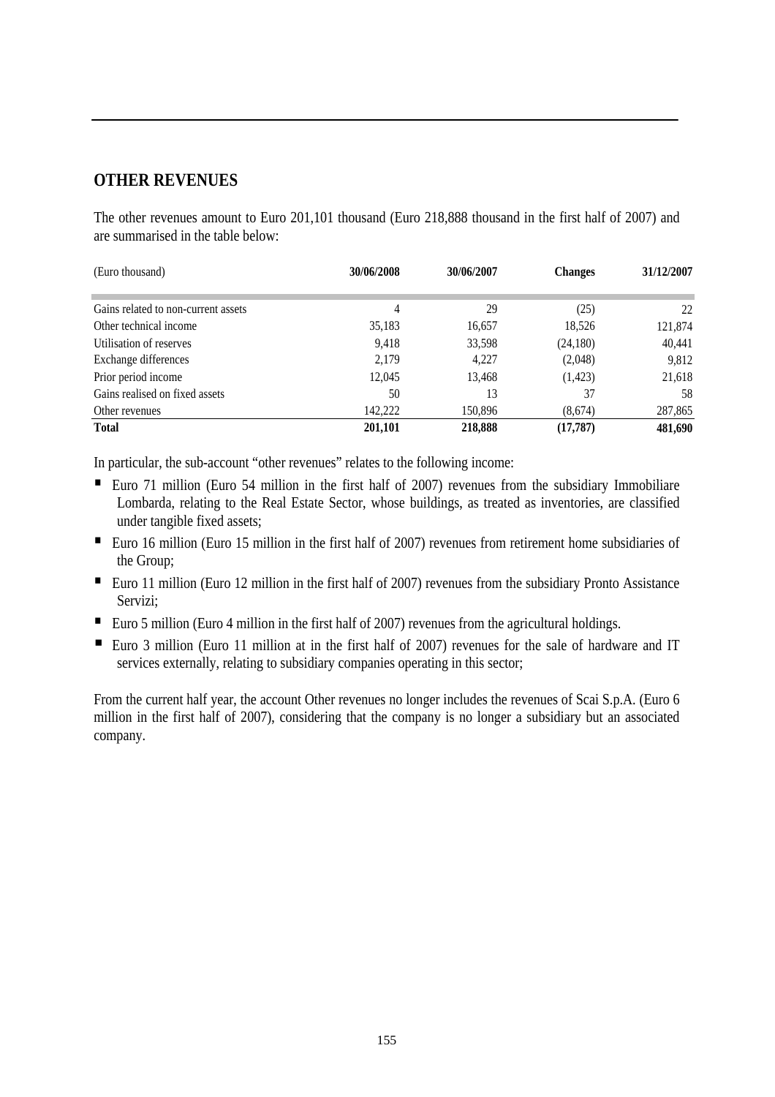### **OTHER REVENUES**

The other revenues amount to Euro 201,101 thousand (Euro 218,888 thousand in the first half of 2007) and are summarised in the table below:

| (Euro thousand)                     | 30/06/2008 | 30/06/2007 | <b>Changes</b> | 31/12/2007 |
|-------------------------------------|------------|------------|----------------|------------|
|                                     |            |            |                |            |
| Gains related to non-current assets | 4          | 29         | (25)           | 22         |
| Other technical income              | 35,183     | 16,657     | 18.526         | 121,874    |
| Utilisation of reserves             | 9,418      | 33,598     | (24,180)       | 40,441     |
| Exchange differences                | 2,179      | 4,227      | (2,048)        | 9,812      |
| Prior period income                 | 12,045     | 13,468     | (1,423)        | 21,618     |
| Gains realised on fixed assets      | 50         | 13         | 37             | 58         |
| Other revenues                      | 142,222    | 150,896    | (8,674)        | 287,865    |
| <b>Total</b>                        | 201.101    | 218,888    | (17, 787)      | 481,690    |

In particular, the sub-account "other revenues" relates to the following income:

- Euro 71 million (Euro 54 million in the first half of 2007) revenues from the subsidiary Immobiliare Lombarda, relating to the Real Estate Sector, whose buildings, as treated as inventories, are classified under tangible fixed assets;
- Euro 16 million (Euro 15 million in the first half of 2007) revenues from retirement home subsidiaries of the Group;
- Euro 11 million (Euro 12 million in the first half of 2007) revenues from the subsidiary Pronto Assistance Servizi;
- Euro 5 million (Euro 4 million in the first half of 2007) revenues from the agricultural holdings.
- Euro 3 million (Euro 11 million at in the first half of 2007) revenues for the sale of hardware and IT services externally, relating to subsidiary companies operating in this sector;

From the current half year, the account Other revenues no longer includes the revenues of Scai S.p.A. (Euro 6 million in the first half of 2007), considering that the company is no longer a subsidiary but an associated company.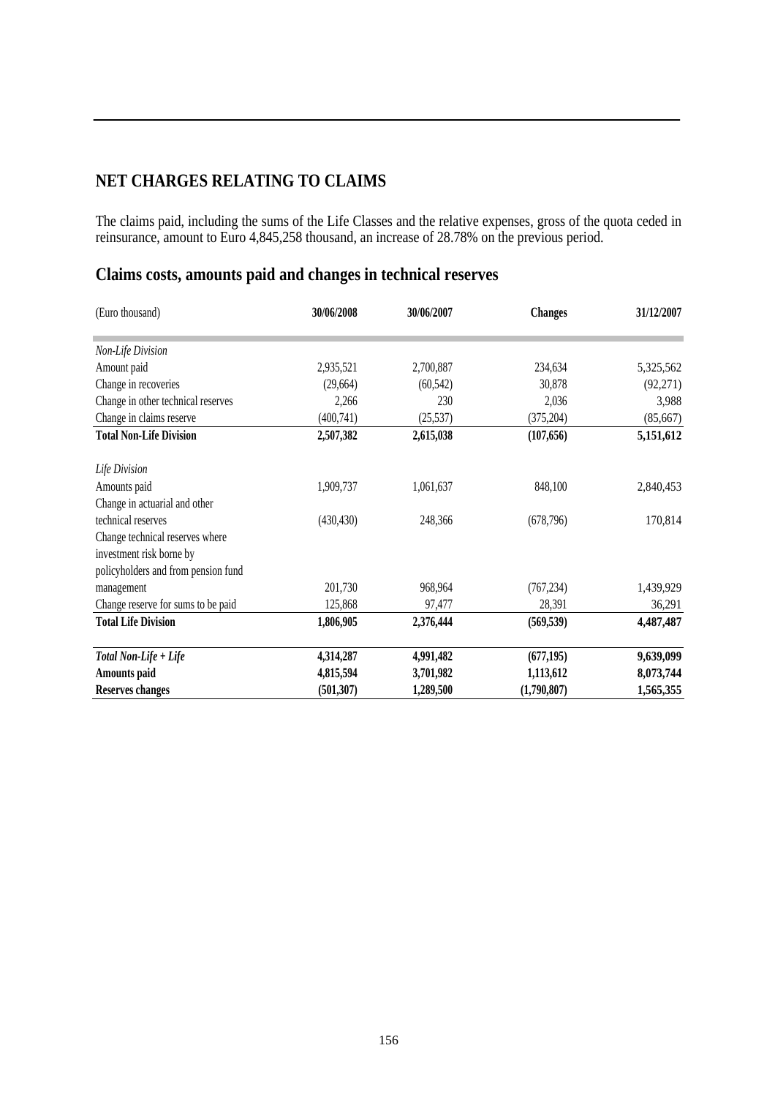### **NET CHARGES RELATING TO CLAIMS**

The claims paid, including the sums of the Life Classes and the relative expenses, gross of the quota ceded in reinsurance, amount to Euro 4,845,258 thousand, an increase of 28.78% on the previous period.

### **Claims costs, amounts paid and changes in technical reserves**

| (Euro thousand)                     | 30/06/2008 | 30/06/2007 | <b>Changes</b> | 31/12/2007 |
|-------------------------------------|------------|------------|----------------|------------|
| Non-Life Division                   |            |            |                |            |
| Amount paid                         | 2,935,521  | 2,700,887  | 234,634        | 5,325,562  |
| Change in recoveries                | (29, 664)  | (60, 542)  | 30,878         | (92, 271)  |
| Change in other technical reserves  | 2,266      | 230        | 2,036          | 3,988      |
| Change in claims reserve            | (400,741)  | (25, 537)  | (375, 204)     | (85, 667)  |
| <b>Total Non-Life Division</b>      | 2,507,382  | 2,615,038  | (107, 656)     | 5,151,612  |
| Life Division                       |            |            |                |            |
| Amounts paid                        | 1,909,737  | 1,061,637  | 848,100        | 2,840,453  |
| Change in actuarial and other       |            |            |                |            |
| technical reserves                  | (430, 430) | 248,366    | (678, 796)     | 170,814    |
| Change technical reserves where     |            |            |                |            |
| investment risk borne by            |            |            |                |            |
| policyholders and from pension fund |            |            |                |            |
| management                          | 201,730    | 968,964    | (767, 234)     | 1,439,929  |
| Change reserve for sums to be paid  | 125,868    | 97,477     | 28,391         | 36,291     |
| <b>Total Life Division</b>          | 1,806,905  | 2,376,444  | (569, 539)     | 4,487,487  |
| Total Non-Life + Life               | 4,314,287  | 4,991,482  | (677, 195)     | 9,639,099  |
| Amounts paid                        | 4,815,594  | 3,701,982  | 1,113,612      | 8,073,744  |
| <b>Reserves changes</b>             | (501, 307) | 1,289,500  | (1,790,807)    | 1,565,355  |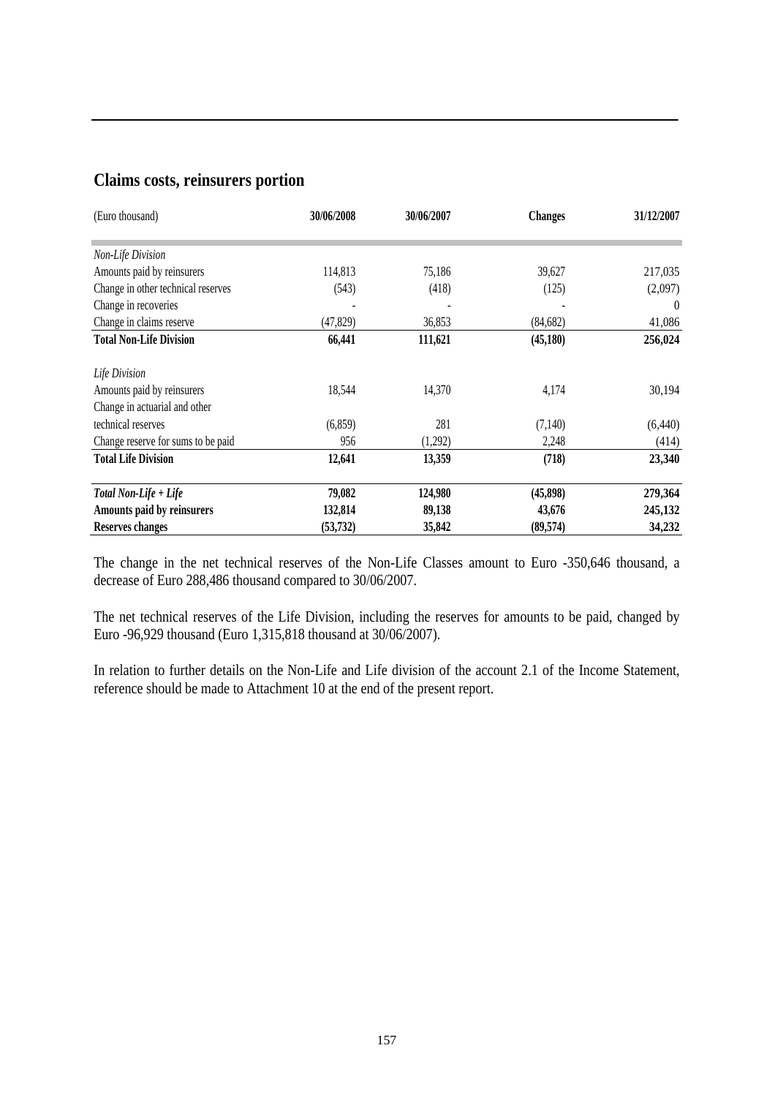### **Claims costs, reinsurers portion**

| (Euro thousand)                    | 30/06/2008 | 30/06/2007 | <b>Changes</b> | 31/12/2007 |
|------------------------------------|------------|------------|----------------|------------|
|                                    |            |            |                |            |
| Non-Life Division                  |            |            |                |            |
| Amounts paid by reinsurers         | 114,813    | 75,186     | 39,627         | 217,035    |
| Change in other technical reserves | (543)      | (418)      | (125)          | (2,097)    |
| Change in recoveries               |            |            |                | $\theta$   |
| Change in claims reserve           | (47, 829)  | 36,853     | (84, 682)      | 41,086     |
| <b>Total Non-Life Division</b>     | 66,441     | 111,621    | (45,180)       | 256,024    |
| Life Division                      |            |            |                |            |
| Amounts paid by reinsurers         | 18,544     | 14,370     | 4,174          | 30,194     |
| Change in actuarial and other      |            |            |                |            |
| technical reserves                 | (6, 859)   | 281        | (7,140)        | (6,440)    |
| Change reserve for sums to be paid | 956        | (1,292)    | 2,248          | (414)      |
| <b>Total Life Division</b>         | 12,641     | 13,359     | (718)          | 23,340     |
| Total Non-Life + Life              | 79,082     | 124,980    | (45,898)       | 279,364    |
| Amounts paid by reinsurers         | 132,814    | 89,138     | 43,676         | 245,132    |
| <b>Reserves changes</b>            | (53, 732)  | 35,842     | (89, 574)      | 34,232     |

The change in the net technical reserves of the Non-Life Classes amount to Euro -350,646 thousand, a decrease of Euro 288,486 thousand compared to 30/06/2007.

The net technical reserves of the Life Division, including the reserves for amounts to be paid, changed by Euro -96,929 thousand (Euro 1,315,818 thousand at 30/06/2007).

In relation to further details on the Non-Life and Life division of the account 2.1 of the Income Statement, reference should be made to Attachment 10 at the end of the present report.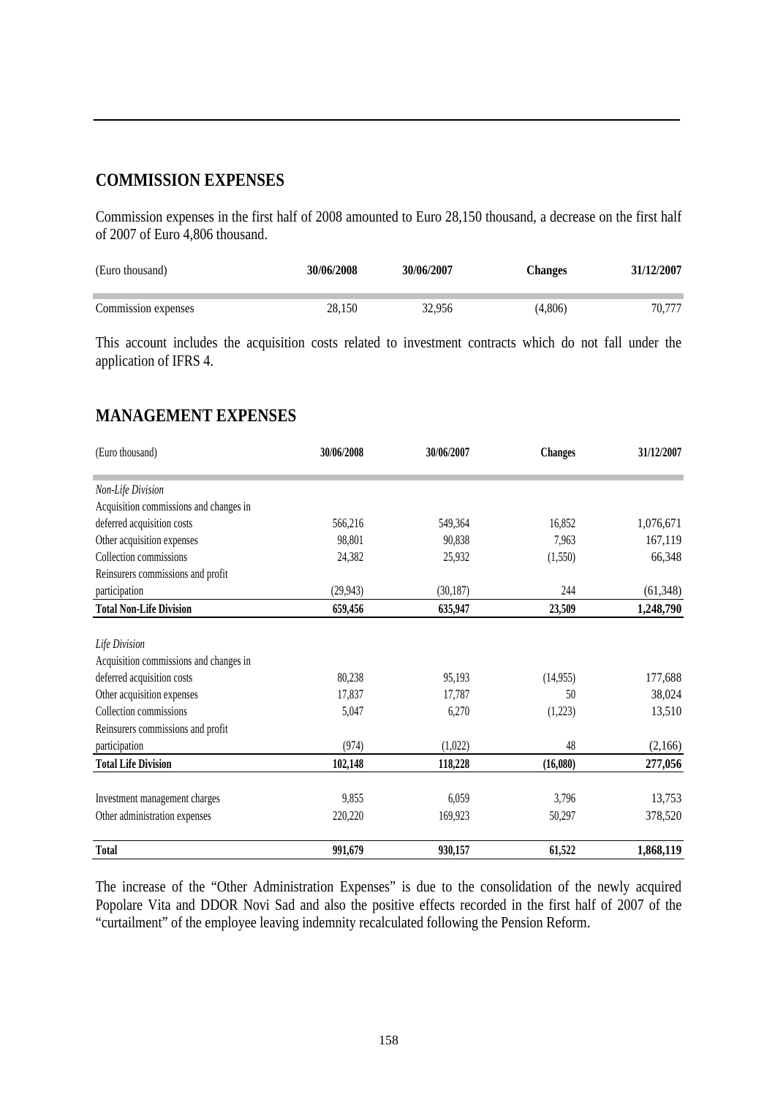### **COMMISSION EXPENSES**

Commission expenses in the first half of 2008 amounted to Euro 28,150 thousand, a decrease on the first half of 2007 of Euro 4,806 thousand.

| (Euro thousand)     | 30/06/2008 | 30/06/2007 | <b>Changes</b> | 31/12/2007 |
|---------------------|------------|------------|----------------|------------|
| Commission expenses | 28.150     | 32.956     | (4.806)        | 70.777     |

This account includes the acquisition costs related to investment contracts which do not fall under the application of IFRS 4.

### **MANAGEMENT EXPENSES**

| (Euro thousand)                        | 30/06/2008 | 30/06/2007 | <b>Changes</b> | 31/12/2007 |
|----------------------------------------|------------|------------|----------------|------------|
| Non-Life Division                      |            |            |                |            |
| Acquisition commissions and changes in |            |            |                |            |
| deferred acquisition costs             | 566,216    | 549,364    | 16,852         | 1,076,671  |
| Other acquisition expenses             | 98,801     | 90,838     | 7,963          | 167,119    |
| Collection commissions                 | 24,382     | 25,932     | (1,550)        | 66,348     |
| Reinsurers commissions and profit      |            |            |                |            |
| participation                          | (29, 943)  | (30,187)   | 244            | (61, 348)  |
| <b>Total Non-Life Division</b>         | 659,456    | 635,947    | 23,509         | 1,248,790  |
|                                        |            |            |                |            |
| Life Division                          |            |            |                |            |
| Acquisition commissions and changes in |            |            |                |            |
| deferred acquisition costs             | 80,238     | 95,193     | (14, 955)      | 177,688    |
| Other acquisition expenses             | 17,837     | 17,787     | 50             | 38,024     |
| Collection commissions                 | 5,047      | 6,270      | (1,223)        | 13,510     |
| Reinsurers commissions and profit      |            |            |                |            |
| participation                          | (974)      | (1,022)    | 48             | (2,166)    |
| <b>Total Life Division</b>             | 102,148    | 118,228    | (16,080)       | 277,056    |
| Investment management charges          | 9,855      | 6,059      | 3,796          | 13,753     |
| Other administration expenses          | 220,220    | 169,923    | 50,297         | 378,520    |
| <b>Total</b>                           | 991,679    | 930,157    | 61,522         | 1,868,119  |

The increase of the "Other Administration Expenses" is due to the consolidation of the newly acquired Popolare Vita and DDOR Novi Sad and also the positive effects recorded in the first half of 2007 of the "curtailment" of the employee leaving indemnity recalculated following the Pension Reform.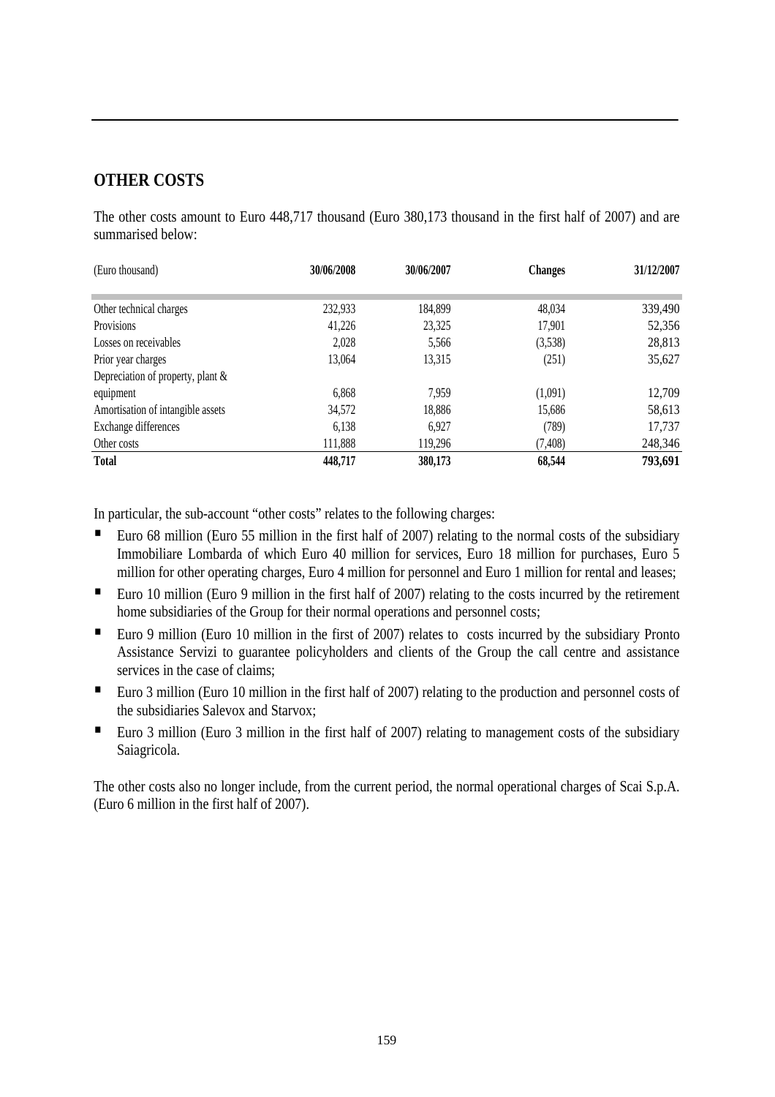### **OTHER COSTS**

The other costs amount to Euro 448,717 thousand (Euro 380,173 thousand in the first half of 2007) and are summarised below:

| (Euro thousand)                      | 30/06/2008 | 30/06/2007 | <b>Changes</b> | 31/12/2007 |
|--------------------------------------|------------|------------|----------------|------------|
|                                      |            |            |                |            |
| Other technical charges              | 232,933    | 184,899    | 48,034         | 339,490    |
| Provisions                           | 41,226     | 23,325     | 17,901         | 52,356     |
| Losses on receivables                | 2.028      | 5,566      | (3,538)        | 28,813     |
| Prior year charges                   | 13,064     | 13,315     | (251)          | 35,627     |
| Depreciation of property, plant $\&$ |            |            |                |            |
| equipment                            | 6,868      | 7,959      | (1,091)        | 12,709     |
| Amortisation of intangible assets    | 34,572     | 18,886     | 15,686         | 58,613     |
| Exchange differences                 | 6,138      | 6,927      | (789)          | 17,737     |
| Other costs                          | 111,888    | 119,296    | (7, 408)       | 248,346    |
| <b>Total</b>                         | 448,717    | 380,173    | 68,544         | 793,691    |

In particular, the sub-account "other costs" relates to the following charges:

- Euro 68 million (Euro 55 million in the first half of 2007) relating to the normal costs of the subsidiary Immobiliare Lombarda of which Euro 40 million for services, Euro 18 million for purchases, Euro 5 million for other operating charges, Euro 4 million for personnel and Euro 1 million for rental and leases;
- Euro 10 million (Euro 9 million in the first half of 2007) relating to the costs incurred by the retirement home subsidiaries of the Group for their normal operations and personnel costs;
- Euro 9 million (Euro 10 million in the first of 2007) relates to costs incurred by the subsidiary Pronto Assistance Servizi to guarantee policyholders and clients of the Group the call centre and assistance services in the case of claims;
- Euro 3 million (Euro 10 million in the first half of 2007) relating to the production and personnel costs of the subsidiaries Salevox and Starvox;
- Euro 3 million (Euro 3 million in the first half of 2007) relating to management costs of the subsidiary Saiagricola.

The other costs also no longer include, from the current period, the normal operational charges of Scai S.p.A. (Euro 6 million in the first half of 2007).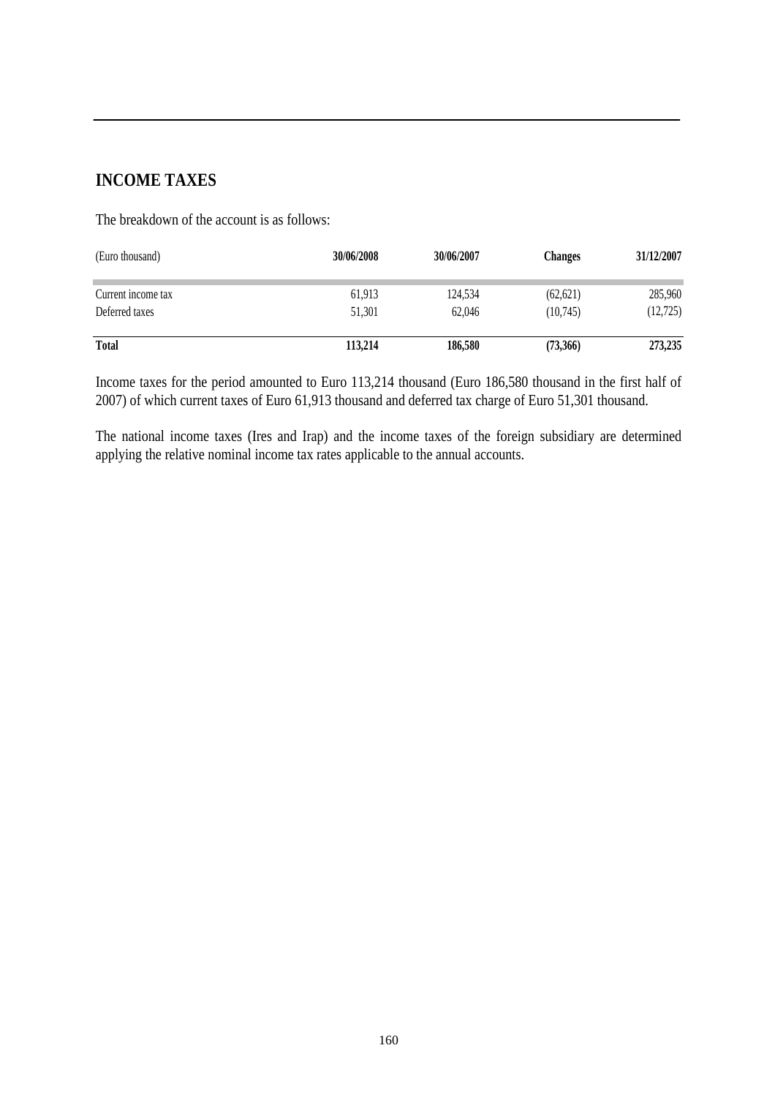### **INCOME TAXES**

The breakdown of the account is as follows:

| (Euro thousand)    | 30/06/2008 | 30/06/2007 | <b>Changes</b> | 31/12/2007 |
|--------------------|------------|------------|----------------|------------|
| Current income tax | 61,913     | 124,534    | (62, 621)      | 285,960    |
| Deferred taxes     | 51,301     | 62,046     | (10,745)       | (12, 725)  |
| <b>Total</b>       | 113,214    | 186,580    | (73,366)       | 273,235    |

Income taxes for the period amounted to Euro 113,214 thousand (Euro 186,580 thousand in the first half of 2007) of which current taxes of Euro 61,913 thousand and deferred tax charge of Euro 51,301 thousand.

The national income taxes (Ires and Irap) and the income taxes of the foreign subsidiary are determined applying the relative nominal income tax rates applicable to the annual accounts.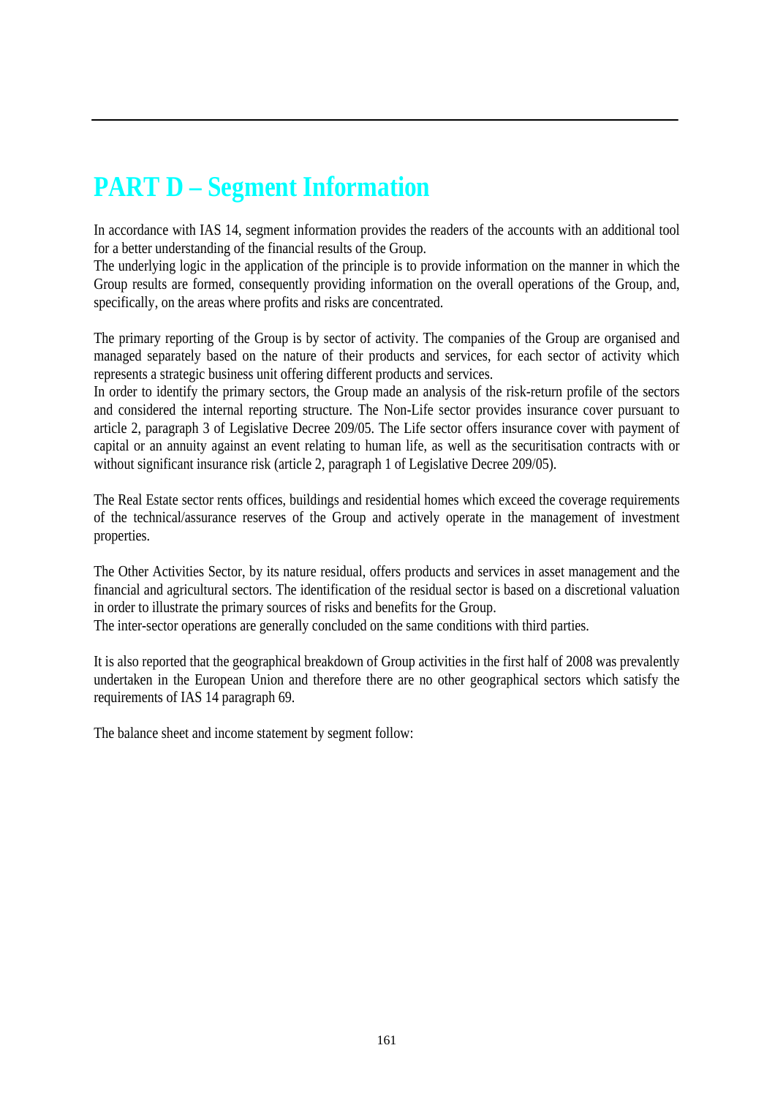# **PART D – Segment Information**

In accordance with IAS 14, segment information provides the readers of the accounts with an additional tool for a better understanding of the financial results of the Group.

The underlying logic in the application of the principle is to provide information on the manner in which the Group results are formed, consequently providing information on the overall operations of the Group, and, specifically, on the areas where profits and risks are concentrated.

The primary reporting of the Group is by sector of activity. The companies of the Group are organised and managed separately based on the nature of their products and services, for each sector of activity which represents a strategic business unit offering different products and services.

In order to identify the primary sectors, the Group made an analysis of the risk-return profile of the sectors and considered the internal reporting structure. The Non-Life sector provides insurance cover pursuant to article 2, paragraph 3 of Legislative Decree 209/05. The Life sector offers insurance cover with payment of capital or an annuity against an event relating to human life, as well as the securitisation contracts with or without significant insurance risk (article 2, paragraph 1 of Legislative Decree 209/05).

The Real Estate sector rents offices, buildings and residential homes which exceed the coverage requirements of the technical/assurance reserves of the Group and actively operate in the management of investment properties.

The Other Activities Sector, by its nature residual, offers products and services in asset management and the financial and agricultural sectors. The identification of the residual sector is based on a discretional valuation in order to illustrate the primary sources of risks and benefits for the Group.

The inter-sector operations are generally concluded on the same conditions with third parties.

It is also reported that the geographical breakdown of Group activities in the first half of 2008 was prevalently undertaken in the European Union and therefore there are no other geographical sectors which satisfy the requirements of IAS 14 paragraph 69.

The balance sheet and income statement by segment follow: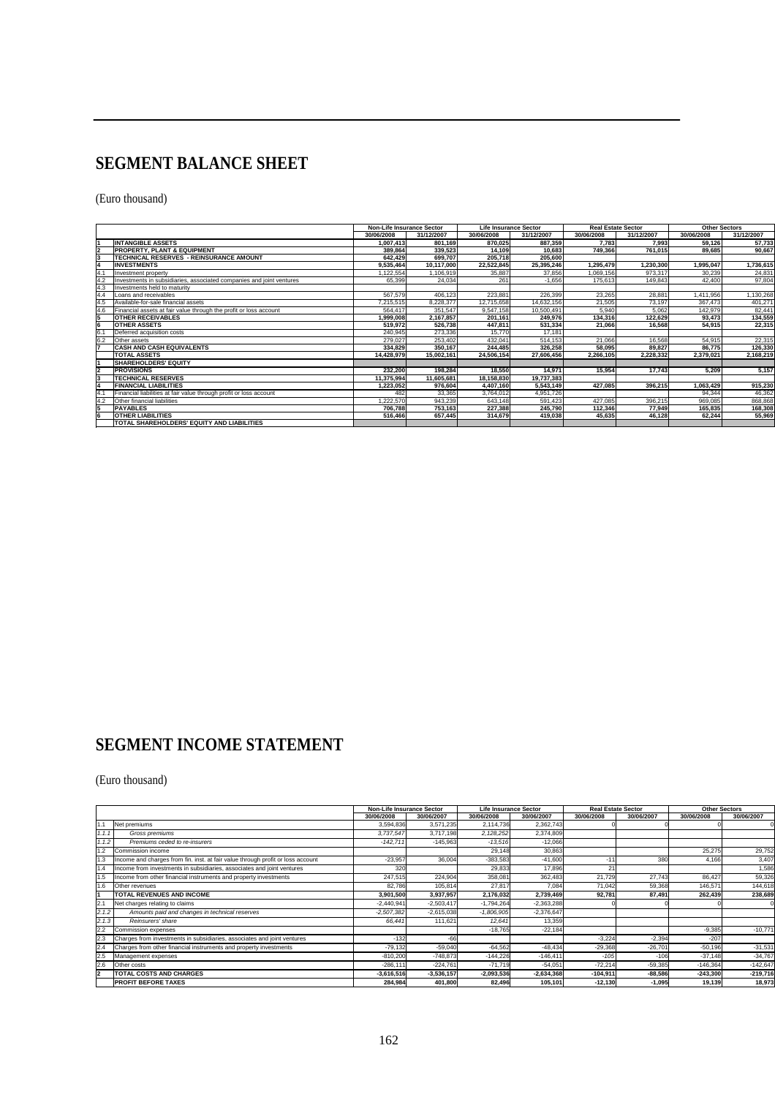### **SEGMENT BALANCE SHEET**

(Euro thousand)

|            |                                                                      | <b>Non-Life Insurance Sector</b> |            |            | <b>Life Insurance Sector</b> | <b>Real Estate Sector</b> |            | <b>Other Sectors</b> |            |
|------------|----------------------------------------------------------------------|----------------------------------|------------|------------|------------------------------|---------------------------|------------|----------------------|------------|
|            |                                                                      | 30/06/2008                       | 31/12/2007 | 30/06/2008 | 31/12/2007                   | 30/06/2008                | 31/12/2007 | 30/06/2008           | 31/12/2007 |
|            | <b>INTANGIBLE ASSETS</b>                                             | 1.007.413                        | 801.169    | 870.025    | 887.359                      | 7.783                     | 7.993      | 59.126               | 57,733     |
|            | <b>PROPERTY, PLANT &amp; EQUIPMENT</b>                               | 389.864                          | 339.523    | 14.109     | 10.683                       | 749,366                   | 761.015    | 89.685               | 90,667     |
|            | TECHNICAL RESERVES - REINSURANCE AMOUNT                              | 642.429                          | 699.707    | 205.718    | 205.600                      |                           |            |                      |            |
|            | <b>INVESTMENTS</b>                                                   | 9.535.464                        | 10.117.000 | 22.522.845 | 25,395,246                   | 1.295.479                 | 1.230.300  | 1.995.047            | 1,736,615  |
| 4.1        | nvestment property                                                   | ,122,554                         | 1.106.919  | 35,887     | 37,856                       | 1.069.156                 | 973.317    | 30.239               | 24,831     |
|            | Investments in subsidiaries, associated companies and joint ventures | 65,399                           | 24,034     | 261        | $-1,656$                     | 175,613                   | 149,843    | 42,400               | 97,804     |
| 4.3        | Investments held to maturity                                         |                                  |            |            |                              |                           |            |                      |            |
| 4.4        | Loans and receivables                                                | 567.579                          | 406.123    | 223,881    | 226,399                      | 23,265                    | 28,881     | 1,411,956            | 1,130,268  |
| 4.5        | Available-for-sale financial assets                                  | 7.215.515                        | 8.228.377  | 12,715,658 | 14.632.156                   | 21,505                    | 73,197     | 367.473              | 401.271    |
| 4.6        | Financial assets at fair value through the profit or loss account    | 564.417                          | 351.547    | 9.547.158  | 10.500.491                   | 5,940                     | 5.062      | 142.979              | 82,441     |
|            | <b>OTHER RECEIVABLES</b>                                             | 999.008                          | 2.167.857  | 201.161    | 249.976                      | 134.316                   | 122.629    | 93.473               | 134,559    |
|            | <b>OTHER ASSETS</b>                                                  | 519,972                          | 526,738    | 447.811    | 531,334                      | 21,066                    | 16.568     | 54,915               | 22,315     |
| <b>6</b> . | Deferred acquisition costs                                           | 240,945                          | 273,336    | 15,770     | 17,181                       |                           |            |                      |            |
| 6.2        | Other assets                                                         | 279.027                          | 253.402    | 432.041    | 514.153                      | 21.066                    | 16.568     | 54.915               | 22,315     |
|            | <b>CASH AND CASH EQUIVALENTS</b>                                     | 334.829                          | 350.167    | 244.485    | 326.258                      | 58.095                    | 89.827     | 86.775               | 126,330    |
|            | <b>TOTAL ASSETS</b>                                                  | 14.428.979                       | 15.002.161 | 24.506.154 | 27,606,456                   | 2.266.105                 | 2.228.332  | 2.379.021            | 2,168,219  |
|            | <b>SHAREHOLDERS' EQUITY</b>                                          |                                  |            |            |                              |                           |            |                      |            |
|            | <b>PROVISIONS</b>                                                    | 232.200                          | 198.284    | 18.550     | 14.971                       | 15.954                    | 17.743     | 5.209                | 5,157      |
|            | <b>TECHNICAL RESERVES</b>                                            | 11,375,994                       | 11.605.681 | 18,158,830 | 19,737,383                   |                           |            |                      |            |
|            | <b>FINANCIAL LIABILITIES</b>                                         | 1,223,052                        | 976.604    | 4,407,160  | 5,543,149                    | 427.085                   | 396.215    | 1.063.429            | 915,230    |
|            | Financial liabilities at fair value through profit or loss account   | 482                              | 33,365     | 3,764,012  | 4,951,726                    |                           |            | 94,344               | 46,362     |
|            | Other financial liabilities                                          | .222.570                         | 943.239    | 643.148    | 591.423                      | 427.085                   | 396.215    | 969.085              | 868,868    |
|            | <b>PAYABLES</b>                                                      | 706.788                          | 753.163    | 227.388    | 245.790                      | 112.346                   | 77.949     | 165.835              | 168,308    |
|            | <b>OTHER LIABILITIES</b>                                             | 516,466                          | 657,445    | 314,679    | 419,038                      | 45,635                    | 46,128     | 62,244               | 55,969     |
|            | TOTAL SHAREHOLDERS' EQUITY AND LIABILITIES                           |                                  |            |            |                              |                           |            |                      |            |

### **SEGMENT INCOME STATEMENT**

#### (Euro thousand)

|       |                                                                                 |              | <b>Non-Life Insurance Sector</b> |              | <b>Life Insurance Sector</b> | <b>Real Estate Sector</b> |            | <b>Other Sectors</b> |            |
|-------|---------------------------------------------------------------------------------|--------------|----------------------------------|--------------|------------------------------|---------------------------|------------|----------------------|------------|
|       |                                                                                 | 30/06/2008   | 30/06/2007                       | 30/06/2008   | 30/06/2007                   | 30/06/2008                | 30/06/2007 | 30/06/2008           | 30/06/2007 |
|       | Net premiums                                                                    | 3,594,836    | 3,571,235                        | 2,114,736    | 2,362,743                    |                           |            |                      |            |
| 1.1.1 | Gross premiums                                                                  | 3.737.547    | 3,717,198                        | 2,128,252    | 2,374,809                    |                           |            |                      |            |
| 1.1.2 | Premiums ceded to re-insurers                                                   | $-142.711$   | $-145.963$                       | $-13,516$    | $-12,066$                    |                           |            |                      |            |
|       | Commission income                                                               |              |                                  | 29,148       | 30,863                       |                           |            | 25,275               | 29,752     |
|       | Income and charges from fin. inst. at fair value through profit or loss account | $-23,957$    | 36,004                           | $-383,583$   | $-41,600$                    | $-1$                      | 380        | 4,166                | 3,407      |
|       | Income from investments in subsidiaries, associates and joint ventures          | 32           |                                  | 29,833       | 17,896                       | n                         |            |                      | 1,586      |
|       | Income from other financial instruments and property investments                | 247,515      | 224.904                          | 358,081      | 362,483                      | 21,729                    | 27.743     | 86.427               | 59,326     |
|       | <b>Other revenues</b>                                                           | 82,786       | 105,814                          | 27,817       | 7,084                        | 71,042                    | 59,368     | 146,571              | 144.618    |
|       | <b>TOTAL REVENUES AND INCOME</b>                                                | 3,901,500    | 3,937,957                        | 2,176,032    | 2,739,469                    | 92,781                    | 87.491     | 262,439              | 238.689    |
| 2.1   | Net charges relating to claims                                                  | $-2,440,941$ | $-2,503,417$                     | $-1,794,264$ | $-2,363,288$                 |                           |            |                      |            |
| 2.1.2 | Amounts paid and changes in technical reserves                                  | $-2,507,382$ | $-2,615,038$                     | $-1,806,905$ | $-2,376,647$                 |                           |            |                      |            |
| 2.1.3 | Reinsurers' share                                                               | 66.441       | 111,621                          | 12,641       | 13,359                       |                           |            |                      |            |
| 2.2   | Commission expenses                                                             |              |                                  | $-18,765$    | $-22,184$                    |                           |            | $-9,385$             | $-10,771$  |
| 2.3   | Charges from investments in subsidiaries, associates and joint ventures         | $-132$       | $-66$                            |              |                              | $-3.224$                  | $-2.394$   | $-207$               |            |
| 2.4   | Charges from other financial instruments and property investments               | $-79,132$    | $-59,040$                        | $-64,562$    | $-48,434$                    | $-29,368$                 | $-26,701$  | $-50,196$            | $-31,531$  |
| 2.5   | Management expenses                                                             | $-810,20$    | $-748,873$                       | $-144,226$   | $-146,411$                   | $-105$                    | $-106$     | $-37,148$            | $-34,767$  |
| 2.6   | Other costs                                                                     | $-286,11$    | $-224,761$                       | $-71,719$    | $-54,051$                    | $-72,214$                 | $-59,385$  | $-146,364$           | $-142,647$ |
| l2    | TOTAL COSTS AND CHARGES                                                         | $-3,616,516$ | $-3,536,157$                     | $-2,093,536$ | $-2,634,368$                 | $-104.911$                | $-88,586$  | $-243.300$           | $-219,716$ |
|       | <b>PROFIT BEFORE TAXES</b>                                                      | 284,984      | 401,800                          | 82,496       | 105,101                      | $-12,130$                 | $-1,095$   | 19,139               | 18,973     |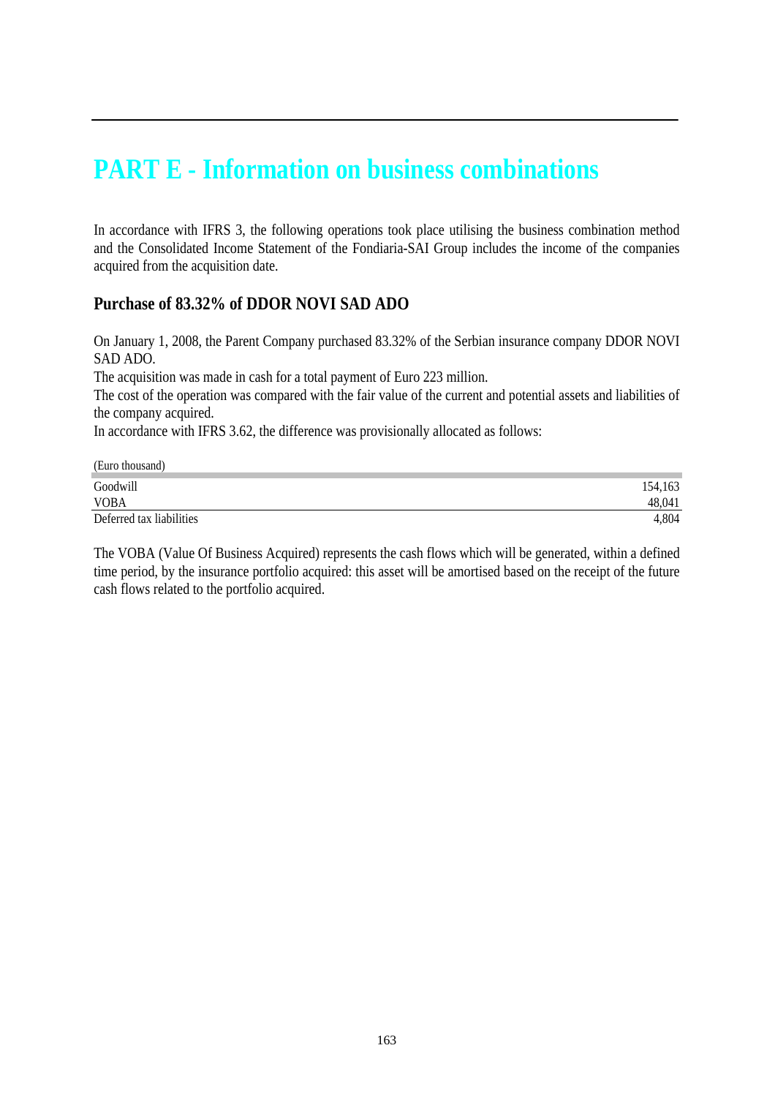### **PART E - Information on business combinations**

In accordance with IFRS 3, the following operations took place utilising the business combination method and the Consolidated Income Statement of the Fondiaria-SAI Group includes the income of the companies acquired from the acquisition date.

### **Purchase of 83.32% of DDOR NOVI SAD ADO**

On January 1, 2008, the Parent Company purchased 83.32% of the Serbian insurance company DDOR NOVI SAD ADO.

The acquisition was made in cash for a total payment of Euro 223 million.

The cost of the operation was compared with the fair value of the current and potential assets and liabilities of the company acquired.

In accordance with IFRS 3.62, the difference was provisionally allocated as follows:

| (Euro thousand)          |         |
|--------------------------|---------|
| Goodwill                 | 154,163 |
| <b>VOBA</b>              | 48,041  |
| Deferred tax liabilities | .804    |

The VOBA (Value Of Business Acquired) represents the cash flows which will be generated, within a defined time period, by the insurance portfolio acquired: this asset will be amortised based on the receipt of the future cash flows related to the portfolio acquired.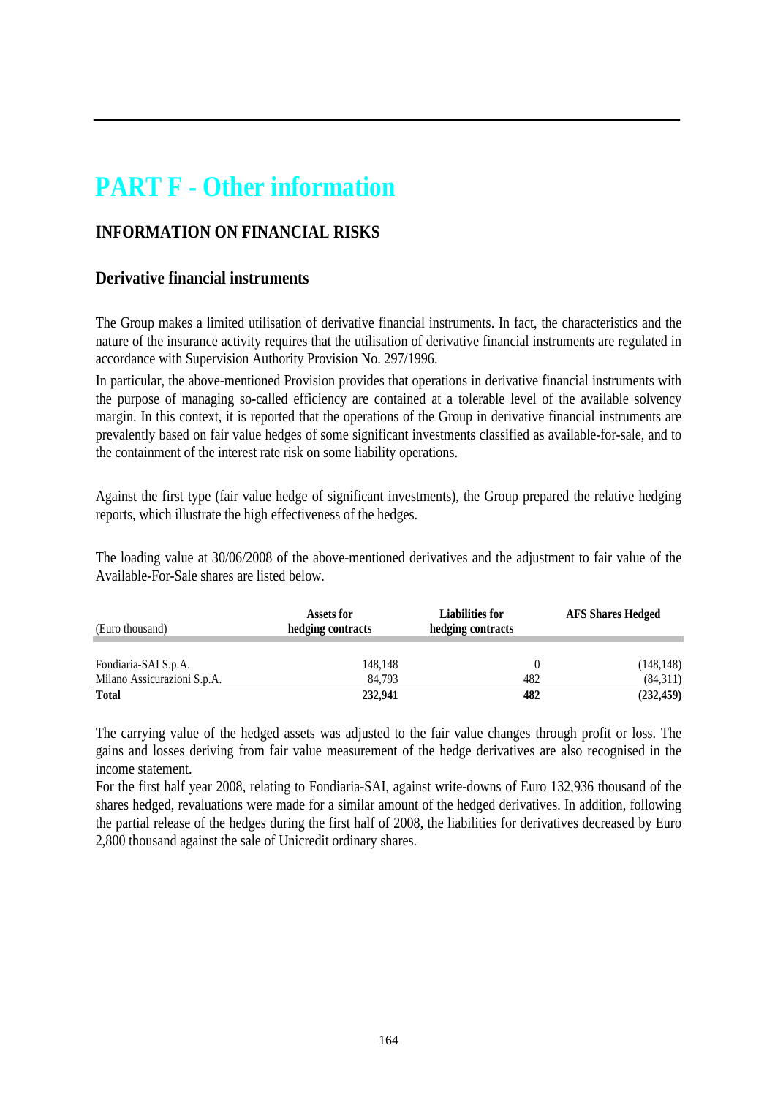## **PART F - Other information**

### **INFORMATION ON FINANCIAL RISKS**

### **Derivative financial instruments**

The Group makes a limited utilisation of derivative financial instruments. In fact, the characteristics and the nature of the insurance activity requires that the utilisation of derivative financial instruments are regulated in accordance with Supervision Authority Provision No. 297/1996.

In particular, the above-mentioned Provision provides that operations in derivative financial instruments with the purpose of managing so-called efficiency are contained at a tolerable level of the available solvency margin. In this context, it is reported that the operations of the Group in derivative financial instruments are prevalently based on fair value hedges of some significant investments classified as available-for-sale, and to the containment of the interest rate risk on some liability operations.

Against the first type (fair value hedge of significant investments), the Group prepared the relative hedging reports, which illustrate the high effectiveness of the hedges.

The loading value at 30/06/2008 of the above-mentioned derivatives and the adjustment to fair value of the Available-For-Sale shares are listed below.

| (Euro thousand)             | Assets for<br>hedging contracts |     | <b>AFS Shares Hedged</b> |  |
|-----------------------------|---------------------------------|-----|--------------------------|--|
| Fondiaria-SAI S.p.A.        | 148,148                         | 0   | (148, 148)               |  |
| Milano Assicurazioni S.p.A. | 84.793                          | 482 | (84,311)                 |  |
| <b>Total</b>                | 232,941                         | 482 | (232, 459)               |  |

The carrying value of the hedged assets was adjusted to the fair value changes through profit or loss. The gains and losses deriving from fair value measurement of the hedge derivatives are also recognised in the income statement.

For the first half year 2008, relating to Fondiaria-SAI, against write-downs of Euro 132,936 thousand of the shares hedged, revaluations were made for a similar amount of the hedged derivatives. In addition, following the partial release of the hedges during the first half of 2008, the liabilities for derivatives decreased by Euro 2,800 thousand against the sale of Unicredit ordinary shares.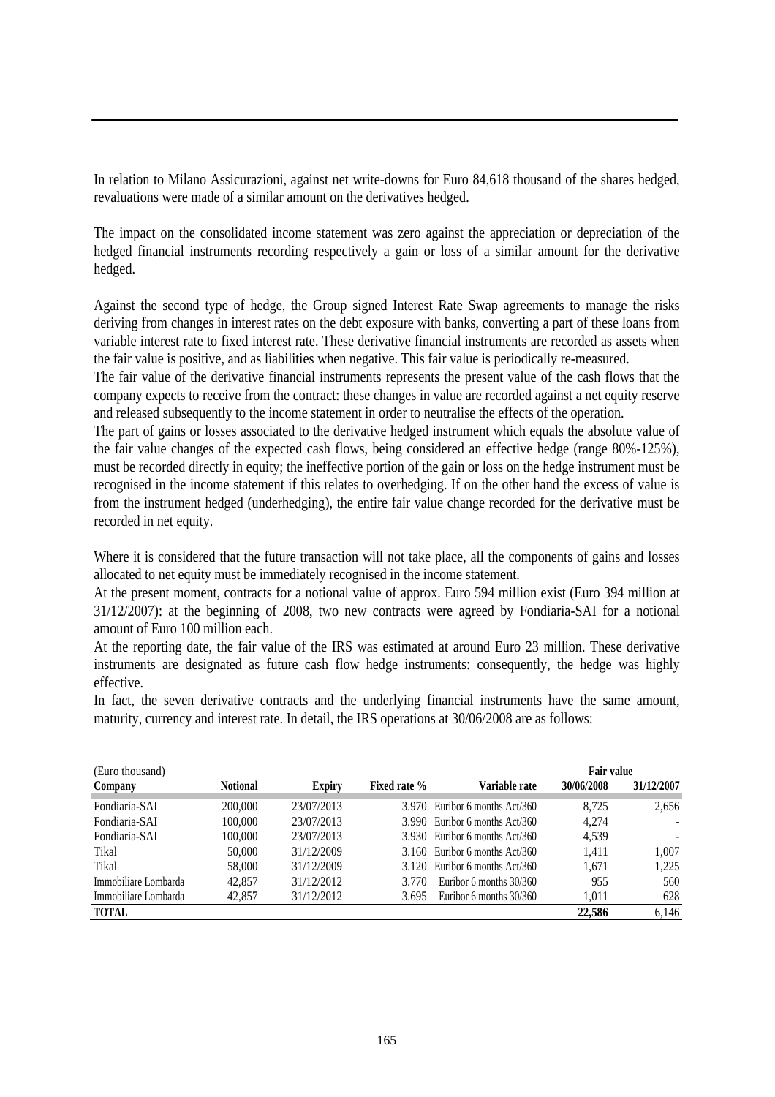In relation to Milano Assicurazioni, against net write-downs for Euro 84,618 thousand of the shares hedged, revaluations were made of a similar amount on the derivatives hedged.

The impact on the consolidated income statement was zero against the appreciation or depreciation of the hedged financial instruments recording respectively a gain or loss of a similar amount for the derivative hedged.

Against the second type of hedge, the Group signed Interest Rate Swap agreements to manage the risks deriving from changes in interest rates on the debt exposure with banks, converting a part of these loans from variable interest rate to fixed interest rate. These derivative financial instruments are recorded as assets when the fair value is positive, and as liabilities when negative. This fair value is periodically re-measured.

The fair value of the derivative financial instruments represents the present value of the cash flows that the company expects to receive from the contract: these changes in value are recorded against a net equity reserve and released subsequently to the income statement in order to neutralise the effects of the operation.

The part of gains or losses associated to the derivative hedged instrument which equals the absolute value of the fair value changes of the expected cash flows, being considered an effective hedge (range 80%-125%), must be recorded directly in equity; the ineffective portion of the gain or loss on the hedge instrument must be recognised in the income statement if this relates to overhedging. If on the other hand the excess of value is from the instrument hedged (underhedging), the entire fair value change recorded for the derivative must be recorded in net equity.

Where it is considered that the future transaction will not take place, all the components of gains and losses allocated to net equity must be immediately recognised in the income statement.

At the present moment, contracts for a notional value of approx. Euro 594 million exist (Euro 394 million at 31/12/2007): at the beginning of 2008, two new contracts were agreed by Fondiaria-SAI for a notional amount of Euro 100 million each.

At the reporting date, the fair value of the IRS was estimated at around Euro 23 million. These derivative instruments are designated as future cash flow hedge instruments: consequently, the hedge was highly effective.

In fact, the seven derivative contracts and the underlying financial instruments have the same amount, maturity, currency and interest rate. In detail, the IRS operations at 30/06/2008 are as follows:

| (Euro thousand)      |                 |               |              |                                  | <b>Fair value</b> |                          |
|----------------------|-----------------|---------------|--------------|----------------------------------|-------------------|--------------------------|
| Company              | <b>Notional</b> | <b>Expiry</b> | Fixed rate % | Variable rate                    | 30/06/2008        | 31/12/2007               |
| Fondiaria-SAI        | 200,000         | 23/07/2013    |              | 3.970 Euribor 6 months Act/360   | 8.725             | 2,656                    |
| Fondiaria-SAI        | 100,000         | 23/07/2013    |              | 3.990 Euribor 6 months Act/360   | 4.274             | $\blacksquare$           |
| Fondiaria-SAI        | 100,000         | 23/07/2013    |              | 3.930 Euribor 6 months Act/360   | 4,539             | $\overline{\phantom{a}}$ |
| Tikal                | 50,000          | 31/12/2009    |              | $3.160$ Euribor 6 months Act/360 | 1.411             | 1.007                    |
| Tikal                | 58,000          | 31/12/2009    |              | $3.120$ Euribor 6 months Act/360 | 1.671             | 1.225                    |
| Immobiliare Lombarda | 42,857          | 31/12/2012    | 3.770        | Euribor 6 months $30/360$        | 955               | 560                      |
| Immobiliare Lombarda | 42,857          | 31/12/2012    | 3.695        | Euribor 6 months $30/360$        | 1.011             | 628                      |
| <b>TOTAL</b>         |                 |               |              |                                  | 22,586            | 6,146                    |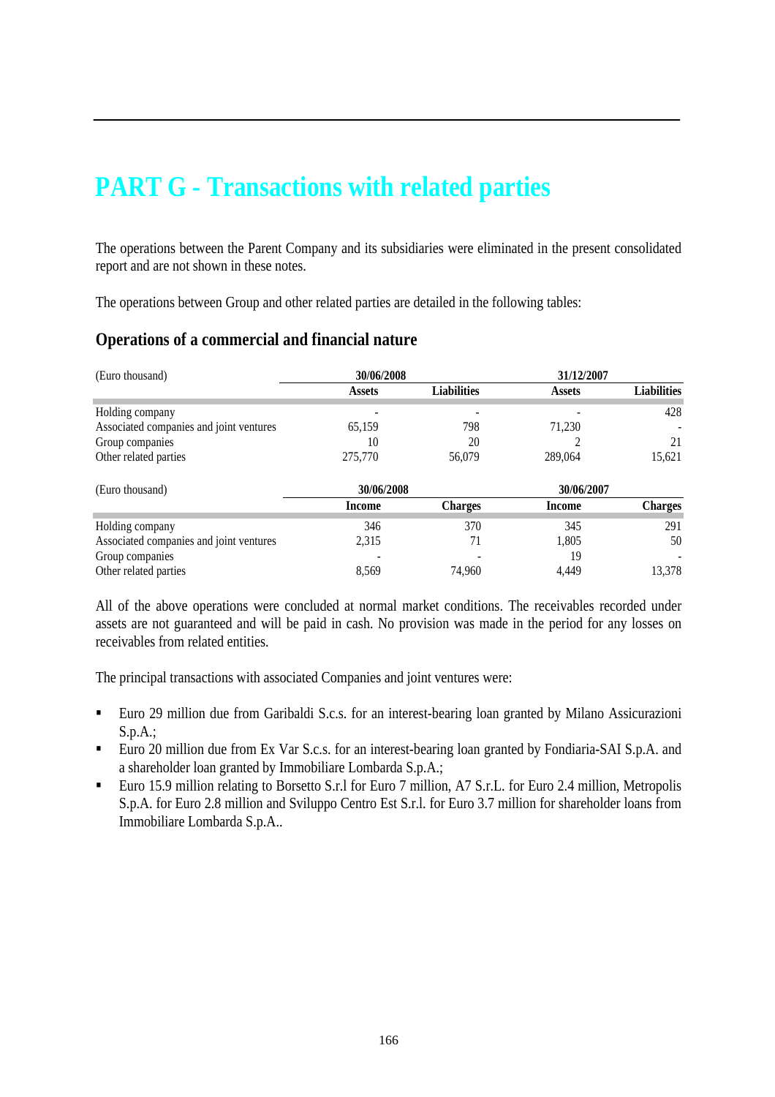## **PART G - Transactions with related parties**

The operations between the Parent Company and its subsidiaries were eliminated in the present consolidated report and are not shown in these notes.

The operations between Group and other related parties are detailed in the following tables:

### **Operations of a commercial and financial nature**

| (Euro thousand)                         | 30/06/2008    |                    | 31/12/2007    |                    |
|-----------------------------------------|---------------|--------------------|---------------|--------------------|
|                                         | <b>Assets</b> | <b>Liabilities</b> | <b>Assets</b> | <b>Liabilities</b> |
| Holding company                         |               |                    |               | 428                |
| Associated companies and joint ventures | 65,159        | 798                | 71,230        |                    |
| Group companies                         | 10            | 20                 |               | 21                 |
| Other related parties                   | 275,770       | 56,079             | 289,064       | 15,621             |
| (Euro thousand)                         | 30/06/2008    |                    | 30/06/2007    |                    |
|                                         | Income        | <b>Charges</b>     | Income        | <b>Charges</b>     |
| Holding company                         | 346           | 370                | 345           | 291                |
| Associated companies and joint ventures | 2,315         | 71                 | 1,805         | 50                 |
| Group companies                         |               |                    | 19            |                    |
| Other related parties                   | 8.569         | 74.960             | 4.449         | 13.378             |

All of the above operations were concluded at normal market conditions. The receivables recorded under assets are not guaranteed and will be paid in cash. No provision was made in the period for any losses on receivables from related entities.

The principal transactions with associated Companies and joint ventures were:

- Euro 29 million due from Garibaldi S.c.s. for an interest-bearing loan granted by Milano Assicurazioni S.p.A.;
- Euro 20 million due from Ex Var S.c.s. for an interest-bearing loan granted by Fondiaria-SAI S.p.A. and a shareholder loan granted by Immobiliare Lombarda S.p.A.;
- Euro 15.9 million relating to Borsetto S.r.l for Euro 7 million, A7 S.r.L. for Euro 2.4 million, Metropolis S.p.A. for Euro 2.8 million and Sviluppo Centro Est S.r.l. for Euro 3.7 million for shareholder loans from Immobiliare Lombarda S.p.A..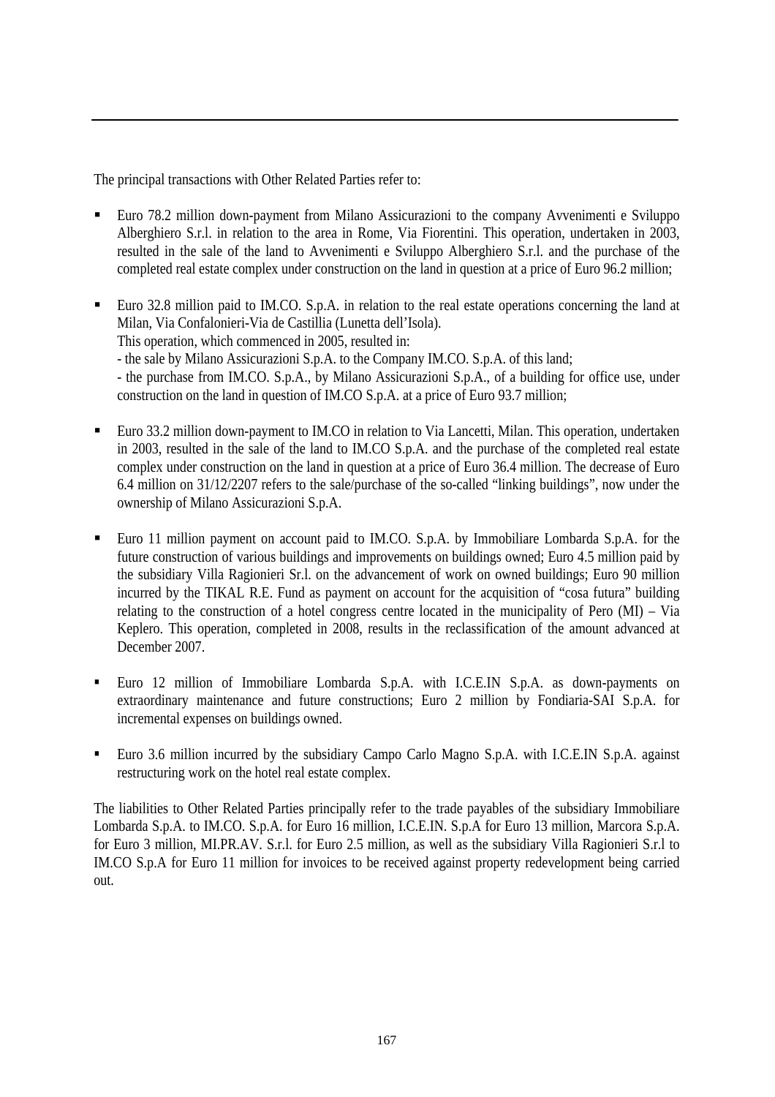The principal transactions with Other Related Parties refer to:

- Euro 78.2 million down-payment from Milano Assicurazioni to the company Avvenimenti e Sviluppo Alberghiero S.r.l. in relation to the area in Rome, Via Fiorentini. This operation, undertaken in 2003, resulted in the sale of the land to Avvenimenti e Sviluppo Alberghiero S.r.l. and the purchase of the completed real estate complex under construction on the land in question at a price of Euro 96.2 million;
- Euro 32.8 million paid to IM.CO. S.p.A. in relation to the real estate operations concerning the land at Milan, Via Confalonieri-Via de Castillia (Lunetta dell'Isola).

This operation, which commenced in 2005, resulted in:

- the sale by Milano Assicurazioni S.p.A. to the Company IM.CO. S.p.A. of this land;

- the purchase from IM.CO. S.p.A., by Milano Assicurazioni S.p.A., of a building for office use, under construction on the land in question of IM.CO S.p.A. at a price of Euro 93.7 million;

- Euro 33.2 million down-payment to IM.CO in relation to Via Lancetti, Milan. This operation, undertaken in 2003, resulted in the sale of the land to IM.CO S.p.A. and the purchase of the completed real estate complex under construction on the land in question at a price of Euro 36.4 million. The decrease of Euro 6.4 million on 31/12/2207 refers to the sale/purchase of the so-called "linking buildings", now under the ownership of Milano Assicurazioni S.p.A.
- Euro 11 million payment on account paid to IM.CO. S.p.A. by Immobiliare Lombarda S.p.A. for the future construction of various buildings and improvements on buildings owned; Euro 4.5 million paid by the subsidiary Villa Ragionieri Sr.l. on the advancement of work on owned buildings; Euro 90 million incurred by the TIKAL R.E. Fund as payment on account for the acquisition of "cosa futura" building relating to the construction of a hotel congress centre located in the municipality of Pero (MI) – Via Keplero. This operation, completed in 2008, results in the reclassification of the amount advanced at December 2007.
- Euro 12 million of Immobiliare Lombarda S.p.A. with I.C.E.IN S.p.A. as down-payments on extraordinary maintenance and future constructions; Euro 2 million by Fondiaria-SAI S.p.A. for incremental expenses on buildings owned.
- Euro 3.6 million incurred by the subsidiary Campo Carlo Magno S.p.A. with I.C.E.IN S.p.A. against restructuring work on the hotel real estate complex.

The liabilities to Other Related Parties principally refer to the trade payables of the subsidiary Immobiliare Lombarda S.p.A. to IM.CO. S.p.A. for Euro 16 million, I.C.E.IN. S.p.A for Euro 13 million, Marcora S.p.A. for Euro 3 million, MI.PR.AV. S.r.l. for Euro 2.5 million, as well as the subsidiary Villa Ragionieri S.r.l to IM.CO S.p.A for Euro 11 million for invoices to be received against property redevelopment being carried out.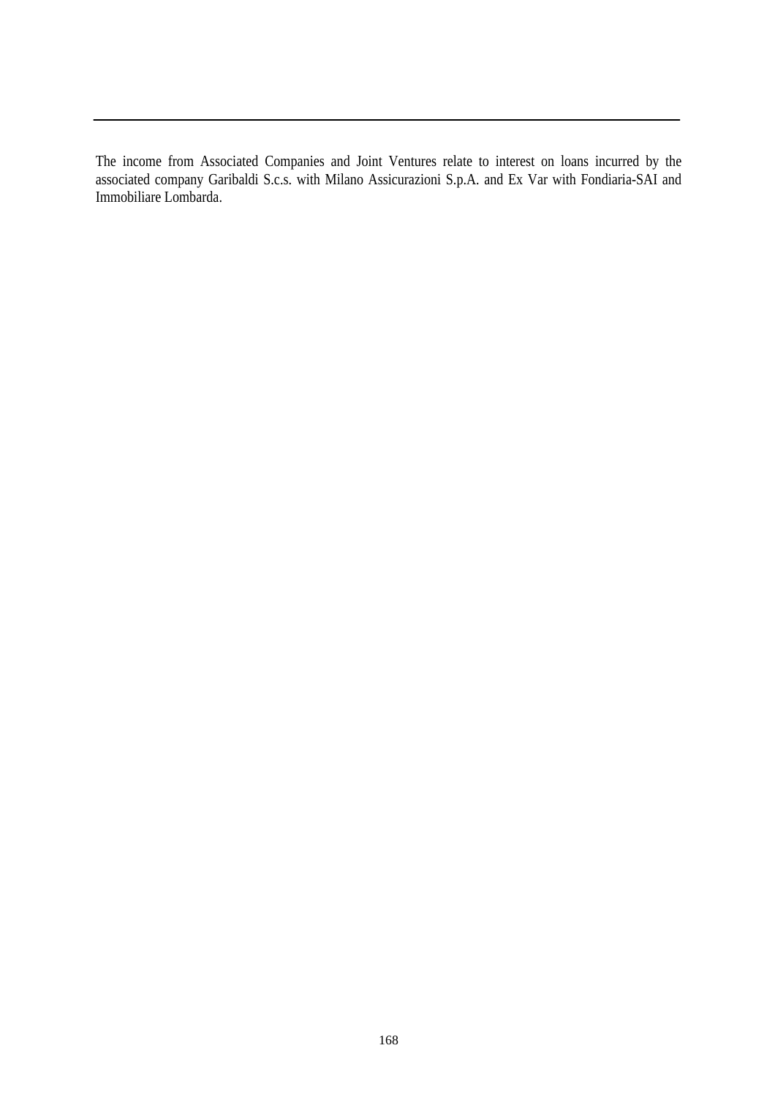The income from Associated Companies and Joint Ventures relate to interest on loans incurred by the associated company Garibaldi S.c.s. with Milano Assicurazioni S.p.A. and Ex Var with Fondiaria-SAI and Immobiliare Lombarda.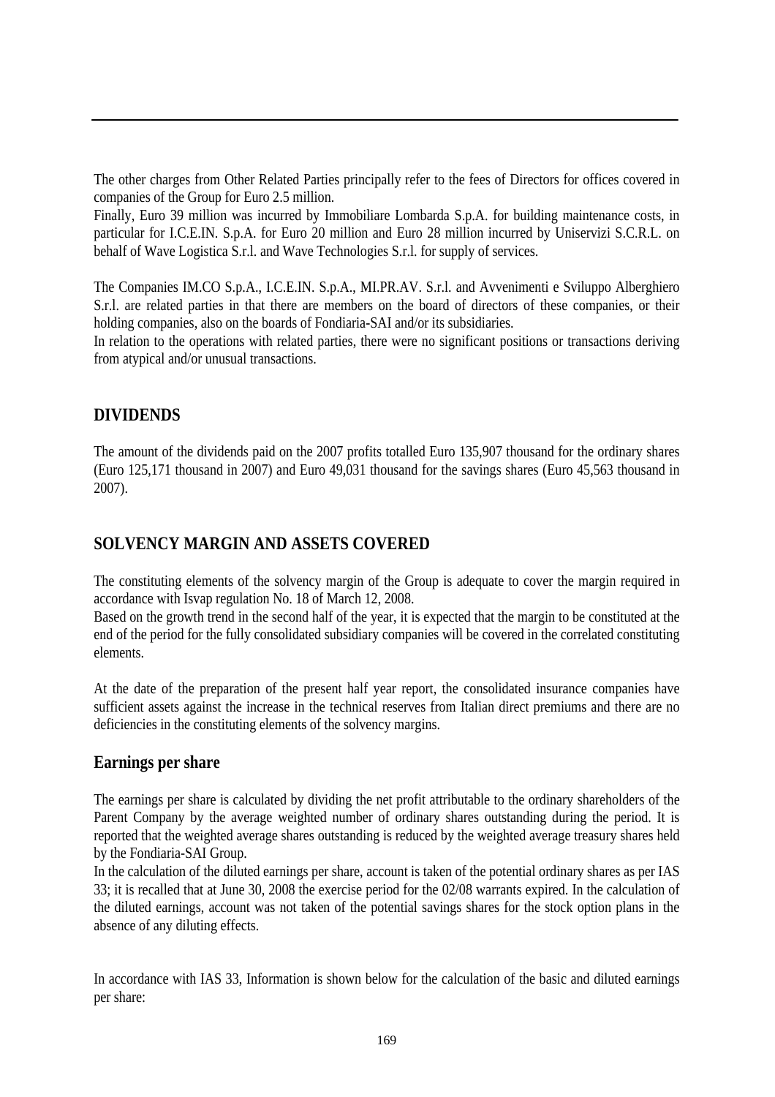The other charges from Other Related Parties principally refer to the fees of Directors for offices covered in companies of the Group for Euro 2.5 million.

Finally, Euro 39 million was incurred by Immobiliare Lombarda S.p.A. for building maintenance costs, in particular for I.C.E.IN. S.p.A. for Euro 20 million and Euro 28 million incurred by Uniservizi S.C.R.L. on behalf of Wave Logistica S.r.l. and Wave Technologies S.r.l. for supply of services.

The Companies IM.CO S.p.A., I.C.E.IN. S.p.A., MI.PR.AV. S.r.l. and Avvenimenti e Sviluppo Alberghiero S.r.l. are related parties in that there are members on the board of directors of these companies, or their holding companies, also on the boards of Fondiaria-SAI and/or its subsidiaries.

In relation to the operations with related parties, there were no significant positions or transactions deriving from atypical and/or unusual transactions.

### **DIVIDENDS**

The amount of the dividends paid on the 2007 profits totalled Euro 135,907 thousand for the ordinary shares (Euro 125,171 thousand in 2007) and Euro 49,031 thousand for the savings shares (Euro 45,563 thousand in 2007).

### **SOLVENCY MARGIN AND ASSETS COVERED**

The constituting elements of the solvency margin of the Group is adequate to cover the margin required in accordance with Isvap regulation No. 18 of March 12, 2008.

Based on the growth trend in the second half of the year, it is expected that the margin to be constituted at the end of the period for the fully consolidated subsidiary companies will be covered in the correlated constituting elements.

At the date of the preparation of the present half year report, the consolidated insurance companies have sufficient assets against the increase in the technical reserves from Italian direct premiums and there are no deficiencies in the constituting elements of the solvency margins.

### **Earnings per share**

The earnings per share is calculated by dividing the net profit attributable to the ordinary shareholders of the Parent Company by the average weighted number of ordinary shares outstanding during the period. It is reported that the weighted average shares outstanding is reduced by the weighted average treasury shares held by the Fondiaria-SAI Group.

In the calculation of the diluted earnings per share, account is taken of the potential ordinary shares as per IAS 33; it is recalled that at June 30, 2008 the exercise period for the 02/08 warrants expired. In the calculation of the diluted earnings, account was not taken of the potential savings shares for the stock option plans in the absence of any diluting effects.

In accordance with IAS 33, Information is shown below for the calculation of the basic and diluted earnings per share: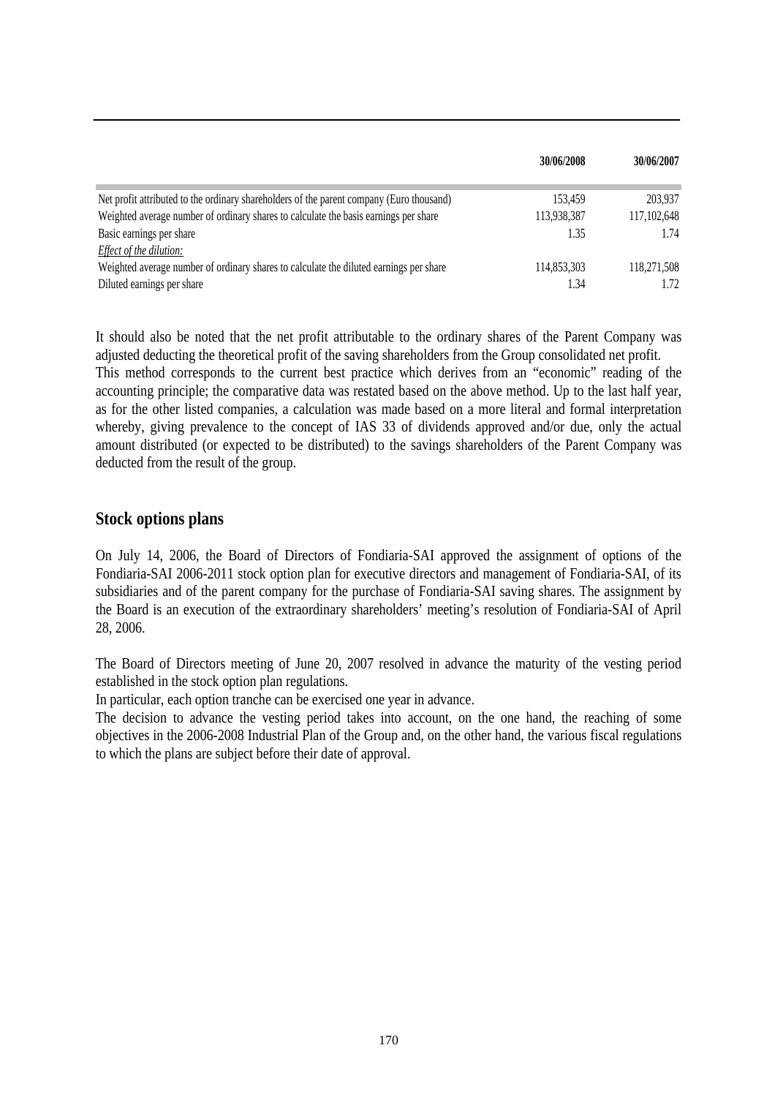|                                                                                          | 30/06/2008  | 30/06/2007  |
|------------------------------------------------------------------------------------------|-------------|-------------|
| Net profit attributed to the ordinary shareholders of the parent company (Euro thousand) | 153.459     | 203,937     |
| Weighted average number of ordinary shares to calculate the basis earnings per share     | 113,938,387 | 117,102,648 |
| Basic earnings per share                                                                 | 1.35        | 1.74        |
| Effect of the dilution:                                                                  |             |             |
| Weighted average number of ordinary shares to calculate the diluted earnings per share   | 114,853,303 | 118,271,508 |
| Diluted earnings per share                                                               | 1.34        | 1.72        |

It should also be noted that the net profit attributable to the ordinary shares of the Parent Company was adjusted deducting the theoretical profit of the saving shareholders from the Group consolidated net profit.

This method corresponds to the current best practice which derives from an "economic" reading of the accounting principle; the comparative data was restated based on the above method. Up to the last half year, as for the other listed companies, a calculation was made based on a more literal and formal interpretation whereby, giving prevalence to the concept of IAS 33 of dividends approved and/or due, only the actual amount distributed (or expected to be distributed) to the savings shareholders of the Parent Company was deducted from the result of the group.

#### **Stock options plans**

On July 14, 2006, the Board of Directors of Fondiaria-SAI approved the assignment of options of the Fondiaria-SAI 2006-2011 stock option plan for executive directors and management of Fondiaria-SAI, of its subsidiaries and of the parent company for the purchase of Fondiaria-SAI saving shares. The assignment by the Board is an execution of the extraordinary shareholders' meeting's resolution of Fondiaria-SAI of April 28, 2006.

The Board of Directors meeting of June 20, 2007 resolved in advance the maturity of the vesting period established in the stock option plan regulations.

In particular, each option tranche can be exercised one year in advance.

The decision to advance the vesting period takes into account, on the one hand, the reaching of some objectives in the 2006-2008 Industrial Plan of the Group and, on the other hand, the various fiscal regulations to which the plans are subject before their date of approval.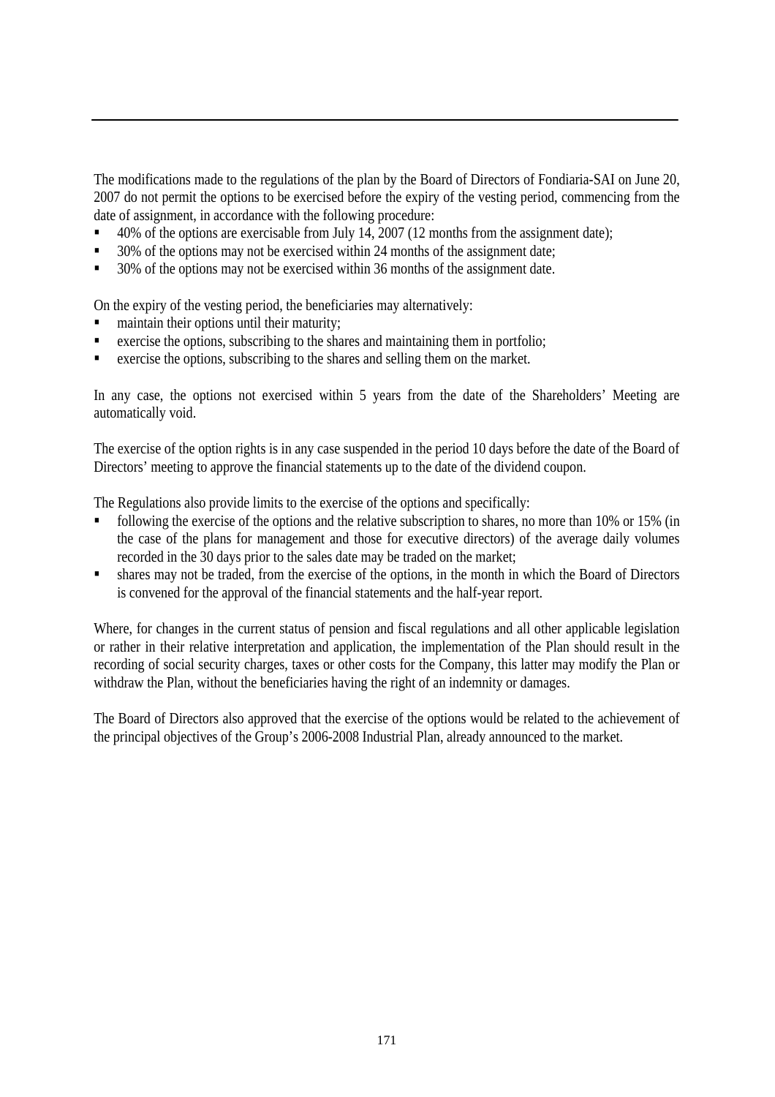The modifications made to the regulations of the plan by the Board of Directors of Fondiaria-SAI on June 20, 2007 do not permit the options to be exercised before the expiry of the vesting period, commencing from the date of assignment, in accordance with the following procedure:

- 40% of the options are exercisable from July 14, 2007 (12 months from the assignment date);
- 30% of the options may not be exercised within 24 months of the assignment date;
- 30% of the options may not be exercised within 36 months of the assignment date.

On the expiry of the vesting period, the beneficiaries may alternatively:

- maintain their options until their maturity;
- exercise the options, subscribing to the shares and maintaining them in portfolio;
- exercise the options, subscribing to the shares and selling them on the market.

In any case, the options not exercised within 5 years from the date of the Shareholders' Meeting are automatically void.

The exercise of the option rights is in any case suspended in the period 10 days before the date of the Board of Directors' meeting to approve the financial statements up to the date of the dividend coupon.

The Regulations also provide limits to the exercise of the options and specifically:

- following the exercise of the options and the relative subscription to shares, no more than 10% or 15% (in the case of the plans for management and those for executive directors) of the average daily volumes recorded in the 30 days prior to the sales date may be traded on the market;
- shares may not be traded, from the exercise of the options, in the month in which the Board of Directors is convened for the approval of the financial statements and the half-year report.

Where, for changes in the current status of pension and fiscal regulations and all other applicable legislation or rather in their relative interpretation and application, the implementation of the Plan should result in the recording of social security charges, taxes or other costs for the Company, this latter may modify the Plan or withdraw the Plan, without the beneficiaries having the right of an indemnity or damages.

The Board of Directors also approved that the exercise of the options would be related to the achievement of the principal objectives of the Group's 2006-2008 Industrial Plan, already announced to the market.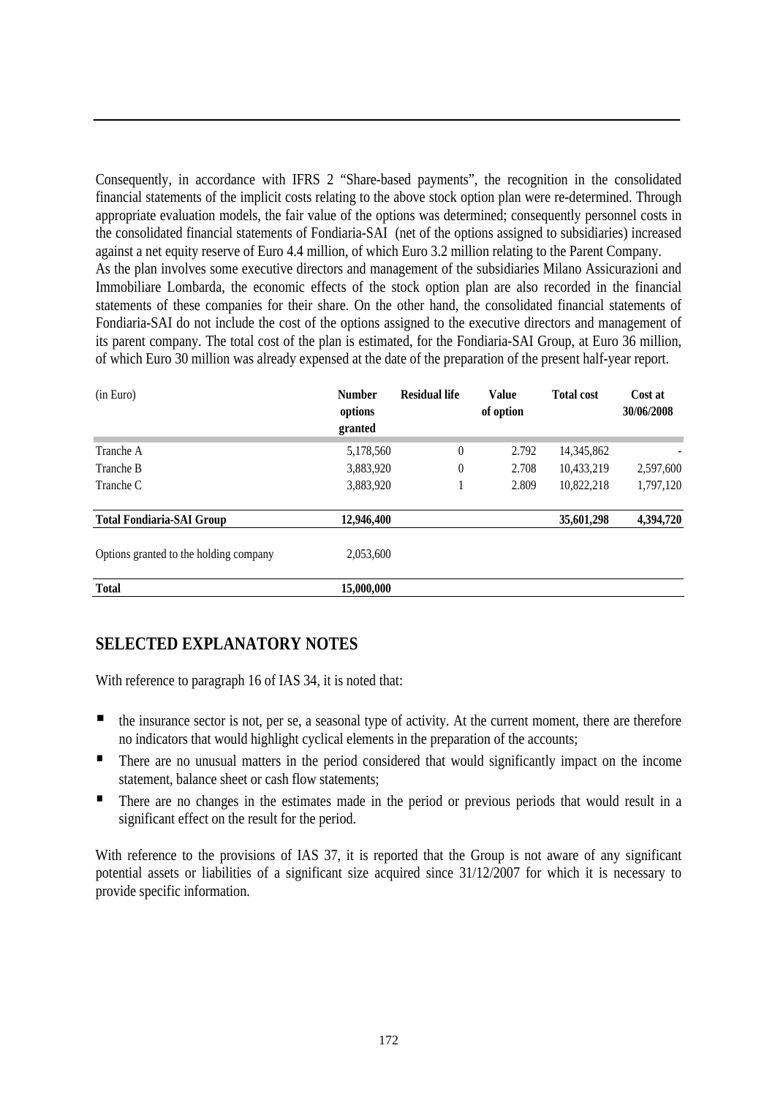Consequently, in accordance with IFRS 2 "Share-based payments", the recognition in the consolidated financial statements of the implicit costs relating to the above stock option plan were re-determined. Through appropriate evaluation models, the fair value of the options was determined; consequently personnel costs in the consolidated financial statements of Fondiaria-SAI (net of the options assigned to subsidiaries) increased against a net equity reserve of Euro 4.4 million, of which Euro 3.2 million relating to the Parent Company. As the plan involves some executive directors and management of the subsidiaries Milano Assicurazioni and Immobiliare Lombarda, the economic effects of the stock option plan are also recorded in the financial statements of these companies for their share. On the other hand, the consolidated financial statements of Fondiaria-SAI do not include the cost of the options assigned to the executive directors and management of its parent company. The total cost of the plan is estimated, for the Fondiaria-SAI Group, at Euro 36 million, of which Euro 30 million was already expensed at the date of the preparation of the present half-year report.

| (in Euro)                              | <b>Number</b><br>options<br>granted | <b>Residual life</b> | <b>Value</b><br>of option | <b>Total cost</b> | Cost at<br>30/06/2008 |
|----------------------------------------|-------------------------------------|----------------------|---------------------------|-------------------|-----------------------|
| Tranche A                              | 5,178,560                           | $\boldsymbol{0}$     | 2.792                     | 14,345,862        |                       |
| Tranche B                              | 3,883,920                           | 0                    | 2.708                     | 10,433,219        | 2,597,600             |
| Tranche C                              | 3,883,920                           |                      | 2.809                     | 10,822,218        | 1,797,120             |
| <b>Total Fondiaria-SAI Group</b>       | 12,946,400                          |                      |                           | 35,601,298        | 4,394,720             |
| Options granted to the holding company | 2,053,600                           |                      |                           |                   |                       |
| <b>Total</b>                           | 15,000,000                          |                      |                           |                   |                       |

### **SELECTED EXPLANATORY NOTES**

With reference to paragraph 16 of IAS 34, it is noted that:

- $\blacksquare$  the insurance sector is not, per se, a seasonal type of activity. At the current moment, there are therefore no indicators that would highlight cyclical elements in the preparation of the accounts;
- **There are no unusual matters in the period considered that would significantly impact on the income** statement, balance sheet or cash flow statements;
- There are no changes in the estimates made in the period or previous periods that would result in a significant effect on the result for the period.

With reference to the provisions of IAS 37, it is reported that the Group is not aware of any significant potential assets or liabilities of a significant size acquired since 31/12/2007 for which it is necessary to provide specific information.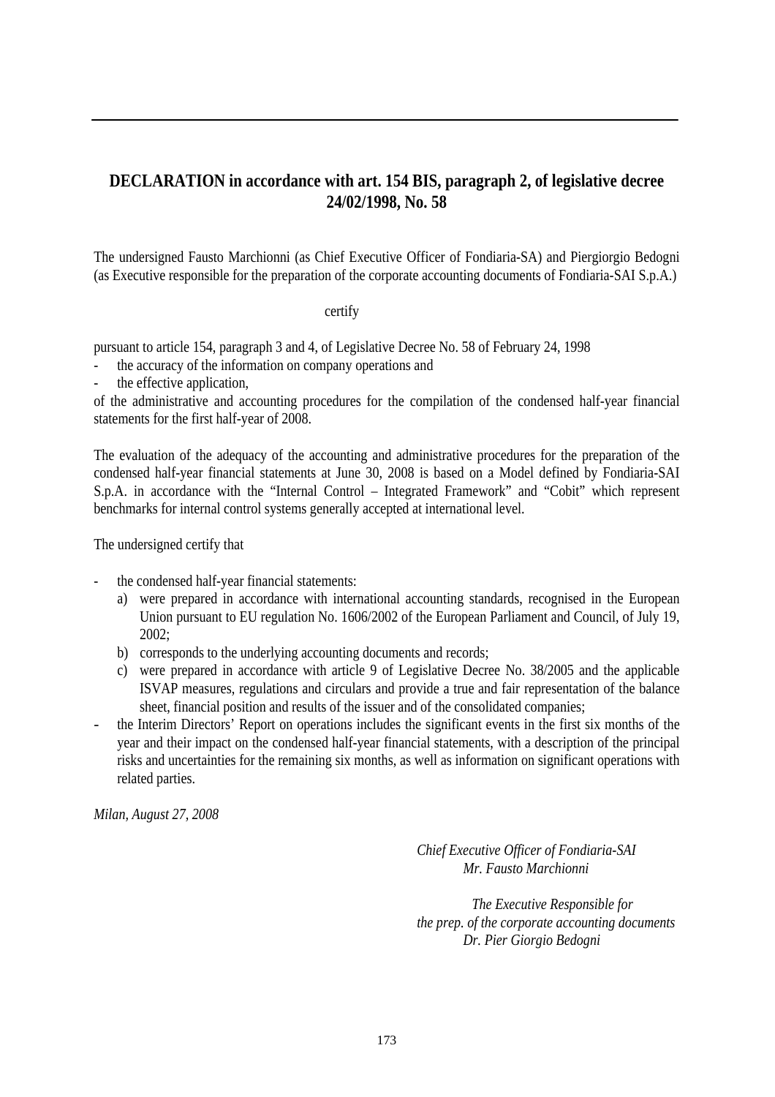### **DECLARATION in accordance with art. 154 BIS, paragraph 2, of legislative decree 24/02/1998, No. 58**

The undersigned Fausto Marchionni (as Chief Executive Officer of Fondiaria-SA) and Piergiorgio Bedogni (as Executive responsible for the preparation of the corporate accounting documents of Fondiaria-SAI S.p.A.)

#### certify

pursuant to article 154, paragraph 3 and 4, of Legislative Decree No. 58 of February 24, 1998

- the accuracy of the information on company operations and
- the effective application.

of the administrative and accounting procedures for the compilation of the condensed half-year financial statements for the first half-year of 2008.

The evaluation of the adequacy of the accounting and administrative procedures for the preparation of the condensed half-year financial statements at June 30, 2008 is based on a Model defined by Fondiaria-SAI S.p.A. in accordance with the "Internal Control – Integrated Framework" and "Cobit" which represent benchmarks for internal control systems generally accepted at international level.

The undersigned certify that

- the condensed half-year financial statements:
	- a) were prepared in accordance with international accounting standards, recognised in the European Union pursuant to EU regulation No. 1606/2002 of the European Parliament and Council, of July 19, 2002;
	- b) corresponds to the underlying accounting documents and records;
	- c) were prepared in accordance with article 9 of Legislative Decree No. 38/2005 and the applicable ISVAP measures, regulations and circulars and provide a true and fair representation of the balance sheet, financial position and results of the issuer and of the consolidated companies;
- the Interim Directors' Report on operations includes the significant events in the first six months of the year and their impact on the condensed half-year financial statements, with a description of the principal risks and uncertainties for the remaining six months, as well as information on significant operations with related parties.

*Milan, August 27, 2008* 

 *Chief Executive Officer of Fondiaria-SAI Mr. Fausto Marchionni* 

 *The Executive Responsible for the prep. of the corporate accounting documents Dr. Pier Giorgio Bedogni*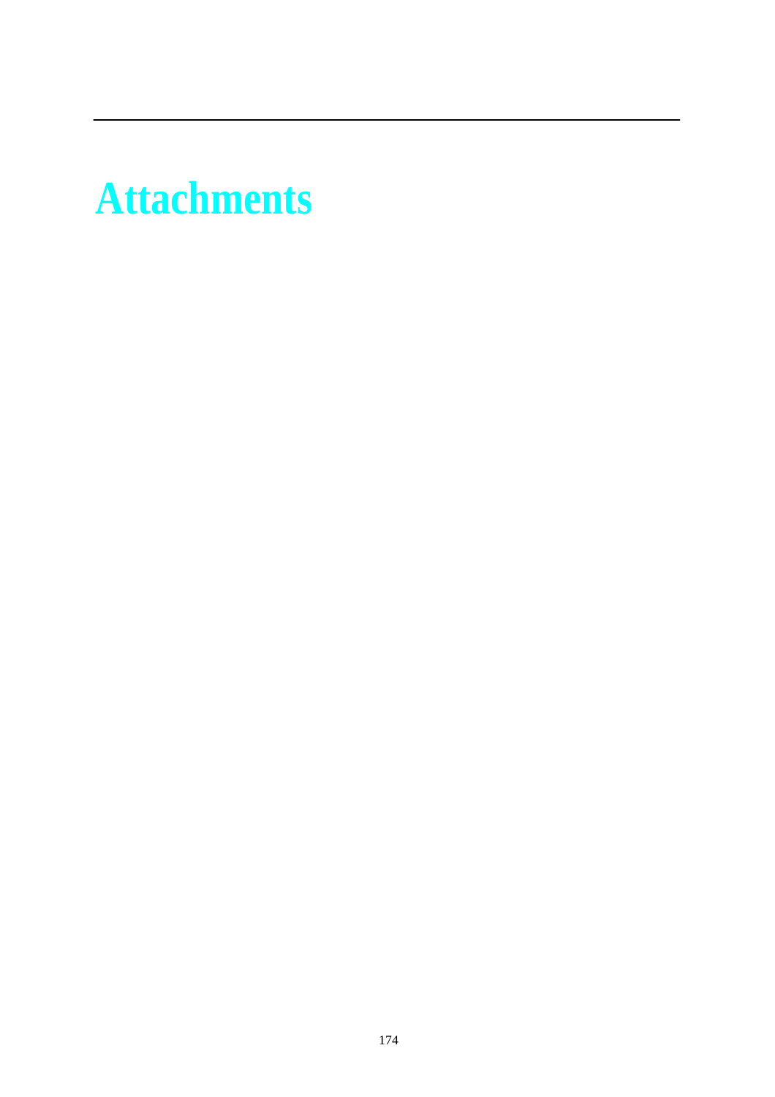# **Attachments**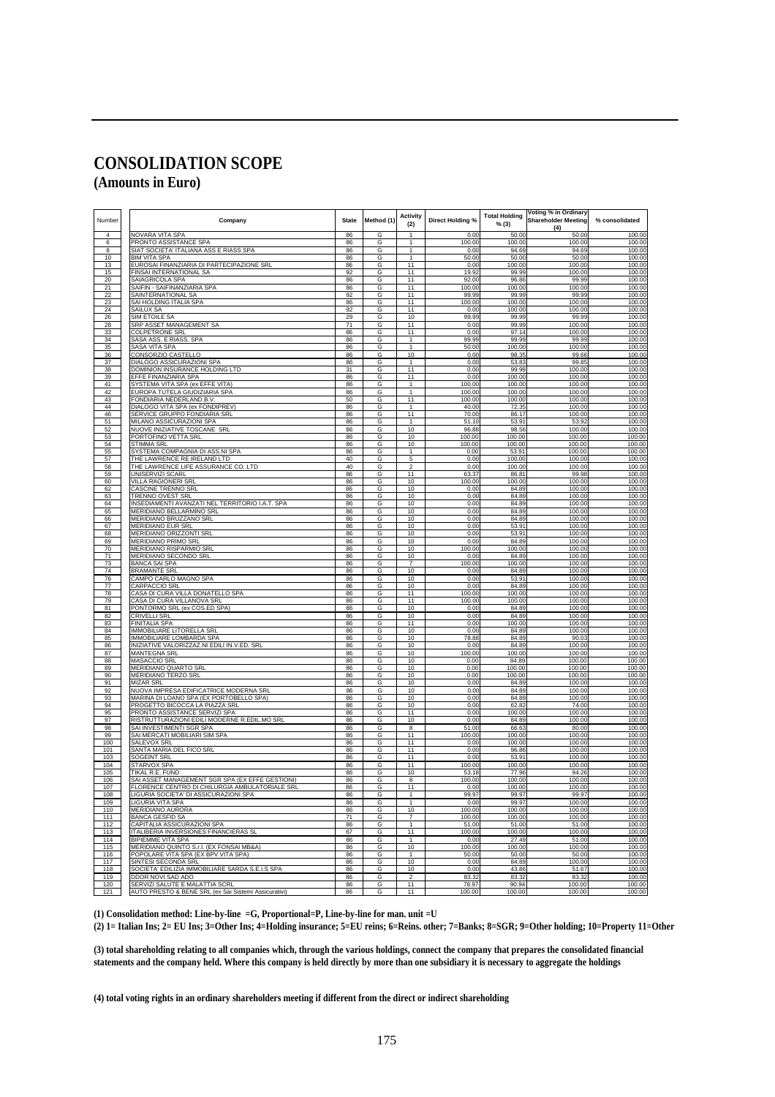### **CONSOLIDATION SCOPE**

**(Amounts in Euro)** 

| Number          | Company<br><b>State</b>                                              |          | Method (1         | <b>Activity</b><br>(2)       | <b>Direct Holding %</b> | <b>Total Holding</b><br>% (3) | Voting % in Ordinary<br><b>Shareholder Meeting</b><br>(4) | % consolidated   |
|-----------------|----------------------------------------------------------------------|----------|-------------------|------------------------------|-------------------------|-------------------------------|-----------------------------------------------------------|------------------|
| $\Delta$        | <b>NOVARA VITA SPA</b>                                               | 86       | G                 | $\mathbf{1}$                 | 0.00                    | 50.00                         | 50.00                                                     | 100.00           |
| 6               | <b>PRONTO ASSISTANCE SPA</b>                                         | 86       | G                 | 1                            | 100.00                  | 100.00                        | 100.00                                                    | 100.00           |
| 8               | SIAT SOCIETA' ITALIANA ASS E RIASS SPA                               | 86       | G                 | $\mathbf{1}$<br>$\mathbf{1}$ | 0.00                    | 94.69                         | 94.69                                                     | 100.00           |
| 10<br>13        | <b>BIM VITA SPA</b><br>EUROSAI FINANZIARIA DI PARTECIPAZIONE SRL     | 86<br>86 | G<br>G            | 11                           | 50.00<br>0.00           | 50.00<br>100.00               | 50.00<br>100.00                                           | 100.00<br>100.00 |
| 15              | FINSAI INTERNATIONAL SA                                              | 92       | G                 | 11                           | 19.92                   | 99.99                         | 100.00                                                    | 100.00           |
| 20              | SAIAGRICOLA SPA                                                      | 86       | G                 | 11                           | 92.00                   | 96.86                         | 99.99                                                     | 100.00           |
| 21              | SAIFIN - SAIFINANZIARIA SPA                                          | 86       | G                 | 11                           | 100.00                  | 100.00                        | 100.00                                                    | 100.00           |
| $\overline{22}$ | SAINTERNATIONAL SA                                                   | 92       | G                 | 11                           | 99.99                   | 99.99                         | 99.99                                                     | 100.00           |
| 23              | SAI HOLDING ITALIA SPA                                               | 86       | G                 | 11                           | 100.00                  | 100.00                        | 100.00                                                    | 100.00           |
| 24              | SAILUX SA                                                            | 92<br>29 | G                 | 11<br>10                     | 0.00<br>99.99           | 100.00<br>99.99               | 100.00<br>99.99                                           | 100.00           |
| 26<br>28        | SIM ETOILE SA<br>SRP ASSET MANAGEMENT SA                             | 71       | G<br>G            | 11                           | 0.00                    | 99.99                         | 100.00                                                    | 100.00<br>100.00 |
| 33              | COLPETRONE SRL                                                       | 86       | G                 | 11                           | 0.00                    | 97.14                         | 100.00                                                    | 100.00           |
| 34              | SASA ASS, E RIASS, SPA                                               | 86       | G                 | $\mathbf{1}$                 | 99.99                   | 99.99                         | 99.99                                                     | 100.00           |
| 35              | SASA VITA SPA                                                        | 86       | G                 | $\mathbf{1}$                 | 50.00                   | 100.00                        | 100.00                                                    | 100.00           |
| 36              | CONSORZIO CASTELLO                                                   | 86       | G                 | 10                           | 0.00                    | 98.35                         | 99.66                                                     | 100.00           |
| 37              | DIALOGO ASSICURAZIONI SPA                                            | 86       | G                 | $\mathbf{1}$                 | 0.00                    | 53.83                         | 99.85                                                     | 100.00           |
| 38              | DOMINION INSURANCE HOLDING LTD                                       | 31       | G                 | 11<br>11                     | 0.00<br>0.00            | 99.99<br>100.00               | 100.00                                                    | 100.00<br>100.00 |
| 39<br>41        | <u>EFFE FINANZIARIA SPA</u><br>SYSTEMA VITA SPA (ex EFFE VITA)       | 86<br>86 | $\mathsf{G}$<br>G | 1                            | 100.00                  | 100.00                        | 100.00<br>100.00                                          | 100.00           |
| 42              | EUROPA TUTELA GIUDIZIARIA SPA                                        | 86       | G                 | 1                            | 100.00                  | 100.00                        | 100.00                                                    | 100.00           |
| 43              | FONDIARIA NEDERLAND B.V.                                             | 50       | G                 | 11                           | 100.00                  | 100.00                        | 100.00                                                    | 100.00           |
| 44              | DIALOGO VITA SPA (ex FONDIPREV)                                      | 86       | G                 | 1                            | 40.00                   | 72.35                         | 100.00                                                    | 100.00           |
| 46              | SERVICE GRUPPO FONDIARIA SRL                                         | 86       | G                 | 11                           | 70.00                   | 86.17                         | 100.00                                                    | 100.00           |
| 51<br>52        | MILANO ASSICURAZIONI SPA<br>NUOVE INIZIATIVE TOSCANE SRL             | 86<br>86 | G<br>G            | $\mathbf{1}$<br>10           | 51.10<br>96.88          | 53.91<br>98.56                | 53.92<br>100.00                                           | 100.00<br>100.00 |
| 53              | PORTOFINO VETTA SRL                                                  | 86       | G                 | 10                           | 100.00                  | 100.00                        | 100.00                                                    | 100.00           |
| 54              | STIMMA SRL                                                           | 86       | G                 | 10                           | 100.00                  | 100.00                        | 100.00                                                    | 100.00           |
| 55              | SYSTEMA COMPAGNIA DI ASS.NI SPA                                      | 86       | G                 | $\mathbf{1}$                 | 0.00                    | 53.91                         | 100.00                                                    | 100.00           |
| 57              | THE LAWRENCE RE IRELAND LTD                                          | 40       | G                 | $\overline{5}$               | 0.00                    | 100.00                        | 100.00                                                    | 100.00           |
| 58              | THE LAWRENCE LIFE ASSURANCE CO. LTD                                  | 40       | G                 | $\overline{\mathbf{c}}$      | 0.00                    | 100.00                        | 100.00                                                    | 100.00           |
| 59              | JNISERVIZI SCARL<br><b>VILLA RAGIONERI SRL</b>                       | 86       | G<br>G            | 11<br>10                     | 63.3<br>100.00          | 86.81                         | 99.98<br>100.00                                           | 100.00<br>100.00 |
| 60<br>62        | CASCINE TRENNO SRI                                                   | 86<br>86 | G                 | 10                           | 0.00                    | 100.00<br>84.89               | 100.00                                                    | 100.00           |
| 63              | TRENNO OVEST SRL                                                     | 86       | G                 | 10                           | 0.00                    | 84.89                         | 100.00                                                    | 100.00           |
| 64              | INSEDIAMENTI AVANZATI NEL TERRITORIO I.A.T. SPA                      | 86       | G                 | 10                           | 0.00                    | 84.89                         | 100.00                                                    | 100.00           |
| 65              | MERIDIANO BELLARMINO SRL                                             | 86       | G                 | 10                           | 0.00                    | 84.89                         | 100.00                                                    | 100.00           |
| 66              | MERIDIANO BRUZZANO SRL                                               | 86       | G                 | 10                           | 0.00                    | 84.89                         | 100.00                                                    | 100.00           |
| 67<br>68        | MERIDIANO EUR SRL<br>MERIDIANO ORIZZONTI SRL                         | 86<br>86 | G<br>G            | 10<br>10                     | 0.00<br>0.00            | 53.91<br>53.91                | 100.00<br>100.00                                          | 100.00<br>100.00 |
| 69              | <b>MERIDIANO PRIMO SRI</b>                                           | 86       | $\mathsf{G}$      | 10                           | 0.00                    | 84.89                         | 100.00                                                    | 100.00           |
| 70              | <b>MERIDIANO RISPARMIO SRL</b>                                       | 86       | G                 | 10                           | 100.00                  | 100.00                        | 100.00                                                    | 100.00           |
| 71              | MERIDIANO SECONDO SRL                                                | 86       | G                 | 10                           | 0.00                    | 84.89                         | 100.00                                                    | 100.00           |
| 73              | <b>BANCA SAI SPA</b>                                                 | 86       | G                 | $\overline{7}$               | 100.00                  | 100.00                        | 100.00                                                    | 100.00           |
| 74<br>76        | <b>BRAMANTE SRL</b><br>CAMPO CARLO MAGNO SPA                         | 86<br>86 | G<br>G            | 10<br>10                     | 0.00<br>0.00            | 84.89<br>53.91                | 100.00<br>100.00                                          | 100.00<br>100.00 |
| 77              | CARPACCIO SRL                                                        | 86       | G                 | 10                           | 0.00                    | 84.89                         | 100.00                                                    | 100.00           |
| 78              | CASA DI CURA VILLA DONATELLO SPA                                     | 86       | G                 | 11                           | 100.00                  | 100.00                        | 100.00                                                    | 100.00           |
| 79              | CASA DI CURA VILLANOVA SRL                                           | 86       | G                 | 11                           | 100.00                  | 100.00                        | 100.00                                                    | 100.00           |
| 81<br>82        | PONTORMO SRL (ex COS.ED SPA)                                         | 86       | G                 | 10<br>10                     | 0.00<br>0.00            | 84.89<br>84.89                | 100.00<br>100.00                                          | 100.00<br>100.00 |
| 83              | CRIVELLI SRL<br><b>FINITALIA SPA</b>                                 | 86<br>86 | G<br>$\mathsf{G}$ | 11                           | 0.00                    | 100.00                        | 100.00                                                    | 100.00           |
| 84              | MMOBILIARE LITORELLA SRL                                             | 86       | G                 | 10                           | 0.00                    | 84.89                         | 100.00                                                    | 100.00           |
| 85              | IMMOBILIARE LOMBARDA SPA                                             | 86       | G                 | 10                           | 78.88                   | 84.89                         | 90.03                                                     | 100.00           |
| 86              | INIZIATIVE VALORIZZAZ.NI EDILI IN.V.ED. SRL                          | 86       | G                 | 10                           | 0.00                    | 84.89                         | 100.00                                                    | 100.00           |
| 87<br>88        | <b>MANTEGNA SRL</b><br>MASACCIO SRL                                  | 86<br>86 | G<br>G            | 10<br>10                     | 100.00<br>0.00          | 100.00<br>84.89               | 100.00<br>100.00                                          | 100.00<br>100.00 |
| 89              | <b>MERIDIANO QUARTO SRI</b>                                          | 86       | G                 | 10                           | 0.00                    | 100.00                        | 100.00                                                    | 100.00           |
| 90              | MERIDIANO TERZO SRL                                                  | 86       | G                 | 10                           | 0.00                    | 100.00                        | 100.00                                                    | 100.00           |
| 91              | <b>MIZAR SRL</b>                                                     | 86       | G                 | 10                           | 0.00                    | 84.89                         | 100.00                                                    | 100.00           |
| 92              | NUOVA IMPRESA EDIFICATRICE MODERNA SRL                               | 86       | G                 | 10                           | 0.00                    | 84.89                         | 100.00                                                    | 100.00           |
| 93              | MARINA DI LOANO SPA (EX PORTOBELLO SPA)                              | 86       | G                 | 10                           | 0.00                    | 84.89                         | 100.00                                                    | 100.00           |
| 94<br>95        | PROGETTO BICOCCA LA PIAZZA SRI<br>PRONTO ASSISTANCE SERVIZI SPA      | 86<br>86 | G<br>G            | 10<br>11                     | 0.00<br>0.00            | 62.82<br>100.00               | 74.00<br>100.00                                           | 100.00<br>100.00 |
| 97              | RISTRUTTURAZIONI EDILI MODERNE R.EDIL.MO SRL                         | 86       | G                 | 10                           | 0.00                    | 84.89                         | 100.00                                                    | 100.00           |
| 98              | SAI INVESTIMENTI SGR SF                                              | 86       | G                 | 8                            | 51.0                    | 66.6                          | 80.00                                                     | 100.00           |
| 99              | SAI MERCATI MOBILIARI SIM SPA                                        | 86       | G                 | 11                           | 100.00                  | 100.00                        | 100.00                                                    | 100.00           |
| 100             | SALEVOX SRI                                                          | 86       | G                 | 11                           | 0.00                    | 100.00                        | 100.00                                                    | 100.00           |
| 101<br>103      | SANTA MARIA DEL FICO SRL<br>SOGEINT SRL                              | 86<br>86 | G<br>G            | 11<br>11                     | 0.00<br>0.00            | 96.86<br>53.91                | 100.00<br>100.00                                          | 100.00<br>100.00 |
| 104             | <b>STARVOX SPA</b>                                                   | 86       | G                 | 11                           | 100.00                  | 100.00                        | 100.00                                                    | 100.00           |
| 105             | <b>TIKAL R.E. FUND</b>                                               | 86       | G                 | 10                           | 53.18                   | 77.96                         | 94.26                                                     | 100.00           |
| 106             | SAI ASSET MANAGEMENT SGR SPA (EX EFFE GESTIONI)                      | 86       | G                 | 8                            | 100.00                  | 100.00                        | 100.00                                                    | 100.00           |
| 107             | FLORENCE CENTRO DI CHILURGIA AMBULATORIALE SRI                       | 86       | G                 | 11                           | 0.00                    | 100.00                        | 100.00                                                    | 100.00           |
| 108             | IGURIA SOCIETA' DI ASSICURA.                                         | 86<br>86 | G                 | 1                            | 99.9<br>0.00            | 99.9.<br>99.97                | 99.9                                                      | 100.00           |
| 109<br>110      | LIGURIA VITA SPA<br><b>MERIDIANO AURORA</b>                          | 86       | G<br>G            | 10                           | 100.00                  | 100.00                        | 100.00<br>100.00                                          | 100.00<br>100.00 |
| 111             | <b>BANCA GESFID SA</b>                                               | 71       | G                 | $\overline{7}$               | 100.00                  | 100.00                        | 100.00                                                    | 100.00           |
| 112             | CAPITALIA ASSICURAZIONI SPA                                          | 86       | G                 | 1                            | 51.00                   | 51.00                         | 51.00                                                     | 100.00           |
| 113             | ITALIBERIA INVERSIONES FINANCIERAS SL                                | 67       | G                 | 11                           | 100.00                  | 100.00                        | 100.00                                                    | 100.00           |
| 114<br>115      | <b>BIPIEMME VITA SPA</b><br>MERIDIANO QUINTO S.r.I. (EX FONSAI MB&A) | 86<br>86 | G<br>G            | $\mathbf{1}$<br>10           | 0.00<br>100.00          | 27.49<br>100.00               | 51.00<br>100.00                                           | 100.00<br>100.00 |
| 116             | POPOLARE VITA SPA (EX BPV VITA SPA)                                  | 86       | G                 | $\mathbf{1}$                 | 50.00                   | 50.00                         | 50.00                                                     | 100.00           |
| 117             | SINTESI SECONDA SRL                                                  | 86       | G                 | 10                           | 0.00                    | 84.89                         | 100.00                                                    | 100.00           |
| 118             | SOCIETA' EDILIZIA IMMOBILIARE SARDA S.E.I.S SPA                      | 86       | G                 | 10                           | 0.00                    | 43.86                         | 51.67                                                     | 100.00           |
| 119<br>120      | DDOR NOVI SAD ADO<br>SERVIZI SALUTE E MALATTIA SCRL                  | 86<br>86 | G<br>G            | $\overline{2}$<br>11         | 83.32<br>78.97          | 83.32<br>90.94                | 83.32<br>100.00                                           | 100.00<br>100.00 |
| 121             | AUTO PRESTO & BENE SRL (ex Sai Sistemi Assicurativi)                 | 86       | G                 | 11                           | 100.00                  | 100.00                        | 100.00                                                    | 100.00           |

**(1) Consolidation method: Line-by-line =G, Proportional=P, Line-by-line for man. unit =U** 

**(2) 1= Italian Ins; 2= EU Ins; 3=Other Ins; 4=Holding insurance; 5=EU reins; 6=Reins. other; 7=Banks; 8=SGR; 9=Other holding; 10=Property 11=Other**

**(3) total shareholding relating to all companies which, through the various holdings, connect the company that prepares the consolidated financial statements and the company held. Where this company is held directly by more than one subsidiary it is necessary to aggregate the holdings** 

**(4) total voting rights in an ordinary shareholders meeting if different from the direct or indirect shareholding**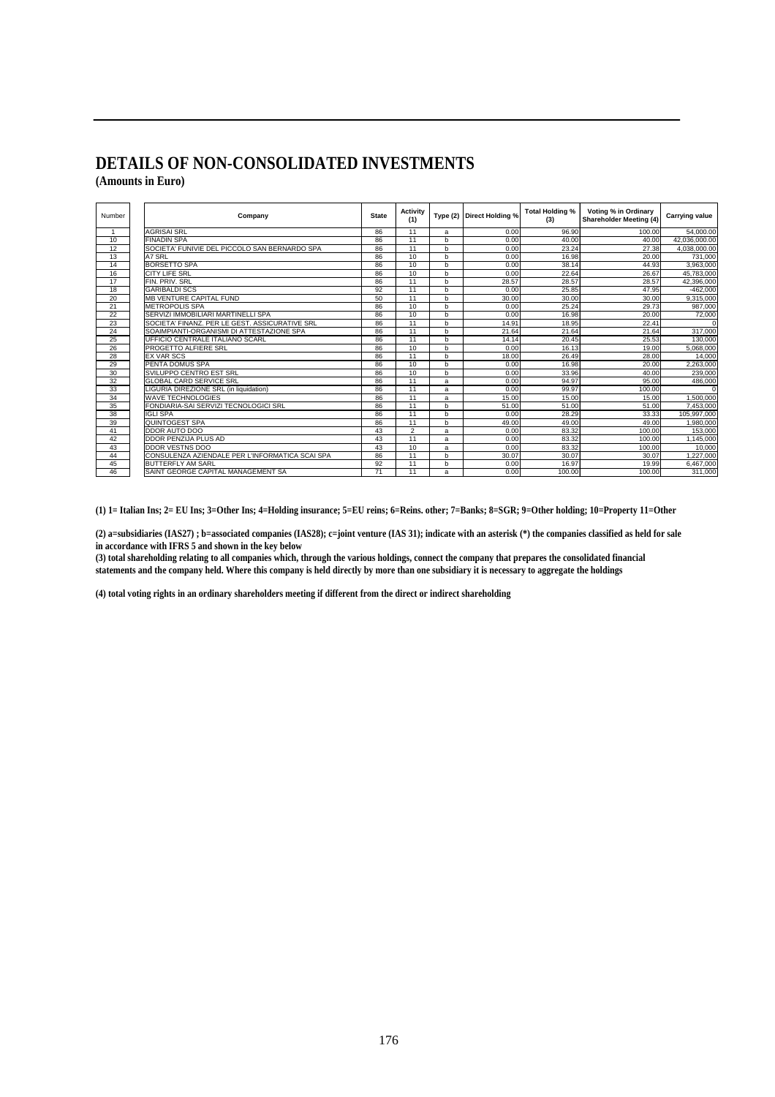#### **DETAILS OF NON-CONSOLIDATED INVESTMENTS (Amounts in Euro)**

| Number | <b>State</b><br>Company                         |    | Activity<br>(1) | Type(2)      | Direct Holding % | Total Holding %<br>(3) | Voting % in Ordinary<br><b>Shareholder Meeting (4)</b> | <b>Carrying value</b> |
|--------|-------------------------------------------------|----|-----------------|--------------|------------------|------------------------|--------------------------------------------------------|-----------------------|
|        | <b>AGRISAI SRL</b>                              | 86 | 11              | a            | 0.00             | 96.90                  | 100.00                                                 | 54,000.00             |
| 10     | <b>FINADIN SPA</b>                              | 86 | 11              | b            | 0.00             | 40.00                  | 40.00                                                  | 42,036,000.00         |
| 12     | SOCIETA' FUNIVIE DEL PICCOLO SAN BERNARDO SPA   | 86 | 11              | $\mathsf{h}$ | 0.00             | 23.24                  | 27.38                                                  | 4.038.000.00          |
| 13     | A7 SRL                                          | 86 | 10              | b            | 0.00             | 16.98                  | 20.00                                                  | 731,000               |
| 14     | <b>BORSETTO SPA</b>                             | 86 | 10              | b            | 0.00             | 38.14                  | 44.93                                                  | 3,963,000             |
| 16     | <b>CITY LIFE SRL</b>                            | 86 | 10              | b            | 0.00             | 22.64                  | 26.67                                                  | 45.783.000            |
| 17     | FIN. PRIV. SRL                                  | 86 | 11              | b            | 28.57            | 28.57                  | 28.57                                                  | 42,396,000            |
| 18     | <b>GARIBALDI SCS</b>                            | 92 | 11              | b            | 0.00             | 25.85                  | 47.95                                                  | $-462,000$            |
| 20     | <b>MB VENTURE CAPITAL FUND</b>                  | 50 | 11              | b            | 30.00            | 30.00                  | 30.00                                                  | 9.315.000             |
| 21     | <b>METROPOLIS SPA</b>                           | 86 | 10              | b            | 0.00             | 25.24                  | 29.73                                                  | 987,000               |
| 22     | SERVIZI IMMOBILIARI MARTINELLI SPA              | 86 | 10              | b            | 0.00             | 16.98                  | 20.00                                                  | 72,000                |
| 23     | SOCIETA' FINANZ. PER LE GEST. ASSICURATIVE SRL  | 86 | 11              | $\mathsf{h}$ | 14.91            | 18.95                  | 22.41                                                  | $\Omega$              |
| 24     | SOAIMPIANTI-ORGANISMI DI ATTESTAZIONE SPA       | 86 | 11              | b            | 21.64            | 21.64                  | 21.64                                                  | 317,000               |
| 25     | UFFICIO CENTRALE ITALIANO SCARL                 | 86 | 11              | b            | 14.14            | 20.45                  | 25.53                                                  | 130,000               |
| 26     | PROGETTO ALFIERE SRL                            | 86 | 10              | b            | 0.00             | 16.13                  | 19.00                                                  | 5.068.000             |
| 28     | <b>EX VAR SCS</b>                               | 86 | 11              | $\mathbf b$  | 18.00            | 26.49                  | 28.00                                                  | 14,000                |
| 29     | PENTA DOMUS SPA                                 | 86 | 10              | b            | 0.00             | 16.98                  | 20.00                                                  | 2,263,000             |
| 30     | SVILUPPO CENTRO EST SRL                         | 86 | 10              | b            | 0.00             | 33.96                  | 40.00                                                  | 239,000               |
| 32     | <b>GLOBAL CARD SERVICE SRL</b>                  | 86 | 11              | a            | 0.00             | 94.97                  | 95.00                                                  | 486,000               |
| 33     | LIGURIA DIREZIONE SRL (in liquidation)          | 86 | 11              | a            | 0.00             | 99.97                  | 100.00                                                 | $\Omega$              |
| 34     | <b>WAVE TECHNOLOGIES</b>                        | 86 | 11              | a            | 15.00            | 15.00                  | 15.00                                                  | 1.500.000             |
| 35     | FONDIARIA-SAI SERVIZI TECNOLOGICI SRL           | 86 | 11              | b            | 51.00            | 51.00                  | 51.00                                                  | 7,453,000             |
| 38     | <b>IGLI SPA</b>                                 | 86 | 11              | b            | 0.00             | 28.29                  | 33.33                                                  | 105.997.000           |
| 39     | QUINTOGEST SPA                                  | 86 | 11              | b            | 49.00            | 49.00                  | 49.00                                                  | 1.980.000             |
| 41     | <b>DDOR AUTO DOO</b>                            | 43 | $\overline{2}$  | a            | 0.00             | 83.32                  | 100.00                                                 | 153,000               |
| 42     | DDOR PENZIJA PLUS AD                            | 43 | 11              | a            | 0.00             | 83.32                  | 100.00                                                 | 1,145,000             |
| 43     | <b>DDOR VESTNS DOO</b>                          | 43 | 10              | a            | 0.00             | 83.32                  | 100.00                                                 | 10.000                |
| 44     | CONSULENZA AZIENDALE PER L'INFORMATICA SCAI SPA | 86 | 11              | b            | 30.07            | 30.07                  | 30.07                                                  | 1,227,000             |
| 45     | <b>BUTTERFLY AM SARL</b>                        | 92 | 11              | b            | 0.00             | 16.97                  | 19.99                                                  | 6.467.000             |
| 46     | SAINT GEORGE CAPITAL MANAGEMENT SA              | 71 | 11              | a            | 0.00             | 100.00                 | 100.00                                                 | 311.000               |

**(1) 1= Italian Ins; 2= EU Ins; 3=Other Ins; 4=Holding insurance; 5=EU reins; 6=Reins. other; 7=Banks; 8=SGR; 9=Other holding; 10=Property 11=Other**

**(2) a=subsidiaries (IAS27) ; b=associated companies (IAS28); c=joint venture (IAS 31); indicate with an asterisk (\*) the companies classified as held for sale in accordance with IFRS 5 and shown in the key below** 

**(3) total shareholding relating to all companies which, through the various holdings, connect the company that prepares the consolidated financial statements and the company held. Where this company is held directly by more than one subsidiary it is necessary to aggregate the holdings** 

**(4) total voting rights in an ordinary shareholders meeting if different from the direct or indirect shareholding**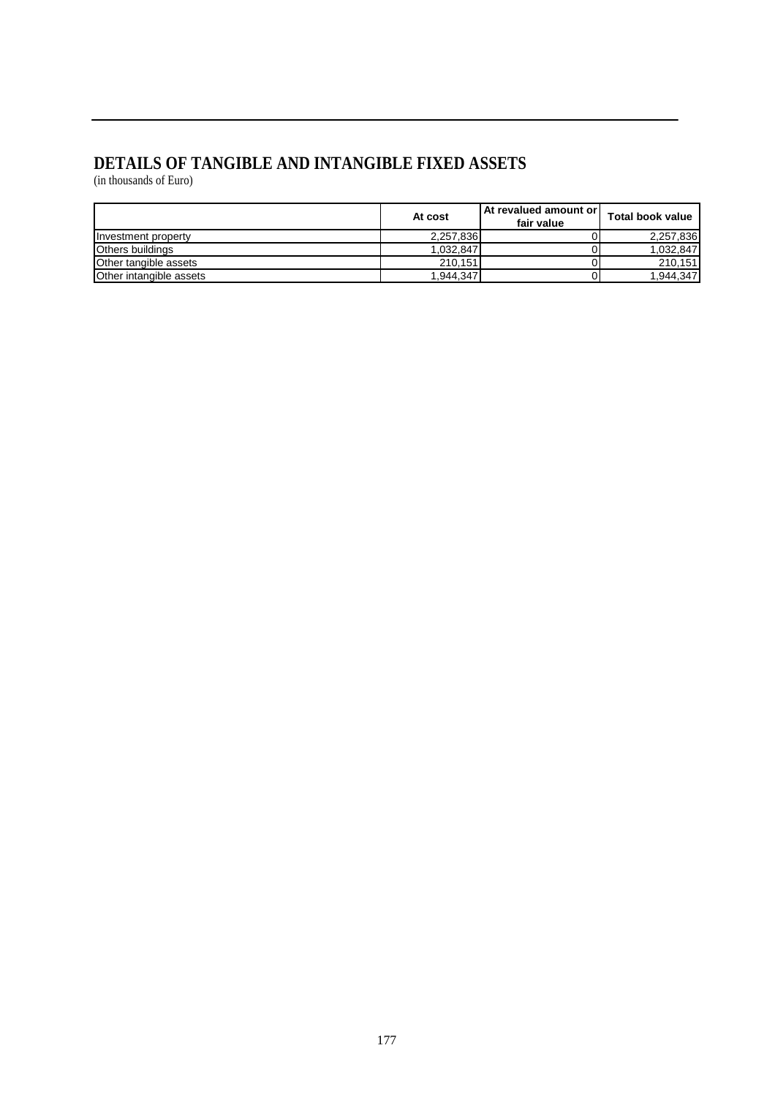### **DETAILS OF TANGIBLE AND INTANGIBLE FIXED ASSETS**

(in thousands of Euro)

|                         | At cost   | <b>At revalued amount or l</b><br>fair value | <b>Total book value</b> |
|-------------------------|-----------|----------------------------------------------|-------------------------|
| Investment property     | 2,257,836 |                                              | 2.257.836               |
| <b>Others buildings</b> | 1,032,847 |                                              | 1.032.847               |
| Other tangible assets   | 210.151   |                                              | 210.151                 |
| Other intangible assets | 1,944,347 |                                              | 1.944.347               |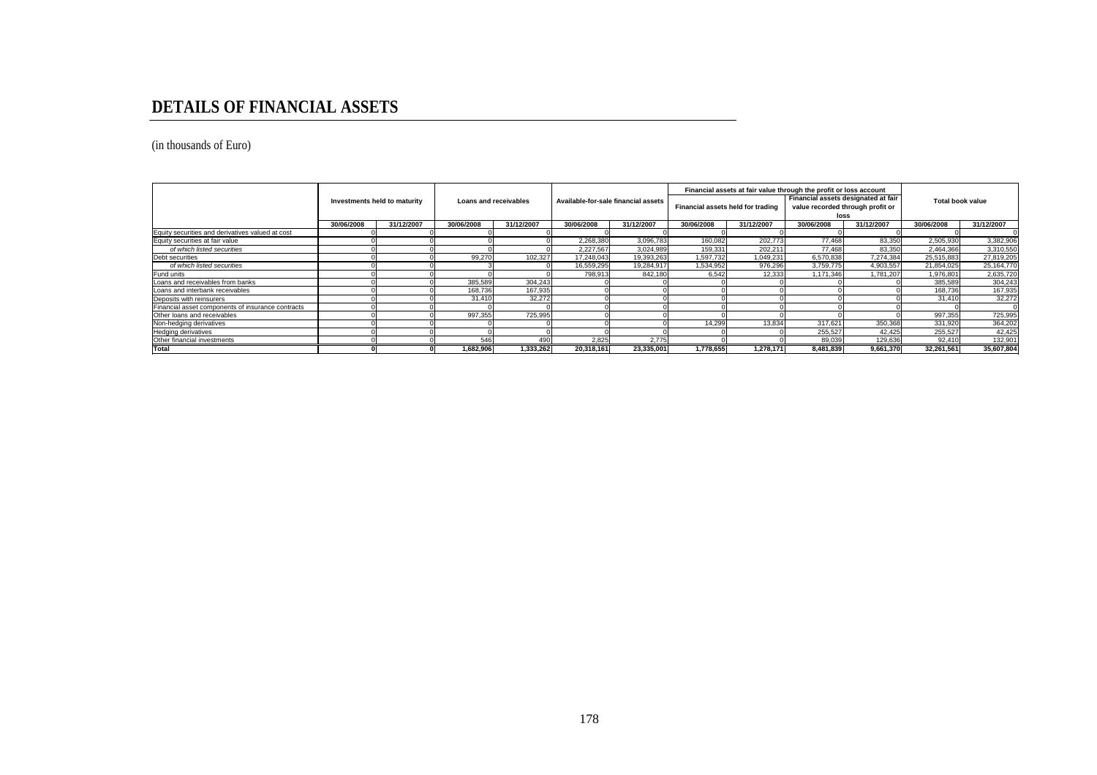### **DETAILS OF FINANCIAL ASSETS**

(in thousands of Euro)

|                                                   | Investments held to maturity |            | Loans and receivables |            | Available-for-sale financial assets |            | Financial assets held for trading |           | Financial assets at fair value through the profit or loss account<br>Financial assets designated at fair<br>value recorded through profit or |           | <b>Total book value</b>  |            |
|---------------------------------------------------|------------------------------|------------|-----------------------|------------|-------------------------------------|------------|-----------------------------------|-----------|----------------------------------------------------------------------------------------------------------------------------------------------|-----------|--------------------------|------------|
|                                                   | 30/06/2008                   | 31/12/2007 | 30/06/2008            | 31/12/2007 | 30/06/2008                          | 31/12/2007 | 30/06/2008<br>31/12/2007          |           | loss<br>30/06/2008<br>31/12/2007                                                                                                             |           | 30/06/2008<br>31/12/2007 |            |
| Equity securities and derivatives valued at cost  |                              |            |                       |            |                                     |            |                                   |           |                                                                                                                                              |           |                          |            |
| Equity securities at fair value                   |                              |            |                       |            | 2.268.380                           | 3.096.783  | 160.082                           | 202.773   | 77.468                                                                                                                                       | 83.350    | 2.505.930                | 3,382,906  |
| of which listed securities                        |                              |            |                       |            | 2,227,567                           | 3,024,989  | 159,331                           | 202,211   | 77.468                                                                                                                                       | 83,350    | 2,464,366                | 3,310,550  |
| Debt securities                                   |                              |            | 99,27                 | 102,327    | 17,248,043                          | 19,393,263 | 1,597,732                         | 1,049,231 | 6,570,838                                                                                                                                    | 7.274.384 | 25,515,883               | 27,819,205 |
| of which listed securities                        |                              |            |                       |            | 16,559,295                          | 19.284.917 | 1.534.952                         | 976.296   | 3,759,775                                                                                                                                    | 4,903,557 | 21,854,025               | 25,164,770 |
| Fund units                                        |                              |            |                       |            | 798,913                             | 842,180    | 6,542                             | 12,333    | 1,171,346                                                                                                                                    | 1,781,207 | 1,976,801                | 2,635,720  |
| Loans and receivables from banks                  |                              |            | 385,589               | 304,243    |                                     |            |                                   |           |                                                                                                                                              |           | 385,589                  | 304,243    |
| Loans and interbank receivables                   |                              |            | 168,736               | 167,935    |                                     |            |                                   |           |                                                                                                                                              |           | 168.736                  | 167,935    |
| Deposits with reinsurers                          |                              |            | 31,410                | 32,272     |                                     |            |                                   |           |                                                                                                                                              |           | 31.410                   | 32,272     |
| Financial asset components of insurance contracts |                              |            |                       |            |                                     |            |                                   |           |                                                                                                                                              |           |                          |            |
| Other loans and receivables                       |                              |            | 997.355               | 725.995    |                                     |            |                                   |           |                                                                                                                                              |           | 997.355                  | 725,995    |
| Non-hedging derivatives                           |                              |            |                       |            |                                     |            | 14,299                            | 13.834    | 317,621                                                                                                                                      | 350,368   | 331,920                  | 364,202    |
| Hedging derivatives                               |                              |            |                       |            |                                     |            |                                   |           | 255.527                                                                                                                                      | 42.425    | 255.527                  | 42.425     |
| Other financial investments                       |                              |            | 546                   | 490        | 2.825                               | 2.775      |                                   |           | 89,039                                                                                                                                       | 129,636   | 92.410                   | 132,901    |
| <b>Total</b>                                      |                              |            | 1,682,906             | 1.333.262  | 20.318.161                          | 23.335.001 | 1.778.655                         | 1.278.171 | 8.481.839                                                                                                                                    | 9.661.370 | 32.261.561               | 35.607.804 |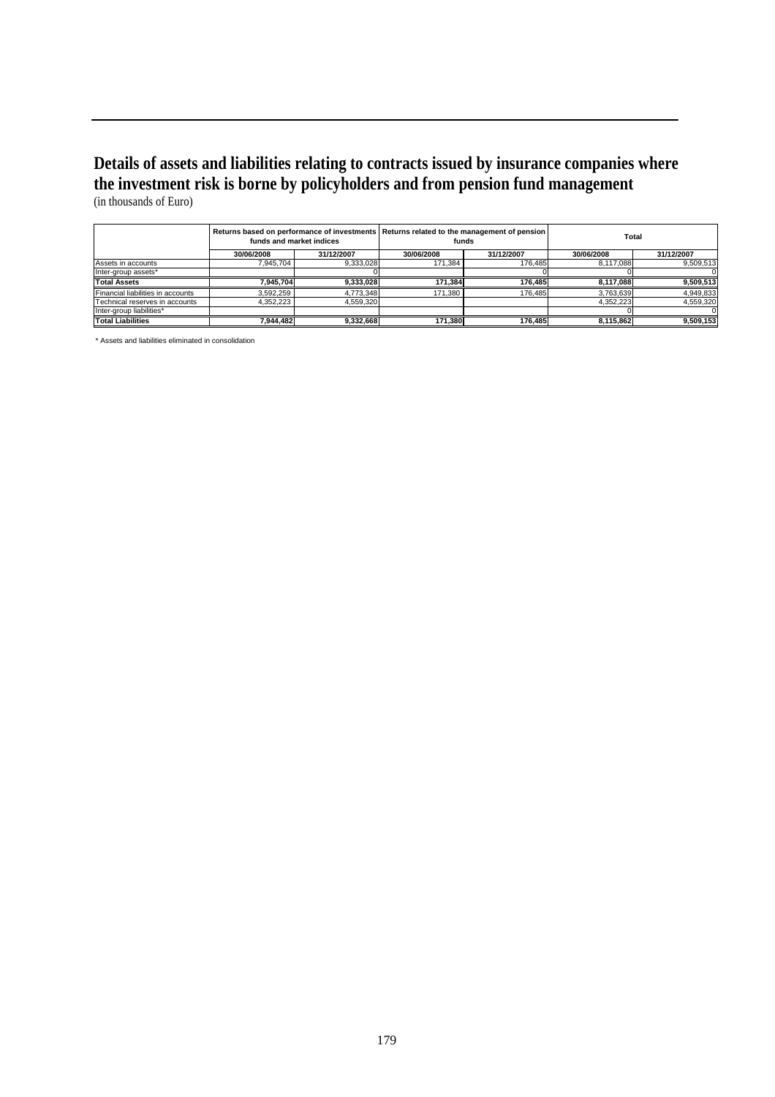### **Details of assets and liabilities relating to contracts issued by insurance companies where the investment risk is borne by policyholders and from pension fund management**  (in thousands of Euro)

|                                   | Returns based on performance of investments   Returns related to the management of pension<br>funds and market indices |            |            | funds      | Total      |            |  |
|-----------------------------------|------------------------------------------------------------------------------------------------------------------------|------------|------------|------------|------------|------------|--|
|                                   | 30/06/2008                                                                                                             | 31/12/2007 | 30/06/2008 | 31/12/2007 | 30/06/2008 | 31/12/2007 |  |
| Assets in accounts                | 7.945.704                                                                                                              | 9,333,028  | 171.384    | 176.485    | 8.117.088  | 9,509,513  |  |
| Inter-group assets*               |                                                                                                                        |            |            |            |            |            |  |
| <b>Total Assets</b>               | 7.945.704                                                                                                              | 9,333,028  | 171.384    | 176.485    | 8.117.088  | 9,509,513  |  |
| Financial liabilities in accounts | 3.592.259                                                                                                              | 4.773.348  | 171.380    | 176.485    | 3.763.639  | 4,949,833  |  |
| Technical reserves in accounts    | 4,352,223                                                                                                              | 4,559,320  |            |            | 4,352,223  | 4,559,320  |  |
| Inter-group liabilities*          |                                                                                                                        |            |            |            |            |            |  |
| <b>Total Liabilities</b>          | 7.944.482                                                                                                              | 9,332,668  | 171.380    | 176.485    | 8.115.862  | 9.509.153  |  |

\* Assets and liabilities eliminated in consolidation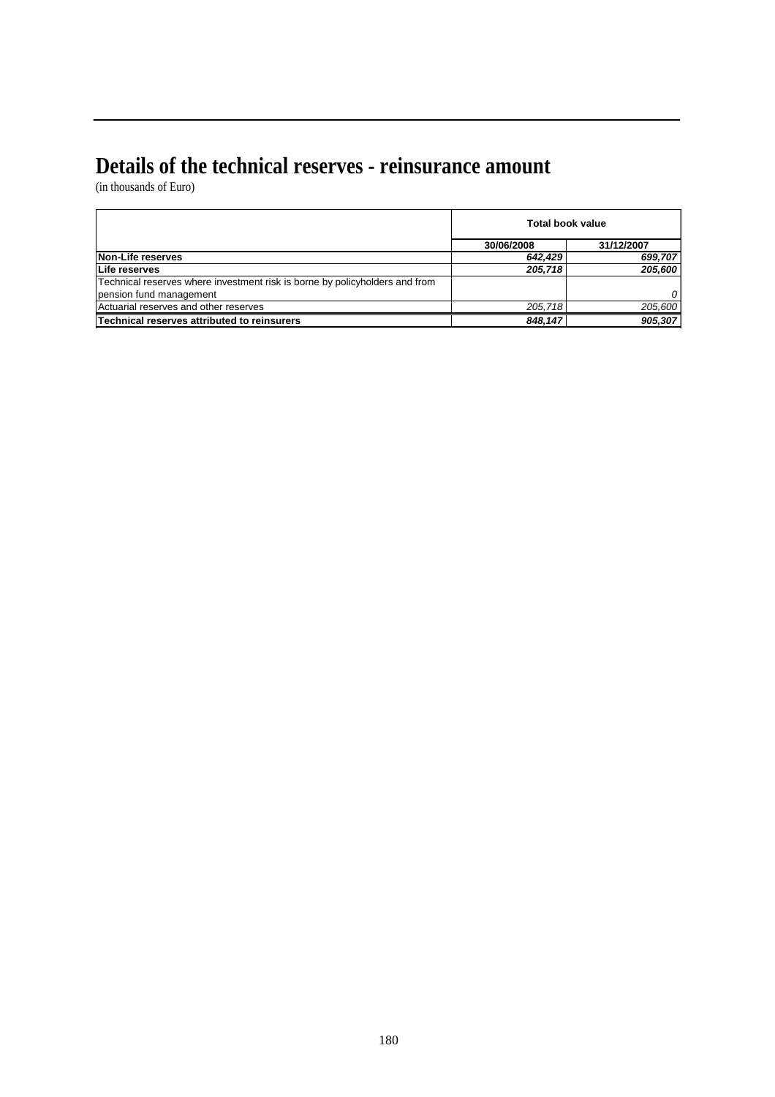### **Details of the technical reserves - reinsurance amount**

(in thousands of Euro)

|                                                                             | <b>Total book value</b> |            |  |  |
|-----------------------------------------------------------------------------|-------------------------|------------|--|--|
|                                                                             | 30/06/2008              | 31/12/2007 |  |  |
| Non-Life reserves                                                           | 642.429                 | 699,707    |  |  |
| Life reserves                                                               | 205.718                 | 205,600    |  |  |
| Technical reserves where investment risk is borne by policyholders and from |                         |            |  |  |
| pension fund management                                                     |                         | $\Omega$   |  |  |
| Actuarial reserves and other reserves                                       | 205.718                 | 205,600    |  |  |
| Technical reserves attributed to reinsurers                                 | 848,147                 | 905,307    |  |  |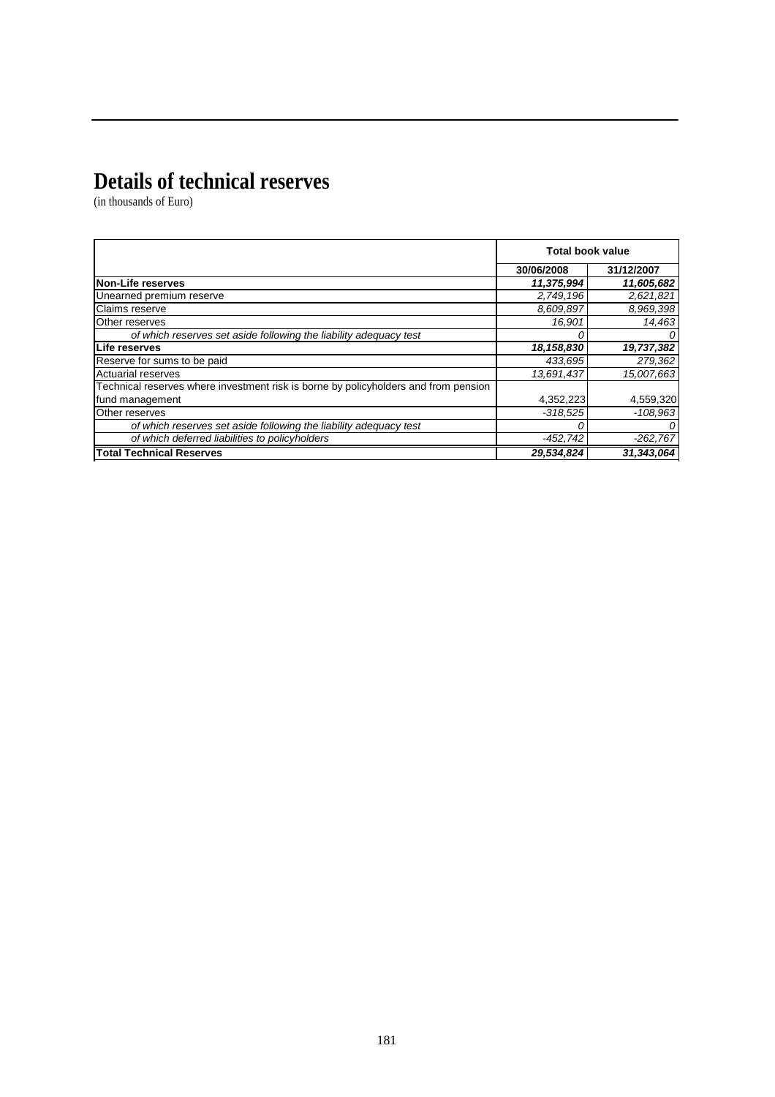### **Details of technical reserves**

|                                                                                     | <b>Total book value</b> |            |
|-------------------------------------------------------------------------------------|-------------------------|------------|
|                                                                                     | 30/06/2008              | 31/12/2007 |
| <b>Non-Life reserves</b>                                                            | 11,375,994              | 11,605,682 |
| Unearned premium reserve                                                            | 2,749,196               | 2,621,821  |
| <b>Claims reserve</b>                                                               | 8,609,897               | 8,969,398  |
| Other reserves                                                                      | 16,901                  | 14,463     |
| of which reserves set aside following the liability adequacy test                   | 0                       | $\Omega$   |
| Life reserves                                                                       | 18,158,830              | 19,737,382 |
| Reserve for sums to be paid                                                         | 433,695                 | 279,362    |
| <b>Actuarial reserves</b>                                                           | 13,691,437              | 15,007,663 |
| Technical reserves where investment risk is borne by policyholders and from pension |                         |            |
| fund management                                                                     | 4,352,223               | 4,559,320  |
| Other reserves                                                                      | $-318,525$              | $-108.963$ |
| of which reserves set aside following the liability adequacy test                   |                         | 0          |
| of which deferred liabilities to policyholders                                      | -452,742                | $-262,767$ |
| <b>Total Technical Reserves</b>                                                     | 29,534,824              | 31.343.064 |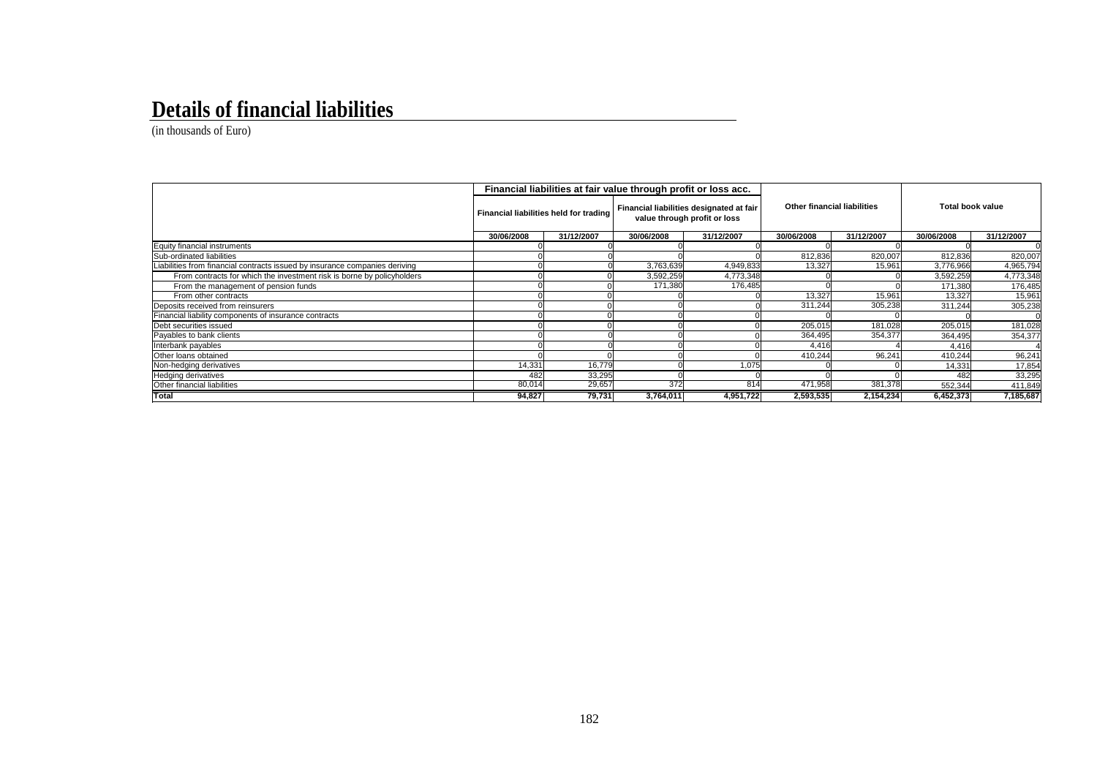#### **Details of financial liabilities**

|                                                                            | Financial liabilities at fair value through profit or loss acc. |            |                                                                          |            |                                    |            |                         |            |
|----------------------------------------------------------------------------|-----------------------------------------------------------------|------------|--------------------------------------------------------------------------|------------|------------------------------------|------------|-------------------------|------------|
|                                                                            | Financial liabilities held for trading                          |            | Financial liabilities designated at fair<br>value through profit or loss |            | <b>Other financial liabilities</b> |            | <b>Total book value</b> |            |
|                                                                            | 30/06/2008                                                      | 31/12/2007 | 30/06/2008                                                               | 31/12/2007 | 30/06/2008                         | 31/12/2007 | 30/06/2008              | 31/12/2007 |
| Equity financial instruments                                               |                                                                 |            |                                                                          |            |                                    |            |                         |            |
| Sub-ordinated liabilities                                                  |                                                                 |            |                                                                          |            | 812,836                            | 820,007    | 812.836                 | 820,007    |
| iabilities from financial contracts issued by insurance companies deriving |                                                                 |            | 3,763,639                                                                | 4,949,833  | 13,327                             | 15,961     | 3,776,966               | 4,965,794  |
| From contracts for which the investment risk is borne by policyholders     |                                                                 |            | 3,592,259                                                                | 4,773,348  |                                    |            | 3,592,259               | 4,773,348  |
| From the management of pension funds                                       |                                                                 |            | 171,380                                                                  | 176,485    |                                    |            | 171,380                 | 176,485    |
| From other contracts                                                       |                                                                 |            |                                                                          |            | 13,327                             | 15,961     | 13,327                  | 15,961     |
| Deposits received from reinsurers                                          |                                                                 |            |                                                                          |            | 311.244                            | 305,238    | 311,244                 | 305,238    |
| Financial liability components of insurance contracts                      |                                                                 |            |                                                                          |            |                                    |            |                         |            |
| Debt securities issued                                                     |                                                                 |            |                                                                          |            | 205,015                            | 181,028    | 205,015                 | 181,028    |
| Payables to bank clients                                                   |                                                                 |            |                                                                          |            | 364,495                            | 354,377    | 364,495                 | 354,377    |
| Interbank payables                                                         |                                                                 |            |                                                                          |            | 4.416                              |            | 4.416                   |            |
| Other loans obtained                                                       |                                                                 |            |                                                                          |            | 410,244                            | 96,241     | 410,244                 | 96,241     |
| Non-hedging derivatives                                                    | 14,331                                                          | 16,779     |                                                                          | 1,075      |                                    |            | 14,331                  | 17,854     |
| <b>Hedging derivatives</b>                                                 | 482                                                             | 33.295     |                                                                          |            |                                    |            | 482                     | 33,295     |
| Other financial liabilities                                                | 80,014                                                          | 29,657     | 372                                                                      | 814        | 471,958                            | 381,378    | 552,344                 | 411,849    |
| <b>Total</b>                                                               | 94,827                                                          | 79,731     | 3,764,011                                                                | 4,951,722  | 2,593,535                          | 2,154,234  | 6,452,373               | 7,185,687  |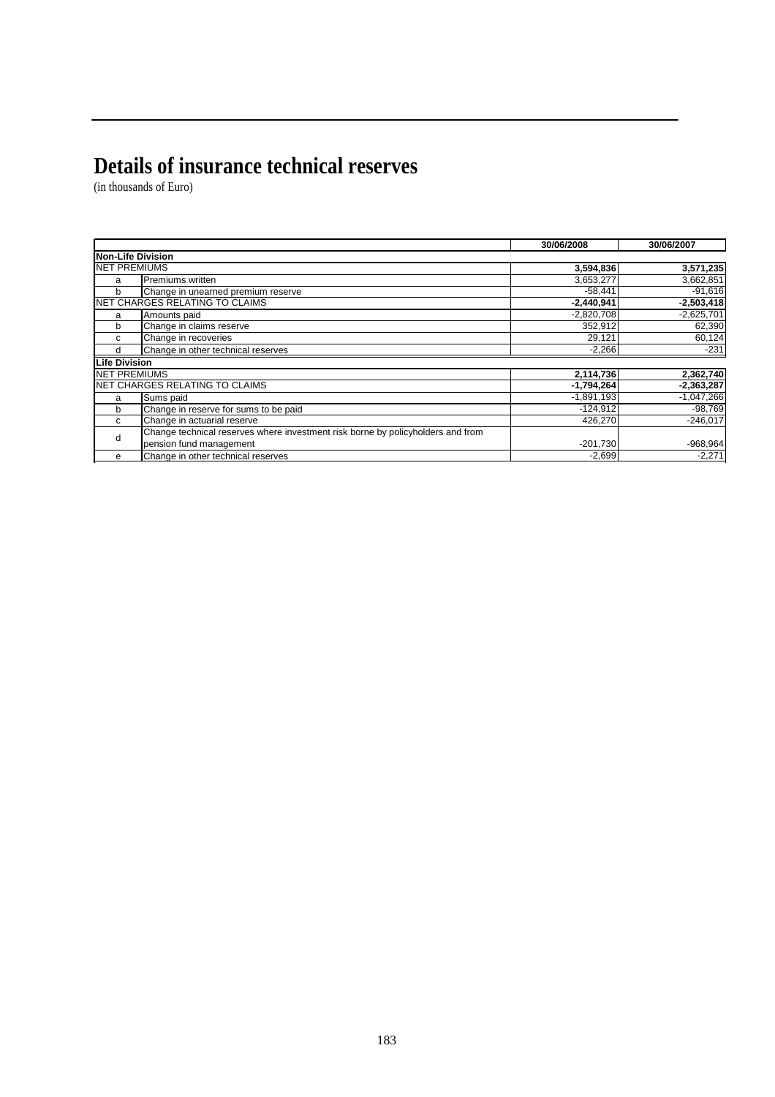# **Details of insurance technical reserves**

|                      |                                                                                 | 30/06/2008   | 30/06/2007   |
|----------------------|---------------------------------------------------------------------------------|--------------|--------------|
| Non-Life Division    |                                                                                 |              |              |
| <b>NET PREMIUMS</b>  |                                                                                 | 3,594,836    | 3,571,235    |
| a                    | Premiums written                                                                | 3,653,277    | 3,662,851    |
| b                    | Change in unearned premium reserve                                              | $-58,441$    | $-91,616$    |
|                      | NET CHARGES RELATING TO CLAIMS                                                  | $-2,440,941$ | $-2,503,418$ |
| a                    | Amounts paid                                                                    | $-2,820,708$ | $-2,625,701$ |
| b                    | Change in claims reserve                                                        | 352,912      | 62,390       |
| C                    | Change in recoveries                                                            | 29,121       | 60,124       |
| d                    | Change in other technical reserves                                              | $-2,266$     | $-231$       |
| <b>Life Division</b> |                                                                                 |              |              |
| <b>NET PREMIUMS</b>  |                                                                                 | 2,114,736    | 2,362,740    |
|                      | NET CHARGES RELATING TO CLAIMS                                                  | $-1,794,264$ | $-2,363,287$ |
| a                    | Sums paid                                                                       | $-1,891,193$ | $-1,047,266$ |
| b                    | Change in reserve for sums to be paid                                           | $-124,912$   | $-98,769$    |
| C                    | Change in actuarial reserve                                                     | 426,270      | $-246,017$   |
| d                    | Change technical reserves where investment risk borne by policyholders and from |              |              |
|                      | pension fund management                                                         | $-201,730$   | $-968,964$   |
| е                    | Change in other technical reserves                                              | $-2,699$     | $-2,271$     |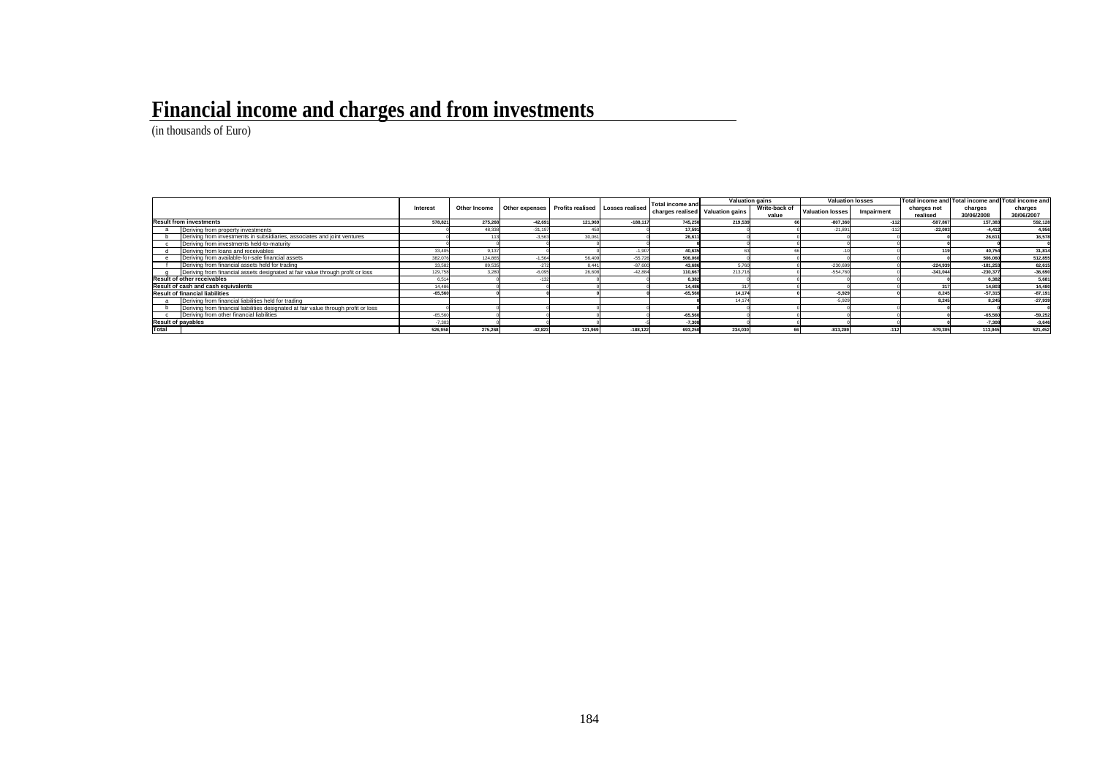# **Financial income and charges and from investments**

|       |                                                                                     |           |         |           |                                                                    |            | Total income and                 |         | <b>Valuation gains</b> |                         | <b>Valuation losses</b> |             | Total income and Total income and Total income and |            |
|-------|-------------------------------------------------------------------------------------|-----------|---------|-----------|--------------------------------------------------------------------|------------|----------------------------------|---------|------------------------|-------------------------|-------------------------|-------------|----------------------------------------------------|------------|
|       |                                                                                     | Interest  |         |           | Other Income   Other expenses   Profits realised   Losses realised |            | charges realised Valuation gains |         | Write-back of          | <b>Valuation losses</b> | Impairment              | charges not | charges                                            | charges    |
|       |                                                                                     |           |         |           |                                                                    |            |                                  |         | value                  |                         |                         | realised    | 30/06/2008                                         | 30/06/2007 |
|       | <b>Result from investments</b>                                                      | 578.821   | 275.268 | $-42.691$ | 121,969                                                            | $-188.117$ | 745,250                          | 219.539 |                        | $-807.360$              |                         | $-587.867$  | 157,383                                            | 592.128    |
|       | Deriving from property investments                                                  |           | 48,338  | $-31.19$  |                                                                    |            | 17,591                           |         |                        | $-21.891$               |                         | $-22.003$   | $-4.412$                                           | 4.956      |
|       | Deriving from investments in subsidiaries, associates and joint ventures            |           |         | $-3,56$   | 30.06                                                              |            | 26.611                           |         |                        |                         |                         |             | 26.611                                             | 16,578     |
|       | Deriving from investments held-to-maturity                                          |           |         |           |                                                                    |            |                                  |         |                        |                         |                         |             |                                                    |            |
|       | Deriving from loans and receivables                                                 | 33,405    | 9.137   |           |                                                                    |            | 40.635                           |         |                        |                         |                         |             | 40.754                                             | 31,814     |
|       | Deriving from available-for-sale financial assets                                   | 382.07    | 124,865 | $-1.56$   | 56,409                                                             | $-55.72$   | 506,060                          |         |                        |                         |                         |             | 506,060                                            | 512,855    |
|       | Deriving from financial assets held for trading                                     | 33,582    | 89,535  | $-272$    | 8.441                                                              | $-87.600$  | 43,686                           | 576     |                        | $-230.69$               |                         | $-224.939$  | $-181.253$                                         | 62,615     |
|       | Deriving from financial assets designated at fair value through profit or loss      | 129.75    | 3.280   | $-6.09$   | 26,60                                                              | $-42.88$   | 110,667                          | 213.71  |                        | $-554.76$               |                         | $-341.044$  | $-230.377$                                         | $-36,690$  |
|       | <b>Result of other receivables</b>                                                  | 6.51      |         |           |                                                                    |            | 6.382                            |         |                        |                         |                         |             | 6,382                                              | 5,681      |
|       | Result of cash and cash equivalents                                                 | 14.48     |         |           |                                                                    |            | 14.486                           |         |                        |                         |                         |             | 14,803                                             | 14,480     |
|       | <b>Result of financial liabilities</b>                                              | $-65,560$ |         |           |                                                                    |            | $-65.560$                        | 14.174  |                        | $-5.929$                |                         | 8.245       | $-57.315$                                          | $-87,191$  |
|       | Deriving from financial liabilities held for trading                                |           |         |           |                                                                    |            |                                  | 14.17   |                        | $-5.929$                |                         | 8.245       | 8.245                                              | $-27,939$  |
|       | Deriving from financial liabilities designated at fair value through profit or loss |           |         |           |                                                                    |            |                                  |         |                        |                         |                         |             |                                                    |            |
|       | Deriving from other financial liabilities                                           | $-65.560$ |         |           |                                                                    |            | $-65.560$                        |         |                        |                         |                         |             | $-65.560$                                          | $-59,252$  |
|       | <b>Result of payables</b>                                                           | $-7.303$  |         |           |                                                                    |            | $-7.308$                         |         |                        |                         |                         |             | $-7,308$                                           | $-3.646$   |
| Total |                                                                                     | 526,958   | 275,268 | $-42.823$ | 121.969                                                            | $-188.122$ | 693.250                          | 234.03  |                        | $-813.289$              |                         | $-579.305$  | 113,945                                            | 521,452    |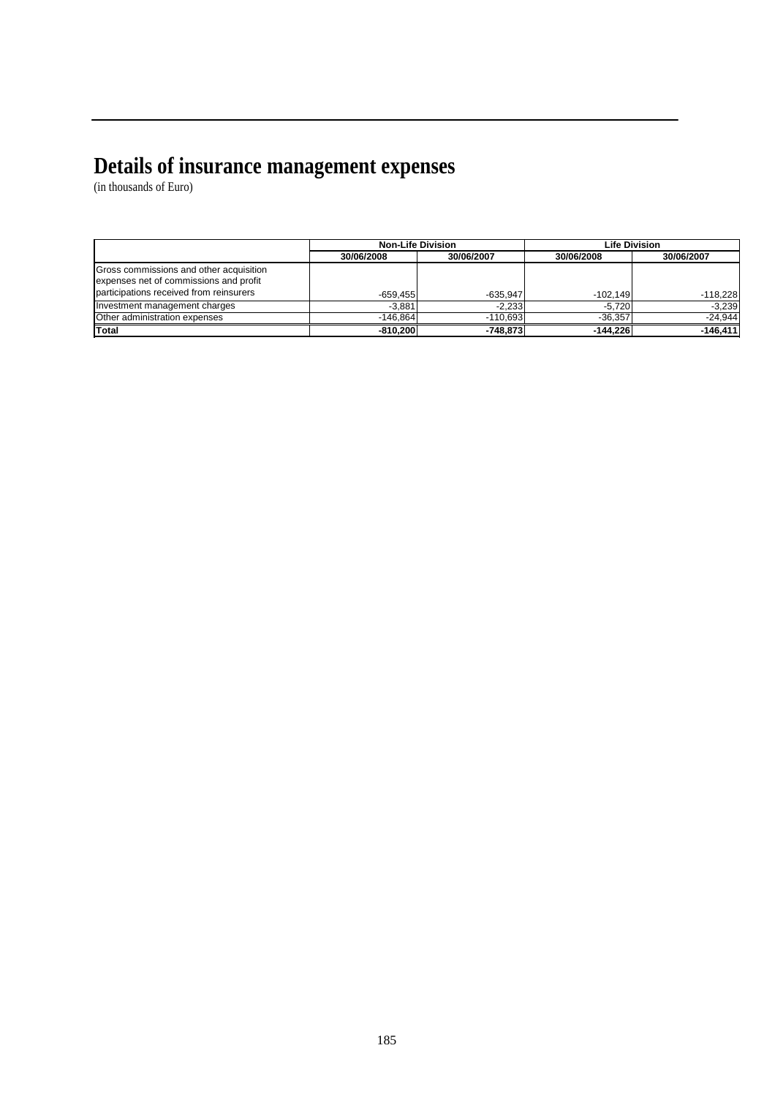#### **Details of insurance management expenses**

|                                                                                   |            | <b>Non-Life Division</b> |            | <b>Life Division</b> |
|-----------------------------------------------------------------------------------|------------|--------------------------|------------|----------------------|
|                                                                                   | 30/06/2008 | 30/06/2007               | 30/06/2008 | 30/06/2007           |
| Gross commissions and other acquisition<br>expenses net of commissions and profit |            |                          |            |                      |
| participations received from reinsurers                                           | $-659.455$ | $-635.947$               | $-102.149$ | $-118,228$           |
| Investment management charges                                                     | $-3.881$   | $-2.233$                 | $-5.720$   | $-3.239$             |
| Other administration expenses                                                     | $-146.864$ | $-110.693$               | $-36.357$  | $-24.944$            |
| <b>Total</b>                                                                      | $-810.200$ | $-748.873$               | $-144.226$ | $-146, 411$          |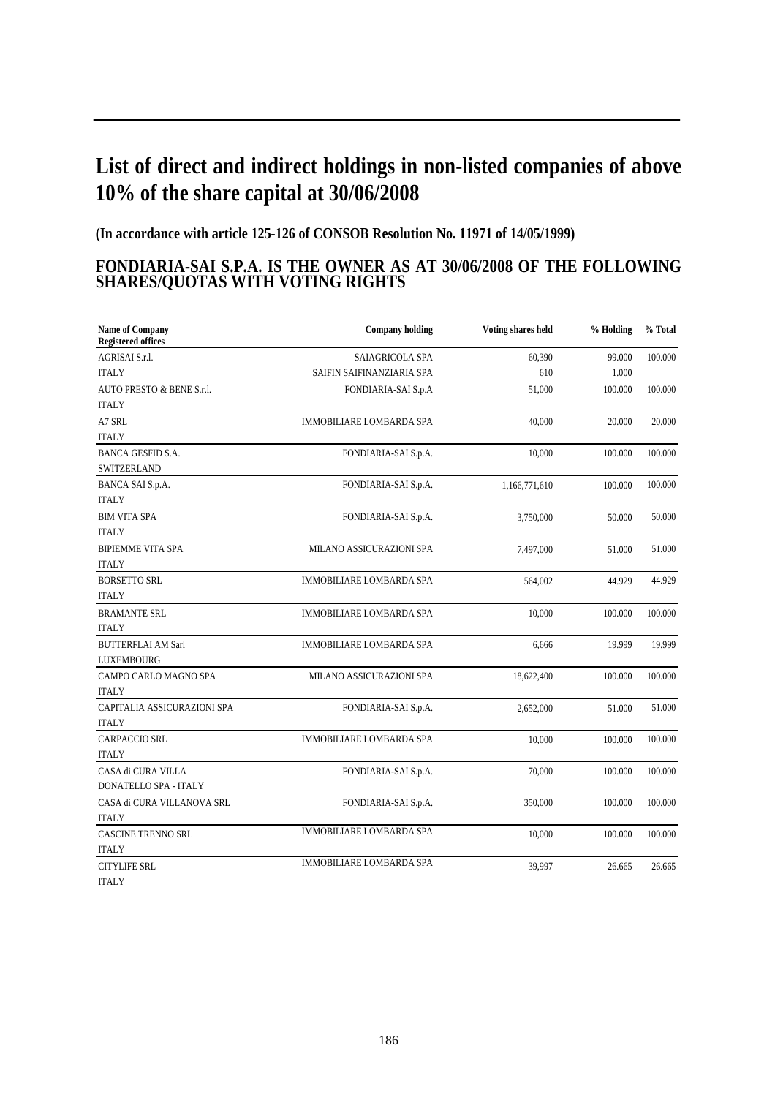## **List of direct and indirect holdings in non-listed companies of above 10% of the share capital at 30/06/2008**

**(In accordance with article 125-126 of CONSOB Resolution No. 11971 of 14/05/1999)**

#### **FONDIARIA-SAI S.P.A. IS THE OWNER AS AT 30/06/2008 OF THE FOLLOWING SHARES/QUOTAS WITH VOTING RIGHTS**

| <b>Name of Company</b><br><b>Registered offices</b> | <b>Company holding</b>          | Voting shares held | % Holding | % Total |
|-----------------------------------------------------|---------------------------------|--------------------|-----------|---------|
| AGRISAI S.r.l.                                      | SAIAGRICOLA SPA                 | 60,390             | 99.000    | 100.000 |
| <b>ITALY</b>                                        | SAIFIN SAIFINANZIARIA SPA       | 610                | 1.000     |         |
| AUTO PRESTO & BENE S.r.l.                           | FONDIARIA-SAI S.p.A             | 51,000             | 100.000   | 100.000 |
| <b>ITALY</b>                                        |                                 |                    |           |         |
| A7 SRL                                              | IMMOBILIARE LOMBARDA SPA        | 40,000             | 20.000    | 20.000  |
| <b>ITALY</b>                                        |                                 |                    |           |         |
| <b>BANCA GESFID S.A.</b>                            | FONDIARIA-SAI S.p.A.            | 10,000             | 100.000   | 100.000 |
| SWITZERLAND                                         |                                 |                    |           |         |
| BANCA SAI S.p.A.                                    | FONDIARIA-SAI S.p.A.            | 1,166,771,610      | 100.000   | 100.000 |
| <b>ITALY</b>                                        |                                 |                    |           |         |
| <b>BIM VITA SPA</b>                                 | FONDIARIA-SAI S.p.A.            | 3,750,000          | 50.000    | 50.000  |
| <b>ITALY</b>                                        |                                 |                    |           |         |
| <b>BIPIEMME VITA SPA</b>                            | MILANO ASSICURAZIONI SPA        | 7,497,000          | 51.000    | 51.000  |
| <b>ITALY</b>                                        |                                 |                    |           |         |
| <b>BORSETTO SRL</b>                                 | IMMOBILIARE LOMBARDA SPA        | 564,002            | 44.929    | 44.929  |
| <b>ITALY</b>                                        |                                 |                    |           |         |
| <b>BRAMANTE SRL</b>                                 | <b>IMMOBILIARE LOMBARDA SPA</b> | 10,000             | 100.000   | 100.000 |
| <b>ITALY</b>                                        |                                 |                    |           |         |
| <b>BUTTERFLAI AM Sarl</b>                           | <b>IMMOBILIARE LOMBARDA SPA</b> | 6,666              | 19.999    | 19.999  |
| LUXEMBOURG                                          |                                 |                    |           |         |
| CAMPO CARLO MAGNO SPA                               | MILANO ASSICURAZIONI SPA        | 18,622,400         | 100.000   | 100.000 |
| <b>ITALY</b>                                        |                                 |                    |           |         |
| CAPITALIA ASSICURAZIONI SPA                         | FONDIARIA-SAI S.p.A.            | 2,652,000          | 51.000    | 51.000  |
| <b>ITALY</b>                                        |                                 |                    |           |         |
| <b>CARPACCIO SRL</b>                                | IMMOBILIARE LOMBARDA SPA        | 10,000             | 100.000   | 100.000 |
| <b>ITALY</b>                                        |                                 |                    |           |         |
| CASA di CURA VILLA                                  | FONDIARIA-SAI S.p.A.            | 70,000             | 100.000   | 100.000 |
| DONATELLO SPA - ITALY                               |                                 |                    |           |         |
| CASA di CURA VILLANOVA SRL                          | FONDIARIA-SAI S.p.A.            | 350,000            | 100.000   | 100.000 |
| <b>ITALY</b>                                        |                                 |                    |           |         |
| CASCINE TRENNO SRL                                  | <b>IMMOBILIARE LOMBARDA SPA</b> | 10,000             | 100.000   | 100.000 |
| <b>ITALY</b>                                        |                                 |                    |           |         |
| <b>CITYLIFE SRL</b>                                 | <b>IMMOBILIARE LOMBARDA SPA</b> | 39,997             | 26.665    | 26.665  |
| <b>ITALY</b>                                        |                                 |                    |           |         |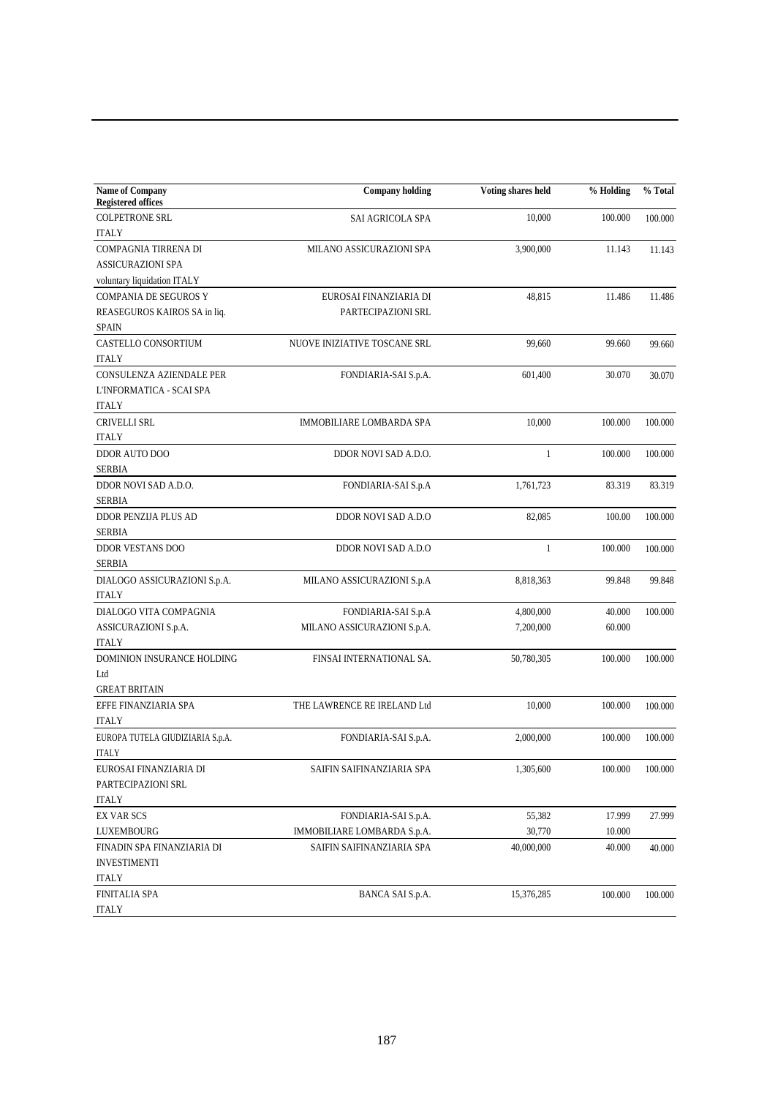| Name of Company<br><b>Registered offices</b> | <b>Company holding</b>       | Voting shares held | % Holding | % Total |
|----------------------------------------------|------------------------------|--------------------|-----------|---------|
| <b>COLPETRONE SRL</b>                        | SAI AGRICOLA SPA             | 10,000             | 100.000   | 100.000 |
| <b>ITALY</b>                                 |                              |                    |           |         |
| COMPAGNIA TIRRENA DI                         | MILANO ASSICURAZIONI SPA     | 3,900,000          | 11.143    | 11.143  |
| <b>ASSICURAZIONI SPA</b>                     |                              |                    |           |         |
| voluntary liquidation ITALY                  |                              |                    |           |         |
| <b>COMPANIA DE SEGUROS Y</b>                 | EUROSAI FINANZIARIA DI       | 48,815             | 11.486    | 11.486  |
| REASEGUROS KAIROS SA in liq.                 | PARTECIPAZIONI SRL           |                    |           |         |
| <b>SPAIN</b>                                 |                              |                    |           |         |
| CASTELLO CONSORTIUM                          | NUOVE INIZIATIVE TOSCANE SRL | 99,660             | 99.660    | 99.660  |
| <b>ITALY</b>                                 |                              |                    |           |         |
| CONSULENZA AZIENDALE PER                     | FONDIARIA-SAI S.p.A.         | 601,400            | 30.070    | 30.070  |
| L'INFORMATICA - SCAI SPA                     |                              |                    |           |         |
| <b>ITALY</b>                                 |                              |                    |           |         |
| CRIVELLI SRL                                 | IMMOBILIARE LOMBARDA SPA     | 10,000             | 100.000   | 100.000 |
| <b>ITALY</b>                                 |                              |                    |           |         |
| DDOR AUTO DOO                                | DDOR NOVI SAD A.D.O.         | $\mathbf{1}$       | 100.000   | 100.000 |
| <b>SERBIA</b>                                |                              |                    |           |         |
| DDOR NOVI SAD A.D.O.                         | FONDIARIA-SAI S.p.A          | 1,761,723          | 83.319    | 83.319  |
| <b>SERBIA</b>                                |                              |                    |           |         |
| DDOR PENZIJA PLUS AD                         | DDOR NOVI SAD A.D.O          | 82,085             | 100.00    | 100.000 |
| <b>SERBIA</b>                                |                              |                    |           |         |
| DDOR VESTANS DOO                             | DDOR NOVI SAD A.D.O          | $\mathbf{1}$       | 100.000   | 100.000 |
| <b>SERBIA</b>                                |                              |                    |           |         |
| DIALOGO ASSICURAZIONI S.p.A.                 | MILANO ASSICURAZIONI S.p.A   | 8,818,363          | 99.848    | 99.848  |
| <b>ITALY</b>                                 |                              |                    |           |         |
| DIALOGO VITA COMPAGNIA                       | FONDIARIA-SAI S.p.A          | 4,800,000          | 40.000    | 100.000 |
| ASSICURAZIONI S.p.A.                         | MILANO ASSICURAZIONI S.p.A.  | 7,200,000          | 60.000    |         |
| <b>ITALY</b>                                 |                              |                    |           |         |
| DOMINION INSURANCE HOLDING                   | FINSAI INTERNATIONAL SA.     | 50,780,305         | 100.000   | 100.000 |
| Ltd                                          |                              |                    |           |         |
| <b>GREAT BRITAIN</b>                         |                              |                    |           |         |
| EFFE FINANZIARIA SPA                         | THE LAWRENCE RE IRELAND Ltd  | 10,000             | 100.000   | 100.000 |
| <b>ITALY</b>                                 |                              |                    |           |         |
| EUROPA TUTELA GIUDIZIARIA S.p.A.             | FONDIARIA-SAI S.p.A.         | 2,000,000          | 100.000   | 100.000 |
| <b>ITALY</b>                                 |                              |                    |           |         |
| EUROSAI FINANZIARIA DI                       | SAIFIN SAIFINANZIARIA SPA    | 1,305,600          | 100.000   | 100.000 |
| PARTECIPAZIONI SRL                           |                              |                    |           |         |
| <b>ITALY</b>                                 |                              |                    |           |         |
| <b>EX VAR SCS</b>                            | FONDIARIA-SAI S.p.A.         | 55,382             | 17.999    | 27.999  |
| LUXEMBOURG                                   | IMMOBILIARE LOMBARDA S.p.A.  | 30,770             | 10.000    |         |
| FINADIN SPA FINANZIARIA DI                   | SAIFIN SAIFINANZIARIA SPA    | 40,000,000         | 40.000    | 40.000  |
| <b>INVESTIMENTI</b>                          |                              |                    |           |         |
| <b>ITALY</b>                                 |                              |                    |           |         |
| FINITALIA SPA                                | BANCA SAI S.p.A.             | 15,376,285         | 100.000   | 100.000 |
| <b>ITALY</b>                                 |                              |                    |           |         |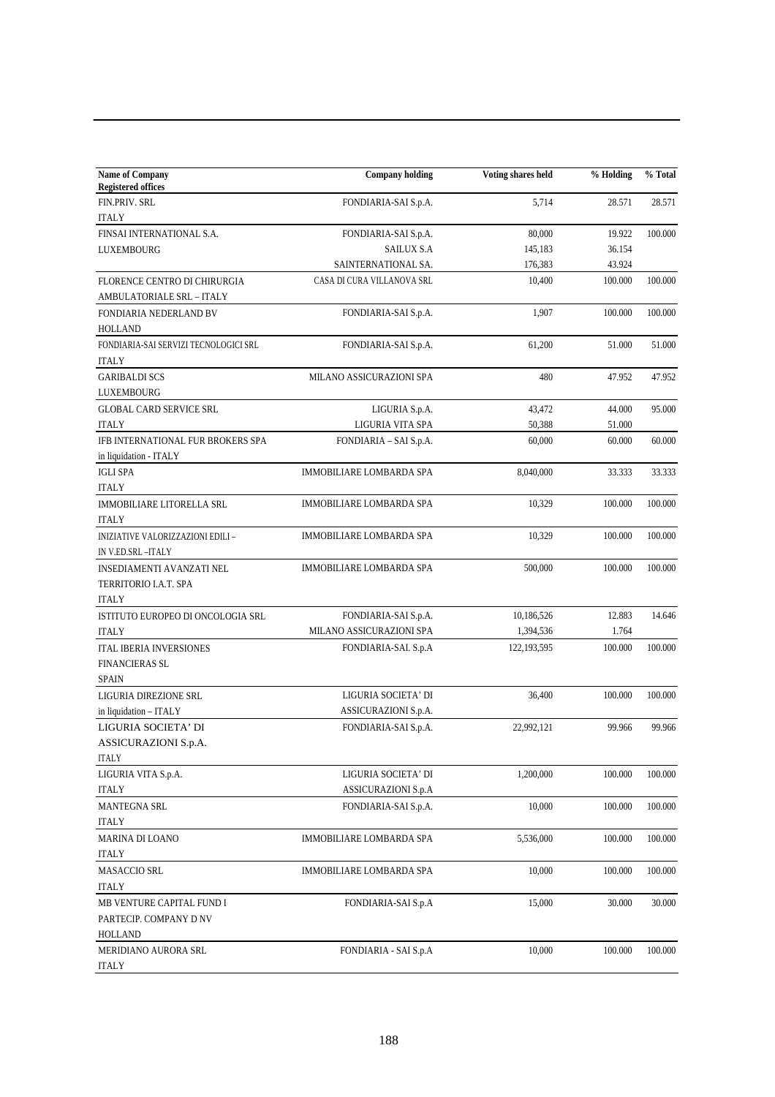| <b>Name of Company</b><br><b>Registered offices</b> | <b>Company holding</b>     | Voting shares held | % Holding | % Total |
|-----------------------------------------------------|----------------------------|--------------------|-----------|---------|
| FIN.PRIV. SRL                                       | FONDIARIA-SAI S.p.A.       | 5,714              | 28.571    | 28.571  |
| <b>ITALY</b>                                        |                            |                    |           |         |
| FINSAI INTERNATIONAL S.A.                           | FONDIARIA-SAI S.p.A.       | 80,000             | 19.922    | 100.000 |
| LUXEMBOURG                                          | <b>SAILUX S.A</b>          | 145,183            | 36.154    |         |
|                                                     | SAINTERNATIONAL SA.        | 176,383            | 43.924    |         |
| FLORENCE CENTRO DI CHIRURGIA                        | CASA DI CURA VILLANOVA SRL | 10,400             | 100.000   | 100.000 |
| AMBULATORIALE SRL - ITALY                           |                            |                    |           |         |
| FONDIARIA NEDERLAND BV                              | FONDIARIA-SAI S.p.A.       | 1,907              | 100.000   | 100.000 |
| <b>HOLLAND</b>                                      |                            |                    |           |         |
| FONDIARIA-SAI SERVIZI TECNOLOGICI SRL               | FONDIARIA-SAI S.p.A.       | 61,200             | 51.000    | 51.000  |
| <b>ITALY</b>                                        |                            |                    |           |         |
| <b>GARIBALDI SCS</b>                                | MILANO ASSICURAZIONI SPA   | 480                | 47.952    | 47.952  |
| LUXEMBOURG                                          |                            |                    |           |         |
|                                                     |                            |                    |           |         |
| <b>GLOBAL CARD SERVICE SRL</b>                      | LIGURIA S.p.A.             | 43,472             | 44.000    | 95.000  |
| <b>ITALY</b>                                        | LIGURIA VITA SPA           | 50,388             | 51.000    |         |
| IFB INTERNATIONAL FUR BROKERS SPA                   | FONDIARIA - SAI S.p.A.     | 60,000             | 60.000    | 60.000  |
| in liquidation - ITALY                              |                            |                    |           |         |
| <b>IGLI SPA</b>                                     | IMMOBILIARE LOMBARDA SPA   | 8,040,000          | 33.333    | 33.333  |
| <b>ITALY</b>                                        |                            |                    |           |         |
| <b>IMMOBILIARE LITORELLA SRL</b>                    | IMMOBILIARE LOMBARDA SPA   | 10,329             | 100.000   | 100.000 |
| <b>ITALY</b>                                        |                            |                    |           |         |
| INIZIATIVE VALORIZZAZIONI EDILI -                   | IMMOBILIARE LOMBARDA SPA   | 10,329             | 100.000   | 100.000 |
| IN V.ED.SRL - ITALY                                 |                            |                    |           |         |
| INSEDIAMENTI AVANZATI NEL                           | IMMOBILIARE LOMBARDA SPA   | 500,000            | 100.000   | 100.000 |
| TERRITORIO I.A.T. SPA                               |                            |                    |           |         |
| <b>ITALY</b>                                        |                            |                    |           |         |
| ISTITUTO EUROPEO DI ONCOLOGIA SRL                   | FONDIARIA-SAI S.p.A.       | 10,186,526         | 12.883    | 14.646  |
| <b>ITALY</b>                                        | MILANO ASSICURAZIONI SPA   | 1,394,536          | 1.764     |         |
| <b>ITAL IBERIA INVERSIONES</b>                      | FONDIARIA-SAI. S.p.A       | 122,193,595        | 100.000   | 100.000 |
| <b>FINANCIERAS SL</b>                               |                            |                    |           |         |
| <b>SPAIN</b>                                        |                            |                    |           |         |
| LIGURIA DIREZIONE SRL                               | LIGURIA SOCIETA' DI        | 36,400             | 100.000   | 100.000 |
| in liquidation - ITALY                              | ASSICURAZIONI S.p.A.       |                    |           |         |
| LIGURIA SOCIETA' DI                                 | FONDIARIA-SAI S.p.A.       | 22,992,121         | 99.966    | 99.966  |
| ASSICURAZIONI S.p.A.                                |                            |                    |           |         |
| ITALY                                               |                            |                    |           |         |
| LIGURIA VITA S.p.A.                                 | LIGURIA SOCIETA' DI        | 1,200,000          | 100.000   | 100.000 |
| <b>ITALY</b>                                        | ASSICURAZIONI S.p.A        |                    |           |         |
| <b>MANTEGNA SRL</b>                                 | FONDIARIA-SAI S.p.A.       | 10,000             | 100.000   | 100.000 |
| <b>ITALY</b>                                        |                            |                    |           |         |
| MARINA DI LOANO                                     | IMMOBILIARE LOMBARDA SPA   | 5,536,000          | 100.000   | 100.000 |
| <b>ITALY</b>                                        |                            |                    |           |         |
| <b>MASACCIO SRL</b>                                 | IMMOBILIARE LOMBARDA SPA   | 10,000             | 100.000   | 100.000 |
| <b>ITALY</b>                                        |                            |                    |           |         |
| MB VENTURE CAPITAL FUND I                           | FONDIARIA-SAI S.p.A        | 15,000             | 30.000    | 30.000  |
| PARTECIP. COMPANY D NV                              |                            |                    |           |         |
| HOLLAND                                             |                            |                    |           |         |
| MERIDIANO AURORA SRL                                | FONDIARIA - SAI S.p.A      | 10,000             | 100.000   | 100.000 |
| <b>ITALY</b>                                        |                            |                    |           |         |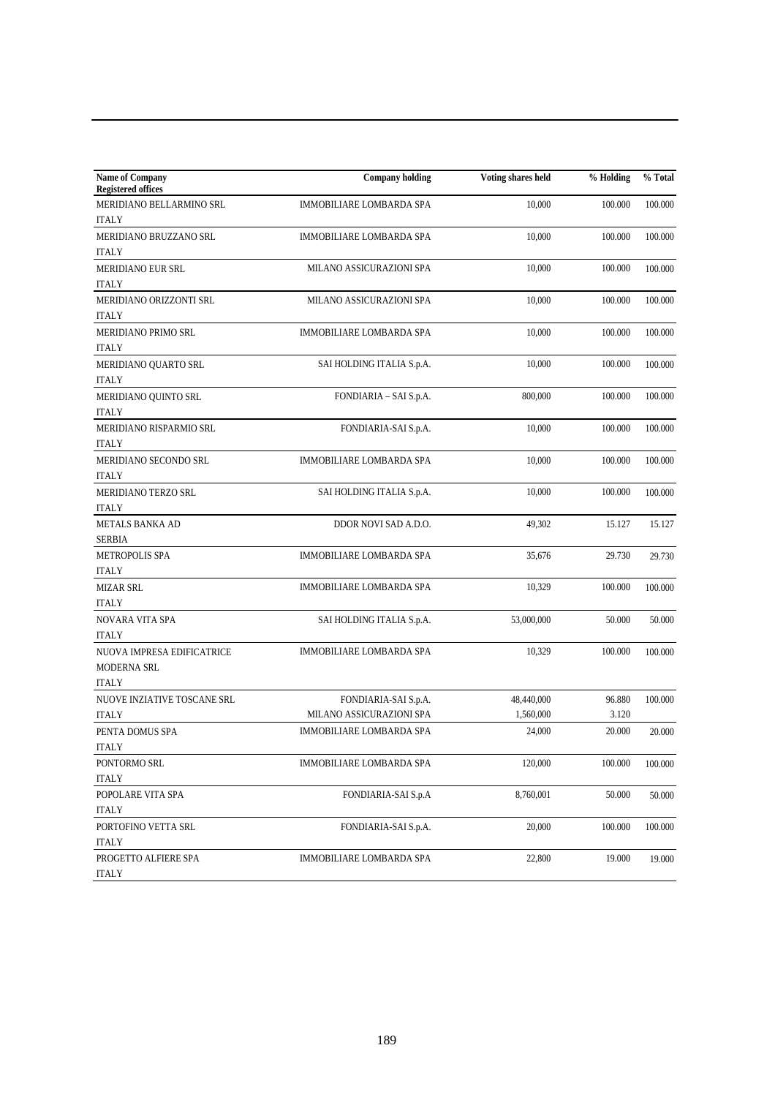| <b>Registered offices</b><br><b>IMMOBILIARE LOMBARDA SPA</b><br>10,000<br>100.000<br>100.000<br>MERIDIANO BELLARMINO SRL<br><b>ITALY</b><br>MERIDIANO BRUZZANO SRL<br>IMMOBILIARE LOMBARDA SPA<br>10,000<br>100.000<br>100.000<br><b>ITALY</b><br>MERIDIANO EUR SRL<br>10,000<br>MILANO ASSICURAZIONI SPA<br>100.000<br>100.000<br><b>ITALY</b><br>10,000<br>MILANO ASSICURAZIONI SPA<br>100.000<br>MERIDIANO ORIZZONTI SRL<br>100.000<br><b>ITALY</b><br>MERIDIANO PRIMO SRL<br>IMMOBILIARE LOMBARDA SPA<br>10,000<br>100.000<br>100.000<br><b>ITALY</b><br>SAI HOLDING ITALIA S.p.A.<br>10,000<br>100.000<br>MERIDIANO QUARTO SRL<br>100.000<br><b>ITALY</b><br>MERIDIANO QUINTO SRL<br>FONDIARIA - SAI S.p.A.<br>800,000<br>100.000<br>100.000<br><b>ITALY</b><br>MERIDIANO RISPARMIO SRL<br>FONDIARIA-SAI S.p.A.<br>10,000<br>100.000<br>100.000<br><b>ITALY</b><br>MERIDIANO SECONDO SRL<br>IMMOBILIARE LOMBARDA SPA<br>10,000<br>100.000<br>100.000<br><b>ITALY</b><br>SAI HOLDING ITALIA S.p.A.<br>10,000<br>100.000<br>MERIDIANO TERZO SRL<br>100.000<br><b>ITALY</b><br>METALS BANKA AD<br>DDOR NOVI SAD A.D.O.<br>49,302<br>15.127<br>15.127<br><b>SERBIA</b><br>METROPOLIS SPA<br>IMMOBILIARE LOMBARDA SPA<br>35,676<br>29.730<br><b>ITALY</b><br><b>MIZAR SRL</b><br>IMMOBILIARE LOMBARDA SPA<br>10,329<br>100.000<br>100.000<br><b>ITALY</b><br>NOVARA VITA SPA<br>SAI HOLDING ITALIA S.p.A.<br>53,000,000<br>50.000<br><b>ITALY</b><br>NUOVA IMPRESA EDIFICATRICE<br>IMMOBILIARE LOMBARDA SPA<br>10,329<br>100.000<br>MODERNA SRL<br><b>ITALY</b><br>48,440,000<br>FONDIARIA-SAI S.p.A.<br>96.880 |
|-----------------------------------------------------------------------------------------------------------------------------------------------------------------------------------------------------------------------------------------------------------------------------------------------------------------------------------------------------------------------------------------------------------------------------------------------------------------------------------------------------------------------------------------------------------------------------------------------------------------------------------------------------------------------------------------------------------------------------------------------------------------------------------------------------------------------------------------------------------------------------------------------------------------------------------------------------------------------------------------------------------------------------------------------------------------------------------------------------------------------------------------------------------------------------------------------------------------------------------------------------------------------------------------------------------------------------------------------------------------------------------------------------------------------------------------------------------------------------------------------------------------------------------------------------------------------------------------------------------------|
|                                                                                                                                                                                                                                                                                                                                                                                                                                                                                                                                                                                                                                                                                                                                                                                                                                                                                                                                                                                                                                                                                                                                                                                                                                                                                                                                                                                                                                                                                                                                                                                                                 |
| 29.730<br>50.000<br>100.000<br>100.000                                                                                                                                                                                                                                                                                                                                                                                                                                                                                                                                                                                                                                                                                                                                                                                                                                                                                                                                                                                                                                                                                                                                                                                                                                                                                                                                                                                                                                                                                                                                                                          |
|                                                                                                                                                                                                                                                                                                                                                                                                                                                                                                                                                                                                                                                                                                                                                                                                                                                                                                                                                                                                                                                                                                                                                                                                                                                                                                                                                                                                                                                                                                                                                                                                                 |
|                                                                                                                                                                                                                                                                                                                                                                                                                                                                                                                                                                                                                                                                                                                                                                                                                                                                                                                                                                                                                                                                                                                                                                                                                                                                                                                                                                                                                                                                                                                                                                                                                 |
|                                                                                                                                                                                                                                                                                                                                                                                                                                                                                                                                                                                                                                                                                                                                                                                                                                                                                                                                                                                                                                                                                                                                                                                                                                                                                                                                                                                                                                                                                                                                                                                                                 |
|                                                                                                                                                                                                                                                                                                                                                                                                                                                                                                                                                                                                                                                                                                                                                                                                                                                                                                                                                                                                                                                                                                                                                                                                                                                                                                                                                                                                                                                                                                                                                                                                                 |
|                                                                                                                                                                                                                                                                                                                                                                                                                                                                                                                                                                                                                                                                                                                                                                                                                                                                                                                                                                                                                                                                                                                                                                                                                                                                                                                                                                                                                                                                                                                                                                                                                 |
|                                                                                                                                                                                                                                                                                                                                                                                                                                                                                                                                                                                                                                                                                                                                                                                                                                                                                                                                                                                                                                                                                                                                                                                                                                                                                                                                                                                                                                                                                                                                                                                                                 |
|                                                                                                                                                                                                                                                                                                                                                                                                                                                                                                                                                                                                                                                                                                                                                                                                                                                                                                                                                                                                                                                                                                                                                                                                                                                                                                                                                                                                                                                                                                                                                                                                                 |
|                                                                                                                                                                                                                                                                                                                                                                                                                                                                                                                                                                                                                                                                                                                                                                                                                                                                                                                                                                                                                                                                                                                                                                                                                                                                                                                                                                                                                                                                                                                                                                                                                 |
|                                                                                                                                                                                                                                                                                                                                                                                                                                                                                                                                                                                                                                                                                                                                                                                                                                                                                                                                                                                                                                                                                                                                                                                                                                                                                                                                                                                                                                                                                                                                                                                                                 |
|                                                                                                                                                                                                                                                                                                                                                                                                                                                                                                                                                                                                                                                                                                                                                                                                                                                                                                                                                                                                                                                                                                                                                                                                                                                                                                                                                                                                                                                                                                                                                                                                                 |
|                                                                                                                                                                                                                                                                                                                                                                                                                                                                                                                                                                                                                                                                                                                                                                                                                                                                                                                                                                                                                                                                                                                                                                                                                                                                                                                                                                                                                                                                                                                                                                                                                 |
|                                                                                                                                                                                                                                                                                                                                                                                                                                                                                                                                                                                                                                                                                                                                                                                                                                                                                                                                                                                                                                                                                                                                                                                                                                                                                                                                                                                                                                                                                                                                                                                                                 |
|                                                                                                                                                                                                                                                                                                                                                                                                                                                                                                                                                                                                                                                                                                                                                                                                                                                                                                                                                                                                                                                                                                                                                                                                                                                                                                                                                                                                                                                                                                                                                                                                                 |
|                                                                                                                                                                                                                                                                                                                                                                                                                                                                                                                                                                                                                                                                                                                                                                                                                                                                                                                                                                                                                                                                                                                                                                                                                                                                                                                                                                                                                                                                                                                                                                                                                 |
|                                                                                                                                                                                                                                                                                                                                                                                                                                                                                                                                                                                                                                                                                                                                                                                                                                                                                                                                                                                                                                                                                                                                                                                                                                                                                                                                                                                                                                                                                                                                                                                                                 |
|                                                                                                                                                                                                                                                                                                                                                                                                                                                                                                                                                                                                                                                                                                                                                                                                                                                                                                                                                                                                                                                                                                                                                                                                                                                                                                                                                                                                                                                                                                                                                                                                                 |
|                                                                                                                                                                                                                                                                                                                                                                                                                                                                                                                                                                                                                                                                                                                                                                                                                                                                                                                                                                                                                                                                                                                                                                                                                                                                                                                                                                                                                                                                                                                                                                                                                 |
|                                                                                                                                                                                                                                                                                                                                                                                                                                                                                                                                                                                                                                                                                                                                                                                                                                                                                                                                                                                                                                                                                                                                                                                                                                                                                                                                                                                                                                                                                                                                                                                                                 |
|                                                                                                                                                                                                                                                                                                                                                                                                                                                                                                                                                                                                                                                                                                                                                                                                                                                                                                                                                                                                                                                                                                                                                                                                                                                                                                                                                                                                                                                                                                                                                                                                                 |
|                                                                                                                                                                                                                                                                                                                                                                                                                                                                                                                                                                                                                                                                                                                                                                                                                                                                                                                                                                                                                                                                                                                                                                                                                                                                                                                                                                                                                                                                                                                                                                                                                 |
|                                                                                                                                                                                                                                                                                                                                                                                                                                                                                                                                                                                                                                                                                                                                                                                                                                                                                                                                                                                                                                                                                                                                                                                                                                                                                                                                                                                                                                                                                                                                                                                                                 |
|                                                                                                                                                                                                                                                                                                                                                                                                                                                                                                                                                                                                                                                                                                                                                                                                                                                                                                                                                                                                                                                                                                                                                                                                                                                                                                                                                                                                                                                                                                                                                                                                                 |
|                                                                                                                                                                                                                                                                                                                                                                                                                                                                                                                                                                                                                                                                                                                                                                                                                                                                                                                                                                                                                                                                                                                                                                                                                                                                                                                                                                                                                                                                                                                                                                                                                 |
|                                                                                                                                                                                                                                                                                                                                                                                                                                                                                                                                                                                                                                                                                                                                                                                                                                                                                                                                                                                                                                                                                                                                                                                                                                                                                                                                                                                                                                                                                                                                                                                                                 |
|                                                                                                                                                                                                                                                                                                                                                                                                                                                                                                                                                                                                                                                                                                                                                                                                                                                                                                                                                                                                                                                                                                                                                                                                                                                                                                                                                                                                                                                                                                                                                                                                                 |
|                                                                                                                                                                                                                                                                                                                                                                                                                                                                                                                                                                                                                                                                                                                                                                                                                                                                                                                                                                                                                                                                                                                                                                                                                                                                                                                                                                                                                                                                                                                                                                                                                 |
|                                                                                                                                                                                                                                                                                                                                                                                                                                                                                                                                                                                                                                                                                                                                                                                                                                                                                                                                                                                                                                                                                                                                                                                                                                                                                                                                                                                                                                                                                                                                                                                                                 |
|                                                                                                                                                                                                                                                                                                                                                                                                                                                                                                                                                                                                                                                                                                                                                                                                                                                                                                                                                                                                                                                                                                                                                                                                                                                                                                                                                                                                                                                                                                                                                                                                                 |
|                                                                                                                                                                                                                                                                                                                                                                                                                                                                                                                                                                                                                                                                                                                                                                                                                                                                                                                                                                                                                                                                                                                                                                                                                                                                                                                                                                                                                                                                                                                                                                                                                 |
|                                                                                                                                                                                                                                                                                                                                                                                                                                                                                                                                                                                                                                                                                                                                                                                                                                                                                                                                                                                                                                                                                                                                                                                                                                                                                                                                                                                                                                                                                                                                                                                                                 |
| NUOVE INZIATIVE TOSCANE SRL<br>MILANO ASSICURAZIONI SPA<br>3.120<br>1,560,000<br><b>ITALY</b>                                                                                                                                                                                                                                                                                                                                                                                                                                                                                                                                                                                                                                                                                                                                                                                                                                                                                                                                                                                                                                                                                                                                                                                                                                                                                                                                                                                                                                                                                                                   |
| PENTA DOMUS SPA<br>IMMOBILIARE LOMBARDA SPA<br>24,000<br>20.000<br>20.000                                                                                                                                                                                                                                                                                                                                                                                                                                                                                                                                                                                                                                                                                                                                                                                                                                                                                                                                                                                                                                                                                                                                                                                                                                                                                                                                                                                                                                                                                                                                       |
| <b>ITALY</b>                                                                                                                                                                                                                                                                                                                                                                                                                                                                                                                                                                                                                                                                                                                                                                                                                                                                                                                                                                                                                                                                                                                                                                                                                                                                                                                                                                                                                                                                                                                                                                                                    |
| PONTORMO SRL<br>IMMOBILIARE LOMBARDA SPA<br>120,000<br>100.000                                                                                                                                                                                                                                                                                                                                                                                                                                                                                                                                                                                                                                                                                                                                                                                                                                                                                                                                                                                                                                                                                                                                                                                                                                                                                                                                                                                                                                                                                                                                                  |
| 100.000<br><b>ITALY</b>                                                                                                                                                                                                                                                                                                                                                                                                                                                                                                                                                                                                                                                                                                                                                                                                                                                                                                                                                                                                                                                                                                                                                                                                                                                                                                                                                                                                                                                                                                                                                                                         |
| POPOLARE VITA SPA<br>FONDIARIA-SAI S.p.A<br>8,760,001<br>50.000<br>50.000                                                                                                                                                                                                                                                                                                                                                                                                                                                                                                                                                                                                                                                                                                                                                                                                                                                                                                                                                                                                                                                                                                                                                                                                                                                                                                                                                                                                                                                                                                                                       |
| <b>ITALY</b>                                                                                                                                                                                                                                                                                                                                                                                                                                                                                                                                                                                                                                                                                                                                                                                                                                                                                                                                                                                                                                                                                                                                                                                                                                                                                                                                                                                                                                                                                                                                                                                                    |
| FONDIARIA-SAI S.p.A.<br>20,000<br>PORTOFINO VETTA SRL<br>100.000<br>100.000                                                                                                                                                                                                                                                                                                                                                                                                                                                                                                                                                                                                                                                                                                                                                                                                                                                                                                                                                                                                                                                                                                                                                                                                                                                                                                                                                                                                                                                                                                                                     |
| <b>ITALY</b>                                                                                                                                                                                                                                                                                                                                                                                                                                                                                                                                                                                                                                                                                                                                                                                                                                                                                                                                                                                                                                                                                                                                                                                                                                                                                                                                                                                                                                                                                                                                                                                                    |
| PROGETTO ALFIERE SPA<br>IMMOBILIARE LOMBARDA SPA<br>22,800<br>19.000<br>19.000                                                                                                                                                                                                                                                                                                                                                                                                                                                                                                                                                                                                                                                                                                                                                                                                                                                                                                                                                                                                                                                                                                                                                                                                                                                                                                                                                                                                                                                                                                                                  |
| <b>ITALY</b>                                                                                                                                                                                                                                                                                                                                                                                                                                                                                                                                                                                                                                                                                                                                                                                                                                                                                                                                                                                                                                                                                                                                                                                                                                                                                                                                                                                                                                                                                                                                                                                                    |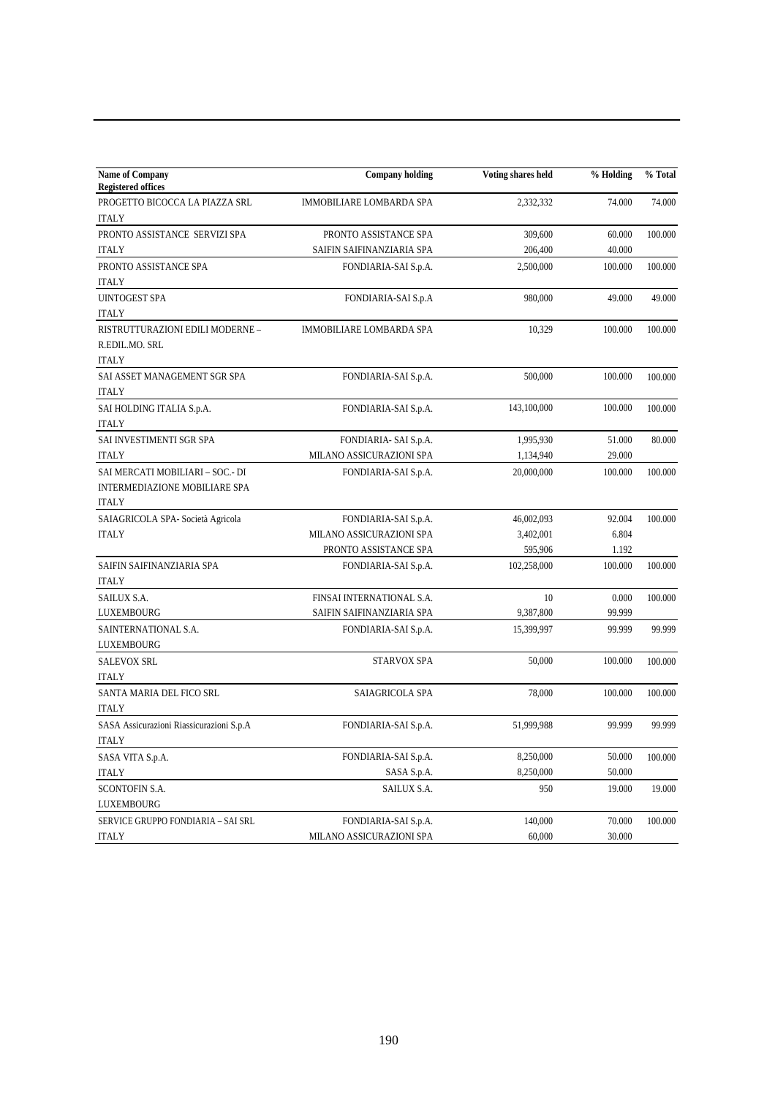| <b>Name of Company</b><br><b>Registered offices</b> | <b>Company holding</b>    | Voting shares held | % Holding | % Total |
|-----------------------------------------------------|---------------------------|--------------------|-----------|---------|
| PROGETTO BICOCCA LA PIAZZA SRL                      | IMMOBILIARE LOMBARDA SPA  | 2,332,332          | 74.000    | 74.000  |
| <b>ITALY</b>                                        |                           |                    |           |         |
| PRONTO ASSISTANCE SERVIZI SPA                       | PRONTO ASSISTANCE SPA     | 309,600            | 60.000    | 100.000 |
| <b>ITALY</b>                                        | SAIFIN SAIFINANZIARIA SPA | 206,400            | 40.000    |         |
| PRONTO ASSISTANCE SPA                               | FONDIARIA-SAI S.p.A.      | 2,500,000          | 100.000   | 100.000 |
| <b>ITALY</b>                                        |                           |                    |           |         |
| <b>UINTOGEST SPA</b>                                | FONDIARIA-SAI S.p.A       | 980,000            | 49.000    | 49.000  |
| <b>ITALY</b>                                        |                           |                    |           |         |
| RISTRUTTURAZIONI EDILI MODERNE -                    | IMMOBILIARE LOMBARDA SPA  | 10,329             | 100.000   | 100.000 |
| R.EDIL.MO. SRL                                      |                           |                    |           |         |
| <b>ITALY</b>                                        |                           |                    |           |         |
| SAI ASSET MANAGEMENT SGR SPA                        | FONDIARIA-SAI S.p.A.      | 500,000            | 100.000   | 100.000 |
| <b>ITALY</b>                                        |                           |                    |           |         |
| SAI HOLDING ITALIA S.p.A.                           | FONDIARIA-SAI S.p.A.      | 143,100,000        | 100.000   | 100.000 |
| <b>ITALY</b>                                        |                           |                    |           |         |
| SAI INVESTIMENTI SGR SPA                            | FONDIARIA- SAI S.p.A.     | 1,995,930          | 51.000    | 80.000  |
| <b>ITALY</b>                                        | MILANO ASSICURAZIONI SPA  | 1,134,940          | 29.000    |         |
| SAI MERCATI MOBILIARI - SOC.- DI                    | FONDIARIA-SAI S.p.A.      | 20,000,000         | 100.000   | 100.000 |
| <b>INTERMEDIAZIONE MOBILIARE SPA</b>                |                           |                    |           |         |
| <b>ITALY</b>                                        |                           |                    |           |         |
| SAIAGRICOLA SPA- Società Agricola                   | FONDIARIA-SAI S.p.A.      | 46,002,093         | 92.004    | 100.000 |
| <b>ITALY</b>                                        | MILANO ASSICURAZIONI SPA  | 3,402,001          | 6.804     |         |
|                                                     | PRONTO ASSISTANCE SPA     | 595,906            | 1.192     |         |
| SAIFIN SAIFINANZIARIA SPA                           | FONDIARIA-SAI S.p.A.      | 102,258,000        | 100.000   | 100.000 |
| <b>ITALY</b>                                        |                           |                    |           |         |
| SAILUX S.A.                                         | FINSAI INTERNATIONAL S.A. | 10                 | 0.000     | 100.000 |
| LUXEMBOURG                                          | SAIFIN SAIFINANZIARIA SPA | 9,387,800          | 99.999    |         |
| SAINTERNATIONAL S.A.                                | FONDIARIA-SAI S.p.A.      | 15,399,997         | 99.999    | 99.999  |
| LUXEMBOURG                                          |                           |                    |           |         |
| <b>SALEVOX SRL</b>                                  | STARVOX SPA               | 50,000             | 100.000   | 100.000 |
| <b>ITALY</b>                                        |                           |                    |           |         |
| SANTA MARIA DEL FICO SRL                            | SAIAGRICOLA SPA           | 78,000             | 100.000   | 100.000 |
| <b>ITALY</b>                                        |                           |                    |           |         |
| SASA Assicurazioni Riassicurazioni S.p.A            | FONDIARIA-SAI S.p.A.      | 51,999,988         | 99.999    | 99.999  |
| ITALY                                               |                           |                    |           |         |
| SASA VITA S.p.A.                                    | FONDIARIA-SAI S.p.A.      | 8,250,000          | 50.000    | 100.000 |
| <b>ITALY</b>                                        | SASA S.p.A.               | 8,250,000          | 50.000    |         |
| SCONTOFIN S.A.                                      | SAILUX S.A.               | 950                | 19.000    | 19.000  |
| LUXEMBOURG                                          |                           |                    |           |         |
| SERVICE GRUPPO FONDIARIA - SAI SRL                  | FONDIARIA-SAI S.p.A.      | 140,000            | 70.000    | 100.000 |
| <b>ITALY</b>                                        | MILANO ASSICURAZIONI SPA  | 60,000             | 30.000    |         |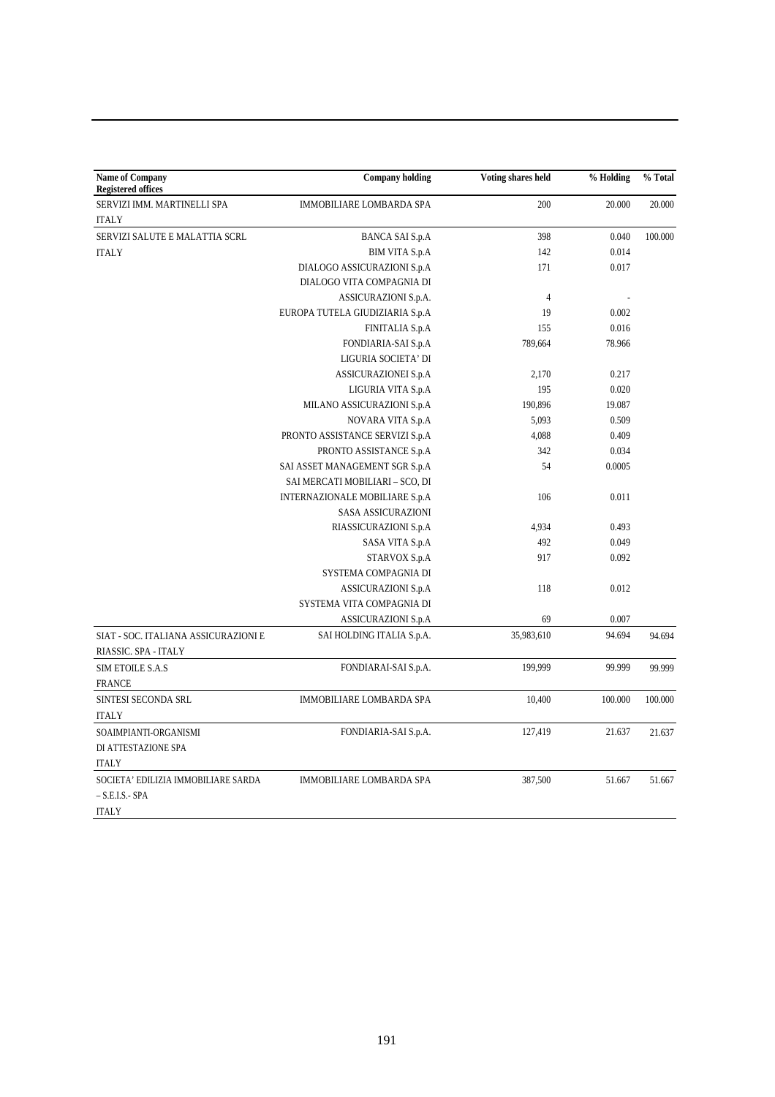| <b>Name of Company</b><br><b>Registered offices</b>          | <b>Company holding</b>          | Voting shares held | % Holding | % Total |
|--------------------------------------------------------------|---------------------------------|--------------------|-----------|---------|
| SERVIZI IMM. MARTINELLI SPA                                  | <b>IMMOBILIARE LOMBARDA SPA</b> | 200                | 20.000    | 20.000  |
| <b>ITALY</b>                                                 |                                 |                    |           |         |
| SERVIZI SALUTE E MALATTIA SCRL                               | <b>BANCA SAI S.p.A</b>          | 398                | 0.040     | 100.000 |
| <b>ITALY</b>                                                 | <b>BIM VITA S.p.A</b>           | 142                | 0.014     |         |
|                                                              | DIALOGO ASSICURAZIONI S.p.A     | 171                | 0.017     |         |
|                                                              | DIALOGO VITA COMPAGNIA DI       |                    |           |         |
|                                                              | ASSICURAZIONI S.p.A.            | $\overline{4}$     |           |         |
|                                                              | EUROPA TUTELA GIUDIZIARIA S.p.A | 19                 | 0.002     |         |
|                                                              | FINITALIA S.p.A                 | 155                | 0.016     |         |
|                                                              | FONDIARIA-SAI S.p.A             | 789,664            | 78.966    |         |
|                                                              | LIGURIA SOCIETA' DI             |                    |           |         |
|                                                              | ASSICURAZIONEI S.p.A            | 2,170              | 0.217     |         |
|                                                              | LIGURIA VITA S.p.A              | 195                | 0.020     |         |
|                                                              | MILANO ASSICURAZIONI S.p.A      | 190,896            | 19.087    |         |
|                                                              | NOVARA VITA S.p.A               | 5,093              | 0.509     |         |
|                                                              | PRONTO ASSISTANCE SERVIZI S.p.A | 4,088              | 0.409     |         |
|                                                              | PRONTO ASSISTANCE S.p.A         | 342                | 0.034     |         |
|                                                              | SAI ASSET MANAGEMENT SGR S.p.A  | 54                 | 0.0005    |         |
|                                                              | SAI MERCATI MOBILIARI - SCO, DI |                    |           |         |
|                                                              | INTERNAZIONALE MOBILIARE S.p.A  | 106                | 0.011     |         |
|                                                              | <b>SASA ASSICURAZIONI</b>       |                    |           |         |
|                                                              | RIASSICURAZIONI S.p.A           | 4,934              | 0.493     |         |
|                                                              | SASA VITA S.p.A                 | 492                | 0.049     |         |
|                                                              | STARVOX S.p.A                   | 917                | 0.092     |         |
|                                                              | SYSTEMA COMPAGNIA DI            |                    |           |         |
|                                                              | ASSICURAZIONI S.p.A             | 118                | 0.012     |         |
|                                                              | SYSTEMA VITA COMPAGNIA DI       |                    |           |         |
|                                                              | ASSICURAZIONI S.p.A             | 69                 | 0.007     |         |
| SIAT - SOC. ITALIANA ASSICURAZIONI E<br>RIASSIC. SPA - ITALY | SAI HOLDING ITALIA S.p.A.       | 35,983,610         | 94.694    | 94.694  |
| <b>SIM ETOILE S.A.S</b>                                      | FONDIARAI-SAI S.p.A.            | 199,999            | 99.999    | 99.999  |
| <b>FRANCE</b>                                                |                                 |                    |           |         |
| SINTESI SECONDA SRL                                          | <b>IMMOBILIARE LOMBARDA SPA</b> | 10,400             | 100.000   | 100.000 |
| <b>ITALY</b>                                                 |                                 |                    |           |         |
| SOAIMPIANTI-ORGANISMI                                        | FONDIARIA-SAI S.p.A.            | 127,419            | 21.637    | 21.637  |
| DI ATTESTAZIONE SPA                                          |                                 |                    |           |         |
| <b>ITALY</b>                                                 |                                 |                    |           |         |
| SOCIETA' EDILIZIA IMMOBILIARE SARDA                          | <b>IMMOBILIARE LOMBARDA SPA</b> | 387,500            | 51.667    | 51.667  |
| $-$ S.E.I.S. - SPA                                           |                                 |                    |           |         |
| <b>ITALY</b>                                                 |                                 |                    |           |         |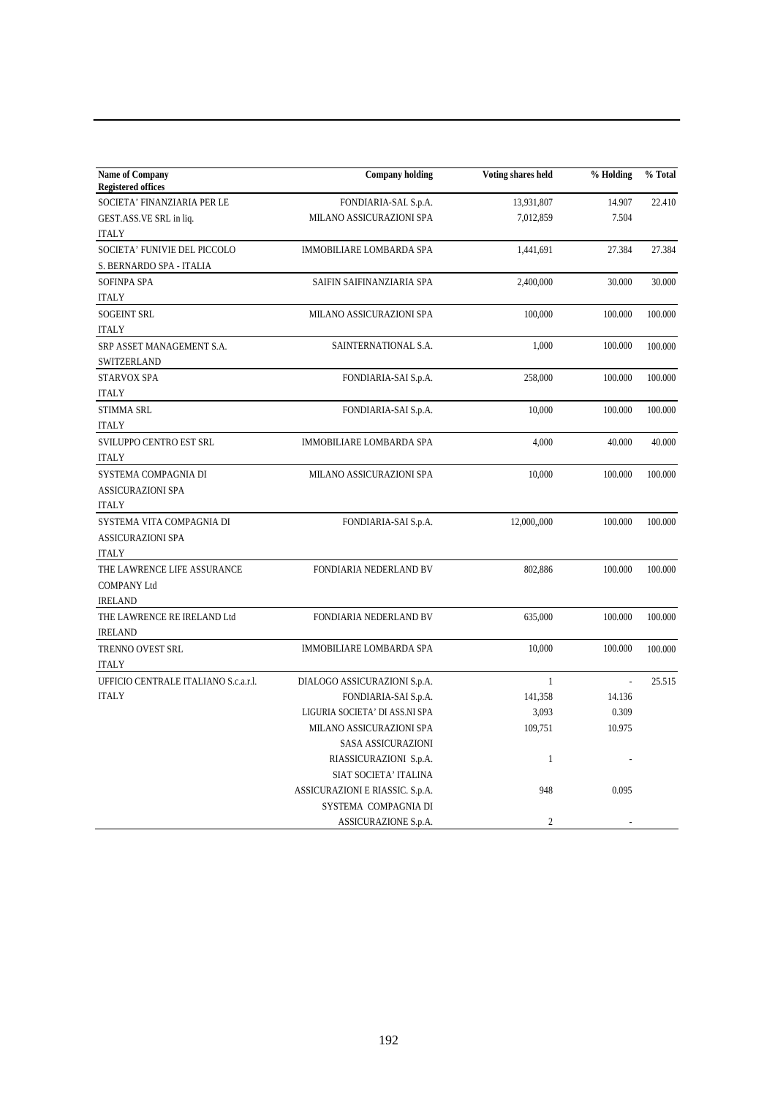| <b>Name of Company</b><br><b>Registered offices</b> | <b>Company holding</b>          | Voting shares held | % Holding      | % Total |
|-----------------------------------------------------|---------------------------------|--------------------|----------------|---------|
| SOCIETA' FINANZIARIA PER LE                         | FONDIARIA-SAI. S.p.A.           | 13,931,807         | 14.907         | 22.410  |
| GEST.ASS.VE SRL in liq.                             | MILANO ASSICURAZIONI SPA        | 7,012,859          | 7.504          |         |
| <b>ITALY</b>                                        |                                 |                    |                |         |
| SOCIETA' FUNIVIE DEL PICCOLO                        | IMMOBILIARE LOMBARDA SPA        | 1,441,691          | 27.384         | 27.384  |
| S. BERNARDO SPA - ITALIA                            |                                 |                    |                |         |
| <b>SOFINPA SPA</b>                                  | SAIFIN SAIFINANZIARIA SPA       | 2,400,000          | 30.000         | 30.000  |
| <b>ITALY</b>                                        |                                 |                    |                |         |
| <b>SOGEINT SRL</b>                                  | MILANO ASSICURAZIONI SPA        | 100,000            | 100.000        | 100.000 |
| <b>ITALY</b>                                        |                                 |                    |                |         |
| SRP ASSET MANAGEMENT S.A.<br>SWITZERLAND            | SAINTERNATIONAL S.A.            | 1,000              | 100.000        | 100.000 |
| STARVOX SPA                                         | FONDIARIA-SAI S.p.A.            | 258,000            | 100.000        | 100.000 |
| <b>ITALY</b>                                        |                                 |                    |                |         |
| <b>STIMMA SRL</b>                                   | FONDIARIA-SAI S.p.A.            | 10,000             | 100.000        | 100.000 |
| <b>ITALY</b>                                        |                                 |                    |                |         |
| SVILUPPO CENTRO EST SRL                             | IMMOBILIARE LOMBARDA SPA        | 4,000              | 40.000         | 40.000  |
| <b>ITALY</b>                                        |                                 |                    |                |         |
| SYSTEMA COMPAGNIA DI                                | MILANO ASSICURAZIONI SPA        | 10,000             | 100.000        | 100.000 |
| <b>ASSICURAZIONI SPA</b>                            |                                 |                    |                |         |
| <b>ITALY</b>                                        |                                 |                    |                |         |
| SYSTEMA VITA COMPAGNIA DI                           | FONDIARIA-SAI S.p.A.            | 12,000,,000        | 100.000        | 100.000 |
| <b>ASSICURAZIONI SPA</b>                            |                                 |                    |                |         |
| <b>ITALY</b>                                        |                                 |                    |                |         |
| THE LAWRENCE LIFE ASSURANCE                         | FONDIARIA NEDERLAND BV          | 802,886            | 100.000        | 100.000 |
| <b>COMPANY Ltd</b>                                  |                                 |                    |                |         |
| <b>IRELAND</b>                                      |                                 |                    |                |         |
| THE LAWRENCE RE IRELAND Ltd                         | FONDIARIA NEDERLAND BV          | 635,000            | 100.000        | 100.000 |
| <b>IRELAND</b>                                      |                                 |                    |                |         |
| TRENNO OVEST SRL                                    | IMMOBILIARE LOMBARDA SPA        | 10,000             | 100.000        | 100.000 |
| <b>ITALY</b>                                        |                                 |                    |                |         |
| UFFICIO CENTRALE ITALIANO S.c.a.r.l.                | DIALOGO ASSICURAZIONI S.p.A.    | $\mathbf{1}$       | $\overline{a}$ | 25.515  |
| <b>ITALY</b>                                        | FONDIARIA-SAI S.p.A.            | 141,358            | 14.136         |         |
|                                                     | LIGURIA SOCIETA' DI ASS.NI SPA  | 3,093              | 0.309          |         |
|                                                     | MILANO ASSICURAZIONI SPA        | 109,751            | 10.975         |         |
|                                                     | SASA ASSICURAZIONI              |                    |                |         |
|                                                     | RIASSICURAZIONI S.p.A.          | $\mathbf{1}$       |                |         |
|                                                     | SIAT SOCIETA' ITALINA           |                    |                |         |
|                                                     | ASSICURAZIONI E RIASSIC. S.p.A. | 948                | 0.095          |         |
|                                                     | SYSTEMA COMPAGNIA DI            |                    |                |         |
|                                                     | ASSICURAZIONE S.p.A.            | $\overline{2}$     |                |         |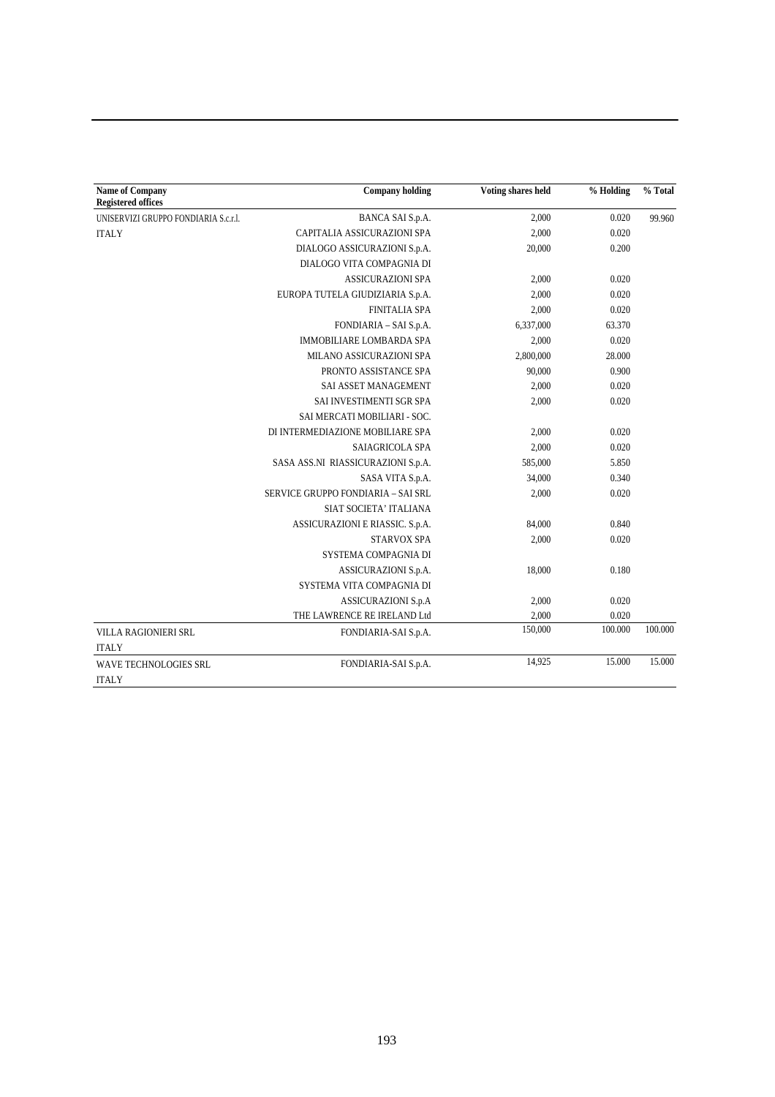| <b>Name of Company</b><br><b>Registered offices</b> | <b>Company holding</b>             | Voting shares held | % Holding | % Total |
|-----------------------------------------------------|------------------------------------|--------------------|-----------|---------|
| UNISERVIZI GRUPPO FONDIARIA S.c.r.l.                | BANCA SAI S.p.A.                   | 2,000              | 0.020     | 99.960  |
| <b>ITALY</b>                                        | CAPITALIA ASSICURAZIONI SPA        | 2,000              | 0.020     |         |
|                                                     | DIALOGO ASSICURAZIONI S.p.A.       | 20,000             | 0.200     |         |
|                                                     | DIALOGO VITA COMPAGNIA DI          |                    |           |         |
|                                                     | <b>ASSICURAZIONI SPA</b>           | 2,000              | 0.020     |         |
|                                                     | EUROPA TUTELA GIUDIZIARIA S.p.A.   | 2,000              | 0.020     |         |
|                                                     | <b>FINITALIA SPA</b>               | 2,000              | 0.020     |         |
|                                                     | FONDIARIA - SAI S.p.A.             | 6,337,000          | 63.370    |         |
|                                                     | <b>IMMOBILIARE LOMBARDA SPA</b>    | 2,000              | 0.020     |         |
|                                                     | MILANO ASSICURAZIONI SPA           | 2,800,000          | 28.000    |         |
|                                                     | PRONTO ASSISTANCE SPA              | 90,000             | 0.900     |         |
|                                                     | SAI ASSET MANAGEMENT               | 2,000              | 0.020     |         |
|                                                     | SAI INVESTIMENTI SGR SPA           | 2,000              | 0.020     |         |
|                                                     | SAI MERCATI MOBILIARI - SOC.       |                    |           |         |
|                                                     | DI INTERMEDIAZIONE MOBILIARE SPA   | 2,000              | 0.020     |         |
|                                                     | SAIAGRICOLA SPA                    | 2,000              | 0.020     |         |
|                                                     | SASA ASS.NI RIASSICURAZIONI S.p.A. | 585,000            | 5.850     |         |
|                                                     | SASA VITA S.p.A.                   | 34,000             | 0.340     |         |
|                                                     | SERVICE GRUPPO FONDIARIA - SAI SRL | 2,000              | 0.020     |         |
|                                                     | SIAT SOCIETA' ITALIANA             |                    |           |         |
|                                                     | ASSICURAZIONI E RIASSIC. S.p.A.    | 84,000             | 0.840     |         |
|                                                     | <b>STARVOX SPA</b>                 | 2,000              | 0.020     |         |
|                                                     | SYSTEMA COMPAGNIA DI               |                    |           |         |
|                                                     | ASSICURAZIONI S.p.A.               | 18,000             | 0.180     |         |
|                                                     | SYSTEMA VITA COMPAGNIA DI          |                    |           |         |
|                                                     | <b>ASSICURAZIONI S.p.A</b>         | 2,000              | 0.020     |         |
|                                                     | THE LAWRENCE RE IRELAND Ltd        | 2,000              | 0.020     |         |
| VILLA RAGIONIERI SRL<br><b>ITALY</b>                | FONDIARIA-SAI S.p.A.               | 150,000            | 100.000   | 100.000 |
| WAVE TECHNOLOGIES SRL                               | FONDIARIA-SAI S.p.A.               | 14,925             | 15.000    | 15.000  |
| <b>ITALY</b>                                        |                                    |                    |           |         |